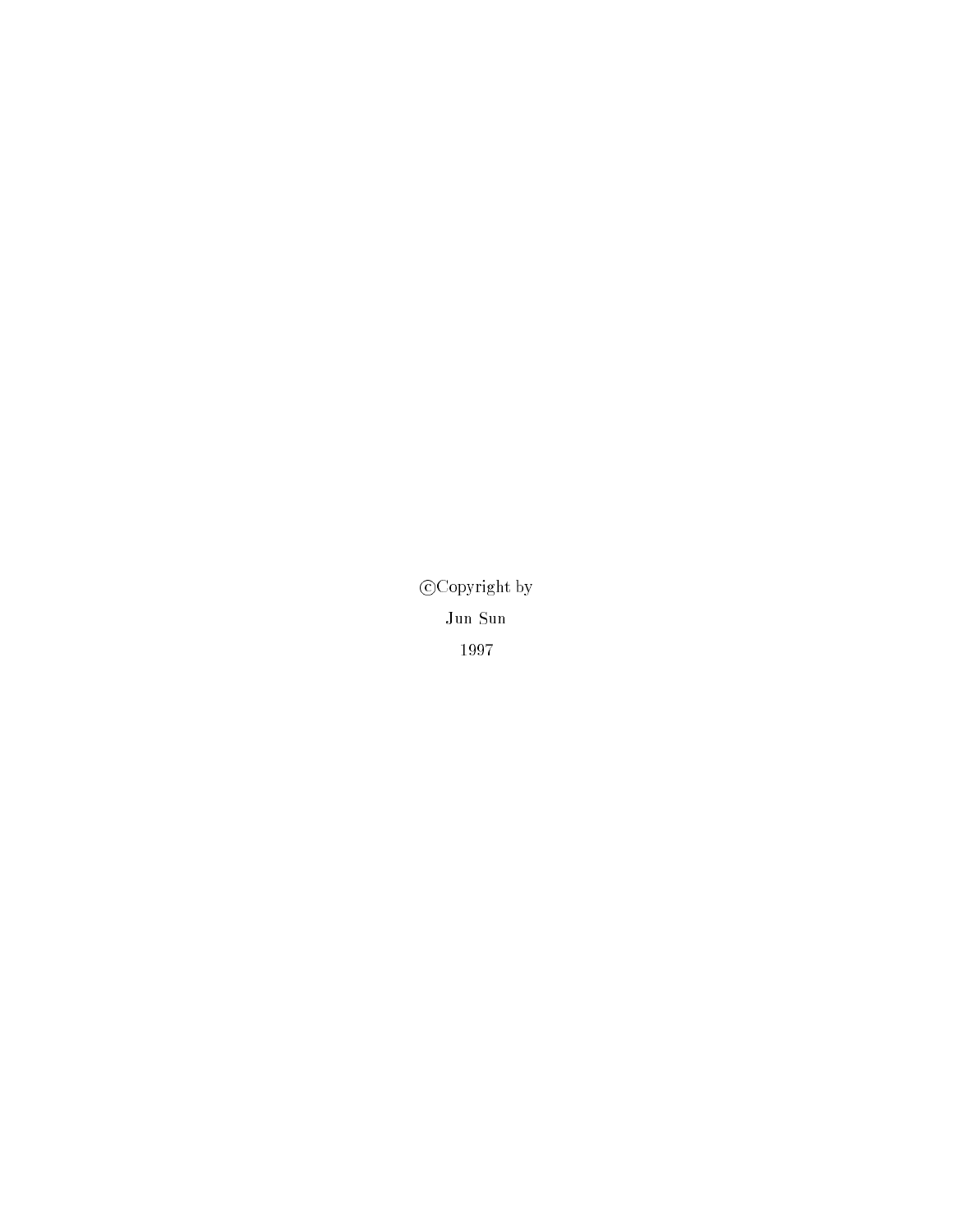$\mathcal{C}$  copyright by  $\mathcal{C}$ Jun Sun 1997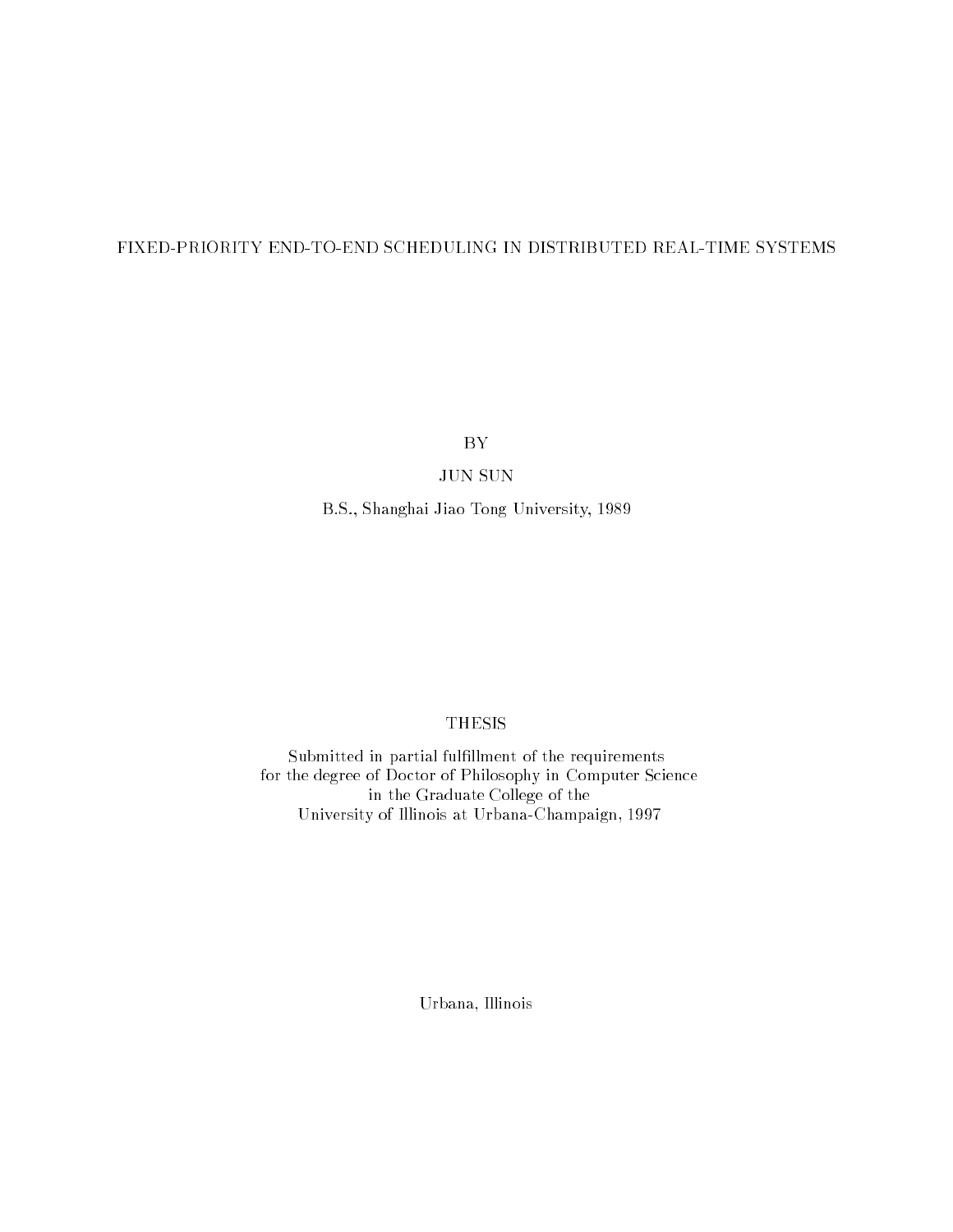#### FIXED-PRIORITY END-TO-END SCHEDULING IN DISTRIBUTED REAL-TIME SYSTEMS

BY

#### JUN SUN

B.S., Shanghai Jiao Tong University, 1989

#### THESIS

Submitted in partial fulfillment of the requirements for the degree of Doctor of Philosophy in Computer Science in the Graduate College of the University of Illinois at Urbana-Champaign, 1997

Urbana, Illinois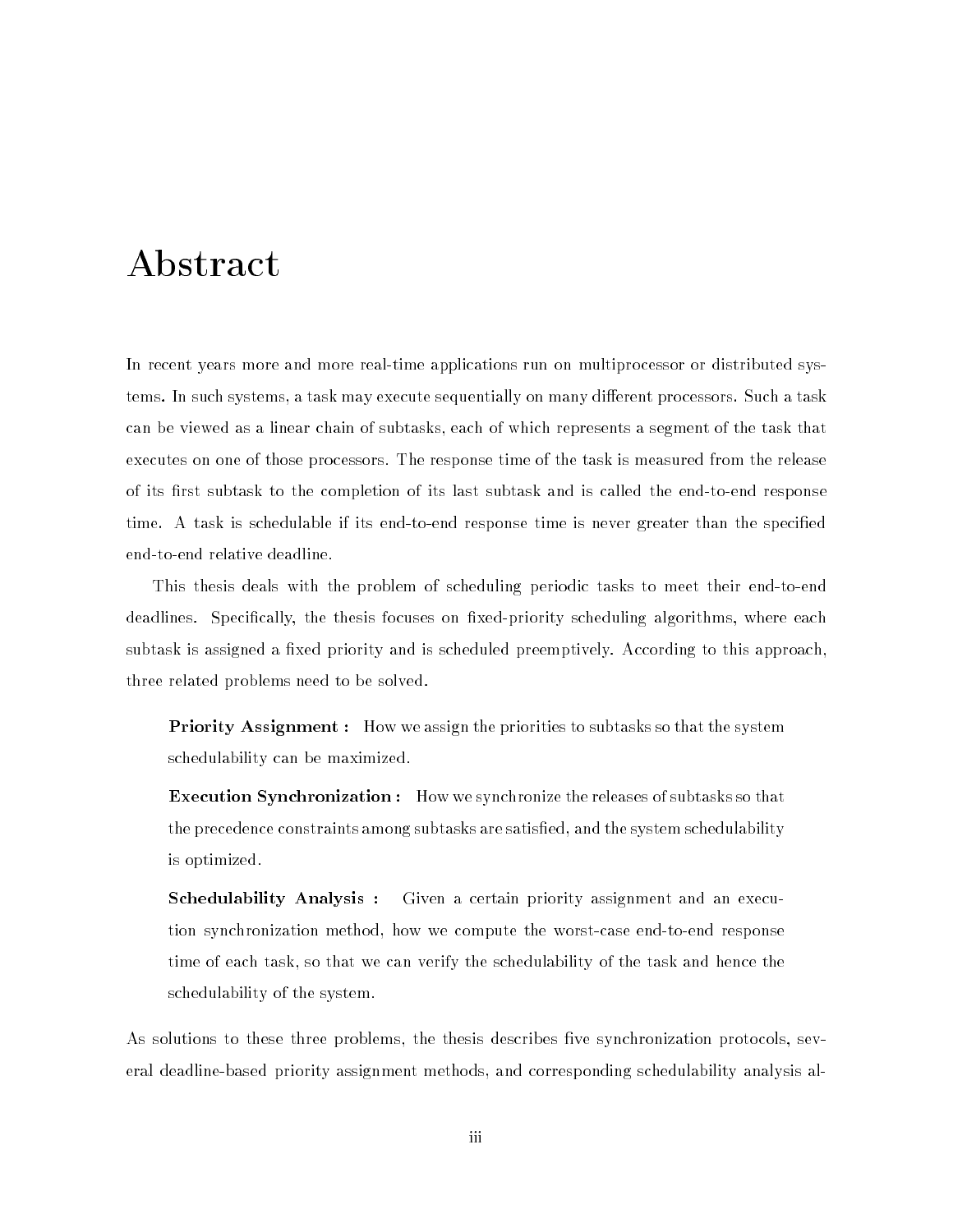## Abstract

In recent years more and more real-time applications run on multiprocessor or distributed systems. In such systems, a task may execute sequentially on many different processors. Such a task can be viewed as a linear chain of subtasks, each of which represents a segment of the task that executes on one of those processors. The response time of the task is measured from the release of its first subtask to the completion of its last subtask and is called the end-to-end response time. A task is schedulable if its end-to-end response time is never greater than the specied end-to-end relative deadline.

This thesis deals with the problem of scheduling periodic tasks to meet their end-to-end deadlines. Specifically, the thesis focuses on fixed-priority scheduling algorithms, where each subtask is assigned a fixed priority and is scheduled preemptively. According to this approach, three related problems need to be solved.

**Priority Assignment :** How we assign the priorities to subtasks so that the system schedulability can be maximized.

Execution Synchronization : How we synchronize the releases of subtasks so that the precedence constraints among subtasks are satised, and the system schedulability is optimized.

Schedulability Analysis : Given a certain priority assignment and an execution synchronization method, how we compute the worst-case end-to-end response time of each task, so that we can verify the schedulability of the task and hence the schedulability of the system.

As solutions to these three problems, the thesis describes five synchronization protocols, several deadline-based priority assignment methods, and corresponding schedulability analysis al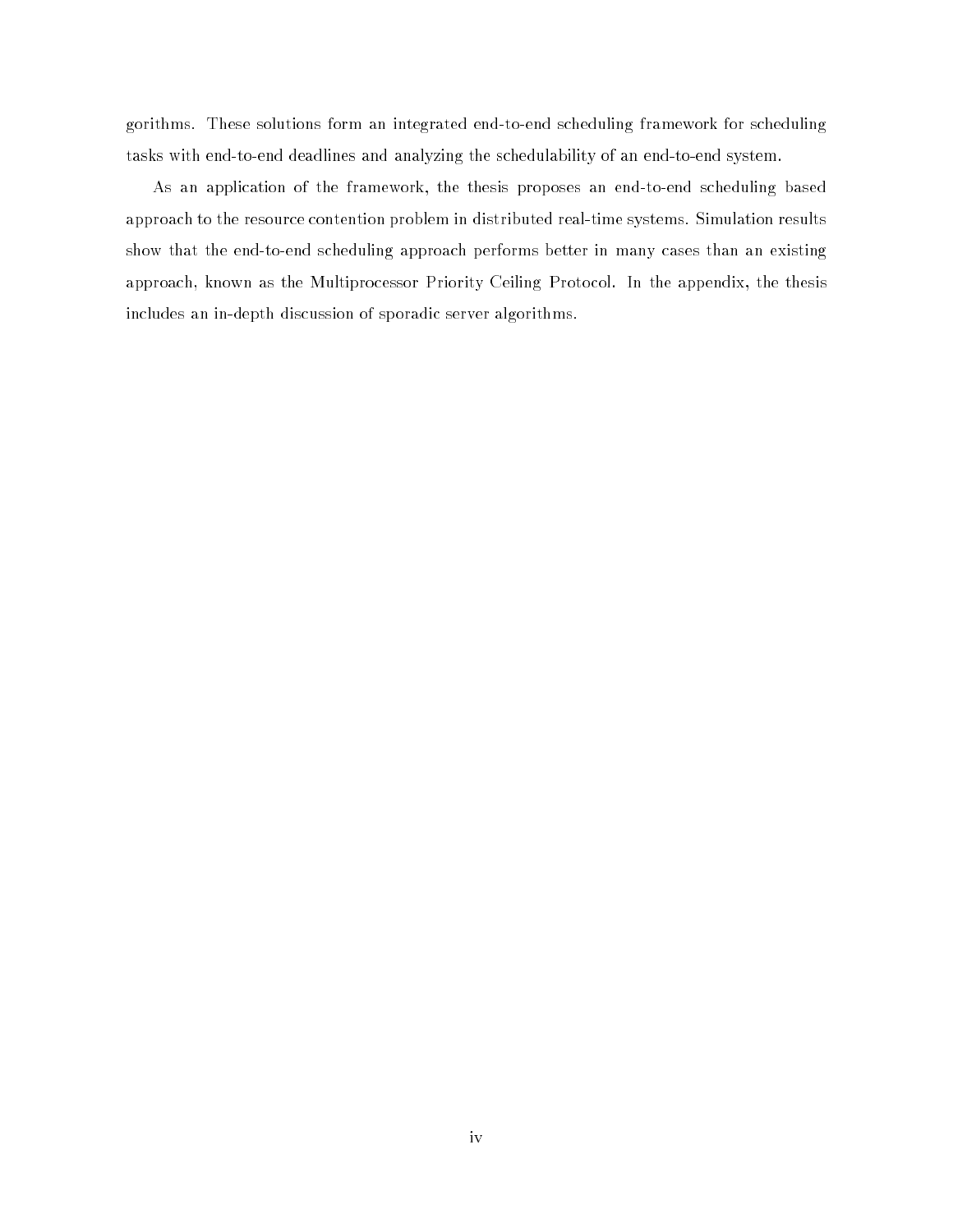gorithms. These solutions form an integrated end-to-end scheduling framework for scheduling tasks with end-to-end deadlines and analyzing the schedulability of an end-to-end system.

As an application of the framework, the thesis proposes an end-to-end scheduling based approach to the resource contention problem in distributed real-time systems. Simulation results show that the end-to-end scheduling approach performs better in many cases than an existing approach, known as the Multiprocessor Priority Ceiling Protocol. In the appendix, the thesis includes an in-depth discussion of sporadic server algorithms.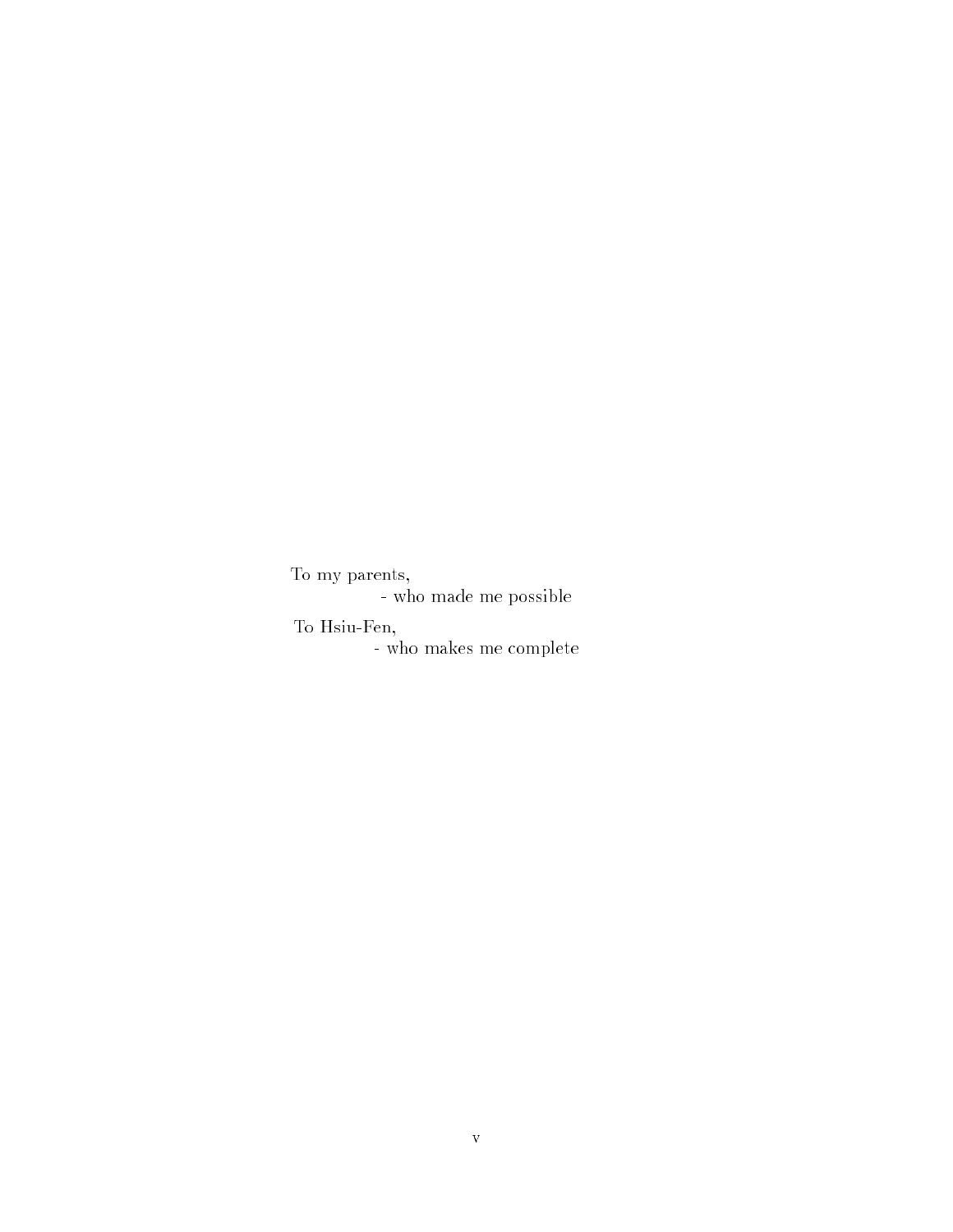To my parents,

- who made me possible

To Hsiu-Fen,

- who makes me complete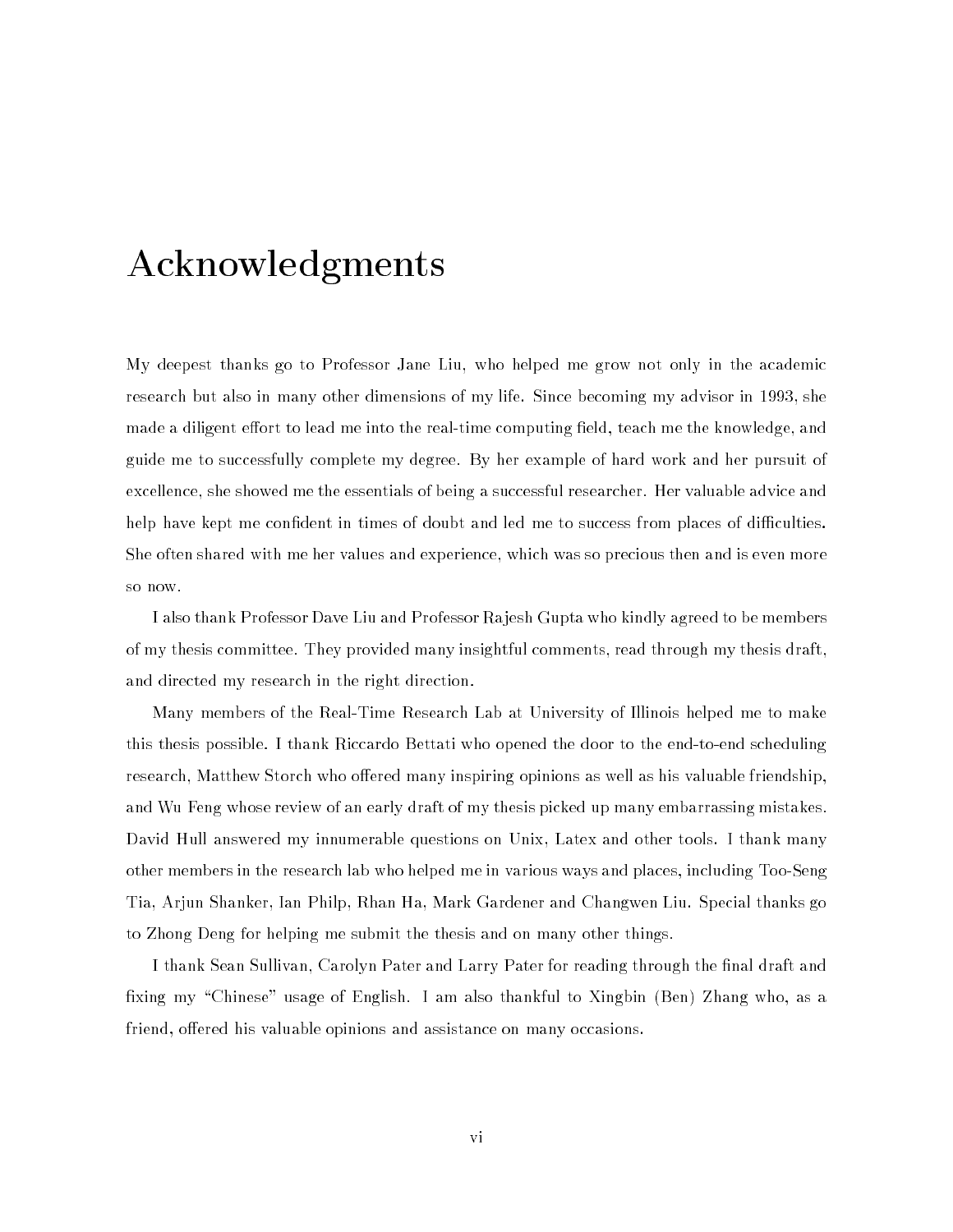## Acknowledgments

My deepest thanks go to Professor Jane Liu, who helped me grow not only in the academic research but also in many other dimensions of my life. Since becoming my advisor in 1993, she made a diligent effort to lead me into the real-time computing field, teach me the knowledge, and guide me to successfully complete my degree. By her example of hard work and her pursuit of excellence, she showed me the essentials of being a successful researcher. Her valuable advice and help have kept me confident in times of doubt and led me to success from places of difficulties. She often shared with me her values and experience, which was so precious then and is even more so now.

I also thank Professor Dave Liu and Professor Rajesh Gupta who kindly agreed to be members of my thesis committee. They provided many insightful comments, read through my thesis draft, and directed my research in the right direction.

Many members of the Real-Time Research Lab at University of Illinois helped me to make this thesis possible. I thank Riccardo Bettati who opened the door to the end-to-end scheduling research, Matthew Storch who offered many inspiring opinions as well as his valuable friendship. and Wu Feng whose review of an early draft of my thesis picked up many embarrassing mistakes. David Hull answered my innumerable questions on Unix, Latex and other tools. I thank many other members in the research lab who helped me in various ways and places, including Too-Seng Tia, Arjun Shanker, Ian Philp, Rhan Ha, Mark Gardener and Changwen Liu. Special thanks go to Zhong Deng for helping me submit the thesis and on many other things.

I thank Sean Sullivan, Carolyn Pater and Larry Pater for reading through the final draft and fixing my "Chinese" usage of English. I am also thankful to Xingbin (Ben) Zhang who, as a friend, offered his valuable opinions and assistance on many occasions.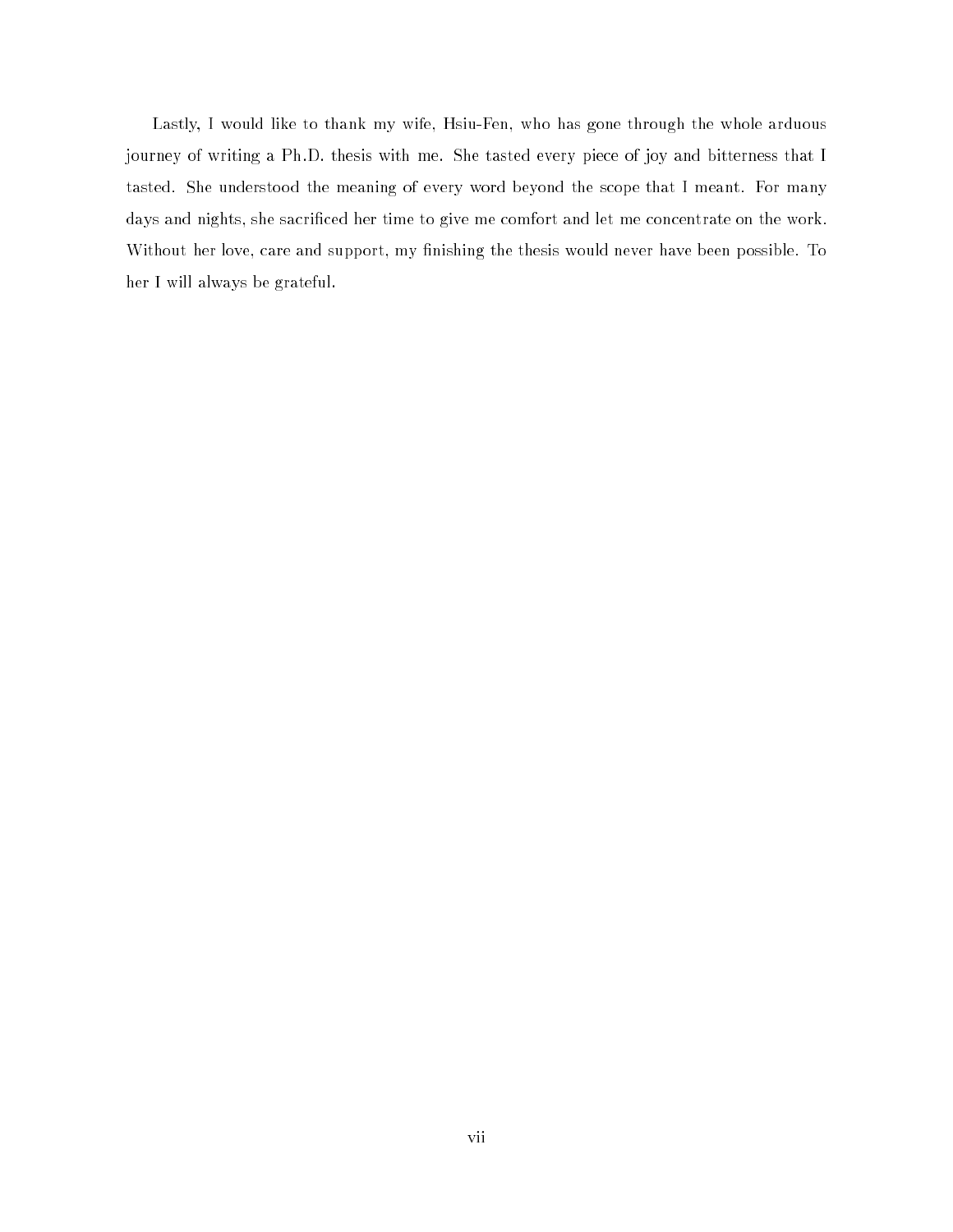Lastly, I would like to thank my wife, Hsiu-Fen, who has gone through the whole arduous journey of writing a Ph.D. thesis with me. She tasted every piece of joy and bitterness that I tasted. She understood the meaning of every word beyond the scope that I meant. For many days and nights, she sacrificed her time to give me comfort and let me concentrate on the work. Without her love, care and support, my finishing the thesis would never have been possible. To her I will always be grateful.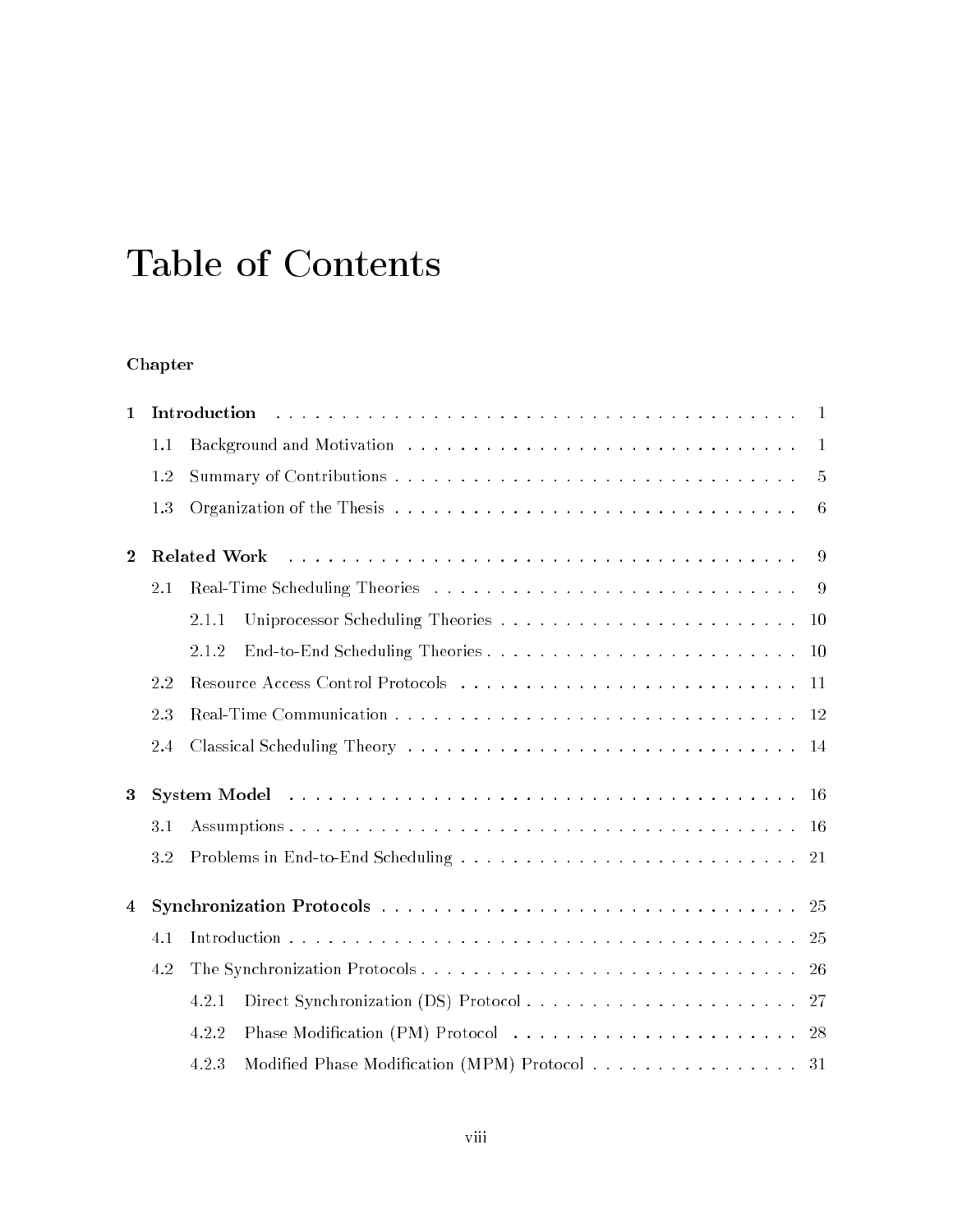## Table of Contents

### Chapter

| $\mathbf{1}$   |     | Introduction<br>$\overline{1}$                         |
|----------------|-----|--------------------------------------------------------|
|                | 1.1 | $\blacksquare$                                         |
|                | 1.2 | $\overline{5}$                                         |
|                | 1.3 | 6                                                      |
| $\overline{2}$ |     | <b>Related Work</b><br>-9                              |
|                | 2.1 |                                                        |
|                |     | 2.1.1                                                  |
|                |     | 2.1.2                                                  |
|                | 2.2 |                                                        |
|                | 2.3 |                                                        |
|                | 2.4 |                                                        |
| 3              |     |                                                        |
|                | 3.1 |                                                        |
|                | 3.2 |                                                        |
| $\overline{4}$ |     |                                                        |
|                | 4.1 |                                                        |
|                | 4.2 |                                                        |
|                |     | 4.2.1                                                  |
|                |     | 4.2.2                                                  |
|                |     | Modified Phase Modification (MPM) Protocol 31<br>4.2.3 |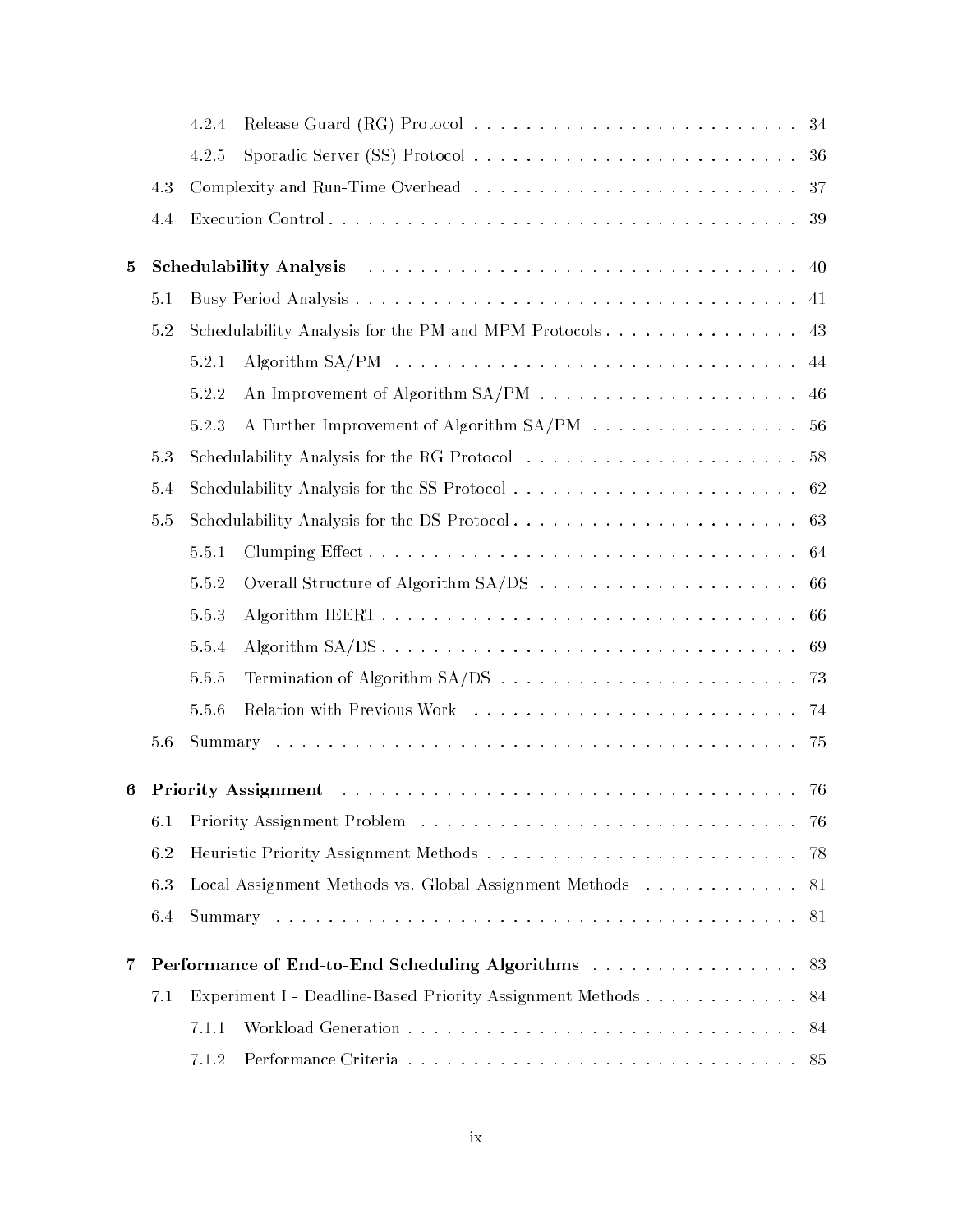|                         |     | 4.2.4 |                                                                 |
|-------------------------|-----|-------|-----------------------------------------------------------------|
|                         |     | 4.2.5 | 36                                                              |
|                         | 4.3 |       | -37                                                             |
|                         | 4.4 |       | 39                                                              |
| 5                       |     |       | 40                                                              |
|                         | 5.1 |       | 41                                                              |
|                         | 5.2 |       | Schedulability Analysis for the PM and MPM Protocols<br>43      |
|                         |     | 5.2.1 | 44                                                              |
|                         |     | 5.2.2 | 46                                                              |
|                         |     | 5.2.3 | A Further Improvement of Algorithm SA/PM<br>56                  |
|                         | 5.3 |       | 58                                                              |
|                         | 5.4 |       | 62                                                              |
|                         | 5.5 |       | 63                                                              |
|                         |     | 5.5.1 | 64                                                              |
|                         |     | 5.5.2 | 66                                                              |
|                         |     | 5.5.3 | 66                                                              |
|                         |     | 5.5.4 | 69                                                              |
|                         |     | 5.5.5 |                                                                 |
|                         |     | 5.5.6 |                                                                 |
|                         | 5.6 |       | 75                                                              |
| 6                       |     |       |                                                                 |
|                         | 6.1 |       | -76                                                             |
|                         | 6.2 |       | -78                                                             |
|                         | 6.3 |       | Local Assignment Methods vs. Global Assignment Methods 81       |
|                         | 6.4 |       | 81                                                              |
| $\overline{\mathbf{7}}$ |     |       | <b>Performance of End-to-End Scheduling Algorithms</b> 83       |
|                         | 7.1 |       | Experiment I - Deadline-Based Priority Assignment Methods<br>84 |
|                         |     | 7.1.1 | 84                                                              |
|                         |     | 7.1.2 | 85                                                              |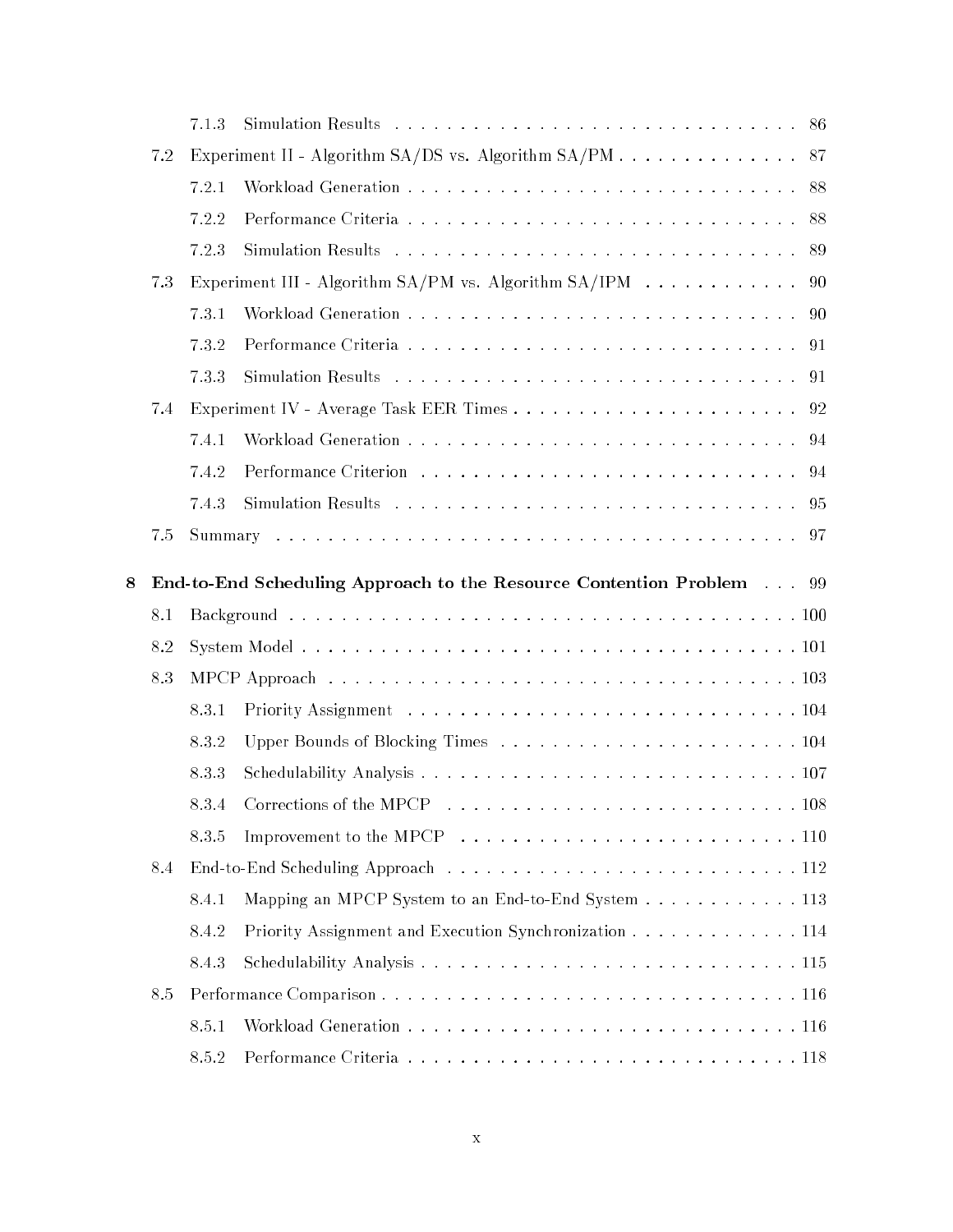|   |     | 7.1.3              |                                                                                              |
|---|-----|--------------------|----------------------------------------------------------------------------------------------|
|   | 7.2 |                    | Experiment II - Algorithm SA/DS vs. Algorithm SA/PM 87                                       |
|   |     | 7.2.1              | 88                                                                                           |
|   |     | 7.2.2              | 88                                                                                           |
|   |     | 7.2.3              | 89                                                                                           |
|   | 7.3 |                    | Experiment III - Algorithm SA/PM vs. Algorithm SA/IPM<br>90                                  |
|   |     | 7.3.1              | 90                                                                                           |
|   |     | 732                |                                                                                              |
|   |     | 7.3.3              | -91                                                                                          |
|   | 7.4 |                    | 92                                                                                           |
|   |     | 7.4.1              |                                                                                              |
|   |     | 7.4.2              |                                                                                              |
|   |     | 7.4.3              |                                                                                              |
|   | 7.5 |                    |                                                                                              |
| 8 |     |                    | End-to-End Scheduling Approach to the Resource Contention Problem 99                         |
|   | 8.1 |                    |                                                                                              |
|   | 8.2 |                    |                                                                                              |
|   | 8.3 |                    |                                                                                              |
|   |     |                    |                                                                                              |
|   |     |                    |                                                                                              |
|   |     | 8.3.1              |                                                                                              |
|   |     | 8.3.2              |                                                                                              |
|   |     | 8.3.3              |                                                                                              |
|   |     | 8.3.4              |                                                                                              |
|   |     | 8.3.5              | Improvement to the MPCP $\ldots \ldots \ldots \ldots \ldots \ldots \ldots \ldots \ldots 110$ |
|   | 8.4 |                    |                                                                                              |
|   |     | 8.4.1              | Mapping an MPCP System to an End-to-End System 113                                           |
|   |     | 8.4.2              | Priority Assignment and Execution Synchronization 114                                        |
|   |     | 8.4.3              |                                                                                              |
|   | 8.5 |                    |                                                                                              |
|   |     | 8.5.1<br>$8.5.2\,$ |                                                                                              |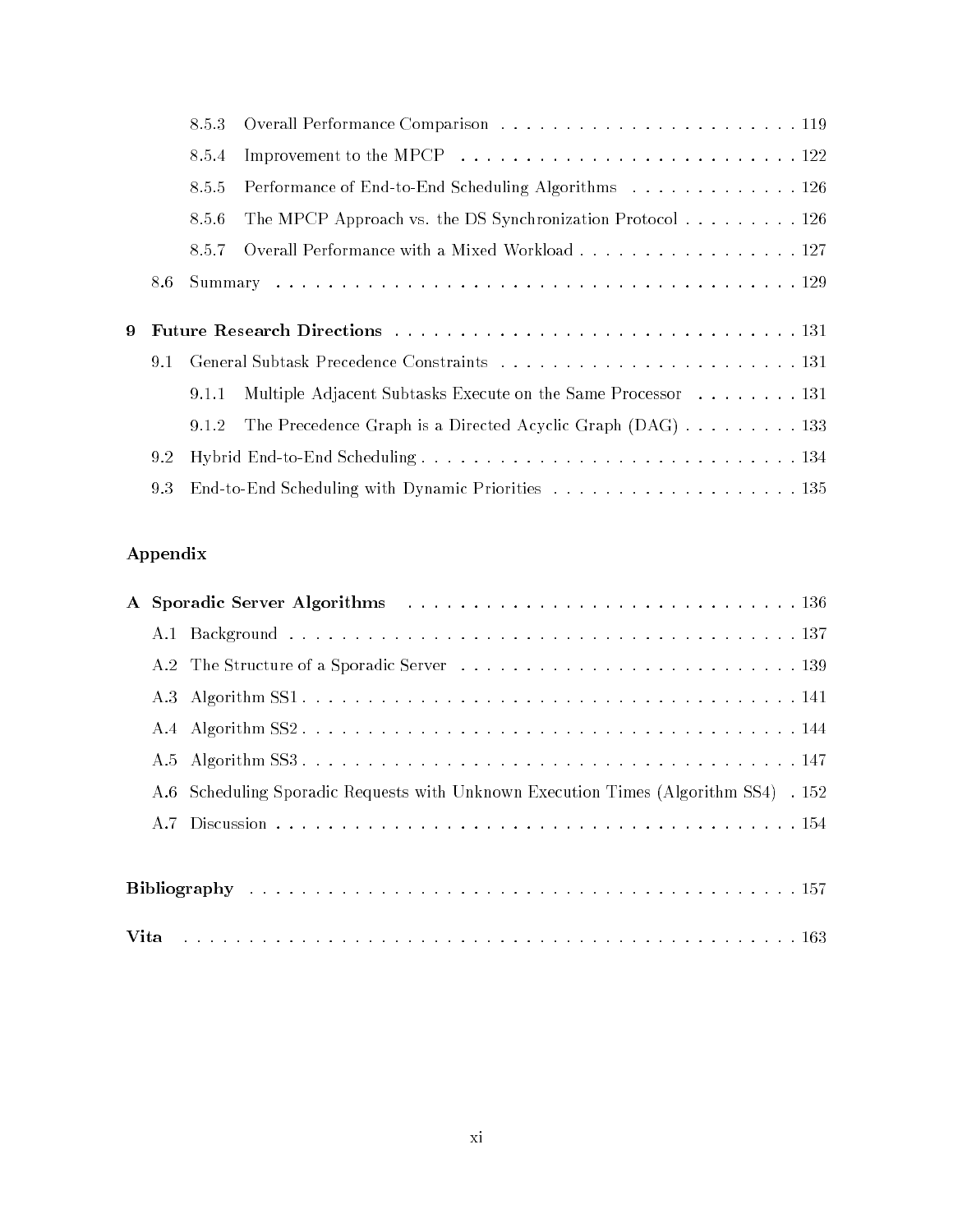|   |     | 8.5.3 |                                                              |  |
|---|-----|-------|--------------------------------------------------------------|--|
|   |     | 8.5.4 |                                                              |  |
|   |     | 8.5.5 | Performance of End-to-End Scheduling Algorithms 126          |  |
|   |     | 8.5.6 | The MPCP Approach vs. the DS Synchronization Protocol 126    |  |
|   |     | 8.5.7 | Overall Performance with a Mixed Workload 127                |  |
|   | 8.6 |       |                                                              |  |
|   |     |       |                                                              |  |
| 9 |     |       |                                                              |  |
|   |     |       |                                                              |  |
|   | 9.1 |       |                                                              |  |
|   |     | 9.1.1 | Multiple Adjacent Subtasks Execute on the Same Processor 131 |  |
|   |     | 9.1.2 | The Precedence Graph is a Directed Acyclic Graph (DAG) 133   |  |
|   | 9.2 |       |                                                              |  |

#### Appendix

|  | A.6 Scheduling Sporadic Requests with Unknown Execution Times (Algorithm SS4) . 152 |
|--|-------------------------------------------------------------------------------------|
|  |                                                                                     |
|  |                                                                                     |
|  |                                                                                     |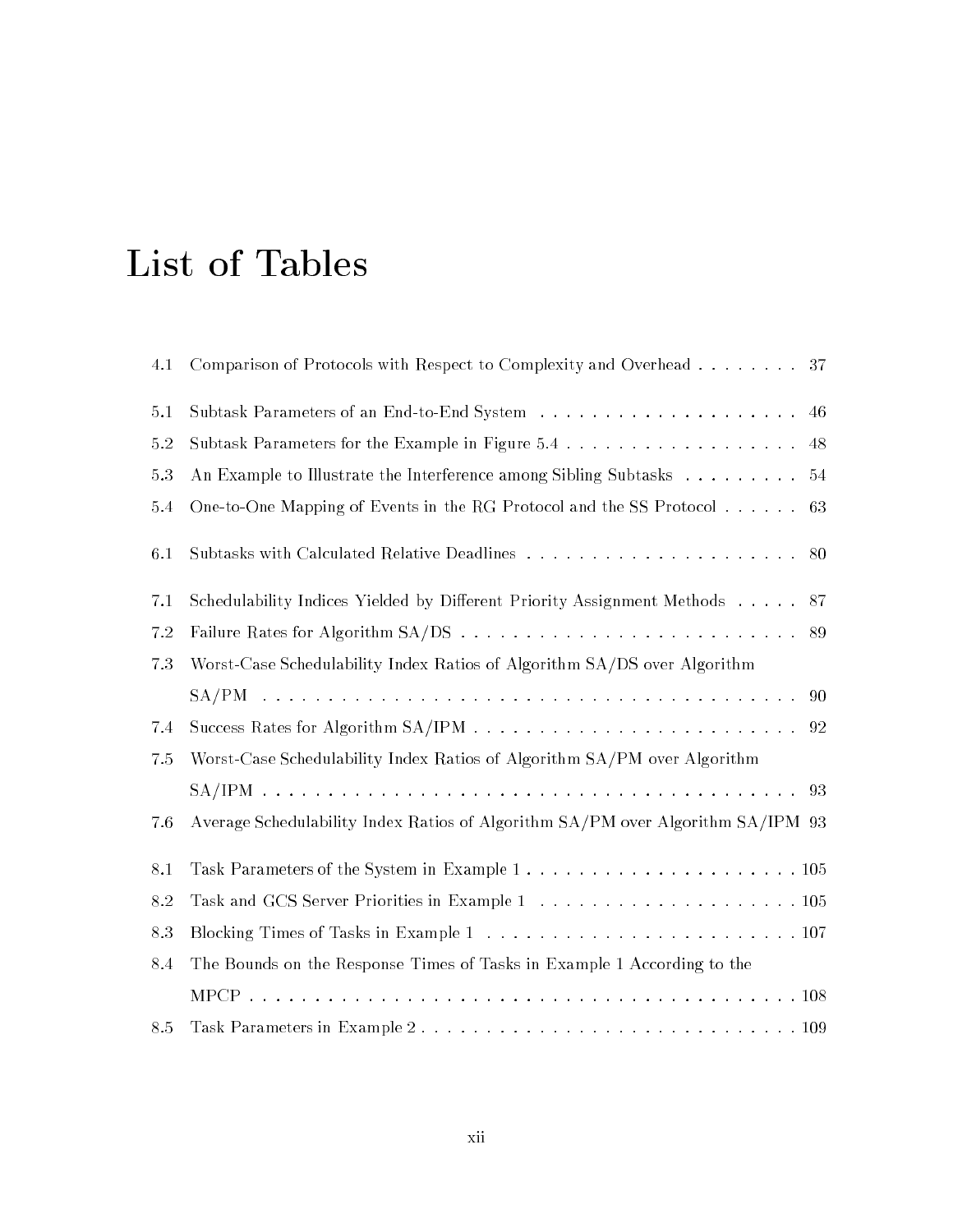# List of Tables

| 4.1 | Comparison of Protocols with Respect to Complexity and Overhead 37              |
|-----|---------------------------------------------------------------------------------|
| 5.1 | 46                                                                              |
| 5.2 | 48                                                                              |
| 5.3 | An Example to Illustrate the Interference among Sibling Subtasks 54             |
| 5.4 | One-to-One Mapping of Events in the RG Protocol and the SS Protocol<br>63       |
| 6.1 | 80                                                                              |
| 7.1 | Schedulability Indices Yielded by Different Priority Assignment Methods 87      |
| 7.2 | 89                                                                              |
| 7.3 | Worst-Case Schedulability Index Ratios of Algorithm SA/DS over Algorithm        |
|     |                                                                                 |
| 7.4 |                                                                                 |
| 7.5 | Worst-Case Schedulability Index Ratios of Algorithm SA/PM over Algorithm        |
|     |                                                                                 |
| 7.6 | Average Schedulability Index Ratios of Algorithm SA/PM over Algorithm SA/IPM 93 |
| 8.1 |                                                                                 |
| 8.2 |                                                                                 |
| 8.3 |                                                                                 |
| 8.4 | The Bounds on the Response Times of Tasks in Example 1 According to the         |
|     |                                                                                 |
| 8.5 |                                                                                 |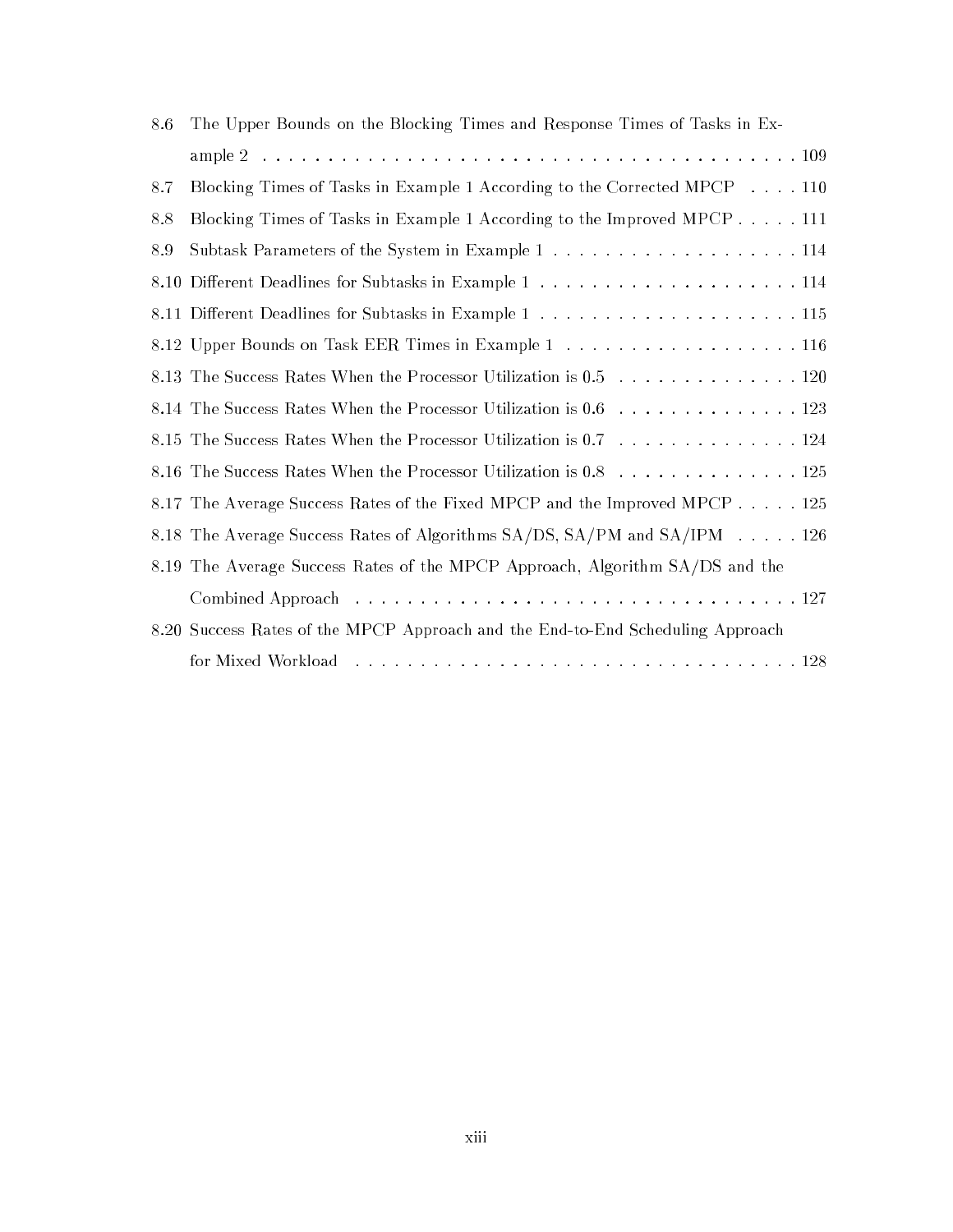| 8.6 | The Upper Bounds on the Blocking Times and Response Times of Tasks in Ex-      |
|-----|--------------------------------------------------------------------------------|
|     |                                                                                |
| 8.7 | Blocking Times of Tasks in Example 1 According to the Corrected MPCP 110       |
| 8.8 | Blocking Times of Tasks in Example 1 According to the Improved MPCP 111        |
| 8.9 |                                                                                |
|     |                                                                                |
|     |                                                                                |
|     |                                                                                |
|     | 8.13 The Success Rates When the Processor Utilization is 0.5 120               |
|     | 8.14 The Success Rates When the Processor Utilization is 0.6 123               |
|     | 8.15 The Success Rates When the Processor Utilization is 0.7 124               |
|     | 8.16 The Success Rates When the Processor Utilization is 0.8 125               |
|     | 8.17 The Average Success Rates of the Fixed MPCP and the Improved MPCP 125     |
|     | 8.18 The Average Success Rates of Algorithms SA/DS, SA/PM and SA/IPM 126       |
|     | 8.19 The Average Success Rates of the MPCP Approach, Algorithm SA/DS and the   |
|     |                                                                                |
|     | 8.20 Success Rates of the MPCP Approach and the End-to-End Scheduling Approach |
|     |                                                                                |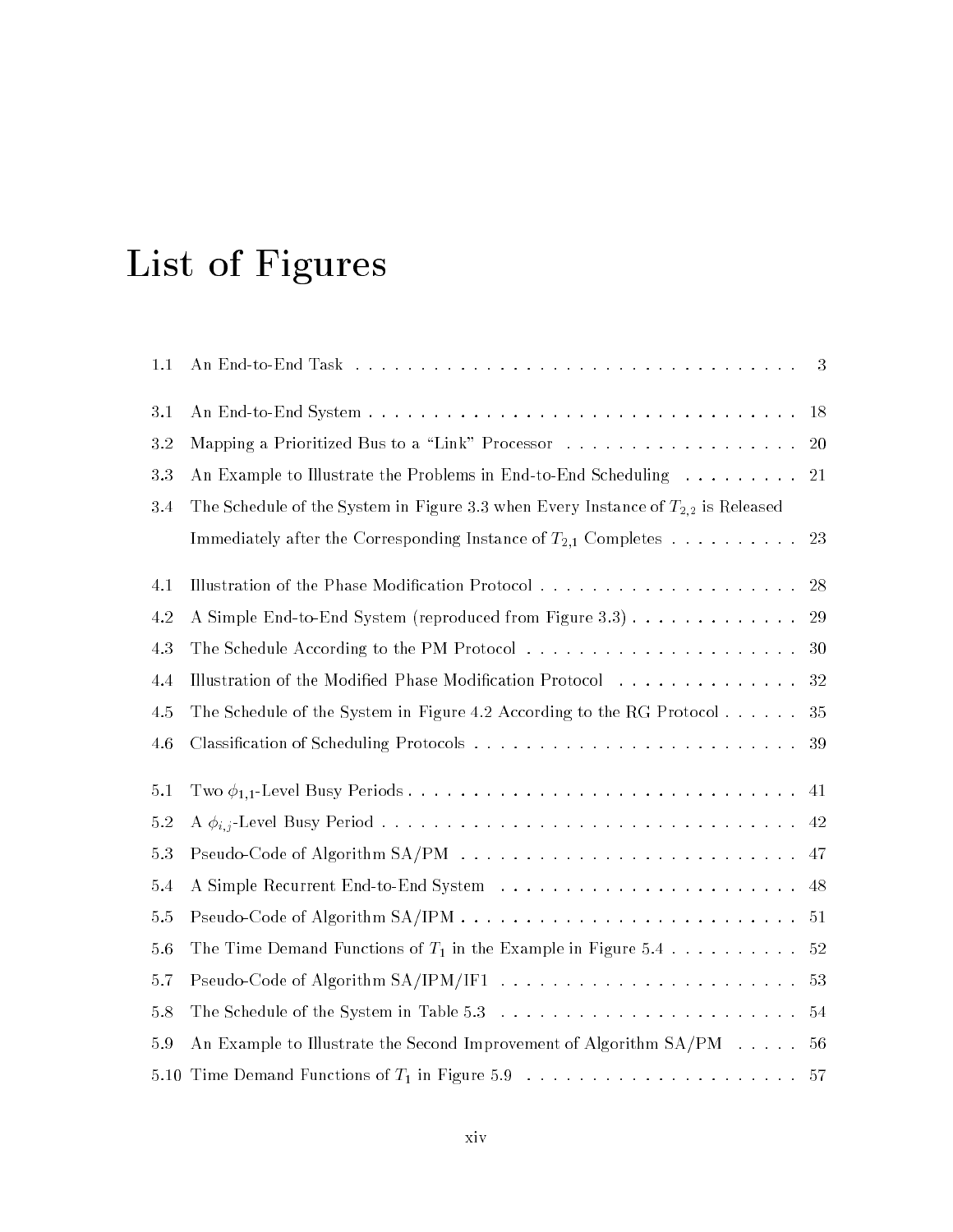# List of Figures

| 1.1     |                                                                                       | 3  |
|---------|---------------------------------------------------------------------------------------|----|
| $3.1\,$ |                                                                                       | 18 |
| 3.2     | Mapping a Prioritized Bus to a "Link" Processor 20                                    |    |
| 3.3     | An Example to Illustrate the Problems in End-to-End Scheduling                        | 21 |
| 3.4     | The Schedule of the System in Figure 3.3 when Every Instance of $T_{2,2}$ is Released |    |
|         | Immediately after the Corresponding Instance of $T_{2,1}$ Completes                   | 23 |
| 4.1     |                                                                                       |    |
| 4.2     | A Simple End-to-End System (reproduced from Figure 3.3) 29                            |    |
| 4.3     |                                                                                       |    |
| 4.4     | Illustration of the Modified Phase Modification Protocol 32                           |    |
| 4.5     | The Schedule of the System in Figure 4.2 According to the RG Protocol 35              |    |
| 4.6     |                                                                                       | 39 |
| 5.1     |                                                                                       | 41 |
| $5.2\,$ |                                                                                       | 42 |
| 5.3     |                                                                                       |    |
| 5.4     |                                                                                       |    |
| 5.5     |                                                                                       |    |
| 5.6     | The Time Demand Functions of $T_1$ in the Example in Figure 5.4 52                    |    |
| 5.7     |                                                                                       |    |
| $5.8\,$ |                                                                                       |    |
| 5.9     | An Example to Illustrate the Second Improvement of Algorithm SA/PM 56                 |    |
|         |                                                                                       |    |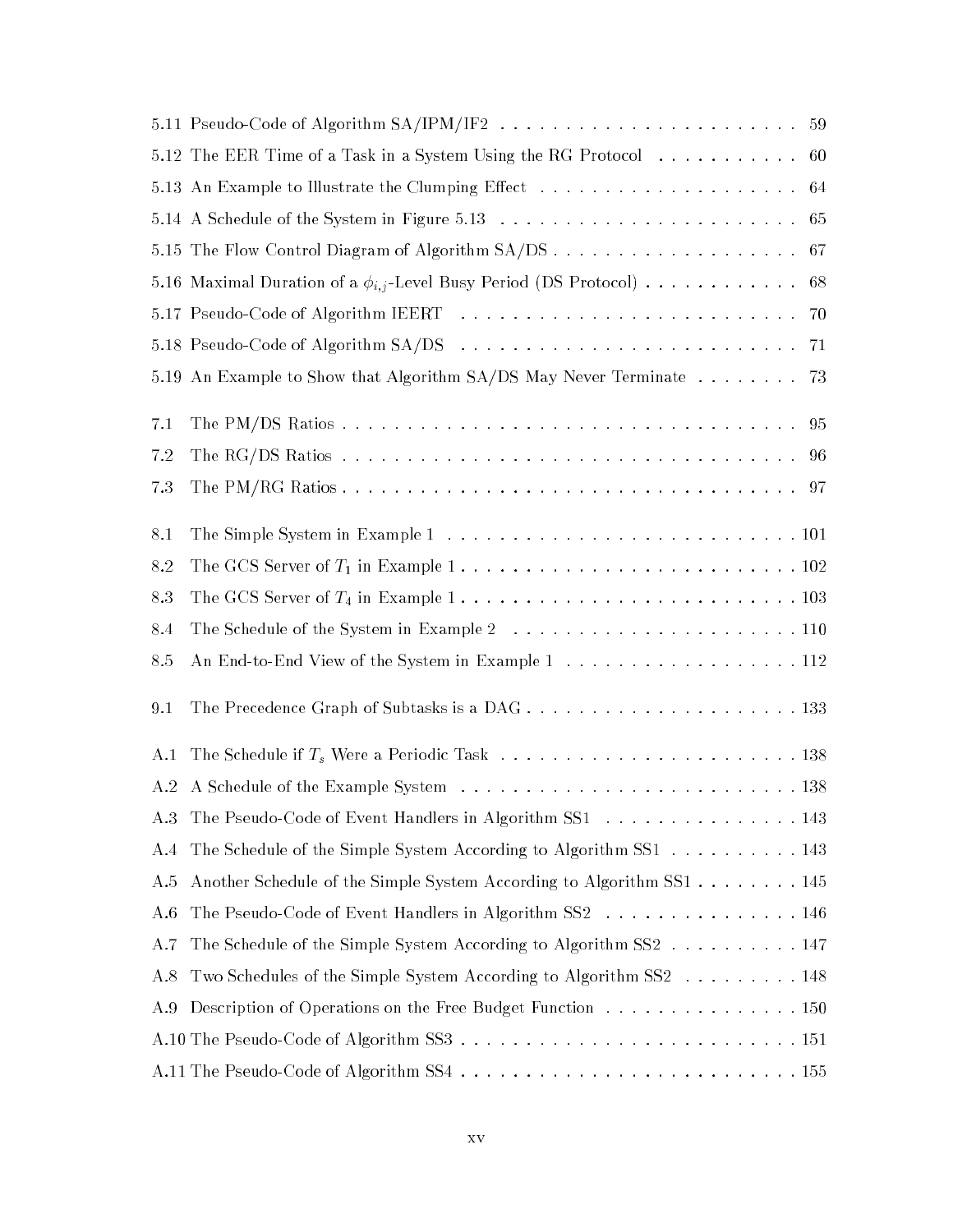|     | 5.12 The EER Time of a Task in a System Using the RG Protocol 60            |
|-----|-----------------------------------------------------------------------------|
|     |                                                                             |
|     |                                                                             |
|     |                                                                             |
|     | 5.16 Maximal Duration of a $\phi_{i,j}$ -Level Busy Period (DS Protocol) 68 |
|     |                                                                             |
|     |                                                                             |
|     | 5.19 An Example to Show that Algorithm SA/DS May Never Terminate 73         |
| 7.1 |                                                                             |
| 7.2 |                                                                             |
| 7.3 |                                                                             |
| 8.1 |                                                                             |
| 8.2 |                                                                             |
| 8.3 |                                                                             |
| 8.4 |                                                                             |
| 8.5 |                                                                             |
| 9.1 |                                                                             |
| A.1 |                                                                             |
| A.2 |                                                                             |
| A.3 | The Pseudo-Code of Event Handlers in Algorithm SS1 143                      |
| A.4 | The Schedule of the Simple System According to Algorithm SS1 143            |
| A.5 | Another Schedule of the Simple System According to Algorithm SS1 145        |
| A.6 | The Pseudo-Code of Event Handlers in Algorithm SS2 146                      |
| A.7 | The Schedule of the Simple System According to Algorithm SS2 147            |
| A.8 | Two Schedules of the Simple System According to Algorithm SS2 148           |
| A.9 | Description of Operations on the Free Budget Function 150                   |
|     |                                                                             |
|     |                                                                             |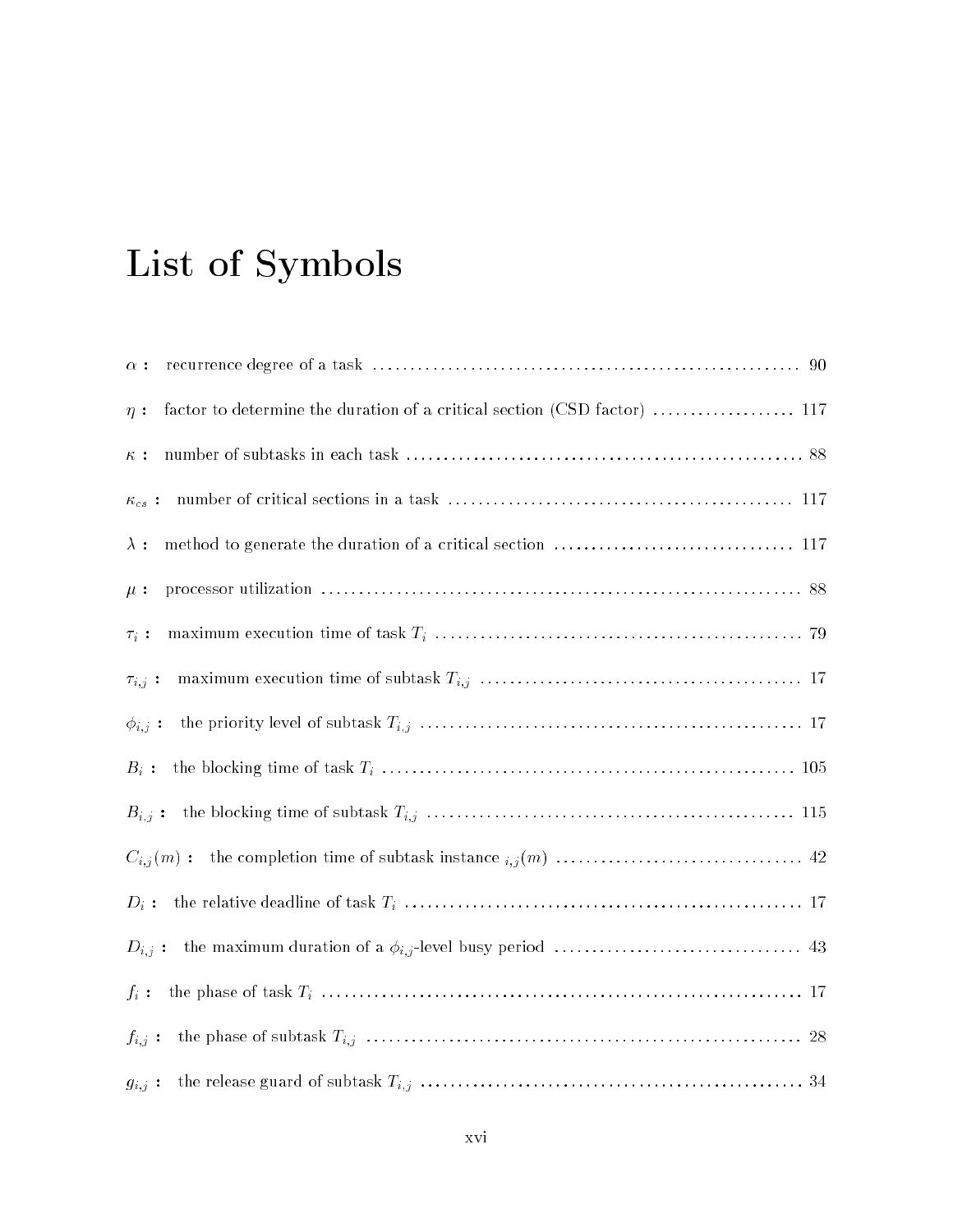# List of Symbols

| $\alpha$ :                                                                           |
|--------------------------------------------------------------------------------------|
| factor to determine the duration of a critical section (CSD factor)  117<br>$\eta$ : |
| $\kappa$ :                                                                           |
| $\kappa_{cs}$ :                                                                      |
| $\lambda:$                                                                           |
| $\mu$ :                                                                              |
| $\tau_i$ :                                                                           |
| $\tau_{i,j}$ :                                                                       |
| $\phi_{i,j}$ :                                                                       |
| $B_i$ :                                                                              |
| $B_{i,j}$ :                                                                          |
|                                                                                      |
| $D_i$ :                                                                              |
| $D_{i,j}$ :                                                                          |
| $f_i$ :                                                                              |
| $f_{i,j}$ :                                                                          |
| $g_{i,j}$ :                                                                          |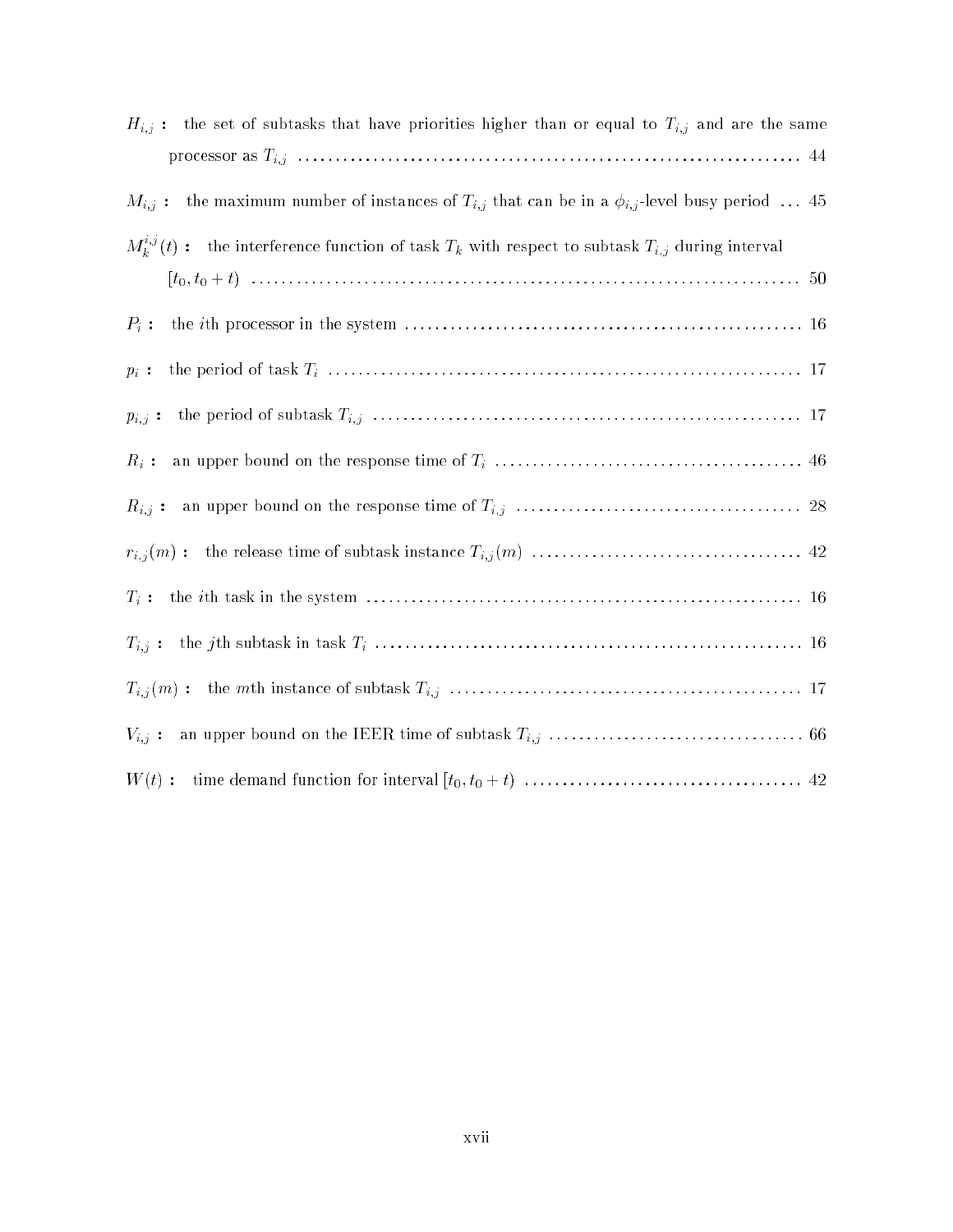| $H_{i,j}$ : the set of subtasks that have priorities higher than or equal to $T_{i,j}$ and are the same          |
|------------------------------------------------------------------------------------------------------------------|
|                                                                                                                  |
| the maximum number of instances of $T_{i,j}$ that can be in a $\phi_{i,j}$ -level busy period  45<br>$M_{i,j}$ : |
| $M_k^{i,j}(t)$ : the interference function of task $T_k$ with respect to subtask $T_{i,j}$ during interval       |
|                                                                                                                  |
| $P_i$ :                                                                                                          |
| $p_i$ :                                                                                                          |
| $p_{i,j}$ :                                                                                                      |
| $R_i$ :                                                                                                          |
| $R_{i,j}:$                                                                                                       |
|                                                                                                                  |
|                                                                                                                  |
|                                                                                                                  |
|                                                                                                                  |
|                                                                                                                  |
|                                                                                                                  |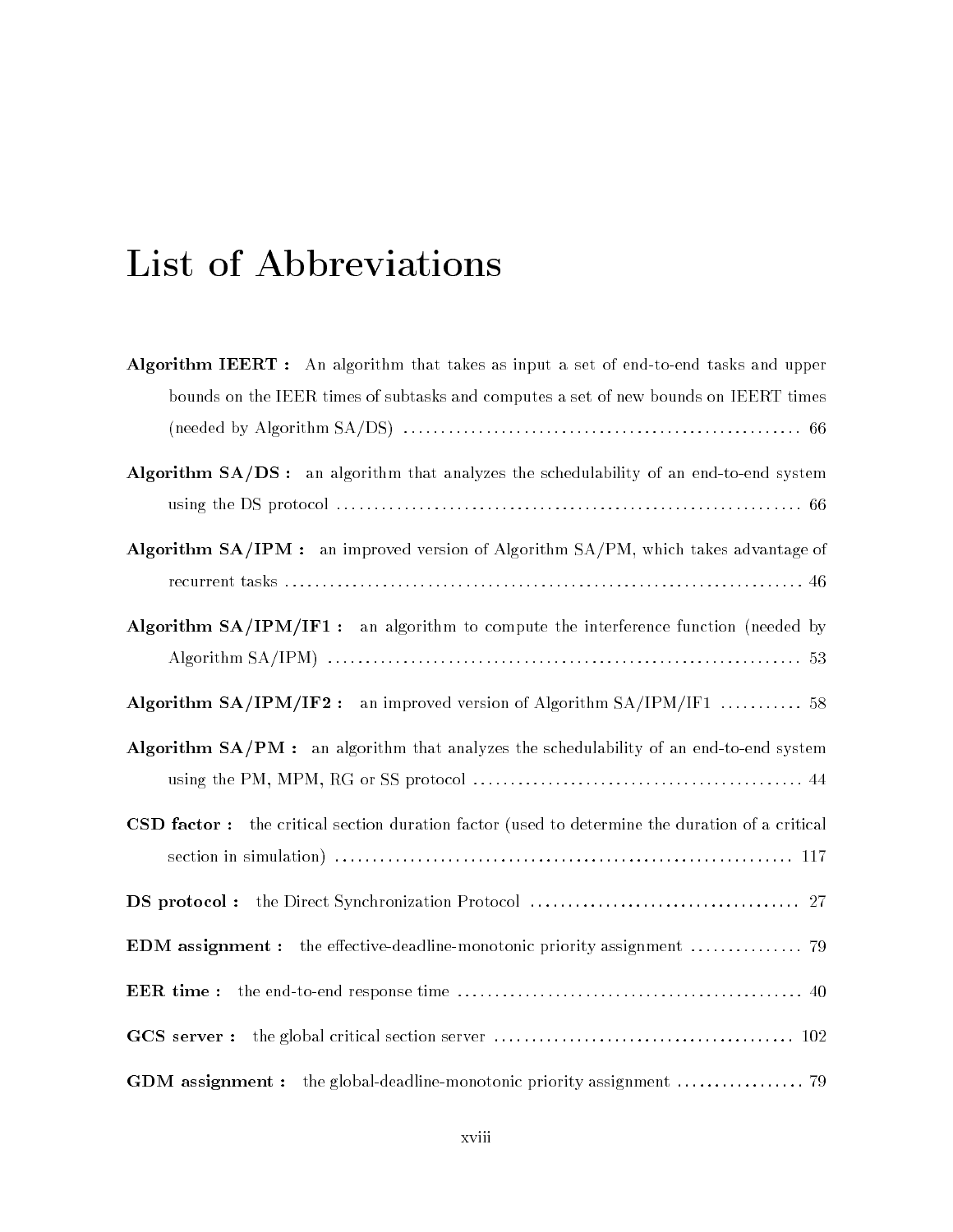# List of Abbreviations

| Algorithm IEERT: An algorithm that takes as input a set of end-to-end tasks and upper          |
|------------------------------------------------------------------------------------------------|
| bounds on the IEER times of subtasks and computes a set of new bounds on IEERT times           |
|                                                                                                |
| Algorithm SA/DS: an algorithm that analyzes the schedulability of an end-to-end system         |
|                                                                                                |
| Algorithm SA/IPM : an improved version of Algorithm SA/PM, which takes advantage of            |
|                                                                                                |
| Algorithm SA/IPM/IF1: an algorithm to compute the interference function (needed by             |
|                                                                                                |
| Algorithm $SA/IPM/IF2$ : an improved version of Algorithm $SA/IPM/IF1$ 58                      |
| Algorithm SA/PM : an algorithm that analyzes the schedulability of an end-to-end system        |
|                                                                                                |
| CSD factor: the critical section duration factor (used to determine the duration of a critical |
|                                                                                                |
|                                                                                                |
|                                                                                                |
| EER time:                                                                                      |
| GCS server :                                                                                   |
|                                                                                                |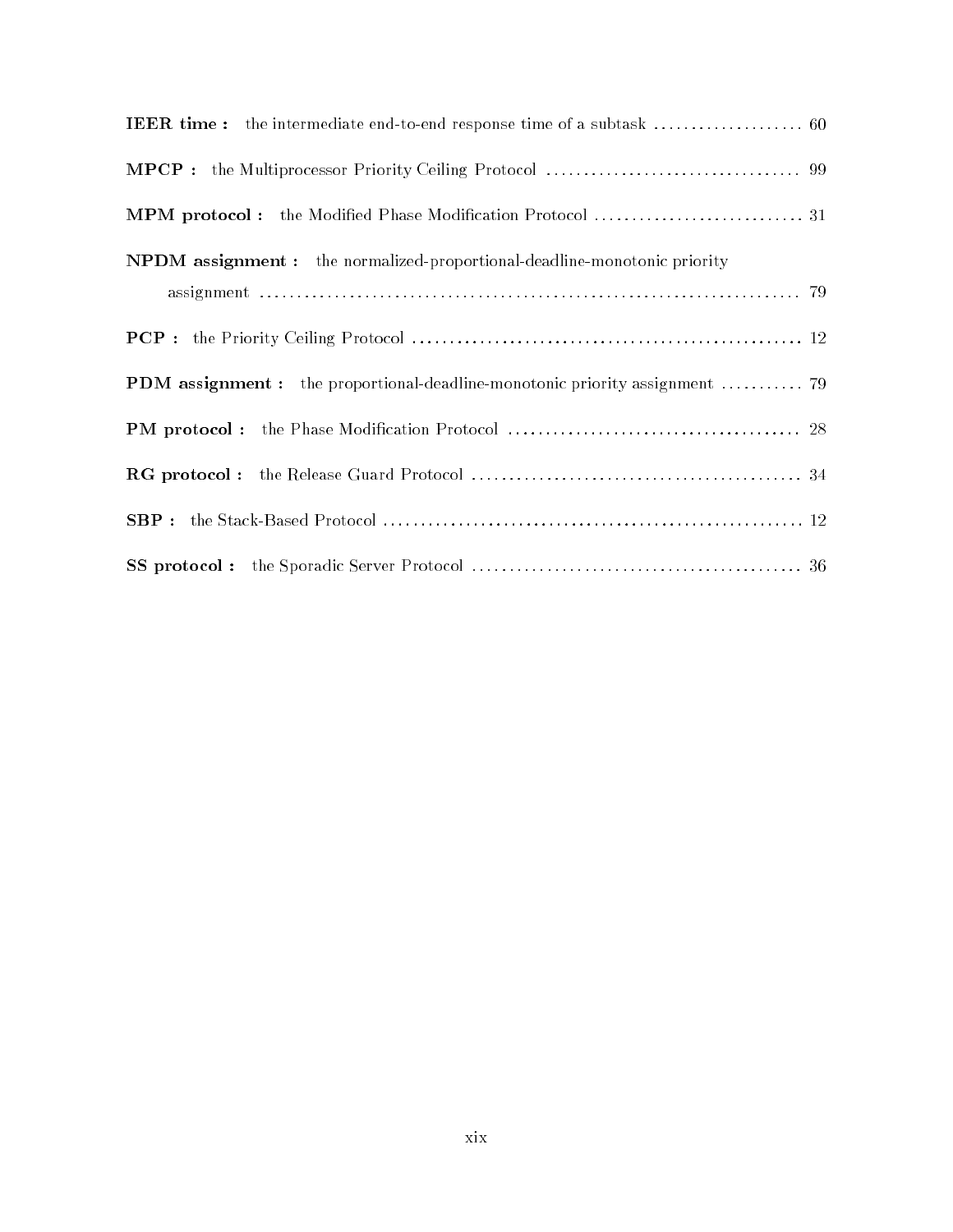| MPM protocol: the Modified Phase Modification Protocol  31                      |
|---------------------------------------------------------------------------------|
| <b>NPDM</b> assignment: the normalized-proportional-deadline-monotonic priority |
|                                                                                 |
|                                                                                 |
| PDM assignment : the proportional-deadline-monotonic priority assignment  79    |
|                                                                                 |
|                                                                                 |
|                                                                                 |
|                                                                                 |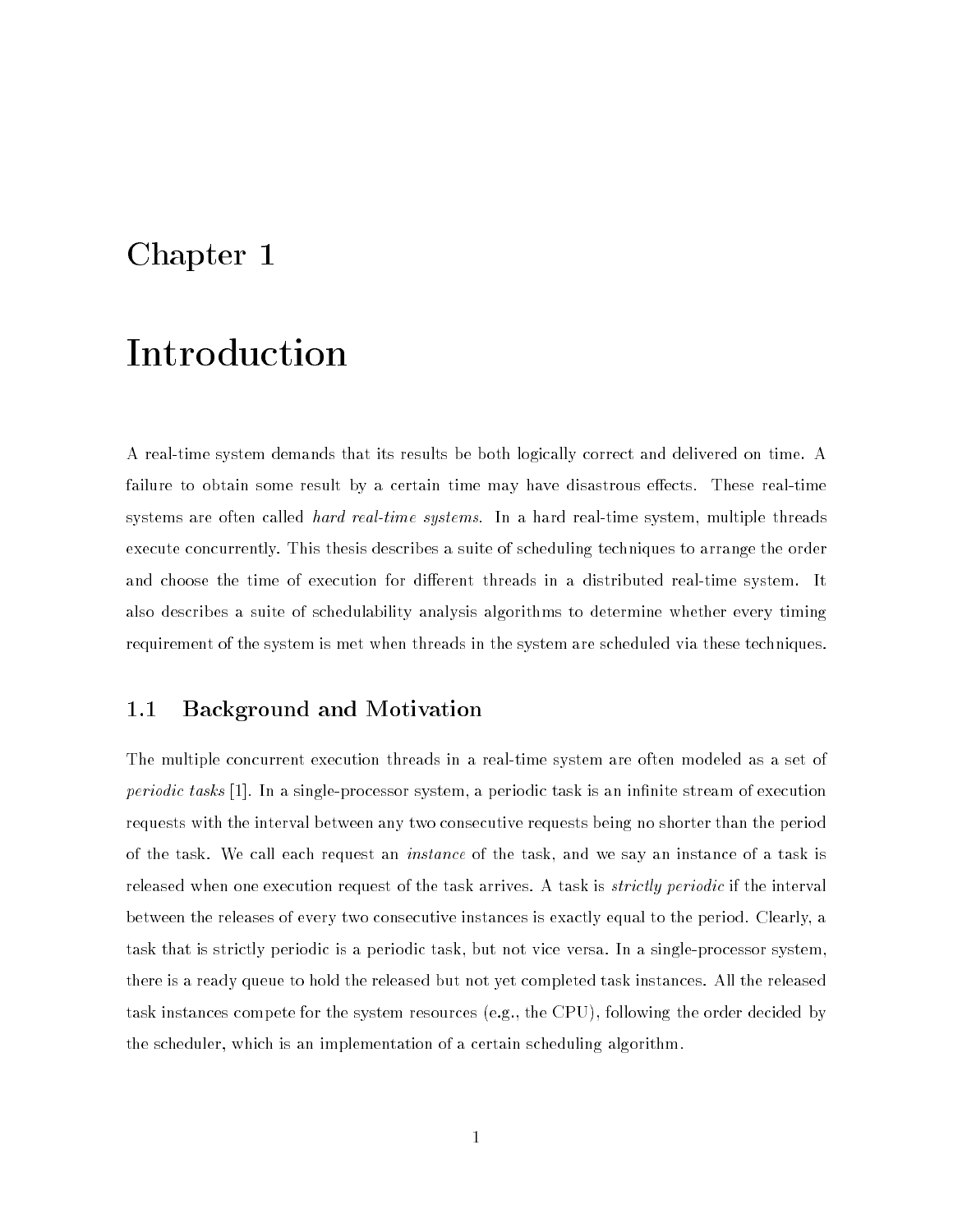### Chapter 1

## Introduction

A real-time system demands that its results be both logically correct and delivered on time. A failure to obtain some result by a certain time may have disastrous effects. These real-time systems are often called *hard real-time systems*. In a hard real-time system, multiple threads execute concurrently. This thesis describes a suite of scheduling techniques to arrange the order and choose the time of execution for different threads in a distributed real-time system. It also describes a suite of schedulability analysis algorithms to determine whether every timing requirement of the system is met when threads in the system are scheduled via these techniques.

#### 1.1 Background and Motivation

The multiple concurrent execution threads in a real-time system are often modeled as a set of periodic tasks [1]. In a single-processor system, a periodic task is an infinite stream of execution requests with the interval between any two consecutive requests being no shorter than the period of the task. We call each request an instance of the task, and we say an instance of a task is released when one execution request of the task arrives. A task is *strictly periodic* if the interval between the releases of every two consecutive instances is exactly equal to the period. Clearly, a task that is strictly periodic is a periodic task, but not vice versa. In a single-processor system, there is a ready queue to hold the released but not yet completed task instances. All the released task instances compete for the system resources (e.g., the CPU), following the order decided by the scheduler, which is an implementation of a certain scheduling algorithm.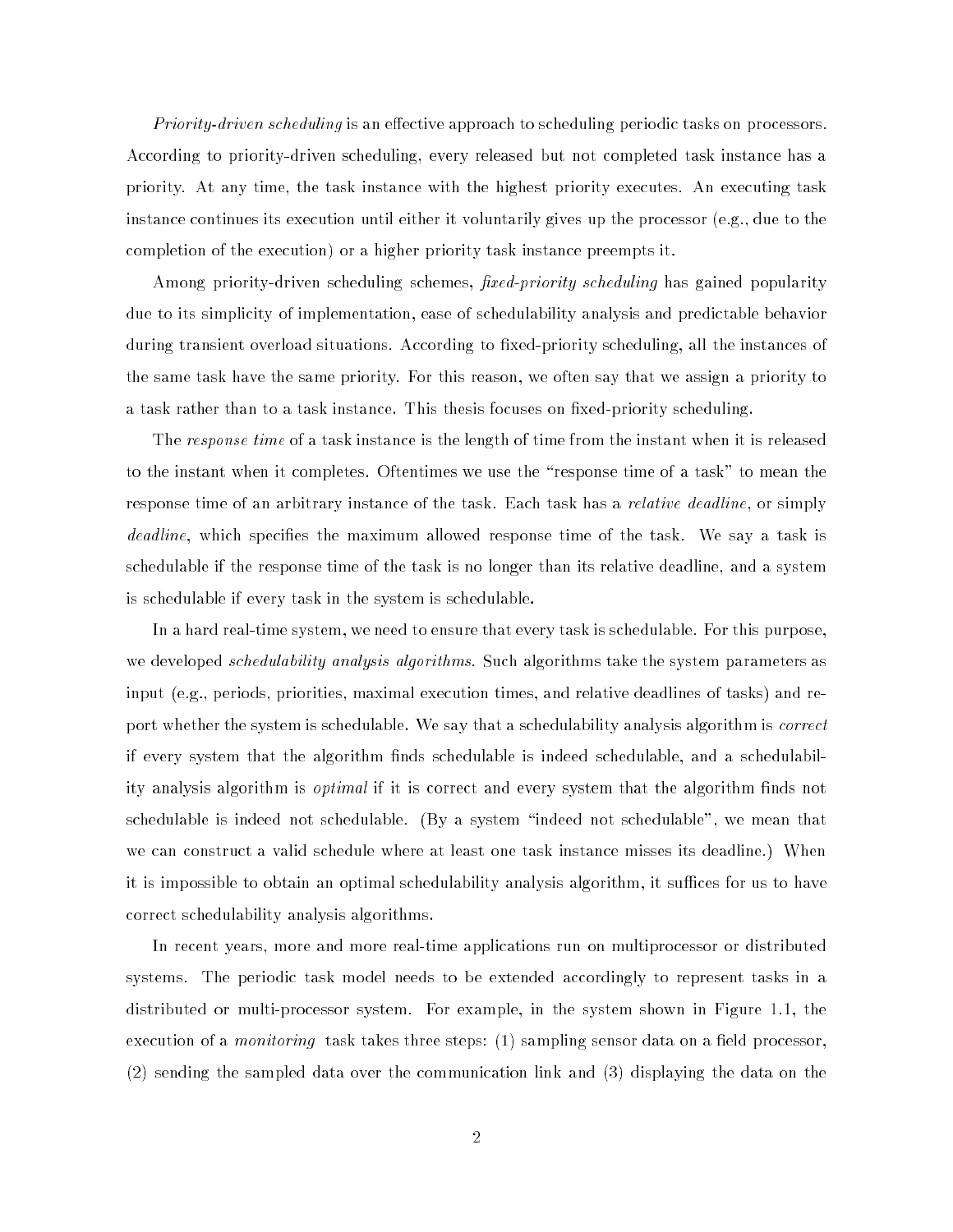*Priority-driven scheduling* is an effective approach to scheduling periodic tasks on processors. According to priority-driven scheduling, every released but not completed task instance has a priority. At any time, the task instance with the highest priority executes. An executing task instance continues its execution until either it voluntarily gives up the processor (e.g., due to the completion of the execution) or a higher priority task instance preempts it.

Among priority-driven scheduling schemes, *fixed-priority scheduling* has gained popularity due to its simplicity of implementation, ease of schedulability analysis and predictable behavior during transient overload situations. According to fixed-priority scheduling, all the instances of the same task have the same priority. For this reason, we often say that we assign a priority to a task rather than to a task instance. This thesis focuses on fixed-priority scheduling.

The *response time* of a task instance is the length of time from the instant when it is released to the instant when it completes. Oftentimes we use the \response time of a task" to mean the response time of an arbitrary instance of the task. Each task has a *relative deadline*, or simply deadline, which specifies the maximum allowed response time of the task. We say a task is schedulable if the response time of the task is no longer than its relative deadline, and a system is schedulable if every task in the system is schedulable.

In a hard real-time system, we need to ensure that every task is schedulable. For this purpose, we developed *schedulability analysis algorithms*. Such algorithms take the system parameters as input (e.g., periods, priorities, maximal execution times, and relative deadlines of tasks) and report whether the system is schedulable. We say that a schedulability analysis algorithm is *correct* if every system that the algorithm nds schedulable is indeed schedulable, and a schedulability analysis algorithm is *optimal* if it is correct and every system that the algorithm finds not schedulable is indeed not schedulable. (By a system \indeed not schedulable", we mean that we can construct a valid schedule where at least one task instance misses its deadline.) When it is impossible to obtain an optimal schedulability analysis algorithm, it suffices for us to have correct schedulability analysis algorithms.

In recent years, more and more real-time applications run on multiprocessor or distributed systems. The periodic task model needs to be extended accordingly to represent tasks in a distributed or multi-processor system. For example, in the system shown in Figure 1.1, the execution of a *monitoring* task takes three steps:  $(1)$  sampling sensor data on a field processor, (2) sending the sampled data over the communication link and (3) displaying the data on the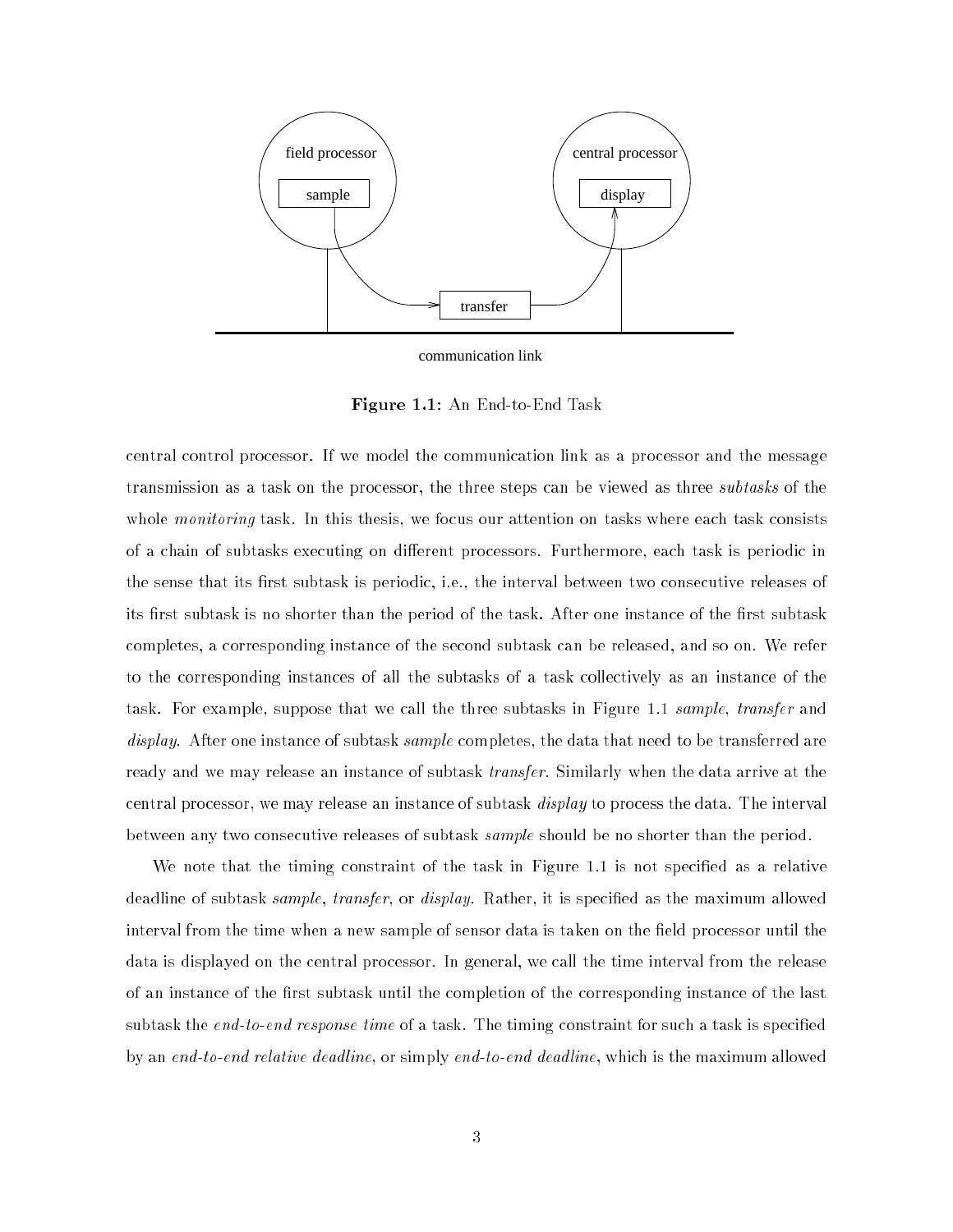

communication link

Figure 1.1: An End-to-End Task

central control processor. If we model the communication link as a processor and the message transmission as a task on the processor, the three steps can be viewed as three subtasks of the whole *monitoring* task. In this thesis, we focus our attention on tasks where each task consists of a chain of subtasks executing on different processors. Furthermore, each task is periodic in the sense that its first subtask is periodic, i.e., the interval between two consecutive releases of its first subtask is no shorter than the period of the task. After one instance of the first subtask completes, a corresponding instance of the second subtask can be released, and so on. We refer to the corresponding instances of all the subtasks of a task collectively as an instance of the task. For example, suppose that we call the three subtasks in Figure 1.1 sample, transfer and display. After one instance of subtask *sample* completes, the data that need to be transferred are ready and we may release an instance of subtask *transfer*. Similarly when the data arrive at the central processor, we may release an instance of subtask display to process the data. The interval between any two consecutive releases of subtask *sample* should be no shorter than the period.

We note that the timing constraint of the task in Figure 1.1 is not specified as a relative deadline of subtask *sample*, *transfer*, or *display*. Rather, it is specified as the maximum allowed interval from the time when a new sample of sensor data is taken on the field processor until the data is displayed on the central processor. In general, we call the time interval from the release of an instance of the first subtask until the completion of the corresponding instance of the last subtask the end-to-end response time of a task. The timing constraint for such a task is specified by an end-to-end relative deadline, or simply end-to-end deadline, which is the maximum allowed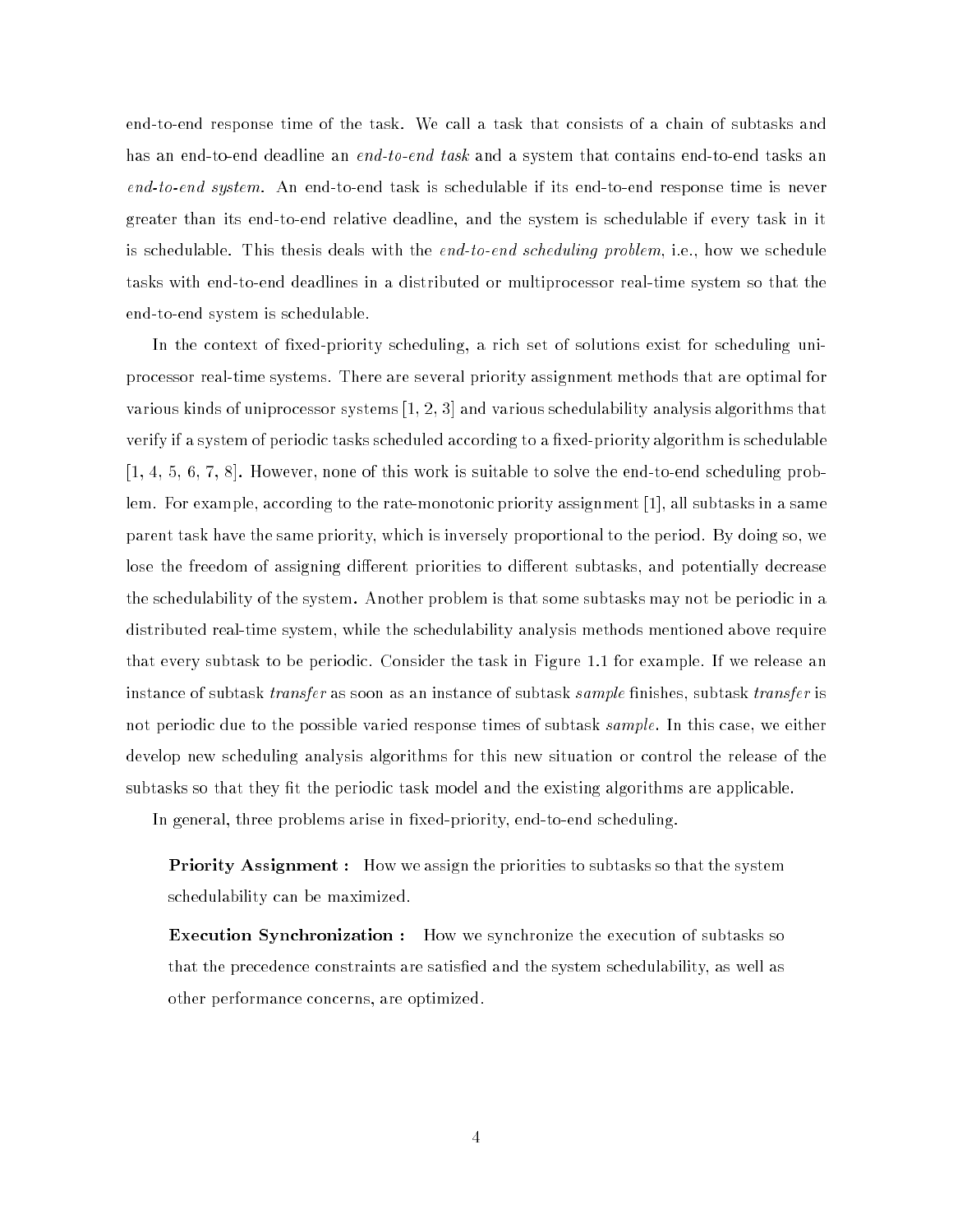end-to-end response time of the task. We call a task that consists of a chain of subtasks and has an end-to-end deadline an *end-to-end task* and a system that contains end-to-end tasks an end-to-end system. An end-to-end task is schedulable if its end-to-end response time is never greater than its end-to-end relative deadline, and the system is schedulable if every task in it is schedulable. This thesis deals with the end-to-end scheduling problem, i.e., how we schedule tasks with end-to-end deadlines in a distributed or multiprocessor real-time system so that the end-to-end system is schedulable.

In the context of fixed-priority scheduling, a rich set of solutions exist for scheduling uniprocessor real-time systems. There are several priority assignment methods that are optimal for various kinds of uniprocessor systems [1, 2, 3] and various schedulability analysis algorithms that verify if a system of periodic tasks scheduled according to a fixed-priority algorithm is schedulable [1, 4, 5, 6, 7, 8]. However, none of this work is suitable to solve the end-to-end scheduling problem. For example, according to the rate-monotonic priority assignment [1], all subtasks in a same parent task have the same priority, which is inversely proportional to the period. By doing so, we lose the freedom of assigning different priorities to different subtasks, and potentially decrease the schedulability of the system. Another problem is that some subtasks may not be periodic in a distributed real-time system, while the schedulability analysis methods mentioned above require that every subtask to be periodic. Consider the task in Figure 1.1 for example. If we release an instance of subtask *transfer* as soon as an instance of subtask *sample* finishes, subtask *transfer* is not periodic due to the possible varied response times of subtask *sample*. In this case, we either develop new scheduling analysis algorithms for this new situation or control the release of the subtasks so that they fit the periodic task model and the existing algorithms are applicable.

In general, three problems arise in fixed-priority, end-to-end scheduling.

**Priority Assignment :** How we assign the priorities to subtasks so that the system schedulability can be maximized.

**Execution Synchronization :** How we synchronize the execution of subtasks so that the precedence constraints are satised and the system schedulability, as well as other performance concerns, are optimized.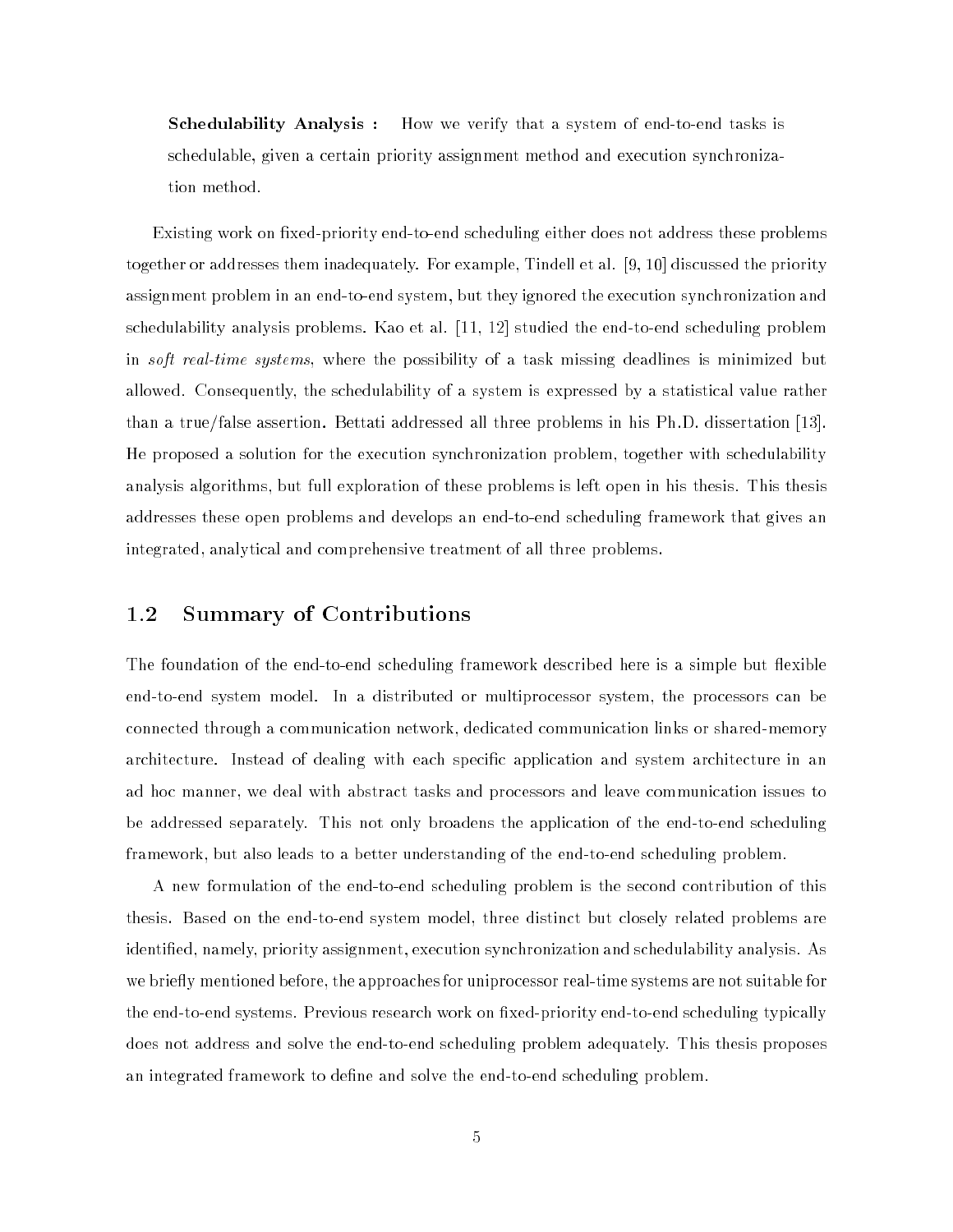**Schedulability Analysis :** How we verify that a system of end-to-end tasks is schedulable, given a certain priority assignment method and execution synchronization method.

Existing work on fixed-priority end-to-end scheduling either does not address these problems together or addresses them inadequately. For example, Tindell et al. [9, 10] discussed the priority assignment problem in an end-to-end system, but they ignored the execution synchronization and schedulability analysis problems. Kao et al. [11, 12] studied the end-to-end scheduling problem in soft real-time systems, where the possibility of a task missing deadlines is minimized but allowed. Consequently, the schedulability of a system is expressed by a statistical value rather than a true/false assertion. Bettati addressed all three problems in his Ph.D. dissertation [13]. He proposed a solution for the execution synchronization problem, together with schedulability analysis algorithms, but full exploration of these problems is left open in his thesis. This thesis addresses these open problems and develops an end-to-end scheduling framework that gives an integrated, analytical and comprehensive treatment of all three problems.

#### 1.2 Summary of Contributions

The foundation of the end-to-end scheduling framework described here is a simple but flexible end-to-end system model. In a distributed or multiprocessor system, the processors can be connected through a communication network, dedicated communication links or shared-memory architecture. Instead of dealing with each specic application and system architecture in an ad hoc manner, we deal with abstract tasks and processors and leave communication issues to be addressed separately. This not only broadens the application of the end-to-end scheduling framework, but also leads to a better understanding of the end-to-end scheduling problem.

A new formulation of the end-to-end scheduling problem is the second contribution of this thesis. Based on the end-to-end system model, three distinct but closely related problems are identied, namely, priority assignment, execution synchronization and schedulability analysis. As we briefly mentioned before, the approaches for uniprocessor real-time systems are not suitable for the end-to-end systems. Previous research work on fixed-priority end-to-end scheduling typically does not address and solve the end-to-end scheduling problem adequately. This thesis proposes an integrated framework to define and solve the end-to-end scheduling problem.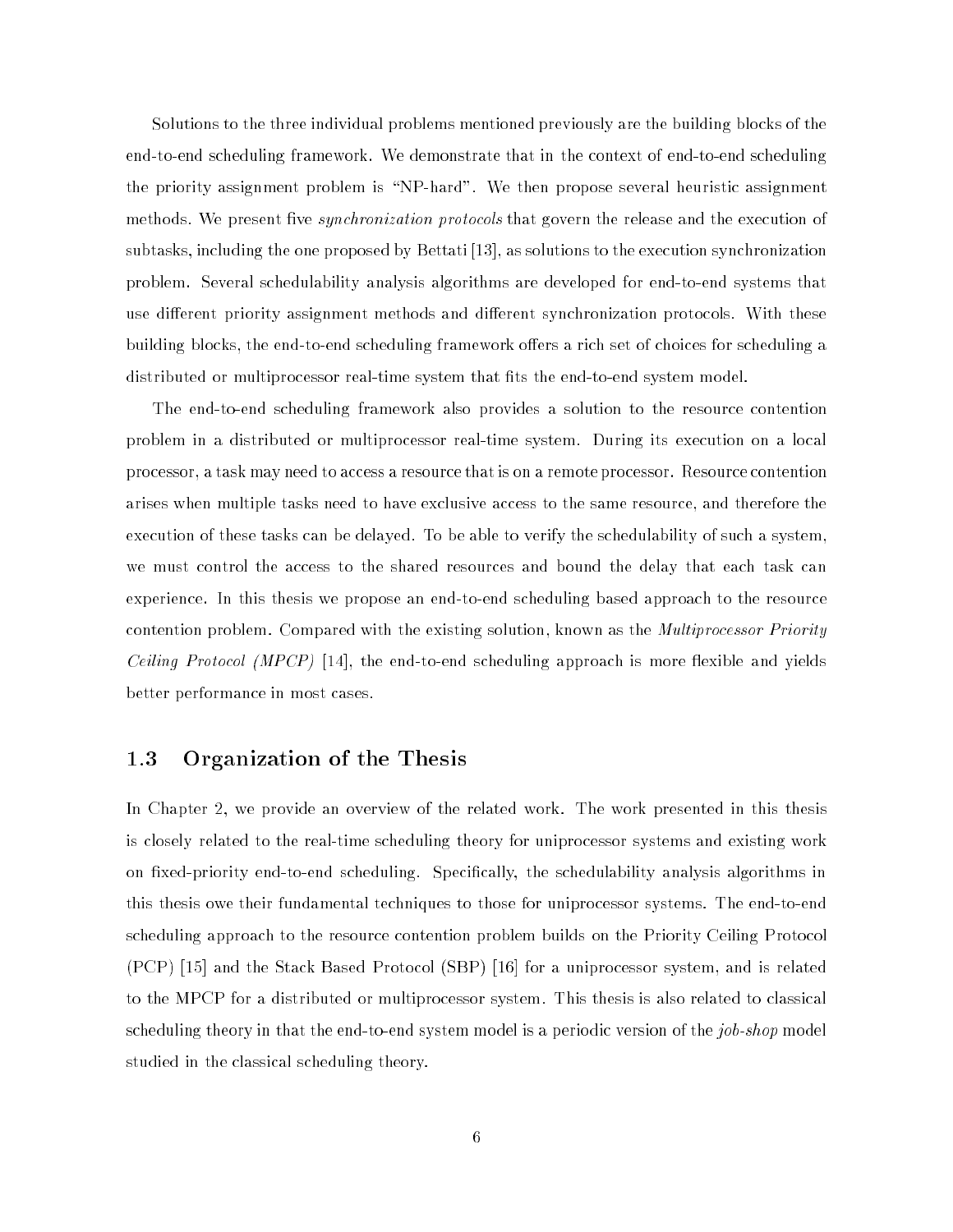Solutions to the three individual problems mentioned previously are the building blocks of the end-to-end scheduling framework. We demonstrate that in the context of end-to-end scheduling the priority assignment problem is \NP-hard". We then propose several heuristic assignment methods. We present five *synchronization protocols* that govern the release and the execution of subtasks, including the one proposed by Bettati [13], as solutions to the execution synchronization problem. Several schedulability analysis algorithms are developed for end-to-end systems that use different priority assignment methods and different synchronization protocols. With these building blocks, the end-to-end scheduling framework offers a rich set of choices for scheduling a distributed or multiprocessor real-time system that fits the end-to-end system model.

The end-to-end scheduling framework also provides a solution to the resource contention problem in a distributed or multiprocessor real-time system. During its execution on a local processor, a task may need to access a resource that is on a remote processor. Resource contention arises when multiple tasks need to have exclusive access to the same resource, and therefore the execution of these tasks can be delayed. To be able to verify the schedulability of such a system, we must control the access to the shared resources and bound the delay that each task can experience. In this thesis we propose an end-to-end scheduling based approach to the resource contention problem. Compared with the existing solution, known as the *Multiprocessor Priority Ceiling Protocol (MPCP)* [14], the end-to-end scheduling approach is more flexible and yields better performance in most cases.

#### 1.3 Organization of the Thesis

In Chapter 2, we provide an overview of the related work. The work presented in this thesis is closely related to the real-time scheduling theory for uniprocessor systems and existing work on fixed-priority end-to-end scheduling. Specifically, the schedulability analysis algorithms in this thesis owe their fundamental techniques to those for uniprocessor systems. The end-to-end scheduling approach to the resource contention problem builds on the Priority Ceiling Protocol (PCP) [15] and the Stack Based Protocol (SBP) [16] for a uniprocessor system, and is related to the MPCP for a distributed or multiprocessor system. This thesis is also related to classical scheduling theory in that the end-to-end system model is a periodic version of the job-shop model studied in the classical scheduling theory.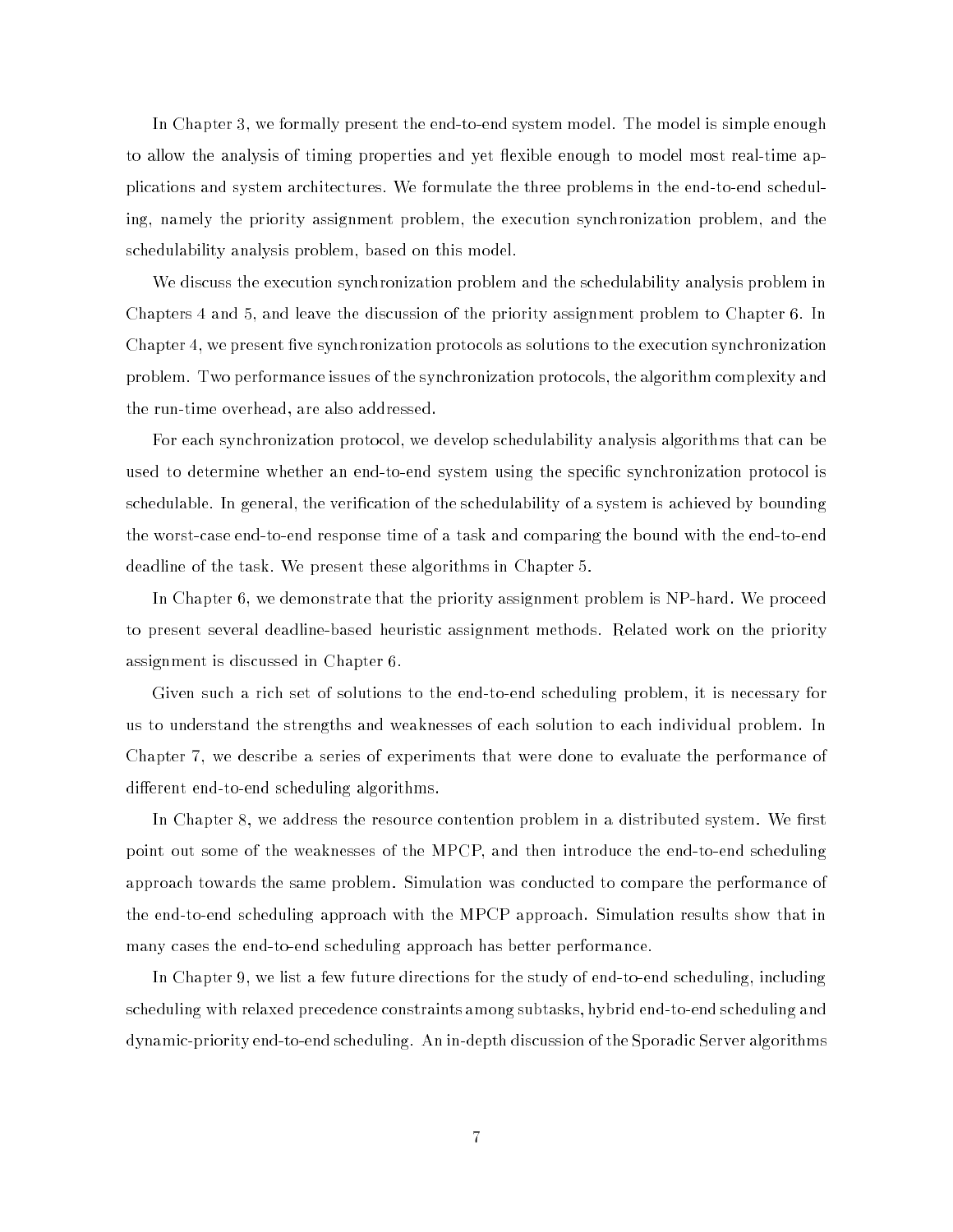In Chapter 3, we formally present the end-to-end system model. The model is simple enough to allow the analysis of timing properties and yet flexible enough to model most real-time applications and system architectures. We formulate the three problems in the end-to-end scheduling, namely the priority assignment problem, the execution synchronization problem, and the schedulability analysis problem, based on this model.

We discuss the execution synchronization problem and the schedulability analysis problem in Chapters 4 and 5, and leave the discussion of the priority assignment problem to Chapter 6. In Chapter 4, we present five synchronization protocols as solutions to the execution synchronization problem. Two performance issues of the synchronization protocols, the algorithm complexity and the run-time overhead, are also addressed.

For each synchronization protocol, we develop schedulability analysis algorithms that can be used to determine whether an end-to-end system using the specic synchronization protocol is schedulable. In general, the verication of the schedulability of a system is achieved by bounding the worst-case end-to-end response time of a task and comparing the bound with the end-to-end deadline of the task. We present these algorithms in Chapter 5.

In Chapter 6, we demonstrate that the priority assignment problem is NP-hard. We proceed to present several deadline-based heuristic assignment methods. Related work on the priority assignment is discussed in Chapter 6.

Given such a rich set of solutions to the end-to-end scheduling problem, it is necessary for us to understand the strengths and weaknesses of each solution to each individual problem. In Chapter 7, we describe a series of experiments that were done to evaluate the performance of different end-to-end scheduling algorithms.

In Chapter 8, we address the resource contention problem in a distributed system. We first point out some of the weaknesses of the MPCP, and then introduce the end-to-end scheduling approach towards the same problem. Simulation was conducted to compare the performance of the end-to-end scheduling approach with the MPCP approach. Simulation results show that in many cases the end-to-end scheduling approach has better performance.

In Chapter 9, we list a few future directions for the study of end-to-end scheduling, including scheduling with relaxed precedence constraints among subtasks, hybrid end-to-end scheduling and dynamic-priority end-to-end scheduling. An in-depth discussion of the Sporadic Server algorithms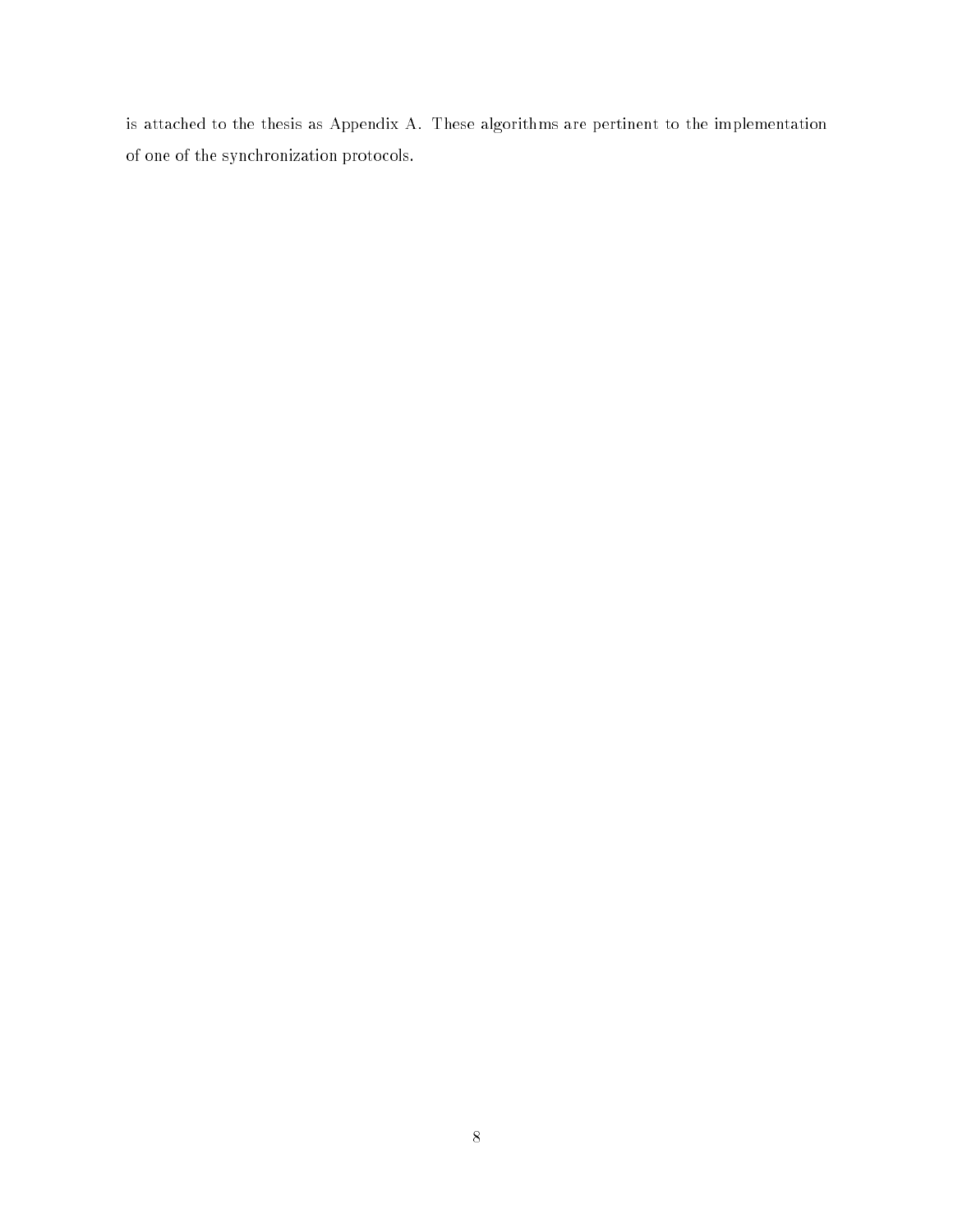is attached to the thesis as Appendix A. These algorithms are pertinent to the implementation of one of the synchronization protocols.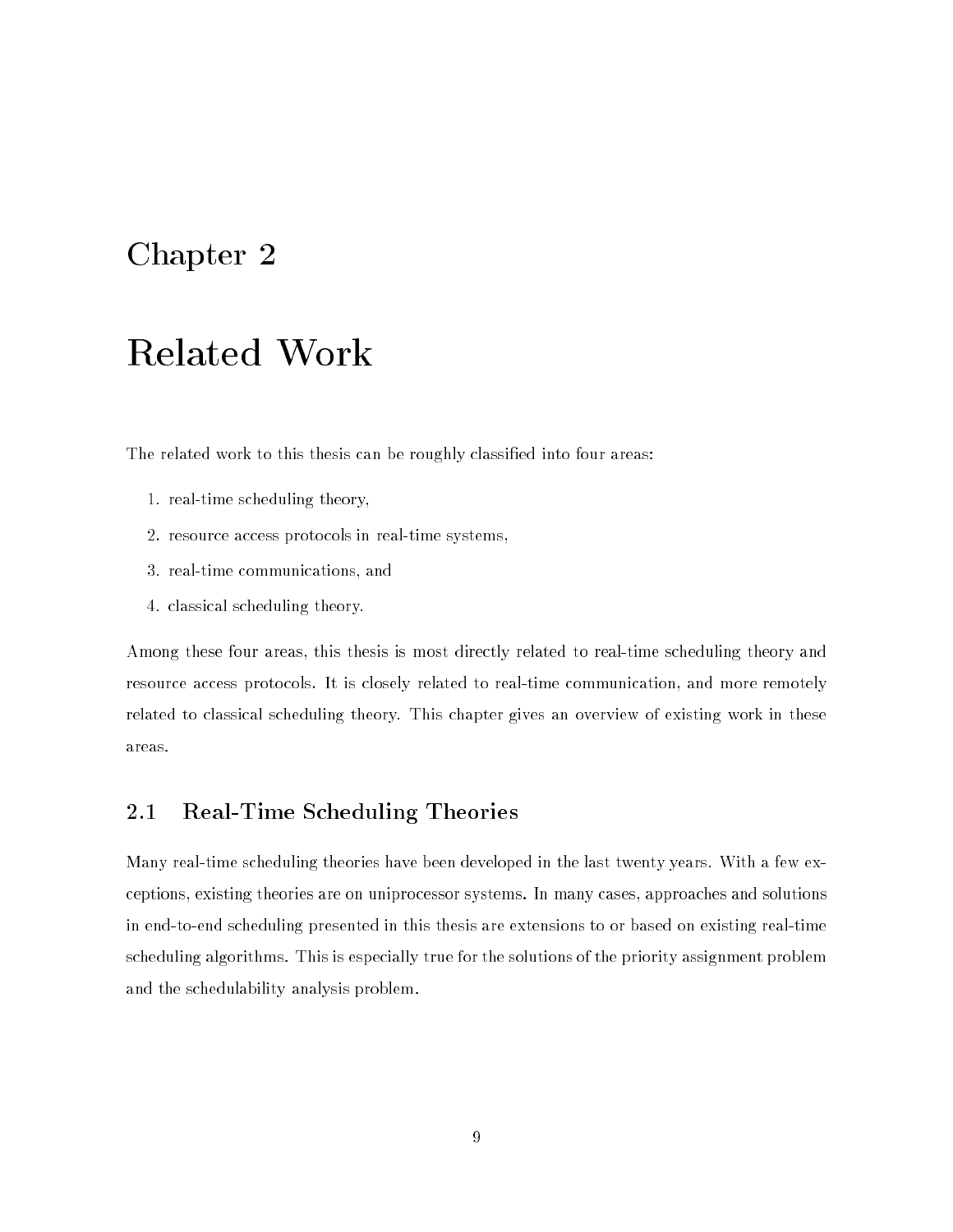### Chapter 2

## Related Work

The related work to this thesis can be roughly classified into four areas:

- 1. real-time scheduling theory,
- 2. resource access protocols in real-time systems,
- 3. real-time communications, and
- 4. classical scheduling theory.

Among these four areas, this thesis is most directly related to real-time scheduling theory and resource access protocols. It is closely related to real-time communication, and more remotely related to classical scheduling theory. This chapter gives an overview of existing work in these areas.

#### 2.1 Real-Time Scheduling Theories

Many real-time scheduling theories have been developed in the last twenty years. With a few exceptions, existing theories are on uniprocessor systems. In many cases, approaches and solutions in end-to-end scheduling presented in this thesis are extensions to or based on existing real-time scheduling algorithms. This is especially true for the solutions of the priority assignment problem and the schedulability analysis problem.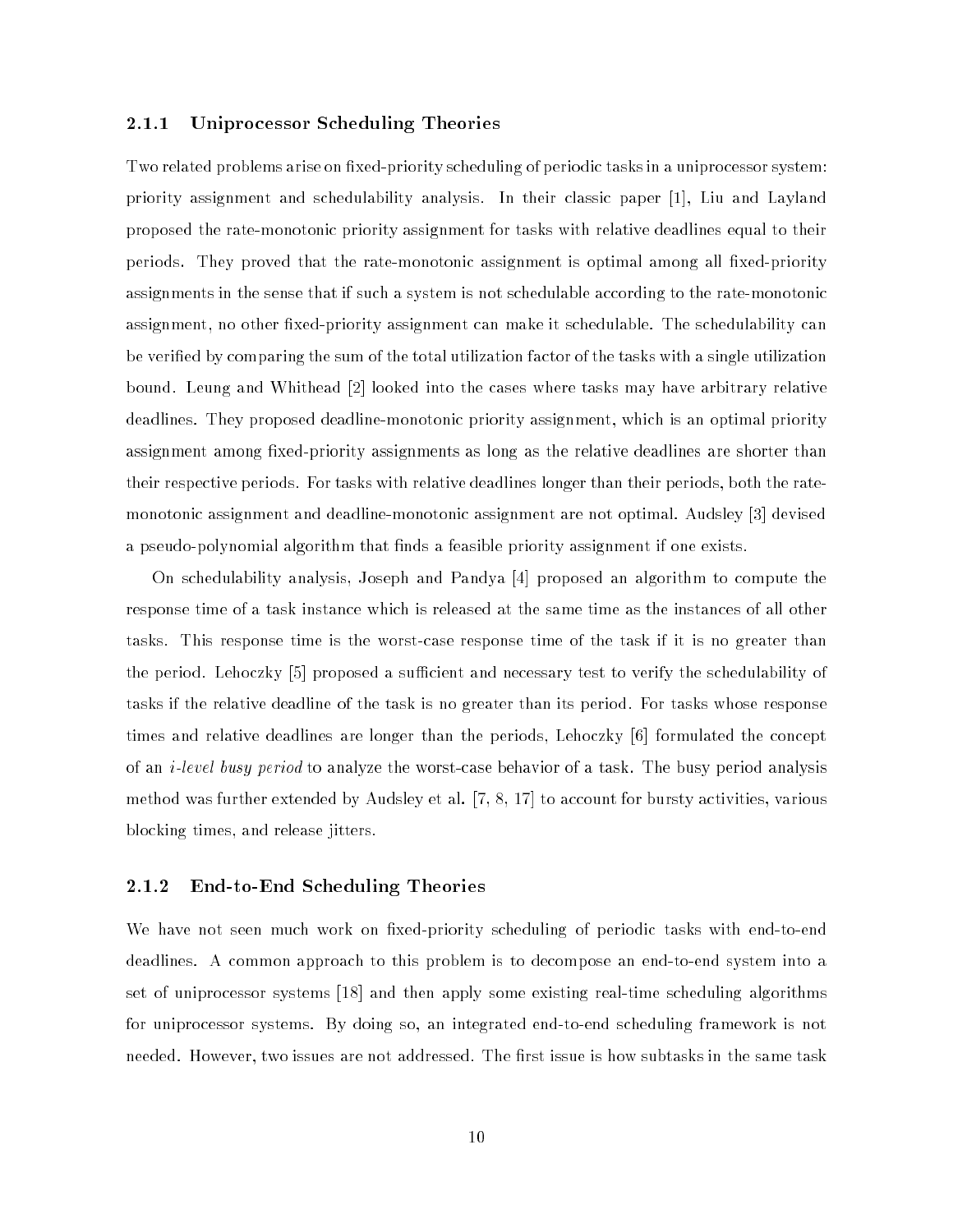#### 2.1.1 Uniprocessor Scheduling Theories

Two related problems arise on fixed-priority scheduling of periodic tasks in a uniprocessor system: priority assignment and schedulability analysis. In their classic paper [1], Liu and Layland proposed the rate-monotonic priority assignment for tasks with relative deadlines equal to their periods. They proved that the rate-monotonic assignment is optimal among all fixed-priority assignments in the sense that if such a system is not schedulable according to the rate-monotonic assignment, no other fixed-priority assignment can make it schedulable. The schedulability can be veried by comparing the sum of the total utilization factor of the tasks with a single utilization bound. Leung and Whithead [2] looked into the cases where tasks may have arbitrary relative deadlines. They proposed deadline-monotonic priority assignment, which is an optimal priority assignment among fixed-priority assignments as long as the relative deadlines are shorter than their respective periods. For tasks with relative deadlines longer than their periods, both the ratemonotonic assignment and deadline-monotonic assignment are not optimal. Audsley [3] devised a pseudo-polynomial algorithm that finds a feasible priority assignment if one exists.

On schedulability analysis, Joseph and Pandya [4] proposed an algorithm to compute the response time of a task instance which is released at the same time as the instances of all other tasks. This response time is the worst-case response time of the task if it is no greater than the period. Lehoczky [5] proposed a sufficient and necessary test to verify the schedulability of tasks if the relative deadline of the task is no greater than its period. For tasks whose response times and relative deadlines are longer than the periods, Lehoczky [6] formulated the concept of an i-level busy period to analyze the worst-case behavior of a task. The busy period analysis method was further extended by Audsley et al. [7, 8, 17] to account for bursty activities, various blocking times, and release jitters.

#### 2.1.2 End-to-End Scheduling Theories

We have not seen much work on fixed-priority scheduling of periodic tasks with end-to-end deadlines. A common approach to this problem is to decompose an end-to-end system into a set of uniprocessor systems [18] and then apply some existing real-time scheduling algorithms for uniprocessor systems. By doing so, an integrated end-to-end scheduling framework is not needed. However, two issues are not addressed. The first issue is how subtasks in the same task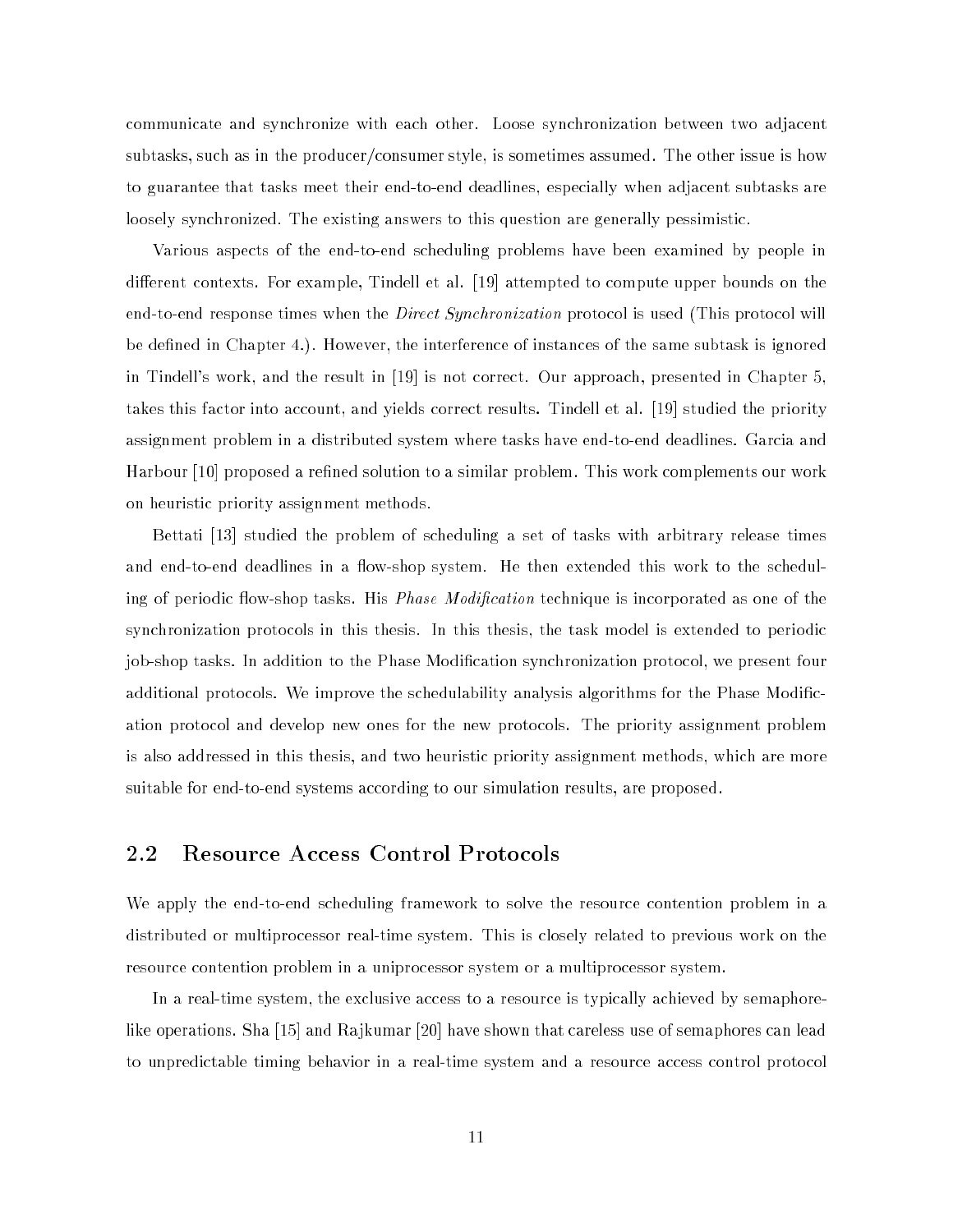communicate and synchronize with each other. Loose synchronization between two adjacent subtasks, such as in the producer/consumer style, is sometimes assumed. The other issue is how to guarantee that tasks meet their end-to-end deadlines, especially when adjacent subtasks are loosely synchronized. The existing answers to this question are generally pessimistic.

Various aspects of the end-to-end scheduling problems have been examined by people in different contexts. For example, Tindell et al. [19] attempted to compute upper bounds on the end-to-end response times when the *Direct Synchronization* protocol is used (This protocol will be defined in Chapter 4.). However, the interference of instances of the same subtask is ignored in Tindell's work, and the result in [19] is not correct. Our approach, presented in Chapter 5, takes this factor into account, and yields correct results. Tindell et al. [19] studied the priority assignment problem in a distributed system where tasks have end-to-end deadlines. Garcia and Harbour [10] proposed a refined solution to a similar problem. This work complements our work on heuristic priority assignment methods.

Bettati [13] studied the problem of scheduling a set of tasks with arbitrary release times and end-to-end deadlines in a flow-shop system. He then extended this work to the scheduling of periodic flow-shop tasks. His *Phase Modification* technique is incorporated as one of the synchronization protocols in this thesis. In this thesis, the task model is extended to periodic job-shop tasks. In addition to the Phase Modification synchronization protocol, we present four additional protocols. We improve the schedulability analysis algorithms for the Phase Modication protocol and develop new ones for the new protocols. The priority assignment problem is also addressed in this thesis, and two heuristic priority assignment methods, which are more suitable for end-to-end systems according to our simulation results, are proposed.

#### 2.2 Resource Access Control Protocols

We apply the end-to-end scheduling framework to solve the resource contention problem in a distributed or multiprocessor real-time system. This is closely related to previous work on the resource contention problem in a uniprocessor system or a multiprocessor system.

In a real-time system, the exclusive access to a resource is typically achieved by semaphorelike operations. Sha [15] and Rajkumar [20] have shown that careless use of semaphores can lead to unpredictable timing behavior in a real-time system and a resource access control protocol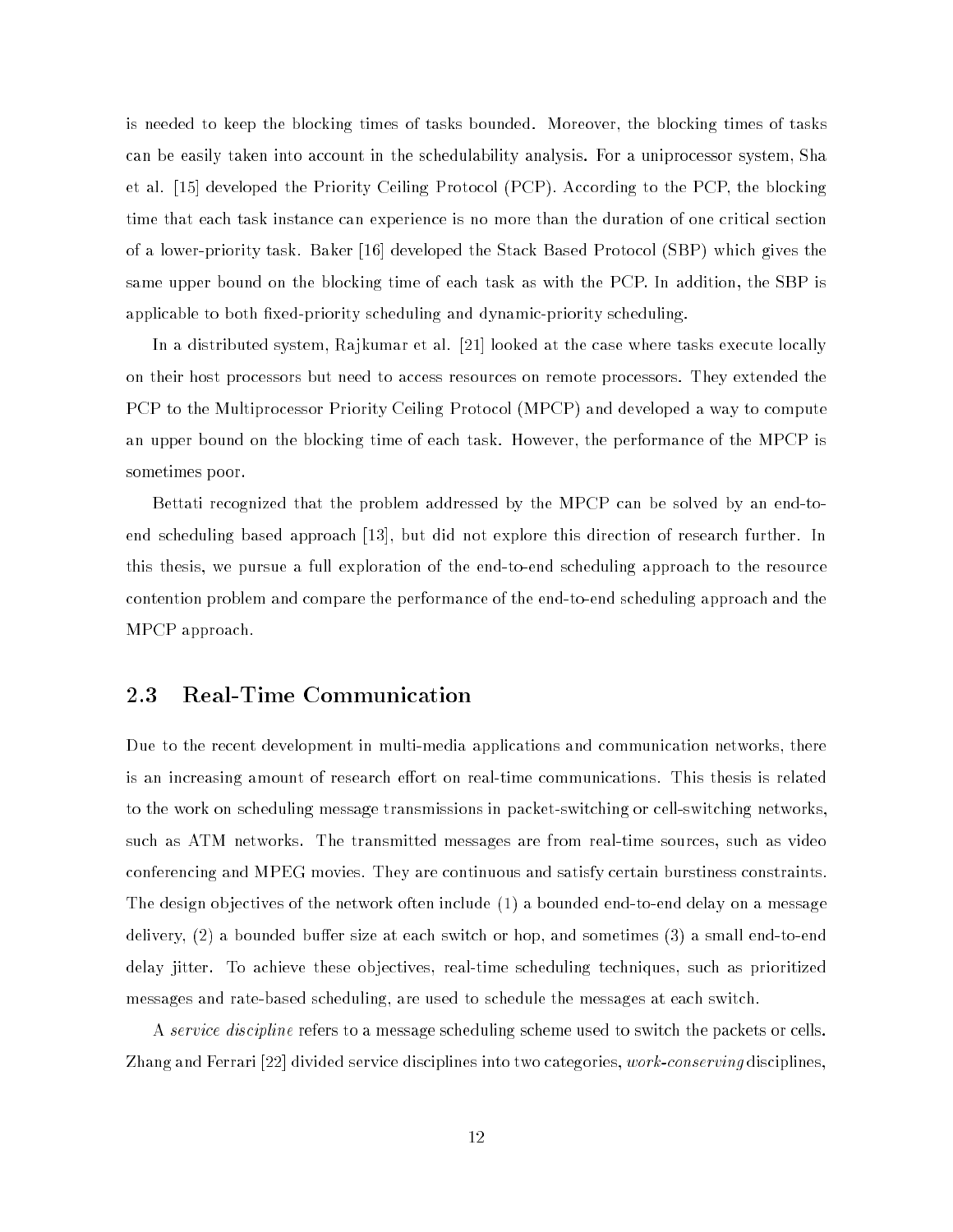is needed to keep the blocking times of tasks bounded. Moreover, the blocking times of tasks can be easily taken into account in the schedulability analysis. For a uniprocessor system, Sha et al. [15] developed the Priority Ceiling Protocol (PCP). According to the PCP, the blocking time that each task instance can experience is no more than the duration of one critical section of a lower-priority task. Baker [16] developed the Stack Based Protocol (SBP) which gives the same upper bound on the blocking time of each task as with the PCP. In addition, the SBP is applicable to both fixed-priority scheduling and dynamic-priority scheduling.

In a distributed system, Rajkumar et al. [21] looked at the case where tasks execute locally on their host processors but need to access resources on remote processors. They extended the PCP to the Multiprocessor Priority Ceiling Protocol (MPCP) and developed a way to compute an upper bound on the blocking time of each task. However, the performance of the MPCP is sometimes poor.

Bettati recognized that the problem addressed by the MPCP can be solved by an end-toend scheduling based approach [13], but did not explore this direction of research further. In this thesis, we pursue a full exploration of the end-to-end scheduling approach to the resource contention problem and compare the performance of the end-to-end scheduling approach and the MPCP approach.

#### 2.3 Real-Time Communication

Due to the recent development in multi-media applications and communication networks, there is an increasing amount of research effort on real-time communications. This thesis is related to the work on scheduling message transmissions in packet-switching or cell-switching networks, such as ATM networks. The transmitted messages are from real-time sources, such as video conferencing and MPEG movies. They are continuous and satisfy certain burstiness constraints. The design objectives of the network often include (1) a bounded end-to-end delay on a message delivery,  $(2)$  a bounded buffer size at each switch or hop, and sometimes  $(3)$  a small end-to-end delay jitter. To achieve these objectives, real-time scheduling techniques, such as prioritized messages and rate-based scheduling, are used to schedule the messages at each switch.

A *service discipline* refers to a message scheduling scheme used to switch the packets or cells. Zhang and Ferrari [22] divided service disciplines into two categories, work-conserving disciplines,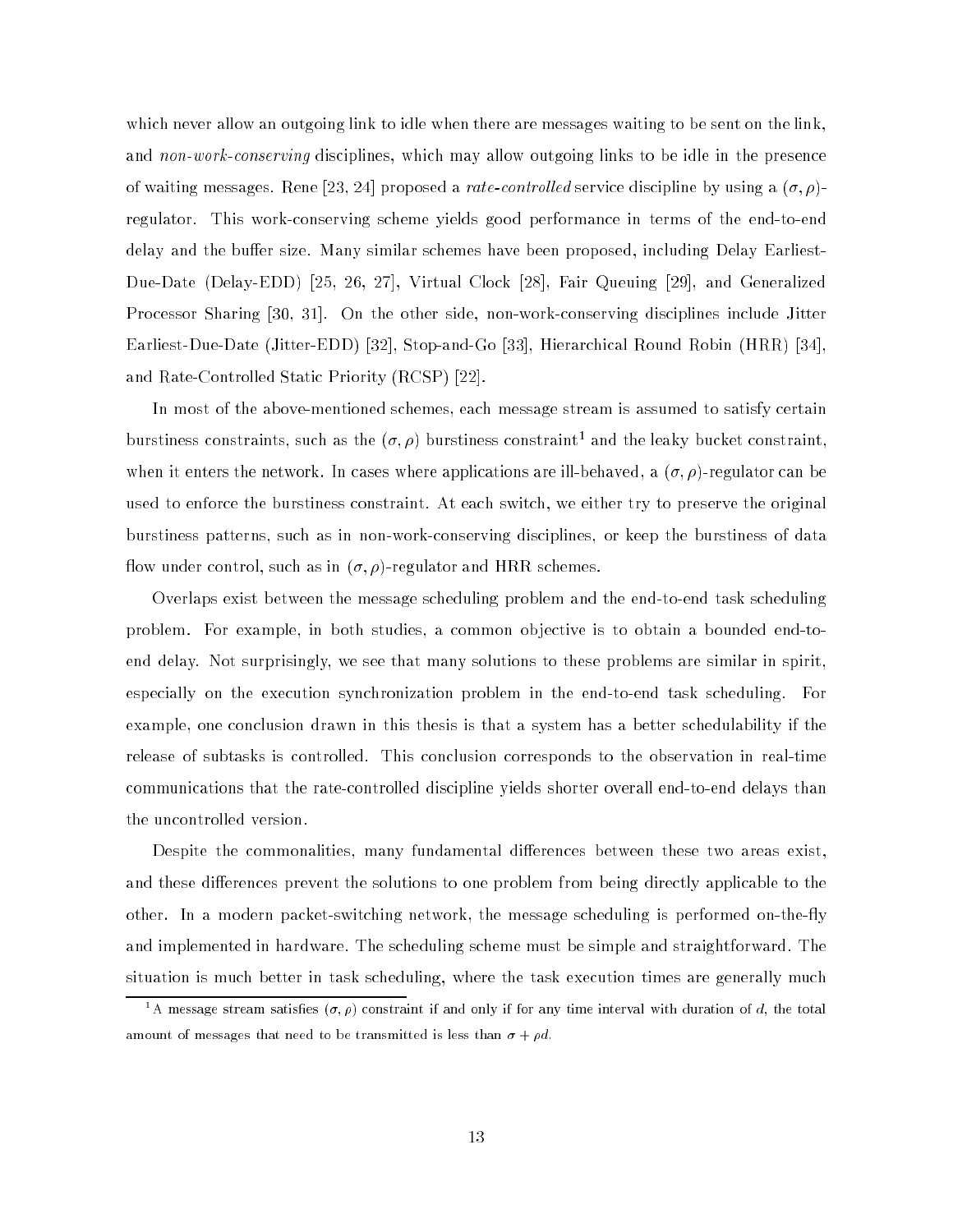which never allow an outgoing link to idle when there are messages waiting to be sent on the link, and non-work-conserving disciplines, which may allow outgoing links to be idle in the presence of waiting messages. Rene [23, 24] proposed a *rate-controlled* service discipline by using a  $(\sigma, \rho)$ regulator. This work-conserving scheme yields good performance in terms of the end-to-end delay and the buffer size. Many similar schemes have been proposed, including Delay Earliest-Due-Date (Delay-EDD) [25, 26, 27], Virtual Clock [28], Fair Queuing [29], and Generalized Processor Sharing [30, 31]. On the other side, non-work-conserving disciplines include Jitter Earliest-Due-Date (Jitter-EDD) [32], Stop-and-Go [33], Hierarchical Round Robin (HRR) [34], and Rate-Controlled Static Priority (RCSP) [22].

In most of the above-mentioned schemes, each message stream is assumed to satisfy certain burstiness constraints, such as the  $(o, \rho)$  burstiness constraint and the leaky bucket constraint, when it enters the network. In cases where applications are ill-behaved, a  $(\sigma, \rho)$ -regulator can be used to enforce the burstiness constraint. At each switch, we either try to preserve the original burstiness patterns, such as in non-work-conserving disciplines, or keep the burstiness of data flow under control, such as in  $(\sigma, \rho)$ -regulator and HRR schemes.

Overlaps exist between the message scheduling problem and the end-to-end task scheduling problem. For example, in both studies, a common objective is to obtain a bounded end-toend delay. Not surprisingly, we see that many solutions to these problems are similar in spirit, especially on the execution synchronization problem in the end-to-end task scheduling. For example, one conclusion drawn in this thesis is that a system has a better schedulability if the release of subtasks is controlled. This conclusion corresponds to the observation in real-time communications that the rate-controlled discipline yields shorter overall end-to-end delays than the uncontrolled version.

Despite the commonalities, many fundamental differences between these two areas exist, and these differences prevent the solutions to one problem from being directly applicable to the other. In a modern packet-switching network, the message scheduling is performed on-the-fly and implemented in hardware. The scheduling scheme must be simple and straightforward. The situation is much better in task scheduling, where the task execution times are generally much

<sup>-</sup>A message stream satisfies  $(\sigma, \rho)$  constraint if and only if for any time interval with duration of  $a$ , the total amount of messages that need to be transmitted is less than  $\sigma + \rho d$ .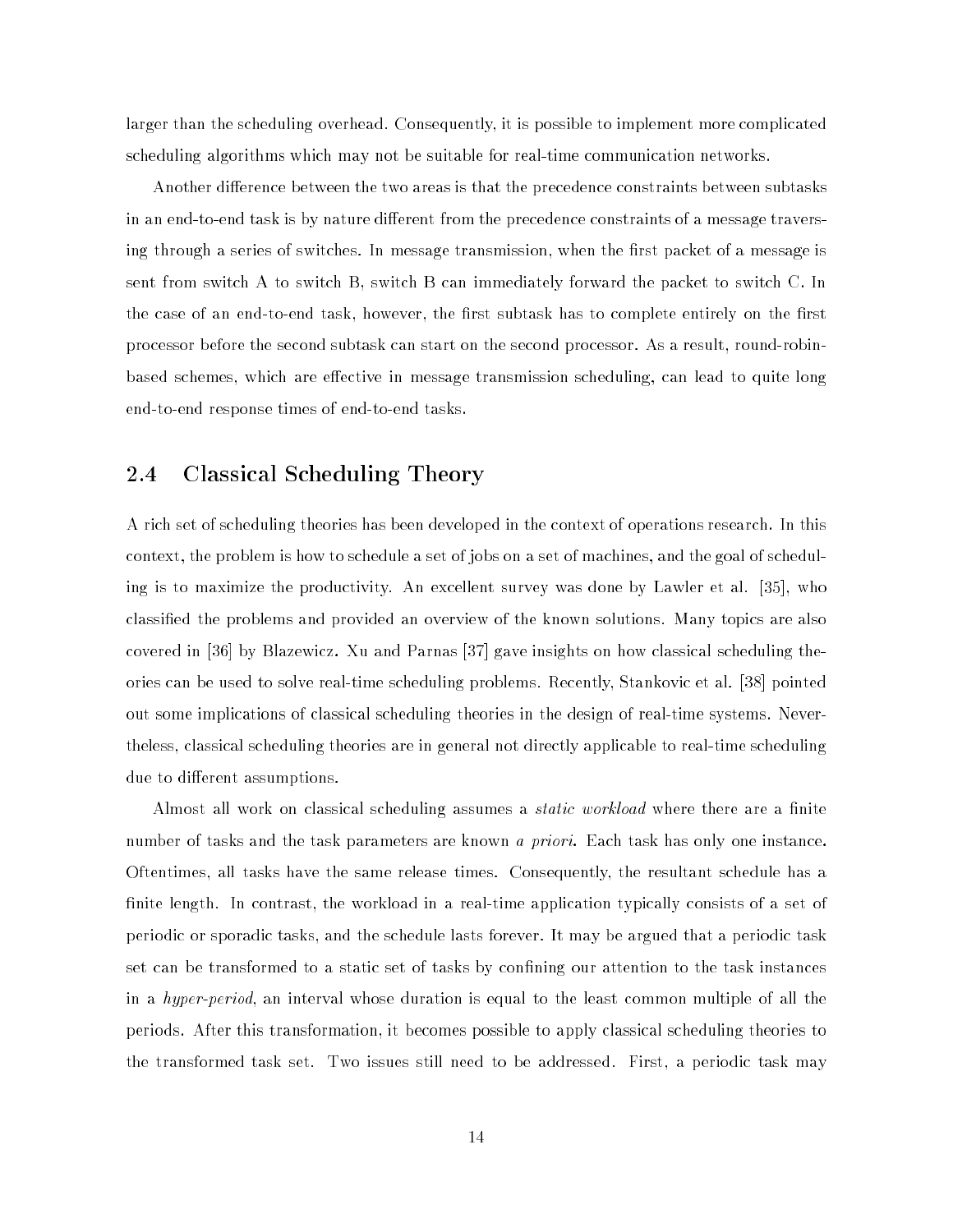larger than the scheduling overhead. Consequently, it is possible to implement more complicated scheduling algorithms which may not be suitable for real-time communication networks.

Another difference between the two areas is that the precedence constraints between subtasks in an end-to-end task is by nature different from the precedence constraints of a message traversing through a series of switches. In message transmission, when the first packet of a message is sent from switch A to switch B, switch B can immediately forward the packet to switch C. In the case of an end-to-end task, however, the first subtask has to complete entirely on the first processor before the second subtask can start on the second processor. As a result, round-robinbased schemes, which are effective in message transmission scheduling, can lead to quite long end-to-end response times of end-to-end tasks.

#### 2.4 Classical Scheduling Theory

A rich set of scheduling theories has been developed in the context of operations research. In this context, the problem is how to schedule a set of jobs on a set of machines, and the goal of scheduling is to maximize the productivity. An excellent survey was done by Lawler et al. [35], who classied the problems and provided an overview of the known solutions. Many topics are also covered in [36] by Blazewicz. Xu and Parnas [37] gave insights on how classical scheduling theories can be used to solve real-time scheduling problems. Recently, Stankovic et al. [38] pointed out some implications of classical scheduling theories in the design of real-time systems. Nevertheless, classical scheduling theories are in general not directly applicable to real-time scheduling due to different assumptions.

Almost all work on classical scheduling assumes a *static workload* where there are a finite number of tasks and the task parameters are known *a priori*. Each task has only one instance. Oftentimes, all tasks have the same release times. Consequently, the resultant schedule has a finite length. In contrast, the workload in a real-time application typically consists of a set of periodic or sporadic tasks, and the schedule lasts forever. It may be argued that a periodic task set can be transformed to a static set of tasks by confining our attention to the task instances in a hyper-period, an interval whose duration is equal to the least common multiple of all the periods. After this transformation, it becomes possible to apply classical scheduling theories to the transformed task set. Two issues still need to be addressed. First, a periodic task may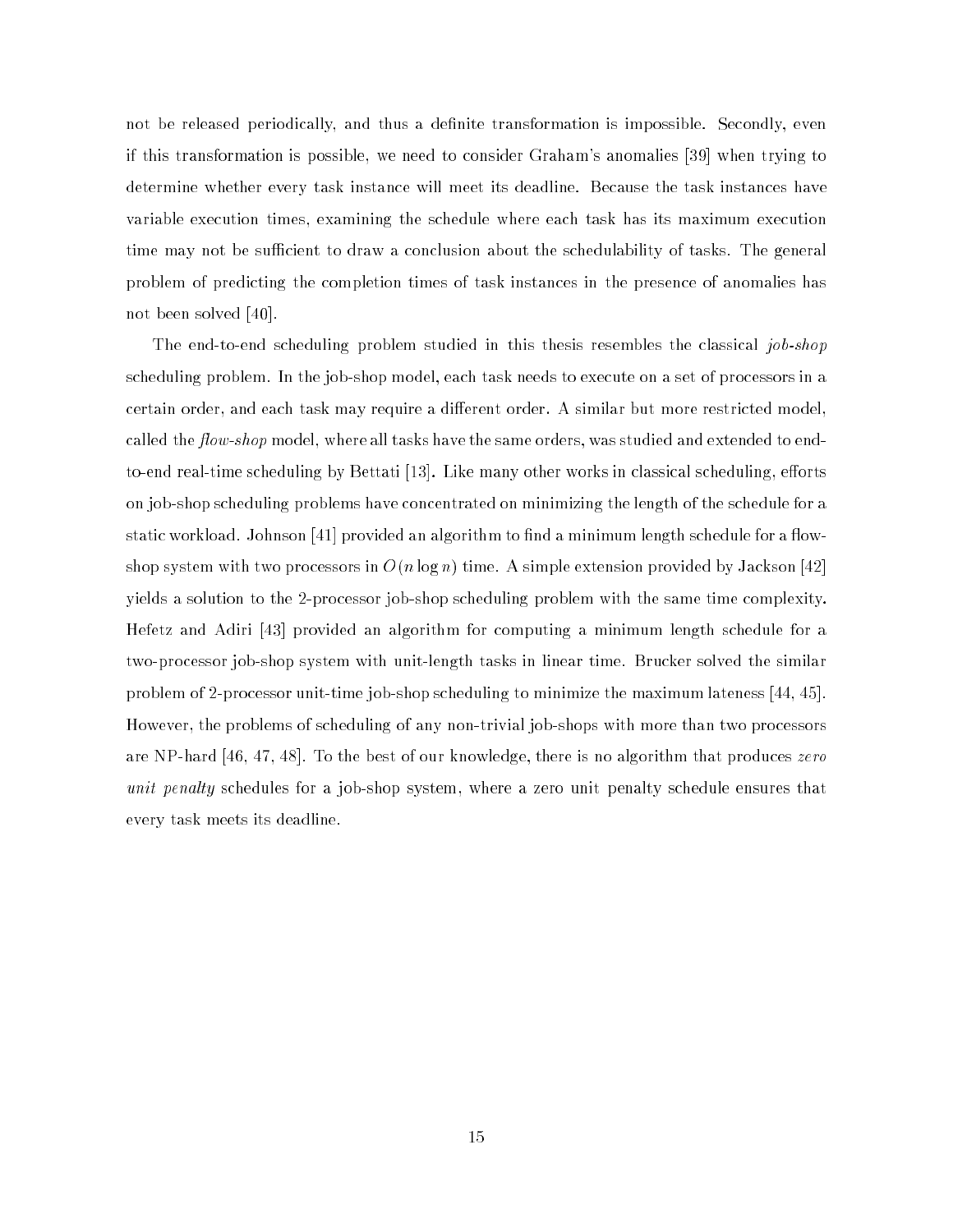not be released periodically, and thus a definite transformation is impossible. Secondly, even if this transformation is possible, we need to consider Graham's anomalies [39] when trying to determine whether every task instance will meet its deadline. Because the task instances have variable execution times, examining the schedule where each task has its maximum execution time may not be sufficient to draw a conclusion about the schedulability of tasks. The general problem of predicting the completion times of task instances in the presence of anomalies has not been solved [40].

The end-to-end scheduling problem studied in this thesis resembles the classical job-shop scheduling problem. In the job-shop model, each task needs to execute on a set of processors in a certain order, and each task may require a different order. A similar but more restricted model, called the  $flow\text{-}shop$  model, where all tasks have the same orders, was studied and extended to endto-end real-time scheduling by Bettati [13]. Like many other works in classical scheduling, efforts on job-shop scheduling problems have concentrated on minimizing the length of the schedule for a static workload. Johnson [41] provided an algorithm to find a minimum length schedule for a flowshop system with two processors in  $O(n \log n)$  time. A simple extension provided by Jackson [42] yields a solution to the 2-processor job-shop scheduling problem with the same time complexity. Hefetz and Adiri [43] provided an algorithm for computing a minimum length schedule for a two-processor job-shop system with unit-length tasks in linear time. Brucker solved the similar problem of 2-processor unit-time job-shop scheduling to minimize the maximum lateness [44, 45]. However, the problems of scheduling of any non-trivial job-shops with more than two processors are NP-hard [46, 47, 48]. To the best of our knowledge, there is no algorithm that produces zero unit penalty schedules for a job-shop system, where a zero unit penalty schedule ensures that every task meets its deadline.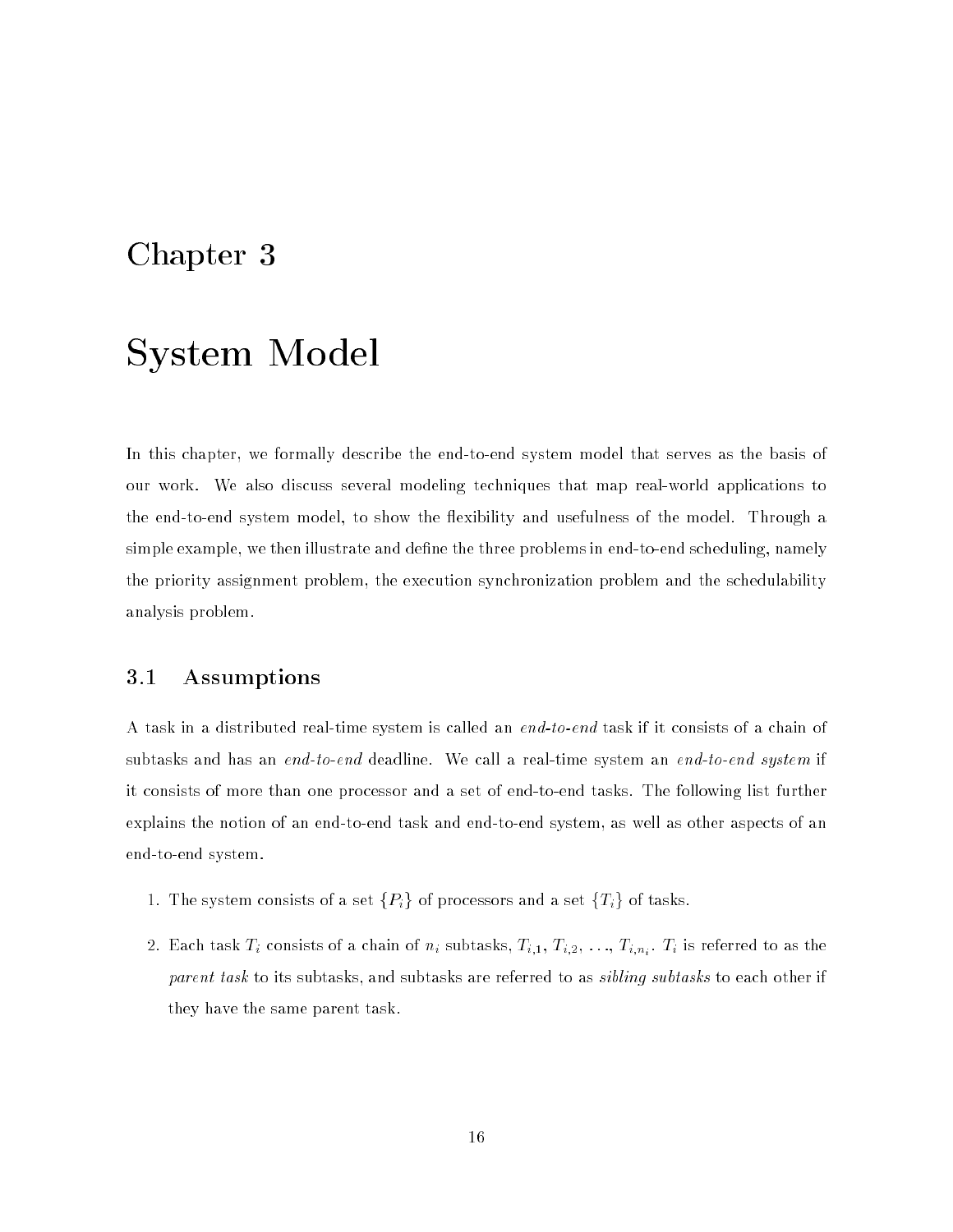### Chapter 3

## System Model

In this chapter, we formally describe the end-to-end system model that serves as the basis of our work. We also discuss several modeling techniques that map real-world applications to the end-to-end system model, to show the exibility and usefulness of the model. Through a simple example, we then illustrate and define the three problems in end-to-end scheduling, namely the priority assignment problem, the execution synchronization problem and the schedulability analysis problem.

#### 3.1 Assumptions

A task in a distributed real-time system is called an end-to-end task if it consists of a chain of subtasks and has an end-to-end deadline. We call a real-time system an end-to-end system if it consists of more than one processor and a set of end-to-end tasks. The following list further explains the notion of an end-to-end task and end-to-end system, as well as other aspects of an end-to-end system.

- 1. The system consists of a set  $\{P_i\}$  of processors and a set  $\{T_i\}$  of tasks.
- $\begin{array}{ccc} \iota & \iota & \iota \end{array}$ parent task to its subtasks, and subtasks are referred to as *sibling subtasks* to each other if they have the same parent task.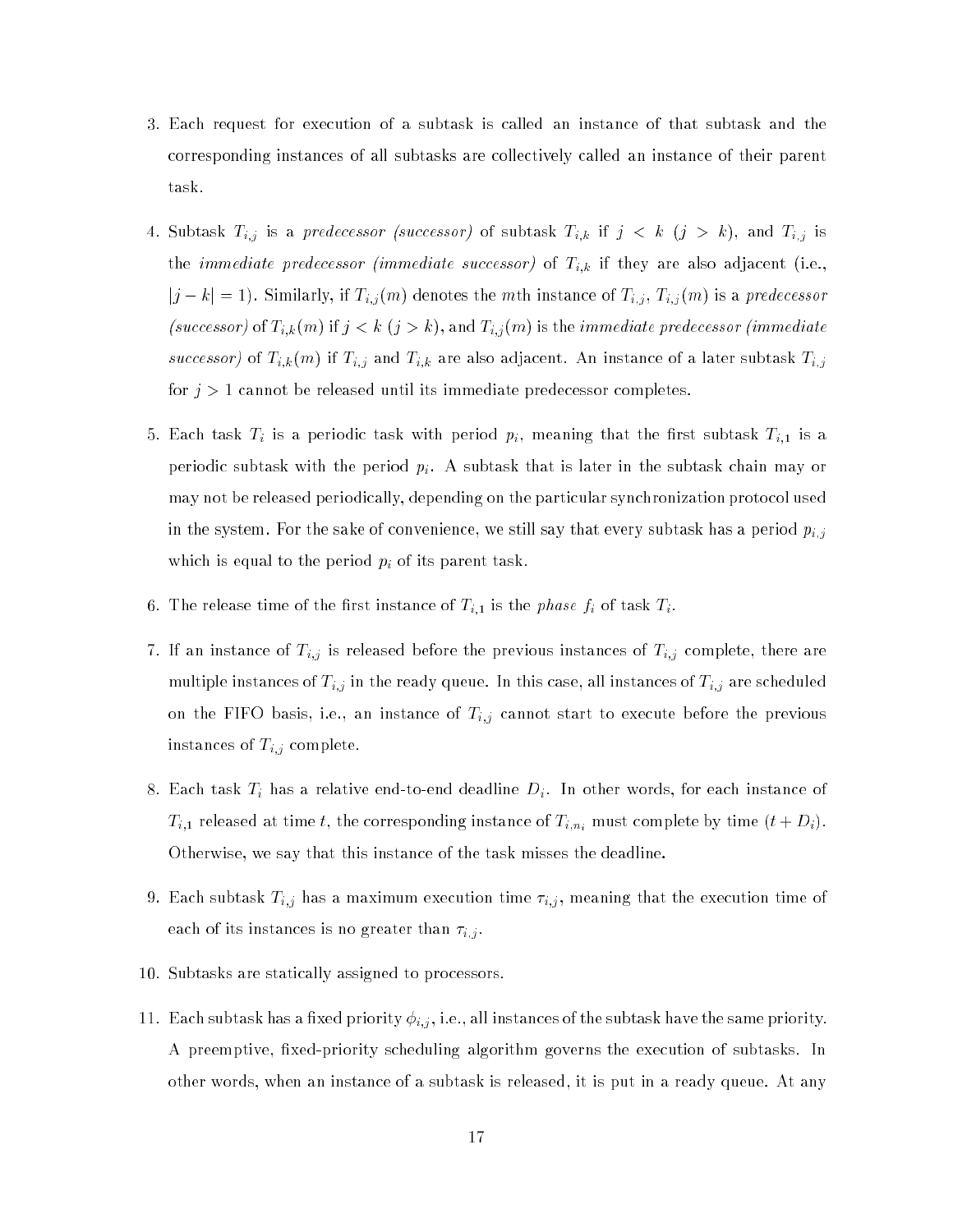- 3. Each request for execution of a subtask is called an instance of that subtask and the corresponding instances of all subtasks are collectively called an instance of their parent task.
- $\alpha$  subtances Ti; is a predecessor (successor) of subtances Ti;h is j  $\alpha$  ,  $\alpha$  ,  $\beta$  ,  $\beta$  and Ti;  $\beta$ the immediate predecessor (immediate successor) of Ti; in the  $\ell$  is the  $\ell$  $j$  is the  $1$ , similarly, if  $\pm i$ ;  $j$ (m) denotes the metallistic of  $\pm i$ ;  $j$ (m) is a predecess is (successor) of the internal internal internal internal internal internal internal internal internal internal internal internal internal internal internal internal internal internal internal internal internal internal inte successor) of Ti;k(m) if Ti;j and Ti;k(m) if  $\alpha$  is a later subtast Ti;  $\alpha$ for  $j > 1$  cannot be released until its immediate predecessor completes.
- $5. \qquad \qquad \begin{array}{ccc} \text{F} & \text{F} & \text{F} & \text{F} & \text{F} & \text{F} & \text{F} & \text{F} & \text{F} & \text{F} & \text{F} & \text{F} & \text{F} & \text{F} & \text{F} & \text{F} & \text{F} & \text{F} & \text{F} & \text{F} & \text{F} & \text{F} & \text{F} & \text{F} & \text{F} & \text{F} & \text{F} & \text{F} & \text{F} & \text{F} & \text{F} & \text{F} & \text{F} & \text{F} & \$ periodic subtask with the period  $p_i$ . A subtask that is later in the subtask chain may or may not be released periodically, depending on the particular synchronization protocol used in the system. For the sake of convenience, we still say that every subtask has a period  $p_{i,j}$ which is equal to the period pixels of its parent task. The period pixels of its parent tasks. The period pixels of its parent task. The period part of its parent task. The period part of its parent tasks. The period part
- 6. The release time of the first instance of  $T_{i,1}$  is the *phase*  $f_i$  of task  $T_i$ .
- 7. If an instance of Ti;j is released before the previous instances of Ti;j complete, there are multiple instances of Ti;j in the ready queue. In this case, all instances of Ti;j are scheduled under the sch on the FIFO basis, i.e., and i.e., and i.e., and i.e., and the previous before the previous before the previous instances of Ti;j complete.
- 8. Each task Ti has a relative end-to-end deadline Di. In other words, for each instance of  $\mathbb{F}_{i+1}$  released at time time time time time  $\mathbb{F}_{i+1}$  and  $\mathbb{F}_{i+1}$  and  $\mathbb{F}_{i+1}$  and  $\mathbb{F}_{i+1}$  and  $\mathbb{F}_{i+1}$  and  $\mathbb{F}_{i+1}$  and  $\mathbb{F}_{i+1}$  and  $\mathbb{F}_{i+1}$  and  $\mathbb{F}_{i+1}$  and  $\mathbb{F}_{i+1}$  and Otherwise, we say that this instance of the task misses the deadline.
- 9. Each subtast Ti;j has a maximum execution time i $\mu_{11}$  meaning that the execution time of each of its instances is no greater than i;j .
- 10. Subtasks are statically assigned to processors.
- $11.$  Each subtast has a  $1.$  i.e., all instances of the subtask has  $1.$  i.e., all instances of the same priority. In the same priority. In the same priority. In the same priority. In the same priority. In the same prior A preemptive, fixed-priority scheduling algorithm governs the execution of subtasks. In other words, when an instance of a subtask is released, it is put in a ready queue. At any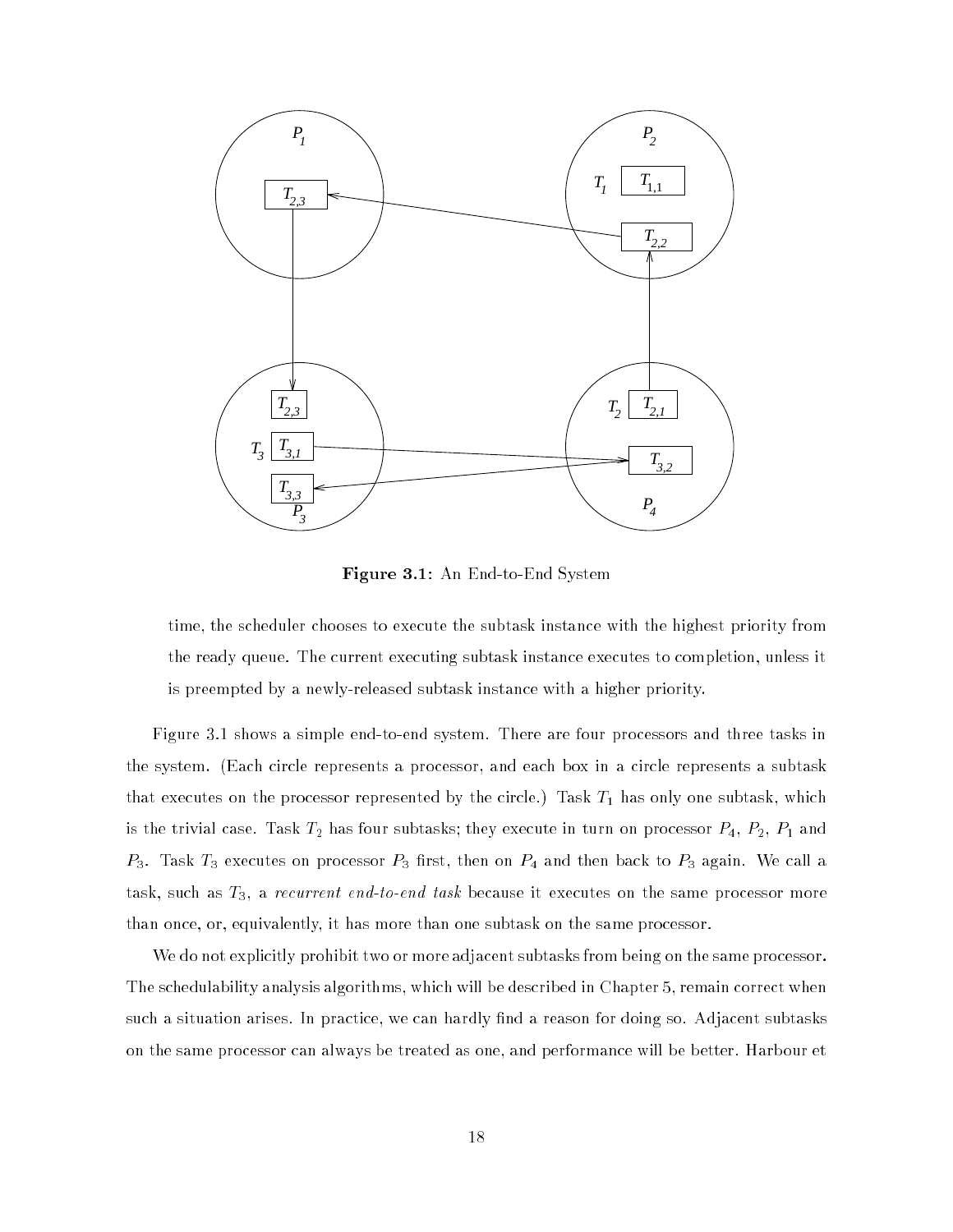

Figure 3.1: An End-to-End System

time, the scheduler chooses to execute the subtask instance with the highest priority from the ready queue. The current executing subtask instance executes to completion, unless it is preempted by a newly-released subtask instance with a higher priority.

Figure 3.1 shows a simple end-to-end system. There are four processors and three tasks in the system. (Each circle represents a processor, and each box in a circle represents a subtask that executes on the processor represented by the circle.) Task  $T_1$  has only one subtask, which is the trivial case. Task  $T_2$  has four subtasks; they execute in turn on processor  $P_4$ ,  $P_2$ ,  $P_1$  and  $P_3$ . Task  $T_3$  executes on processor  $P_3$  first, then on  $P_4$  and then back to  $P_3$  again. We call a task, such as  $T_3$ , a recurrent end-to-end task because it executes on the same processor more than once, or, equivalently, it has more than one subtask on the same processor.

We do not explicitly prohibit two or more adjacent subtasks from being on the same processor. The schedulability analysis algorithms, which will be described in Chapter 5, remain correct when such a situation arises. In practice, we can hardly find a reason for doing so. Adjacent subtasks on the same processor can always be treated as one, and performance will be better. Harbour et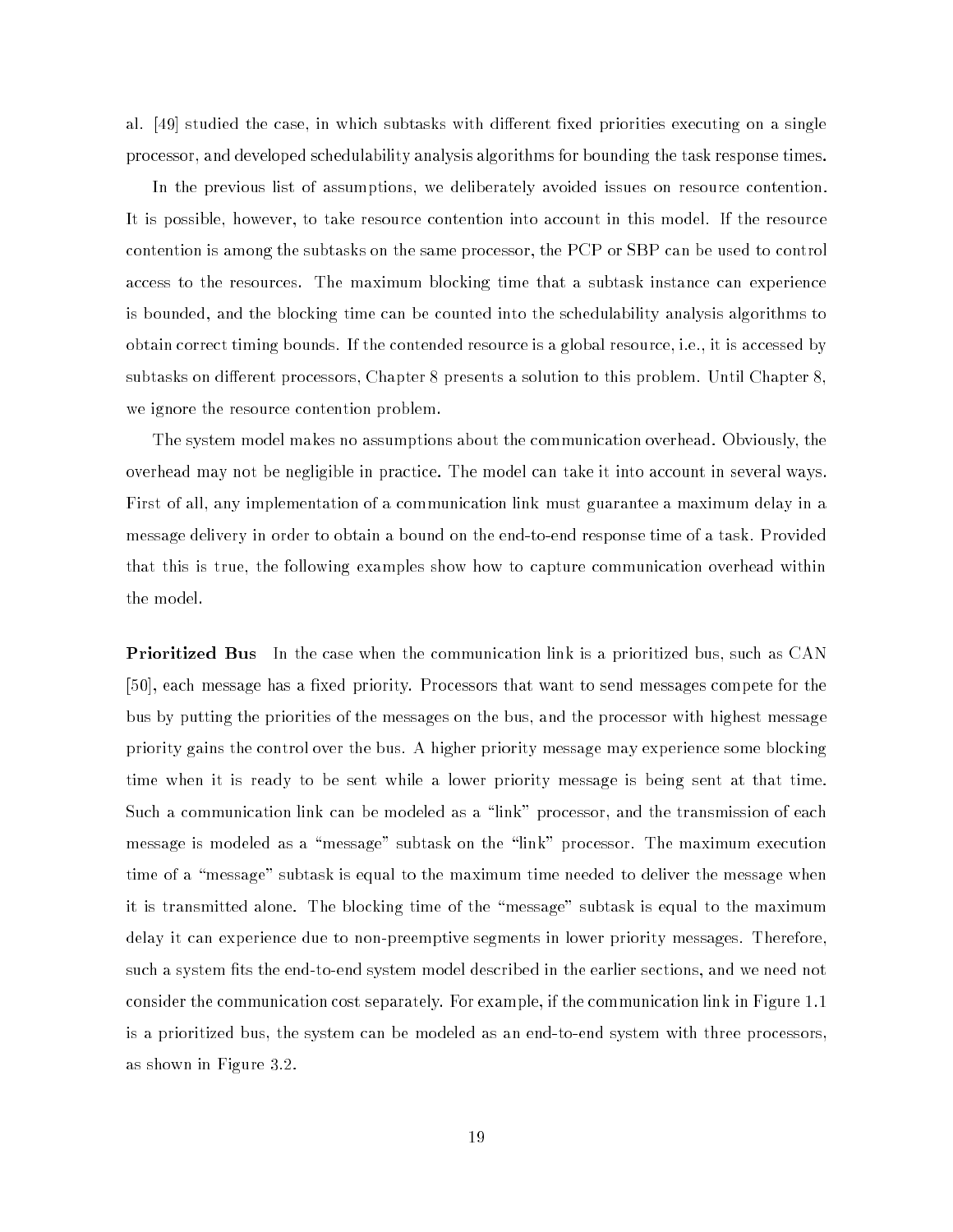al. [49] studied the case, in which subtasks with different fixed priorities executing on a single processor, and developed schedulability analysis algorithms for bounding the task response times.

In the previous list of assumptions, we deliberately avoided issues on resource contention. It is possible, however, to take resource contention into account in this model. If the resource contention is among the subtasks on the same processor, the PCP or SBP can be used to control access to the resources. The maximum blocking time that a subtask instance can experience is bounded, and the blocking time can be counted into the schedulability analysis algorithms to obtain correct timing bounds. If the contended resource is a global resource, i.e., it is accessed by subtasks on different processors, Chapter 8 presents a solution to this problem. Until Chapter 8, we ignore the resource contention problem.

The system model makes no assumptions about the communication overhead. Obviously, the overhead may not be negligible in practice. The model can take it into account in several ways. First of all, any implementation of a communication link must guarantee a maximum delay in a message delivery in order to obtain a bound on the end-to-end response time of a task. Provided that this is true, the following examples show how to capture communication overhead within the model.

**Prioritized Bus** In the case when the communication link is a prioritized bus, such as CAN [50], each message has a fixed priority. Processors that want to send messages compete for the bus by putting the priorities of the messages on the bus, and the processor with highest message priority gains the control over the bus. A higher priority message may experience some blocking time when it is ready to be sent while a lower priority message is being sent at that time. Such a communication link can be modeled as a "link" processor, and the transmission of each message is modeled as a "message" subtask on the "link" processor. The maximum execution time of a "message" subtask is equal to the maximum time needed to deliver the message when it is transmitted alone. The blocking time of the \message" subtask is equal to the maximum delay it can experience due to non-preemptive segments in lower priority messages. Therefore, such a system fits the end-to-end system model described in the earlier sections, and we need not consider the communication cost separately. For example, if the communication link in Figure 1.1 is a prioritized bus, the system can be modeled as an end-to-end system with three processors, as shown in Figure 3.2.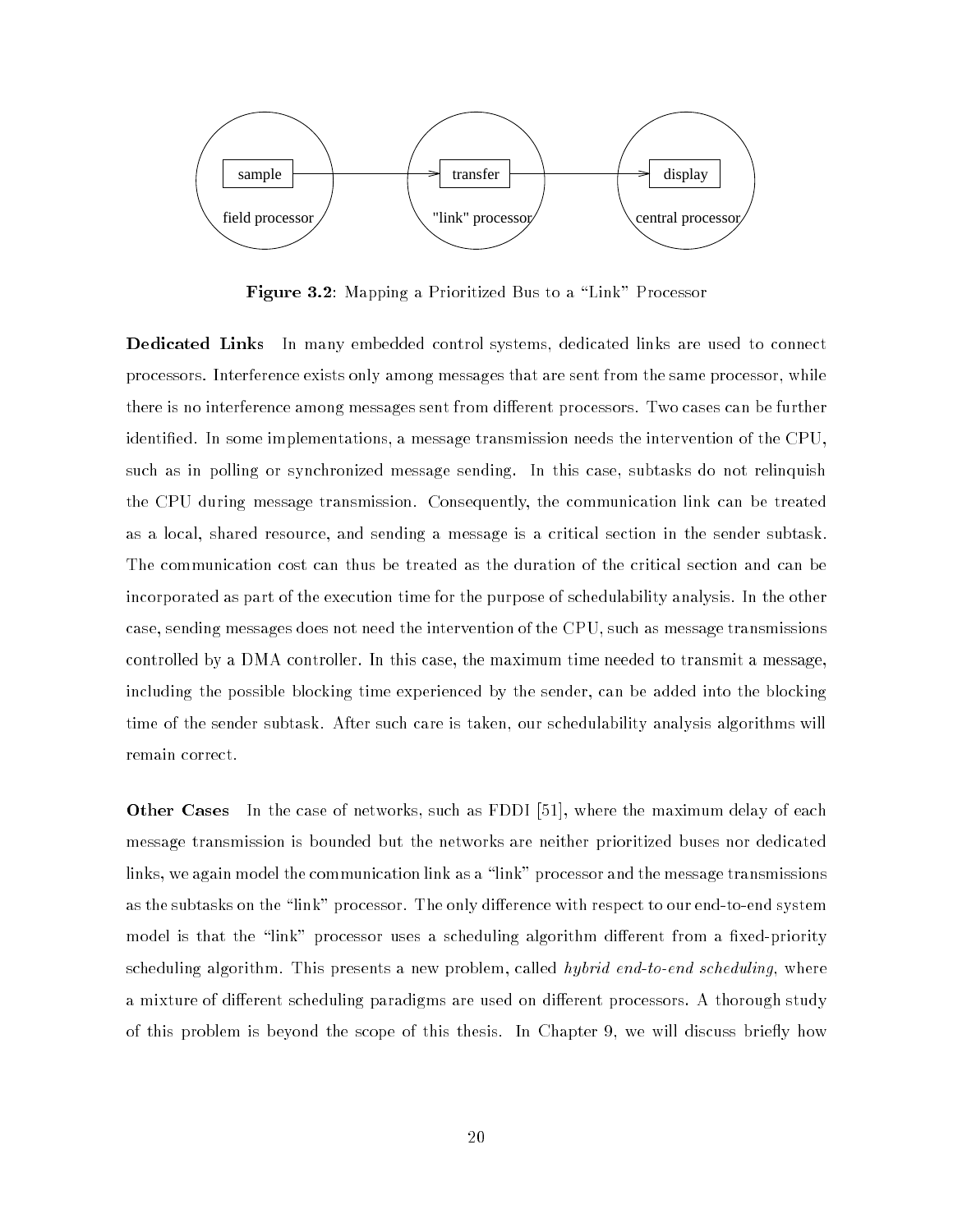

Figure 3.2: Mapping a Prioritized Bus to a "Link" Processor

**Dedicated Links** In many embedded control systems, dedicated links are used to connect processors. Interference exists only among messages that are sent from the same processor, while there is no interference among messages sent from different processors. Two cases can be further identied. In some implementations, a message transmission needs the intervention of the CPU, such as in polling or synchronized message sending. In this case, subtasks do not relinquish the CPU during message transmission. Consequently, the communication link can be treated as a local, shared resource, and sending a message is a critical section in the sender subtask. The communication cost can thus be treated as the duration of the critical section and can be incorporated as part of the execution time for the purpose of schedulability analysis. In the other case, sending messages does not need the intervention of the CPU, such as message transmissions controlled by a DMA controller. In this case, the maximum time needed to transmit a message, including the possible blocking time experienced by the sender, can be added into the blocking time of the sender subtask. After such care is taken, our schedulability analysis algorithms will remain correct.

**Other Cases** In the case of networks, such as FDDI [51], where the maximum delay of each message transmission is bounded but the networks are neither prioritized buses nor dedicated links, we again model the communication link as a \link" processor and the message transmissions as the subtasks on the "link" processor. The only difference with respect to our end-to-end system model is that the "link" processor uses a scheduling algorithm different from a fixed-priority scheduling algorithm. This presents a new problem, called *hybrid end-to-end scheduling*, where a mixture of different scheduling paradigms are used on different processors. A thorough study of this problem is beyond the scope of this thesis. In Chapter 9, we will discuss briefly how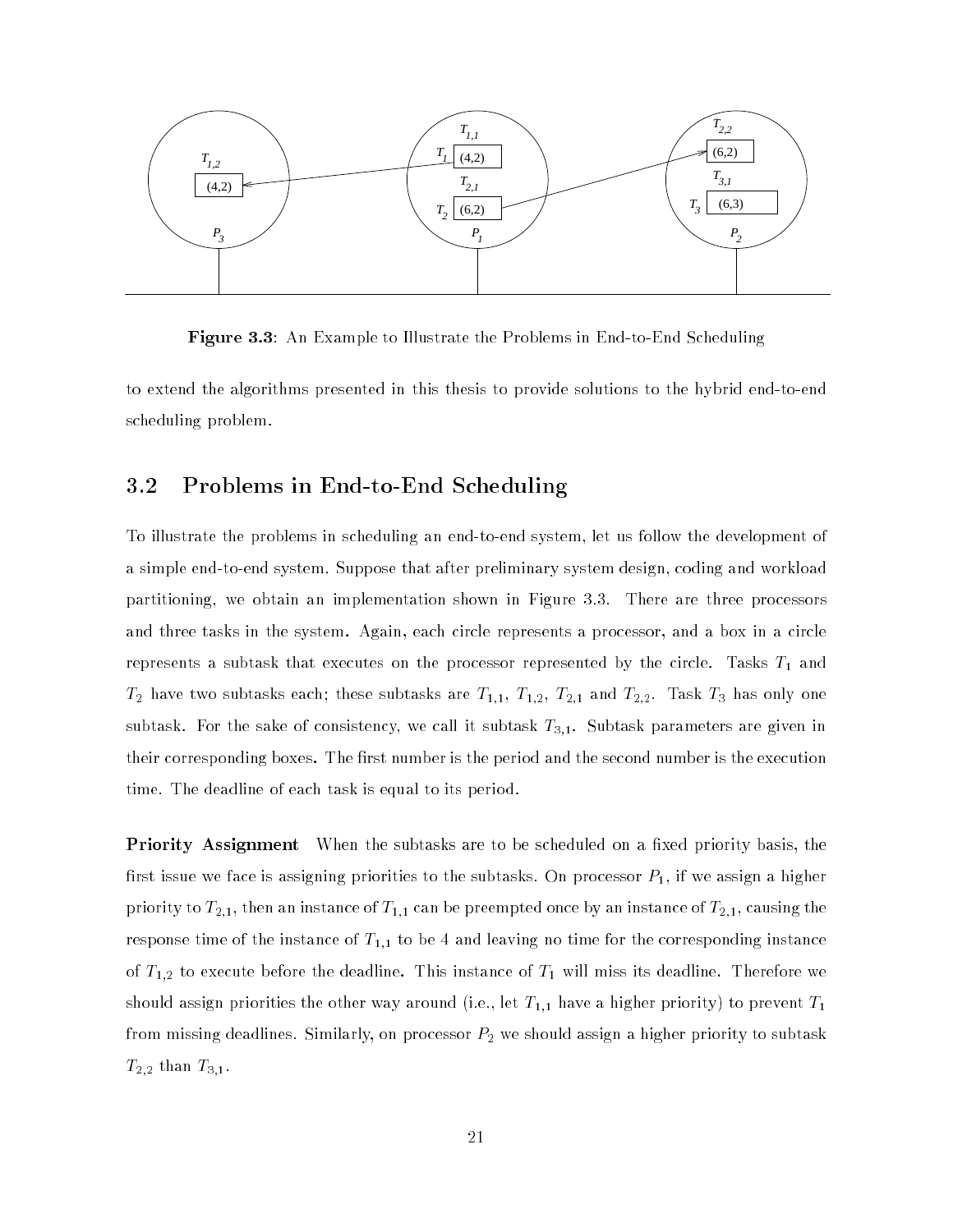

Figure 3.3: An Example to Illustrate the Problems in End-to-End Scheduling

to extend the algorithms presented in this thesis to provide solutions to the hybrid end-to-end scheduling problem.

# 3.2 Problems in End-to-End Scheduling

To illustrate the problems in scheduling an end-to-end system, let us follow the development of a simple end-to-end system. Suppose that after preliminary system design, coding and workload partitioning, we obtain an implementation shown in Figure 3.3. There are three processors and three tasks in the system. Again, each circle represents a processor, and a box in a circle represents a subtask that executes on the processor represented by the circle. Tasks  $T_{\rm 1}$  and  $T_2$  have two subtasks each; these subtasks are  $T_{1,1}$ ,  $T_{1,2}$ ,  $T_{2,1}$  and  $T_{2,2}$ . Task  $T_3$  has only one subtask. For the sake of consistency, we call it subtask  $T_{3,1}$ . Subtask parameters are given in their corresponding boxes. The first number is the period and the second number is the execution time. The deadline of each task is equal to its period.

**Priority Assignment** When the subtasks are to be scheduled on a fixed priority basis, the first issue we face is assigning priorities to the subtasks. On processor  $P_1$ , if we assign a higher priority to  $T_{2,1},$  then an instance of  $T_{1,1}$  can be preempted once by an instance of  $T_{2,1},$  causing the response time of the instance of  $T_{1,1}$  to be 4 and leaving no time for the corresponding instance of  $T_{1,2}$  to execute before the deadline. This instance of  $T_1$  will miss its deadline. Therefore we should assign priorities the other way around (i.e., let  $T_{1,1}$  have a higher priority) to prevent  $T_1$ from missing deadlines. Similarly, on processor  $P_2$  we should assign a higher priority to subtask  $T_{2,2}$  than  $T_{3,1}$ .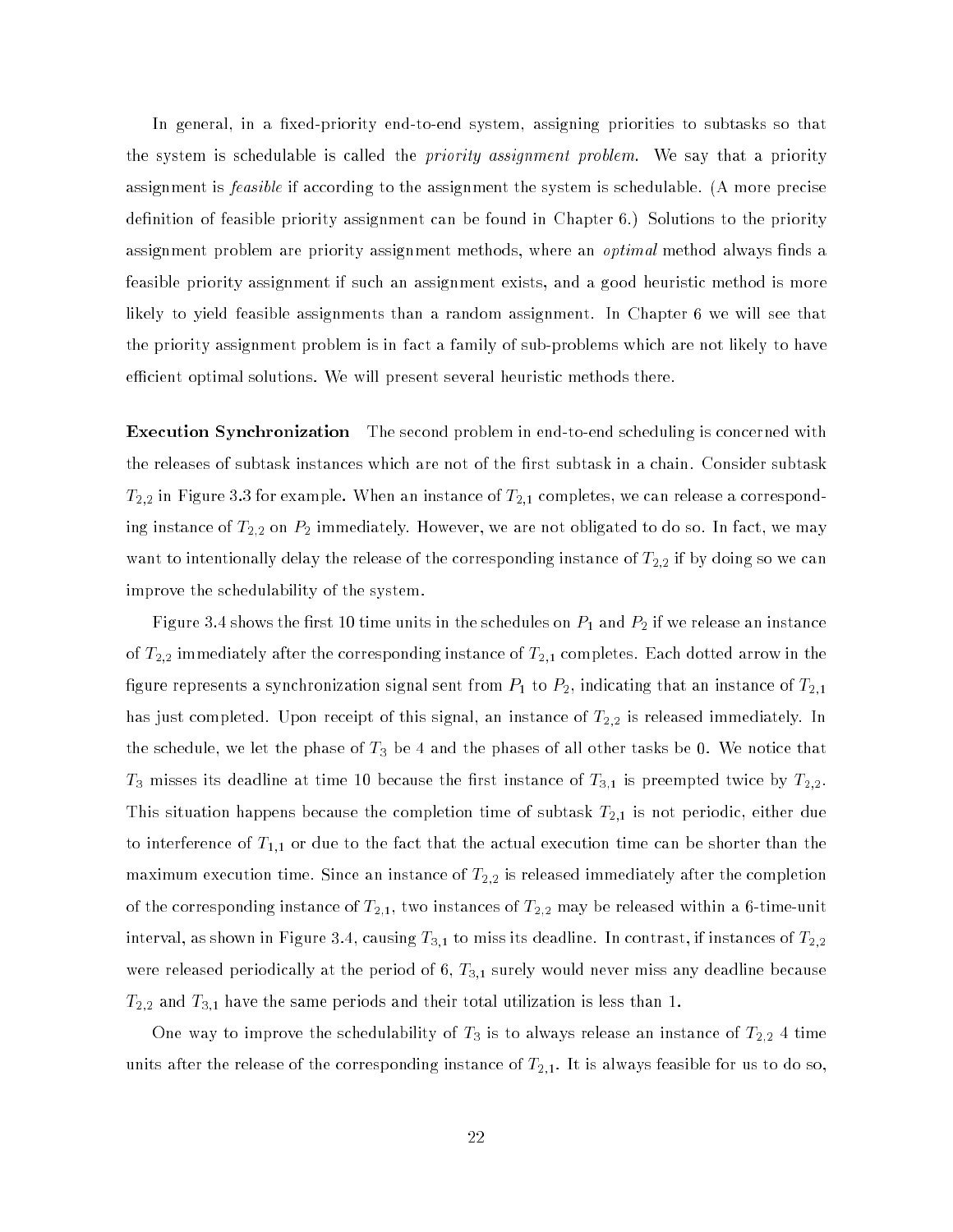In general, in a fixed-priority end-to-end system, assigning priorities to subtasks so that the system is schedulable is called the *priority assignment problem*. We say that a priority assignment is *feasible* if according to the assignment the system is schedulable. (A more precise definition of feasible priority assignment can be found in Chapter 6.) Solutions to the priority assignment problem are priority assignment methods, where an *optimal* method always finds a feasible priority assignment if such an assignment exists, and a good heuristic method is more likely to yield feasible assignments than a random assignment. In Chapter 6 we will see that the priority assignment problem is in fact a family of sub-problems which are not likely to have efficient optimal solutions. We will present several heuristic methods there.

**Execution Synchronization** The second problem in end-to-end scheduling is concerned with the releases of subtask instances which are not of the first subtask in a chain. Consider subtask  $T_{2,2}$  in Figure 3.3 for example. When an instance of  $T_{2,1}$  completes, we can release a corresponding instance of  $T_{2,2}$  on  $P_2$  immediately. However, we are not obligated to do so. In fact, we may want to intentionally delay the release of the corresponding instance of  $T_{2,2}$  if by doing so we can improve the schedulability of the system.

Figure 3.4 shows the first 10 time units in the schedules on  $P_1$  and  $P_2$  if we release an instance of  $T_{2,2}$  immediately after the corresponding instance of  $T_{2,1}$  completes. Each dotted arrow in the figure represents a synchronization signal sent from  $P_1$  to  $P_2,$  indicating that an instance of  $T_{2,1}$ has just completed. Upon receipt of this signal, an instance of  $T_{2,2}$  is released immediately. In the schedule, we let the phase of  $T_3$  be 4 and the phases of all other tasks be 0. We notice that  $T_3$  misses its deadline at time 10 because the first instance of  $T_{3,1}$  is preempted twice by  $T_{2,2}$ . This situation happens because the completion time of subtask  $T_{2,1}$  is not periodic, either due to interference of  $T_{1,1}$  or due to the fact that the actual execution time can be shorter than the maximum execution time. Since an instance of  $T_{2,2}$  is released immediately after the completion of the corresponding instance of  $T_{2,1}$ , two instances of  $T_{2,2}$  may be released within a 6-time-unit interval, as shown in Figure 3.4, causing  $T_{3,1}$  to miss its deadline. In contrast, if instances of  $T_{2,2}$ were released periodically at the period of 6,  $T_{3,1}$  surely would never miss any deadline because  $T_{2,2}$  and  $T_{3,1}$  have the same periods and their total utilization is less than 1.

One way to improve the schedulability of  $T_3$  is to always release an instance of  $T_{2,2}$  4 time units after the release of the corresponding instance of  $T_{2,1}.$  It is always feasible for us to do so,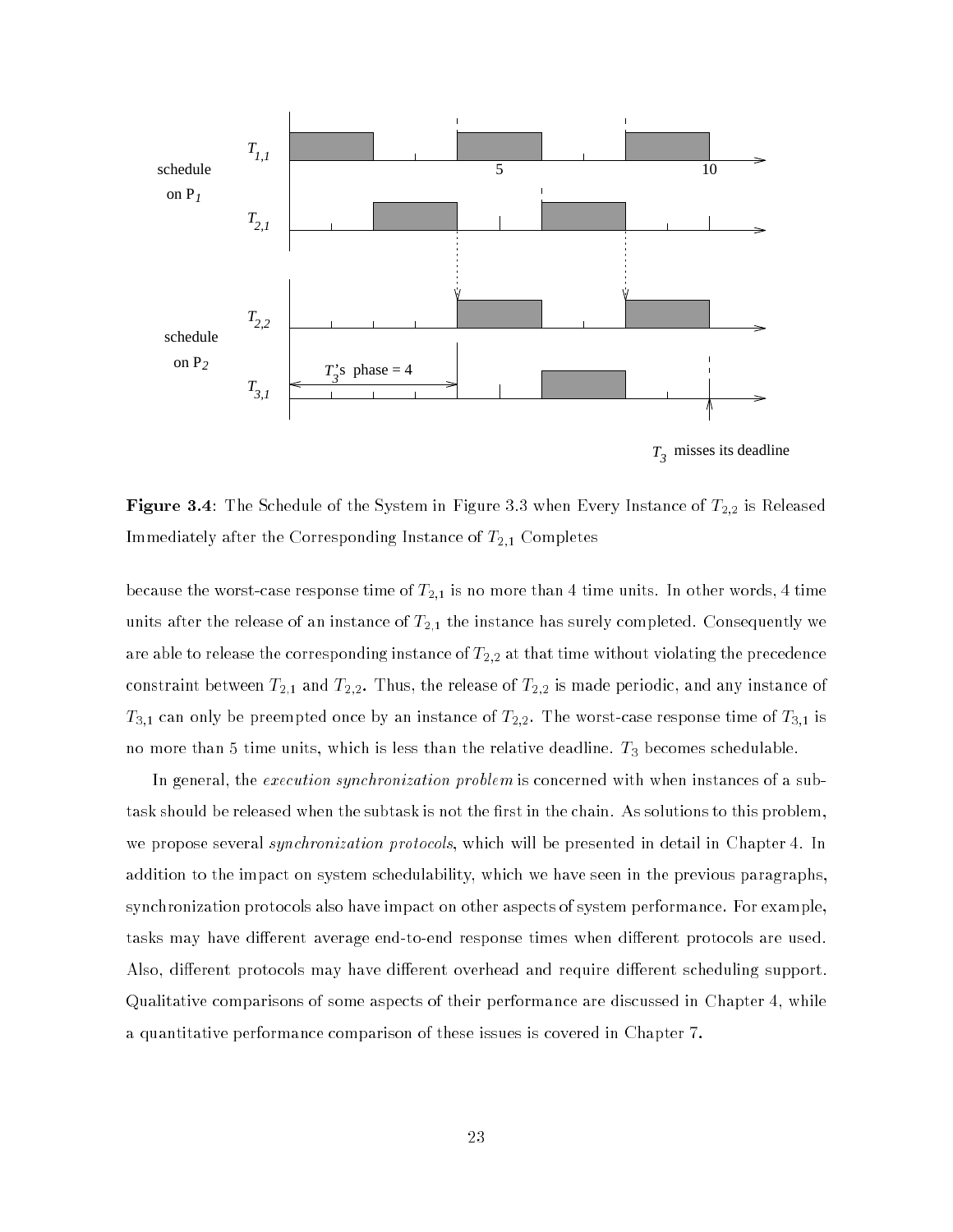

*T3* misses its deadline

**Figure 3.4**: The Schedule of the System in Figure 3.3 when Every Instance of  $T_{2,2}$  is Released Immediately after the Corresponding Instance of  $T_{2,1}$  Completes

because the worst-case response time of  $T_{2,1}$  is no more than 4 time units. In other words, 4 time units after the release of an instance of  $T_{2,1}$  the instance has surely completed. Consequently we are able to release the corresponding instance of  $T_{2,2}$  at that time without violating the precedence constraint between  $T_{2,1}$  and  $T_{2,2}$ . Thus, the release of  $T_{2,2}$  is made periodic, and any instance of  $T_{3,1}$  can only be preempted once by an instance of  $T_{2,2}$ . The worst-case response time of  $T_{3,1}$  is no more than 5 time units, which is less than the relative deadline.  $T_3$  becomes schedulable.

In general, the *execution synchronization problem* is concerned with when instances of a subtask should be released when the subtask is not the first in the chain. As solutions to this problem, we propose several *synchronization protocols*, which will be presented in detail in Chapter 4. In addition to the impact on system schedulability, which we have seen in the previous paragraphs, synchronization protocols also have impact on other aspects of system performance. For example, tasks may have different average end-to-end response times when different protocols are used. Also, different protocols may have different overhead and require different scheduling support. Qualitative comparisons of some aspects of their performance are discussed in Chapter 4, while a quantitative performance comparison of these issues is covered in Chapter 7.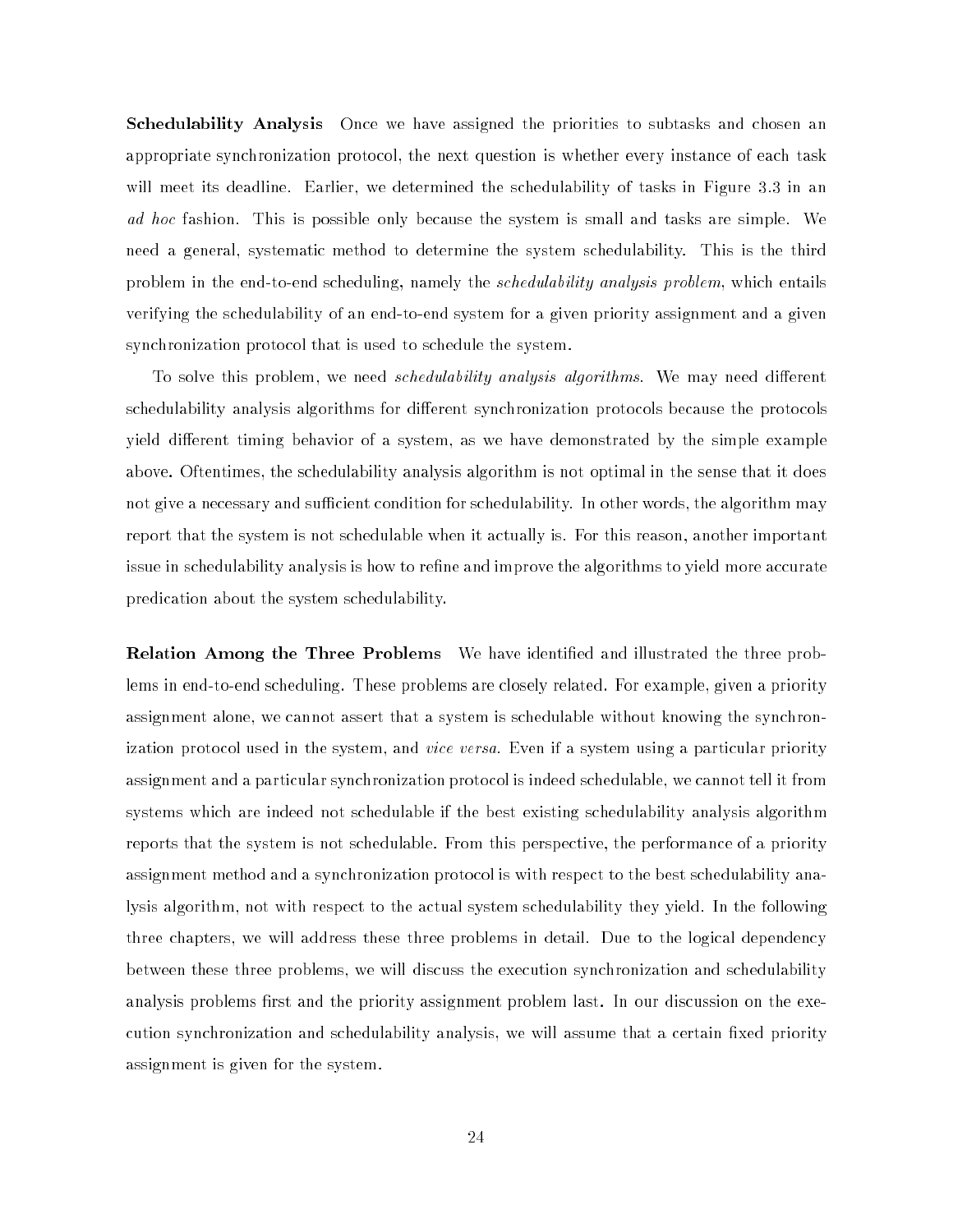**Schedulability Analysis** Once we have assigned the priorities to subtasks and chosen an appropriate synchronization protocol, the next question is whether every instance of each task will meet its deadline. Earlier, we determined the schedulability of tasks in Figure 3.3 in an ad hoc fashion. This is possible only because the system is small and tasks are simple. We need a general, systematic method to determine the system schedulability. This is the third problem in the end-to-end scheduling, namely the *schedulability analysis problem*, which entails verifying the schedulability of an end-to-end system for a given priority assignment and a given synchronization protocol that is used to schedule the system.

To solve this problem, we need *schedulability analysis algorithms*. We may need different schedulability analysis algorithms for different synchronization protocols because the protocols yield different timing behavior of a system, as we have demonstrated by the simple example above. Oftentimes, the schedulability analysis algorithm is not optimal in the sense that it does not give a necessary and sufficient condition for schedulability. In other words, the algorithm may report that the system is not schedulable when it actually is. For this reason, another important issue in schedulability analysis is how to refine and improve the algorithms to yield more accurate predication about the system schedulability.

Relation Among the Three Problems We have identied and illustrated the three problems in end-to-end scheduling. These problems are closely related. For example, given a priority assignment alone, we cannot assert that a system is schedulable without knowing the synchronization protocol used in the system, and *vice versa*. Even if a system using a particular priority assignment and a particular synchronization protocol is indeed schedulable, we cannot tell it from systems which are indeed not schedulable if the best existing schedulability analysis algorithm reports that the system is not schedulable. From this perspective, the performance of a priority assignment method and a synchronization protocol is with respect to the best schedulability analysis algorithm, not with respect to the actual system schedulability they yield. In the following three chapters, we will address these three problems in detail. Due to the logical dependency between these three problems, we will discuss the execution synchronization and schedulability analysis problems first and the priority assignment problem last. In our discussion on the execution synchronization and schedulability analysis, we will assume that a certain fixed priority assignment is given for the system.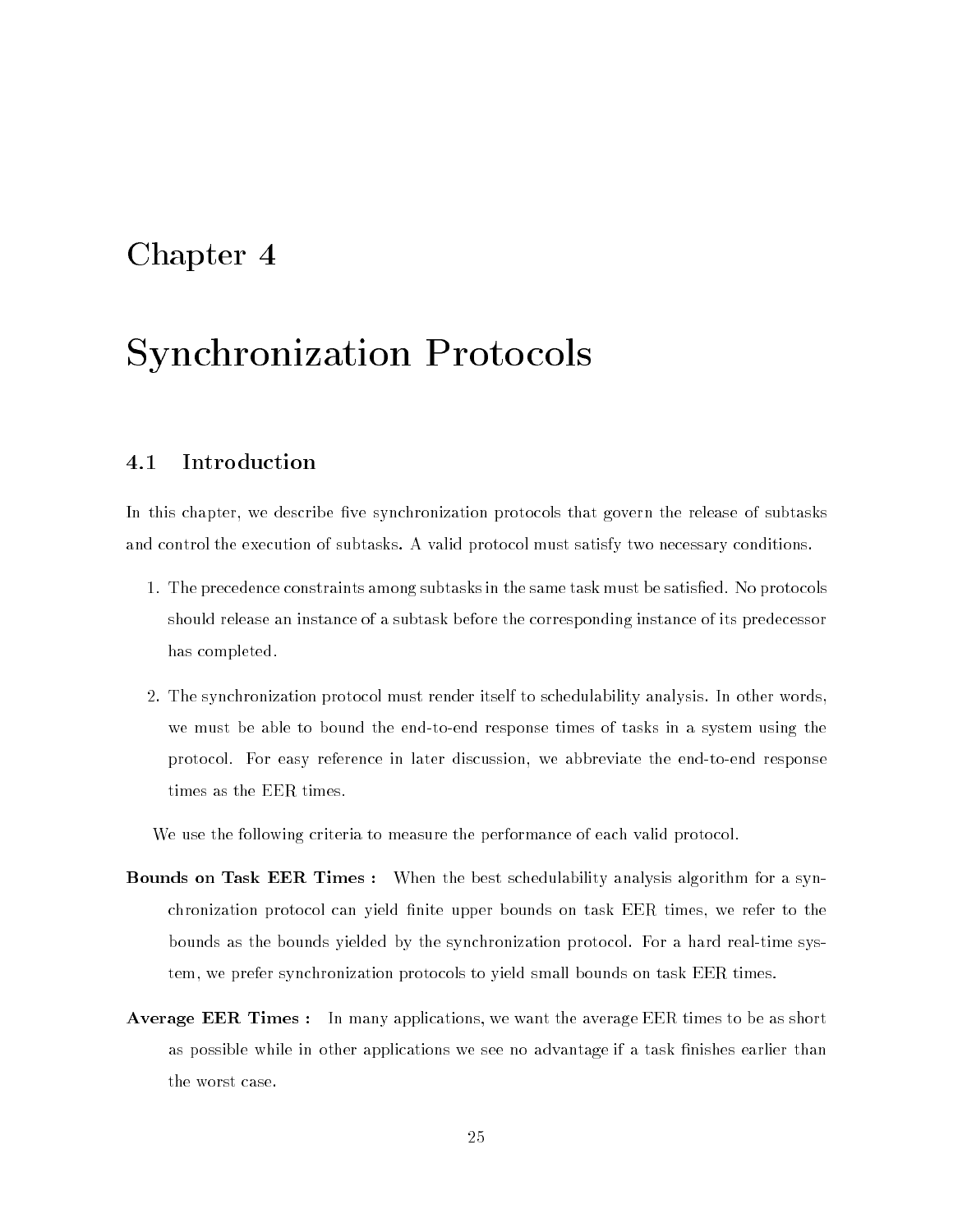# Chapter 4

# Synchronization Protocols

#### **Introduction** 4.1

In this chapter, we describe five synchronization protocols that govern the release of subtasks and control the execution of subtasks. A valid protocol must satisfy two necessary conditions.

- 1. The precedence constraints among subtasks in the same task must be satised. No protocols should release an instance of a subtask before the corresponding instance of its predecessor has completed.
- 2. The synchronization protocol must render itself to schedulability analysis. In other words, we must be able to bound the end-to-end response times of tasks in a system using the protocol. For easy reference in later discussion, we abbreviate the end-to-end response times as the EER times.

We use the following criteria to measure the performance of each valid protocol.

- **Bounds on Task EER Times :** When the best schedulability analysis algorithm for a synchronization protocol can yield finite upper bounds on task EER times, we refer to the bounds as the bounds yielded by the synchronization protocol. For a hard real-time system, we prefer synchronization protocols to yield small bounds on task EER times.
- Average EER Times : In many applications, we want the average EER times to be as short as possible while in other applications we see no advantage if a task finishes earlier than the worst case.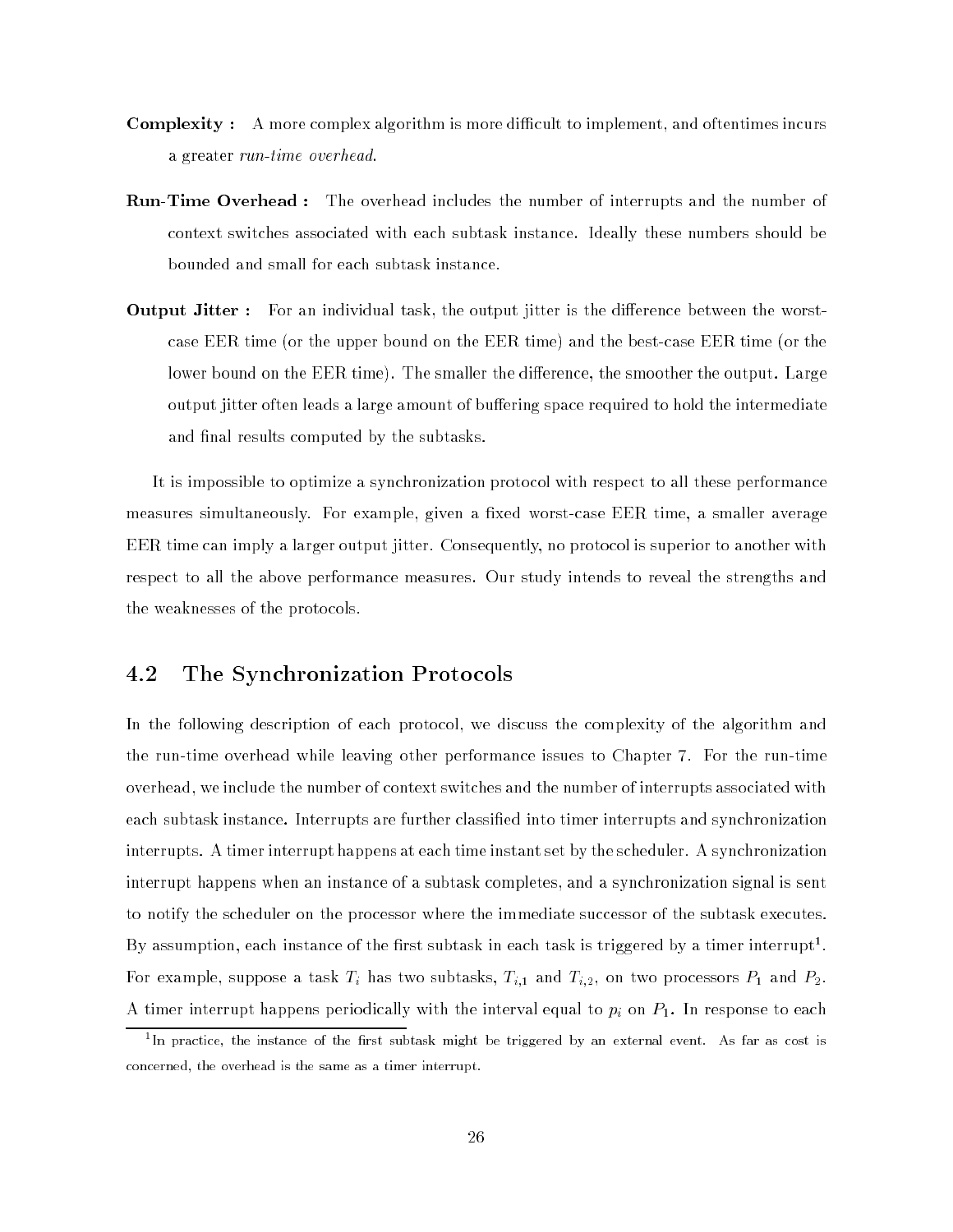- **Complexity** : A more complex algorithm is more difficult to implement, and oftentimes incurs a greater run-time overhead.
- $\rm{Run\text{-}Time\ Overhead: \ \ }$  The overhead includes the number of interrupts and the number of context switches associated with each subtask instance. Ideally these numbers should be bounded and small for each subtask instance.
- **Output Jitter**: For an individual task, the output jitter is the difference between the worstcase EER time (or the upper bound on the EER time) and the best-case EER time (or the lower bound on the EER time). The smaller the difference, the smoother the output. Large output jitter often leads a large amount of buffering space required to hold the intermediate and final results computed by the subtasks.

It is impossible to optimize a synchronization protocol with respect to all these performance measures simultaneously. For example, given a fixed worst-case EER time, a smaller average EER time can imply a larger output jitter. Consequently, no protocol is superior to another with respect to all the above performance measures. Our study intends to reveal the strengths and the weaknesses of the protocols.

# 4.2 The Synchronization Protocols

In the following description of each protocol, we discuss the complexity of the algorithm and the run-time overhead while leaving other performance issues to Chapter 7. For the run-time overhead, we include the number of context switches and the number of interrupts associated with each subtask instance. Interrupts are further classied into timer interrupts and synchronization interrupts. A timer interrupt happens at each time instant set by the scheduler. A synchronization interrupt happens when an instance of a subtask completes, and a synchronization signal is sent to notify the scheduler on the processor where the immediate successor of the subtask executes. By assumption, each instance of the first subtask in each task is triggered by a timer interrupt". For example, suppose a task Ti has two subtasks, Ti;1 and Ti;2, on two processors P1 and P2. A time interrupt happens periodically with the interval to pinal to pinal to pinal to pinal to pinal to each  $\alpha$ 

<sup>1</sup> In practice, the instance of the rst subtask might be triggered by an external event. As far as cost is concerned, the overhead is the same as a timer interrupt.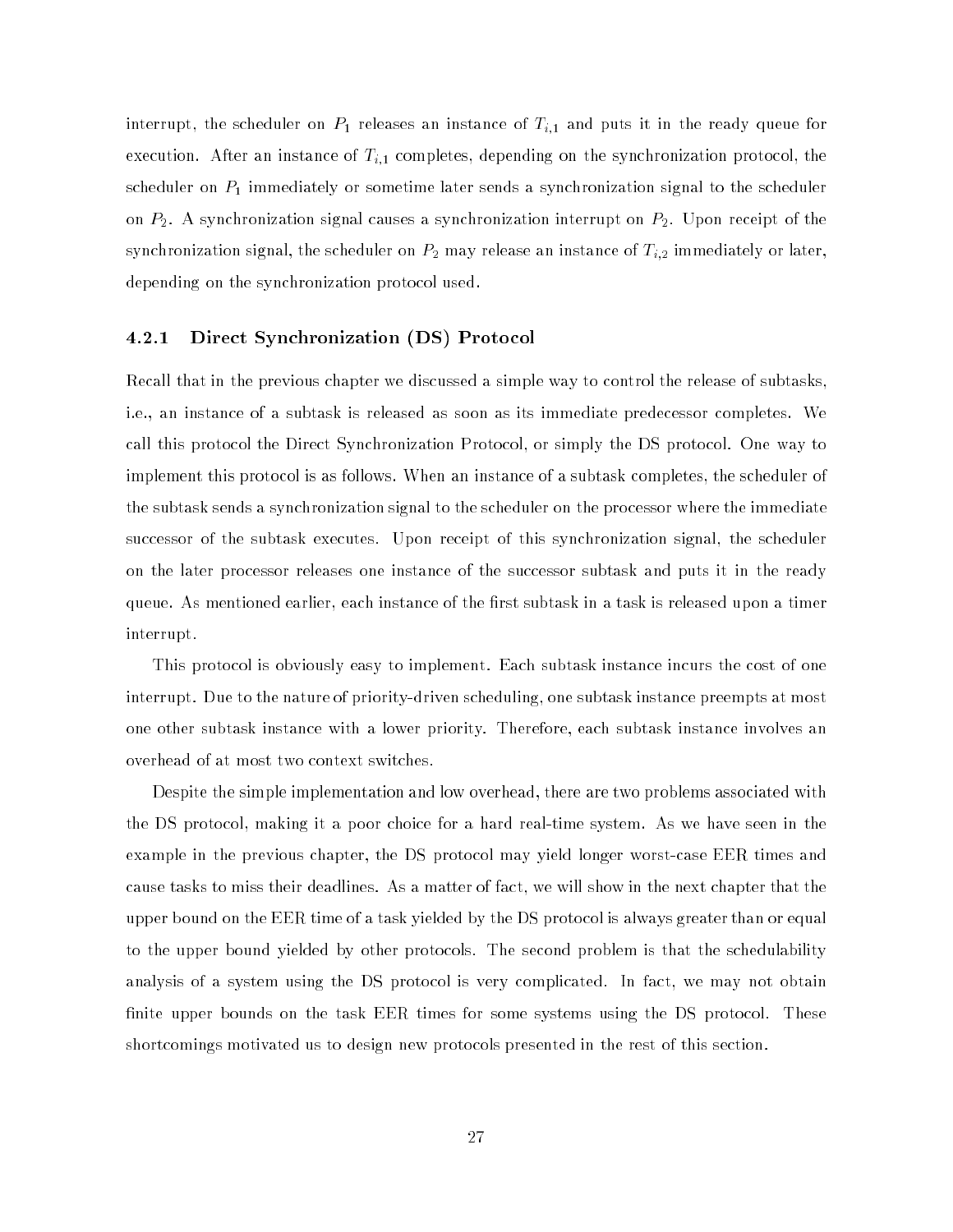interrupt, the scheduler on  $P_1$  releases an instance of  $T_{i,1}$  and puts it in the ready queue for execution. After an instance of  $T_{i,1}$  completes, depending on the synchronization protocol, the scheduler on  $P_1$  immediately or sometime later sends a synchronization signal to the scheduler on  $P_2$ . A synchronization signal causes a synchronization interrupt on  $P_2$ . Upon receipt of the synchronization signal, the scheduler on  $P_2$  may release an instance of  $T_{i,2}$  immediately or later, depending on the synchronization protocol used.

# 4.2.1 Direct Synchronization (DS) Protocol

Recall that in the previous chapter we discussed a simple way to control the release of subtasks, i.e., an instance of a subtask is released as soon as its immediate predecessor completes. We call this protocol the Direct Synchronization Protocol, or simply the DS protocol. One way to implement this protocol is as follows. When an instance of a subtask completes, the scheduler of the subtask sends a synchronization signal to the scheduler on the processor where the immediate successor of the subtask executes. Upon receipt of this synchronization signal, the scheduler on the later processor releases one instance of the successor subtask and puts it in the ready queue. As mentioned earlier, each instance of the first subtask in a task is released upon a timer interrupt.

This protocol is obviously easy to implement. Each subtask instance incurs the cost of one interrupt. Due to the nature of priority-driven scheduling, one subtask instance preempts at most one other subtask instance with a lower priority. Therefore, each subtask instance involves an overhead of at most two context switches.

Despite the simple implementation and low overhead, there are two problems associated with the DS protocol, making it a poor choice for a hard real-time system. As we have seen in the example in the previous chapter, the DS protocol may yield longer worst-case EER times and cause tasks to miss their deadlines. As a matter of fact, we will show in the next chapter that the upper bound on the EER time of a task yielded by the DS protocol is always greater than or equal to the upper bound yielded by other protocols. The second problem is that the schedulability analysis of a system using the DS protocol is very complicated. In fact, we may not obtain nite upper bounds on the task EER times for some systems using the DS protocol. These shortcomings motivated us to design new protocols presented in the rest of this section.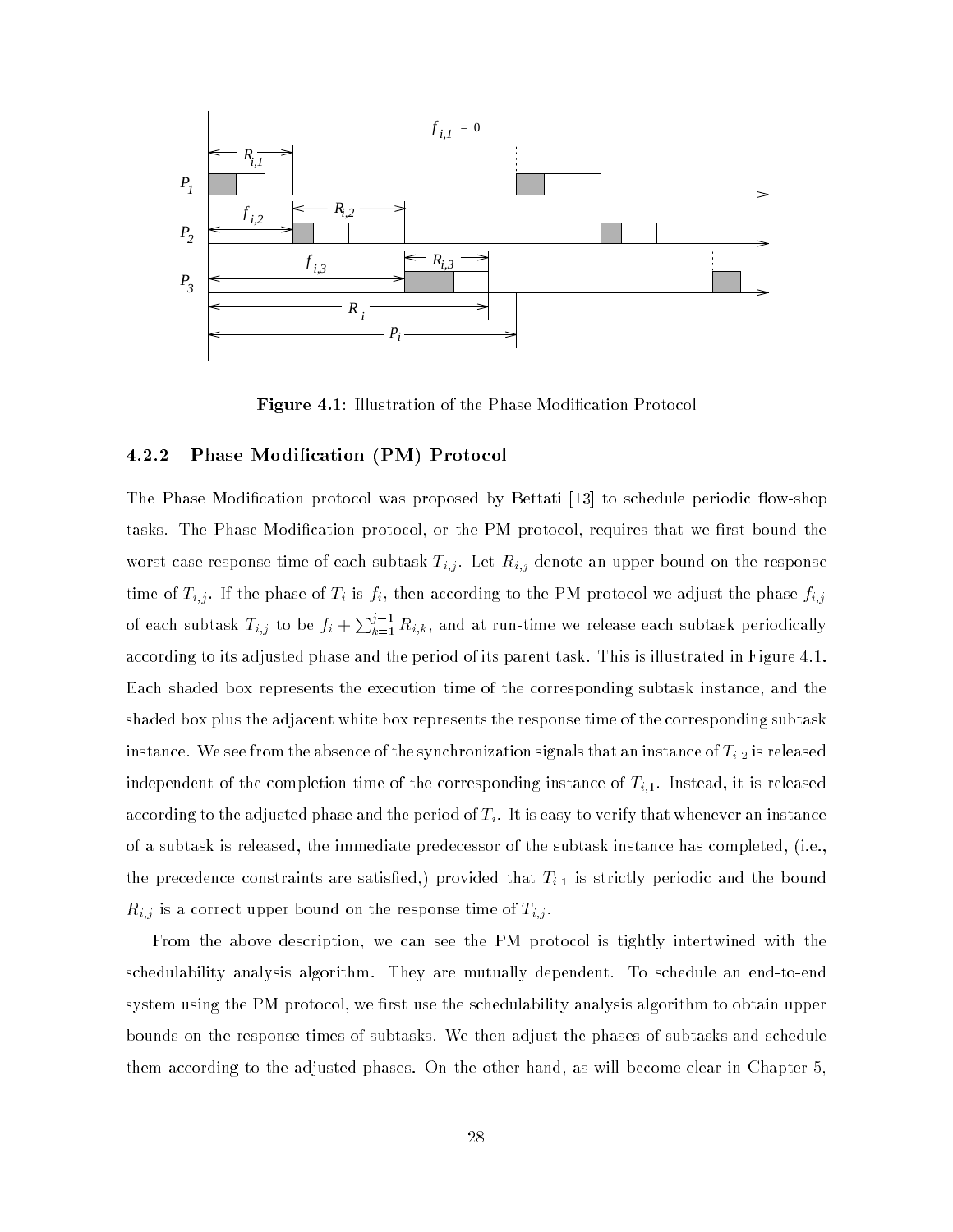

Figure 4.1: Illustration of the Phase Modication Protocol

## 4.2.2 Phase Modication (PM) Protocol

The Phase Modification protocol was proposed by Bettati [13] to schedule periodic flow-shop tasks. The Phase Modification protocol, or the PM protocol, requires that we first bound the worst-case response time of each subtask Ti;j . Let Ri;j denote an upper bound on the response time of Ti;j . If the phase of Ti is ji;j . If the according to the PM protocol we adjust the phase fi;j of each subtask  $T_{i,j}$  to be  $f_i + \sum_{k=1}^{j-1} R_{i,k}$ , and at run-time we release each subtask periodically according to its adjusted phase and the period of its parent task. This is illustrated in Figure 4.1. Each shaded box represents the execution time of the corresponding subtask instance, and the shaded box plus the adjacent white box represents the response time of the corresponding subtask instance. We see from the absence of the synchronization signals that an instance of  $T_{i,2}$  is released independent of the completion time of the corresponding instance of  $T_{i,1}$ . Instead, it is released according to the adjusted phase and the period of  $T_i$ . It is easy to verify that whenever an instance of a subtask is released, the immediate predecessor of the subtask instance has completed, (i.e., the precedence constraints are satisfied,) provided that  $T_{i,1}$  is strictly periodic and the bound  $\mathbb{R}^n$  is a correct upper bound on the response time of Ti; . The response time of Ti; . The response time of Ti;

From the above description, we can see the PM protocol is tightly intertwined with the schedulability analysis algorithm. They are mutually dependent. To schedule an end-to-end system using the PM protocol, we first use the schedulability analysis algorithm to obtain upper bounds on the response times of subtasks. We then adjust the phases of subtasks and schedule them according to the adjusted phases. On the other hand, as will become clear in Chapter 5,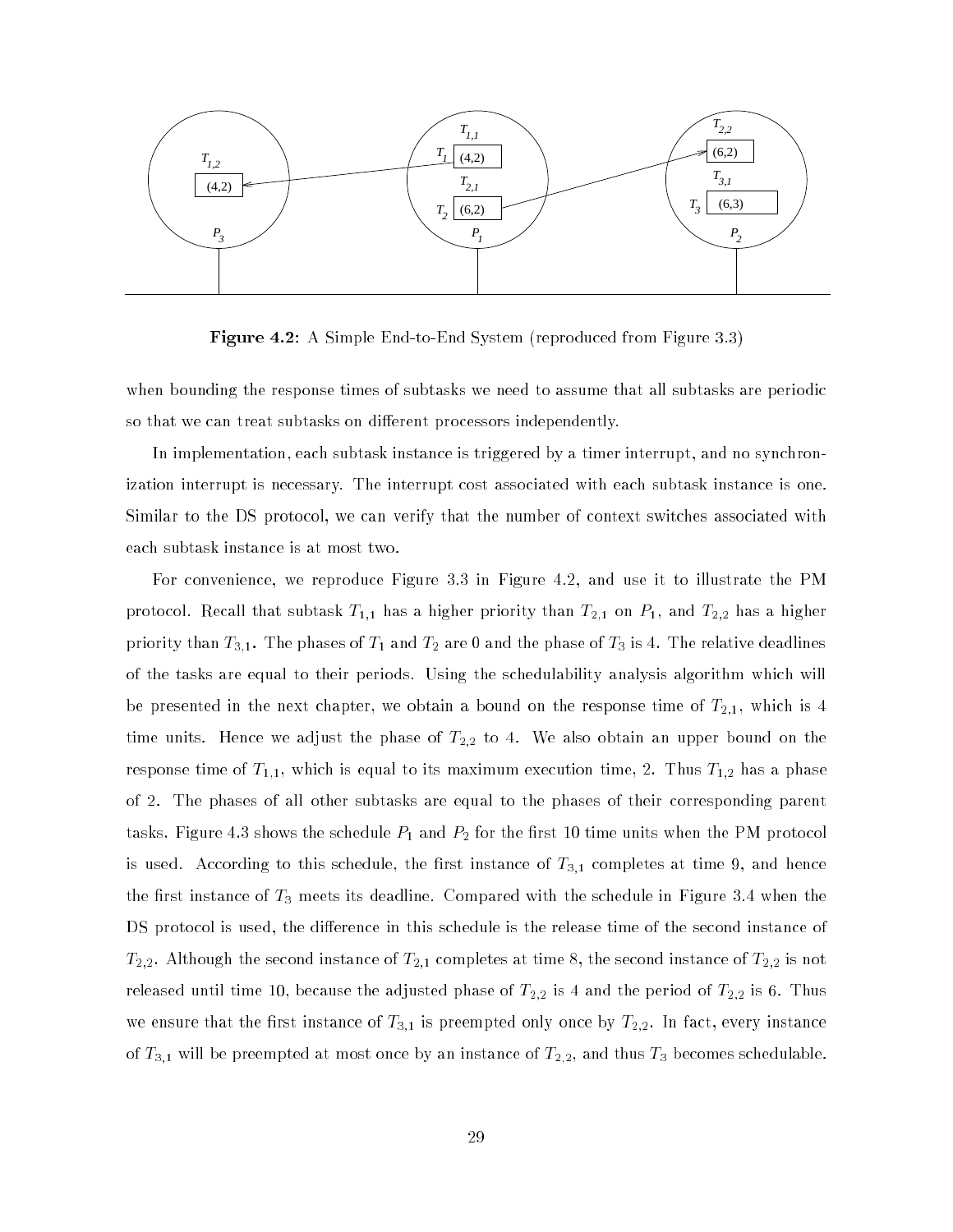

**Figure 4.2:** A Simple End-to-End System (reproduced from Figure 3.3)

when bounding the response times of subtasks we need to assume that all subtasks are periodic so that we can treat subtasks on different processors independently.

In implementation, each subtask instance is triggered by a timer interrupt, and no synchronization interrupt is necessary. The interrupt cost associated with each subtask instance is one. Similar to the DS protocol, we can verify that the number of context switches associated with each subtask instance is at most two.

For convenience, we reproduce Figure 3.3 in Figure 4.2, and use it to illustrate the PM protocol. Recall that subtask  $T_{1,1}$  has a higher priority than  $T_{2,1}$  on  $P_1,$  and  $T_{2,2}$  has a higher priority than  $T_{3,1}.$  The phases of  $T_1$  and  $T_2$  are 0 and the phase of  $T_3$  is 4. The relative deadlines of the tasks are equal to their periods. Using the schedulability analysis algorithm which will be presented in the next chapter, we obtain a bound on the response time of  $T_{2,1},$  which is 4  $\,$ time units. Hence we adjust the phase of  $T_{2,2}$  to 4. We also obtain an upper bound on the response time of  $T_{1,1},$  which is equal to its maximum execution time, 2. Thus  $T_{1,2}$  has a phase of 2. The phases of all other subtasks are equal to the phases of their corresponding parent tasks. Figure 4.3 shows the schedule  $P_1$  and  $P_2$  for the first 10 time units when the PM protocol is used. According to this schedule, the first instance of  $T_{3,1}$  completes at time 9, and hence the first instance of  $T_3$  meets its deadline. Compared with the schedule in Figure 3.4 when the DS protocol is used, the difference in this schedule is the release time of the second instance of  $T_{2,2}$ . Although the second instance of  $T_{2,1}$  completes at time 8, the second instance of  $T_{2,2}$  is not released until time 10, because the adjusted phase of  $T_{2,2}$  is 4 and the period of  $T_{2,2}$  is 6. Thus we ensure that the first instance of  $T_{3,1}$  is preempted only once by  $T_{2,2}$ . In fact, every instance of  $T_{3,1}$  will be preempted at most once by an instance of  $T_{2,2}$ , and thus  $T_3$  becomes schedulable.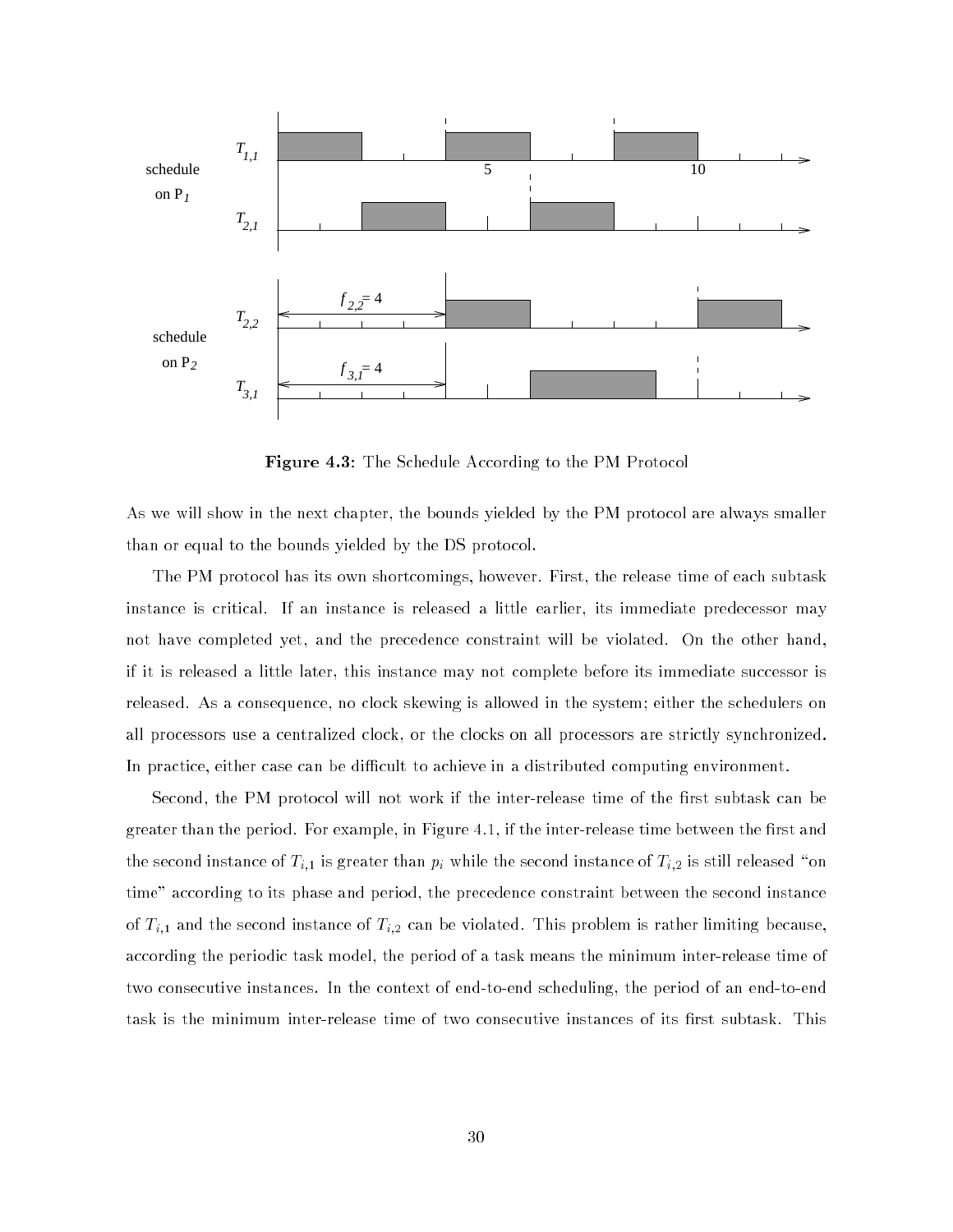

Figure 4.3: The Schedule According to the PM Protocol

As we will show in the next chapter, the bounds yielded by the PM protocol are always smaller than or equal to the bounds yielded by the DS protocol.

The PM protocol has its own shortcomings, however. First, the release time of each subtask instance is critical. If an instance is released a little earlier, its immediate predecessor may not have completed yet, and the precedence constraint will be violated. On the other hand, if it is released a little later, this instance may not complete before its immediate successor is released. As a consequence, no clock skewing is allowed in the system; either the schedulers on all processors use a centralized clock, or the clocks on all processors are strictly synchronized. In practice, either case can be difficult to achieve in a distributed computing environment.

Second, the PM protocol will not work if the inter-release time of the first subtask can be greater than the period. For example, in Figure 4.1, if the inter-release time between the first and the second instance of  $T_{i,1}$  is greater than  $p_i$  while the second instance of  $T_{i,2}$  is still released "on time" according to its phase and period, the precedence constraint between the second instance of  $T_{i,1}$  and the second instance of  $T_{i,2}$  can be violated. This problem is rather limiting because, according the periodic task model, the period of a task means the minimum inter-release time of two consecutive instances. In the context of end-to-end scheduling, the period of an end-to-end task is the minimum inter-release time of two consecutive instances of its first subtask. This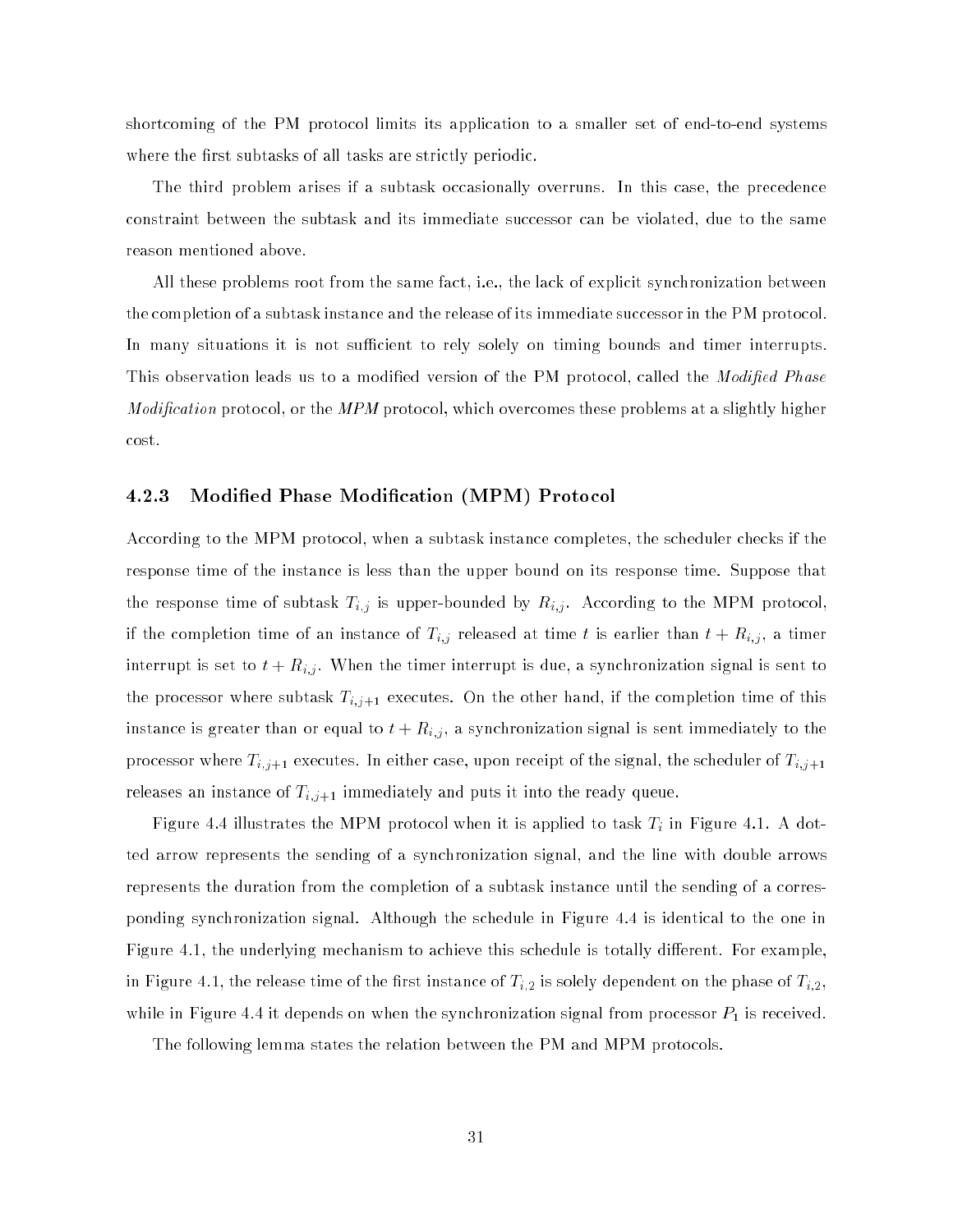shortcoming of the PM protocol limits its application to a smaller set of end-to-end systems where the first subtasks of all tasks are strictly periodic.

The third problem arises if a subtask occasionally overruns. In this case, the precedence constraint between the subtask and its immediate successor can be violated, due to the same reason mentioned above.

All these problems root from the same fact, i.e., the lack of explicit synchronization between the completion of a subtask instance and the release of its immediate successor in the PM protocol. In many situations it is not sufficient to rely solely on timing bounds and timer interrupts. This observation leads us to a modified version of the PM protocol, called the *Modified Phase Modification* protocol, or the *MPM* protocol, which overcomes these problems at a slightly higher cost.

# 4.2.3 Modied Phase Modication (MPM) Protocol

According to the MPM protocol, when a subtask instance completes, the scheduler checks if the response time of the instance is less than the upper bound on its response time. Suppose that the response time of subtask Time of subtask Time  $\mu$ ; . According to the MPM protocol, according to the MPM protocol, and MPM protocol, according to the MPM protocol, according to the MPM protocol, according to the MPM if the completion time of an instance of Ti;j released at time <sup>t</sup> is earlier than <sup>t</sup> <sup>+</sup> Ri;j , <sup>a</sup> timer interrupt is set to t + Ri;j . When the timer interrupt is due, a synchronization signal is sent to the processor where subtask  $T_{i,j+1}$  executes. On the other hand, if the completion time of this instance is greater than or equal to t + Ri;j , a synchronization signal is sent immediately to the processor where  $T_{i,j+1}$  executes. In either case, upon receipt of the signal, the scheduler of  $T_{i,j+1}$ releases an instance of  $T_{i,j+1}$  immediately and puts it into the ready queue.

Figure 4.4 is applied to task Times the MPM protocol when it is applied to task Times  $\mu$  in Figure 4.1. A dotted arrow represents the sending of a synchronization signal, and the line with double arrows represents the duration from the completion of a subtask instance until the sending of a corresponding synchronization signal. Although the schedule in Figure 4.4 is identical to the one in Figure 4.1, the underlying mechanism to achieve this schedule is totally different. For example, in Figure 4.1, the release time of the first instance of  $T_{i,2}$  is solely dependent on the phase of  $T_{i,2}$ , while in Figure 4.4 it depends on when the synchronization signal from processor  $P_1$  is received.

The following lemma states the relation between the PM and MPM protocols.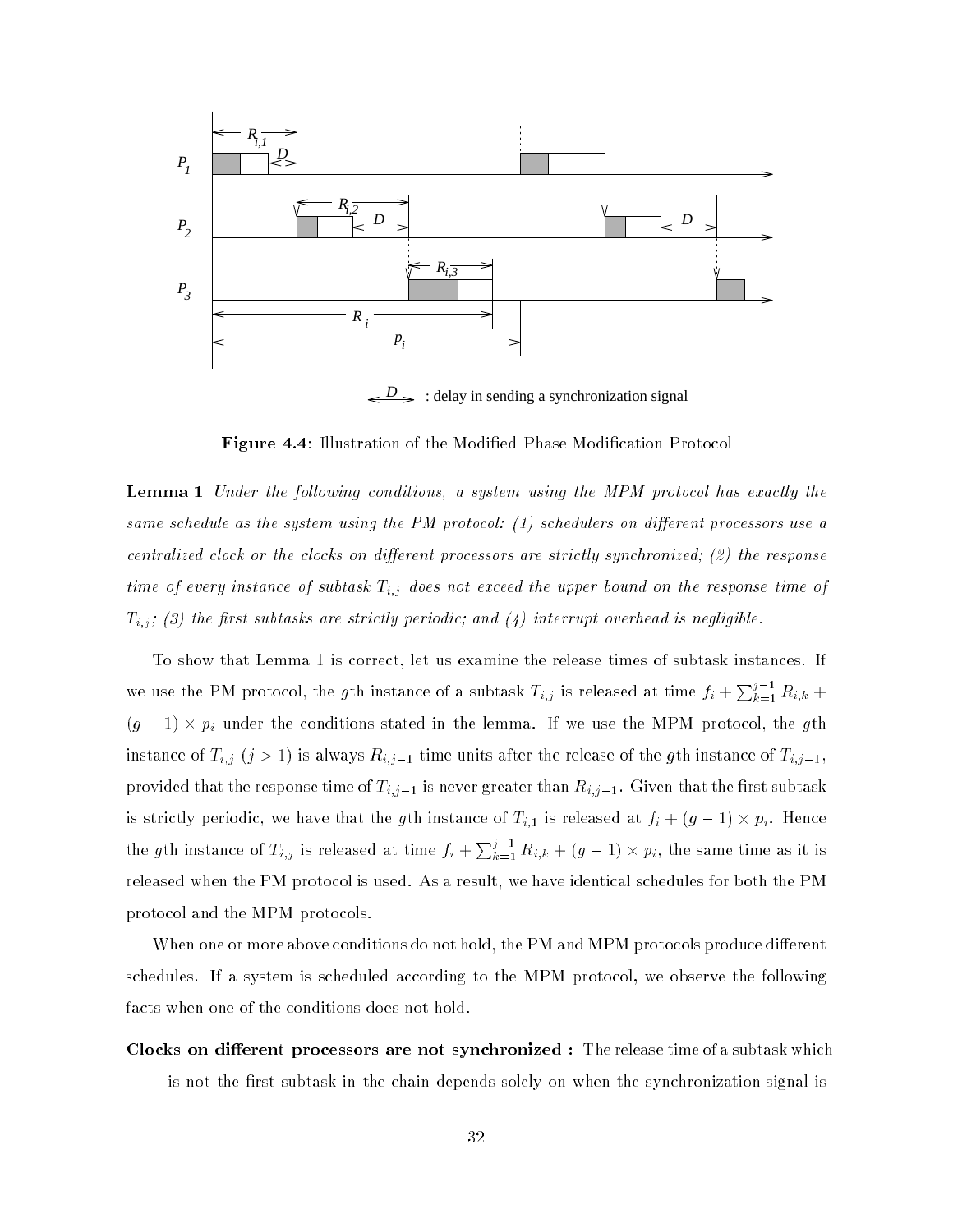

: delay in sending a synchronization signal *D*

**Figure 4.4:** Illustration of the Modified Phase Modification Protocol

**Lemma 1** Under the following conditions, a system using the MPM protocol has exactly the same schedule as the system using the PM protocol:  $(1)$  schedulers on different processors use a centralized clock or the clocks on different processors are strictly synchronized; (2) the response time of subtasting instance of subtasting the upper bound on the upper bound on the upper bound on the upper bound on the upper bound on the upper bound on the upper bound on the upper bound on the upper bound on the uppe Ti;j ; (3) the rst subtasks are strictly periodic; and (4) interrupt overhead is negligible.

To show that Lemma 1 is correct, let us examine the release times of subtask instances. If we use the PM protocol, the gth instance of a subtask  $T_{i,j}$  is released at time  $f_i + \sum_{k=1}^{j-1} R_{i,k}$  + (g 1) - pi under the conditions stated in the lemma. If we use the MPM protocol, the gth instance of Ti; instance of Ti; instance of the release of the release of the gth instance of the gth instance of Ti; provided that the response time of  $T_{i,j-1}$  is never greater than  $R_{i,j-1}.$  Given that the first subtask is strictly periodic, we have that the gth instance of Ti;1 is released at fi + (g 1) - pi. Hence the gth instance of  $T_{i,j}$  is released at time  $f_i + \sum_{k=1}^{j-1} R_{i,k} + (g-1) \times p_i$ , the same time as it is released when the PM protocol is used. As a result, we have identical schedules for both the PM protocol and the MPM protocols.

When one or more above conditions do not hold, the PM and MPM protocols produce different schedules. If a system is scheduled according to the MPM protocol, we observe the following facts when one of the conditions does not hold.

Clocks on different processors are not synchronized : The release time of a subtask which is not the first subtask in the chain depends solely on when the synchronization signal is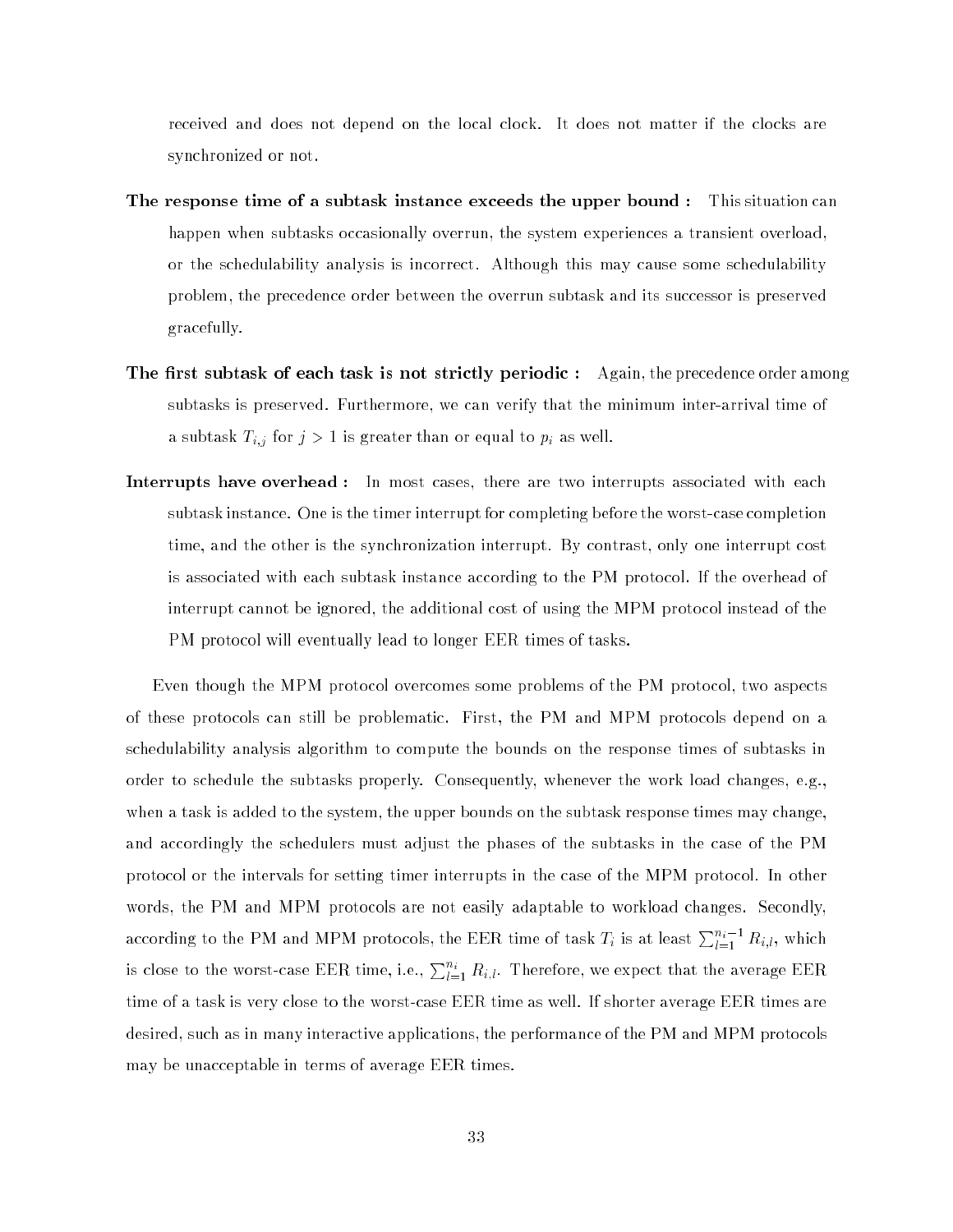received and does not depend on the local clock. It does not matter if the clocks are synchronized or not.

- The response time of a subtask instance exceeds the upper bound : This situation can happen when subtasks occasionally overrun, the system experiences a transient overload, or the schedulability analysis is incorrect. Although this may cause some schedulability problem, the precedence order between the overrun subtask and its successor is preserved gracefully.
- The first subtask of each task is not strictly periodic : Again, the precedence order among subtasks is preserved. Furthermore, we can verify that the minimum inter-arrival time of and the subtast Times Times Times Times Times Times Times Times Times Times Times Times Times Times Times Times
- **Interrupts have overhead:** In most cases, there are two interrupts associated with each subtask instance. One is the timer interrupt for completing before the worst-case completion time, and the other is the synchronization interrupt. By contrast, only one interrupt cost is associated with each subtask instance according to the PM protocol. If the overhead of interrupt cannot be ignored, the additional cost of using the MPM protocol instead of the PM protocol will eventually lead to longer EER times of tasks.

Even though the MPM protocol overcomes some problems of the PM protocol, two aspects of these protocols can still be problematic. First, the PM and MPM protocols depend on a schedulability analysis algorithm to compute the bounds on the response times of subtasks in order to schedule the subtasks properly. Consequently, whenever the work load changes, e.g., when a task is added to the system, the upper bounds on the subtask response times may change, and accordingly the schedulers must adjust the phases of the subtasks in the case of the PM protocol or the intervals for setting timer interrupts in the case of the MPM protocol. In other words, the PM and MPM protocols are not easily adaptable to workload changes. Secondly, according to the PM and MPM protocols, the EER time of task  $T_i$  is at least  $\sum_{l=1}^{n_i-1} R_{i,l}$ , which is close to the worst-case EER time, i.e.,  $\sum_{l=1}^{n_i} R_{i,l}$ . Therefore, we expect that the average EER time of a task is very close to the worst-case EER time as well. If shorter average EER times are desired, such as in many interactive applications, the performance of the PM and MPM protocols may be unacceptable in terms of average EER times.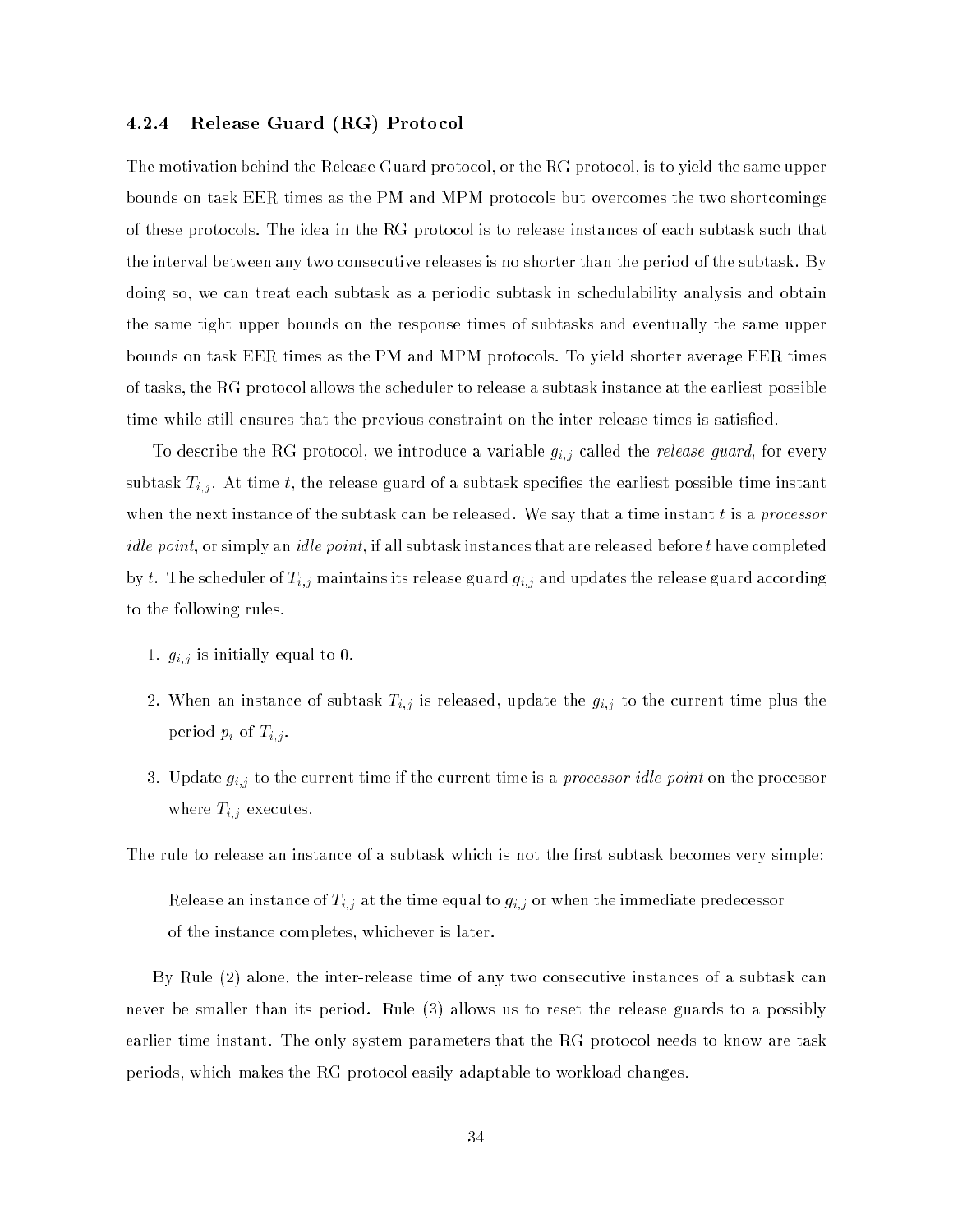# 4.2.4 Release Guard (RG) Protocol

The motivation behind the Release Guard protocol, or the RG protocol, is to yield the same upper bounds on task EER times as the PM and MPM protocols but overcomes the two shortcomings of these protocols. The idea in the RG protocol is to release instances of each subtask such that the interval between any two consecutive releases is no shorter than the period of the subtask. By doing so, we can treat each subtask as a periodic subtask in schedulability analysis and obtain the same tight upper bounds on the response times of subtasks and eventually the same upper bounds on task EER times as the PM and MPM protocols. To yield shorter average EER times of tasks, the RG protocol allows the scheduler to release a subtask instance at the earliest possible time while still ensures that the previous constraint on the inter-release times is satisfied.

To describe the RG protocol, we introduce a variable given a variable given given  $q$  and  $r$  events guard, for every  $q$ subtask Ti;j . At time transformation of a subtast specific time instant possible time instant possible time instant possible time instant possible time instant possible time instant possible time instant possible time in when the next instance of the subtask can be released. We say that a time instant  $t$  is a processor *idle point*, or simply an *idle point*, if all subtask instances that are released before  $t$  have completed by t. The scheduler of Ti;j maintains its release guard gi;j and updates the release guard according to the following rules.

- 1. gi;j is initially equal to 0.
- $2.9.01$  and the instance of subtance  $\sim$   $\mu$ ; is released by the current  $g_{i,j}$  to the current time plus the period pi of Ti;j .
- 3. Update gi;j to the current time if the current time is a processor id le point on the processor where  $\mathbf{r} = \mathbf{r}_i$  , where  $\mathbf{r}_i$  are  $\mathbf{r}_i$

The rule to release an instance of a subtask which is not the first subtask becomes very simple:

release and instance of time equal to gi; at the time equal to gi; or when the immediate predecessor  $\mathcal{V}$ of the instance completes, whichever is later.

By Rule (2) alone, the inter-release time of any two consecutive instances of a subtask can never be smaller than its period. Rule (3) allows us to reset the release guards to a possibly earlier time instant. The only system parameters that the RG protocol needs to know are task periods, which makes the RG protocol easily adaptable to workload changes.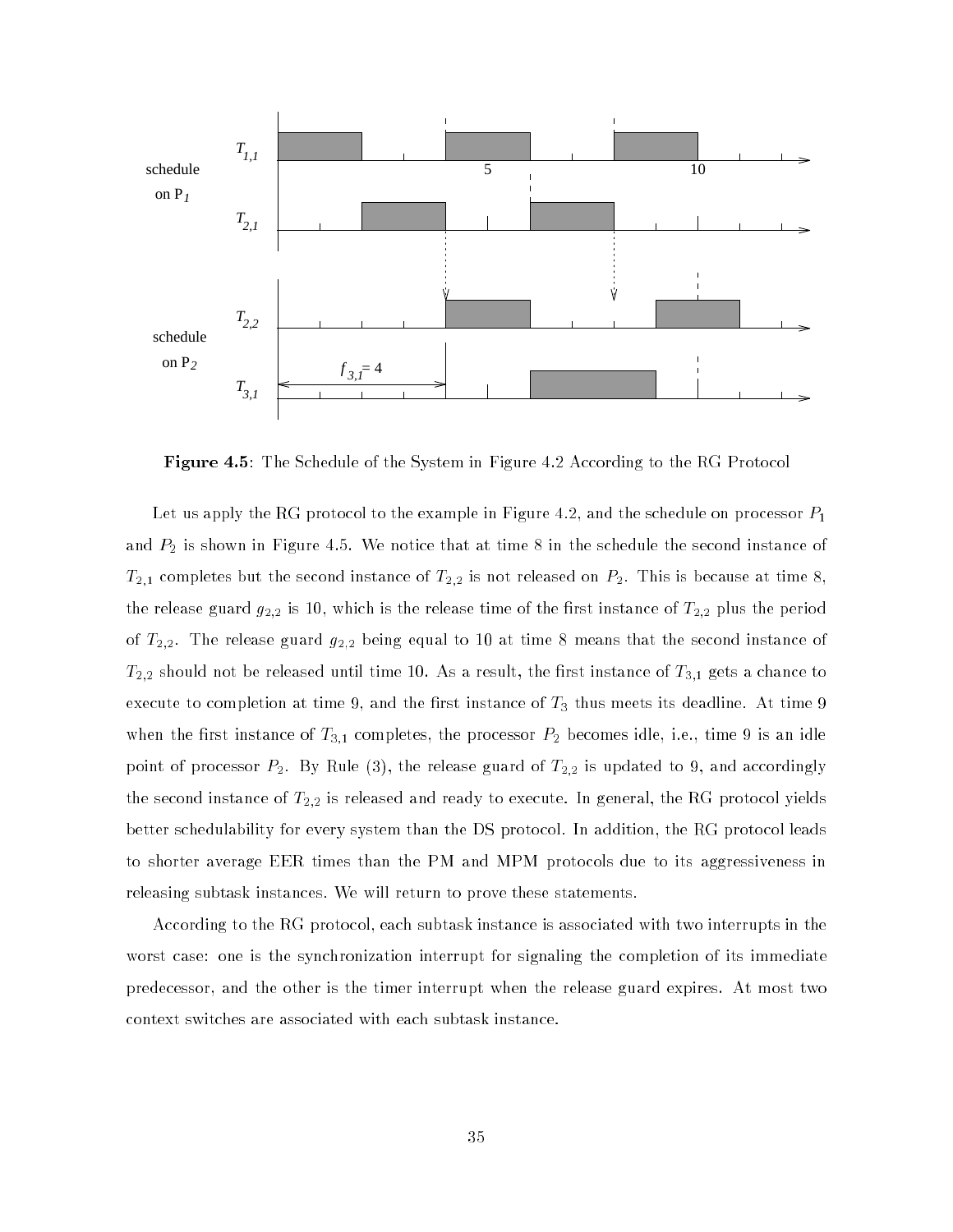

Figure 4.5: The Schedule of the System in Figure 4.2 According to the RG Protocol

Let us apply the RG protocol to the example in Figure 4.2, and the schedule on processor  $P_1$ and  $P_2$  is shown in Figure 4.5. We notice that at time 8 in the schedule the second instance of  $T_{2,1}$  completes but the second instance of  $T_{2,2}$  is not released on  $P_2$ . This is because at time 8, the release guard  $g_{2,2}$  is 10, which is the release time of the first instance of  $T_{2,2}$  plus the period of  $T_{2,2}$ . The release guard  $g_{2,2}$  being equal to 10 at time 8 means that the second instance of  $T_{2,2}$  should not be released until time 10. As a result, the first instance of  $T_{3,1}$  gets a chance to execute to completion at time 9, and the first instance of  $T_3$  thus meets its deadline. At time 9 when the first instance of  $T_{3,1}$  completes, the processor  $P_2$  becomes idle, i.e., time 9 is an idle point of processor  $P_2$ . By Rule (3), the release guard of  $T_{2,2}$  is updated to 9, and accordingly the second instance of  $T_{2,2}$  is released and ready to execute. In general, the RG protocol yields better schedulability for every system than the DS protocol. In addition, the RG protocol leads to shorter average EER times than the PM and MPM protocols due to its aggressiveness in releasing subtask instances. We will return to prove these statements.

According to the RG protocol, each subtask instance is associated with two interrupts in the worst case: one is the synchronization interrupt for signaling the completion of its immediate predecessor, and the other is the timer interrupt when the release guard expires. At most two context switches are associated with each subtask instance.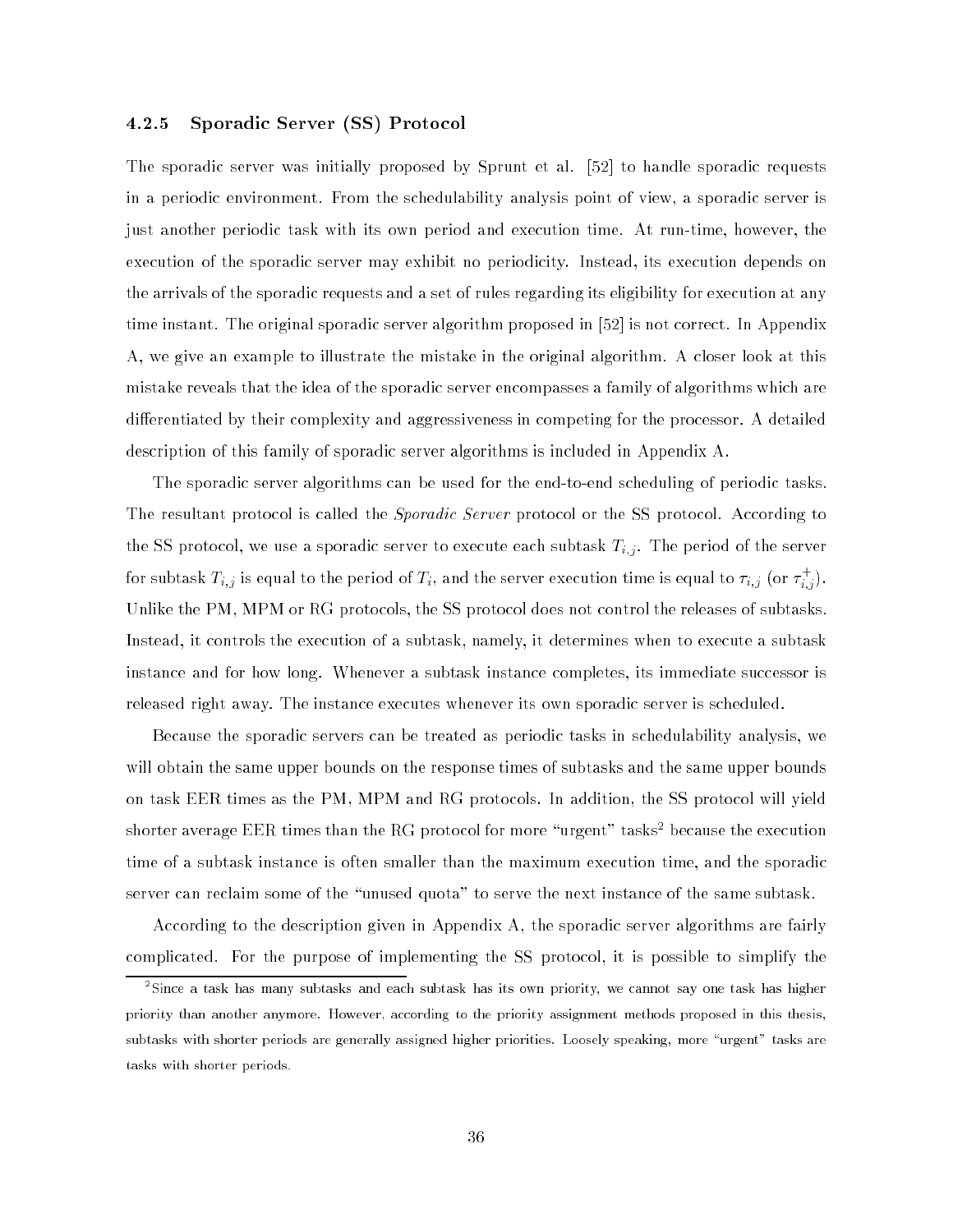# 4.2.5 Sporadic Server (SS) Protocol

The sporadic server was initially proposed by Sprunt et al. [52] to handle sporadic requests in a periodic environment. From the schedulability analysis point of view, a sporadic server is just another periodic task with its own period and execution time. At run-time, however, the execution of the sporadic server may exhibit no periodicity. Instead, its execution depends on the arrivals of the sporadic requests and a set of rules regarding its eligibility for execution at any time instant. The original sporadic server algorithm proposed in [52] is not correct. In Appendix A, we give an example to illustrate the mistake in the original algorithm. A closer look at this mistake reveals that the idea of the sporadic server encompasses a family of algorithms which are differentiated by their complexity and aggressiveness in competing for the processor. A detailed description of this family of sporadic server algorithms is included in Appendix A.

The sporadic server algorithms can be used for the end-to-end scheduling of periodic tasks. The resultant protocol is called the *Sporadic Server* protocol or the SS protocol. According to the SS protocol, we use a sportate server to execute each subtast Time that  $\mathbb{F}_k$  , the mean of the server for subtask  $T_{i,j}$  is equal to the period of  $T_i,$  and the server execution time is equal to  $\tau_{i,j}$  (or  $\tau_{i,j}^*$  ). Unlike the PM, MPM or RG protocols, the SS protocol does not control the releases of subtasks. Instead, it controls the execution of a subtask, namely, it determines when to execute a subtask instance and for how long. Whenever a subtask instance completes, its immediate successor is released right away. The instance executes whenever its own sporadic server is scheduled.

Because the sporadic servers can be treated as periodic tasks in schedulability analysis, we will obtain the same upper bounds on the response times of subtasks and the same upper bounds on task EER times as the PM, MPM and RG protocols. In addition, the SS protocol will yield  $\frac{1}{2}$ shorter average EER times than the RG protocol for more  $\frac{1}{2}$  urgent  $\frac{1}{2}$  tasks because the execution time of a subtask instance is often smaller than the maximum execution time, and the sporadic server can reclaim some of the "unused quota" to serve the next instance of the same subtask.

According to the description given in Appendix A, the sporadic server algorithms are fairly complicated. For the purpose of implementing the SS protocol, it is possible to simplify the

<sup>2</sup> Since a task has many subtasks and each subtask has its own priority, we cannot say one task has higher priority than another anymore. However, according to the priority assignment methods proposed in this thesis, subtasks with shorter periods are generally assigned higher priorities. Loosely speaking, more "urgent" tasks are tasks with shorter periods.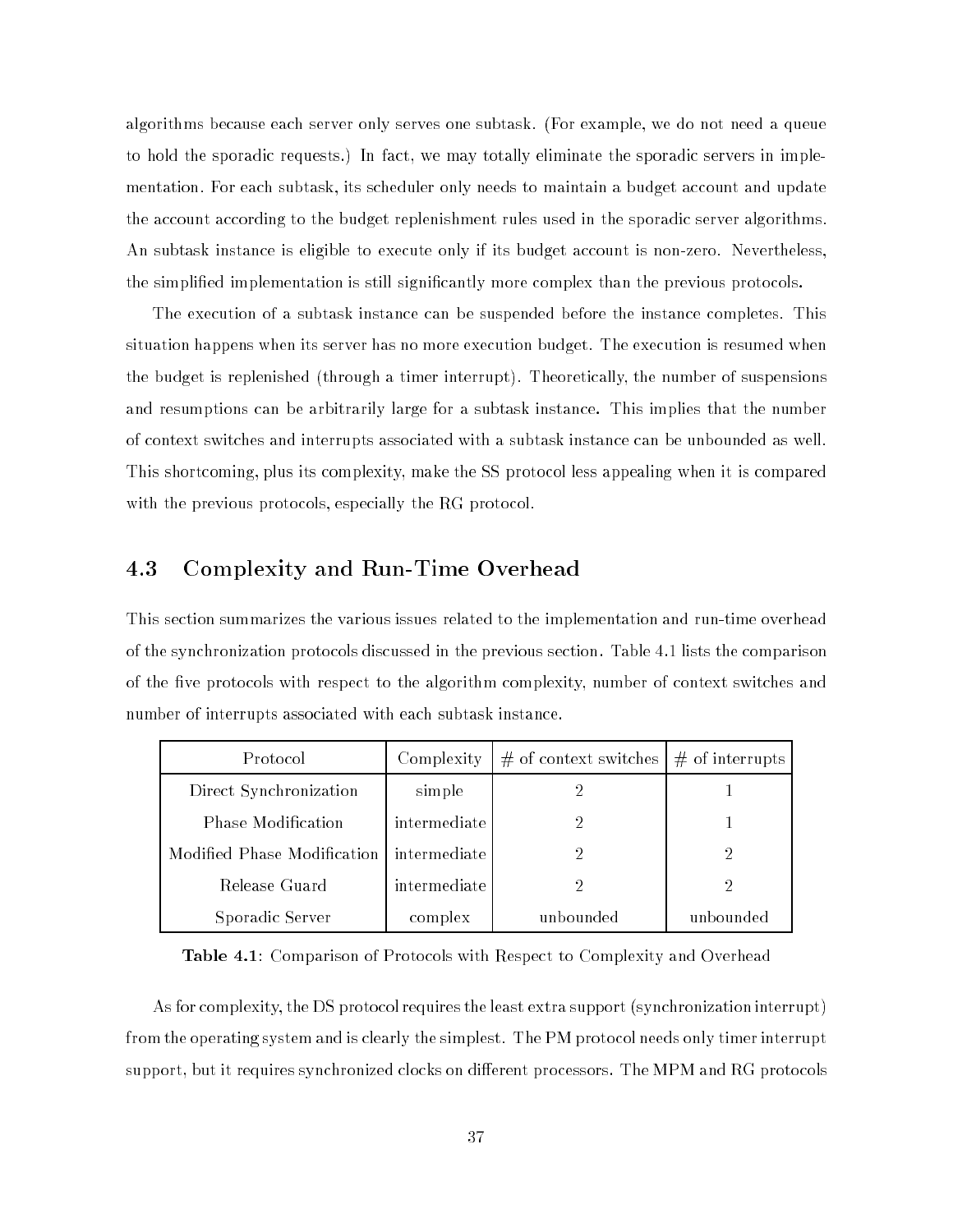algorithms because each server only serves one subtask. (For example, we do not need a queue to hold the sporadic requests.) In fact, we may totally eliminate the sporadic servers in implementation. For each subtask, its scheduler only needs to maintain a budget account and update the account according to the budget replenishment rules used in the sporadic server algorithms. An subtask instance is eligible to execute only if its budget account is non-zero. Nevertheless, the simplied implementation is still signicantly more complex than the previous protocols.

The execution of a subtask instance can be suspended before the instance completes. This situation happens when its server has no more execution budget. The execution is resumed when the budget is replenished (through a timer interrupt). Theoretically, the number of suspensions and resumptions can be arbitrarily large for a subtask instance. This implies that the number of context switches and interrupts associated with a subtask instance can be unbounded as well. This shortcoming, plus its complexity, make the SS protocol less appealing when it is compared with the previous protocols, especially the RG protocol.

#### 4.3 Complexity and Run-Time Overhead

This section summarizes the various issues related to the implementation and run-time overhead of the synchronization protocols discussed in the previous section. Table 4.1 lists the comparison of the five protocols with respect to the algorithm complexity, number of context switches and number of interrupts associated with each subtask instance.

| Protocol                    | Complexity   | $\#$ of context switches | $#$ of interrupts |
|-----------------------------|--------------|--------------------------|-------------------|
| Direct Synchronization      | simple       |                          |                   |
| Phase Modification          | intermediate |                          |                   |
| Modified Phase Modification | intermediate |                          | 2                 |
| Release Guard               | intermediate | 2                        | 2                 |
| Sporadic Server             | complex      | unbounded                | unbounded         |

Table 4.1: Comparison of Protocols with Respect to Complexity and Overhead

As for complexity, the DS protocol requires the least extra support (synchronization interrupt) from the operating system and is clearly the simplest. The PM protocol needs only timer interrupt support, but it requires synchronized clocks on different processors. The MPM and RG protocols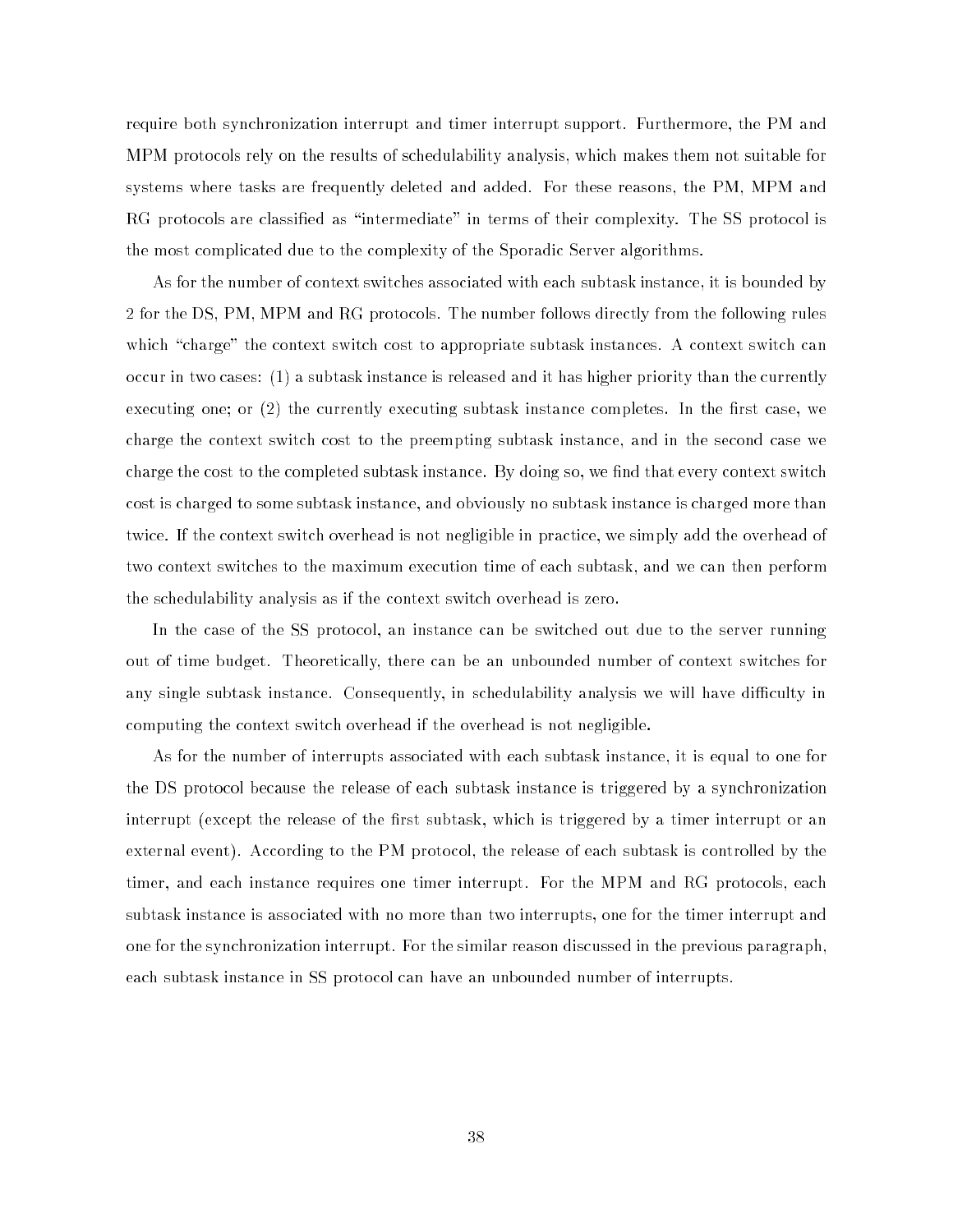require both synchronization interrupt and timer interrupt support. Furthermore, the PM and MPM protocols rely on the results of schedulability analysis, which makes them not suitable for systems where tasks are frequently deleted and added. For these reasons, the PM, MPM and RG protocols are classified as "intermediate" in terms of their complexity. The SS protocol is the most complicated due to the complexity of the Sporadic Server algorithms.

As for the number of context switches associated with each subtask instance, it is bounded by 2 for the DS, PM, MPM and RG protocols. The number follows directly from the following rules which "charge" the context switch cost to appropriate subtask instances. A context switch can occur in two cases: (1) a subtask instance is released and it has higher priority than the currently executing one; or  $(2)$  the currently executing subtask instance completes. In the first case, we charge the context switch cost to the preempting subtask instance, and in the second case we charge the cost to the completed subtask instance. By doing so, we find that every context switch cost is charged to some subtask instance, and obviously no subtask instance is charged more than twice. If the context switch overhead is not negligible in practice, we simply add the overhead of two context switches to the maximum execution time of each subtask, and we can then perform the schedulability analysis as if the context switch overhead is zero.

In the case of the SS protocol, an instance can be switched out due to the server running out of time budget. Theoretically, there can be an unbounded number of context switches for any single subtask instance. Consequently, in schedulability analysis we will have difficulty in computing the context switch overhead if the overhead is not negligible.

As for the number of interrupts associated with each subtask instance, it is equal to one for the DS protocol because the release of each subtask instance is triggered by a synchronization interrupt (except the release of the first subtask, which is triggered by a timer interrupt or an external event). According to the PM protocol, the release of each subtask is controlled by the timer, and each instance requires one timer interrupt. For the MPM and RG protocols, each subtask instance is associated with no more than two interrupts, one for the timer interrupt and one for the synchronization interrupt. For the similar reason discussed in the previous paragraph, each subtask instance in SS protocol can have an unbounded number of interrupts.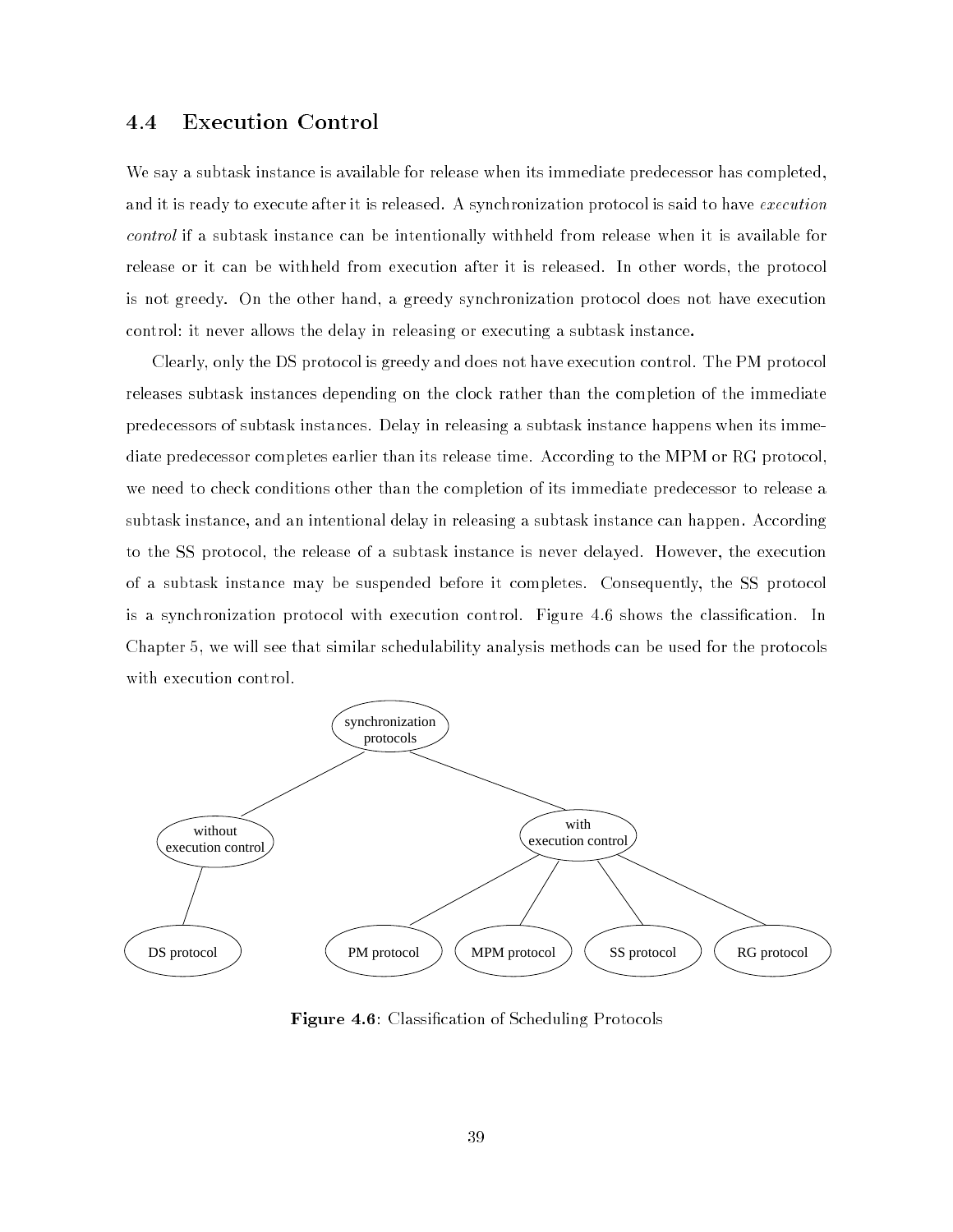#### **Execution Control** 4.4

We say a subtask instance is available for release when its immediate predecessor has completed, and it is ready to execute after it is released. A synchronization protocol is said to have execution control if a subtask instance can be intentionally withheld from release when it is available for release or it can be withheld from execution after it is released. In other words, the protocol is not greedy. On the other hand, a greedy synchronization protocol does not have execution control: it never allows the delay in releasing or executing a subtask instance.

Clearly, only the DS protocol is greedy and does not have execution control. The PM protocol releases subtask instances depending on the clock rather than the completion of the immediate predecessors of subtask instances. Delay in releasing a subtask instance happens when its immediate predecessor completes earlier than its release time. According to the MPM or RG protocol, we need to check conditions other than the completion of its immediate predecessor to release a subtask instance, and an intentional delay in releasing a subtask instance can happen. According to the SS protocol, the release of a subtask instance is never delayed. However, the execution of a subtask instance may be suspended before it completes. Consequently, the SS protocol is a synchronization protocol with execution control. Figure 4.6 shows the classification. In Chapter 5, we will see that similar schedulability analysis methods can be used for the protocols with execution control.



Figure 4.6: Classification of Scheduling Protocols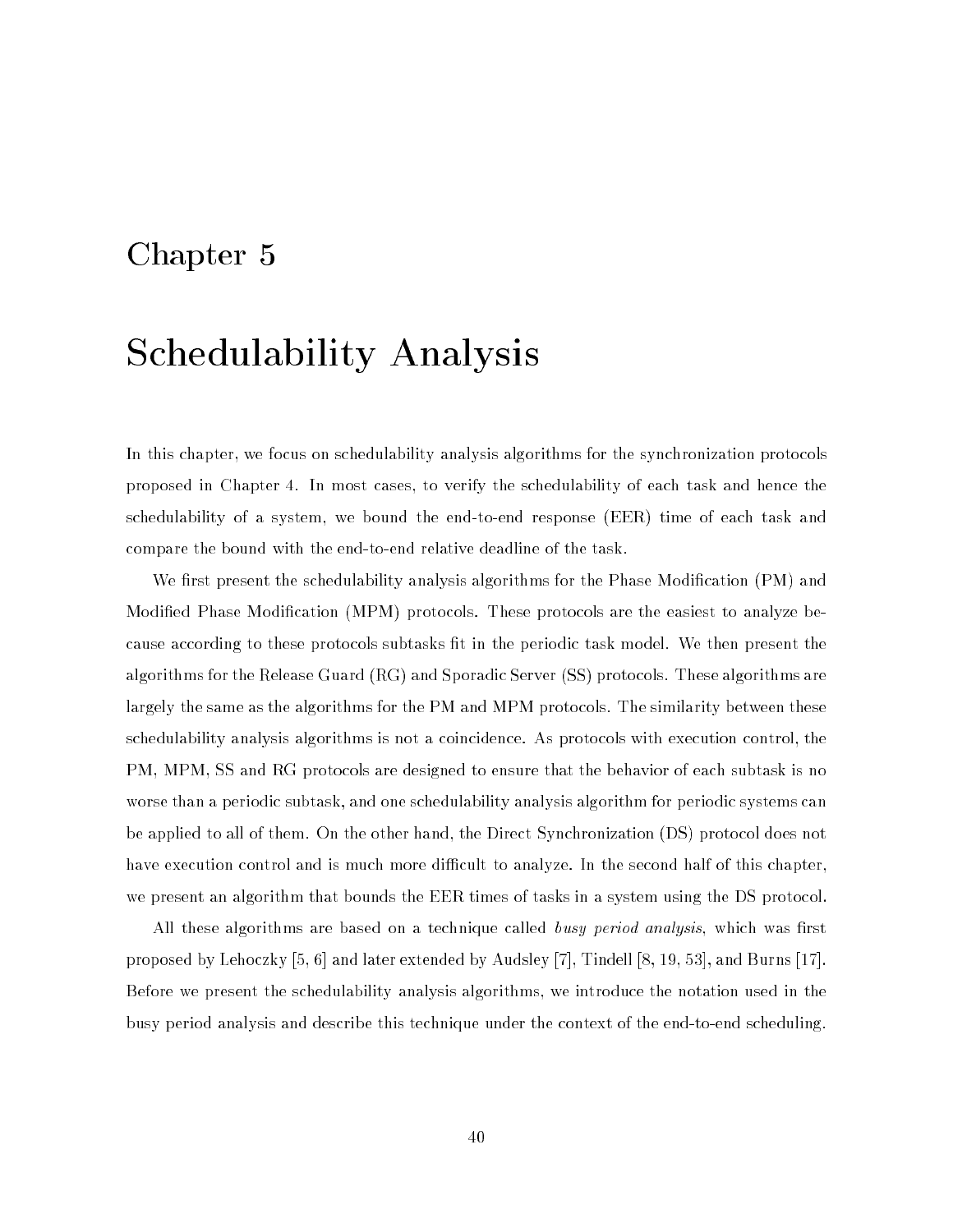# Chapter 5

# Schedulability Analysis

In this chapter, we focus on schedulability analysis algorithms for the synchronization protocols proposed in Chapter 4. In most cases, to verify the schedulability of each task and hence the schedulability of a system, we bound the end-to-end response (EER) time of each task and compare the bound with the end-to-end relative deadline of the task.

We first present the schedulability analysis algorithms for the Phase Modification (PM) and Modied Phase Modication (MPM) protocols. These protocols are the easiest to analyze because according to these protocols subtasks fit in the periodic task model. We then present the algorithms for the Release Guard (RG) and Sporadic Server (SS) protocols. These algorithms are largely the same as the algorithms for the PM and MPM protocols. The similarity between these schedulability analysis algorithms is not a coincidence. As protocols with execution control, the PM, MPM, SS and RG protocols are designed to ensure that the behavior of each subtask is no worse than a periodic subtask, and one schedulability analysis algorithm for periodic systems can be applied to all of them. On the other hand, the Direct Synchronization (DS) protocol does not have execution control and is much more difficult to analyze. In the second half of this chapter, we present an algorithm that bounds the EER times of tasks in a system using the DS protocol.

All these algorithms are based on a technique called busy period analysis, which was first proposed by Lehoczky [5, 6] and later extended by Audsley [7], Tindell [8, 19, 53], and Burns [17]. Before we present the schedulability analysis algorithms, we introduce the notation used in the busy period analysis and describe this technique under the context of the end-to-end scheduling.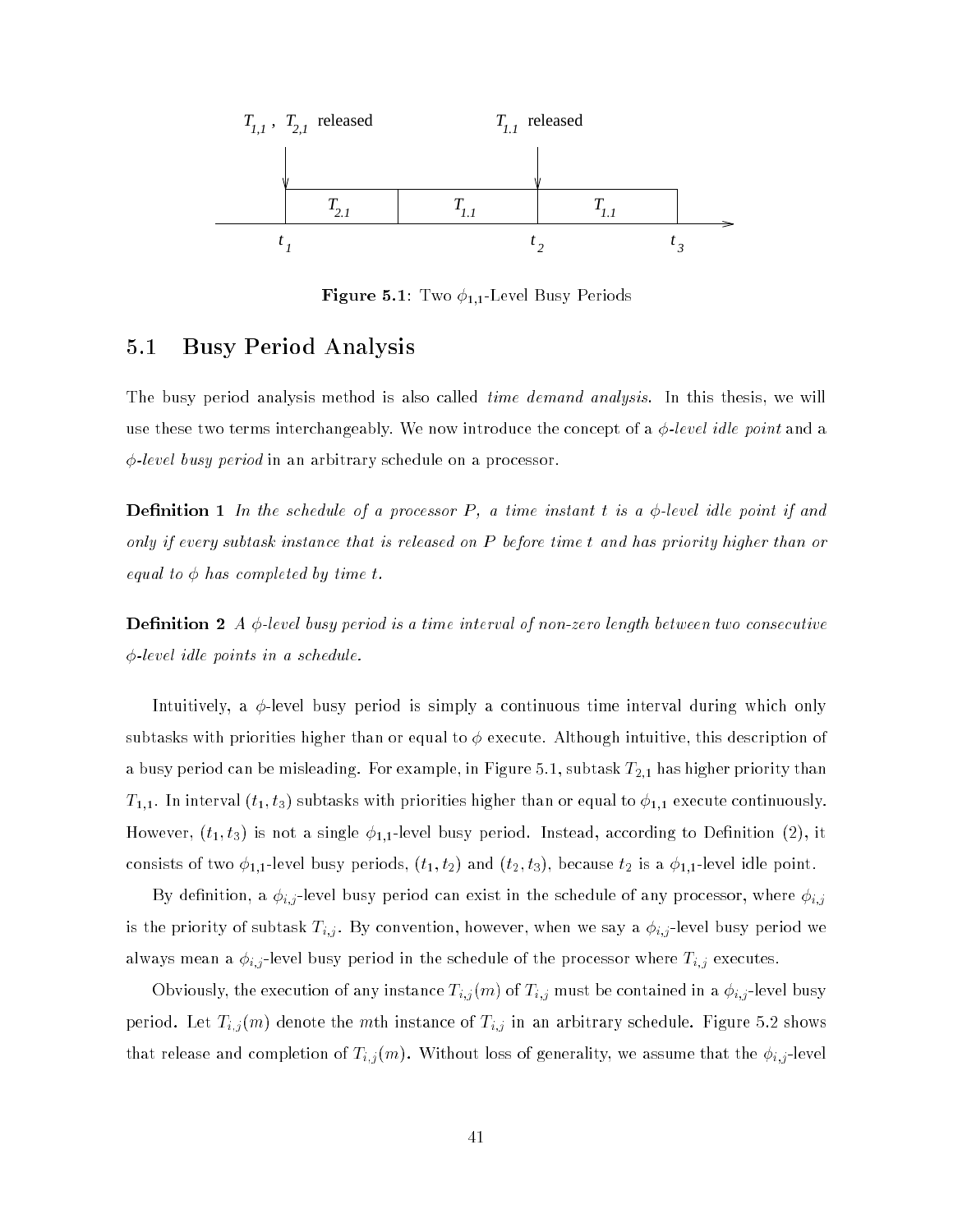

**Figure 5.1**: Two  $\phi_{1,1}$ -Level Busy Periods

# 5.1 Busy Period Analysis

The busy period analysis method is also called *time demand analysis*. In this thesis, we will use these two terms interchangeably. We now introduce the concept of a  $\phi$ -level idle point and a  $\phi$ -level busy period in an arbitrary schedule on a processor.

**Definition 1** In the schedule of a processor P, a time instant t is a  $\phi$ -level idle point if and only if every subtask instance that is released on P before time t and has priority higher than or equal to  $\phi$  has completed by time t.

**Definition 2** A  $\phi$ -level busy period is a time interval of non-zero length between two consecutive  $\phi$ -level idle points in a schedule.

Intuitively, a  $\phi$ -level busy period is simply a continuous time interval during which only subtasks with priorities higher than or equal to  $\phi$  execute. Although intuitive, this description of a busy period can be misleading. For example, in Figure 5.1, subtask  $T_{2,1}$  has higher priority than  $T_{1,1}.$  In interval  $(t_1, t_3)$  subtasks with priorities higher than or equal to  $\phi_{1,1}$  execute continuously. However,  $(t_1,t_3)$  is not a single  $\phi_{1,1}$ -level busy period. Instead, according to Definition  $(2),$  it consists of two  $\phi_{1,1}$ -level busy periods,  $(t_1, t_2)$  and  $(t_2, t_3)$ , because  $t_2$  is a  $\phi_{1,1}$ -level idle point.

By denition, a i;j -level busy period can exist in the schedule of any processor, where i;j is the priority of subtask Ti;j . By convention, however, when we say a i;j -level busy period we always mean a i;j -level busy period in the schedule of the processor where Ti;j executes.

Obviously, the execution of any instance Ti;j (m) of Ti;j must be contained in a i;j -level busy period. Let  $T_{i,j}$  (m) denote the minimum instance of  $T_{i,j}$  in an arbitrary schedule. Figure 5.2 shows that release and completion of the intervals of generality, we assume that the i;  $\mu$  -level  $\mu$  -level  $\mu$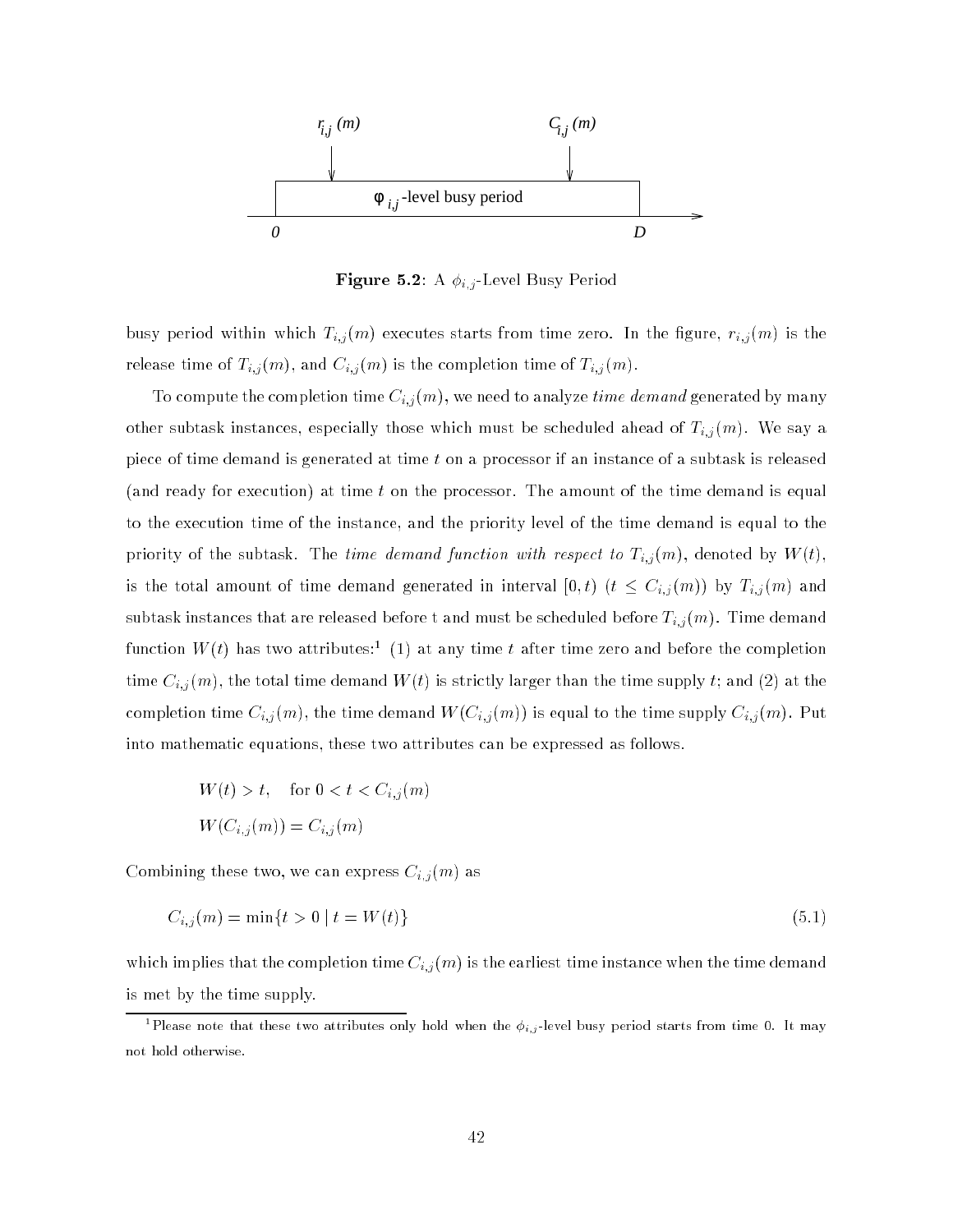

Figure 5.2: A i;j -Level Busy Period

busy period within which Ti;j(m) executes starts from time time  $\alpha$  is the  $\alpha$   $\alpha$ release time of  $\mathcal{L}_{i,j}$  (m), and  $\mathcal{L}_{i,j}$  (m), and the completion time of  $\mathcal{L}_{i,j}$  (m).

To compute the completion time  $C_{i,j}(m),$  we need to analyze  $\it time~demand~$ generated by manyother subtask instances, especially those which must be scheduled ahead of Ti;j (m). We say a piece of time demand is generated at time  $t$  on a processor if an instance of a subtask is released (and ready for execution) at time t on the processor. The amount of the time demand is equal to the execution time of the instance, and the priority level of the time demand is equal to the priority of the subtask. The *time demand function with respect to*  $T_{i,j}(m),$  denoted by  $W(t),$ is the total amount of time demand generated in interval [0; t) (t Ci;j (m)) by Ti;j (m) and subtastive instances that are released before the state  $\alpha$  must be seen which before Ti;  $j$  (m). The must demand function  $W(t)$  has two attributes: [1] at any time  $t$  after time zero and before the completion time Ci;j (m), the total time demand W(t) is strictly larger than the time supply t; and (2) at the completion time Ci; (m), the time demand W(Ci;j), the time supply Ci;j (m), put the time supply Ci;j (m). Put t into mathematic equations, these two attributes can be expressed as follows.

$$
W(t) > t, \quad \text{for } 0 < t < C_{i,j}(m)
$$
\n
$$
W(C_{i,j}(m)) = C_{i,j}(m)
$$

Combining these two, we can express  $C_{i,j}(m)$  as

$$
C_{i,j}(m) = \min\{t > 0 \mid t = W(t)\}\tag{5.1}
$$

which implies that the completion time  $\{y_j\}$  (m) is the earliest time instance when the time demand  $\pi$ is met by the time supply.

Thease note that these two attributes only hold when the  $\phi_{i,j}$  level busy period starts from time 0. It may not hold otherwise.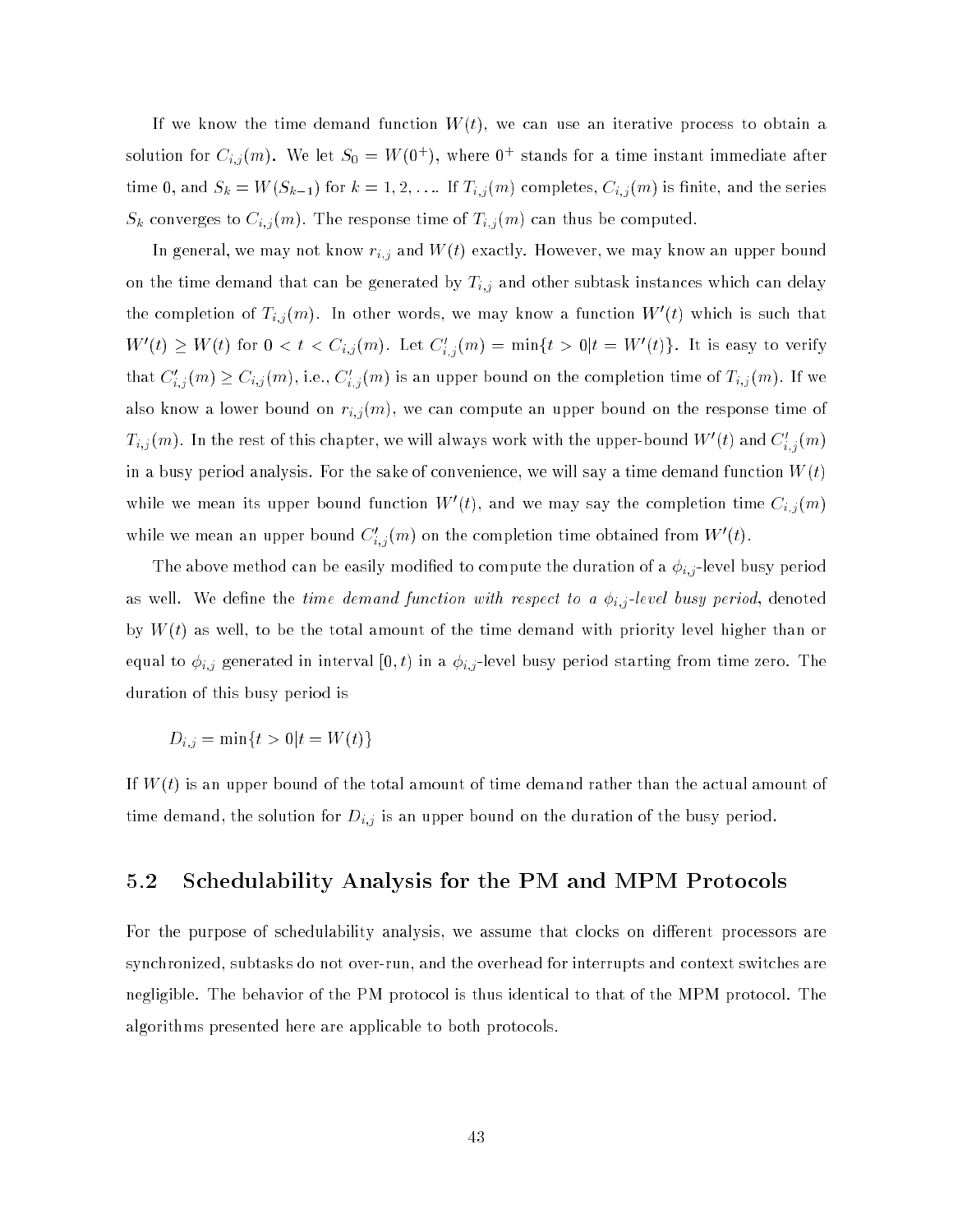If we know the time demand function  $W(t)$ , we can use an iterative process to obtain a solution for  $C_{i,j}(m)$ . We let  $S_0 = W(0^+)$ , where  $0^+$  stands for a time instant immediate after time  $\{a_1,\ldots,a_n\}$  for  $\{a_1,\ldots,a_n\}$  for  $\{a_1,\ldots,a_n\}$  and  $\{a_i,\ldots,a_n\}$  is the series of the series  $S = \{i,j \mid j \in \{m,n\} \mid j \in \{m,n\} \text{ is a finite number of } j \text{ and } j \text{ is a finite number of } j \text{ and } j \text{ is a finite number of } j \text{ and } j \text{ is a finite number of } j \text{ and } j \text{ is a finite number of } j \text{ and } j \text{ is a finite number of } j \text{ and } j \text{ is a finite number of } j \text{ and } j \text{ is a finite number of } j \text{ and } j \text{ is a finite number of } j \text{ and } j \text{ is a finite number of } j \text{ and } j \text{ is a finite number of } j \text{ and } j \text{ is a finite number of } j \text{ and } j$ 

In general, we may not know ri;j and W(t) exactly. However, we may know an upper bound on the time demand that can be generated by Ti; and other subtast instances which can denote which can delay  $\mathcal{L}$ the completion of  $T_{i,j}(m)$ . In other words, we may know a function  $W_{i}(t)$  which is such that  $W(t) \geq W(t)$  for  $0 \leq t \leq C_{i,j}(m)$ . Let  $C_{i,j}(m) = \min\{t > 0 | t = W(t)\}$ . It is easy to verify that  $C_{i,j}(m) \geq C_{i,j}(m)$ , i.e.,  $C_{i,j}(m)$  is an upper bound on the completion time of  $T_{i,j}(m)$ . If we also know a lower bound on  $r_{i,j}(m),$  we can compute an upper bound on the response time of  $T_{i,j}(m)$ . In the rest of this chapter, we will always work with the upper-bound  $W^*(t)$  and  $C_{i,j}(m)$ in a busy period analysis. For the sake of convenience, we will say a time demand function  $W(t)$ while we mean its upper bound function  $W_-(t)$ , and we may say the completion time  $C_{i,j}(m)$ while we mean an upper bound  $C_{i,j}(m)$  on the completion time obtained from  $W_-(t)$ .

The above method can be easily modied to compute the duration of a i;j -level busy period as well-demond function with respect to a indicate the time demond of the isomorphism of the isomorphism of the  $d$ by  $W(t)$  as well, to be the total amount of the time demand with priority level higher than or equal to if generated in interval as in a interval from time  $\alpha$  is a if a starting from time  $\alpha$ duration of this busy period is

$$
D_{i,j} = \min\{t > 0 | t = W(t)\}\
$$

If  $W(t)$  is an upper bound of the total amount of time demand rather than the actual amount of time demond, the solution for Di; is an upper bound on the duration of the duration of the duration of the busy period.

# 5.2 Schedulability Analysis for the PM and MPM Protocols

For the purpose of schedulability analysis, we assume that clocks on different processors are synchronized, subtasks do not over-run, and the overhead for interrupts and context switches are negligible. The behavior of the PM protocol is thus identical to that of the MPM protocol. The algorithms presented here are applicable to both protocols.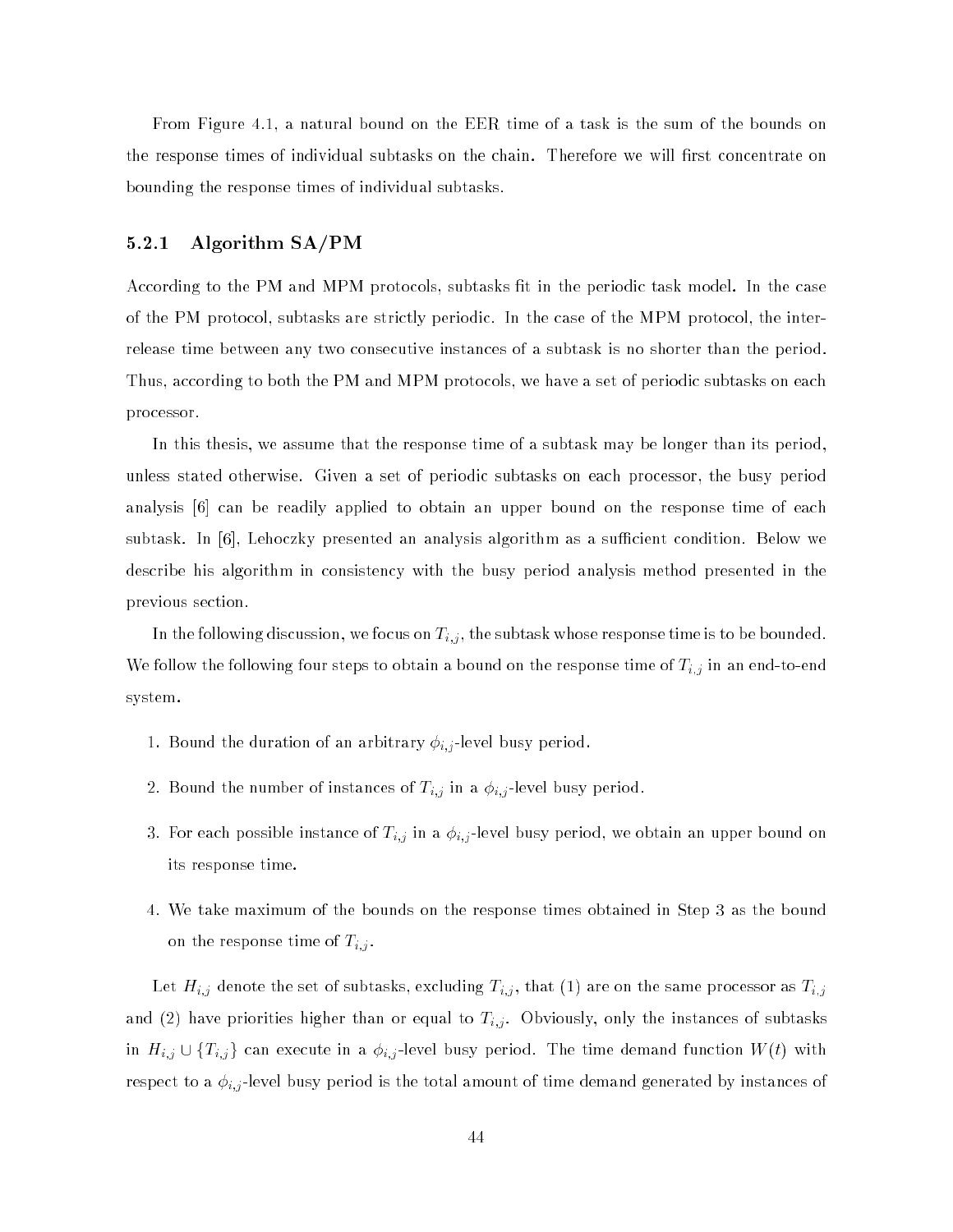From Figure 4.1, a natural bound on the EER time of a task is the sum of the bounds on the response times of individual subtasks on the chain. Therefore we will first concentrate on bounding the response times of individual subtasks.

# 5.2.1 Algorithm SA/PM

According to the PM and MPM protocols, subtasks fit in the periodic task model. In the case of the PM protocol, subtasks are strictly periodic. In the case of the MPM protocol, the interrelease time between any two consecutive instances of a subtask is no shorter than the period. Thus, according to both the PM and MPM protocols, we have a set of periodic subtasks on each processor.

In this thesis, we assume that the response time of a subtask may be longer than its period, unless stated otherwise. Given a set of periodic subtasks on each processor, the busy period analysis [6] can be readily applied to obtain an upper bound on the response time of each subtask. In  $[6]$ , Lehoczky presented an analysis algorithm as a sufficient condition. Below we describe his algorithm in consistency with the busy period analysis method presented in the previous section.

In the following discussion, we following discussion, whose response time is to be bounded. In the subtast whose response time is to be bounded. In the subtast whose response time is to be bounded. In the subtast whose re We follow the following four steps to obtain a bound on the response time of  $\mu$  in an end-to-end-to-end-to-end-to-end-to-end-to-end-to-end-to-end-to-end-to-end-to-end-to-end-to-end-to-end-to-end-to-end-to-end-to-end-tosystem.

- 1. Bound the duration of an arbitrary i;j -level busy period.
- 2. Bound the number of instances of the i $\mu$  in a i;  $\mu$  is a if  $\mu$  period.
- 3. For each possible instance of Ti;j in a i;j -level busy period, we obtain an upper bound on its response time.
- 4. We take maximum of the bounds on the response times obtained in Step 3 as the bound on the response time of Time of Time of Time of Time of Time of Time of Time of Time of Time of Time of Time o

Let  $\mathcal{L}_{i,j}$  denote the set of subtasting the subtangular  $\mathcal{L}_{i,j}$  , that (1) are on the same processor as  $\mathcal{L}_{i,j}$ and (2) have priorities higher than or equal to Ti; instances of subtasts of subtasks of subtasks of subtasks o in Hi;j w jij ji can execute in a i;j ecles dig, period. The time distribution function with  $\{ \cdot \}$  with respect to a interespect to a instance busy period is the total amount of time demonstrated by instances of tim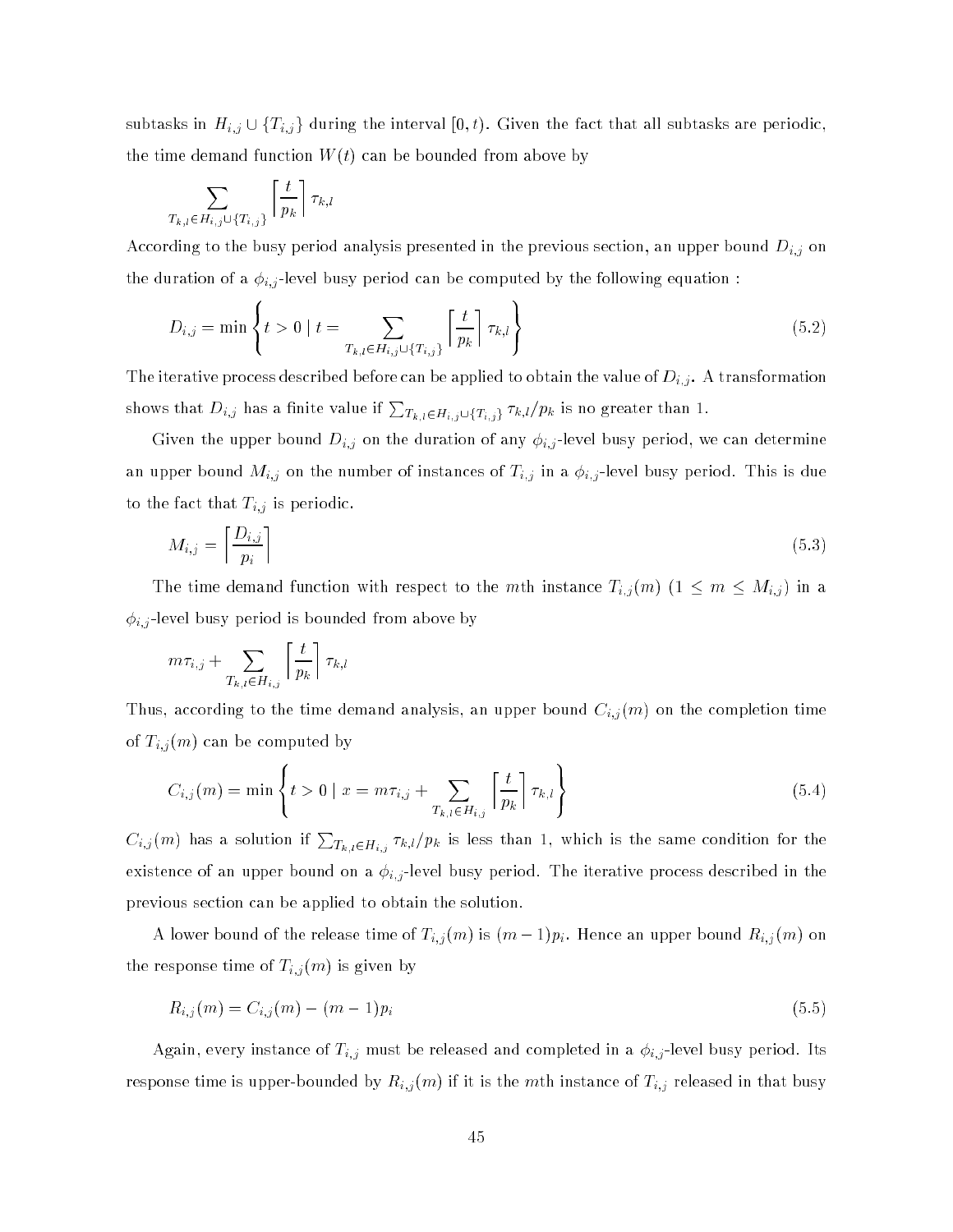subtasks in Hi;j e in Hi;j g during the interval for interval the fact that that subtasks are periodic, the time demand function  $W(t)$  can be bounded from above by

$$
\sum_{T_{k,l}\in H_{i,j}\cup\{T_{i,j}\}}\left\lceil \frac{t}{p_k}\right\rceil \tau_{k,l}
$$

**Service State State State State State** 

According to the busy period analysis presented in the previous section, an upper bound Di;j on the duration of a i;j -level busy period can be computed by the following equation :

$$
D_{i,j} = \min \left\{ t > 0 \mid t = \sum_{T_{k,l} \in H_{i,j} \cup \{T_{i,j}\}} \left\lceil \frac{t}{p_k} \right\rceil \tau_{k,l} \right\} \tag{5.2}
$$

<sup>9</sup>

The iterative process described before can be applied to obtain the value of  $\mathcal{V}_i$  . A transformation the value of Di; . A transformation the value of Di; . A transformation the value of Di; . A transformation the val shows that  $D_{i,j}$  has a finite value if  $\sum_{T_{k,l}\in H_{i,j}\cup\{T_{i,j}\}}\tau_{k,l}/p_k$  is no greater than 1.

Given the upper bound Di;j on the duration of any i;j -level busy period, we can determine and might of instances  $\{i\}$  on the number of instances of Ti; in a if  $j$  is due to in a is due to make to the fact that  $\mathbf{b}$  is  $\mathbf{f}$  is periodic. The fact that Times is periodic.

$$
M_{i,j} = \left\lceil \frac{D_{i,j}}{p_i} \right\rceil \tag{5.3}
$$

The time demand function with respect to the maximum instance  $\mathbb{F}_k$ ; (10) (1  $\mathbb{F}_m$  and  $\mathbb{F}_m$  and  $\mathbb{F}_m$ i;j -level busy period is bounded from above by

$$
m\tau_{i,j} + \sum_{T_{k,l} \in H_{i,j}} \left\lceil \frac{t}{p_k} \right\rceil \tau_{k,l}
$$

Thus, according to the time demand analysis, an upper bound Ci;j (m) on the completion time of the computation of the computation of the computation of the computation of the computation of the computation of the computation of the computation of the computation of the computation of the computation of the comput

$$
C_{i,j}(m) = \min \left\{ t > 0 \mid x = m\tau_{i,j} + \sum_{T_{k,l} \in H_{i,j}} \left[ \frac{t}{p_k} \right] \tau_{k,l} \right\}
$$
(5.4)

 $C_{i,j}(m)$  has a solution if  $\sum_{T_{k,l}\in H_{i,j}}\tau_{k,l}/p_k$  is less than 1, which is the same condition for the existence of an upper bound on a i;j -level busy period. The iterative process described in the previous section can be applied to obtain the solution.

A lower bound of the release time  $\{a,b,c\}$  is  $\{a,b,c\}$  . Hence an upper bound  $\{b,c\}$  (m) on the response time of  $\mathbb{F}_q$  (if  $\mathbb{F}_q$  and  $\mathbb{F}_q$  is given by

$$
R_{i,j}(m) = C_{i,j}(m) - (m-1)p_i
$$
\n(5.5)

Again, even yinstance of Times and complete instance of Times and completed in a isomorphism of  $\Gamma$ response time is upper-bounded by Ri;j (m) if it is the mth instance of Ti;j released in that busy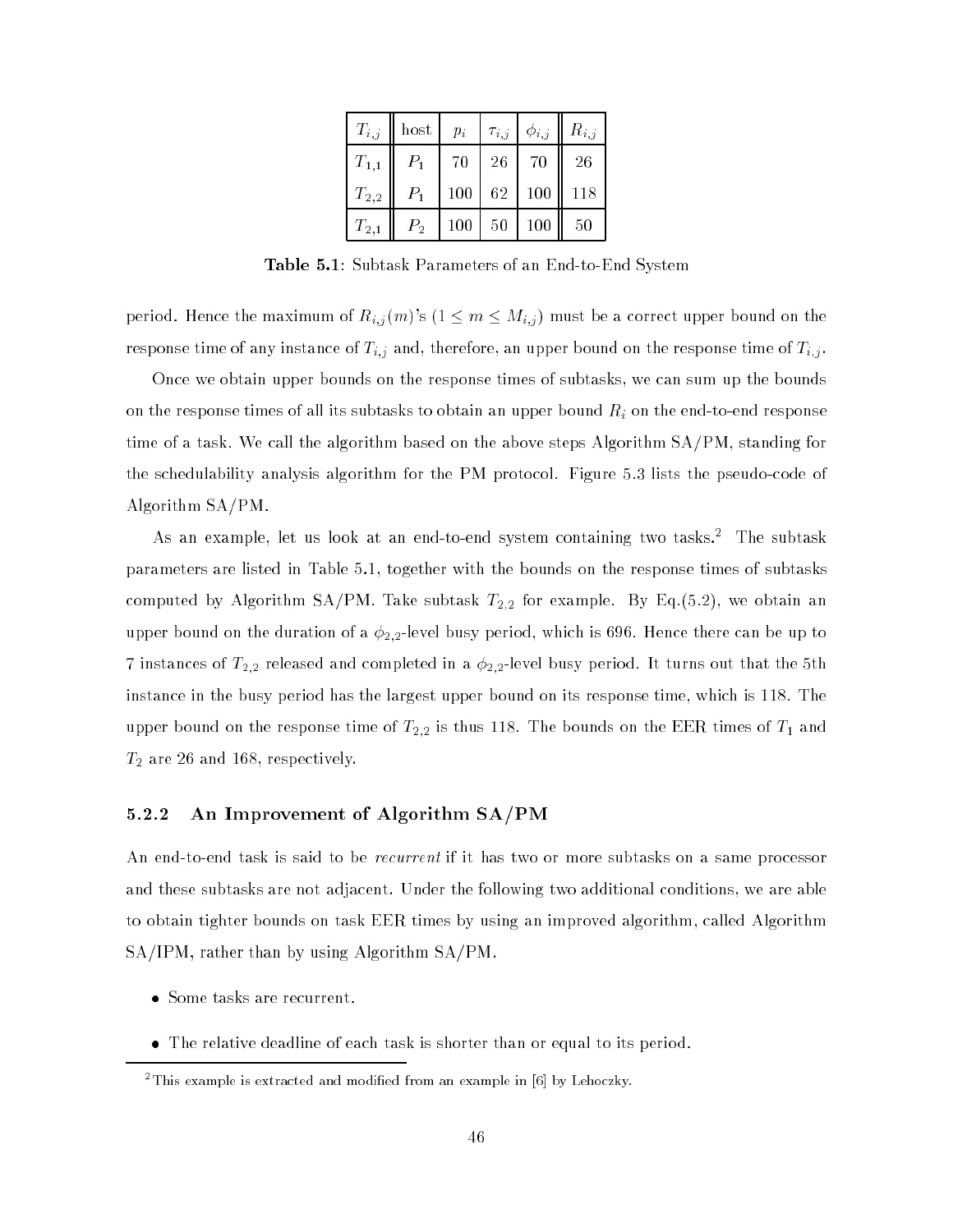| $T_{i,j}$ | host  | $p_i$         | $ \tau_{i,j} $ | $\phi_{i,j}$                | $R_{i,j}$ |
|-----------|-------|---------------|----------------|-----------------------------|-----------|
| $T_{1,1}$ | $P_1$ | 70            | 26             | 70                          | 26        |
| $T_{2,2}$ | $P_1$ |               |                | $100 \mid 62 \mid 100 \mid$ | 118       |
| $T_{2,1}$ | $P_2$ | $100 \mid 50$ |                | $\mid$ 100                  | 50        |

Table 5.1: Subtask Parameters of an End-to-End System

period. Hence the maximum of  $R_{i,j}(m)$ 's  $(1 \le m \le M_{i,j})$  must be a correct upper bound on the response time of any instance of Ti;j and, therefore, an upper bound on the response time of Ti;j .

Once we obtain upper bounds on the response times of subtasks, we can sum up the bounds on the response times of all its subtasks to obtain an upper bound Ri on the end-to-end response time of a task. We call the algorithm based on the above steps Algorithm SA/PM, standing for the schedulability analysis algorithm for the PM protocol. Figure 5.3 lists the pseudo-code of Algorithm SA/PM.

As an example, let us look at an end-to-end system containing two tasks.2 The subtask parameters are listed in Table 5.1, together with the bounds on the response times of subtasks computed by Algorithm SA/PM. Take subtask  $T_{2,2}$  for example. By Eq.(5.2), we obtain an upper bound on the duration of a  $\phi_{2,2}$ -level busy period, which is 696. Hence there can be up to 7 instances of  $T_{2,2}$  released and completed in a  $\phi_{2,2}$ -level busy period. It turns out that the 5th instance in the busy period has the largest upper bound on its response time, which is 118. The upper bound on the response time of  $T_{2,2}$  is thus 118. The bounds on the EER times of  $T_1$  and  $T_2$  are 26 and 168, respectively.

# 5.2.2 An Improvement of Algorithm SA/PM

An end-to-end task is said to be *recurrent* if it has two or more subtasks on a same processor and these subtasks are not adjacent. Under the following two additional conditions, we are able to obtain tighter bounds on task EER times by using an improved algorithm, called Algorithm SA/IPM, rather than by using Algorithm SA/PM.

- Some tasks are recurrent.
- The relative deadline of each task is shorter than or equal to its period.

<sup>2</sup> This example is extracted and modied from an example in [6] by Lehoczky.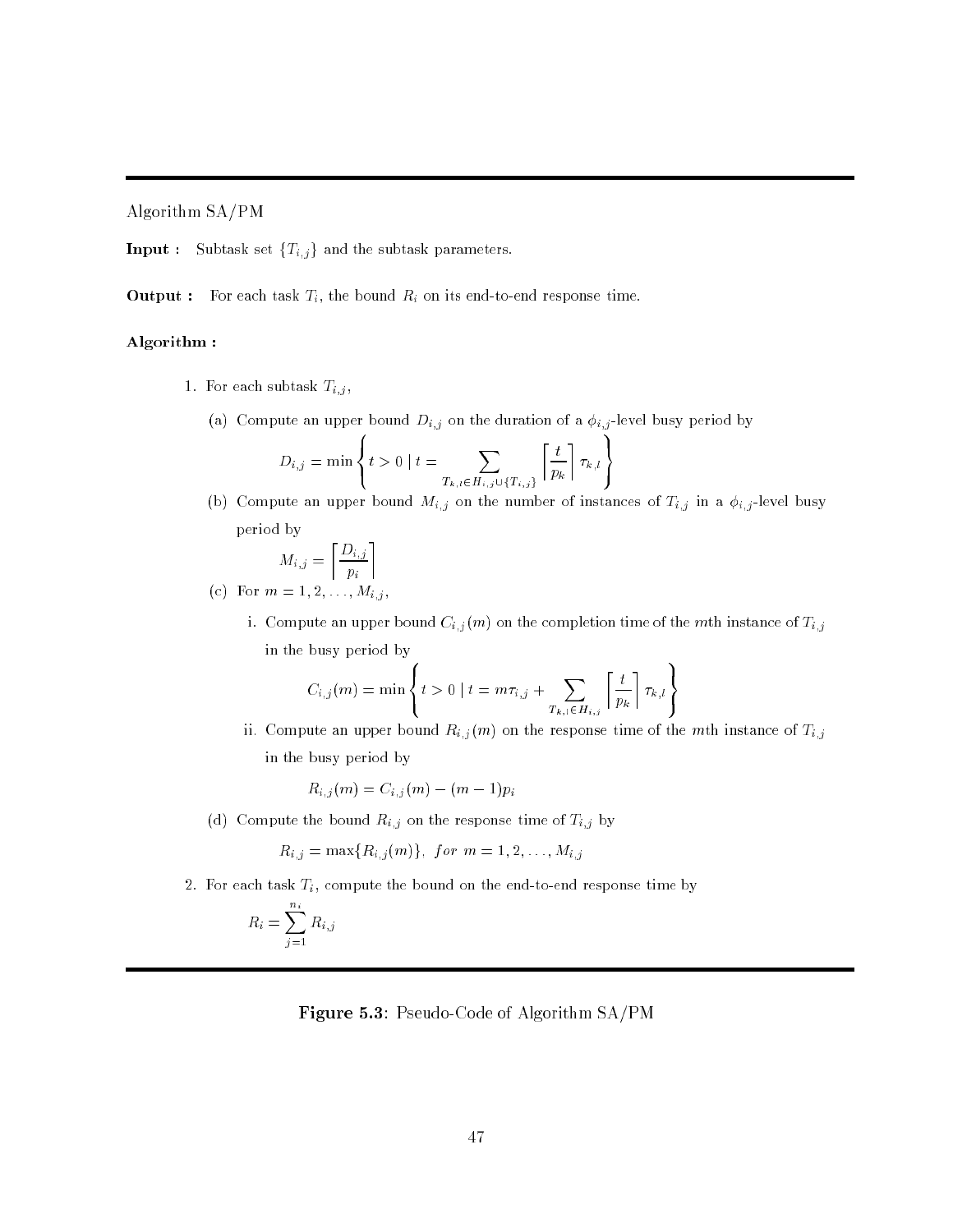Algorithm SA/PM

 $\textbf{Input:} \quad \text{Subtask set }\{T_{i,j}\}$  and the subtask parameters.

**Output :** For each task  $T_i$ , the bound  $R_i$  on its end-to-end response time.

**8.12 Street** 

# Algorithm :

- 1. For each subtask  $T_{i,j}$ ,
	- (a) Compute an upper bound  $D_{i,j}$  on the duration of a  $\phi_{i,j}$ -level busy period by

$$
D_{i,j} = \min \left\{ t > 0 \mid t = \sum_{T_{k,l} \in H_{i,j} \cup \{T_{i,j}\}} \left\lceil \frac{t}{p_k} \right\rceil \tau_{k,l} \right\}
$$

(b) Compute an upper bound  $M_{i,j}$  on the number of instances of  $T_{i,j}$  in a  $\phi_{i,j}$ -level busy period by

99.99

99.99

$$
M_{i,j} = \left[\frac{D_{i,j}}{p_i}\right]
$$
  
(c) For  $m = 1, 2, ..., M_{i,j}$ ,

i. Compute an upper bound  $C_{i,j}(m)$  on the completion time of the mth instance of  $T_{i,j}$ in the busy period by

$$
C_{i,j}(m) = \min \left\{ t > 0 \mid t = m\tau_{i,j} + \sum_{T_{k,l} \in H_{i,j}} \left[ \frac{t}{p_k} \right] \tau_{k,l} \right\}
$$

ii. Compute an upper bound  $R_{i,j}(m)$  on the response time of the mth instance of  $T_{i,j}$ in the busy period by

$$
R_{i,j}(m) = C_{i,j}(m) - (m-1)p_i
$$

**8.12 Street** 

(d) Compute the bound  $R_{i,j}$  on the response time of  $T_{i,j}$  by

 $R_{i,j} = \max\{R_{i,j}(m)\},\ for\ m = 1,2,\ldots,M_{i,j}$ 

2. For each task  $T_i$ , compute the bound on the end-to-end response time by

$$
R_i = \sum_{j=1}^{n_i} R_{i,j}
$$

Figure 5.3: Pseudo-Code of Algorithm SA/PM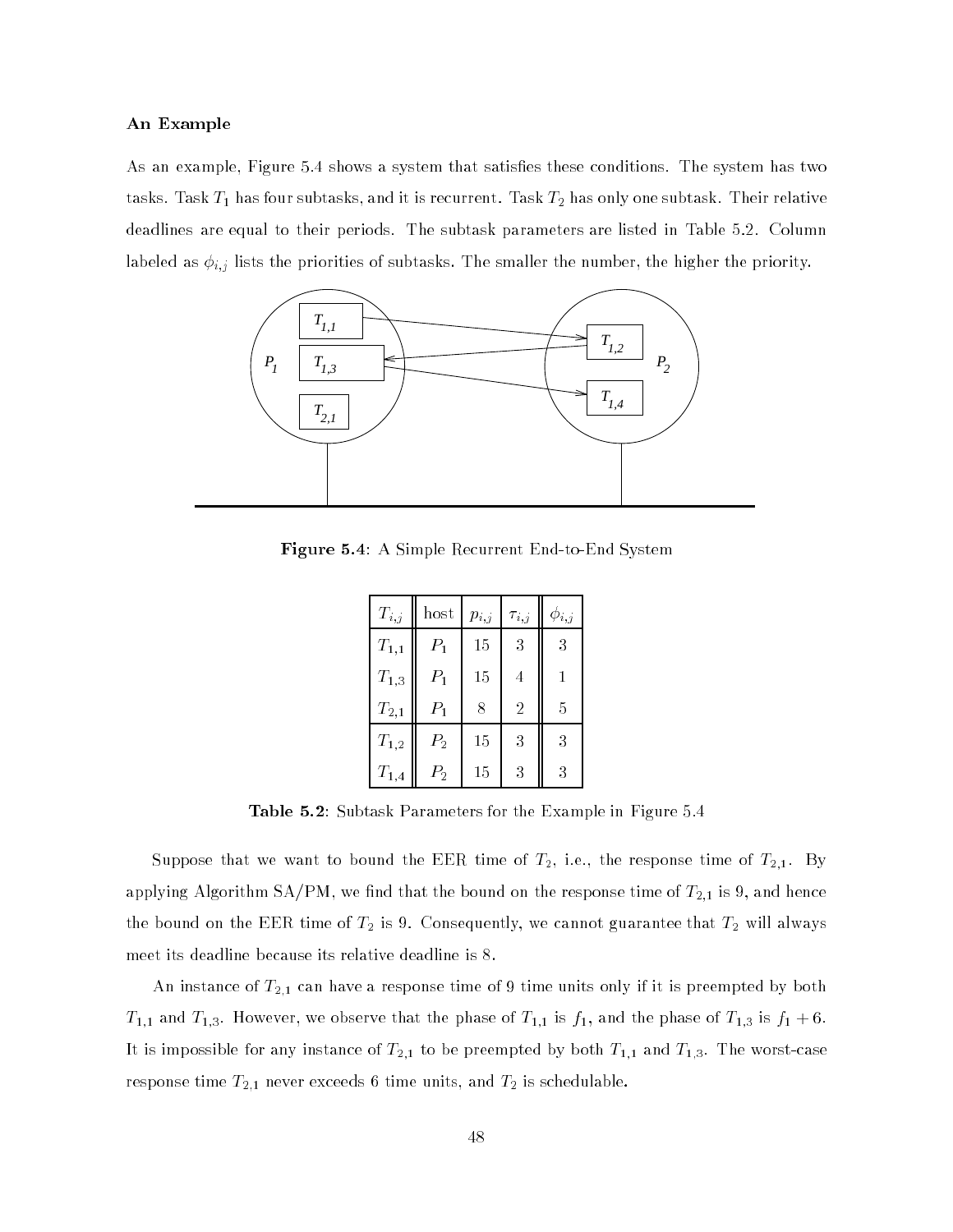#### An Example

As an example, Figure 5.4 shows a system that satisfies these conditions. The system has two tasks. Task  $T_1$  has four subtasks, and it is recurrent. Task  $T_2$  has only one subtask. Their relative deadlines are equal to their periods. The subtask parameters are listed in Table 5.2. Column labeled as i;j lists the priorities of subtasks. The smaller the number, the higher the priority.



Figure 5.4: A Simple Recurrent End-to-End System

| $T_{i,j}$           | host    | $p_{i,j}$ | $\tau_{i,j}$   | $\phi_{i,j}$ |
|---------------------|---------|-----------|----------------|--------------|
| $T_{1,1}$           | $P_1$   | 15        | 3              | 3            |
| $\mathcal{T}_{1,3}$ | $P_1$   | 15        | 4              | 1            |
| $\mathcal{T}_{2,1}$ | $P_1$   | 8         | $\overline{2}$ | 5            |
| $T_{1,2}$           | $P_{2}$ | 15        | 3              | 3            |
| $\mathcal{T}_{1,4}$ | $P_2$   | 15        | 3              | 3            |

Table 5.2: Subtask Parameters for the Example in Figure 5.4

Suppose that we want to bound the EER time of  $T_2$ , i.e., the response time of  $T_{2,1}$ . By applying Algorithm SA/PM, we find that the bound on the response time of  $T_{2,1}$  is 9, and hence the bound on the EER time of  $T_2$  is 9. Consequently, we cannot guarantee that  $T_2$  will always meet its deadline because its relative deadline is 8.

An instance of  $T_{2,1}$  can have a response time of 9 time units only if it is preempted by both  $T_{1,1}$  and  $T_{1,3}$ . However, we observe that the phase of  $T_{1,1}$  is  $f_1$ , and the phase of  $T_{1,3}$  is  $f_1 + 6$ . It is impossible for any instance of  $T_{2,1}$  to be preempted by both  $T_{1,1}$  and  $T_{1,3}$ . The worst-case response time  $T_{2,1}$  never exceeds 6 time units, and  $T_2$  is schedulable.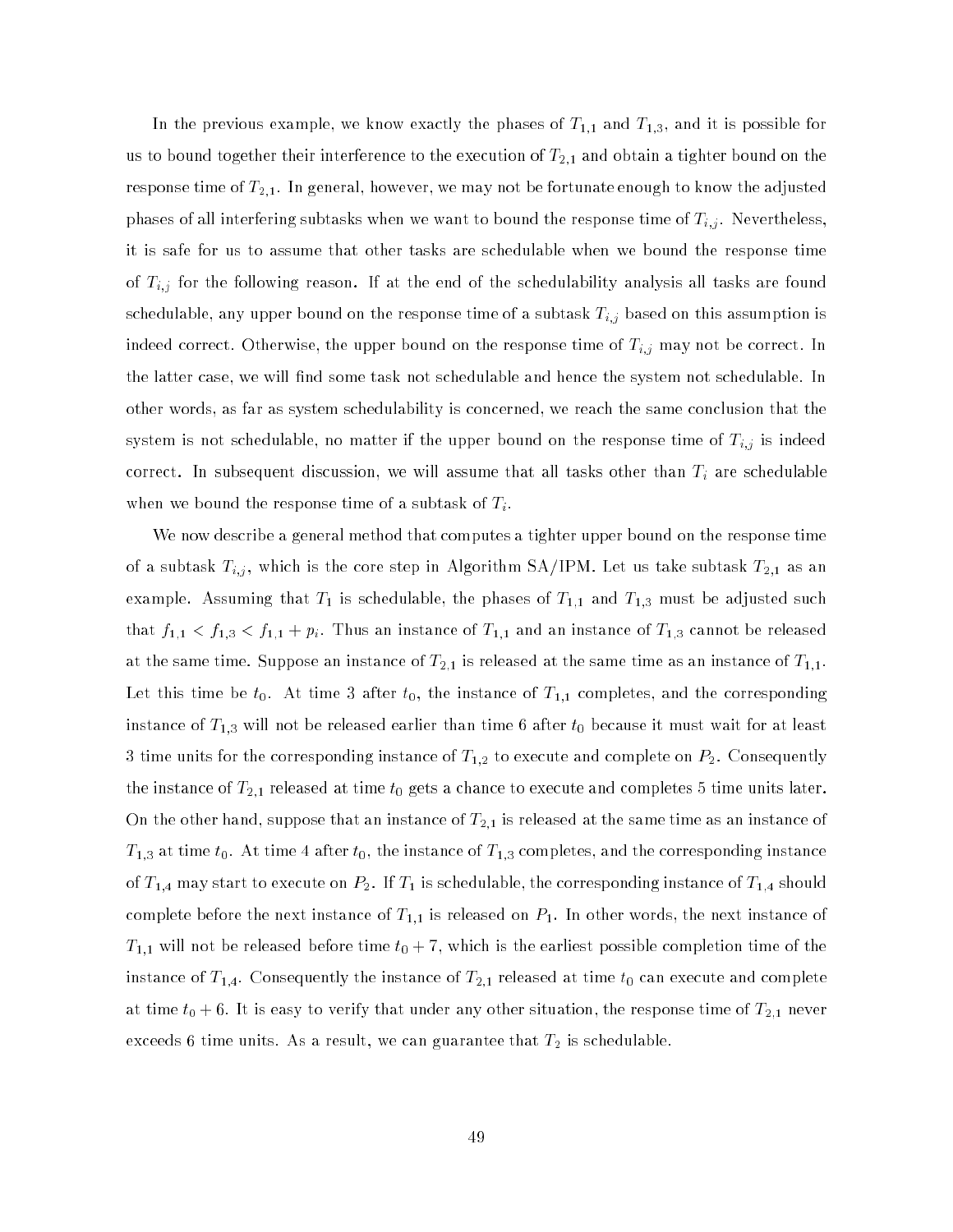In the previous example, we know exactly the phases of  $T_{1,1}$  and  $T_{1,3}$ , and it is possible for us to bound together their interference to the execution of  $T_{2,1}$  and obtain a tighter bound on the response time of  $T_{2,1}.$  In general, however, we may not be fortunate enough to know the adjusted phases of all interfering subtasks when we want to bound the response time of  $\ell_{\rm B}$  . Nevertheless,  $\ell_{\rm B}$ it is safe for us to assume that other tasks are schedulable when we bound the response time of the following reason. If at the following reason. If at the schedulability analysis all tasks are found of the schedulability and schedulability analysis all tasks are found to the schedulability analysis are found to schedulable, any upper bound on the response time of a subtask Ti;j based on this assumption is indeed correct. Otherwise, the upper bound on the response time of Ti;j may not be correct. In the latter case, we will find some task not schedulable and hence the system not schedulable. In other words, as far as system schedulability is concerned, we reach the same conclusion that the system is not schedulable, no matter if the upper bound on the response time of Ti;j is indeed correct. In subsequent discussion, we will assume that all tasks other than Ti are schedulable when we bound the response time of a subtask of  $T_i$ .

We now describe a general method that computes a tighter upper bound on the response time of a subtask Ti;j , which is the core step in Algorithm SA/IPM. Let us take subtask T2;1 as an example. Assuming that  $T_1$  is schedulable, the phases of  $T_{1,1}$  and  $T_{1,3}$  must be adjusted such that  $f_{1,1} < f_{1,3} < f_{1,1} + p_i$ . Thus an instance of  $T_{1,1}$  and an instance of  $T_{1,3}$  cannot be released at the same time. Suppose an instance of  $T_{2,1}$  is released at the same time as an instance of  $T_{1,1}.$ Let this time be  $t_0.$  At time 3 after  $t_0,$  the instance of  $T_{1,1}$  completes, and the corresponding instance of  $T_{1,3}$  will not be released earlier than time 6 after  $t_0$  because it must wait for at least 3 time units for the corresponding instance of  $T_{1,2}$  to execute and complete on  $P_2.$  Consequently the instance of  $T_{2,1}$  released at time  $t_0$  gets a chance to execute and completes 5 time units later. On the other hand, suppose that an instance of  $T_{2,1}$  is released at the same time as an instance of  $T_{1,3}$  at time  $t_0$ . At time 4 after  $t_0$ , the instance of  $T_{1,3}$  completes, and the corresponding instance of  $T_{1,4}$  may start to execute on  $P_2$ . If  $T_1$  is schedulable, the corresponding instance of  $T_{1,4}$  should complete before the next instance of  $T_{1,1}$  is released on  $P_1$ . In other words, the next instance of  $T_{1,1}$  will not be released before time  $t_0 + 7$ , which is the earliest possible completion time of the instance of  $T_{1,4}$ . Consequently the instance of  $T_{2,1}$  released at time  $t_0$  can execute and complete at time  $t_0 + 6$ . It is easy to verify that under any other situation, the response time of  $T_{2,1}$  never exceeds 6 time units. As a result, we can guarantee that  $T_2$  is schedulable.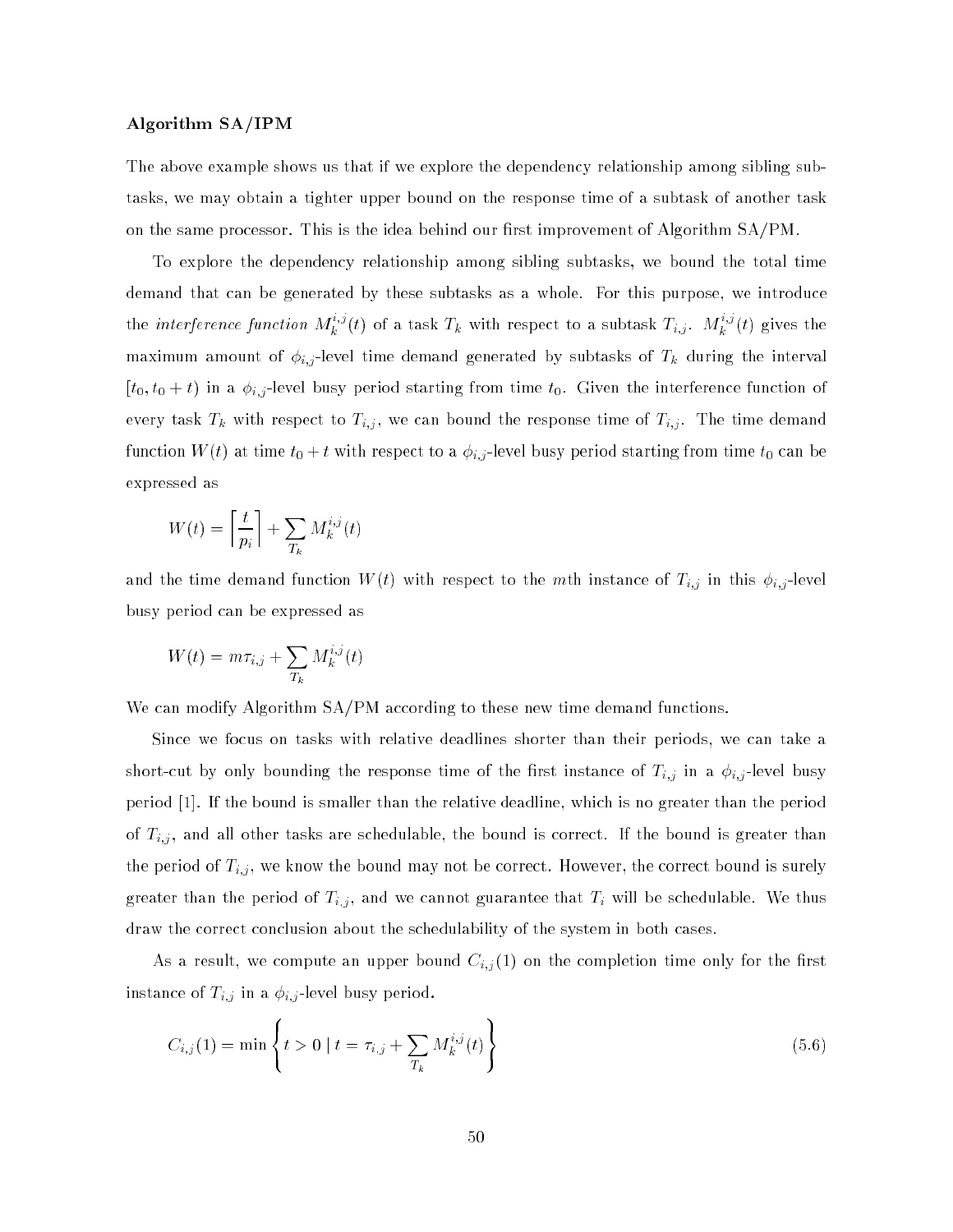### Algorithm SA/IPM

The above example shows us that if we explore the dependency relationship among sibling subtasks, we may obtain a tighter upper bound on the response time of a subtask of another task on the same processor. This is the idea behind our first improvement of Algorithm  $SA/PM$ .

To explore the dependency relationship among sibling subtasks, we bound the total time demand that can be generated by these subtasks as a whole. For this purpose, we introduce the *interference function*  $M_k^{\gamma_\sigma}(t)$  of a task  $T_k$  with respect to a subtask  $T_{i,j}$ .  $M_k^{\gamma_\sigma}(t)$  gives the maximum amount of y<sub>i</sub>j -level time time demand generated by subtance at the interval the interval  $[t_0, t_0 + t)$  in a  $\phi_{i,j}$ -level busy period starting from time  $t_0$ . Given the interference function of every task T<sub>h</sub> with respect to T<sub>i</sub>;j , we can bound the response time of T<sub>i</sub>;; . The time demand function  $W(t)$  at time  $t_{0}+t$  with respect to a  $\phi_{i,j}$  level busy period starting from time  $t_{0}$  can be expressed as

$$
W(t) = \left\lceil \frac{t}{p_i} \right\rceil + \sum_{T_k} M_k^{i,j}(t)
$$

and the time demonstration with the multiplication with respect to the multiplication  $\mathbb{R}^d$  is in the multiplication of  $\mathbb{R}^d$  is a set of  $\mathbb{R}^d$  is a set of  $\mathbb{R}^d$  is a set of  $\mathbb{R}^d$  is a set of  $\mathbb$ busy period can be expressed as

$$
W(t) = m\tau_{i,j} + \sum_{T_k} M_k^{i,j}(t)
$$

We can modify Algorithm  $SA/PM$  according to these new time demand functions.

Since we focus on tasks with relative deadlines shorter than their periods, we can take a short-cut by only bounding the response time of the rst instance of Ti;j in <sup>a</sup> i;j -level busy period [1]. If the bound is smaller than the relative deadline, which is no greater than the period of Ti;j , and all other tasks are schedulable, the bound is correct. If the bound is greater than the period of Ti; , we know the bound may not be correct. However, the correct bound is surely bound is surely bound is surely bound is surely bound is surely bound is surely bound is surely bound is surely bound is surel  $\alpha$  and the period of Ti; , and we cannot guarantee that Ti will be schedulable. We thus draw the correct conclusion about the schedulability of the system in both cases.

As a result, we compute an upper bound Ci;j (1) on the completion time only for the rst instance of Times and Times period. In a in a in a isotropic busy period. In a in a in a in a in a in a in a i

$$
C_{i,j}(1) = \min\left\{t > 0 \mid t = \tau_{i,j} + \sum_{T_k} M_k^{i,j}(t)\right\} \tag{5.6}
$$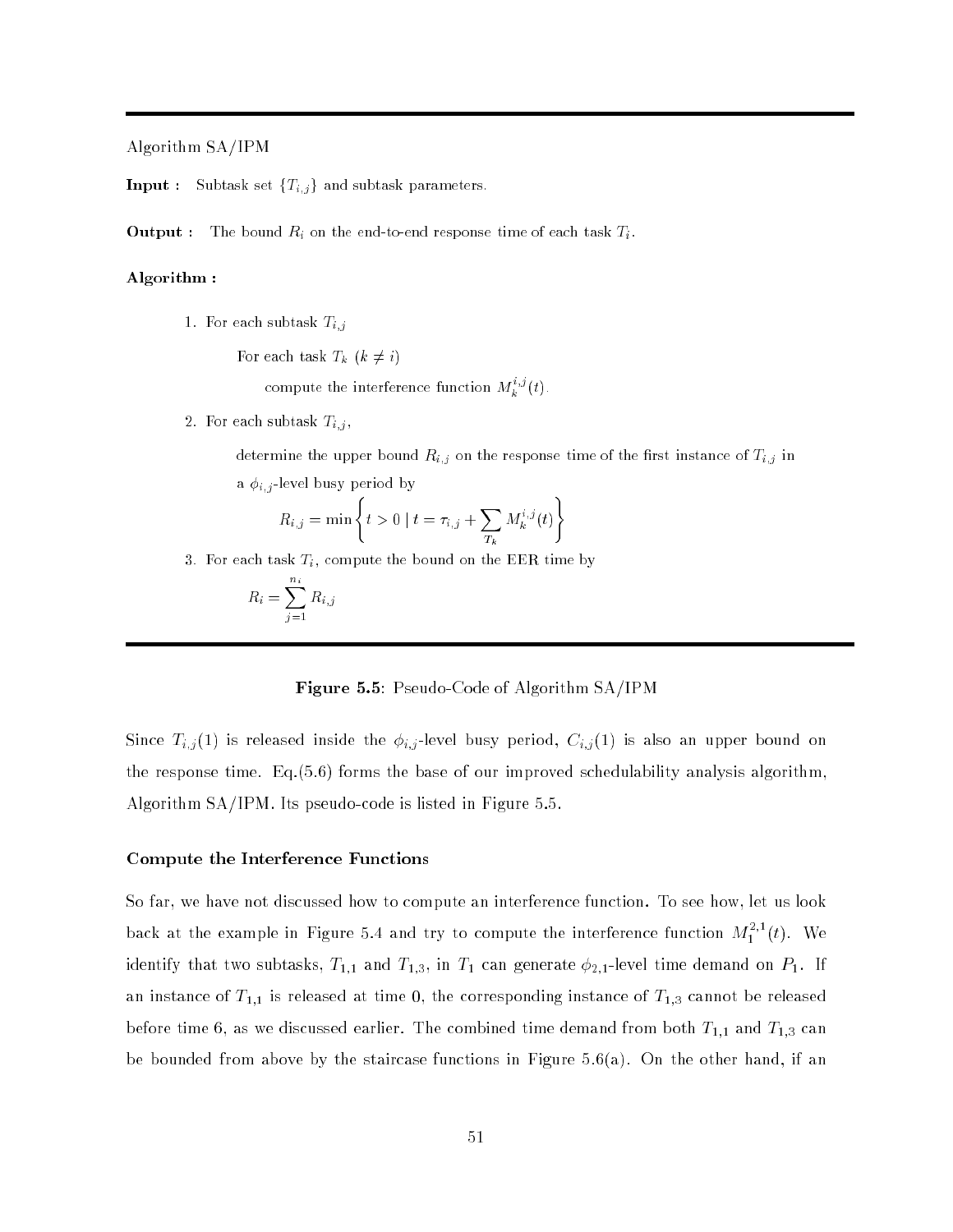Algorithm SA/IPM

**Input :** Subtask set  ${T_{i,j}}$  and subtask parameters.

**Output :** The bound  $R_i$  on the end-to-end response time of each task  $T_i$ .

## Algorithm :

1. For each subtask  $T_{i,j}$ 

For each task  $T_k$   $(k \neq i)$ 

compute the interference function  $M_k^{\gamma,\sigma}(t)$ .

2. For each subtask  $T_{i,j}$ ,

determine the upper bound  $R_{i,j}$  on the response time of the first instance of  $T_{i,j}$  in a  $\phi_{i,j}$ -level busy period by

)

$$
R_{i,j} = \min \left\{ t > 0 \mid t = \tau_{i,j} + \sum_{T_k} M_k^{i,j}(t) \right\}
$$

3. For each task  $T_i$ , compute the bound on the EER time by

$$
R_i = \sum_{j=1}^{n_i} R_{i,j}
$$

Figure 5.5: Pseudo-Code of Algorithm SA/IPM

Since Ti;j (1) is released institute institute the institute busy period, Ci;j(1) is also an upper bound on upper bound on upper bound on upper bound on upper bound on upper bound on upper bound on upper bound on upper bo the response time. Eq.(5.6) forms the base of our improved schedulability analysis algorithm, Algorithm SA/IPM. Its pseudo-code is listed in Figure 5.5.

### Compute the Interference Functions

So far, we have not discussed how to compute an interference function. To see how, let us look back at the example in Figure 5.4 and try to compute the interference function  $M_1^{++}(t)$ . We identify that two subtasks,  $T_{1,1}$  and  $T_{1,3}$ , in  $T_1$  can generate  $\phi_{2,1}$ -level time demand on  $P_1$ . If an instance of  $T_{1,1}$  is released at time 0, the corresponding instance of  $T_{1,3}$  cannot be released before time 6, as we discussed earlier. The combined time demand from both  $T_{1,1}$  and  $T_{1,3}$  can be bounded from above by the staircase functions in Figure  $5.6(a)$ . On the other hand, if an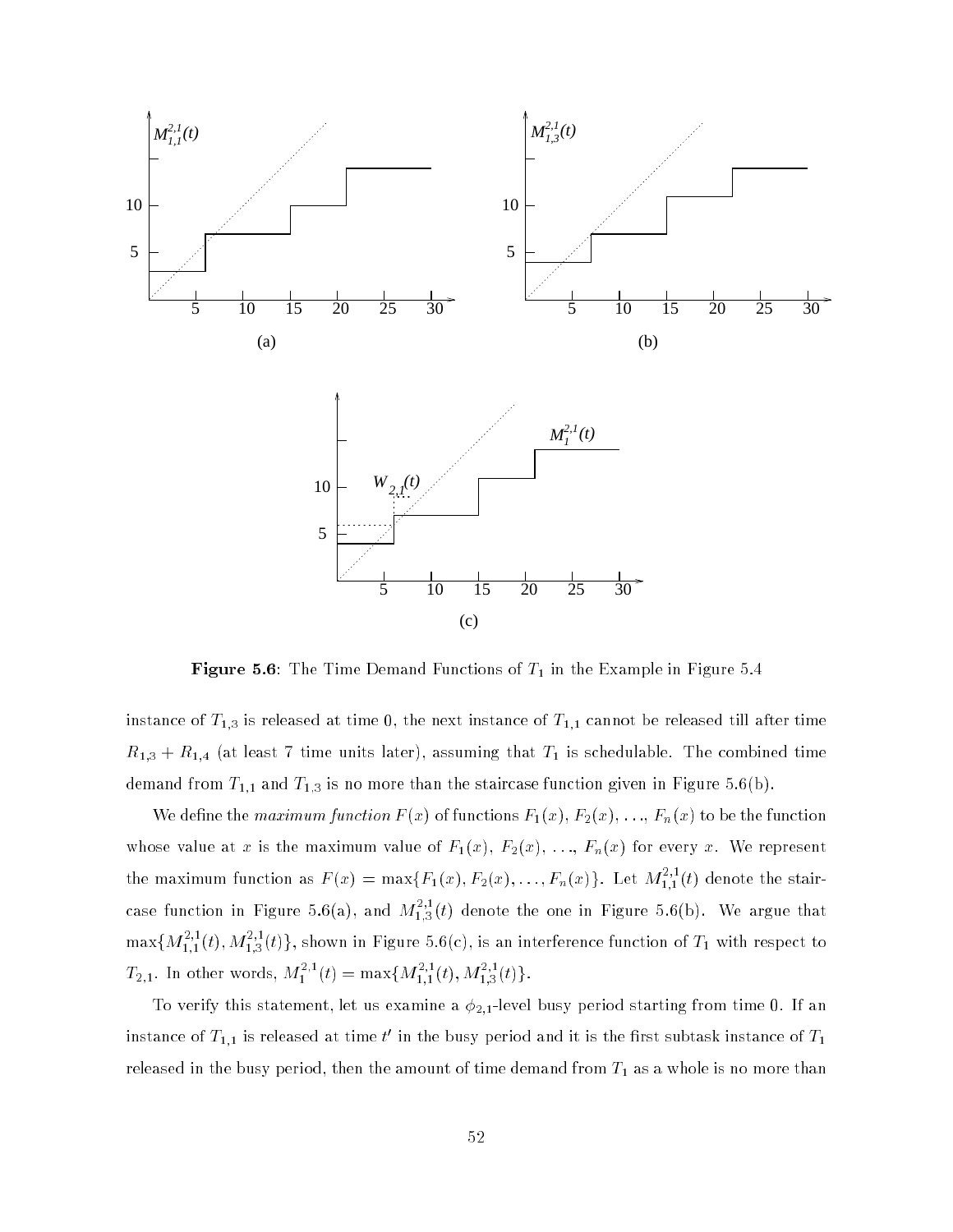

**Figure 5.6:** The Time Demand Functions of  $T_1$  in the Example in Figure 5.4

instance of  $T_{1,3}$  is released at time 0, the next instance of  $T_{1,1}$  cannot be released till after time  $R_{1,3} + R_{1,4}$  (at least 7 time units later), assuming that  $T_1$  is schedulable. The combined time demand from  $T_{1,1}$  and  $T_{1,3}$  is no more than the staircase function given in Figure 5.6(b).

We define the *maximum function*  $F(x)$  of functions  $F_1(x)$ ,  $F_2(x)$ , ...,  $F_n(x)$  to be the function whose value at x is the maximum value of  $F_1(x)$ ,  $F_2(x)$ , ...,  $F_n(x)$  for every x. We represent the maximum function as  $F(x) = \max\{F_1(x), F_2(x), \ldots, F_n(x)\}$ . Let  $M_{1,1}^{(1)}(t)$  denote the staircase function in Figure 5.6(a), and  $M_{1,3}^{-1}(t)$  denote the one in Figure 5.6(b). We argue that  $\max\{M_{1,1}^{+}(t),M_{1,3}^{+}(t)\},$  shown in Figure 5.6(c), is an interference function of  $T_1$  with respect to  $T_{2,1}$ . In other words,  $M_1^{++}(t) = \max\{M_{1,1}^{++}(t),M_{1,3}^{-+}(t)\}.$ 

To verify this statement, let us examine a  $\phi_{2,1}$ -level busy period starting from time 0. If an instance of  $I_{1,1}$  is released at time  $\iota$  in the busy period and it is the first subtask instance of  $I_1$ released in the busy period, then the amount of time demand from  $T_{1}$  as a whole is no more than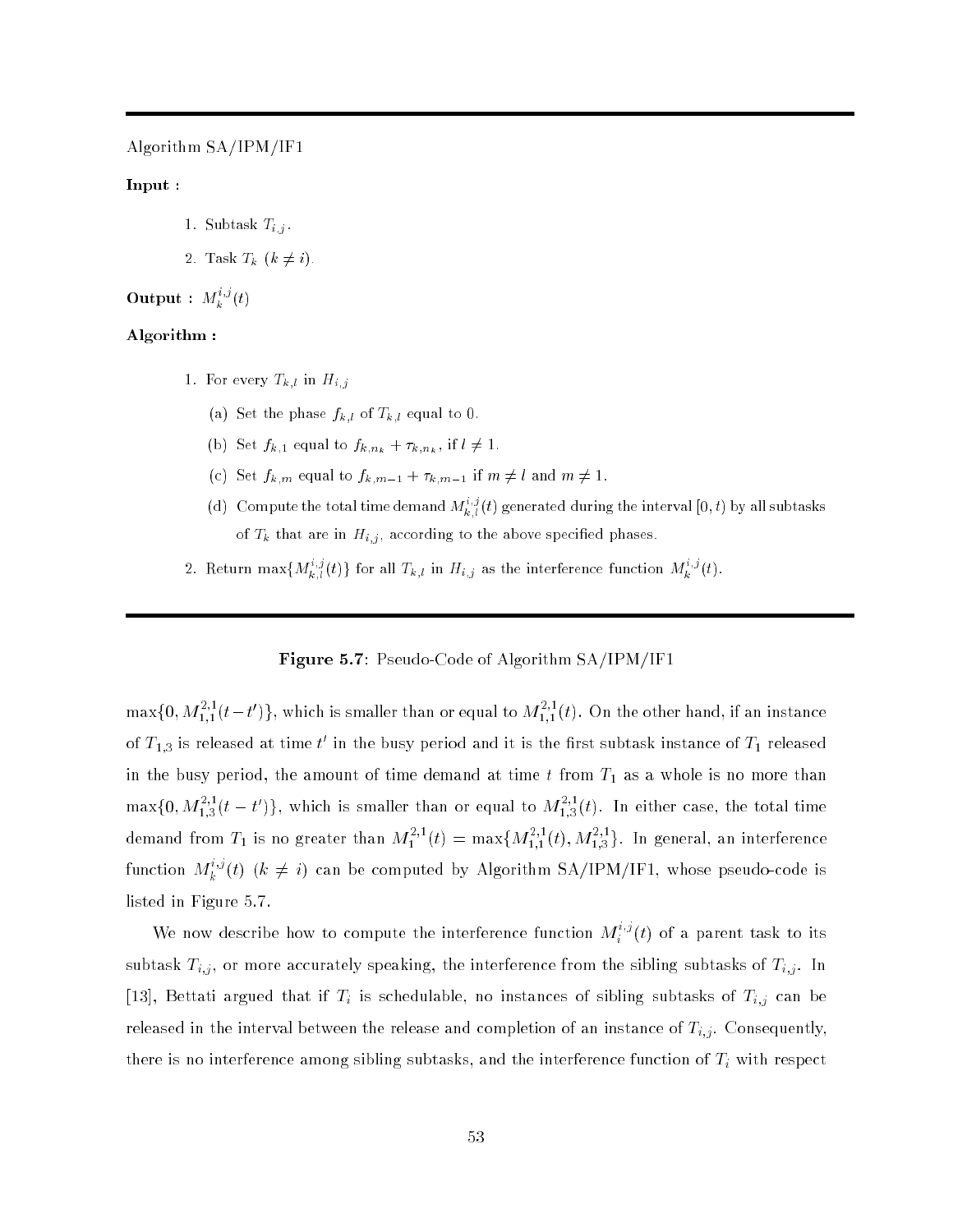Algorithm SA/IPM/IF1

# Input :

- 1. Subtask  $T_{i,j}$ .
- 2. Task  $T_k$   $(k \neq i)$ .

## Output :  $M_k^{\bullet,\bullet}(t)$

### Algorithm :

- 1. For every  $T_{k,l}$  in  $H_{i,j}$ 
	- (a) Set the phase  $f_{k,l}$  of  $T_{k,l}$  equal to 0.
	- (b) Set  $f_{k,1}$  equal to  $f_{k,n_k} + \tau_{k,n_k}$ , if  $l \neq 1$ .
	- (c) Set  $f_{k,m}$  equal to  $f_{k,m-1} + \tau_{k,m-1}$  if  $m \neq l$  and  $m \neq 1$ .
	- (d) Compute the total time demand  $M_{k,l}^{(l)}(t)$  generated during the interval [0, t] by all subtasks of  $T_k$  that are in  $H_{i,j}$ , according to the above specified phases.
- 2. Return max $\{M_{k,l}^{(i)}(t)\}$  for all  $T_{k,l}$  in  $H_{i,j}$  as the interference function  $M_{k}^{(i)}(t)$ .

# Figure 5.7: Pseudo-Code of Algorithm SA/IPM/IF1

 $\max\{0, M_{1,1}^{-1}(t-t')\}$ , which is smaller than or equal to  $M_{1,1}^{-1}(t)$ . On the other hand, if an instance of  $T_{1,3}$  is released at time  $\iota$  in the busy period and it is the first subtask instance of  $T_1$  released in the busy period, the amount of time demand at time  $t$  from  $T_1$  as a whole is no more than  $\max\{0, M_{1,3}^{+}(t-t')\}$ , which is smaller than or equal to  $M_{1,3}^{-1}(t)$ . In either case, the total time demand from  $T_1$  is no greater than  $M_1^{++}(t) = \max\{M_{1,1}^{++}(t), M_{1,3}^{++}\}$ . In general, an interference function  $M_k^{\geqslant 0}\left( t \right)$  (k  $\neq$   $i$ ) can be computed by Algorithm SA/IPM/IF1, whose pseudo-code is listed in Figure 5.7.

We now describe how to compute the interference function  $M_i^{\infty}(t)$  of a parent task to its subtast Ti;j; , or more accurately speaking, the interference from the sixteen  $\alpha$  subtasks of Ti;j . In  $\begin{array}{cccc} |1&1|&1&1&1 \end{array}$ released in the interval between the release and completion of an instance of Ti;j . Consequently, there is no interference and the interference function of  $\mathbb{I}$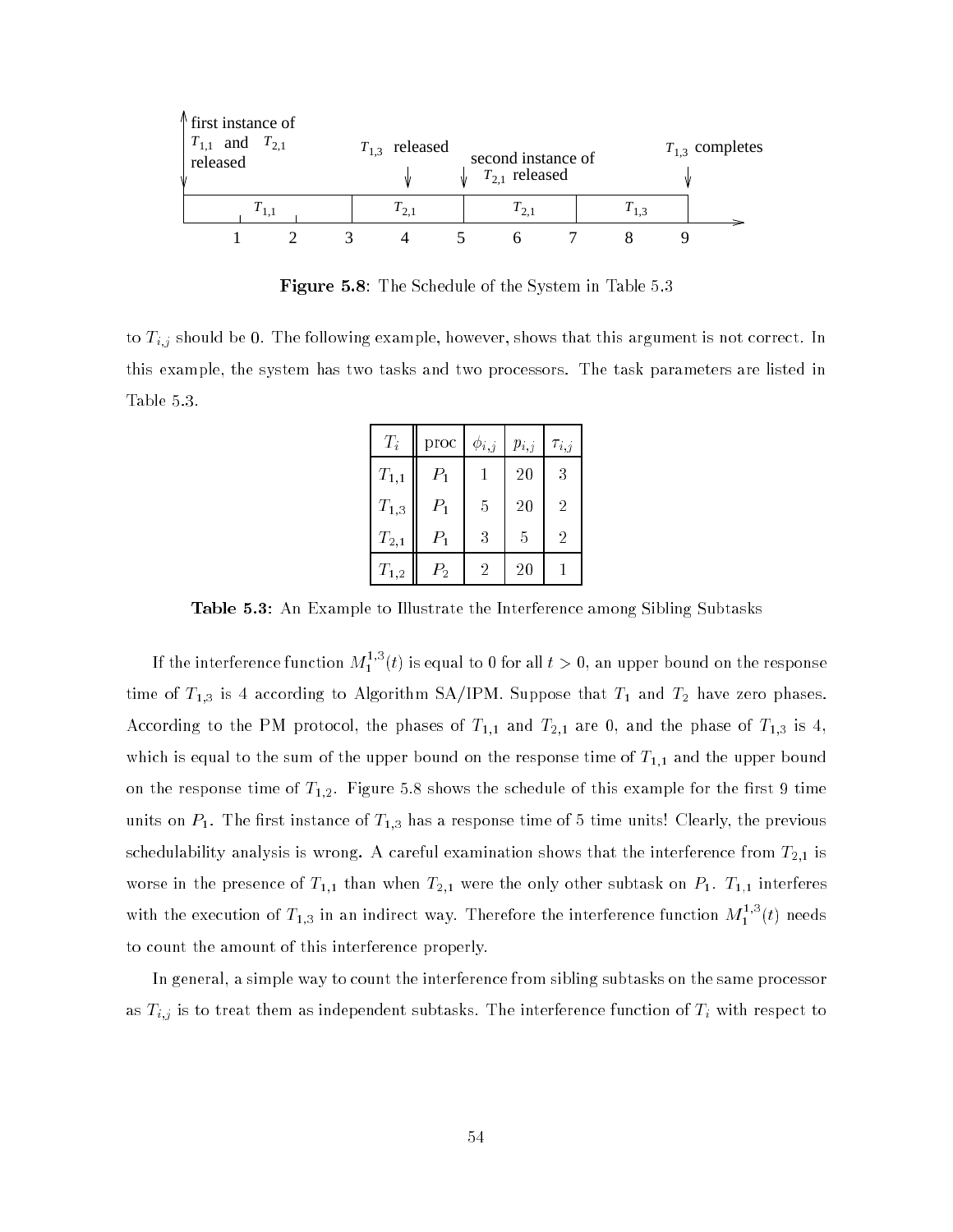| $\uparrow$ first instance of<br>$T_{1,1}$ and $T_{2,1}$<br>released |  | $T_{1,3}$ released | second instance of<br>$T_{2,1}$ released |  |  | $T_{1,3}$ completes |  |  |
|---------------------------------------------------------------------|--|--------------------|------------------------------------------|--|--|---------------------|--|--|
|                                                                     |  | 1 <sub>21</sub>    | 121                                      |  |  |                     |  |  |
|                                                                     |  |                    |                                          |  |  |                     |  |  |

Figure 5.8: The Schedule of the System in Table 5.3

to Ti;j should be 0. The following example, however, shows that this argument is not correct. In this example, the system has two tasks and two processors. The task parameters are listed in Table 5.3.

| $T_i$               | proc    | $\phi_{i,j}$ | $p_{i,j}$ | $\tau_{i,j}$   |
|---------------------|---------|--------------|-----------|----------------|
| $\mathcal{T}_{1,1}$ | $P_1$   |              | 20        | 3              |
| $T_{1,3}$           | $P_1$   | 5            | 20        | $\overline{2}$ |
| $T_{2,1}$           | $P_1$   | 3            | 5         | $\overline{2}$ |
| $T_{1,2}$           | $P_2\,$ | 2            | 20        |                |

Table 5.3: An Example to Illustrate the Interference among Sibling Subtasks

If the interference function  $M_1^{**}(t)$  is equal to 0 for all  $t > 0$ , an upper bound on the response time of  $T_{1,3}$  is 4 according to Algorithm SA/IPM. Suppose that  $T_1$  and  $T_2$  have zero phases. According to the PM protocol, the phases of  $T_{1,1}$  and  $T_{2,1}$  are 0, and the phase of  $T_{1,3}$  is 4, which is equal to the sum of the upper bound on the response time of  $T_{1,1}$  and the upper bound on the response time of  $T_{1,2}$ . Figure 5.8 shows the schedule of this example for the first 9 time units on  $P_1.$  The first instance of  $T_{1,3}$  has a response time of 5 time units! Clearly, the previous schedulability analysis is wrong. A careful examination shows that the interference from  $T_{2,1}$  is worse in the presence of  $T_{1,1}$  than when  $T_{2,1}$  were the only other subtask on  $P_1$ .  $T_{1,1}$  interferes with the execution of  $T_{1,3}$  in an indirect way. Therefore the interference function  $M_1^{**}(t)$  needs to count the amount of this interference properly.

In general, a simple way to count the interference from sibling subtasks on the same processor as Ti; is to treat them as independent subtases. The interference function of Ti with respect to  $\Gamma$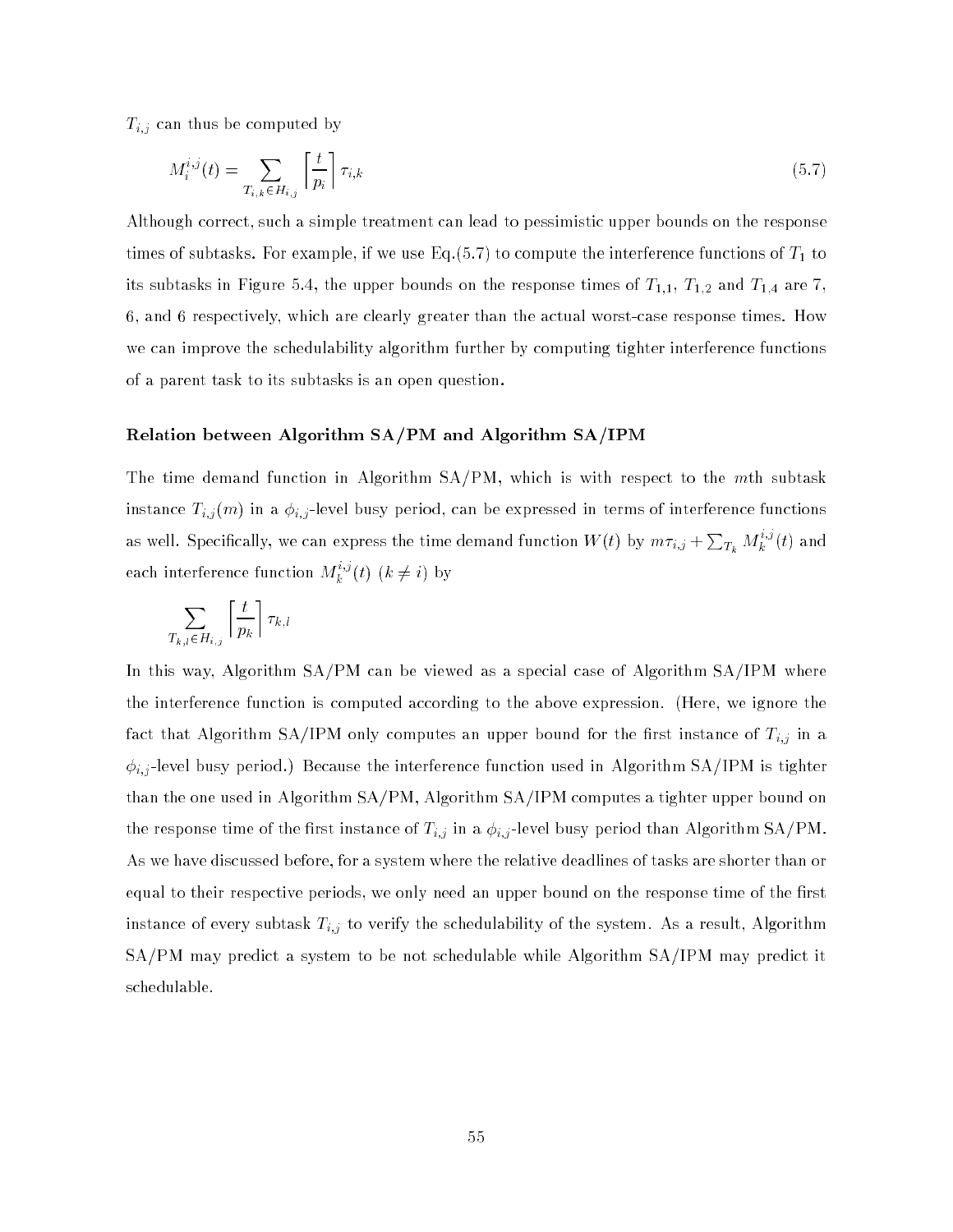Times by computed by computed by computed by computed by computed by computed by computed by computed by computed by computed by computed by computed by computed by computed by computed by computed by computed by computed

$$
M_i^{i,j}(t) = \sum_{T_{i,k} \in H_{i,j}} \left\lceil \frac{t}{p_i} \right\rceil \tau_{i,k} \tag{5.7}
$$

Although correct, such a simple treatment can lead to pessimistic upper bounds on the response times of subtasks. For example, if we use Eq.  $(5.7)$  to compute the interference functions of  $T_1$  to its subtasks in Figure 5.4, the upper bounds on the response times of  $T_{1,1}$ ,  $T_{1,2}$  and  $T_{1,4}$  are 7, 6, and 6 respectively, which are clearly greater than the actual worst-case response times. How we can improve the schedulability algorithm further by computing tighter interference functions of a parent task to its subtasks is an open question.

### Relation between Algorithm SA/PM and Algorithm SA/IPM

The time demand function in Algorithm SA/PM, which is with respect to the mth subtask instance Ti;j (m) in <sup>a</sup> i;j -level busy period, can be expressed in terms of interference functions as well. Specifically, we can express the time demand function  $W(t)$  by  $m\tau_{i,j}+\sum_{T_k}M_k^{i,j}(t)$  and each interference function  $M_k^{\gamma,\sigma}(t)$   $(k \neq i)$  by

$$
\sum_{T_{k,l}\in H_{i,j}} \left\lceil \frac{t}{p_k} \right\rceil \tau_{k,l}
$$

In this way, Algorithm SA/PM can be viewed as a special case of Algorithm SA/IPM where the interference function is computed according to the above expression. (Here, we ignore the factories and Algorithm SA/IPM only computes and the rest instance of Ti; in an upper bound for the  $k,l$ i;j -level busy period.) Because the interference function used in Algorithm SA/IPM is tighter than the one used in Algorithm SA/PM, Algorithm SA/IPM computes a tighter upper bound on the response time of the method instance of Ti;; in a i; j in a subject busy period than Algorithm SA/PM. As we have discussed before, for a system where the relative deadlines of tasks are shorter than or equal to their respective periods, we only need an upper bound on the response time of the first instance of every subtast Ti; to verify the system. As a result, Algorithm  $\mathcal{A}$  result, Algorithm  $\mathcal{A}$ SA/PM may predict a system to be not schedulable while Algorithm SA/IPM may predict it schedulable.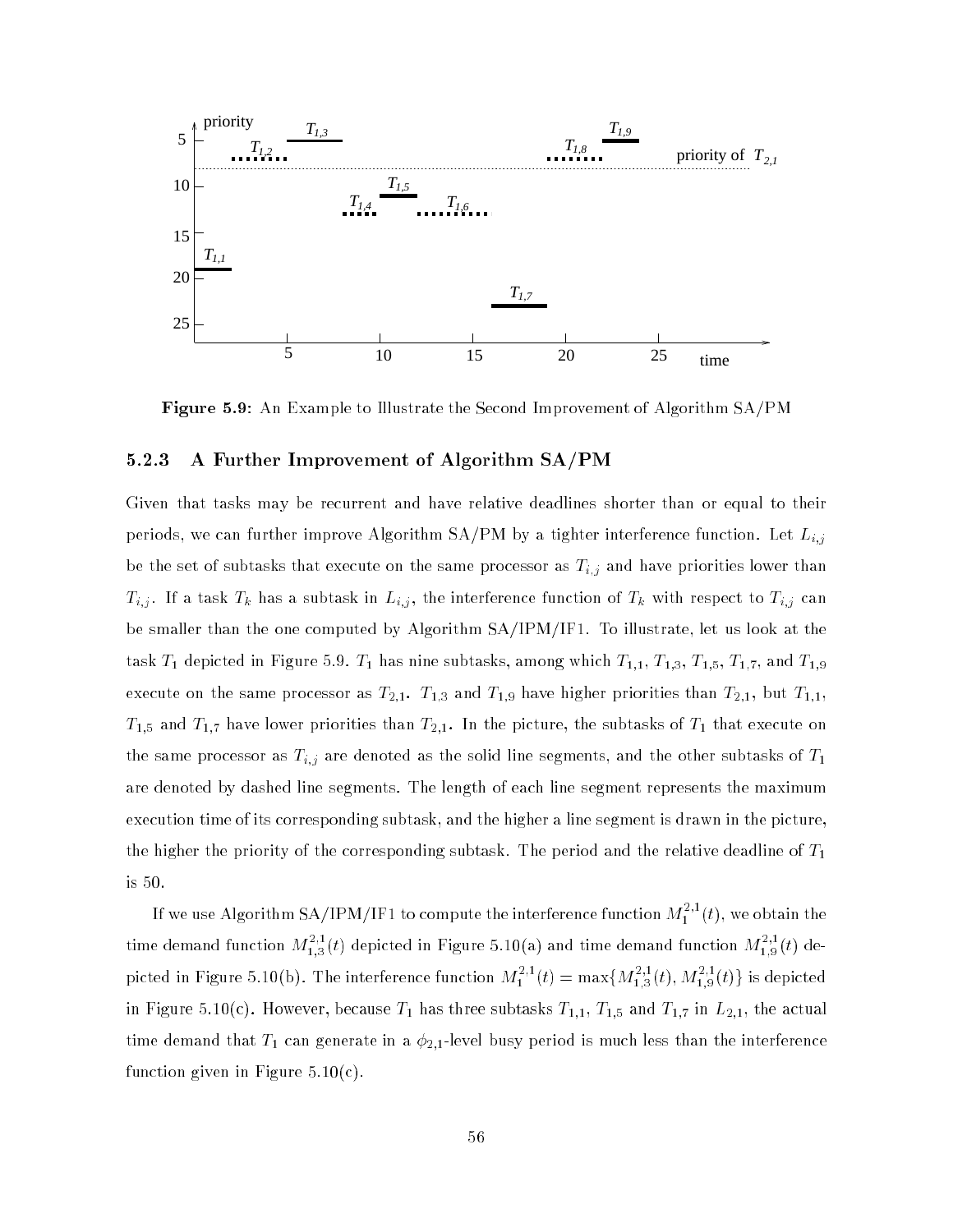

Figure 5.9: An Example to Illustrate the Second Improvement of Algorithm SA/PM

### 5.2.3 A Further Improvement of Algorithm SA/PM

Given that tasks may be recurrent and have relative deadlines shorter than or equal to their periods, we can further improve Algorithm SA/PM by a tighter interference function. Let  $\mathbb{P}_{i,j}$ be the set of subtasks that executive on the same processor as Ti; and have priorities lower than  $\Gamma$  $\tau_{i,j}$  . If a task Tk  $\tau_{i,j}$  , the interference function function of Tk with respect to Tk  $\tau_{i,j}$  , then be smaller than the one computed by Algorithm SA/IPM/IF1. To illustrate, let us look at the task  $T_1$  depicted in Figure 5.9.  $T_1$  has nine subtasks, among which  $T_{1,1}$ ,  $T_{1,3}$ ,  $T_{1,5}$ ,  $T_{1,7}$ , and  $T_{1,9}$ execute on the same processor as  $T_{2,1}$ .  $T_{1,3}$  and  $T_{1,9}$  have higher priorities than  $T_{2,1}$ , but  $T_{1,1}$ ,  $T_{1,5}$  and  $T_{1,7}$  have lower priorities than  $T_{2,1}$ . In the picture, the subtasks of  $T_1$  that execute on the same processor as Ti; are denoted as Ti; are denoted as the solid line segments, and the other subtasks of T are denoted by dashed line segments. The length of each line segment represents the maximum execution time of its corresponding subtask, and the higher a line segment is drawn in the picture, the higher the priority of the corresponding subtask. The period and the relative deadline of  $T_1$ is 50.

If we use Algorithm SA/IPM/IF1 to compute the interference function  $M_1^{\gamma^*}(t),$  we obtain the time demand function  $M^{-2}_{1,3}(t)$  depicted in Figure 5.10(a) and time demand function  $M^{-1}_{1,9}(t)$  depicted in Figure 5.10(b). The interference function  $M_1^{++}(t) = \max\{M_{1,3}^{++}(t), M_{1,9}^{++}(t)\}$  is depicted in Figure 5.10(c). However, because  $T_1$  has three subtasks  $T_{1,1}$ ,  $T_{1,5}$  and  $T_{1,7}$  in  $L_{2,1}$ , the actual time demand that  $T_1$  can generate in a  $\phi_{2,1}$ -level busy period is much less than the interference function given in Figure  $5.10(c)$ .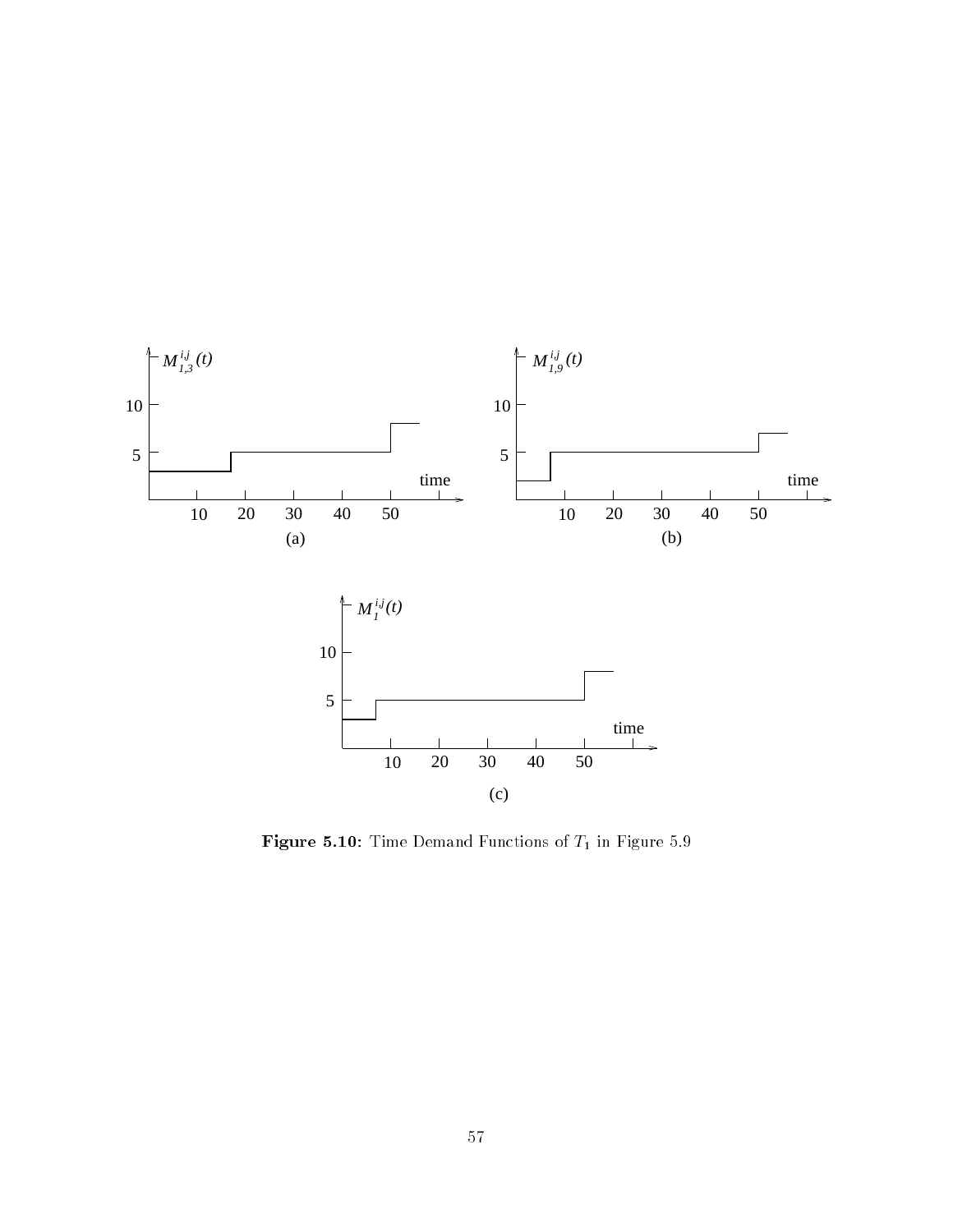

Figure 5.10: Time Demand Functions of  $T_1$  in Figure 5.9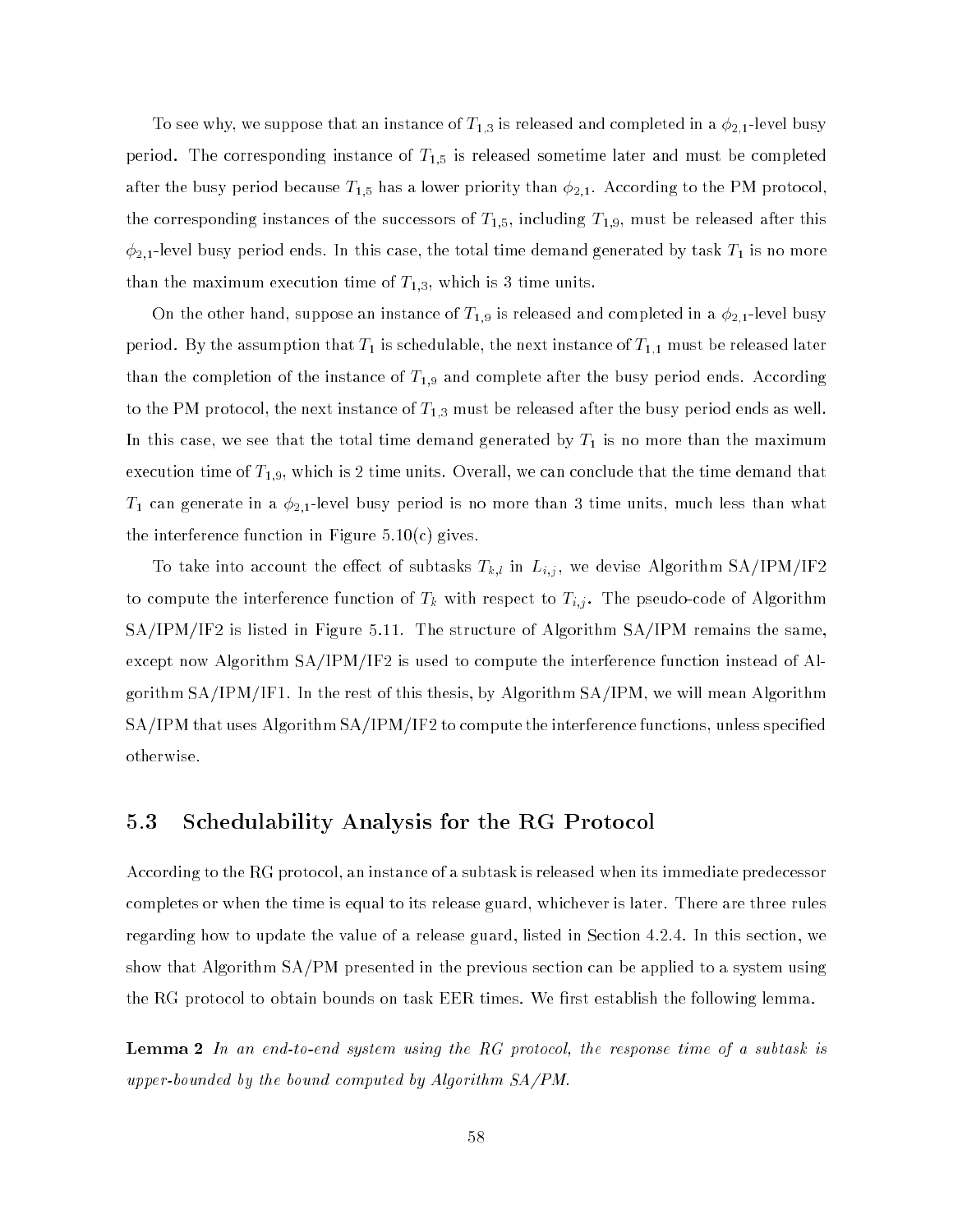To see why, we suppose that an instance of  $T_{1,3}$  is released and completed in a  $\phi_{2,1}$ -level busy period. The corresponding instance of  $T_{1,5}$  is released sometime later and must be completed after the busy period because  $T_{1,5}$  has a lower priority than  $\phi_{2,1}.$  According to the PM protocol, the corresponding instances of the successors of  $T_{1,5},$  including  $T_{1,9},$  must be released after this  $\phi_{2,1}$ -level busy period ends. In this case, the total time demand generated by task  $T_1$  is no more than the maximum execution time of  $T_{1,3}$ , which is 3 time units.

On the other hand, suppose an instance of  $T_{1,9}$  is released and completed in a  $\phi_{2,1}$ -level busy period. By the assumption that  $T_1$  is schedulable, the next instance of  $T_{1,1}$  must be released later than the completion of the instance of  $T_{1,9}$  and complete after the busy period ends. According to the PM protocol, the next instance of  $T_{1,3}$  must be released after the busy period ends as well. In this case, we see that the total time demand generated by  $T_1$  is no more than the maximum execution time of  $T_{1,9}$ , which is 2 time units. Overall, we can conclude that the time demand that  $T_1$  can generate in a  $\phi_{2,1}$ -level busy period is no more than 3 time units, much less than what the interference function in Figure  $5.10(c)$  gives.

To take into account the eect of subtasks Tk;l in Li;j , we devise Algorithm SA/IPM/IF2 to compute the interference function of Tk with respect to Ti; is a set  $\mathbf{r}$  . The pseudo-code of  $\mathbf{r}$ SA/IPM/IF2 is listed in Figure 5.11. The structure of Algorithm SA/IPM remains the same, except now Algorithm SA/IPM/IF2 is used to compute the interference function instead of Algorithm SA/IPM/IF1. In the rest of this thesis, by Algorithm SA/IPM, we will mean Algorithm SA/IPM that uses Algorithm SA/IPM/IF2 to compute the interference functions, unless specied otherwise.

### 5.3 Schedulability Analysis for the RG Protocol

According to the RG protocol, an instance of a subtask is released when its immediate predecessor completes or when the time is equal to its release guard, whichever is later. There are three rules regarding how to update the value of a release guard, listed in Section 4.2.4. In this section, we show that Algorithm SA/PM presented in the previous section can be applied to a system using the RG protocol to obtain bounds on task EER times. We first establish the following lemma.

**Lemma 2** In an end-to-end system using the RG protocol, the response time of a subtask is upper-bounded by the bound computed by Algorithm SA/PM.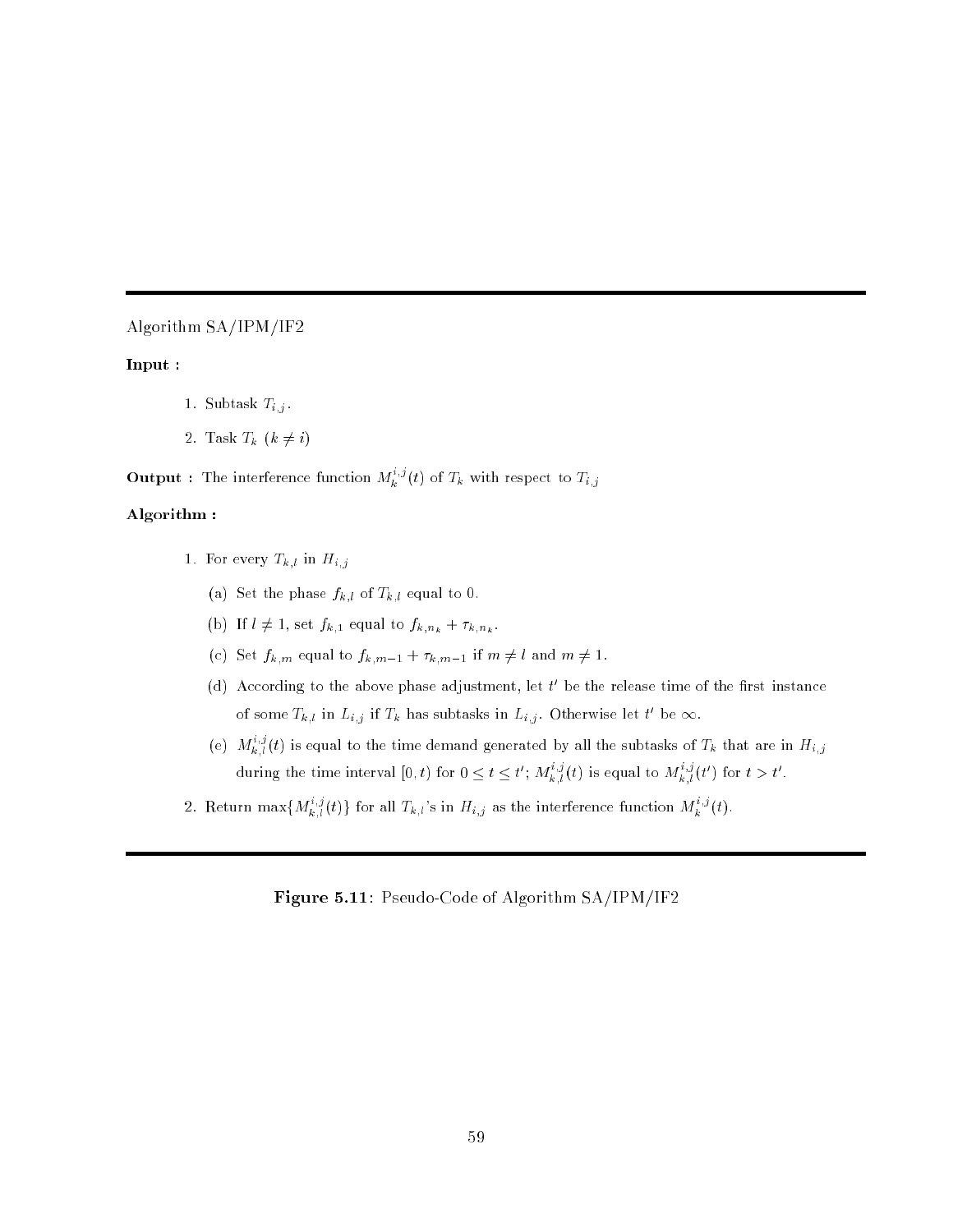### Algorithm SA/IPM/IF2

### Input :

- 1. Subtask  $T_{i,j}$ .
- 2. Task  $T_k$   $(k \neq i)$

**Output** : The interference function  $M_k^{\{s\}}(t)$  of  $T_k$  with respect to  $T_{i,j}$ 

### Algorithm :

- 1. For every  $T_{k,l}$  in  $H_{i,j}$ 
	- (a) Set the phase  $f_{k,l}$  of  $T_{k,l}$  equal to 0.
	- (b) If  $l \neq 1$ , set  $f_{k,1}$  equal to  $f_{k,n_k} + \tau_{k,n_k}$ .
	- (c) Set  $f_{k,m}$  equal to  $f_{k,m-1} + \tau_{k,m-1}$  if  $m \neq l$  and  $m \neq 1$ .
	- (d) According to the above phase adjustment, let  $\iota$  be the release time of the first instance of some  $I_{k,l}$  in  $L_{i,j}$  if  $I_k$  has subtasks in  $L_{i,j}$ . Utherwise let the  $\infty$ .
	- (e)  $M_{k,l}^{(u)}(t)$  is equal to the time demand generated by all the subtasks of  $T_k$  that are in  $H_{i,j}$ during the time interval  $[0,t)$  for  $0 \le t \le t'$ ;  $M_{k+l}^{-3}(t)$  is equal to  $M_{k+l}^{+3}(t')$  for  $t > t'$ .
- 2. Return max $\{M_{k,l}^{i,j}(t)\}$  for all  $T_{k,l}$ 's in  $H_{i,j}$  as the interference function  $M_{k}^{i,j}(t)$ .

### Figure 5.11: Pseudo-Code of Algorithm SA/IPM/IF2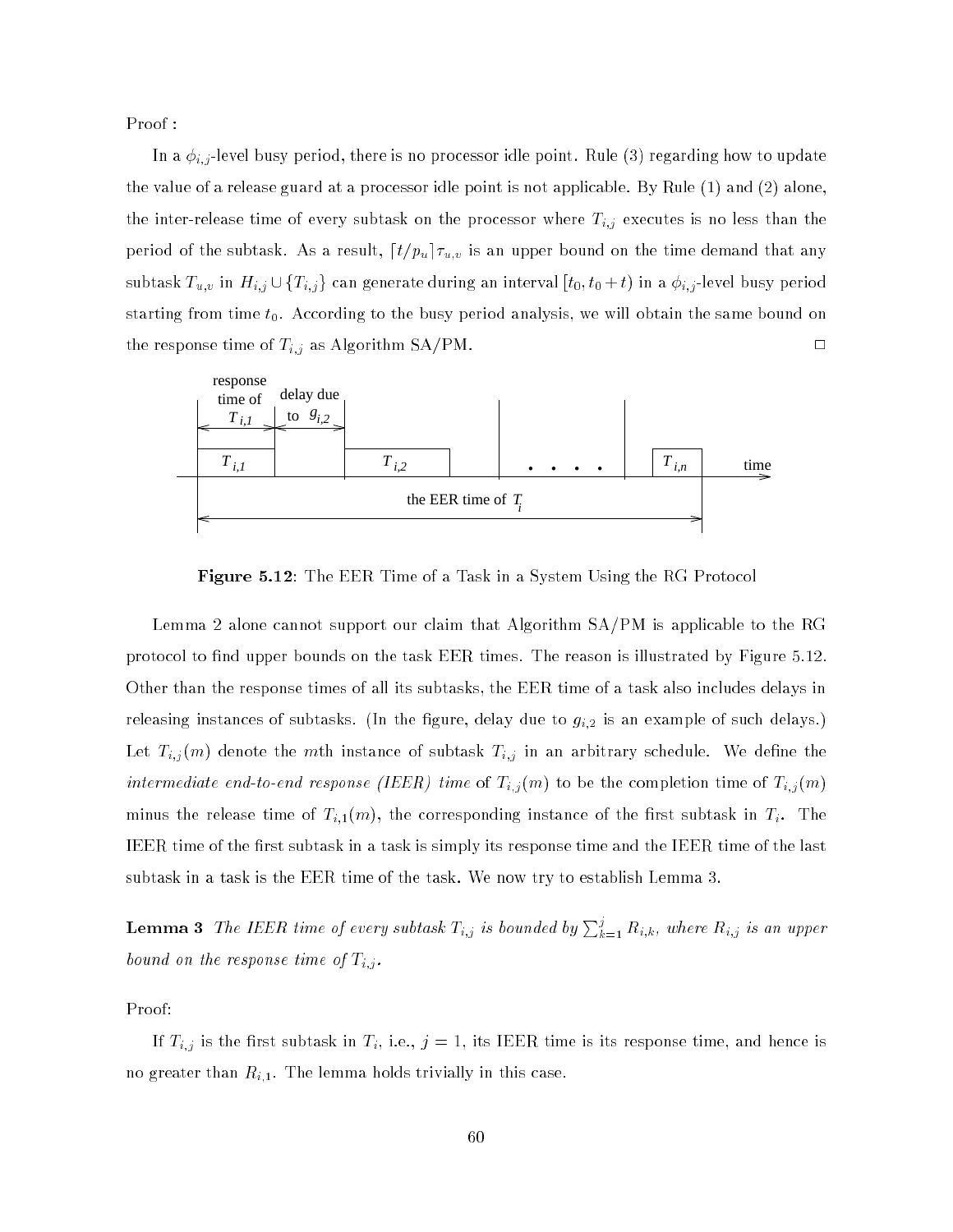Proof :

In a if there is no processor is no processor in processor in processor in processor in processor in the update  $\mathcal{L}$ the value of a release guard at a processor idle point is not applicable. By Rule (1) and (2) alone, the inter-release time of every subtask on the processor where  $\ell_{\rm eff}$ period is a result subtant for the subtast, dt=public  $a, b, \ldots$  and  $a$  public on the time demonstration  $\alpha$ subtask Tu;v in Hi;j in Hi;j and generate during an interval [t0; t0 + t) in a i;j -level busy period starting from time  $t_0$ . According to the busy period analysis, we will obtain the same bound on the response time of  $\mathbb{Z}^d$  as Algorithm SA/PM. 2013



Figure 5.12: The EER Time of a Task in a System Using the RG Protocol

Lemma 2 alone cannot support our claim that Algorithm SA/PM is applicable to the RG protocol to find upper bounds on the task EER times. The reason is illustrated by Figure 5.12. Other than the response times of all its subtasks, the EER time of a task also includes delays in releasing instances of subtasks. (In the figure, delay due to  $g_{i,2}$  is an example of such delays.) Let  $\mathcal{L}_{i,j}$  (i.e. the main instance of subtance of subtance  $\mathcal{L}_{i,j}$  in an arbitrary schedule. We define intermediate end-to-end-to-end-to-end-to-end response ( $\ell=1$  to be the completion time of Ti; (m) to be the completion time of Ti; (m) to be the completion time of Ti; (m) to be the completion time of Ti; (m) to be the c minus the release time of  $T_{i,1}(m),$  the corresponding instance of the first subtask in  $T_i.$  The IEER time of the first subtask in a task is simply its response time and the IEER time of the last subtask in a task is the EER time of the task. We now try to establish Lemma 3.

**Lemma 3** The IEER time of every subtask  $T_{i,j}$  is bounded by  $\sum_{k=1}^j R_{i,k},$  where  $R_{i,j}$  is an upper bound on the response time of Ti;j .

Proof:

If Ti;j is the rst subtask in Ti, i.e., <sup>j</sup> = 1, its IEER time is its response time, and hence is no greater than  $R_{i,1}.$  The lemma holds trivially in this case.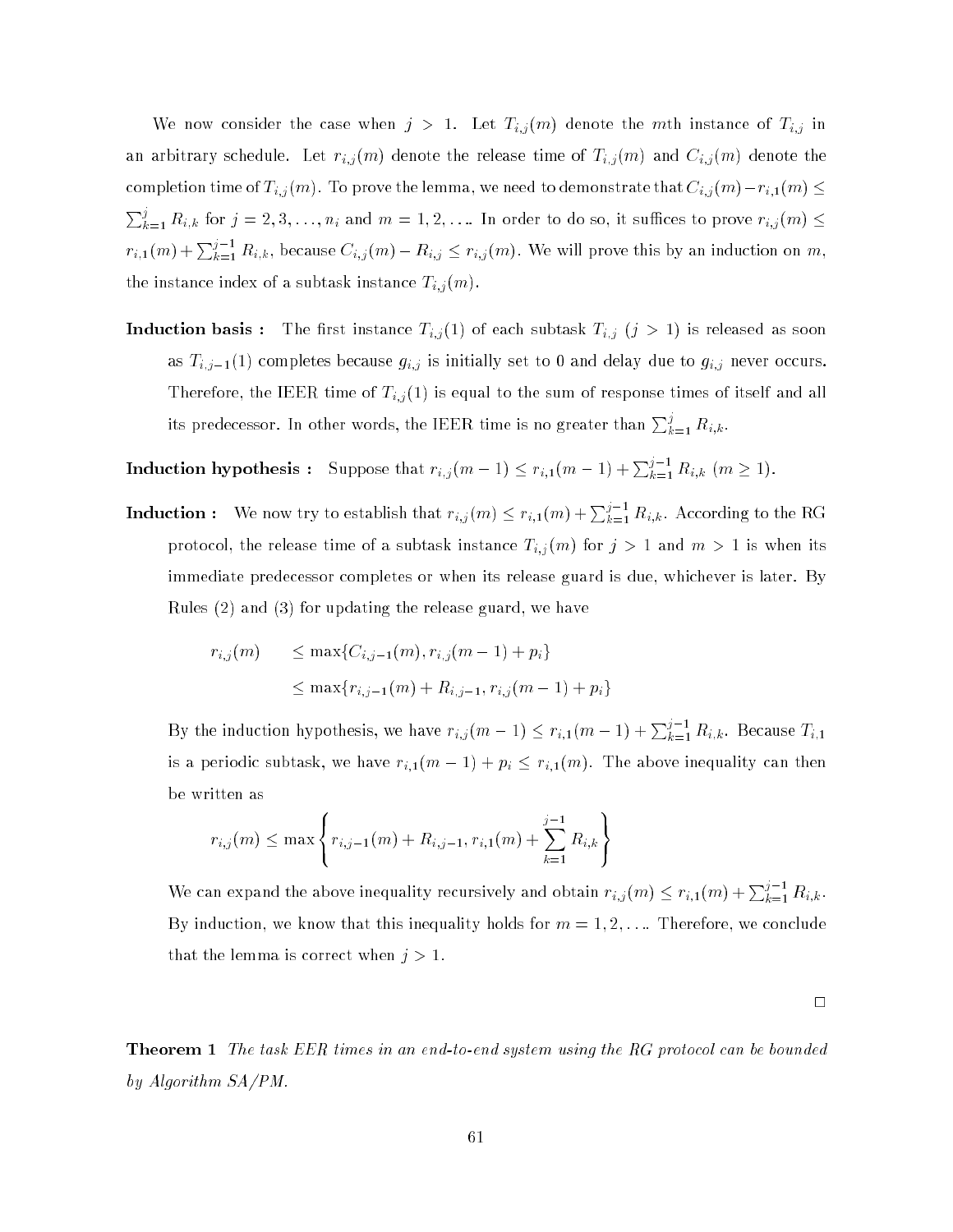We now consider the case when j  $\mu$  instance of  $\mu$  instance of Ti; instance of Ti; instance of Ti; instance of Ti; instance of Ti; instance of Ti; instance of Ti; instance of Ti; instance of Ti; instance of Ti; instanc and arbitrary schedule. Let  $\mathcal{V}$  and  $\mathcal{V}$  and  $\mathcal{V}$  and  $\mathcal{V}$  and  $\mathcal{V}$  and  $\mathcal{V}$  and  $\mathcal{V}$  denote the release time of Ti;  $\mathcal{V}$  and  $\mathcal{V}$  and  $\mathcal{V}$  and  $\mathcal{V}$  and  $\mathcal{V}$  and  $\mathcal{V}$  a completion time of  $T_{i,j}$  (m). To prove the lemma, we need to demonstrate that  $C_{i,j}$  (m)  $r_{i+1}(m) \geq 1$  $\sum_{k=1}^j R_{i,k}$  for  $j=2,3,\ldots,n_i$  and  $m=1,2,\ldots$  In order to do so, it suffices to prove  $r_{i,j}(m)\leq$  $r_{i,1}(m) + \sum_{k=1}^{j-1} R_{i,k}$ , because  $C_{i,j}(m) - R_{i,j} \leq r_{i,j}(m)$ . We will prove this by an induction on  $m$ , the instance index of a subtask instance  $T_{i,j}(m)$ .

 $\ell : I \setminus I$  of each subtast instance Ti; (iii) is released as soon as soon as soon as soon as soon as soon as soon as soon as soon as soon as soon as soon as soon as soon as soon as soon as soon as soon as soon as soon as as  $T_{i,j-1}(1)$  completes because  $g_{i,j}$  is initially set to 0 and delay due to  $g_{i,j}$  never occurs. Therefore, the IEER time of Ti;j (1) is equal to the sum of response times times of its compact  $\sim$ its predecessor. In other words, the IEER time is no greater than  $\sum_{k=1}^j R_{i,k}$ .

**Induction hypothesis**: Suppose that  $r_{i,j}(m-1) \leq r_{i,1}(m-1) + \sum_{k=1}^{j-1} R_{i,k}$   $(m \geq 1)$ .

**Induction** : We now try to establish that  $r_{i,j}(m) \leq r_{i,1}(m) + \sum_{k=1}^{j-1} R_{i,k}$ . According to the RG protocol, the release times the subtask instance  $\frac{1}{2}$   $\frac{1}{2}$   $\frac{1}{2}$  ,  $\frac{1}{2}$  ,  $\frac{1}{2}$  and  $\frac{1}{2}$  ,  $\frac{1}{2}$  ,  $\frac{1}{2}$  ,  $\frac{1}{2}$  ,  $\frac{1}{2}$  ,  $\frac{1}{2}$  ,  $\frac{1}{2}$  ,  $\frac{1}{2}$  ,  $\frac{1}{2}$  ,  $\frac{1}{$ immediate predecessor completes or when its release guard is due, whichever is later. By Rules (2) and (3) for updating the release guard, we have

$$
r_{i,j}(m) \le \max\{C_{i,j-1}(m), r_{i,j}(m-1) + p_i\}
$$
  

$$
\le \max\{r_{i,j-1}(m) + R_{i,j-1}, r_{i,j}(m-1) + p_i\}
$$

By the induction hypothesis, we have  $r_{i,j}(m-1) \leq r_{i,1}(m-1) + \sum_{k=1}^{j-1} R_{i,k}$ . Because  $T_{i,1}$ is a periodic subtask, we have  $r_{i,1}(m-1) + p_i \leq r_{i,1}(m)$ . The above inequality can then be written as

99.99

$$
r_{i,j}(m) \le \max \left\{ r_{i,j-1}(m) + R_{i,j-1}, r_{i,1}(m) + \sum_{k=1}^{j-1} R_{i,k} \right\}
$$

<sup>8</sup>

We can expand the above inequality recursively and obtain  $r_{i,j}(m) \leq r_{i,1}(m) + \sum_{k=1}^{j-1} R_{i,k}$ . By induction, we know that this inequality holds for  $m = 1, 2, \ldots$  Therefore, we conclude that the lemma is correct when  $j > 1$ .

 $\Box$ 

**Theorem 1** The task EER times in an end-to-end system using the RG protocol can be bounded by Algorithm SA/PM.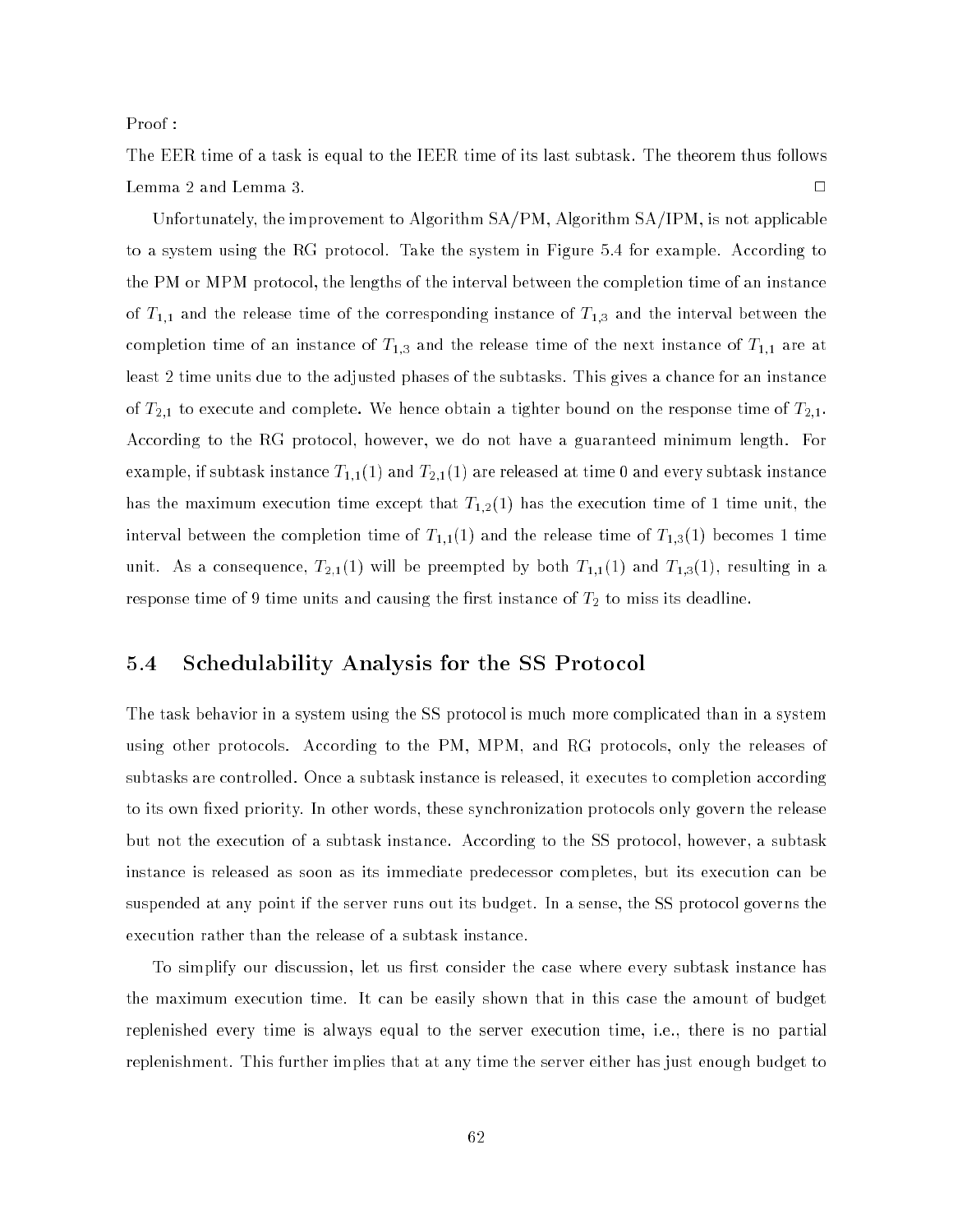Proof :

The EER time of a task is equal to the IEER time of its last subtask. The theorem thus follows Lemma 2 and Lemma 3.  $\Box$ 

Unfortunately, the improvement to Algorithm SA/PM, Algorithm SA/IPM, is not applicable to a system using the RG protocol. Take the system in Figure 5.4 for example. According to the PM or MPM protocol, the lengths of the interval between the completion time of an instance of  $T_{1,1}$  and the release time of the corresponding instance of  $T_{1,3}$  and the interval between the completion time of an instance of  $T_{1,3}$  and the release time of the next instance of  $T_{1,1}$  are at least 2 time units due to the adjusted phases of the subtasks. This gives a chance for an instance of  $T_{2,1}$  to execute and complete. We hence obtain a tighter bound on the response time of  $T_{2,1}$ . According to the RG protocol, however, we do not have a guaranteed minimum length. For example, if subtask instance  $T_{1,1}(1)$  and  $T_{2,1}(1)$  are released at time 0 and every subtask instance has the maximum execution time except that  $T_{1,2}(1)$  has the execution time of 1 time unit, the interval between the completion time of  $T_{1,1}(1)$  and the release time of  $T_{1,3}(1)$  becomes 1 time unit. As a consequence,  $T_{2,1}(1)$  will be preempted by both  $T_{1,1}(1)$  and  $T_{1,3}(1)$ , resulting in a response time of 9 time units and causing the first instance of  $T_{\rm 2}$  to miss its deadline.

### 5.4 Schedulability Analysis for the SS Protocol

The task behavior in a system using the SS protocol is much more complicated than in a system using other protocols. According to the PM, MPM, and RG protocols, only the releases of subtasks are controlled. Once a subtask instance is released, it executes to completion according to its own fixed priority. In other words, these synchronization protocols only govern the release but not the execution of a subtask instance. According to the SS protocol, however, a subtask instance is released as soon as its immediate predecessor completes, but its execution can be suspended at any point if the server runs out its budget. In a sense, the SS protocol governs the execution rather than the release of a subtask instance.

To simplify our discussion, let us first consider the case where every subtask instance has the maximum execution time. It can be easily shown that in this case the amount of budget replenished every time is always equal to the server execution time, i.e., there is no partial replenishment. This further implies that at any time the server either has just enough budget to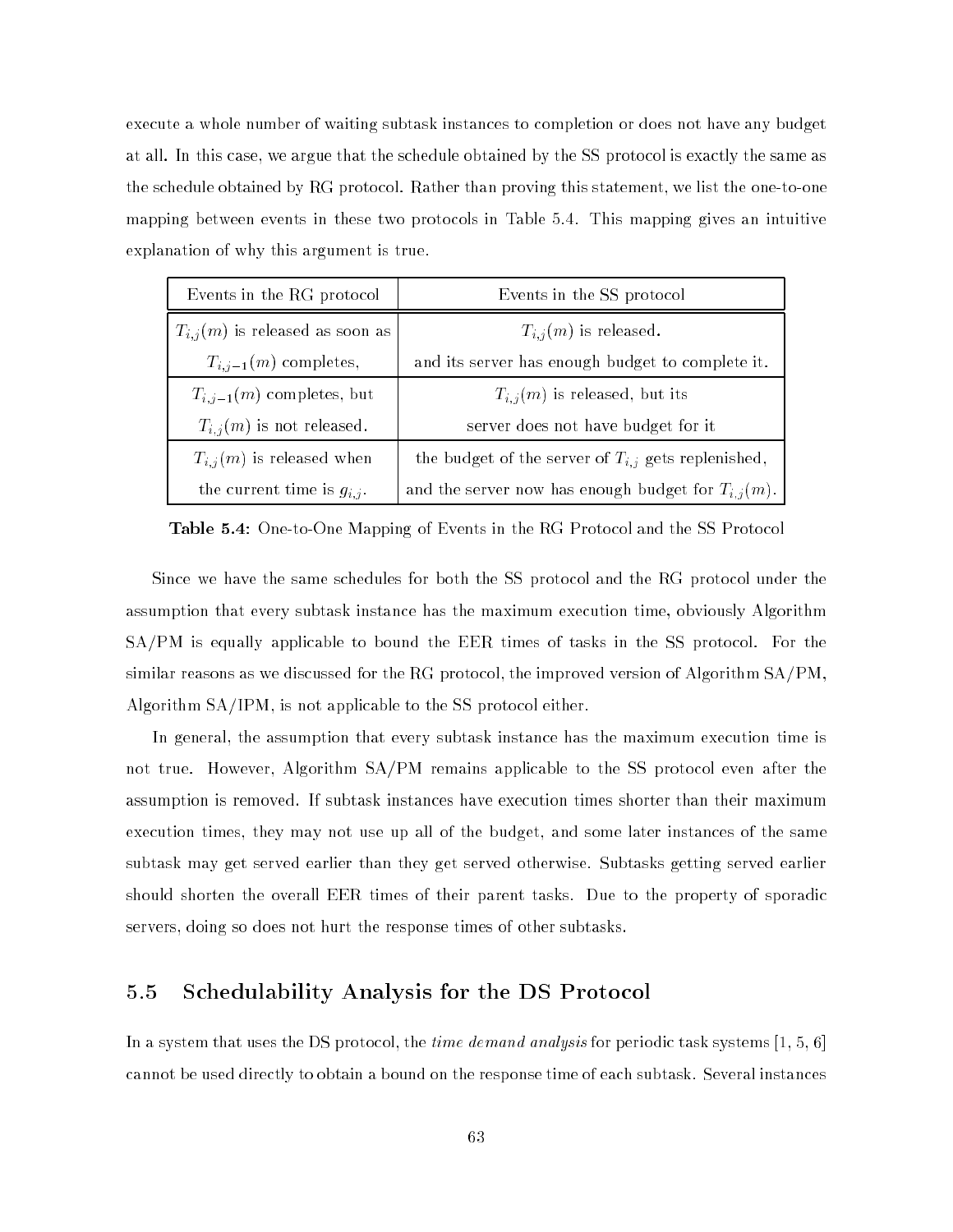execute a whole number of waiting subtask instances to completion or does not have any budget at all. In this case, we argue that the schedule obtained by the SS protocol is exactly the same as the schedule obtained by RG protocol. Rather than proving this statement, we list the one-to-one mapping between events in these two protocols in Table 5.4. This mapping gives an intuitive explanation of why this argument is true.

| Events in the RG protocol           | Events in the SS protocol                               |
|-------------------------------------|---------------------------------------------------------|
| $T_{i,j}(m)$ is released as soon as | $T_{i,j}(m)$ is released.                               |
| $T_{i,j-1}(m)$ completes,           | and its server has enough budget to complete it.        |
| $T_{i,j-1}(m)$ completes, but       | $T_{i,j}(m)$ is released, but its                       |
| $T_{i,j}(m)$ is not released.       | server does not have budget for it                      |
| $T_{i,j}(m)$ is released when       | the budget of the server of $T_{i,j}$ gets replenished, |
| the current time is $g_{i,j}$ .     | and the server now has enough budget for $T_{i,j}(m)$ . |

Table 5.4: One-to-One Mapping of Events in the RG Protocol and the SS Protocol

Since we have the same schedules for both the SS protocol and the RG protocol under the assumption that every subtask instance has the maximum execution time, obviously Algorithm SA/PM is equally applicable to bound the EER times of tasks in the SS protocol. For the similar reasons as we discussed for the RG protocol, the improved version of Algorithm SA/PM, Algorithm SA/IPM, is not applicable to the SS protocol either.

In general, the assumption that every subtask instance has the maximum execution time is not true. However, Algorithm SA/PM remains applicable to the SS protocol even after the assumption is removed. If subtask instances have execution times shorter than their maximum execution times, they may not use up all of the budget, and some later instances of the same subtask may get served earlier than they get served otherwise. Subtasks getting served earlier should shorten the overall EER times of their parent tasks. Due to the property of sporadic servers, doing so does not hurt the response times of other subtasks.

### 5.5 Schedulability Analysis for the DS Protocol

In a system that uses the DS protocol, the *time demand analysis* for periodic task systems [1, 5, 6] cannot be used directly to obtain a bound on the response time of each subtask. Several instances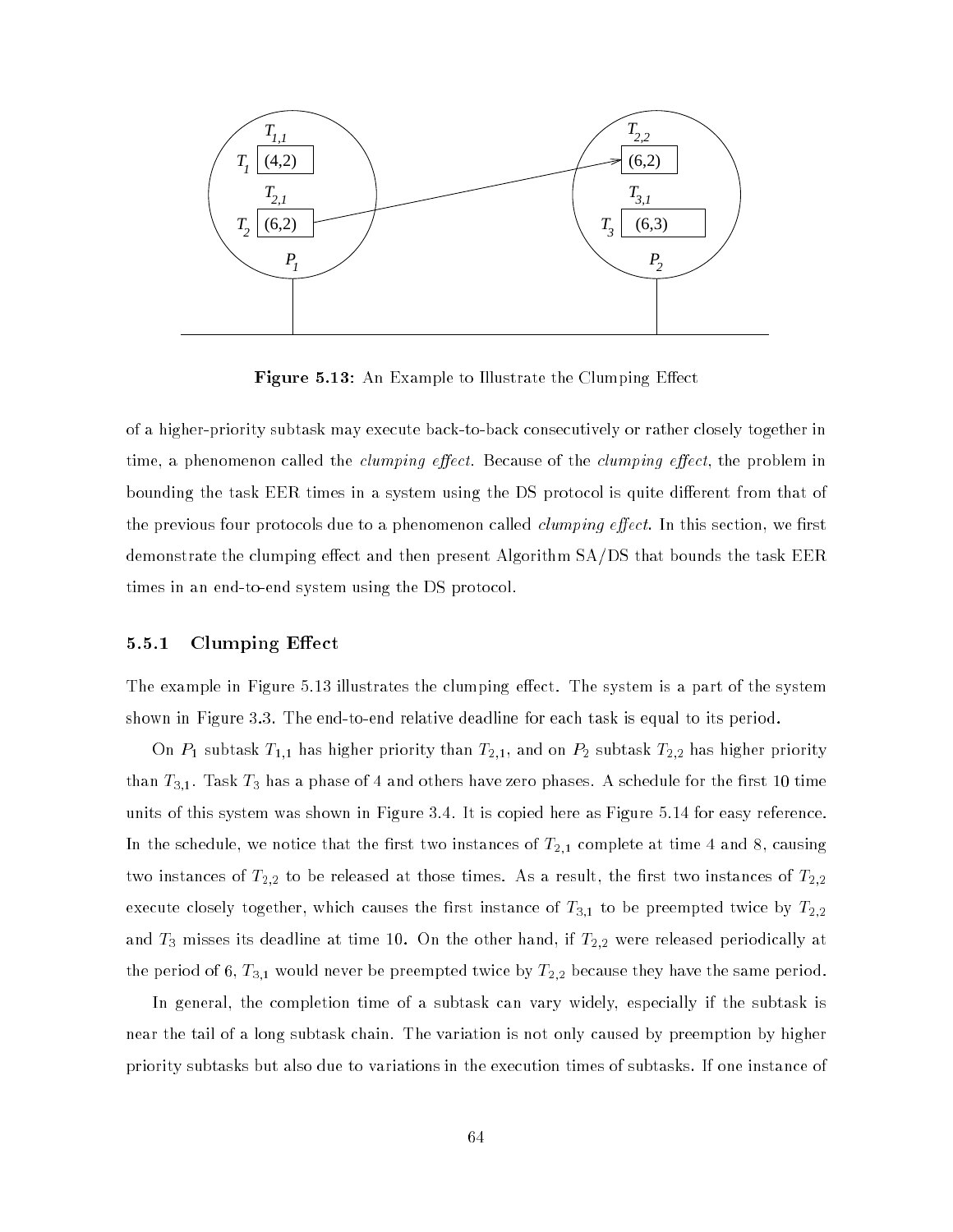

Figure 5.13: An Example to Illustrate the Clumping Effect

of a higher-priority subtask may execute back-to-back consecutively or rather closely together in time, a phenomenon called the *clumping effect*. Because of the *clumping effect*, the problem in bounding the task EER times in a system using the DS protocol is quite different from that of the previous four protocols due to a phenomenon called *clumping effect*. In this section, we first demonstrate the clumping effect and then present Algorithm SA/DS that bounds the task EER times in an end-to-end system using the DS protocol.

### 5.5.1 Clumping Effect

The example in Figure 5.13 illustrates the clumping effect. The system is a part of the system shown in Figure 3.3. The end-to-end relative deadline for each task is equal to its period.

On  $P_1$  subtask  $T_{1,1}$  has higher priority than  $T_{2,1},$  and on  $P_2$  subtask  $T_{2,2}$  has higher priority than  $T_{3,1}$ . Task  $T_3$  has a phase of 4 and others have zero phases. A schedule for the first 10 time units of this system was shown in Figure 3.4. It is copied here as Figure 5.14 for easy reference. In the schedule, we notice that the first two instances of  $T_{2,1}$  complete at time 4 and 8, causing two instances of  $T_{2,2}$  to be released at those times. As a result, the first two instances of  $T_{2,2}$ execute closely together, which causes the first instance of  $T_{3,1}$  to be preempted twice by  $T_{2,2}$ and  $T_3$  misses its deadline at time 10. On the other hand, if  $T_{2,2}$  were released periodically at the period of 6,  $T_{3,1}$  would never be preempted twice by  $T_{2,2}$  because they have the same period.

In general, the completion time of a subtask can vary widely, especially if the subtask is near the tail of a long subtask chain. The variation is not only caused by preemption by higher priority subtasks but also due to variations in the execution times of subtasks. If one instance of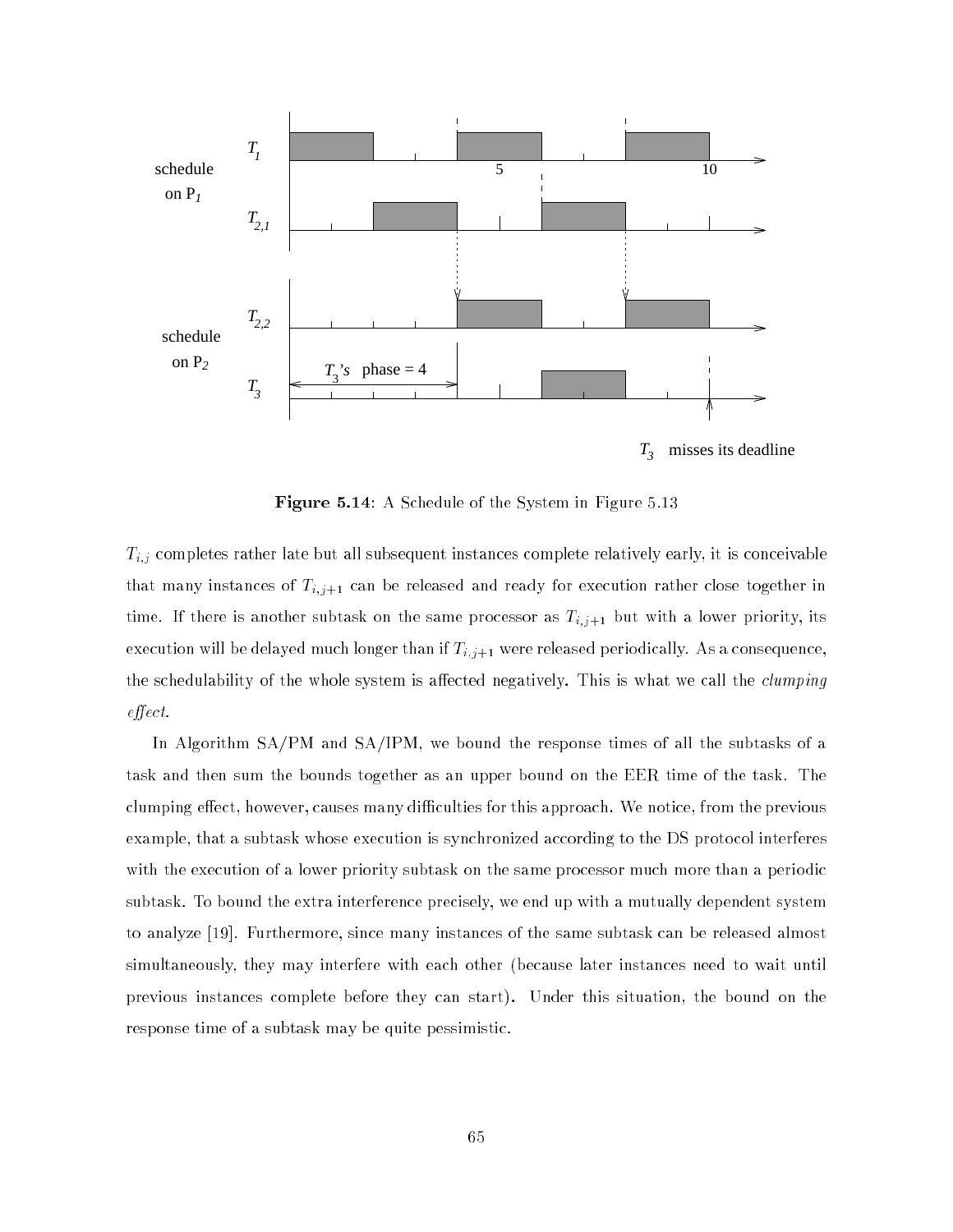

 $T_{3}$ misses its deadline

**Figure 5.14:** A Schedule of the System in Figure 5.13

Ti; completes rather late but all subsequent instances complete relatively early, it is conceivable relatively early, it is concerned to the complete relative of  $\mathbb{I}$ that many instances of  $T_{i,j+1}$  can be released and ready for execution rather close together in time. If there is another subtask on the same processor as  $T_{i,j+1}$  but with a lower priority, its execution will be delayed much longer than if  $T_{i,j+1}$  were released periodically. As a consequence, the schedulability of the whole system is affected negatively. This is what we call the *clumping*  $effect.$ 

In Algorithm SA/PM and SA/IPM, we bound the response times of all the subtasks of a task and then sum the bounds together as an upper bound on the EER time of the task. The clumping effect, however, causes many difficulties for this approach. We notice, from the previous example, that a subtask whose execution is synchronized according to the DS protocol interferes with the execution of a lower priority subtask on the same processor much more than a periodic subtask. To bound the extra interference precisely, we end up with a mutually dependent system to analyze [19]. Furthermore, since many instances of the same subtask can be released almost simultaneously, they may interfere with each other (because later instances need to wait until previous instances complete before they can start). Under this situation, the bound on the response time of a subtask may be quite pessimistic.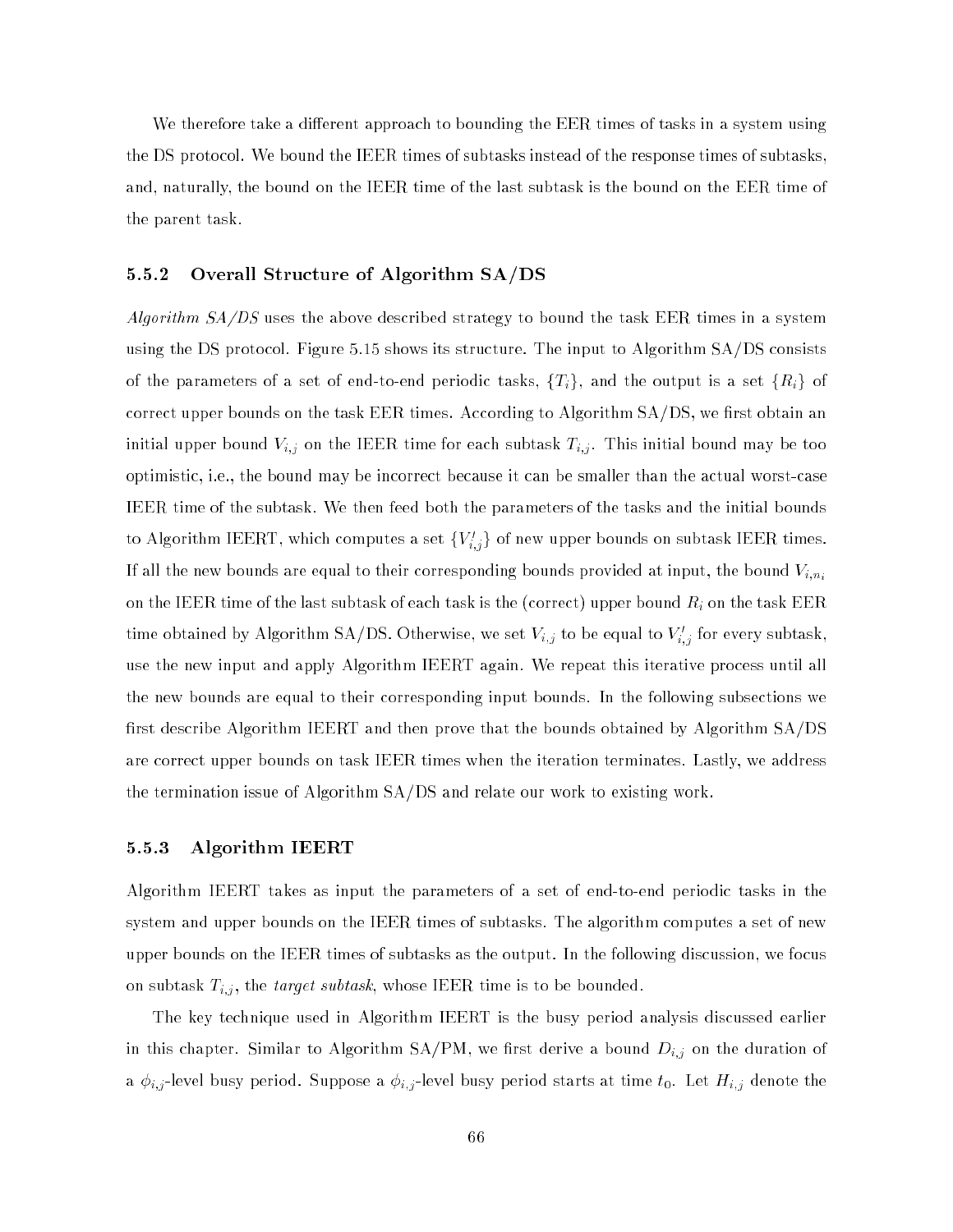We therefore take a different approach to bounding the EER times of tasks in a system using the DS protocol. We bound the IEER times of subtasks instead of the response times of subtasks, and, naturally, the bound on the IEER time of the last subtask is the bound on the EER time of the parent task.

### 5.5.2 Overall Structure of Algorithm SA/DS

Algorithm  $SA/DS$  uses the above described strategy to bound the task EER times in a system using the DS protocol. Figure 5.15 shows its structure. The input to Algorithm SA/DS consists of the parameters of a set of end-to-end periodic tasks,  $\{T_i\}$ , and the output is a set  $\{R_i\}$  of correct upper bounds on the task EER times. According to Algorithm  $SA/DS$ , we first obtain an initial upper bound Vi;j on the IEER time for each subtask Ti;j . This initial bound may be too optimistic, i.e., the bound may be incorrect because it can be smaller than the actual worst-case IEER time of the subtask. We then feed both the parameters of the tasks and the initial bounds to Algorithm IEERT, which computes a set  $\{V_{i,j}\}$  of new upper bounds on subtask IEER times. If all the new bounds are equal to their corresponding bounds provided at input, the bound  $V_{i,n_i}$ on the IEEE subtast subtask of the last subtask of each task is the (correct) upper bound Ri on the task EER time obtained by Algorithm SA/DS. Otherwise, we set  $v_{i,j}$  to be equal to  $v_{i,j}$  for every subtask, use the new input and apply Algorithm IEERT again. We repeat this iterative process until all the new bounds are equal to their corresponding input bounds. In the following subsections we first describe Algorithm IEERT and then prove that the bounds obtained by Algorithm SA/DS are correct upper bounds on task IEER times when the iteration terminates. Lastly, we address the termination issue of Algorithm SA/DS and relate our work to existing work.

### 5.5.3 Algorithm IEERT

Algorithm IEERT takes as input the parameters of a set of end-to-end periodic tasks in the system and upper bounds on the IEER times of subtasks. The algorithm computes a set of new upper bounds on the IEER times of subtasks as the output. In the following discussion, we focus on subtask Ti;j , the target subtask, whose IEER time is to be bounded.

The key technique used in Algorithm IEERT is the busy period analysis discussed earlier in this chapter. Similar to Algorithm SA/PM, we rst derive a bound Di;j on the duration of a i; a i;j -level busy period. Suppose a i;j -level busy period starts at time to time to time the time to tim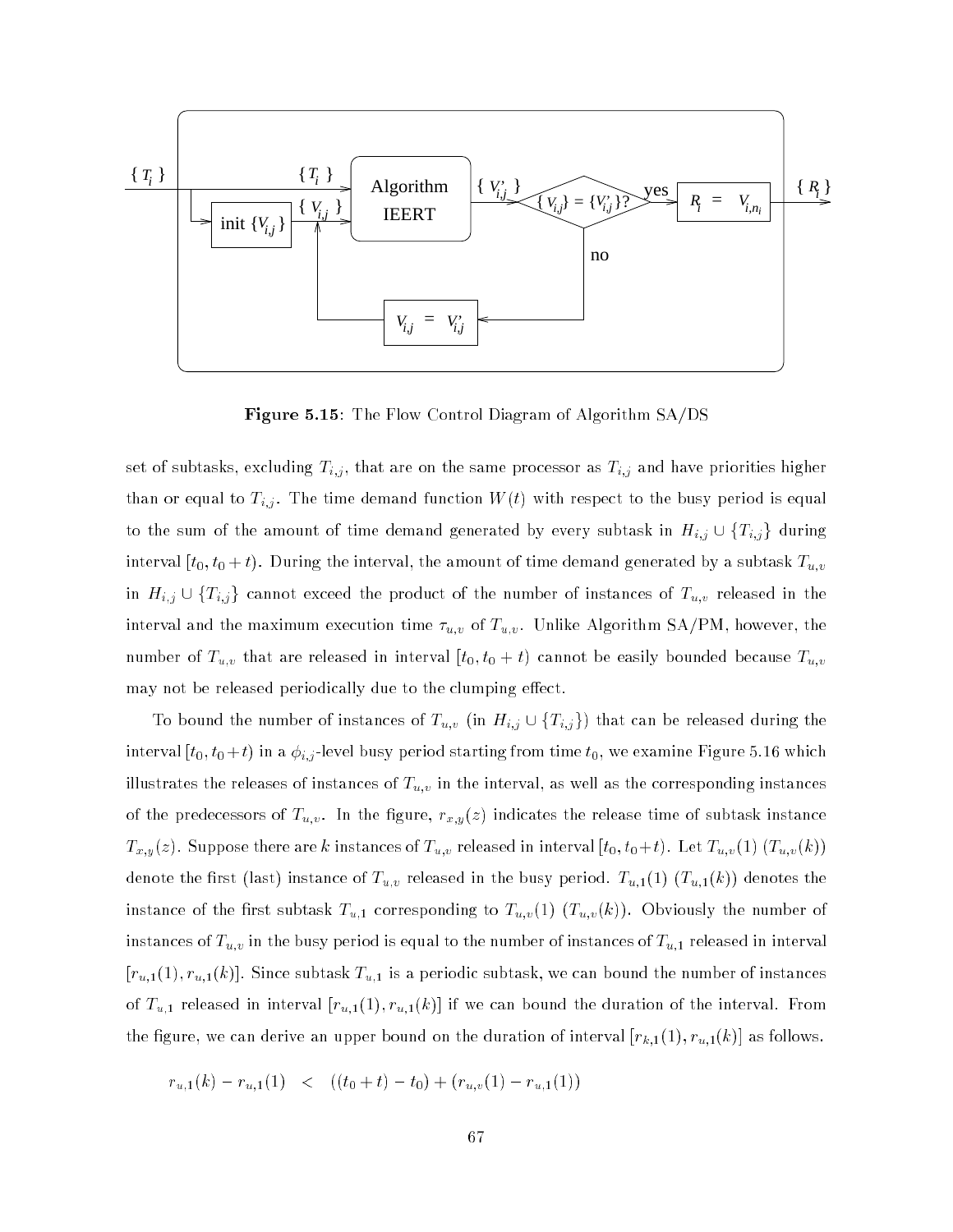

Figure 5.15: The Flow Control Diagram of Algorithm SA/DS

set of subtasks, excluding Ti;j , that are on the same processor as Ti;j and have priorities higher than or equal to Ti; . The time demonstration  $\mathcal{M}(t)$  with respect to the busy period is equal to the busy period is equal to the busy period is equal to the busy period is equal to the busy period is equal to the busy to the sum of the matrixed by time demand generation  $\beta$  first, subtant in Hi;j  $\bullet$  [Fi;j] carring interval  $[t_0, t_0 + t)$ . During the interval, the amount of time demand generated by a subtask  $T_{u,i}$ in Hi;j w [H];j] cannot exceed the product of the number of the number of  $\alpha_{i,j}$  released in the interval and the maximum execution time use  $u,v$  . Unlike  $V$  of Tu;v . Unlike Algorithm SA/PM, however, the maximum execution time  $v$ number of Tu;v that are released in interval  $\sim$  to  $\sim$  to the easily bounded because  $\sim w$ may not be released periodically due to the clumping effect.

To bound the number of instances of Tu;v (in Hi;  $j \in \{1, 1, 1, \ldots, n\}$  and can be released during interval  $[t_0, t_0 + t)$  in a  $\phi_{i,j}$ -level busy period starting from time  $t_0$ , we examine Figure 5.16 which illustrates the releases of instances of  $\alpha$  in the interval, as well as well as the corresponding instances of the predecessors of the predecessors of  $\alpha$  indicates the release time of subtask instance time of subtask instance time of subtask instance time of subtask instance time of subtask instance time of subtask instance t Tx;y(x). Suppose there are  $\alpha$  in the case of Tu;v released in interval  $\alpha$  (to  $\alpha$ ). Let  $\alpha$  (v (  $\alpha$ ) (x)). Let and the contraction of the busy period. Tu; released in the busy period. Tu; the busy period in the busy period. Tu;  $\mathbf{u}_i$ instance of the first subtask  $T_{u,1}$  corresponding to  $T_{u,v}(1)$   $(T_{u,v}(k))$ . Obviously the number of instances of Tu;v in the busy period is equal to the number of instances of  $\alpha$ ; in intervalsed in intervalsed in intervalsed in intervalsed in intervalsed in intervalsed in intervalsed in intervalsed in intervalsed in i  $[r_{u,1}(1), r_{u,1}(k)]$ . Since subtask  $T_{u,1}$  is a periodic subtask, we can bound the number of instances of  $T_{u,1}$  released in interval  $[r_{u,1}(1), r_{u,1}(k)]$  if we can bound the duration of the interval. From the figure, we can derive an upper bound on the duration of interval  $[r_{k,1}(1), r_{u,1}(k)]$  as follows.

$$
r_{u,1}(k) - r_{u,1}(1) \quad < \quad ((t_0 + t) - t_0) + (r_{u,v}(1) - r_{u,1}(1))
$$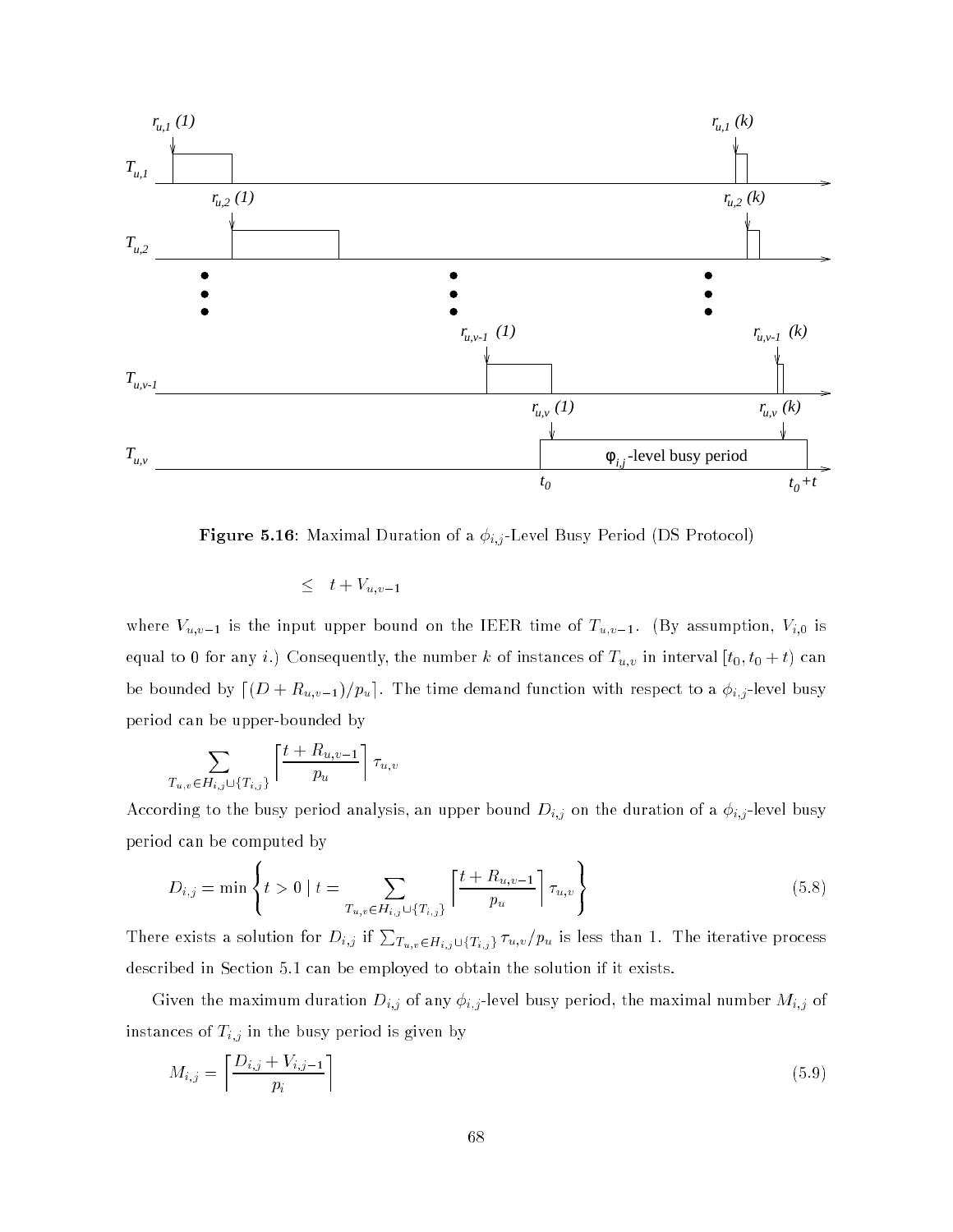

Figure 5.16: Maximal Duration of a isotropic of a if  $k,l$ 

$$
\leq t+V_{u,v-1}
$$

where  $V_{u,v-1}$  is the input upper bound on the IEER time of  $T_{u,v-1}$ . (By assumption,  $V_{i,0}$  is equal to 0 for any i.e.  $\alpha$  i.e. the number k of instances of the number k of instances of the number  $\alpha$ be bounded by  $\lfloor (D + R_{u,v-1})/p_u \rfloor$ . The time demand function with respect to a  $\phi_{i,j}$ -level busy period can be upper-bounded by

$$
\sum_{T_{u,v}\in H_{i,j}\cup\{T_{i,j}\}} \left\lceil \frac{t+R_{u,v-1}}{p_u} \right\rceil \tau_{u,v}
$$

According to the busy period analysis, an upper bound Di;j on the duration of a i;j -level busy period can be computed by

$$
D_{i,j} = \min \left\{ t > 0 \mid t = \sum_{T_{u,v} \in H_{i,j} \cup \{T_{i,j}\}} \left\lceil \frac{t + R_{u,v-1}}{p_u} \right\rceil \tau_{u,v} \right\}
$$
(5.8)

There exists a solution for  $D_{i,j}$  if  $\sum_{T_u,v\in H_{i,j}\cup\{T_{i,j}\}}\tau_{u,v}/p_u$  is less than 1. The iterative process described in Section 5.1 can be employed to obtain the solution if it exists.

Given the maximum duration  $\mathbb{Z}^{\{1\}}$  of any i;  $\mathbb{Z}^{\{1\}}$  of any is period, the maximal number  $\mathbb{Z}^{\{1\}}$  of instances of Ti; in the busy period is given by period in the busy period is given by period in the busy period

$$
M_{i,j} = \left\lceil \frac{D_{i,j} + V_{i,j-1}}{p_i} \right\rceil \tag{5.9}
$$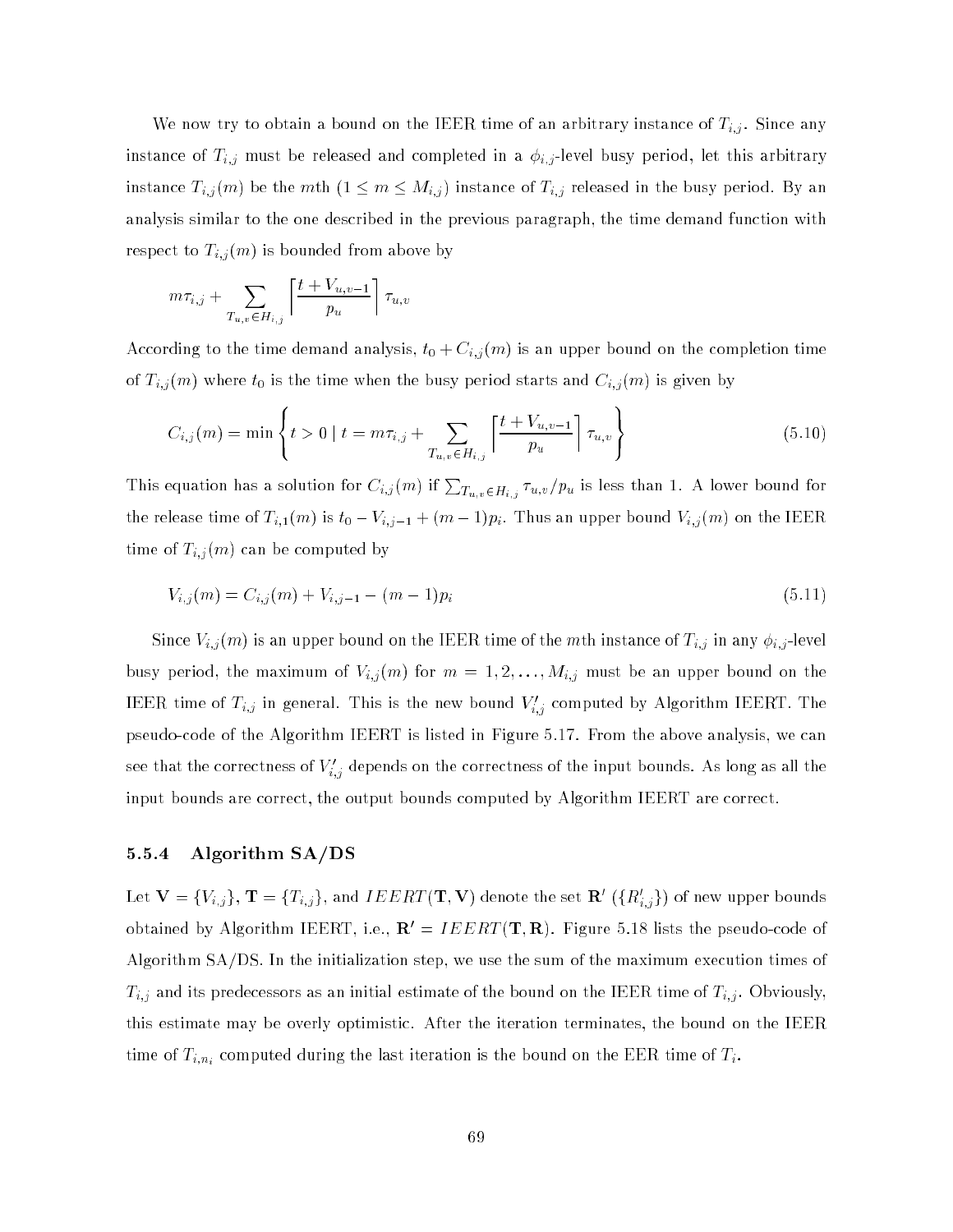We now try to obtain a bound on the IEER time of an arbitrary instance of Ti;j . Since any instance of Ti; and complete in a i; and completed in a i; -level busy period, let this arbitrary, let this arbitrary, let this arbitrary, let this arbitrary, let this arbitrary, let this arbitrary, let this arbitrary, le instance  $\pm_{i,j}$  (m) be the mth (1  $\pm$  m  $\pm$  Mi; ) instance of  $\pm_{i,j}$  released in the busy period. By an analysis similar to the one described in the previous paragraph, the time demand function with respect to  $T_{i,j}(m)$  is bounded from above by

$$
m\tau_{i,j} + \sum_{T_{u,v} \in H_{i,j}} \left\lceil \frac{t + V_{u,v-1}}{p_u} \right\rceil \tau_{u,v}
$$

<sup>8</sup>

According to the time demand analysis,  $t_0 + C_{i,j}(m)$  is an upper bound on the completion time of time to the time when the time when the time when the time when the busy period starts and Ci; might by the

$$
C_{i,j}(m) = \min \left\{ t > 0 \mid t = m\tau_{i,j} + \sum_{T_{u,v} \in H_{i,j}} \left\lceil \frac{t + V_{u,v-1}}{p_u} \right\rceil \tau_{u,v} \right\}
$$
(5.10)

<sup>9</sup>

This equation has a solution for  $C_{i,j}(m)$  if  $\sum_{T_{u,v}\in H_{i,j}}\tau_{u,v}/p_u$  is less than 1. A lower bound for the release time of  $T_{i,1}(m)$  is  $t_0 - V_{i,j-1} + (m-1)p_i$ . Thus an upper bound  $V_{i,j}(m)$  on the IEER time of  $\mathcal{L}_{i,j}$  (m) can be computed by  $j$ 

$$
V_{i,j}(m) = C_{i,j}(m) + V_{i,j-1} - (m-1)p_i
$$
\n(5.11)

Since Vi;j (m) is an upper bound on the IEER time of the mth instance of Ti;j in any i;j -level busy period, the maximum of Vi)), the m  $\pm 1$  for  $\pm 1$  is  $\pm 1$  for  $\pm 1$  , we define an upper bound on the IEER time of  $T_{i,j}$  in general. This is the new bound  $V_{i,j}$  computed by Algorithm IEERT. The pseudo-code of the Algorithm IEERT is listed in Figure 5.17. From the above analysis, we can see that the correctness of  $v_{i,j}$  depends on the correctness of the input bounds. As long as an the input bounds are correct, the output bounds computed by Algorithm IEERT are correct.

### 5.5.4 Algorithm SA/DS

Let  ${\bf v}=\{v_{i,j}\},\,{\bf 1}=\{I_{i,j}\},$  and  $IELRI\,({\bf 1},{\bf v})$  denote the set  ${\bf R}\,$   $(\{R_{i,j}\})$  of new upper bounds obtained by Algorithm IEERT, i.e.,  $\mathbf{R}' = I E E R T(\mathbf{T}, \mathbf{R})$ . Figure 5.18 lists the pseudo-code of Algorithm SA/DS. In the initialization step, we use the sum of the maximum execution times of Ti;j and its predecessors as an initial estimate of the bound on the IEER time of Ti;j . Obviously, this estimate may be overly optimistic. After the iteration terminates, the bound on the IEER time of  $\mathcal{L}_{i},n_{i}$  computed during the last iteration is the bound on the EER time of Ti.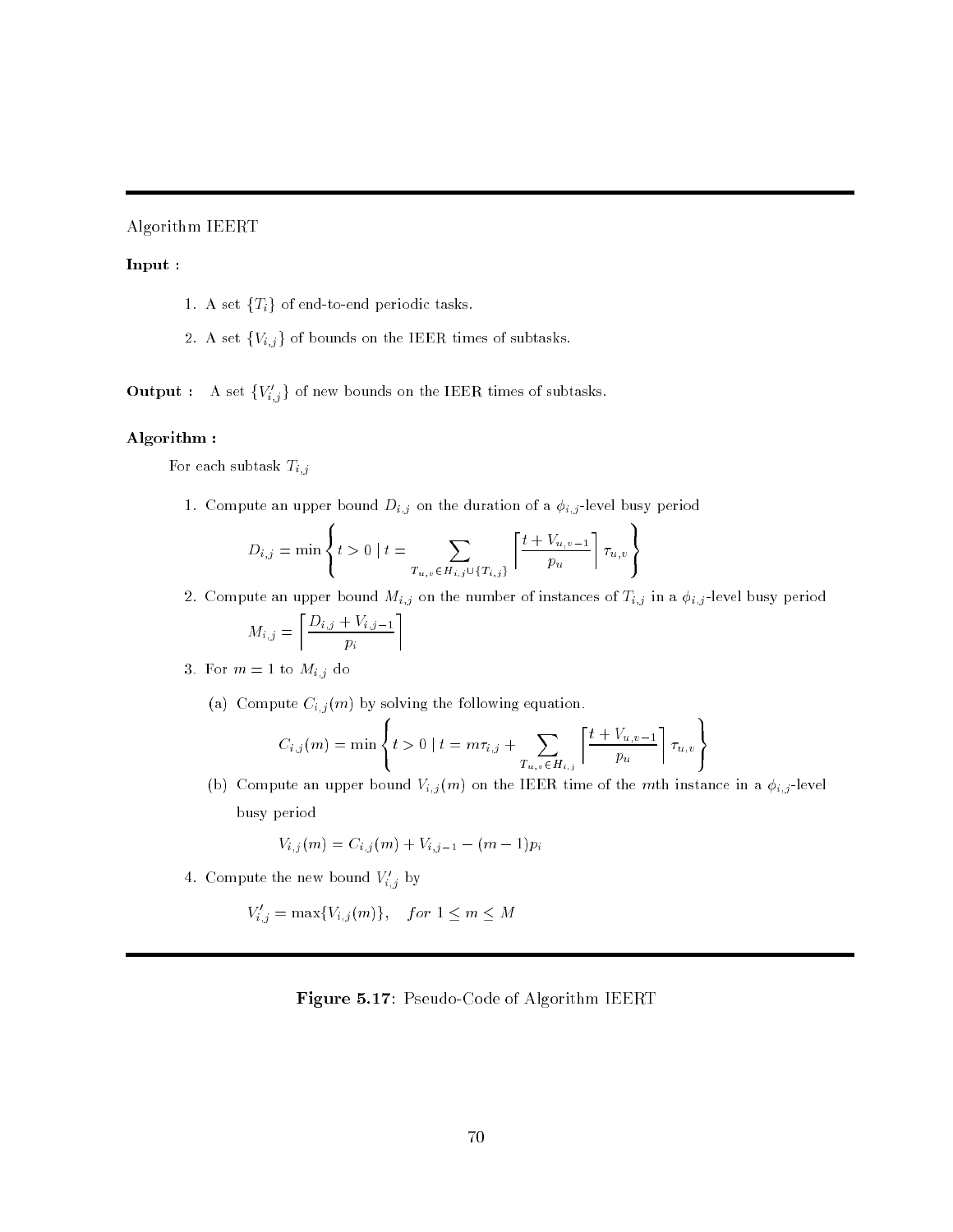Algorithm IEERT

### Input :

- 1. A set  ${T<sub>i</sub>}$  of end-to-end periodic tasks.
- 2. A set  $\{V_{i,j}\}$  of bounds on the IEER times of subtasks.

**Output** : A set  $\{V_{i,j}\}\)$  of new bounds on the IEER times of subtasks.

### Algorithm :

For each subtask  $\bar{T}_{i,j}$ 

1. Compute an upper bound  $D_{i,j}$  on the duration of a  $\phi_{i,j}$ -level busy period

$$
D_{i,j} = \min \left\{ t > 0 \mid t = \sum_{T_{u,v} \in H_{i,j} \cup \{T_{i,j}\}} \left\lceil \frac{t + V_{u,v-1}}{p_u} \right\rceil \tau_{u,v} \right\}
$$

2. Compute an upper bound  $M_{i,j}$  on the number of instances of  $T_{i,j}$  in a  $\phi_{i,j}$ -level busy period

<sup>9</sup>

99.99

$$
M_{i,j} = \left\lceil \frac{D_{i,j} + V_{i,j-1}}{p_i} \right\rceil
$$

**88 September 200** 

3. For  $m=1$  to  $M_{i,j}$  do

 $\mathcal{L}_{\mathcal{A}}$  compute  $\mathcal{L}_{\mathcal{A}}$  (m) by solving the following equation.

$$
C_{i,j}(m) = \min \left\{ t > 0 \mid t = m\tau_{i,j} + \sum_{T_{u,v} \in H_{i,j}} \left\lceil \frac{t + V_{u,v-1}}{p_u} \right\rceil \tau_{u,v} \right\}
$$

(b) Compute an upper bound  $V_{i,j}(m)$  on the IEER time of the mth instance in a  $\phi_{i,j}$ -level busy period

$$
V_{i,j}(m) = C_{i,j}(m) + V_{i,j-1} - (m-1)p_i
$$

4. Compute the new bound  $V_{i,j}$  by

$$
V'_{i,j} = \max\{V_{i,j}(m)\}, \quad for \ 1 \le m \le M
$$

### Figure 5.17: Pseudo-Code of Algorithm IEERT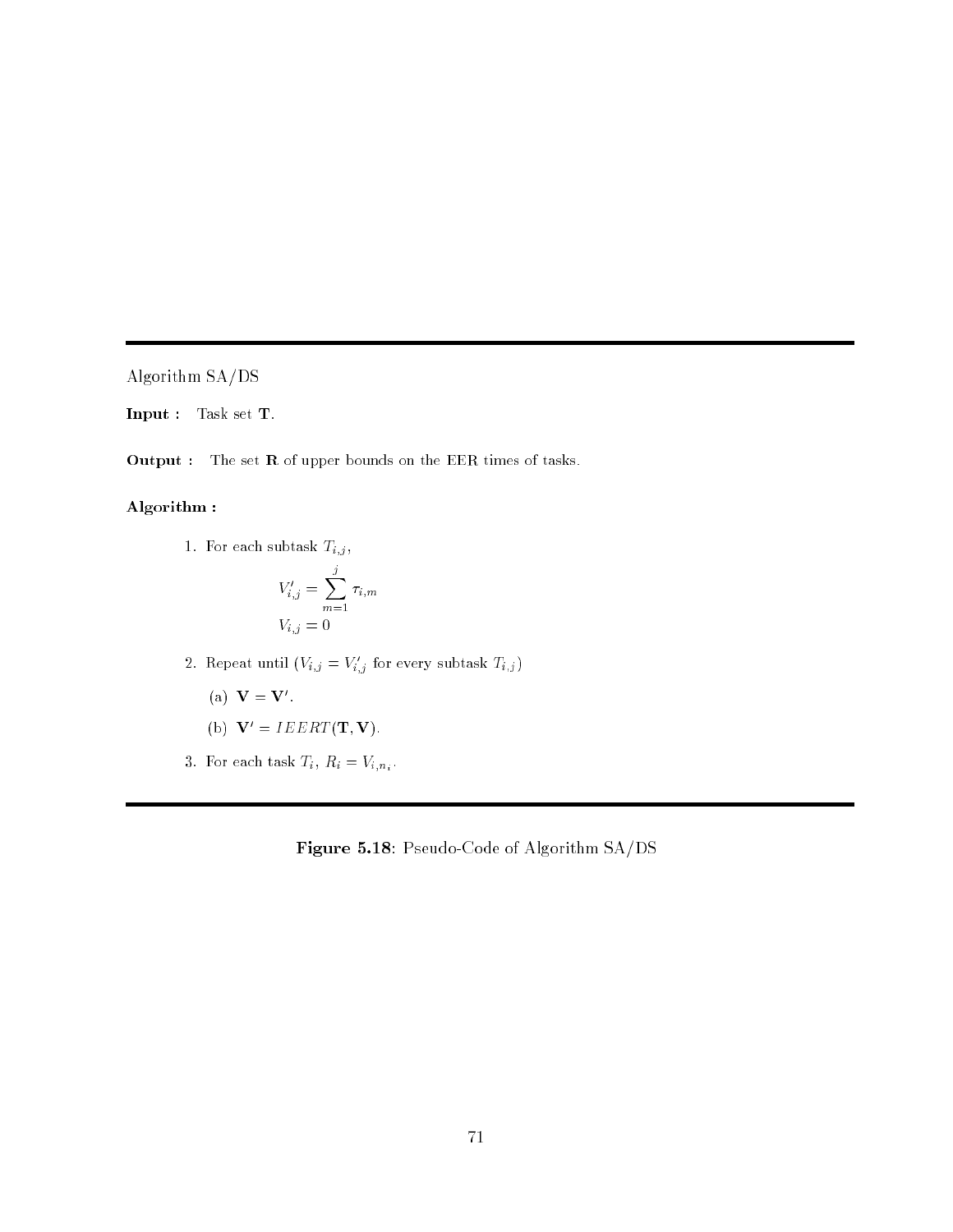Algorithm SA/DS

Input : Task set T.

Output : The set R of upper bounds on the EER times of tasks.

### Algorithm :

1. For each subtask  $\mathcal{T}_{i,j}\,,$ 

$$
V'_{i,j} = \sum_{m=1}^{j} \tau_{i,m}
$$
  

$$
V_{i,j} = 0
$$

- 2. Repeat until  $(V_{i,j} \equiv V_{i,j}$  for every subtask  $T_{i,j}$ 
	- $(a) \mathbf{v} = \mathbf{v}$ .

(b) 
$$
\mathbf{V}' = IEERT(\mathbf{T}, \mathbf{V})
$$
.

 $3.5.$  For each task  $\frac{1}{2}$   $\frac{1}{2}$   $\frac{1}{2}$   $\frac{1}{2}$   $\frac{1}{2}$   $\frac{1}{2}$   $\frac{1}{2}$   $\frac{1}{2}$   $\frac{1}{2}$   $\frac{1}{2}$   $\frac{1}{2}$   $\frac{1}{2}$   $\frac{1}{2}$   $\frac{1}{2}$   $\frac{1}{2}$   $\frac{1}{2}$   $\frac{1}{2}$   $\frac{1}{2}$   $\frac{1}{2}$   $\frac{1}{2}$ 

Figure 5.18: Pseudo-Code of Algorithm SA/DS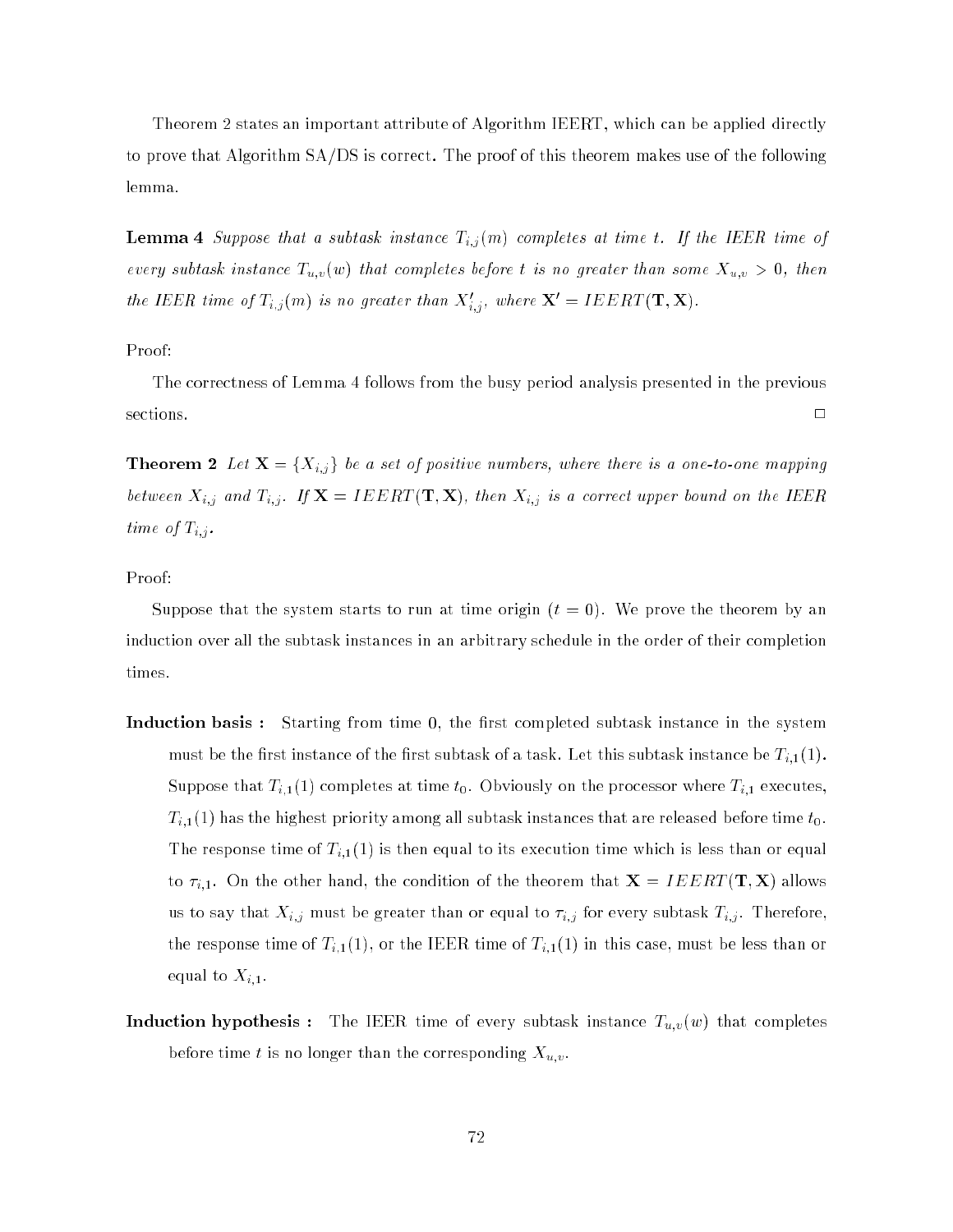Theorem 2 states an important attribute of Algorithm IEERT, which can be applied directly to prove that Algorithm SA/DS is correct. The proof of this theorem makes use of the following lemma.

Lemma 4 Suppose that a subtask instance Ti;j (m) completes at time t. If the IEER time of every subtask instance Tu;v(w) that completes before t is no greater than some Xu;v <sup>&</sup>gt; 0, then the IEER time of  $T_{i,j}(m)$  is no greater than  $\Lambda_{i,j}$ , where  $\mathbf{X} = \mathbf{I} E E R \mathbf{I} (\mathbf{T}, \mathbf{X}).$ 

### Proof:

The correctness of Lemma 4 follows from the busy period analysis presented in the previous  $\Box$ 

Theorem 2 Let X = fXi;j <sup>g</sup> be a set of positive numbers, where there is a one-to-one mapping between IF  $j$  and Ti;j . If IEERT (Time IEE), then IF  $j$  is a correct upper bound on the IEER time of  $\mathcal{F}$  . The operator of  $\mathcal{F}$ 

### Proof:

Suppose that the system starts to run at time origin  $(t = 0)$ . We prove the theorem by an induction over all the subtask instances in an arbitrary schedule in the order of their completion times.

- **Induction basis:** Starting from time 0, the first completed subtask instance in the system must be the first instance of the first subtask of a task. Let this subtask instance be  $T_{i,1}(1)$ . Suppose that  $T_{i,1}(1)$  completes at time  $t_0$ . Obviously on the processor where  $T_{i,1}$  executes,  $T_{i,1}(1)$  has the highest priority among all subtask instances that are released before time  $t_0$ . The response time of  $T_{i,1}(1)$  is then equal to its execution time which is less than or equal to  $\tau_{i,1}$ . On the other hand, the condition of the theorem that  $\mathbf{X} = I E E R T(\mathbf{T}, \mathbf{X})$  allows us to say that Xi;j must be greater than or equal to i;j for every subtask Ti;j . Therefore, the response time of  $T_{i,1}(1)$ , or the IEER time of  $T_{i,1}(1)$  in this case, must be less than or equal to  $X_{i,1}$ .
- **Induction hypothesis :** The IEER time of every subtask instance  $T_{u,v}(w)$  that completes before the time than than  $\alpha$  is no longer than the corresponding  $\alpha$  . The corresponding  $\alpha$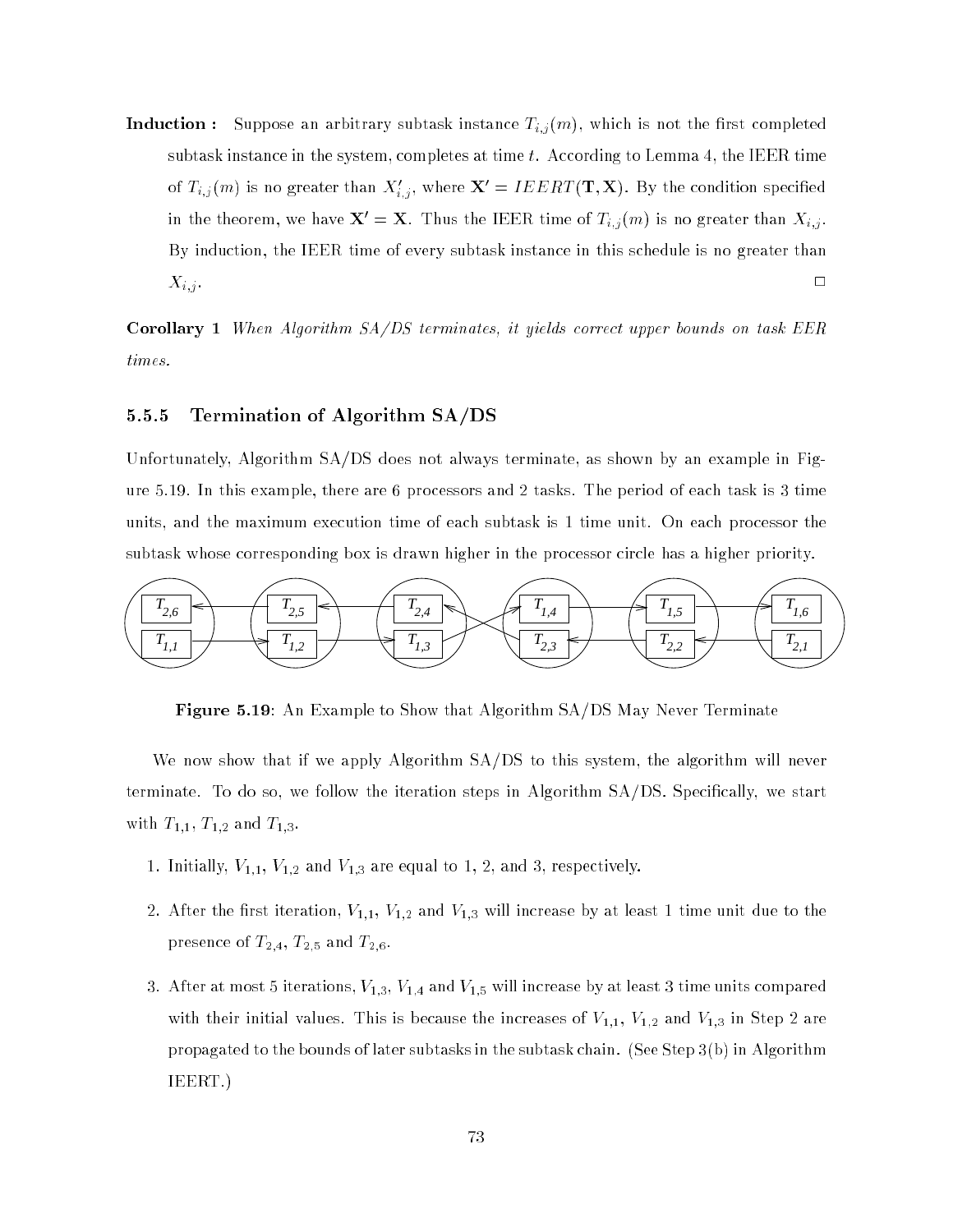Induction : Suppose an arbitrary subtast instance Ti; (m), which is not the rst completed in the rst completed in subtask instance in the system, completes at time  $t$ . According to Lemma 4, the IEER time of  $T_{i,j}(m)$  is no greater than  $\Lambda_{i,j}$ , where  $\mathbf{X} = IELRI$  (T,  $\mathbf{X}$ ). By the condition specified in the theorem, we have  $\mathbf{\Lambda}=\mathbf{\Lambda}$ . Thus the IEER time of  $T_{i,j} (m)$  is no greater than  $\Lambda_{i,j}$ . By induction, the IEER time of every subtask instance in this schedule is no greater than  $X_{i,j}$ .

Corollary 1 When Algorithm SA/DS terminates, it yields correct upper bounds on task EER times.

### 5.5.5 Termination of Algorithm SA/DS

Unfortunately, Algorithm SA/DS does not always terminate, as shown by an example in Figure 5.19. In this example, there are 6 processors and 2 tasks. The period of each task is 3 time units, and the maximum execution time of each subtask is 1 time unit. On each processor the subtask whose corresponding box is drawn higher in the processor circle has a higher priority.



Figure 5.19: An Example to Show that Algorithm SA/DS May Never Terminate

We now show that if we apply Algorithm SA/DS to this system, the algorithm will never terminate. To do so, we follow the iteration steps in Algorithm SA/DS. Specically, we start with  $T_{1,1}$ ,  $T_{1,2}$  and  $T_{1,3}$ .

- 1. Initially,  $V_{1,1}$ ,  $V_{1,2}$  and  $V_{1,3}$  are equal to 1, 2, and 3, respectively.
- 2. After the first iteration,  $V_{1,1}, V_{1,2}$  and  $V_{1,3}$  will increase by at least 1 time unit due to the presence of  $T_{2,4}$ ,  $T_{2,5}$  and  $T_{2,6}$ .
- 3. After at most 5 iterations,  $V_{1,3}$ ,  $V_{1,4}$  and  $V_{1,5}$  will increase by at least 3 time units compared with their initial values. This is because the increases of  $V_{1,1}$ ,  $V_{1,2}$  and  $V_{1,3}$  in Step 2 are propagated to the bounds of later subtasks in the subtask chain. (See Step 3(b) in Algorithm IEERT.)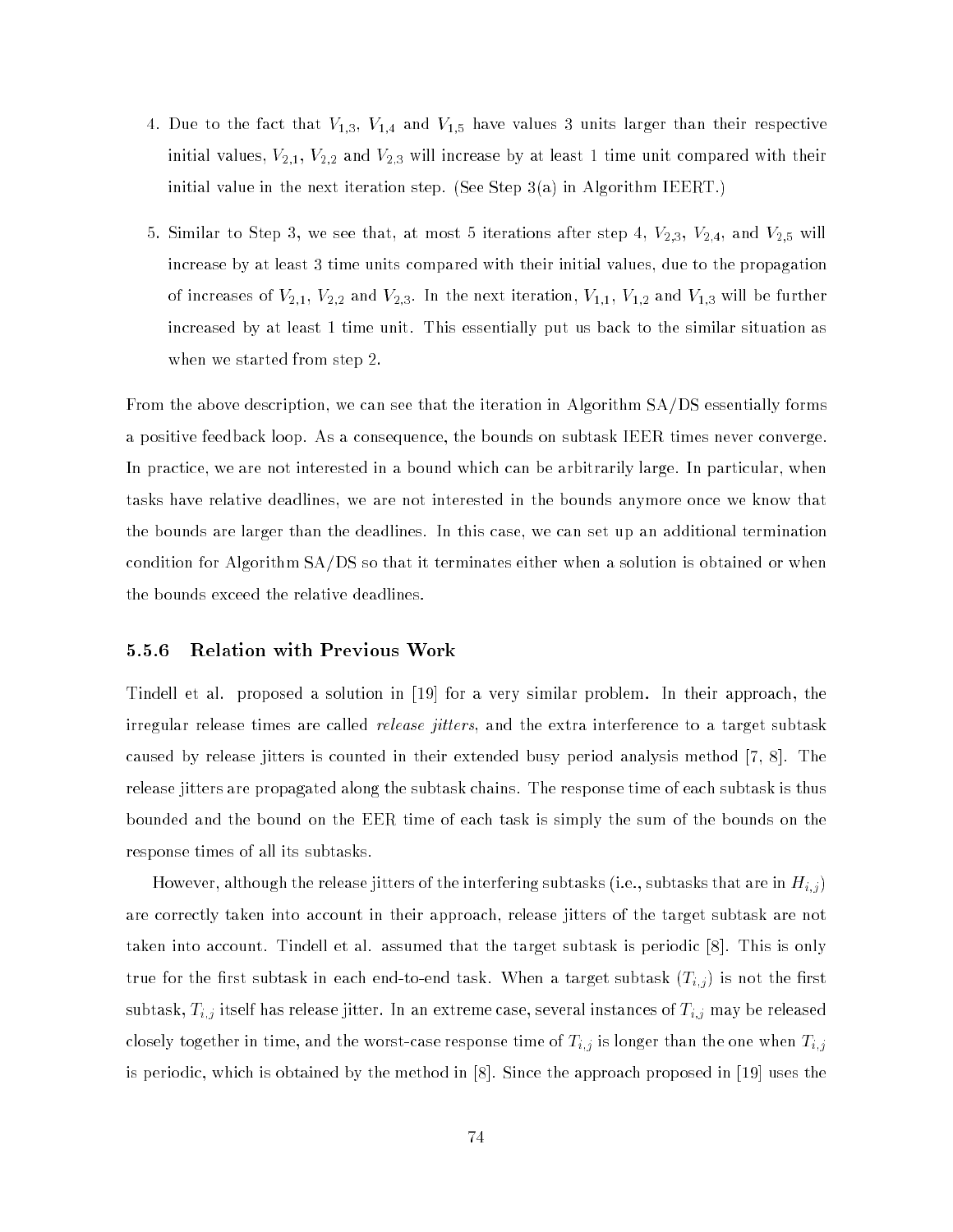- 4. Due to the fact that  $V_{1,3},\ V_{1,4}$  and  $V_{1,5}$  have values 3 units larger than their respective initial values,  $V_{2,1}$ ,  $V_{2,2}$  and  $V_{2,3}$  will increase by at least 1 time unit compared with their initial value in the next iteration step. (See Step 3(a) in Algorithm IEERT.)
- 5. Similar to Step 3, we see that, at most 5 iterations after step 4,  $V_{2,3}$ ,  $V_{2,4}$ , and  $V_{2,5}$  will increase by at least 3 time units compared with their initial values, due to the propagation of increases of  $V_{2,1}$ ,  $V_{2,2}$  and  $V_{2,3}$ . In the next iteration,  $V_{1,1}$ ,  $V_{1,2}$  and  $V_{1,3}$  will be further increased by at least 1 time unit. This essentially put us back to the similar situation as when we started from step 2.

From the above description, we can see that the iteration in Algorithm SA/DS essentially forms a positive feedback loop. As a consequence, the bounds on subtask IEER times never converge. In practice, we are not interested in a bound which can be arbitrarily large. In particular, when tasks have relative deadlines, we are not interested in the bounds anymore once we know that the bounds are larger than the deadlines. In this case, we can set up an additional termination condition for Algorithm SA/DS so that it terminates either when a solution is obtained or when the bounds exceed the relative deadlines.

### 5.5.6 Relation with Previous Work

Tindell et al. proposed a solution in [19] for a very similar problem. In their approach, the irregular release times are called *release jitters*, and the extra interference to a target subtask caused by release jitters is counted in their extended busy period analysis method [7, 8]. The release jitters are propagated along the subtask chains. The response time of each subtask is thus bounded and the bound on the EER time of each task is simply the sum of the bounds on the response times of all its subtasks.

However, although the release jitters of the interfering subtasks (i.e., subtasks that are in Hi;j ) are correctly taken into account in their approach, release jitters of the target subtask are not taken into account. Tindell et al. assumed that the target subtask is periodic [8]. This is only the form the rest subtask in each end-to-end-to-end-to-end task. When a target subtask (Ti; ) is not the  $\ell$ subtask, Ti;j itself has release jitter. In an extreme case, several instances of Ti;j may be released closely total together in time, and the worst-case response time of Ti; is longer than the one when Ti; is longer than the one when Ti; is longer than the one when Ti; is longer than the one when Ti; j is longer than the is periodic, which is obtained by the method in [8]. Since the approach proposed in [19] uses the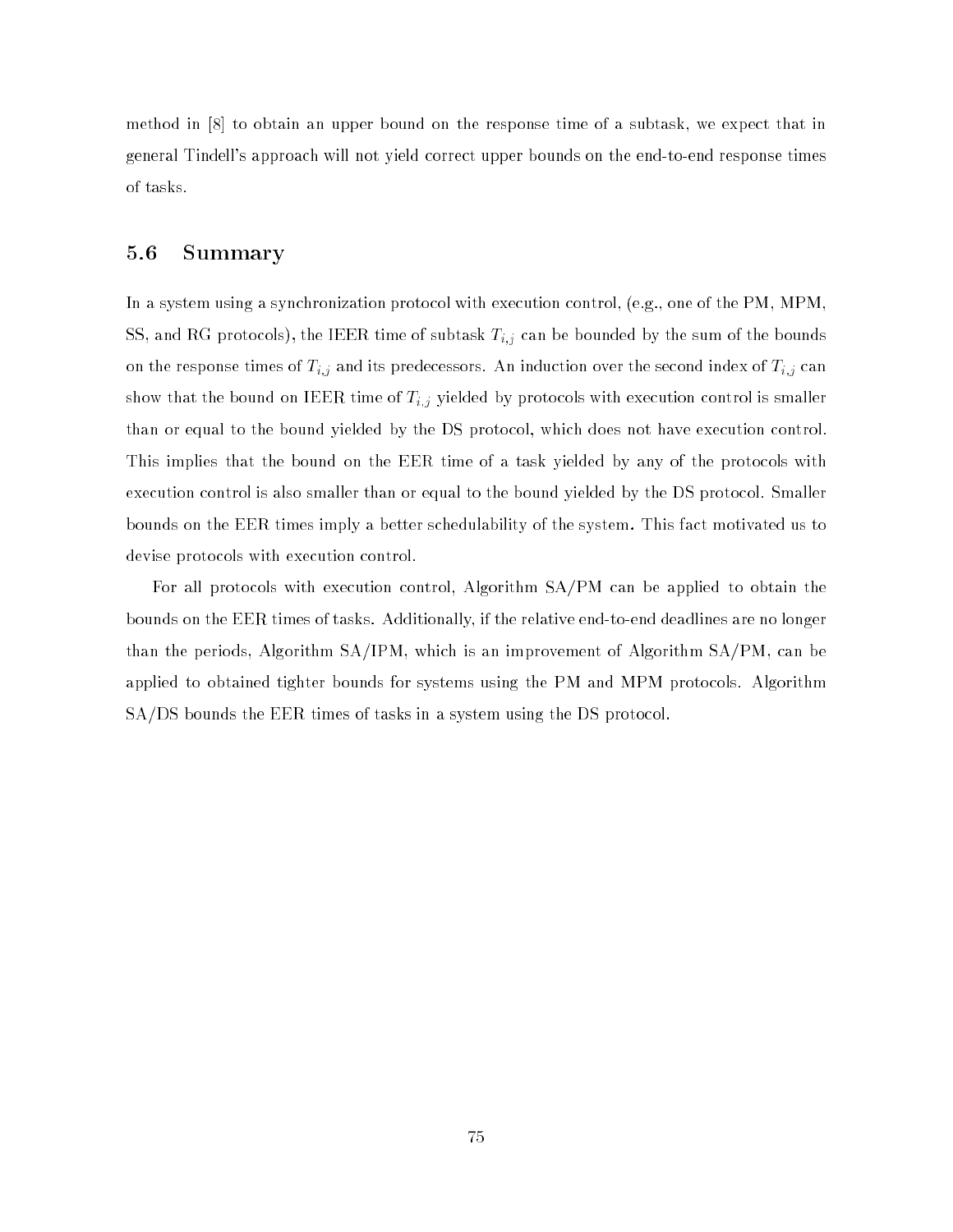method in [8] to obtain an upper bound on the response time of a subtask, we expect that in general Tindell's approach will not yield correct upper bounds on the end-to-end response times of tasks.

### 5.6 Summary

In a system using a synchronization protocol with execution control, (e.g., one of the PM, MPM, SS, and RG protocols), the IEEER time of subtasting time of subtasting by the sum of the sum of the sum of the bounds  $\mu$  the sum of the bounds by the sum of the bounds by the bounds by the sum of the bounds by the bound on the response times of Ti;j and its predecessors. An induction over the second index of Ti;j can show that the bound on IEER time of Ti;j yielded by protocols with execution control is smaller than or equal to the bound yielded by the DS protocol, which does not have execution control. This implies that the bound on the EER time of a task yielded by any of the protocols with execution control is also smaller than or equal to the bound yielded by the DS protocol. Smaller bounds on the EER times imply a better schedulability of the system. This fact motivated us to devise protocols with execution control.

For all protocols with execution control, Algorithm SA/PM can be applied to obtain the bounds on the EER times of tasks. Additionally, if the relative end-to-end deadlines are no longer than the periods, Algorithm SA/IPM, which is an improvement of Algorithm SA/PM, can be applied to obtained tighter bounds for systems using the PM and MPM protocols. Algorithm SA/DS bounds the EER times of tasks in a system using the DS protocol.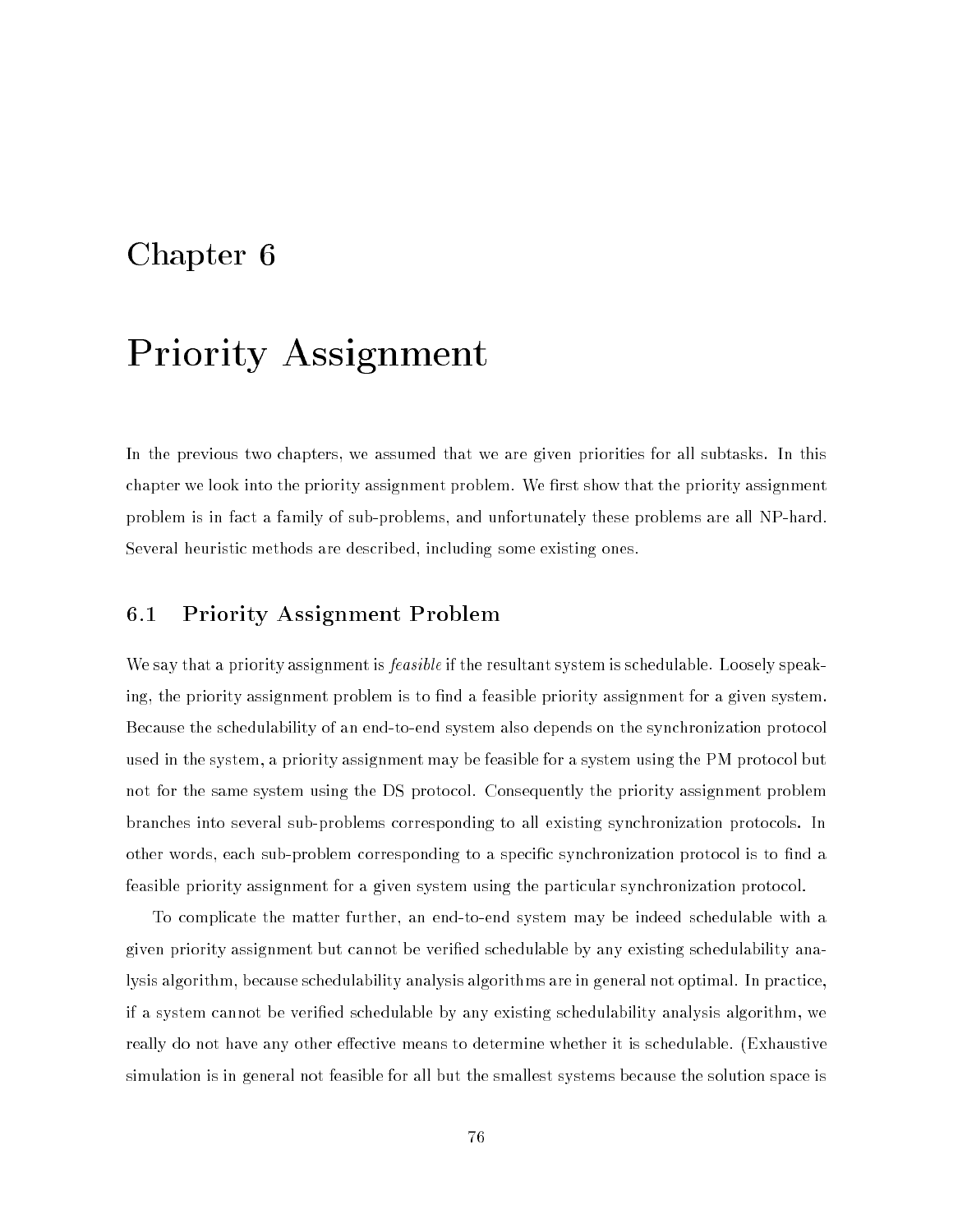### Chapter 6

# Priority Assignment

In the previous two chapters, we assumed that we are given priorities for all subtasks. In this chapter we look into the priority assignment problem. We first show that the priority assignment problem is in fact a family of sub-problems, and unfortunately these problems are all NP-hard. Several heuristic methods are described, including some existing ones.

### 6.1 Priority Assignment Problem

We say that a priority assignment is *feasible* if the resultant system is schedulable. Loosely speaking, the priority assignment problem is to find a feasible priority assignment for a given system. Because the schedulability of an end-to-end system also depends on the synchronization protocol used in the system, a priority assignment may be feasible for a system using the PM protocol but not for the same system using the DS protocol. Consequently the priority assignment problem branches into several sub-problems corresponding to all existing synchronization protocols. In other words, each sub-problem corresponding to a specific synchronization protocol is to find a feasible priority assignment for a given system using the particular synchronization protocol.

To complicate the matter further, an end-to-end system may be indeed schedulable with a given priority assignment but cannot be veried schedulable by any existing schedulability analysis algorithm, because schedulability analysis algorithms are in general not optimal. In practice, if a system cannot be veried schedulable by any existing schedulability analysis algorithm, we really do not have any other effective means to determine whether it is schedulable. (Exhaustive simulation is in general not feasible for all but the smallest systems because the solution space is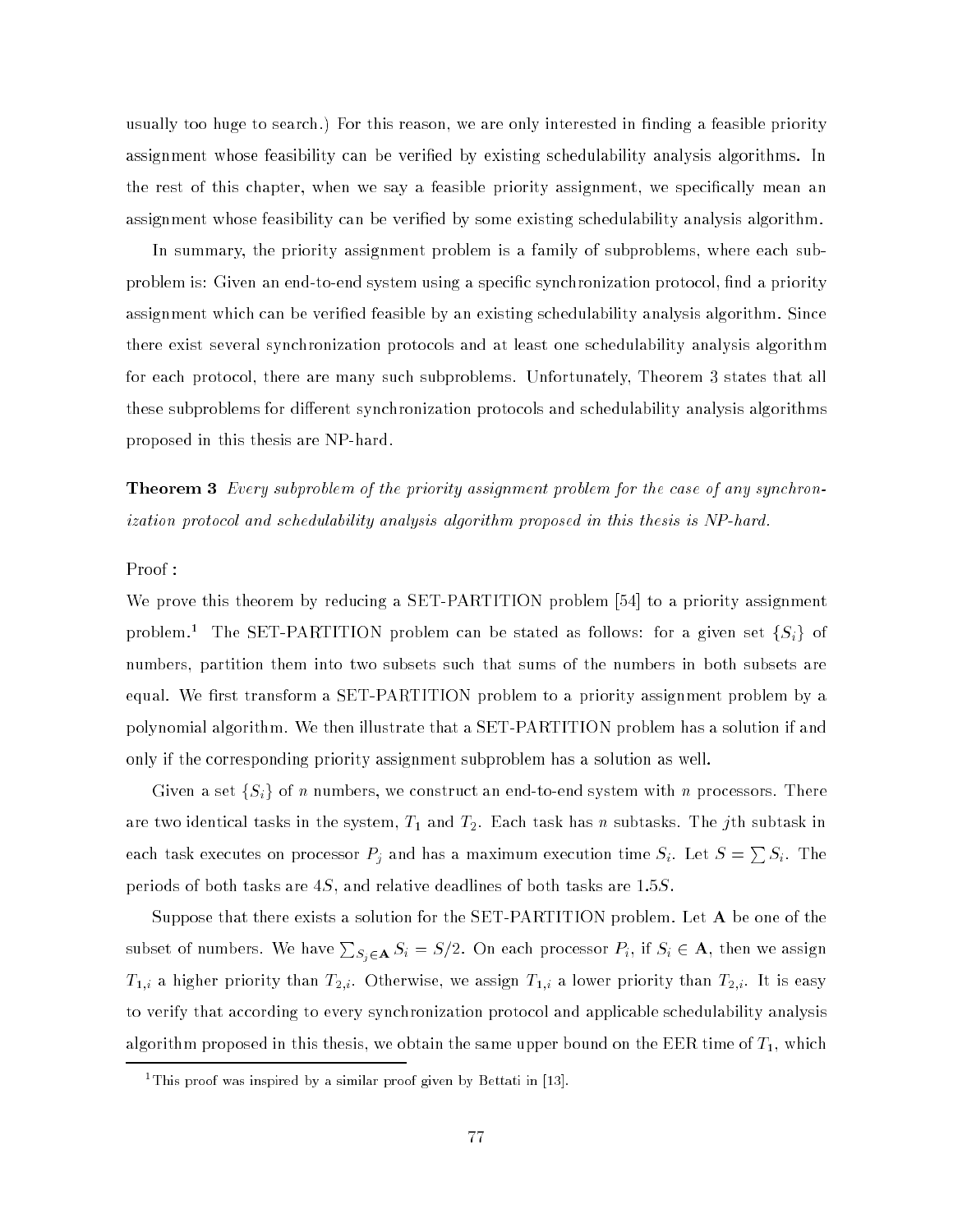usually too huge to search.) For this reason, we are only interested in finding a feasible priority assignment whose feasibility can be veried by existing schedulability analysis algorithms. In the rest of this chapter, when we say a feasible priority assignment, we specically mean an assignment whose feasibility can be veried by some existing schedulability analysis algorithm.

In summary, the priority assignment problem is a family of subproblems, where each subproblem is: Given an end-to-end system using a specific synchronization protocol, find a priority assignment which can be veried feasible by an existing schedulability analysis algorithm. Since there exist several synchronization protocols and at least one schedulability analysis algorithm for each protocol, there are many such subproblems. Unfortunately, Theorem 3 states that all these subproblems for different synchronization protocols and schedulability analysis algorithms proposed in this thesis are NP-hard.

**Theorem 3** Every subproblem of the priority assignment problem for the case of any synchronization protocol and schedulability analysis algorithm proposed in this thesis is NP-hard.

### Proof :

We prove this theorem by reducing a SET-PARTITION problem [54] to a priority assignment problem.<sup>1</sup> The SET-PARTITION problem can be stated as follows: for a given set  $\{S_i\}$  of numbers, partition them into two subsets such that sums of the numbers in both subsets are equal. We first transform a SET-PARTITION problem to a priority assignment problem by a polynomial algorithm. We then illustrate that a SET-PARTITION problem has a solution if and only if the corresponding priority assignment subproblem has a solution as well.

Given a set  $\{S_i\}$  of n numbers, we construct an end-to-end system with n processors. There are two identical tasks in the system,  $T_1$  and  $T_2.$  Each task has  $n$  subtasks. The  $j$ th subtask in each task executes on processor  $P_i$  and has a maximum execution time  $S_i$ . Let  $S = \sum S_i$ . The periods of both tasks are  $4S$ , and relative deadlines of both tasks are  $1.5S$ .

Suppose that there exists a solution for the SET-PARTITION problem. Let A be one of the subset of numbers. We have  $\sum_{S_j \in {\bf A}} S_i = S/2.$  On each processor  $P_i,$  if  $S_i \in {\bf A},$  then we assign  $T_{1,i}$  a higher priority than  $T_{2,i}$ . Otherwise, we assign  $T_{1,i}$  a lower priority than  $T_{2,i}$ . It is easy to verify that according to every synchronization protocol and applicable schedulability analysis algorithm proposed in this thesis, we obtain the same upper bound on the EER time of  $T_1,$  which

<sup>1</sup> This proof was inspired by a similar proof given by Bettati in [13].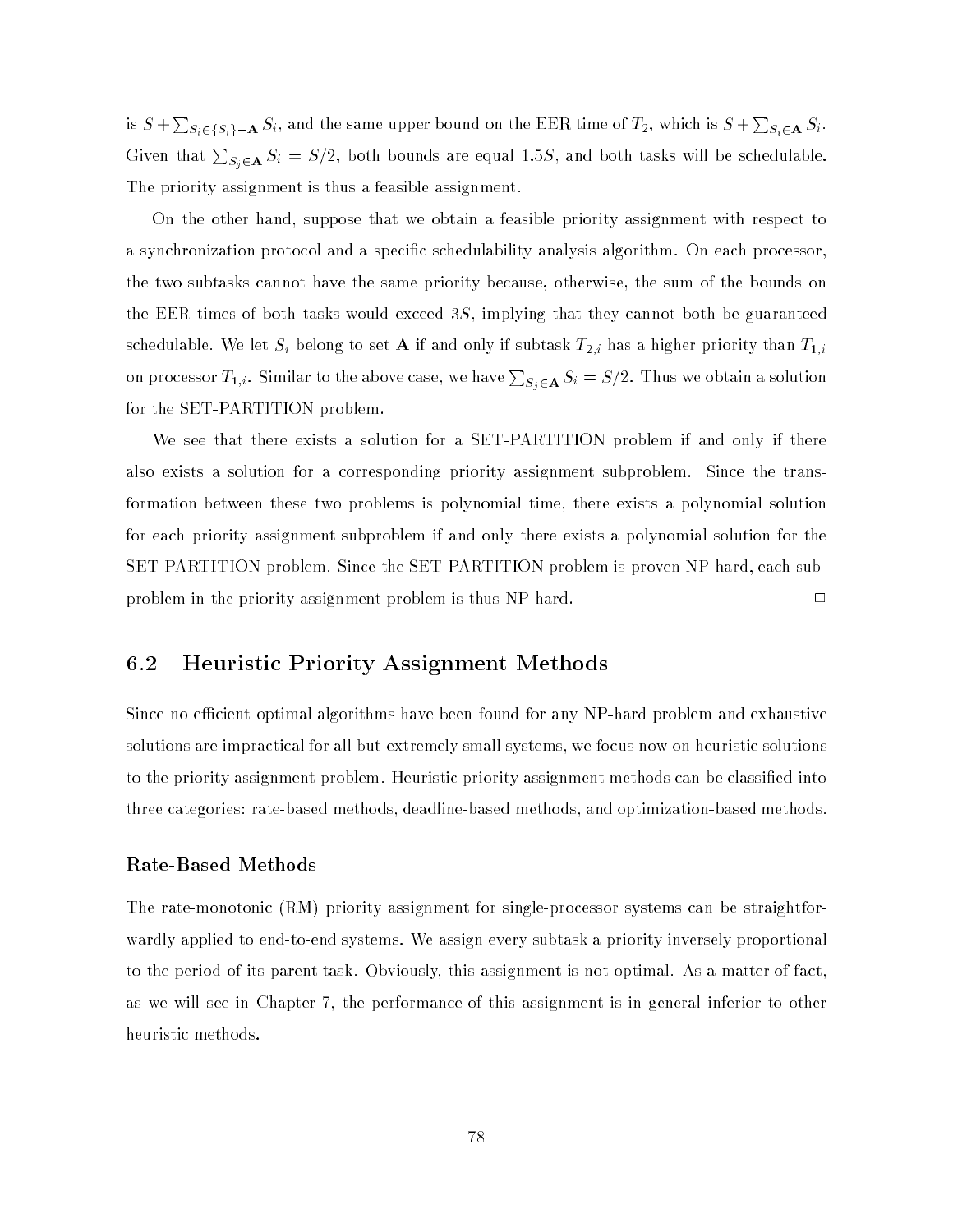is  $S+\sum_{S_i\in\{S_i\}-{\bf A}}S_i,$  and the same upper bound on the EER time of  $T_2,$  which is  $S+\sum_{S_i\in\mathbf{A}}S_i.$ Given that  $\sum_{S_i\in{\bf A}}S_i=S/2,$  both bounds are equal 1.5 $S,$  and both tasks will be schedulable. The priority assignment is thus a feasible assignment.

On the other hand, suppose that we obtain a feasible priority assignment with respect to a synchronization protocol and a specic schedulability analysis algorithm. On each processor, the two subtasks cannot have the same priority because, otherwise, the sum of the bounds on the EER times of both tasks would exceed  $3S$ , implying that they cannot both be guaranteed schedulable. We let Si belong to set <sup>A</sup> if and only if subtask T2;i has a higher priority than T1;i on processor  $T_{1,i}$ . Similar to the above case, we have  $\sum_{S_i\in{\bf A}}S_i=S/2.$  Thus we obtain a solution for the SET-PARTITION problem.

We see that there exists a solution for a SET-PARTITION problem if and only if there also exists a solution for a corresponding priority assignment subproblem. Since the transformation between these two problems is polynomial time, there exists a polynomial solution for each priority assignment subproblem if and only there exists a polynomial solution for the SET-PARTITION problem. Since the SET-PARTITION problem is proven NP-hard, each subproblem in the priority assignment problem is thus  $NP$ -hard.  $\square$ 

### 6.2 Heuristic Priority Assignment Methods

Since no efficient optimal algorithms have been found for any NP-hard problem and exhaustive solutions are impractical for all but extremely small systems, we focus now on heuristic solutions to the priority assignment problem. Heuristic priority assignment methods can be classied into three categories: rate-based methods, deadline-based methods, and optimization-based methods.

### Rate-Based Methods

The rate-monotonic (RM) priority assignment for single-processor systems can be straightforwardly applied to end-to-end systems. We assign every subtask a priority inversely proportional to the period of its parent task. Obviously, this assignment is not optimal. As a matter of fact, as we will see in Chapter 7, the performance of this assignment is in general inferior to other heuristic methods.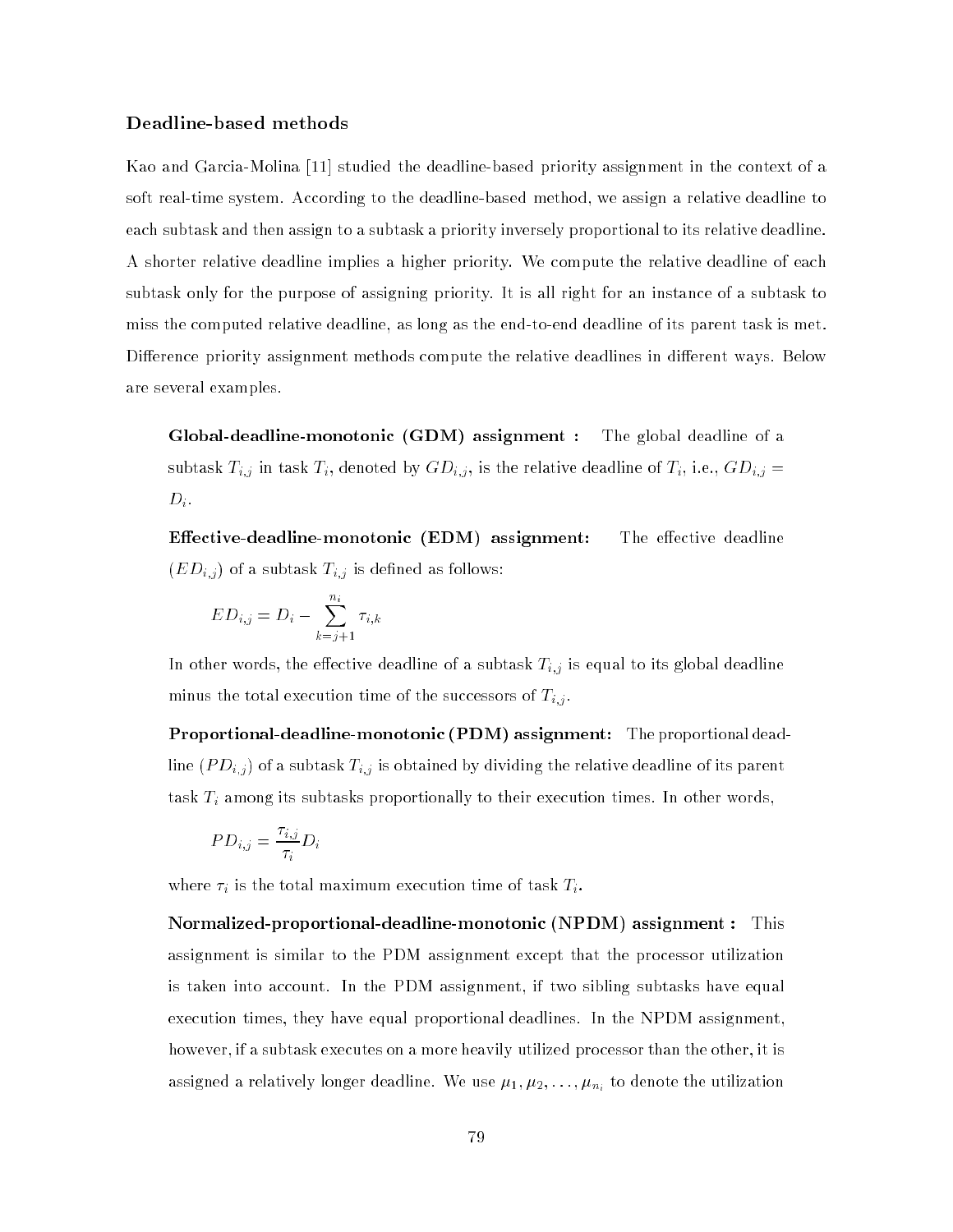### Deadline-based methods

Kao and Garcia-Molina [11] studied the deadline-based priority assignment in the context of a soft real-time system. According to the deadline-based method, we assign a relative deadline to each subtask and then assign to a subtask a priority inversely proportional to its relative deadline. A shorter relative deadline implies a higher priority. We compute the relative deadline of each subtask only for the purpose of assigning priority. It is all right for an instance of a subtask to miss the computed relative deadline, as long as the end-to-end deadline of its parent task is met. Difference priority assignment methods compute the relative deadlines in different ways. Below are several examples.

Global-deadline-monotonic (GDM) assignment : The global deadline of a subtask Ti;j in task Ti, denoted by GDi;j , is the relative deadline of Ti, i.e.,  $\mu$  i.e., GDI;  $\mu$ , GDI;  $\mu$ , GDI;  $\mu$ , GDI;  $\mu$ , GDI;  $\mu$ , GDI;  $\mu$ , GDI;  $\mu$ , GDI;  $\mu$ , GDI;  $\mu$ , GDI;  $\mu$ , GDI;  $\mu$ , GDI;  $\$  $D_i$ .

**Effective-deadline-monotonic (EDM)** assignment: The effective deadline  $\mathbf{E} = \mathbf{E} \cdot \mathbf{E}$  of a subtable as follows: the subtask Times  $\mathbf{E} \cdot \mathbf{E}$ 

$$
ED_{i,j} = D_i - \sum_{k=j+1}^{n_i} \tau_{i,k}
$$

In other words, the eective deadline of a subtask Ti;j is equal to its global deadline minus the total execution time of the successors of the successors of time of the successors of  $\mathbf{z}$ 

Proportional-deadline-monotonic (PDM) assignment: The proportional deadline (PDI;j is obtained by different by distanced by dividing the relative deadline of its parents task Times to the subtasks proportionally to the subtasks proportionally to the  $\mathcal I$ 

$$
PD_{i,j} = \frac{\tau_{i,j}}{\tau_i} D_i
$$

where i  $_i$  is the total maximum execution time of the task Time  $\pm_i$  .

Normalized-proportional-deadline-monotonic (NPDM) assignment : This assignment is similar to the PDM assignment except that the processor utilization is taken into account. In the PDM assignment, if two sibling subtasks have equal execution times, they have equal proportional deadlines. In the NPDM assignment, however, if a subtask executes on a more heavily utilized processor than the other, it is assigned a relatively longer deal  $\mathcal{A}$  . We use  $1, 2, 1, 1, 1, 2, 2, \ldots$  :  $1, 1, 1, 2, 3, \ldots$  :  $1, 1, 1, 2, 3, \ldots$  :  $1, 1, 1, 2, 3, \ldots$  :  $1, 1, 1, 2, 3, \ldots$  :  $1, 1, 1, 2, 3, \ldots$  :  $1, 1, 1, 2, 3, \ldots$  :  $1, 1, 1,$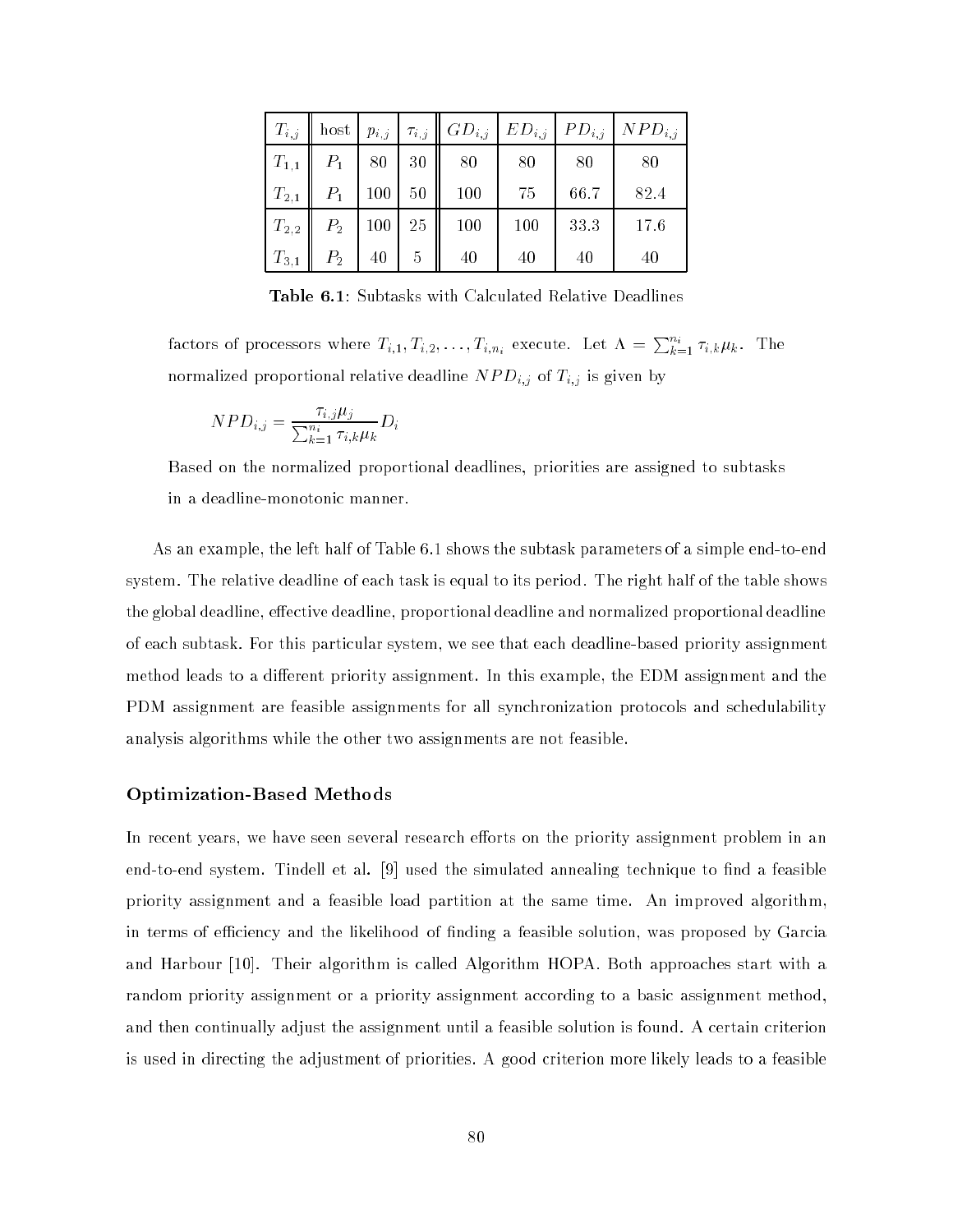| $T_{i,j}$ | host  | $p_{i,j}$ $\tau_{i,j}$ |    | $ GD_{i,j} $ | $E D_{i,j}$ | $1PD_{i,j}$ | $NPD_{i,j}$ |
|-----------|-------|------------------------|----|--------------|-------------|-------------|-------------|
| $T_{1,1}$ | $P_1$ | 80                     | 30 | 80           | 80          | 80          | 80          |
| $T_{2,1}$ | $P_1$ | 100                    | 50 | 100          | 75          | 66.7        | 82.4        |
| $T_{2,2}$ | $P_2$ | 100                    | 25 | 100          | 100         | 33.3        | 17.6        |
| $T_{3,1}$ | $P_2$ | 40                     | 5  | 40           | 40          | 40          | 40          |

Table 6.1: Subtasks with Calculated Relative Deadlines

factors of processors where  $T_{i,1}, T_{i,2}, \ldots, T_{i,n_i}$  execute. Let  $\Lambda = \sum_{k=1}^{n_i} \tau_{i,k} \mu_k$ . The normalized proportional relative deadline N PDI; is given by the N PDI; is given by the N PDI; is given by the

$$
NPD_{i,j} = \frac{\tau_{i,j}\mu_j}{\sum_{k=1}^{n_i} \tau_{i,k}\mu_k} D_i
$$

Based on the normalized proportional deadlines, priorities are assigned to subtasks in a deadline-monotonic manner.

As an example, the left half of Table 6.1 shows the subtask parameters of a simple end-to-end system. The relative deadline of each task is equal to its period. The right half of the table shows the global deadline, effective deadline, proportional deadline and normalized proportional deadline of each subtask. For this particular system, we see that each deadline-based priority assignment method leads to a different priority assignment. In this example, the EDM assignment and the PDM assignment are feasible assignments for all synchronization protocols and schedulability analysis algorithms while the other two assignments are not feasible.

### Optimization-Based Methods

In recent years, we have seen several research efforts on the priority assignment problem in an end-to-end system. Tindell et al.  $[9]$  used the simulated annealing technique to find a feasible priority assignment and a feasible load partition at the same time. An improved algorithm, in terms of efficiency and the likelihood of finding a feasible solution, was proposed by Garcia and Harbour [10]. Their algorithm is called Algorithm HOPA. Both approaches start with a random priority assignment or a priority assignment according to a basic assignment method, and then continually adjust the assignment until a feasible solution is found. A certain criterion is used in directing the adjustment of priorities. A good criterion more likely leads to a feasible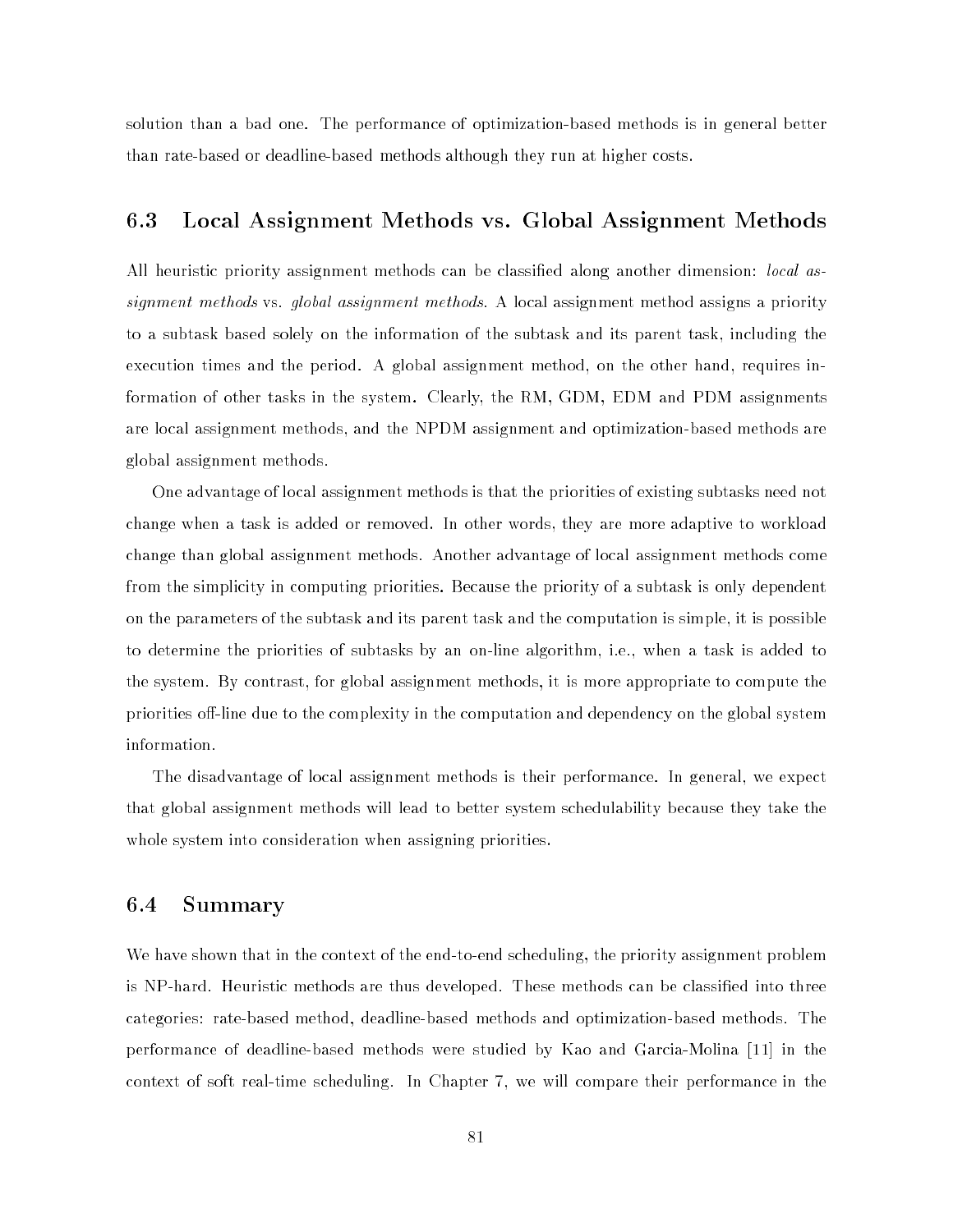solution than a bad one. The performance of optimization-based methods is in general better than rate-based or deadline-based methods although they run at higher costs.

### 6.3 Local Assignment Methods vs. Global Assignment Methods

All heuristic priority assignment methods can be classified along another dimension: *local as*signment methods vs. global assignment methods. A local assignment method assigns a priority to a subtask based solely on the information of the subtask and its parent task, including the execution times and the period. A global assignment method, on the other hand, requires information of other tasks in the system. Clearly, the RM, GDM, EDM and PDM assignments are local assignment methods, and the NPDM assignment and optimization-based methods are global assignment methods.

One advantage of local assignment methods is that the priorities of existing subtasks need not change when a task is added or removed. In other words, they are more adaptive to workload change than global assignment methods. Another advantage of local assignment methods come from the simplicity in computing priorities. Because the priority of a subtask is only dependent on the parameters of the subtask and its parent task and the computation is simple, it is possible to determine the priorities of subtasks by an on-line algorithm, i.e., when a task is added to the system. By contrast, for global assignment methods, it is more appropriate to compute the priorities off-line due to the complexity in the computation and dependency on the global system information.

The disadvantage of local assignment methods is their performance. In general, we expect that global assignment methods will lead to better system schedulability because they take the whole system into consideration when assigning priorities.

### 6.4 Summary

We have shown that in the context of the end-to-end scheduling, the priority assignment problem is NP-hard. Heuristic methods are thus developed. These methods can be classified into three categories: rate-based method, deadline-based methods and optimization-based methods. The performance of deadline-based methods were studied by Kao and Garcia-Molina [11] in the context of soft real-time scheduling. In Chapter 7, we will compare their performance in the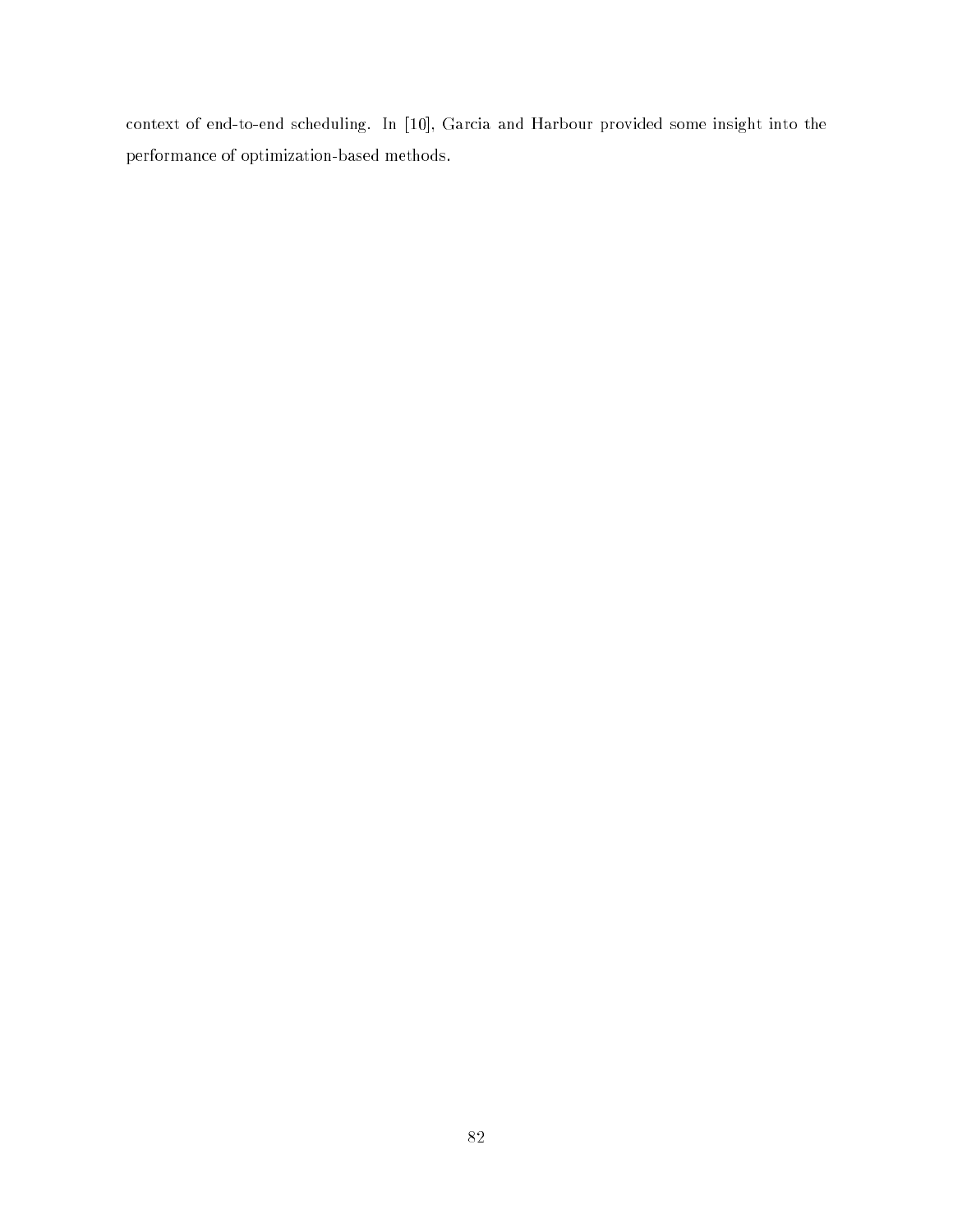context of end-to-end scheduling. In [10], Garcia and Harbour provided some insight into the performance of optimization-based methods.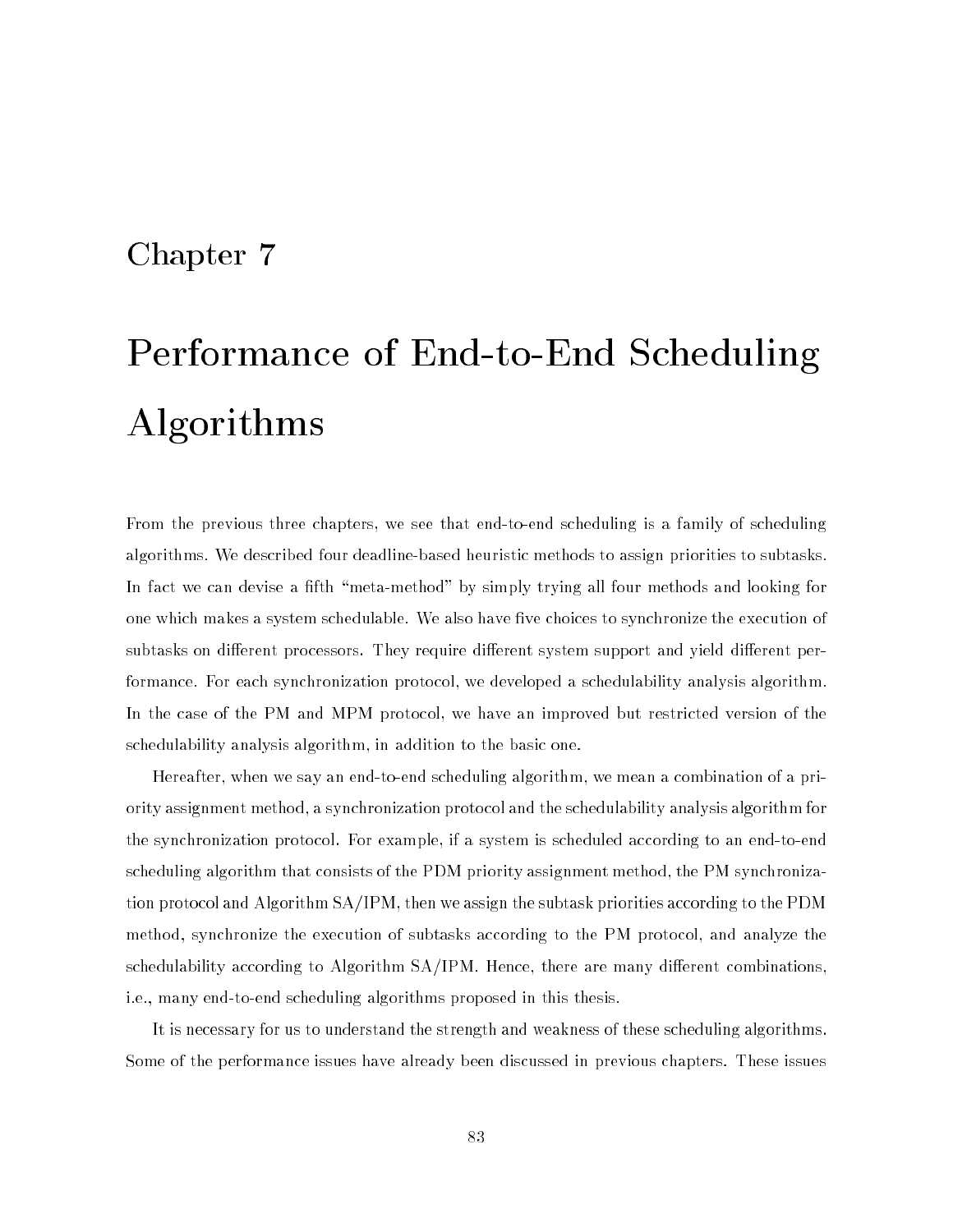## Chapter 7

# Performance of End-to-End Scheduling Algorithms

From the previous three chapters, we see that end-to-end scheduling is a family of scheduling algorithms. We described four deadline-based heuristic methods to assign priorities to subtasks. In fact we can devise a fifth "meta-method" by simply trying all four methods and looking for one which makes a system schedulable. We also have five choices to synchronize the execution of subtasks on different processors. They require different system support and yield different performance. For each synchronization protocol, we developed a schedulability analysis algorithm. In the case of the PM and MPM protocol, we have an improved but restricted version of the schedulability analysis algorithm, in addition to the basic one.

Hereafter, when we say an end-to-end scheduling algorithm, we mean a combination of a priority assignment method, a synchronization protocol and the schedulability analysis algorithm for the synchronization protocol. For example, if a system is scheduled according to an end-to-end scheduling algorithm that consists of the PDM priority assignment method, the PM synchronization protocol and Algorithm SA/IPM, then we assign the subtask priorities according to the PDM method, synchronize the execution of subtasks according to the PM protocol, and analyze the schedulability according to Algorithm  $SA/IPM$ . Hence, there are many different combinations, i.e., many end-to-end scheduling algorithms proposed in this thesis.

It is necessary for us to understand the strength and weakness of these scheduling algorithms. Some of the performance issues have already been discussed in previous chapters. These issues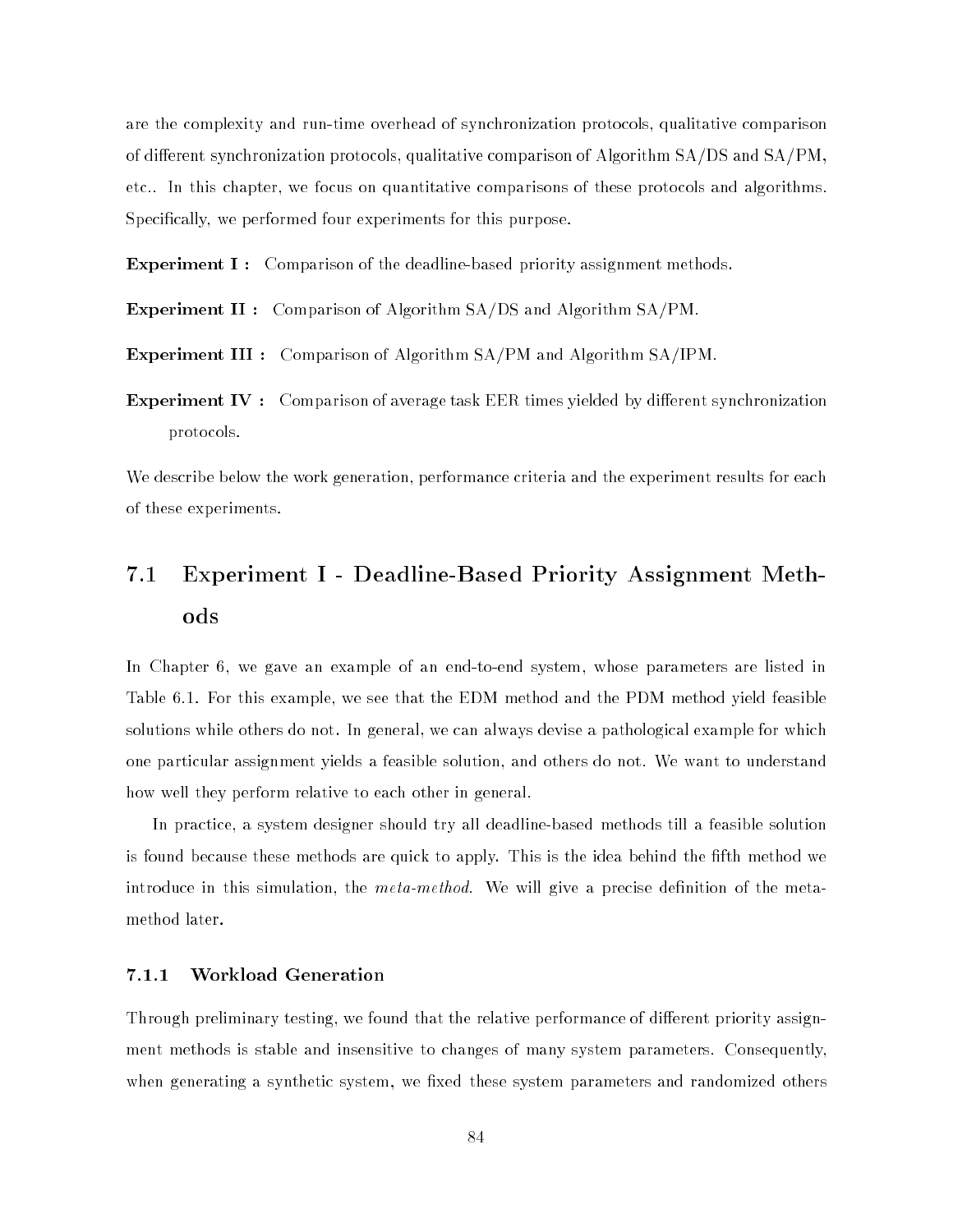are the complexity and run-time overhead of synchronization protocols, qualitative comparison of different synchronization protocols, qualitative comparison of Algorithm  $SA/DS$  and  $SA/PM$ . etc.. In this chapter, we focus on quantitative comparisons of these protocols and algorithms. Specifically, we performed four experiments for this purpose.

**Experiment I:** Comparison of the deadline-based priority assignment methods.

Experiment II : Comparison of Algorithm SA/DS and Algorithm SA/PM.

Experiment III : Comparison of Algorithm SA/PM and Algorithm SA/IPM.

**Experiment IV** : Comparison of average task EER times yielded by different synchronization protocols.

We describe below the work generation, performance criteria and the experiment results for each of these experiments.

### $7.1$ Experiment I - Deadline-Based Priority Assignment Methods

In Chapter 6, we gave an example of an end-to-end system, whose parameters are listed in Table 6.1. For this example, we see that the EDM method and the PDM method yield feasible solutions while others do not. In general, we can always devise a pathological example for which one particular assignment yields a feasible solution, and others do not. We want to understand how well they perform relative to each other in general.

In practice, a system designer should try all deadline-based methods till a feasible solution is found because these methods are quick to apply. This is the idea behind the fth method we introduce in this simulation, the *meta-method*. We will give a precise definition of the metamethod later.

### 7.1.1 Workload Generation

Through preliminary testing, we found that the relative performance of different priority assignment methods is stable and insensitive to changes of many system parameters. Consequently, when generating a synthetic system, we fixed these system parameters and randomized others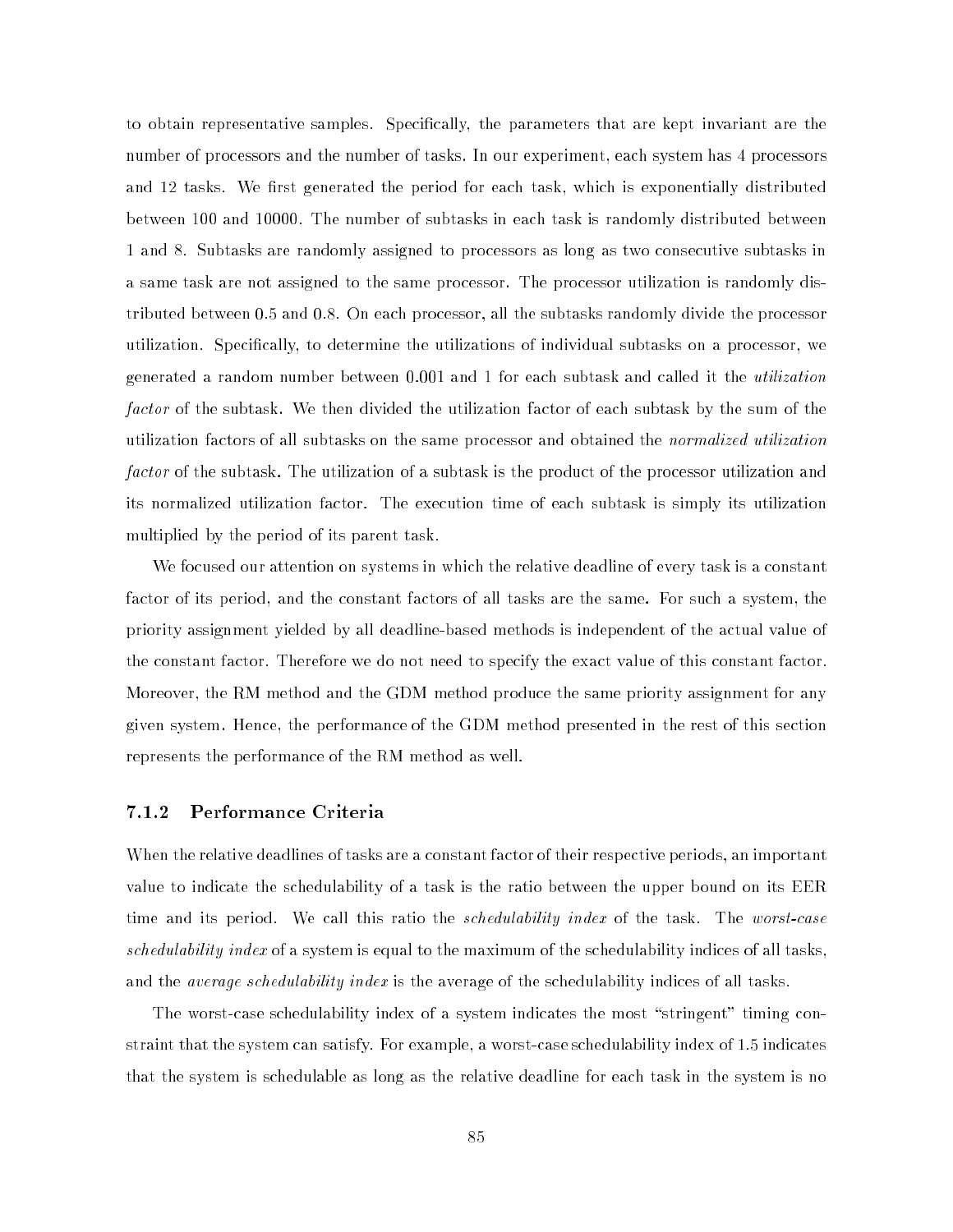to obtain representative samples. Specically, the parameters that are kept invariant are the number of processors and the number of tasks. In our experiment, each system has 4 processors and 12 tasks. We first generated the period for each task, which is exponentially distributed between 100 and 10000. The number of subtasks in each task is randomly distributed between 1 and 8. Subtasks are randomly assigned to processors as long as two consecutive subtasks in a same task are not assigned to the same processor. The processor utilization is randomly distributed between 0.5 and 0.8. On each processor, all the subtasks randomly divide the processor utilization. Specically, to determine the utilizations of individual subtasks on a processor, we generated a random number between 0.001 and 1 for each subtask and called it the utilization factor of the subtask. We then divided the utilization factor of each subtask by the sum of the utilization factors of all subtasks on the same processor and obtained the normalized utilization factor of the subtask. The utilization of a subtask is the product of the processor utilization and its normalized utilization factor. The execution time of each subtask is simply its utilization multiplied by the period of its parent task.

We focused our attention on systems in which the relative deadline of every task is a constant factor of its period, and the constant factors of all tasks are the same. For such a system, the priority assignment yielded by all deadline-based methods is independent of the actual value of the constant factor. Therefore we do not need to specify the exact value of this constant factor. Moreover, the RM method and the GDM method produce the same priority assignment for any given system. Hence, the performance of the GDM method presented in the rest of this section represents the performance of the RM method as well.

### 7.1.2 Performance Criteria

When the relative deadlines of tasks are a constant factor of their respective periods, an important value to indicate the schedulability of a task is the ratio between the upper bound on its EER time and its period. We call this ratio the *schedulability index* of the task. The *worst-case* schedulability index of a system is equal to the maximum of the schedulability indices of all tasks, and the *average schedulability index* is the average of the schedulability indices of all tasks.

The worst-case schedulability index of a system indicates the most "stringent" timing constraint that the system can satisfy. For example, a worst-case schedulability index of 1.5 indicates that the system is schedulable as long as the relative deadline for each task in the system is no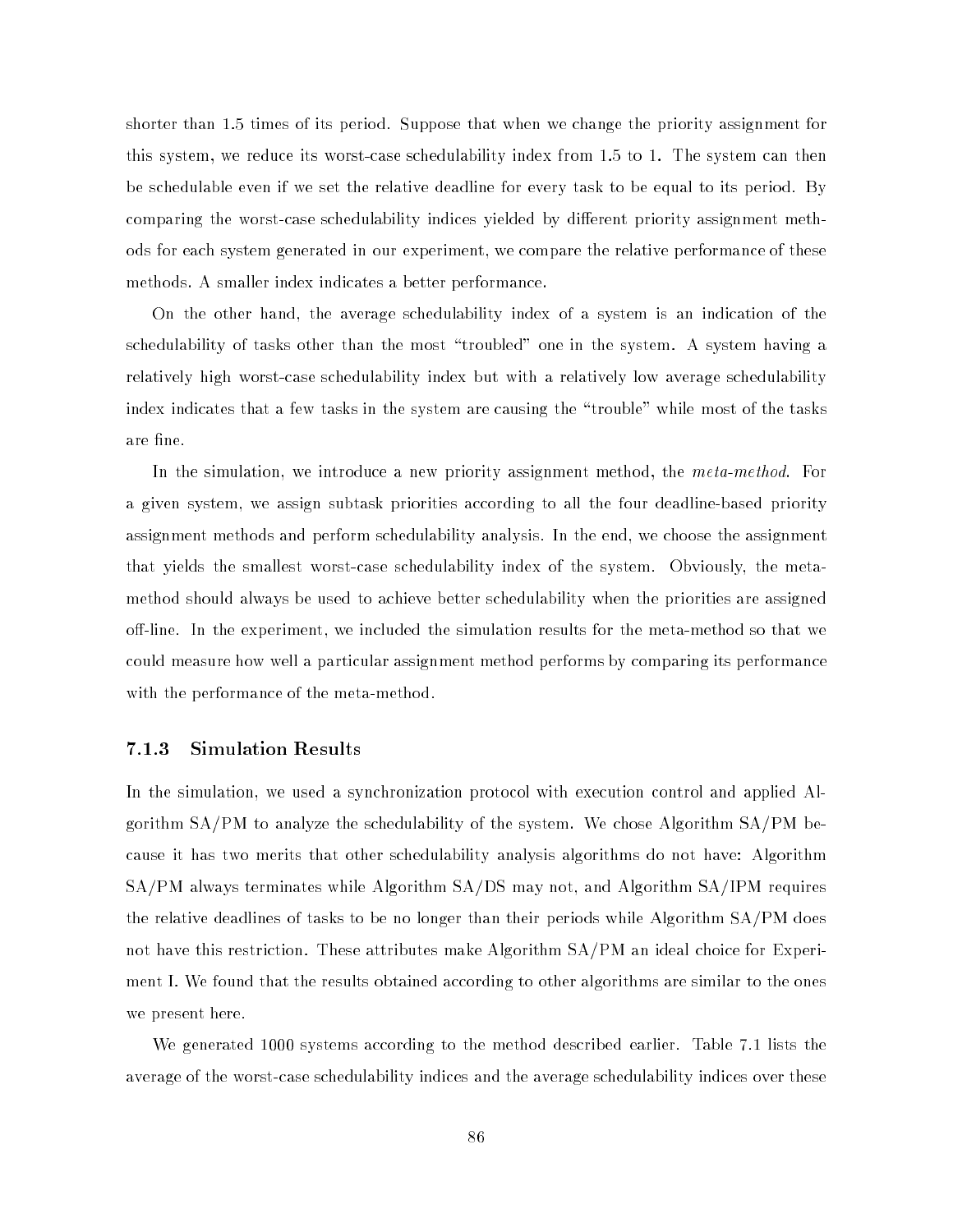shorter than 1.5 times of its period. Suppose that when we change the priority assignment for this system, we reduce its worst-case schedulability index from 1.5 to 1. The system can then be schedulable even if we set the relative deadline for every task to be equal to its period. By comparing the worst-case schedulability indices yielded by different priority assignment methods for each system generated in our experiment, we compare the relative performance of these methods. A smaller index indicates a better performance.

On the other hand, the average schedulability index of a system is an indication of the schedulability of tasks other than the most "troubled" one in the system. A system having a relatively high worst-case schedulability index but with a relatively low average schedulability index indicates that a few tasks in the system are causing the \trouble" while most of the tasks are fine.

In the simulation, we introduce a new priority assignment method, the *meta-method*. For a given system, we assign subtask priorities according to all the four deadline-based priority assignment methods and perform schedulability analysis. In the end, we choose the assignment that yields the smallest worst-case schedulability index of the system. Obviously, the metamethod should always be used to achieve better schedulability when the priorities are assigned off-line. In the experiment, we included the simulation results for the meta-method so that we could measure how well a particular assignment method performs by comparing its performance with the performance of the meta-method.

### 7.1.3 Simulation Results

In the simulation, we used a synchronization protocol with execution control and applied Algorithm SA/PM to analyze the schedulability of the system. We chose Algorithm SA/PM because it has two merits that other schedulability analysis algorithms do not have: Algorithm SA/PM always terminates while Algorithm SA/DS may not, and Algorithm SA/IPM requires the relative deadlines of tasks to be no longer than their periods while Algorithm SA/PM does not have this restriction. These attributes make Algorithm SA/PM an ideal choice for Experiment I. We found that the results obtained according to other algorithms are similar to the ones we present here.

We generated 1000 systems according to the method described earlier. Table 7.1 lists the average of the worst-case schedulability indices and the average schedulability indices over these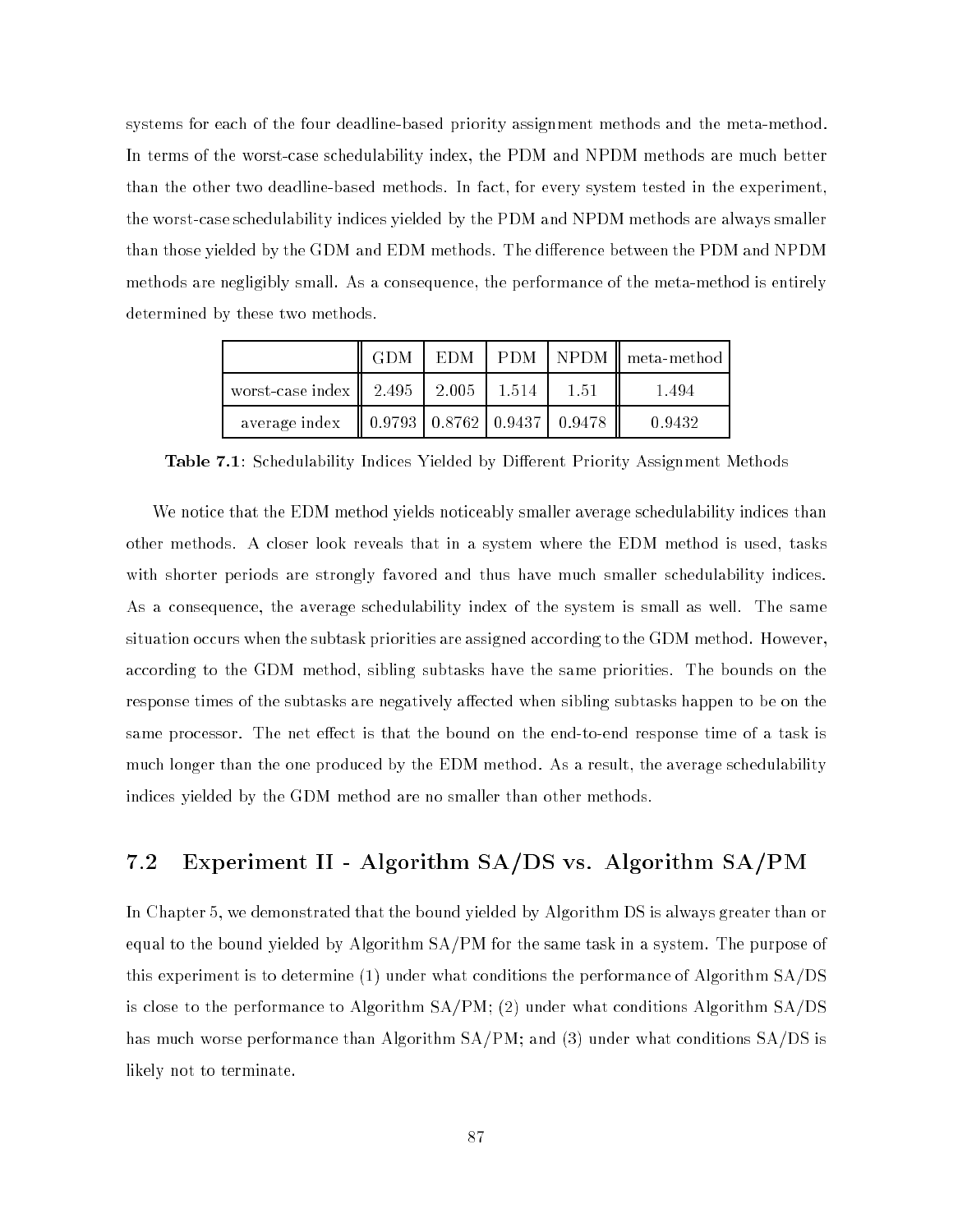systems for each of the four deadline-based priority assignment methods and the meta-method. In terms of the worst-case schedulability index, the PDM and NPDM methods are much better than the other two deadline-based methods. In fact, for every system tested in the experiment, the worst-case schedulability indices yielded by the PDM and NPDM methods are always smaller than those yielded by the GDM and EDM methods. The difference between the PDM and NPDM methods are negligibly small. As a consequence, the performance of the meta-method is entirely determined by these two methods.

|                                                             | <b>GDM</b> |  |      | EDM   PDM   NPDM    meta-method |
|-------------------------------------------------------------|------------|--|------|---------------------------------|
| worst-case index $\ $ 2.495 $\ $ 2.005 $\ $ 1.514 $\ $      |            |  | 1.51 | 1.494                           |
| average index $\parallel$ 0.9793   0.8762   0.9437   0.9478 |            |  |      | 0.9432                          |

Table 7.1: Schedulability Indices Yielded by Different Priority Assignment Methods

We notice that the EDM method yields noticeably smaller average schedulability indices than other methods. A closer look reveals that in a system where the EDM method is used, tasks with shorter periods are strongly favored and thus have much smaller schedulability indices. As a consequence, the average schedulability index of the system is small as well. The same situation occurs when the subtask priorities are assigned according to the GDM method. However, according to the GDM method, sibling subtasks have the same priorities. The bounds on the response times of the subtasks are negatively affected when sibling subtasks happen to be on the same processor. The net effect is that the bound on the end-to-end response time of a task is much longer than the one produced by the EDM method. As a result, the average schedulability indices yielded by the GDM method are no smaller than other methods.

### 7.2 Experiment II - Algorithm SA/DS vs. Algorithm SA/PM

In Chapter 5, we demonstrated that the bound yielded by Algorithm DS is always greater than or equal to the bound yielded by Algorithm SA/PM for the same task in a system. The purpose of this experiment is to determine (1) under what conditions the performance of Algorithm SA/DS is close to the performance to Algorithm SA/PM; (2) under what conditions Algorithm SA/DS has much worse performance than Algorithm SA/PM; and (3) under what conditions SA/DS is likely not to terminate.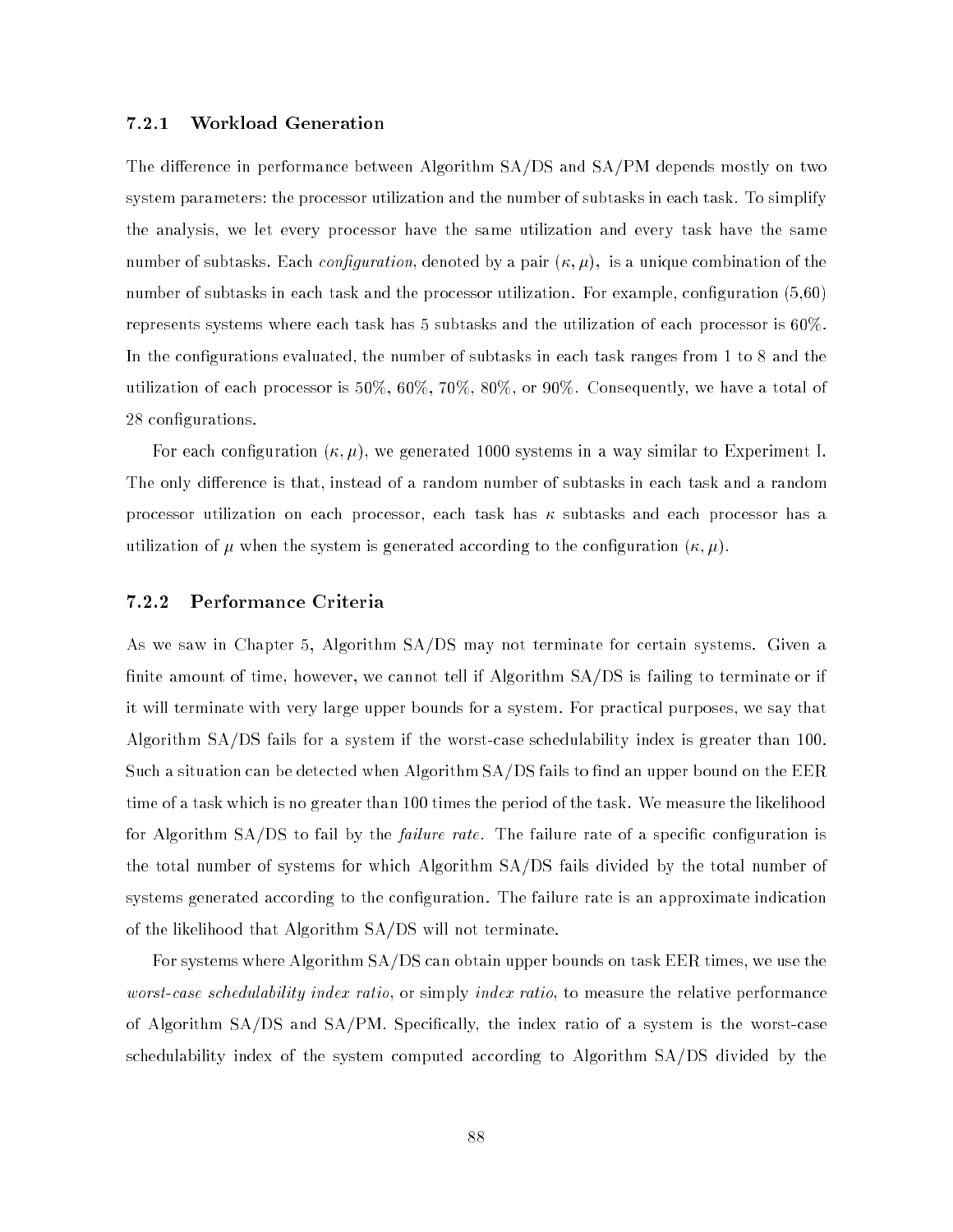### 7.2.1 Workload Generation

The difference in performance between Algorithm  $SA/DS$  and  $SA/PM$  depends mostly on two system parameters: the processor utilization and the number of subtasks in each task. To simplify the analysis, we let every processor have the same utilization and every task have the same number of subtasks. Each *configuration*, denoted by a pair  $(\kappa, \mu)$ , is a unique combination of the number of subtasks in each task and the processor utilization. For example, configuration (5,60) represents systems where each task has 5 subtasks and the utilization of each processor is 60%. In the configurations evaluated, the number of subtasks in each task ranges from 1 to 8 and the utilization of each processor is 50%, 60%, 70%, 80%, or 90%. Consequently, we have a total of 28 configurations.

For each configuration  $(\kappa, \mu)$ , we generated 1000 systems in a way similar to Experiment I. The only difference is that, instead of a random number of subtasks in each task and a random processor utilization on each processor, each task has  $\kappa$  subtasks and each processor has a utilization of  $\mu$  when the system is generated according to the configuration  $(\kappa, \mu)$ .

### 7.2.2 Performance Criteria

As we saw in Chapter 5, Algorithm SA/DS may not terminate for certain systems. Given a finite amount of time, however, we cannot tell if Algorithm  $SA/DS$  is failing to terminate or if it will terminate with very large upper bounds for a system. For practical purposes, we say that Algorithm SA/DS fails for a system if the worst-case schedulability index is greater than 100. Such a situation can be detected when Algorithm SA/DS fails to find an upper bound on the EER time of a task which is no greater than 100 times the period of the task. We measure the likelihood for Algorithm  $SA/DS$  to fail by the *failure rate*. The failure rate of a specific configuration is the total number of systems for which Algorithm SA/DS fails divided by the total number of systems generated according to the configuration. The failure rate is an approximate indication of the likelihood that Algorithm SA/DS will not terminate.

For systems where Algorithm SA/DS can obtain upper bounds on task EER times, we use the worst-case schedulability index ratio, or simply index ratio, to measure the relative performance of Algorithm  $SA/DS$  and  $SA/PM$ . Specifically, the index ratio of a system is the worst-case schedulability index of the system computed according to Algorithm SA/DS divided by the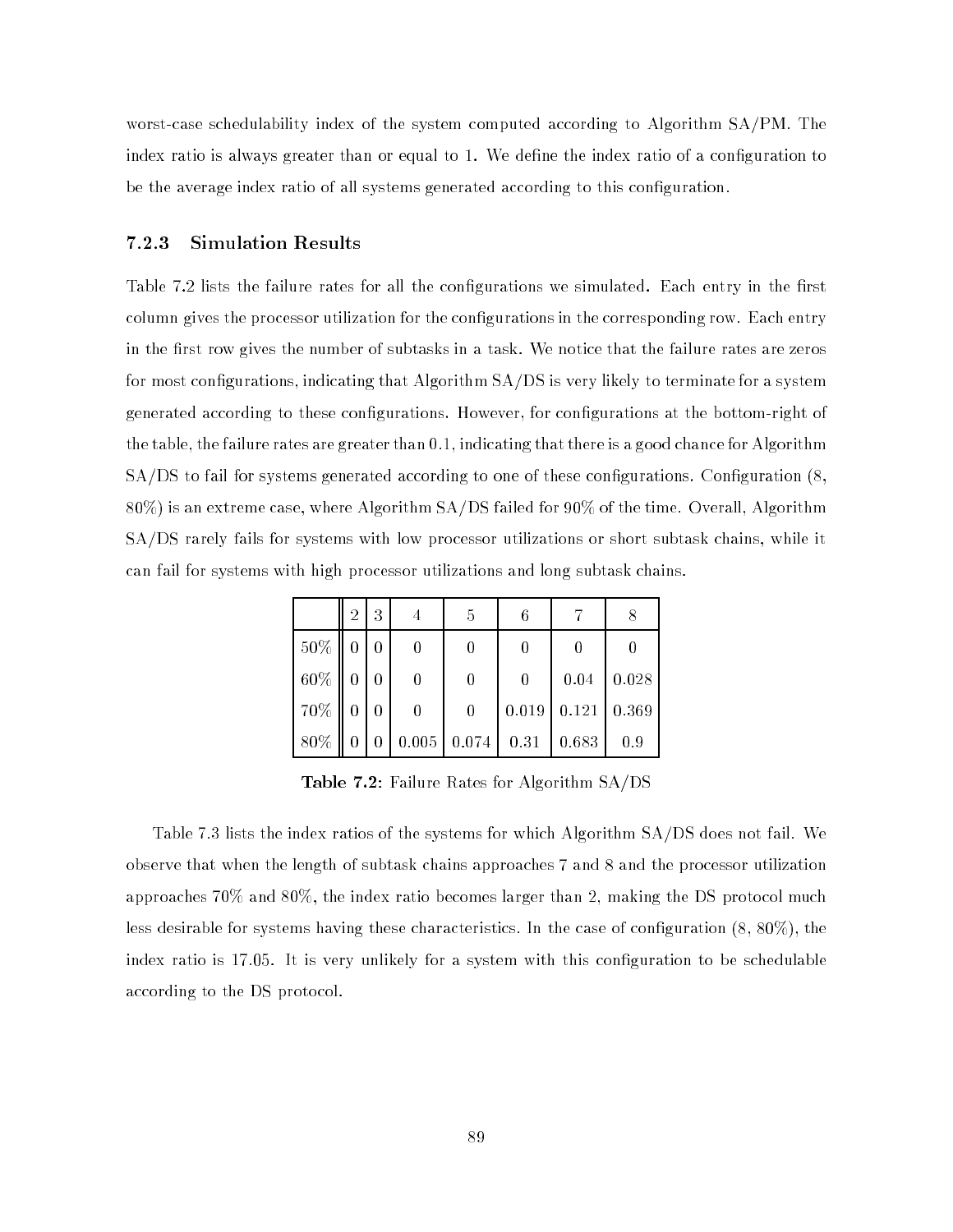worst-case schedulability index of the system computed according to Algorithm SA/PM. The index ratio is always greater than or equal to 1. We define the index ratio of a configuration to be the average index ratio of all systems generated according to this configuration.

### 7.2.3 Simulation Results

Table 7.2 lists the failure rates for all the configurations we simulated. Each entry in the first column gives the processor utilization for the congurations in the corresponding row. Each entry in the first row gives the number of subtasks in a task. We notice that the failure rates are zeros for most configurations, indicating that Algorithm  $SA/DS$  is very likely to terminate for a system generated according to these congurations. However, for congurations at the bottom-right of the table, the failure rates are greater than 0.1, indicating that there is a good chance for Algorithm  $SA/DS$  to fail for systems generated according to one of these configurations. Configuration  $(8, 8)$ 80%) is an extreme case, where Algorithm SA/DS failed for 90% of the time. Overall, Algorithm SA/DS rarely fails for systems with low processor utilizations or short subtask chains, while it can fail for systems with high processor utilizations and long subtask chains.

|                    | $2^{\circ}$                       | $\overline{3}$ | 5              |                |                                                   |                      |
|--------------------|-----------------------------------|----------------|----------------|----------------|---------------------------------------------------|----------------------|
| $50\%$ 0 0         |                                   |                |                |                |                                                   |                      |
| $60\%$ 0 0         |                                   |                | 0              | $\overline{0}$ |                                                   | $0.04 \,   \, 0.028$ |
| $70\%$             | $\begin{bmatrix} 0 \end{bmatrix}$ | $\overline{0}$ | $\overline{0}$ |                | $0.019 \mid 0.121 \mid 0.369$                     |                      |
| $\vert 80\% \vert$ | $\mathbf 0$                       | $\overline{0}$ |                |                | $\mid 0.005 \mid 0.074 \mid 0.31 \mid 0.683 \mid$ | 0.9                  |

Table 7.2: Failure Rates for Algorithm SA/DS

Table 7.3 lists the index ratios of the systems for which Algorithm SA/DS does not fail. We observe that when the length of subtask chains approaches 7 and 8 and the processor utilization approaches 70% and 80%, the index ratio becomes larger than 2, making the DS protocol much less desirable for systems having these characteristics. In the case of configuration  $(8, 80\%)$ , the index ratio is 17.05. It is very unlikely for a system with this configuration to be schedulable according to the DS protocol.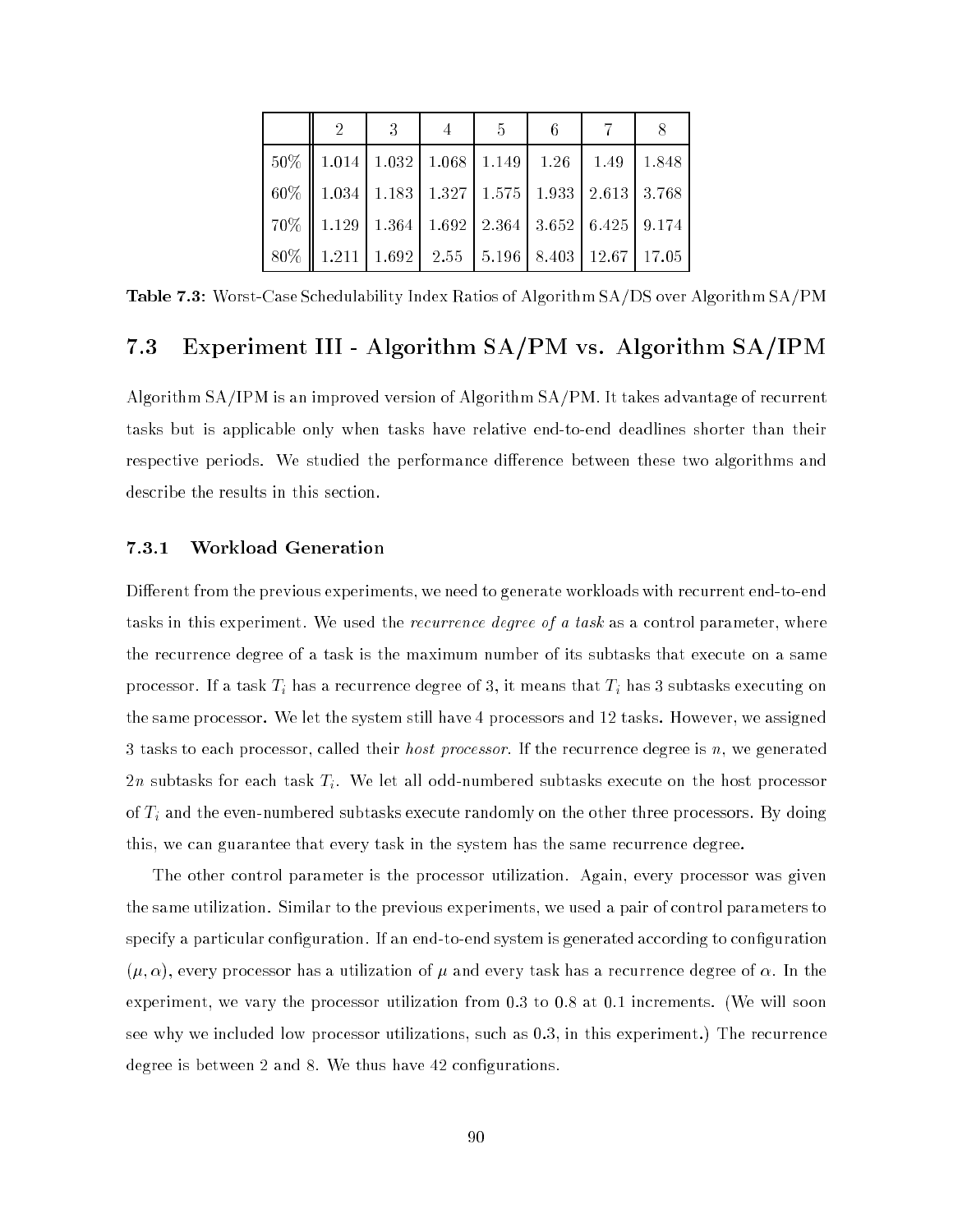| $\overline{2}$                                                 | $-3$ | $-4$ | $\frac{1}{5}$ | $-6$ |  |
|----------------------------------------------------------------|------|------|---------------|------|--|
| $50\%$   1.014   1.032   1.068   1.149   1.26   1.49   1.848   |      |      |               |      |  |
| $60\%$   1.034   1.183   1.327   1.575   1.933   2.613   3.768 |      |      |               |      |  |
| $70\%$   1.129   1.364   1.692   2.364   3.652   6.425   9.174 |      |      |               |      |  |
| $80\%$   1.211   1.692   2.55   5.196   8.403   12.67   17.05  |      |      |               |      |  |

Table 7.3: Worst-Case Schedulability Index Ratios of Algorithm SA/DS over Algorithm SA/PM

## 7.3 Experiment III - Algorithm SA/PM vs. Algorithm SA/IPM

Algorithm SA/IPM is an improved version of Algorithm SA/PM. It takes advantage of recurrent tasks but is applicable only when tasks have relative end-to-end deadlines shorter than their respective periods. We studied the performance difference between these two algorithms and describe the results in this section.

#### 7.3.1 Workload Generation

Different from the previous experiments, we need to generate workloads with recurrent end-to-end tasks in this experiment. We used the *recurrence degree of a task* as a control parameter, where the recurrence degree of a task is the maximum number of its subtasks that execute on a same processor. If a task Ti has a recurrence degree of 3, it means that Ti has 3 subtasks executing on the same processor. We let the system still have 4 processors and 12 tasks. However, we assigned 3 tasks to each processor, called their *host processor*. If the recurrence degree is n, we generated 2n subtasks for each task  $T_i$ . We let all odd-numbered subtasks execute on the host processor of Ti and the even-numbered subtasks execute randomly on the other three processors. By doing this, we can guarantee that every task in the system has the same recurrence degree.

The other control parameter is the processor utilization. Again, every processor was given the same utilization. Similar to the previous experiments, we used a pair of control parameters to specify a particular configuration. If an end-to-end system is generated according to configuration  $(\mu, \alpha)$ , every processor has a utilization of  $\mu$  and every task has a recurrence degree of  $\alpha$ . In the experiment, we vary the processor utilization from 0.3 to 0.8 at 0.1 increments. (We will soon see why we included low processor utilizations, such as 0.3, in this experiment.) The recurrence degree is between 2 and 8. We thus have 42 configurations.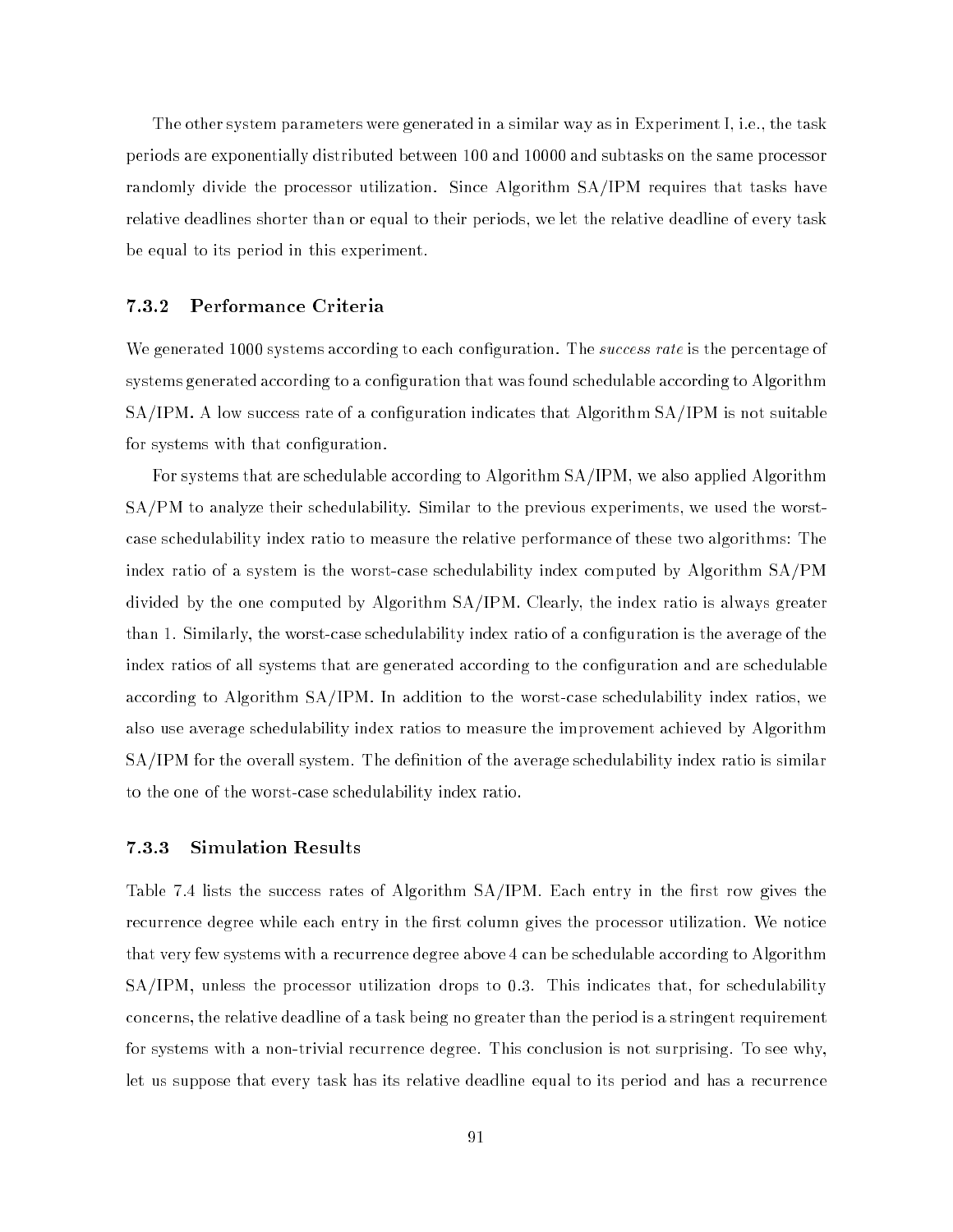The other system parameters were generated in a similar way as in Experiment I, i.e., the task periods are exponentially distributed between 100 and 10000 and subtasks on the same processor randomly divide the processor utilization. Since Algorithm SA/IPM requires that tasks have relative deadlines shorter than or equal to their periods, we let the relative deadline of every task be equal to its period in this experiment.

#### 7.3.2 Performance Criteria

We generated 1000 systems according to each configuration. The *success rate* is the percentage of systems generated according to a configuration that was found schedulable according to Algorithm SA/IPM. A low success rate of a configuration indicates that Algorithm SA/IPM is not suitable for systems with that configuration.

For systems that are schedulable according to Algorithm SA/IPM, we also applied Algorithm SA/PM to analyze their schedulability. Similar to the previous experiments, we used the worstcase schedulability index ratio to measure the relative performance of these two algorithms: The index ratio of a system is the worst-case schedulability index computed by Algorithm SA/PM divided by the one computed by Algorithm SA/IPM. Clearly, the index ratio is always greater than 1. Similarly, the worst-case schedulability index ratio of a conguration is the average of the index ratios of all systems that are generated according to the configuration and are schedulable according to Algorithm SA/IPM. In addition to the worst-case schedulability index ratios, we also use average schedulability index ratios to measure the improvement achieved by Algorithm SA/IPM for the overall system. The definition of the average schedulability index ratio is similar to the one of the worst-case schedulability index ratio.

#### 7.3.3 Simulation Results

Table 7.4 lists the success rates of Algorithm  $SA/IPM$ . Each entry in the first row gives the recurrence degree while each entry in the first column gives the processor utilization. We notice that very few systems with a recurrence degree above 4 can be schedulable according to Algorithm SA/IPM, unless the processor utilization drops to 0.3. This indicates that, for schedulability concerns, the relative deadline of a task being no greater than the period is a stringent requirement for systems with a non-trivial recurrence degree. This conclusion is not surprising. To see why, let us suppose that every task has its relative deadline equal to its period and has a recurrence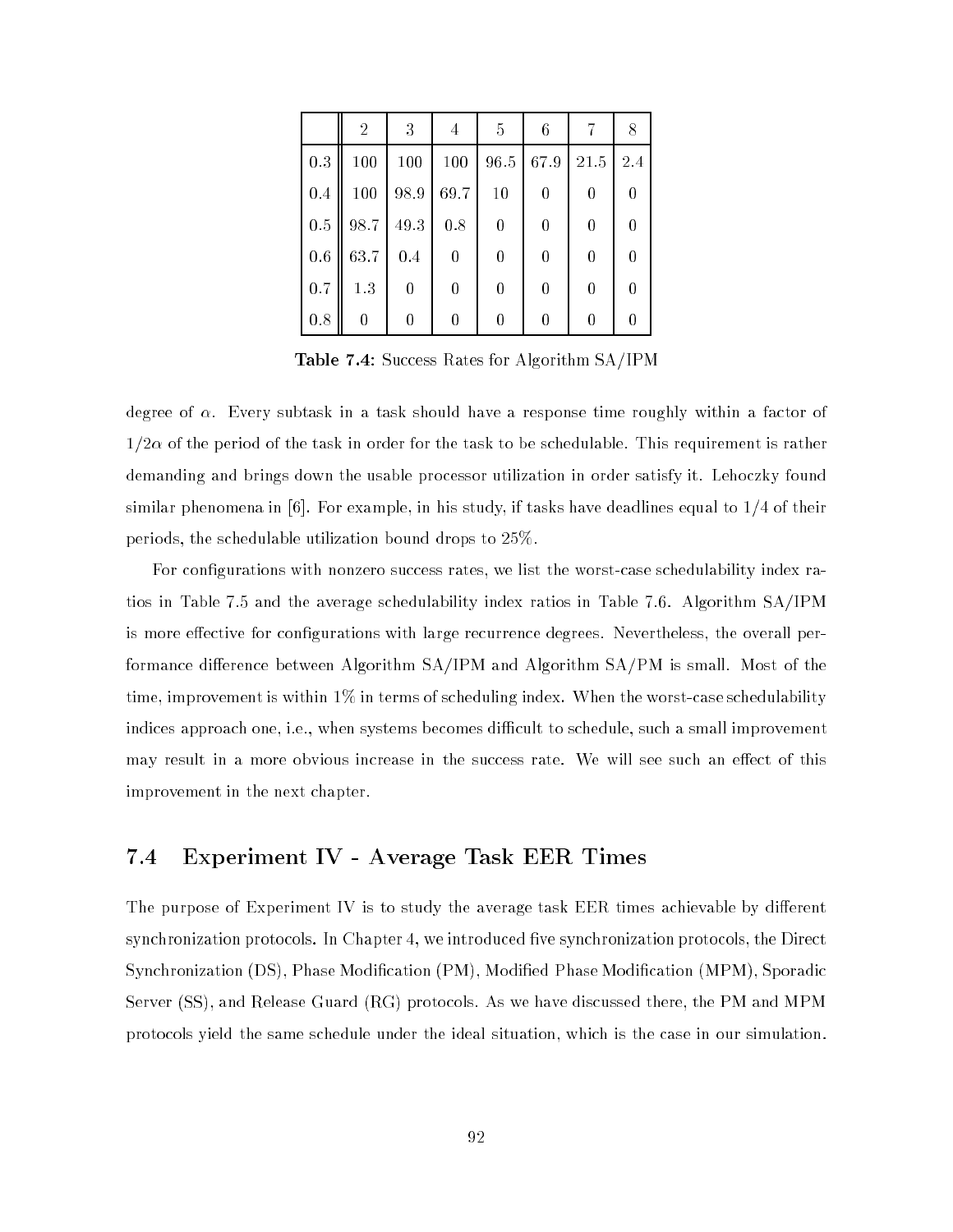|     | $\overline{2}$ | 3        | 4    | -5       | 6                |          |     |
|-----|----------------|----------|------|----------|------------------|----------|-----|
| 0.3 | 100            | 100      | 100  | 96.5     | 67.9             | 21.5     | 2.4 |
| 0.4 | 100            | 98.9     | 69.7 | 10       | 0                | 0        |     |
| 0.5 | 98.7           | $49.3\,$ | 0.8  | 0        | $\theta$         | $\theta$ |     |
| 0.6 | 63.7           | 0.4      | 0    | $\bf{0}$ | $\theta$         | $\theta$ |     |
| 0.7 | 1.3            | 0        | 0    | 0        | $\theta$         | 0        |     |
| 0.8 | 0              |          |      |          | $\left( \right)$ |          |     |

Table 7.4: Success Rates for Algorithm SA/IPM

degree of  $\alpha$ . Every subtask in a task should have a response time roughly within a factor of  $1/2\alpha$  of the period of the task in order for the task to be schedulable. This requirement is rather demanding and brings down the usable processor utilization in order satisfy it. Lehoczky found similar phenomena in  $[6]$ . For example, in his study, if tasks have deadlines equal to  $1/4$  of their periods, the schedulable utilization bound drops to 25%.

For congurations with nonzero success rates, we list the worst-case schedulability index ratios in Table 7.5 and the average schedulability index ratios in Table 7.6. Algorithm SA/IPM is more effective for configurations with large recurrence degrees. Nevertheless, the overall performance difference between Algorithm  $SA/IPM$  and Algorithm  $SA/PM$  is small. Most of the time, improvement is within  $1\%$  in terms of scheduling index. When the worst-case schedulability indices approach one, i.e., when systems becomes difficult to schedule, such a small improvement may result in a more obvious increase in the success rate. We will see such an effect of this improvement in the next chapter.

#### Experiment IV - Average Task EER Times  $7.4$

The purpose of Experiment IV is to study the average task  $EER$  times achievable by different synchronization protocols. In Chapter 4, we introduced five synchronization protocols, the Direct Synchronization (DS), Phase Modication (PM), Modied Phase Modication (MPM), Sporadic Server (SS), and Release Guard (RG) protocols. As we have discussed there, the PM and MPM protocols yield the same schedule under the ideal situation, which is the case in our simulation.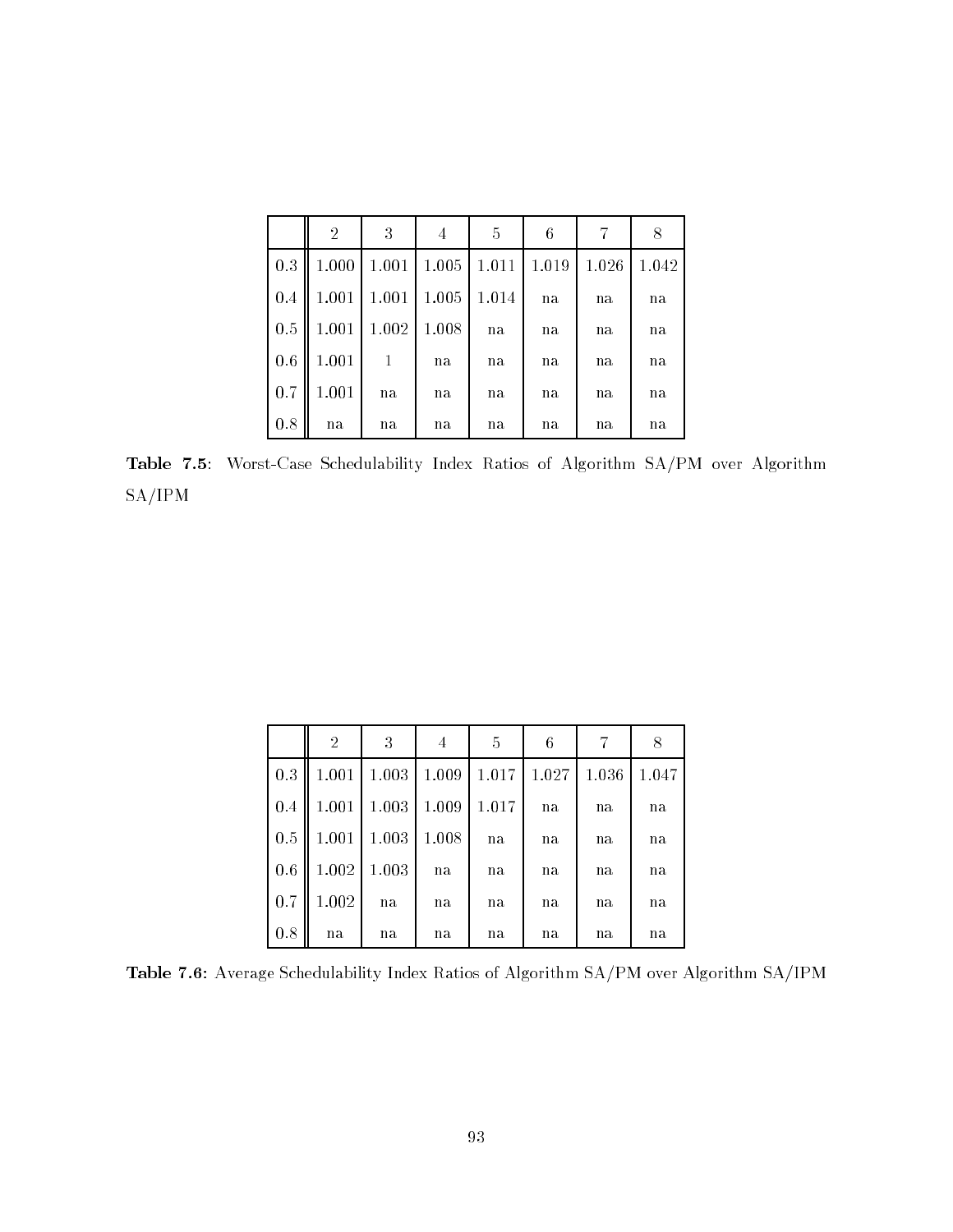|     | $\overline{2}$ | 3     | 4     | 5     | 6     | 7     | 8     |
|-----|----------------|-------|-------|-------|-------|-------|-------|
| 0.3 | 1.000          | 1.001 | 1.005 | 1.011 | 1.019 | 1.026 | 1.042 |
| 0.4 | 1.001          | 1.001 | 1.005 | 1.014 | na    | na    | na    |
| 0.5 | 1.001          | 1.002 | 1.008 | na    | na    | na    | na    |
| 0.6 | 1.001          | 1     | na    | na    | na    | na    | n a   |
| 0.7 | 1.001          | na    | na    | na    | na    | na    | na    |
| 0.8 | na             | na    | na    | na    | na    | na    | na    |

Table 7.5: Worst-Case Schedulability Index Ratios of Algorithm SA/PM over Algorithm SA/IPM

|     | $\overline{2}$ | 3     | 4     | 5     | 6     | 7     | 8     |
|-----|----------------|-------|-------|-------|-------|-------|-------|
| 0.3 | 1.001          | 1.003 | 1.009 | 1.017 | 1.027 | 1.036 | 1.047 |
| 0.4 | 1.001          | 1.003 | 1.009 | 1.017 | na    | na    | na    |
| 0.5 | 1.001          | 1.003 | 1.008 | na    | na    | na    | na    |
| 0.6 | 1.002          | 1.003 | na    | na    | na    | na    | n a   |
| 0.7 | 1.002          | na    | na    | na    | na    | na    | n a   |
| 0.8 | na             | na    | na    | na    | na    | na    | na    |

Table 7.6: Average Schedulability Index Ratios of Algorithm SA/PM over Algorithm SA/IPM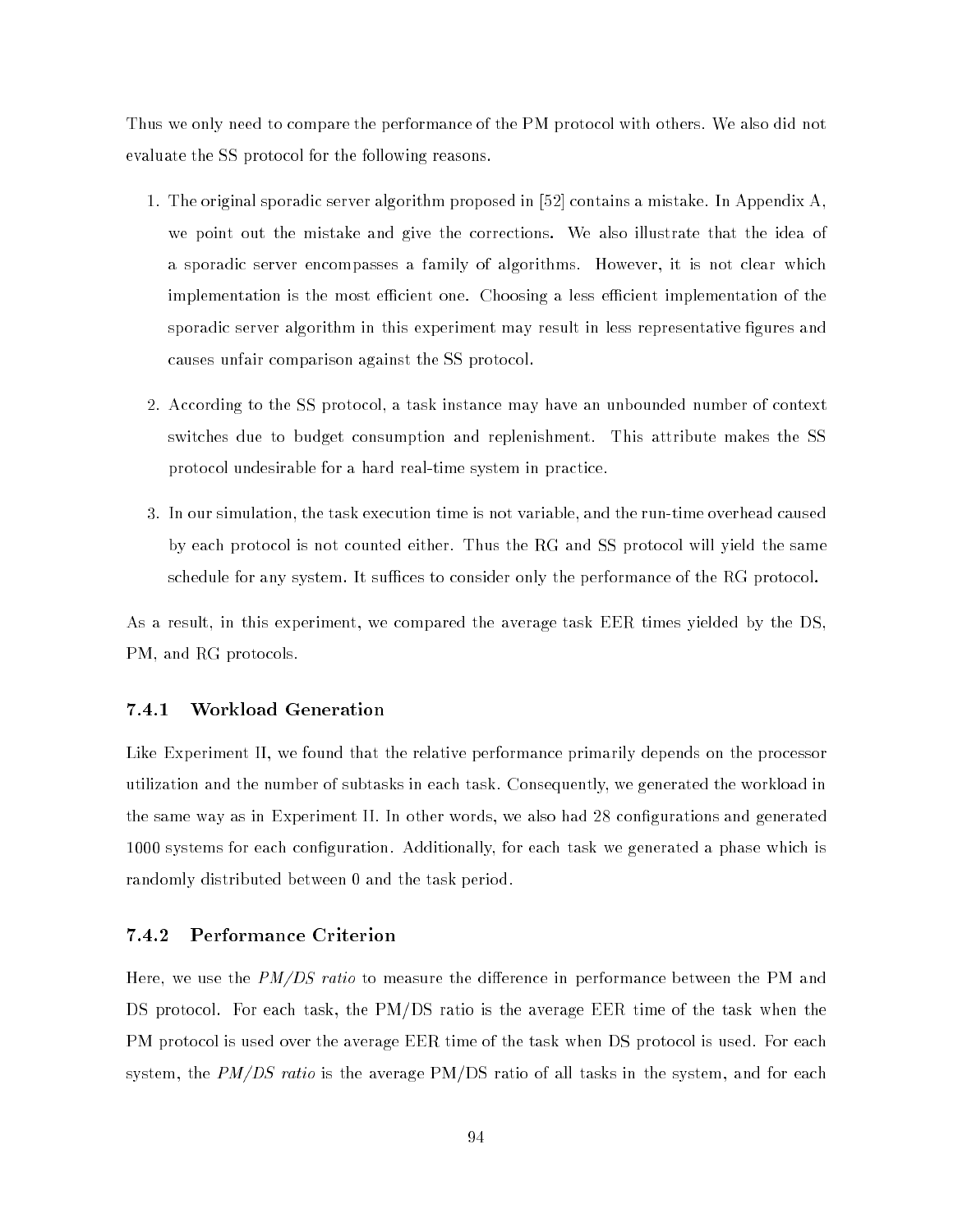Thus we only need to compare the performance of the PM protocol with others. We also did not evaluate the SS protocol for the following reasons.

- 1. The original sporadic server algorithm proposed in [52] contains a mistake. In Appendix A, we point out the mistake and give the corrections. We also illustrate that the idea of a sporadic server encompasses a family of algorithms. However, it is not clear which implementation is the most efficient one. Choosing a less efficient implementation of the sporadic server algorithm in this experiment may result in less representative figures and causes unfair comparison against the SS protocol.
- 2. According to the SS protocol, a task instance may have an unbounded number of context switches due to budget consumption and replenishment. This attribute makes the SS protocol undesirable for a hard real-time system in practice.
- 3. In our simulation, the task execution time is not variable, and the run-time overhead caused by each protocol is not counted either. Thus the RG and SS protocol will yield the same schedule for any system. It suffices to consider only the performance of the RG protocol.

As a result, in this experiment, we compared the average task EER times yielded by the DS, PM, and RG protocols.

#### 7.4.1 Workload Generation

Like Experiment II, we found that the relative performance primarily depends on the processor utilization and the number of subtasks in each task. Consequently, we generated the workload in the same way as in Experiment II. In other words, we also had 28 congurations and generated 1000 systems for each configuration. Additionally, for each task we generated a phase which is randomly distributed between 0 and the task period.

#### $7.4.2$ Performance Criterion

Here, we use the  $PM/DS$  ratio to measure the difference in performance between the PM and DS protocol. For each task, the PM/DS ratio is the average EER time of the task when the PM protocol is used over the average EER time of the task when DS protocol is used. For each system, the  $PM/DS$  ratio is the average PM/DS ratio of all tasks in the system, and for each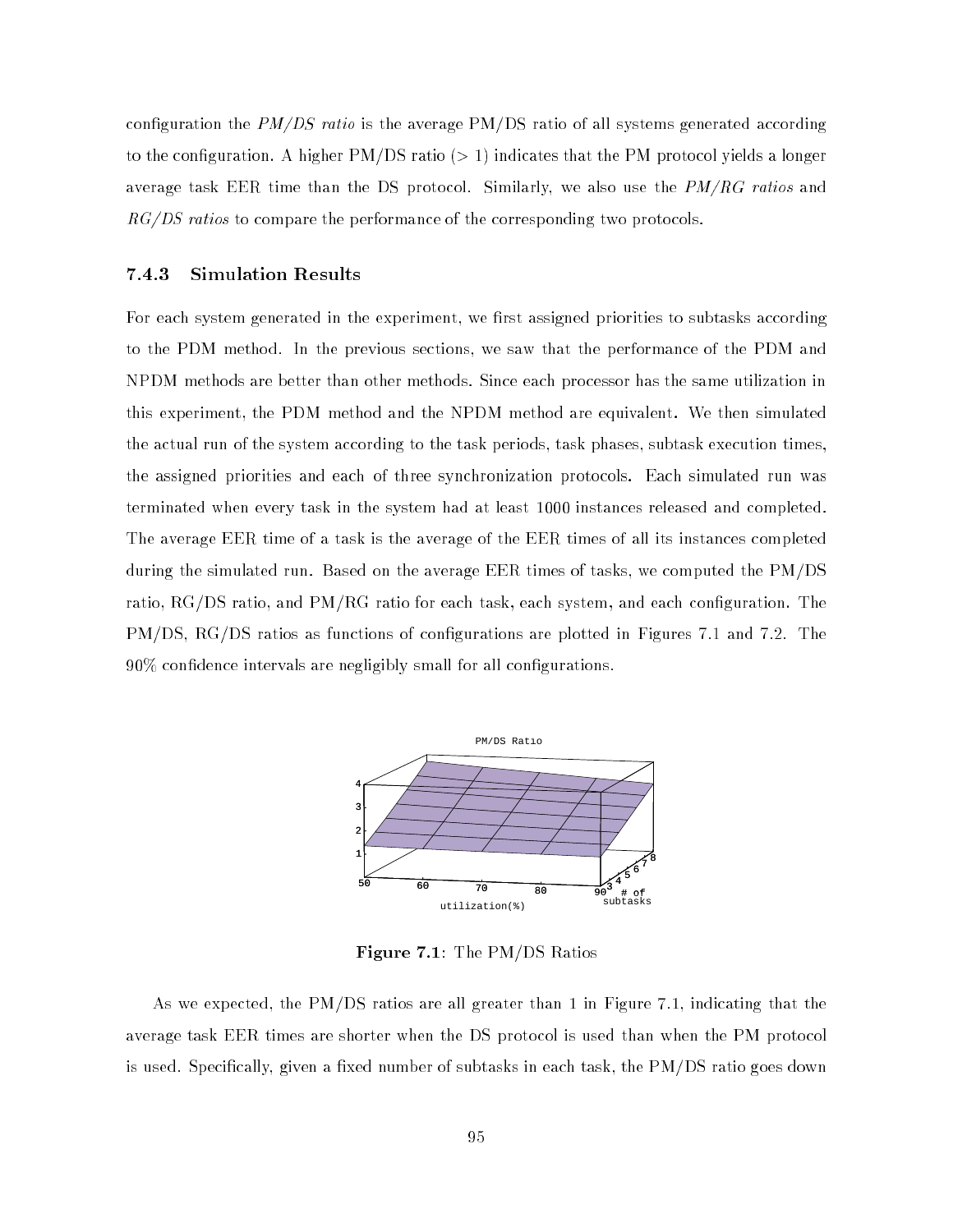configuration the  $PM/DS$  ratio is the average  $PM/DS$  ratio of all systems generated according to the configuration. A higher  $PM/DS$  ratio ( $> 1$ ) indicates that the PM protocol yields a longer average task EER time than the DS protocol. Similarly, we also use the  $PM/RG$  ratios and  $RG/DS$  ratios to compare the performance of the corresponding two protocols.

#### 7.4.3 Simulation Results

For each system generated in the experiment, we first assigned priorities to subtasks according to the PDM method. In the previous sections, we saw that the performance of the PDM and NPDM methods are better than other methods. Since each processor has the same utilization in this experiment, the PDM method and the NPDM method are equivalent. We then simulated the actual run of the system according to the task periods, task phases, subtask execution times, the assigned priorities and each of three synchronization protocols. Each simulated run was terminated when every task in the system had at least 1000 instances released and completed. The average EER time of a task is the average of the EER times of all its instances completed during the simulated run. Based on the average EER times of tasks, we computed the PM/DS ratio, RG/DS ratio, and PM/RG ratio for each task, each system, and each conguration. The PM/DS, RG/DS ratios as functions of configurations are plotted in Figures 7.1 and 7.2. The  $90\%$  confidence intervals are negligibly small for all configurations.



Figure 7.1: The PM/DS Ratios

As we expected, the PM/DS ratios are all greater than 1 in Figure 7.1, indicating that the average task EER times are shorter when the DS protocol is used than when the PM protocol is used. Specifically, given a fixed number of subtasks in each task, the PM/DS ratio goes down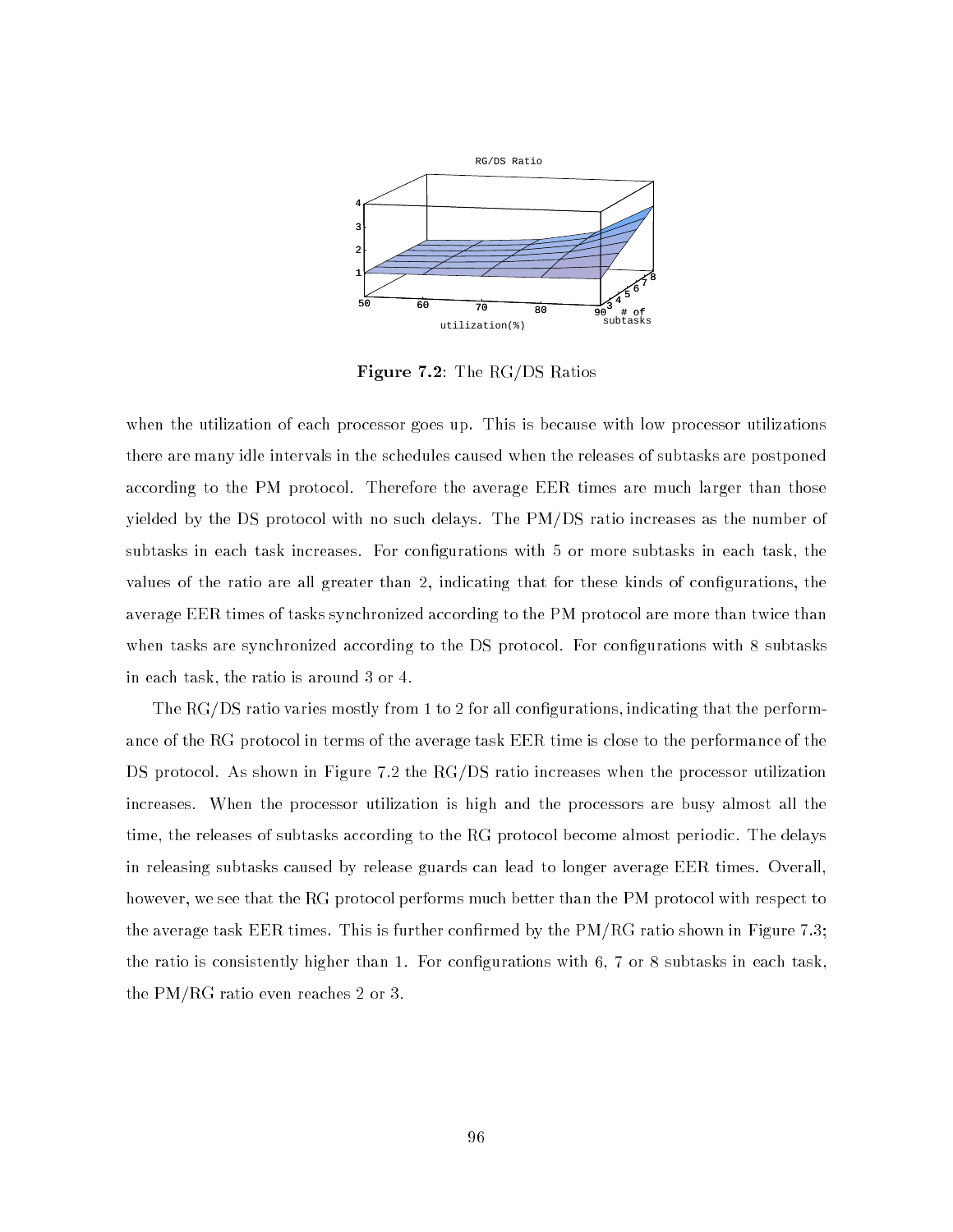

Figure 7.2: The RG/DS Ratios

when the utilization of each processor goes up. This is because with low processor utilizations there are many idle intervals in the schedules caused when the releases of subtasks are postponed according to the PM protocol. Therefore the average EER times are much larger than those yielded by the DS protocol with no such delays. The PM/DS ratio increases as the number of subtasks in each task increases. For configurations with 5 or more subtasks in each task, the values of the ratio are all greater than 2, indicating that for these kinds of configurations, the average EER times of tasks synchronized according to the PM protocol are more than twice than when tasks are synchronized according to the DS protocol. For configurations with 8 subtasks in each task, the ratio is around 3 or 4.

The RG/DS ratio varies mostly from 1 to 2 for all configurations, indicating that the performance of the RG protocol in terms of the average task EER time is close to the performance of the DS protocol. As shown in Figure 7.2 the RG/DS ratio increases when the processor utilization increases. When the processor utilization is high and the processors are busy almost all the time, the releases of subtasks according to the RG protocol become almost periodic. The delays in releasing subtasks caused by release guards can lead to longer average EER times. Overall, however, we see that the RG protocol performs much better than the PM protocol with respect to the average task EER times. This is further confirmed by the PM/RG ratio shown in Figure 7.3; the ratio is consistently higher than 1. For congurations with 6, 7 or 8 subtasks in each task, the PM/RG ratio even reaches 2 or 3.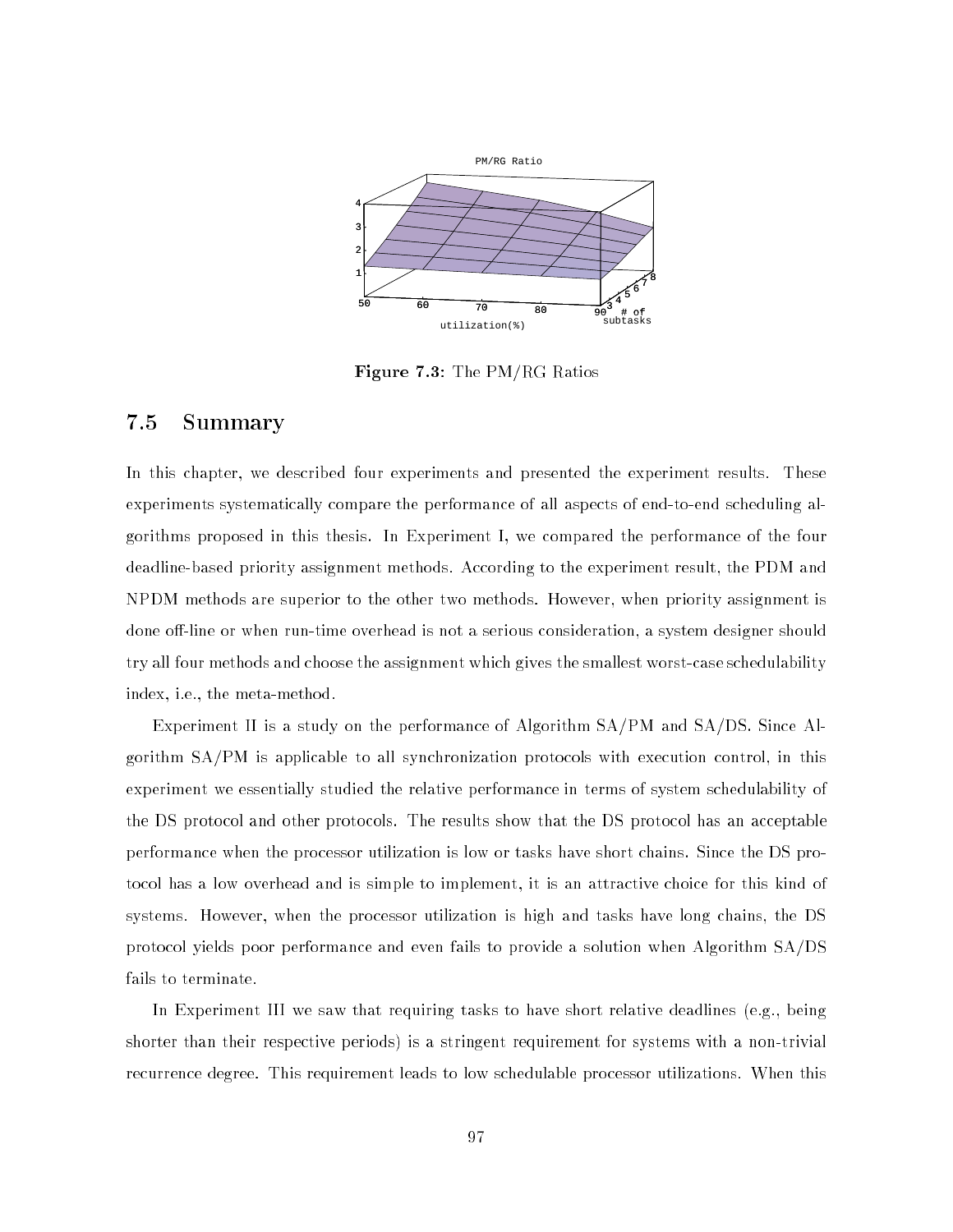

Figure 7.3: The PM/RG Ratios

#### 7.5 Summary

In this chapter, we described four experiments and presented the experiment results. These experiments systematically compare the performance of all aspects of end-to-end scheduling algorithms proposed in this thesis. In Experiment I, we compared the performance of the four deadline-based priority assignment methods. According to the experiment result, the PDM and NPDM methods are superior to the other two methods. However, when priority assignment is done off-line or when run-time overhead is not a serious consideration, a system designer should try all four methods and choose the assignment which gives the smallest worst-case schedulability index, i.e., the meta-method.

Experiment II is a study on the performance of Algorithm SA/PM and SA/DS. Since Algorithm SA/PM is applicable to all synchronization protocols with execution control, in this experiment we essentially studied the relative performance in terms of system schedulability of the DS protocol and other protocols. The results show that the DS protocol has an acceptable performance when the processor utilization is low or tasks have short chains. Since the DS protocol has a low overhead and is simple to implement, it is an attractive choice for this kind of systems. However, when the processor utilization is high and tasks have long chains, the DS protocol yields poor performance and even fails to provide a solution when Algorithm SA/DS fails to terminate.

In Experiment III we saw that requiring tasks to have short relative deadlines (e.g., being shorter than their respective periods) is a stringent requirement for systems with a non-trivial recurrence degree. This requirement leads to low schedulable processor utilizations. When this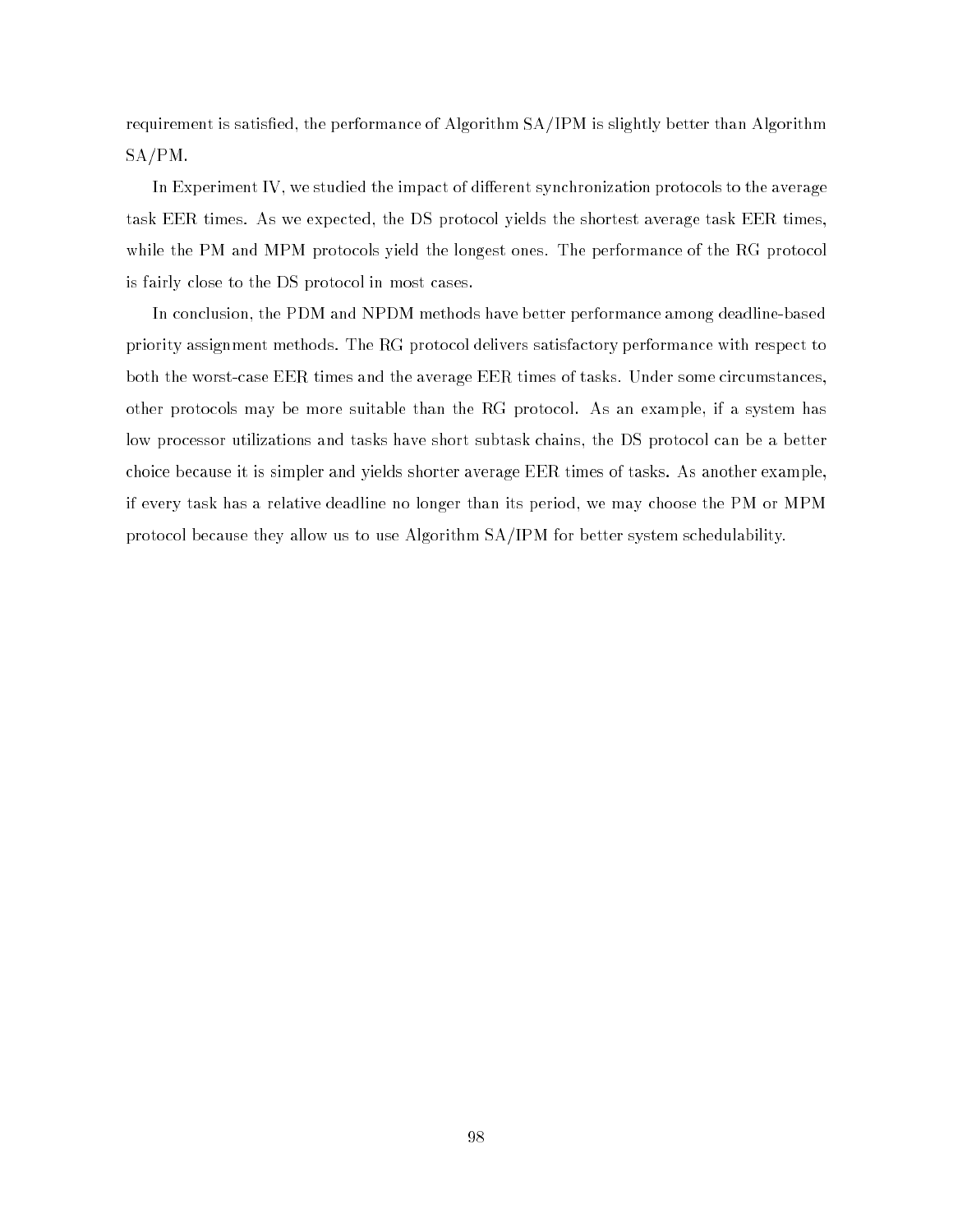requirement is satisfied, the performance of Algorithm  $SA/IPM$  is slightly better than Algorithm SA/PM.

In Experiment IV, we studied the impact of different synchronization protocols to the average task EER times. As we expected, the DS protocol yields the shortest average task EER times, while the PM and MPM protocols yield the longest ones. The performance of the RG protocol is fairly close to the DS protocol in most cases.

In conclusion, the PDM and NPDM methods have better performance among deadline-based priority assignment methods. The RG protocol delivers satisfactory performance with respect to both the worst-case EER times and the average EER times of tasks. Under some circumstances, other protocols may be more suitable than the RG protocol. As an example, if a system has low processor utilizations and tasks have short subtask chains, the DS protocol can be a better choice because it is simpler and yields shorter average EER times of tasks. As another example, if every task has a relative deadline no longer than its period, we may choose the PM or MPM protocol because they allow us to use Algorithm SA/IPM for better system schedulability.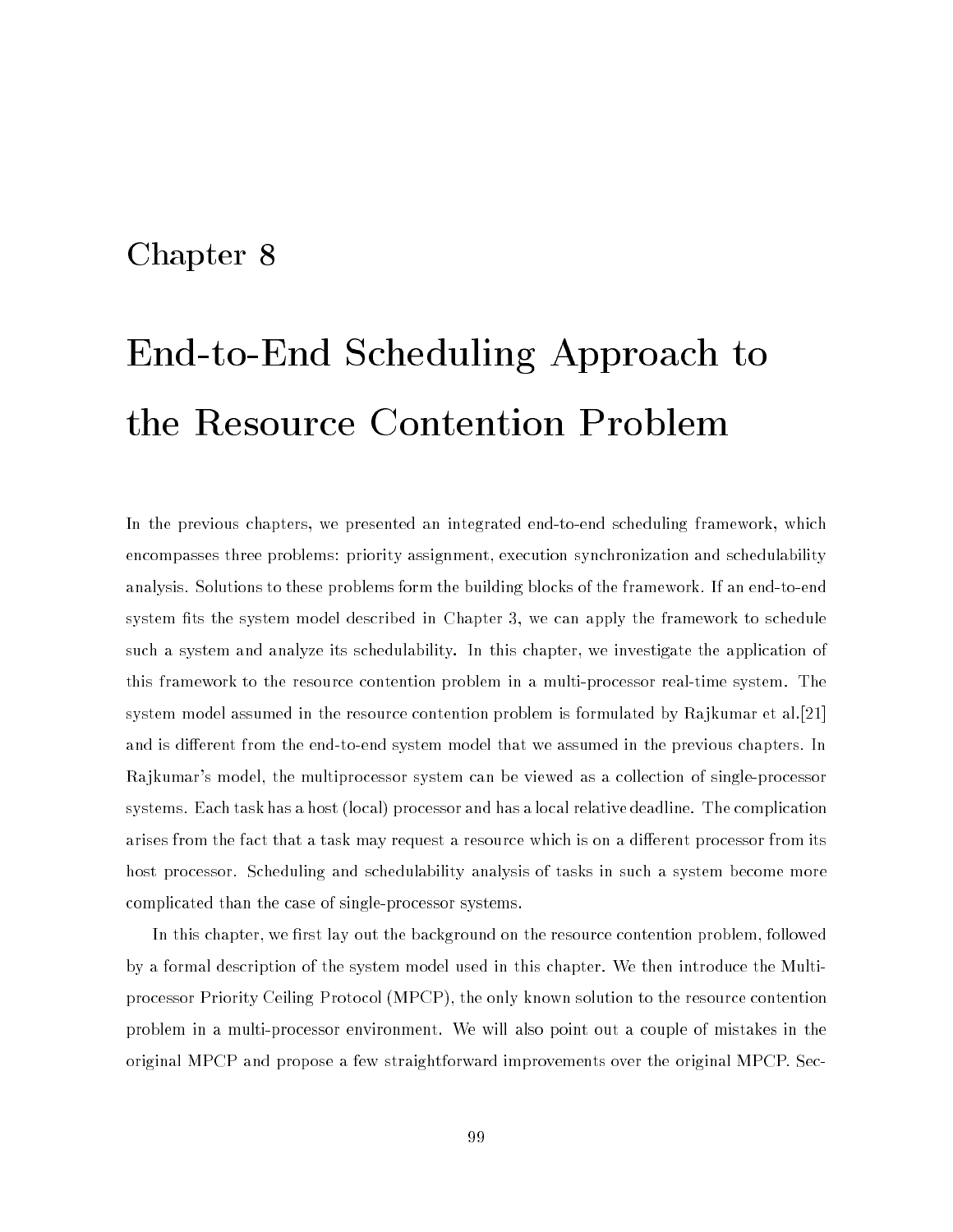# Chapter 8

# End-to-End Scheduling Approach to the Resource Contention Problem

In the previous chapters, we presented an integrated end-to-end scheduling framework, which encompasses three problems: priority assignment, execution synchronization and schedulability analysis. Solutions to these problems form the building blocks of the framework. If an end-to-end system fits the system model described in Chapter 3, we can apply the framework to schedule such a system and analyze its schedulability. In this chapter, we investigate the application of this framework to the resource contention problem in a multi-processor real-time system. The system model assumed in the resource contention problem is formulated by Rajkumar et al.[21] and is different from the end-to-end system model that we assumed in the previous chapters. In Rajkumar's model, the multiprocessor system can be viewed as a collection of single-processor systems. Each task has a host (local) processor and has a local relative deadline. The complication arises from the fact that a task may request a resource which is on a different processor from its host processor. Scheduling and schedulability analysis of tasks in such a system become more complicated than the case of single-processor systems.

In this chapter, we first lay out the background on the resource contention problem, followed by a formal description of the system model used in this chapter. We then introduce the Multiprocessor Priority Ceiling Protocol (MPCP), the only known solution to the resource contention problem in a multi-processor environment. We will also point out a couple of mistakes in the original MPCP and propose a few straightforward improvements over the original MPCP. Sec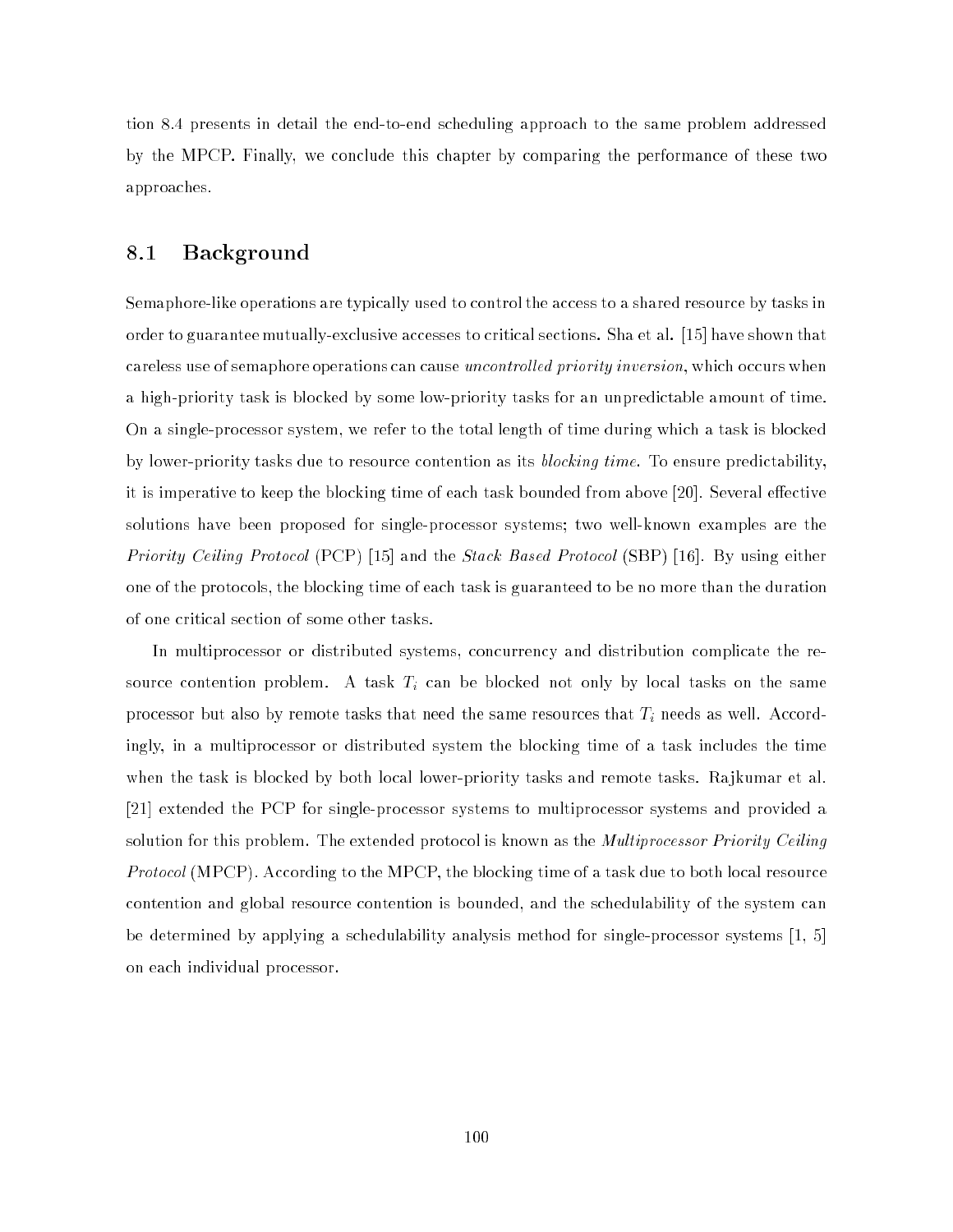tion 8.4 presents in detail the end-to-end scheduling approach to the same problem addressed by the MPCP. Finally, we conclude this chapter by comparing the performance of these two approaches.

#### 8.1 Background

Semaphore-like operations are typically used to control the access to a shared resource by tasks in order to guarantee mutually-exclusive accesses to critical sections. Sha et al. [15] have shown that careless use of semaphore operations can cause *uncontrolled priority inversion*, which occurs when a high-priority task is blocked by some low-priority tasks for an unpredictable amount of time. On a single-processor system, we refer to the total length of time during which a task is blocked by lower-priority tasks due to resource contention as its *blocking time*. To ensure predictability, it is imperative to keep the blocking time of each task bounded from above [20]. Several effective solutions have been proposed for single-processor systems; two well-known examples are the Priority Ceiling Protocol (PCP) [15] and the Stack Based Protocol (SBP) [16]. By using either one of the protocols, the blocking time of each task is guaranteed to be no more than the duration of one critical section of some other tasks.

In multiprocessor or distributed systems, concurrency and distribution complicate the resource contention problem. A task Ti can be blocked not only by local tasks on the same processor but also by remote tasks that need the same resources that Ti needs as well. Accordingly, in a multiprocessor or distributed system the blocking time of a task includes the time when the task is blocked by both local lower-priority tasks and remote tasks. Rajkumar et al. [21] extended the PCP for single-processor systems to multiprocessor systems and provided a solution for this problem. The extended protocol is known as the *Multiprocessor Priority Ceiling* Protocol (MPCP). According to the MPCP, the blocking time of a task due to both local resource contention and global resource contention is bounded, and the schedulability of the system can be determined by applying a schedulability analysis method for single-processor systems [1, 5] on each individual processor.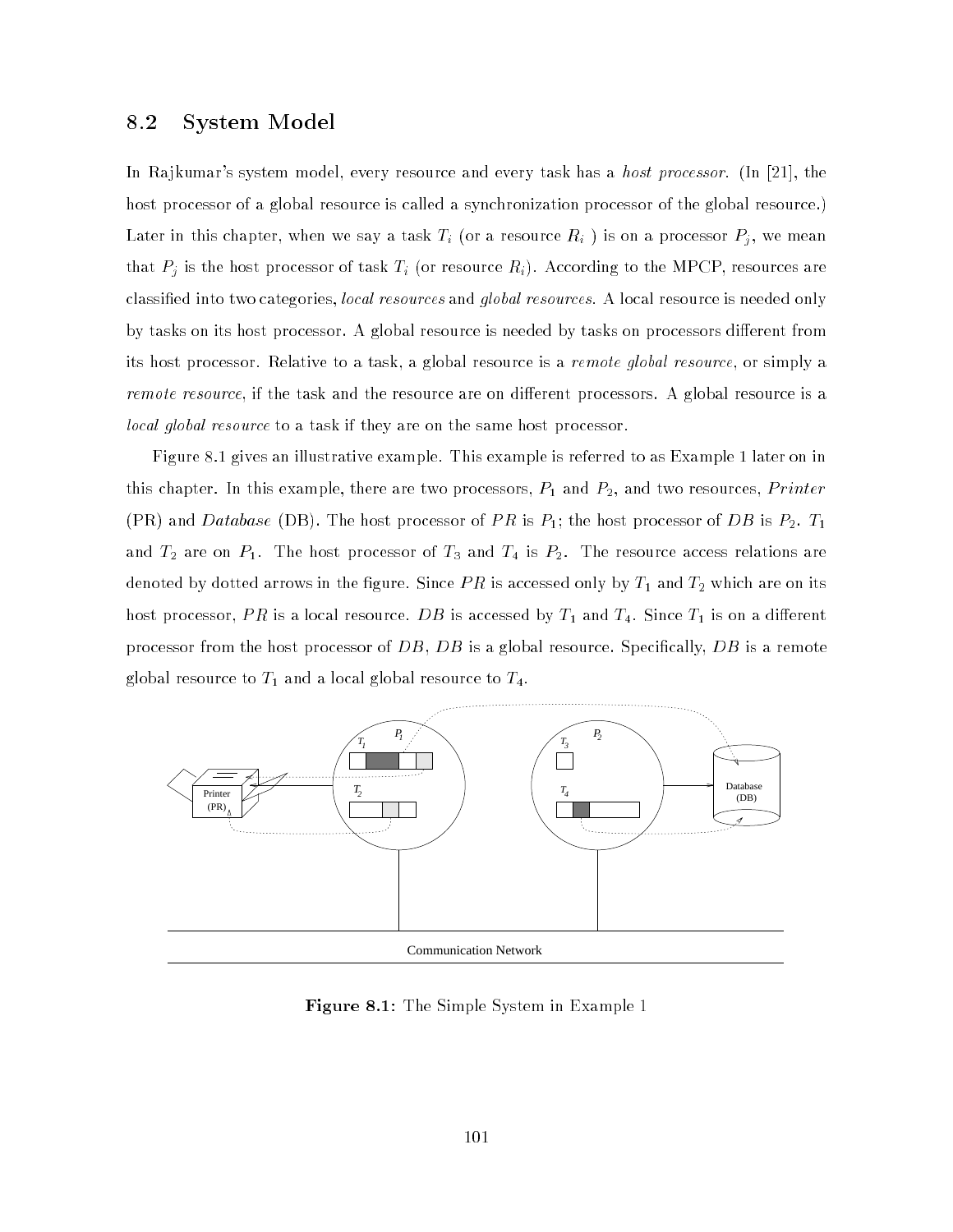#### 8.2 System Model

In Rajkumar's system model, every resource and every task has a *host processor*. (In [21], the host processor of a global resource is called a synchronization processor of the global resource.) Later in this chapter, when we say a task Ti (or a resource Ri ) is on a processor Pj , we mean that Pj is the host processor of task Ti (or resource Ri). According to the MPCP, resources are classied into two categories, local resources and global resources. A local resource is needed only by tasks on its host processor. A global resource is needed by tasks on processors different from its host processor. Relative to a task, a global resource is a remote global resource, or simply a remote resource, if the task and the resource are on different processors. A global resource is a local global resource to a task if they are on the same host processor.

Figure 8.1 gives an illustrative example. This example is referred to as Example 1 later on in this chapter. In this example, there are two processors,  $P_1$  and  $P_2$ , and two resources, *Printer* (PR) and Database (DB). The host processor of  $PR$  is  $P_1;$  the host processor of DB is  $P_2.$   $T_1$ and  $T_2$  are on  $P_1$ . The host processor of  $T_3$  and  $T_4$  is  $P_2$ . The resource access relations are denoted by dotted arrows in the figure. Since  $PR$  is accessed only by  $T_1$  and  $T_2$  which are on its host processor,  $PR$  is a local resource.  $DB$  is accessed by  $T_1$  and  $T_4.$  Since  $T_1$  is on a different processor from the host processor of  $DB, \, DB$  is a global resource. Specifically,  $DB$  is a remote global resource to  $T_1$  and a local global resource to  $T_4$ .



Figure 8.1: The Simple System in Example 1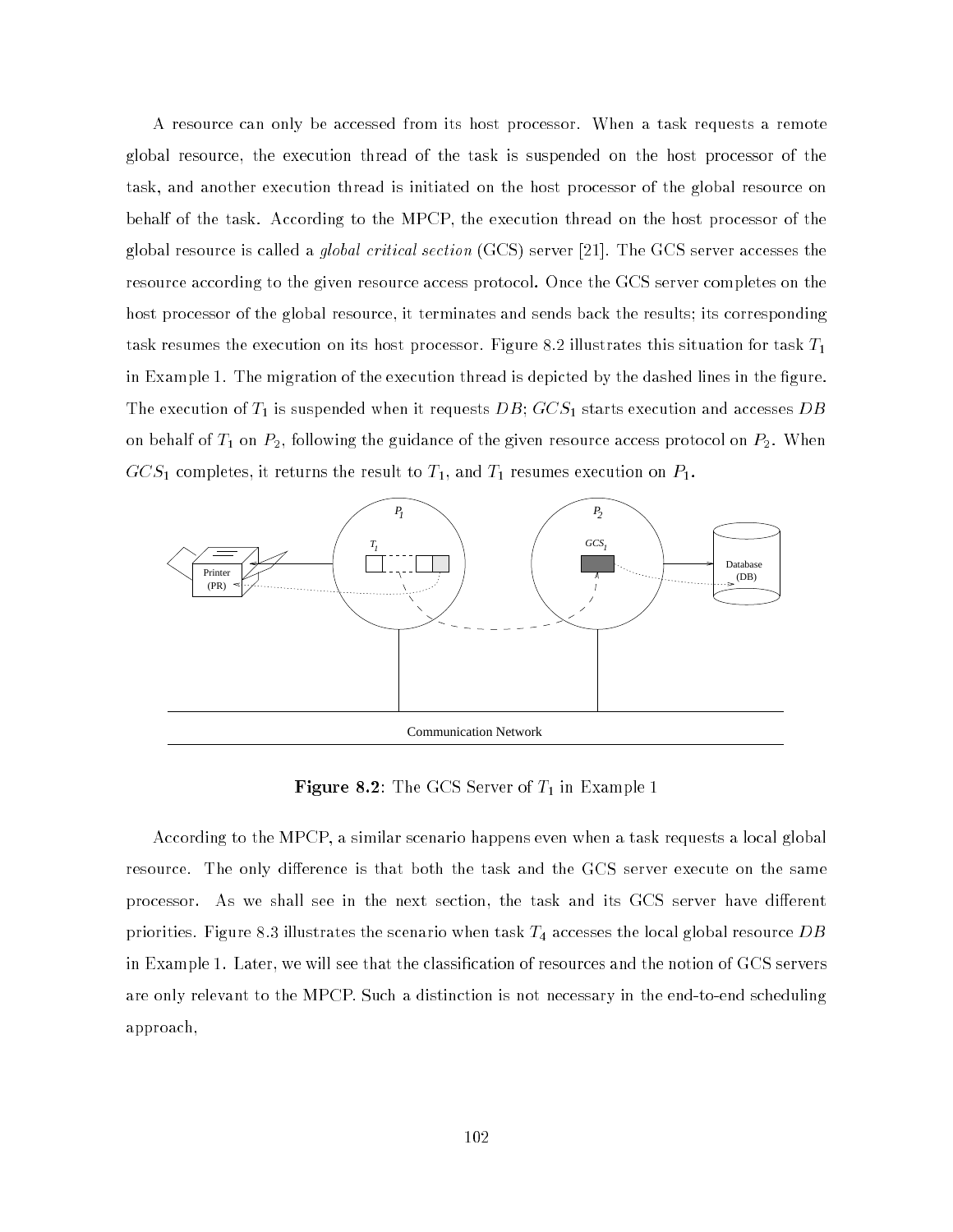A resource can only be accessed from its host processor. When a task requests a remote global resource, the execution thread of the task is suspended on the host processor of the task, and another execution thread is initiated on the host processor of the global resource on behalf of the task. According to the MPCP, the execution thread on the host processor of the global resource is called a *global critical section*  $(GCS)$  server [21]. The GCS server accesses the resource according to the given resource access protocol. Once the GCS server completes on the host processor of the global resource, it terminates and sends back the results; its corresponding task resumes the execution on its host processor. Figure 8.2 illustrates this situation for task  $T_1$ in Example 1. The migration of the execution thread is depicted by the dashed lines in the figure. The execution of  $T_1$  is suspended when it requests  $DB;\,GCS_1$  starts execution and accesses  $DB$ on behalf of  $T_1$  on  $P_2$ , following the guidance of the given resource access protocol on  $P_2$ . When  $GCS<sub>1</sub>$  completes, it returns the result to  $T<sub>1</sub>$ , and  $T<sub>1</sub>$  resumes execution on  $P<sub>1</sub>$ .



**Figure 8.2:** The GCS Server of  $T_1$  in Example 1

According to the MPCP, a similar scenario happens even when a task requests a local global resource. The only difference is that both the task and the GCS server execute on the same processor. As we shall see in the next section, the task and its GCS server have different priorities. Figure 8.3 illustrates the scenario when task  $T_4$  accesses the local global resource  $DB$ in Example 1. Later, we will see that the classification of resources and the notion of GCS servers are only relevant to the MPCP. Such a distinction is not necessary in the end-to-end scheduling approach,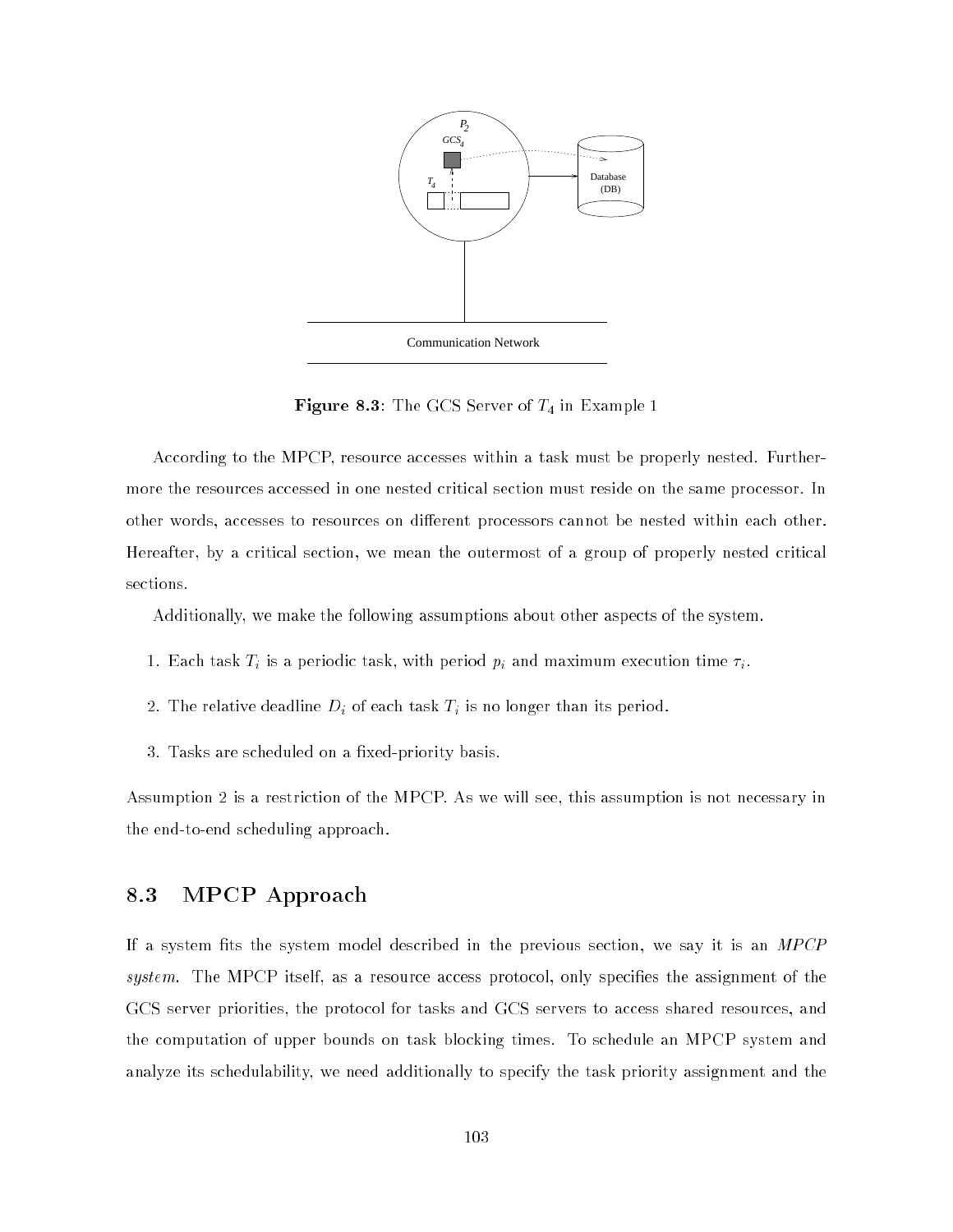

**Figure 8.3:** The GCS Server of  $T_4$  in Example 1

According to the MPCP, resource accesses within a task must be properly nested. Furthermore the resources accessed in one nested critical section must reside on the same processor. In other words, accesses to resources on different processors cannot be nested within each other. Hereafter, by a critical section, we mean the outermost of a group of properly nested critical sections.

Additionally, we make the following assumptions about other aspects of the system.

- 1. Each task Ti is a periodic task, with period pi and maximum execution time i.
- 2. The relative deadline Di of each task Ti is no longer than its period.
- 3. Tasks are scheduled on a fixed-priority basis.

Assumption 2 is a restriction of the MPCP. As we will see, this assumption is not necessary in the end-to-end scheduling approach.

# 8.3 MPCP Approach

If a system fits the system model described in the previous section, we say it is an  $MPCP$ system. The MPCP itself, as a resource access protocol, only specifies the assignment of the GCS server priorities, the protocol for tasks and GCS servers to access shared resources, and the computation of upper bounds on task blocking times. To schedule an MPCP system and analyze its schedulability, we need additionally to specify the task priority assignment and the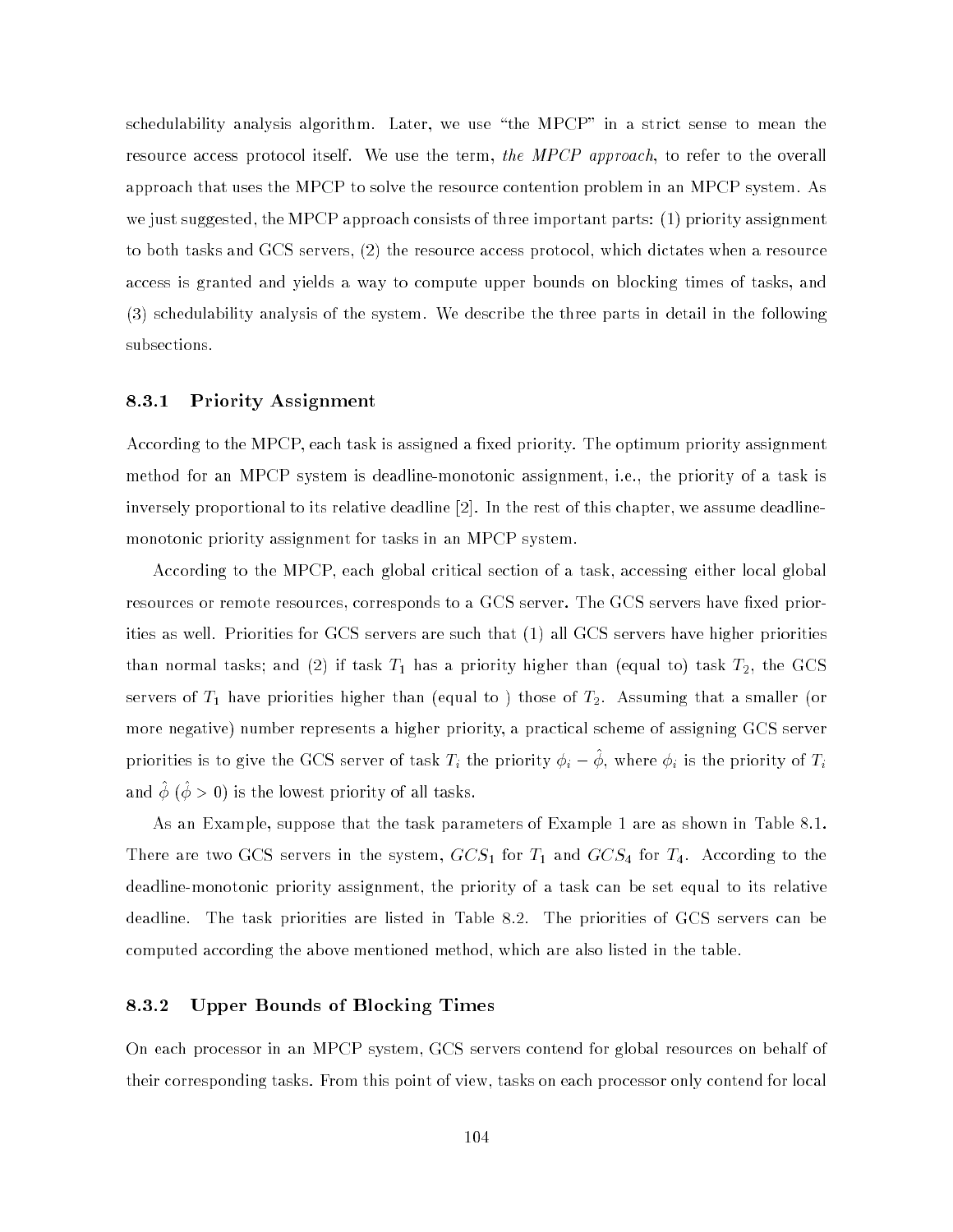schedulability analysis algorithm. Later, we use \the MPCP" in a strict sense to mean the resource access protocol itself. We use the term, the MPCP approach, to refer to the overall approach that uses the MPCP to solve the resource contention problem in an MPCP system. As we just suggested, the MPCP approach consists of three important parts: (1) priority assignment to both tasks and GCS servers, (2) the resource access protocol, which dictates when a resource access is granted and yields a way to compute upper bounds on blocking times of tasks, and (3) schedulability analysis of the system. We describe the three parts in detail in the following subsections.

#### 8.3.1 Priority Assignment

According to the MPCP, each task is assigned a fixed priority. The optimum priority assignment method for an MPCP system is deadline-monotonic assignment, i.e., the priority of a task is inversely proportional to its relative deadline [2]. In the rest of this chapter, we assume deadlinemonotonic priority assignment for tasks in an MPCP system.

According to the MPCP, each global critical section of a task, accessing either local global resources or remote resources, corresponds to a GCS server. The GCS servers have fixed priorities as well. Priorities for GCS servers are such that (1) all GCS servers have higher priorities than normal tasks; and (2) if task  $T_1$  has a priority higher than (equal to) task  $T_2$ , the GCS servers of  $T_1$  have priorities higher than (equal to) those of  $T_2$ . Assuming that a smaller (or more negative) number represents a higher priority, a practical scheme of assigning GCS server priorities is to give the GCS server of task  $T_i$  the priority  $\varphi_i = \varphi$ , where  $\varphi_i$  is the priority of  $T_i$ and  $\varphi$  ( $\varphi > 0$ ) is the lowest priority of all tasks.

As an Example, suppose that the task parameters of Example 1 are as shown in Table 8.1. There are two GCS servers in the system,  $GCS_1$  for  $T_1$  and  $GCS_4$  for  $T_4$ . According to the deadline-monotonic priority assignment, the priority of a task can be set equal to its relative deadline. The task priorities are listed in Table 8.2. The priorities of GCS servers can be computed according the above mentioned method, which are also listed in the table.

#### 8.3.2 Upper Bounds of Blocking Times

On each processor in an MPCP system, GCS servers contend for global resources on behalf of their corresponding tasks. From this point of view, tasks on each processor only contend for local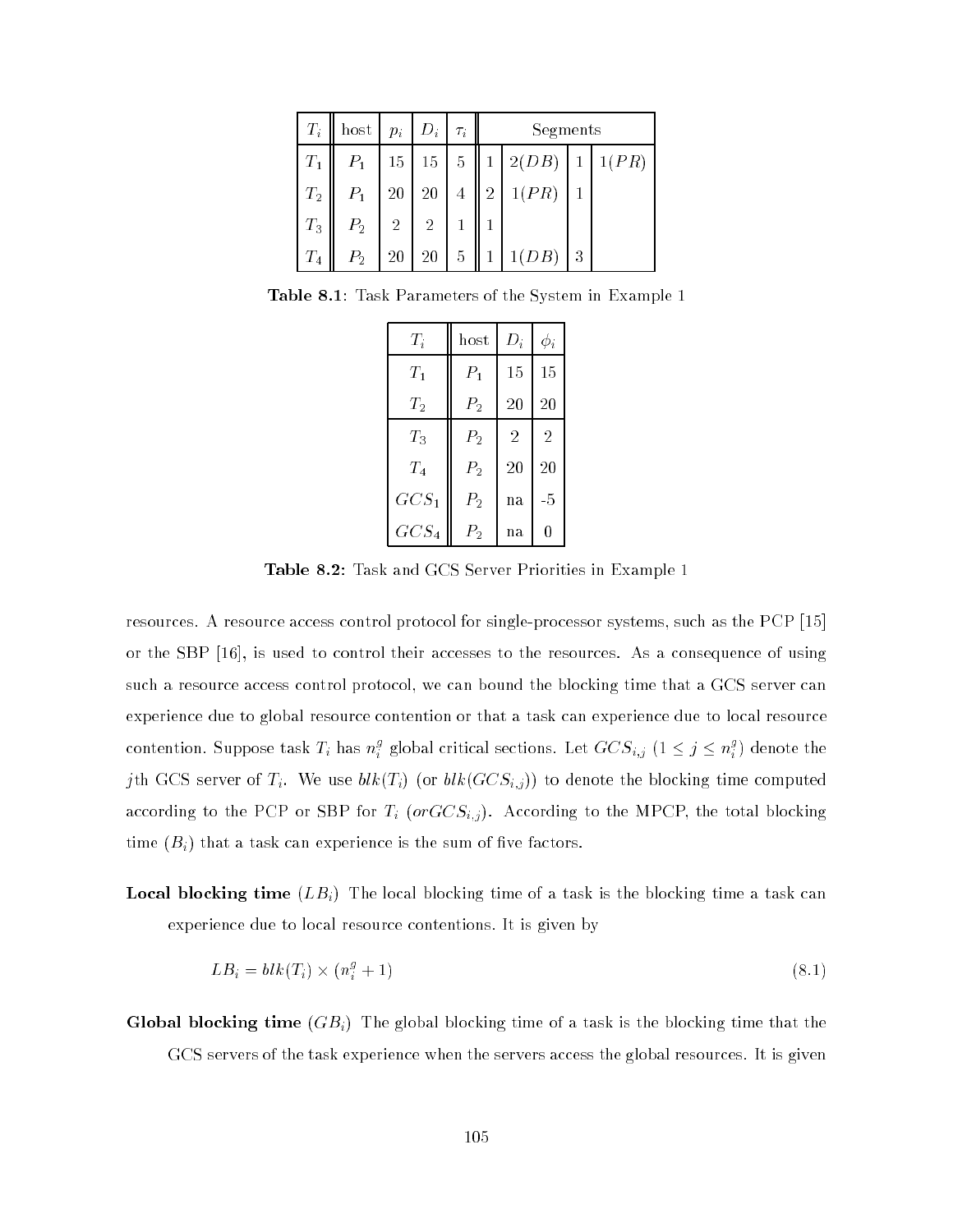| $T_i$   | host           | $p_i$          | $ D_i $        | $\tau_i$       | Segments   |       |   |       |  |  |
|---------|----------------|----------------|----------------|----------------|------------|-------|---|-------|--|--|
| $T_1$   | $P_1$          | 15             | $15\,$         | $\bf 5$        | 2(DB)<br>1 |       |   | 1(PR) |  |  |
| $T_2$   | $P_1$          | 20             | $20\,$         | $\overline{4}$ | 2          | 1(PR) |   |       |  |  |
| $T_3$   | P <sub>2</sub> | $\overline{2}$ | $\overline{2}$ |                |            |       |   |       |  |  |
| $T_{4}$ | P <sub>2</sub> | 20             | 20             | 5              |            | 1(DB) | 3 |       |  |  |

Table 8.1: Task Parameters of the System in Example 1

| $\scriptstyle T_i$ | host           | $D_i$          | $\phi_i$       |
|--------------------|----------------|----------------|----------------|
| $T_{1}$            | $P_1$          | 15             | 15             |
| $\scriptstyle T_2$ | P <sub>2</sub> | 20             | 20             |
| $T_{3}$            | $P_{2}$        | $\overline{2}$ | $\overline{2}$ |
| $\scriptstyle T_4$ | $P_{2}$        | 20             | 20             |
| $GCS_1$            | $P_{2}$        | na             | $-5$           |
| $GCS_4$            | $P_{2}$        | na             | 0              |

Table 8.2: Task and GCS Server Priorities in Example 1

resources. A resource access control protocol for single-processor systems, such as the PCP [15] or the SBP [16], is used to control their accesses to the resources. As a consequence of using such a resource access control protocol, we can bound the blocking time that a GCS server can experience due to global resource contention or that a task can experience due to local resource contention. Suppose task  $T_i$  has  $n_i^s$  $i$  global critical sections. Let  $GCS_{i,j}$   $(1 \leq j \leq n_i^2)$  $i$  ) denote the  $i$ jth GCS server of  $T_i$ . We use  $blk(T_i)$  (or  $blk(GCS_{i,j}))$  to denote the blocking time computed according to the PCP or SBP for Ti (orGCSi;j). According to the MPCP, the total blocking time  $(B_i)$  that a task can experience is the sum of five factors.

**Local blocking time**  $(LB_i)$  The local blocking time of a task is the blocking time a task can experience due to local resource contentions. It is given by

$$
LB_i = blk(T_i) \times (n_i^g + 1) \tag{8.1}
$$

**Global blocking time**  $(GB_i)$  The global blocking time of a task is the blocking time that the GCS servers of the task experience when the servers access the global resources. It is given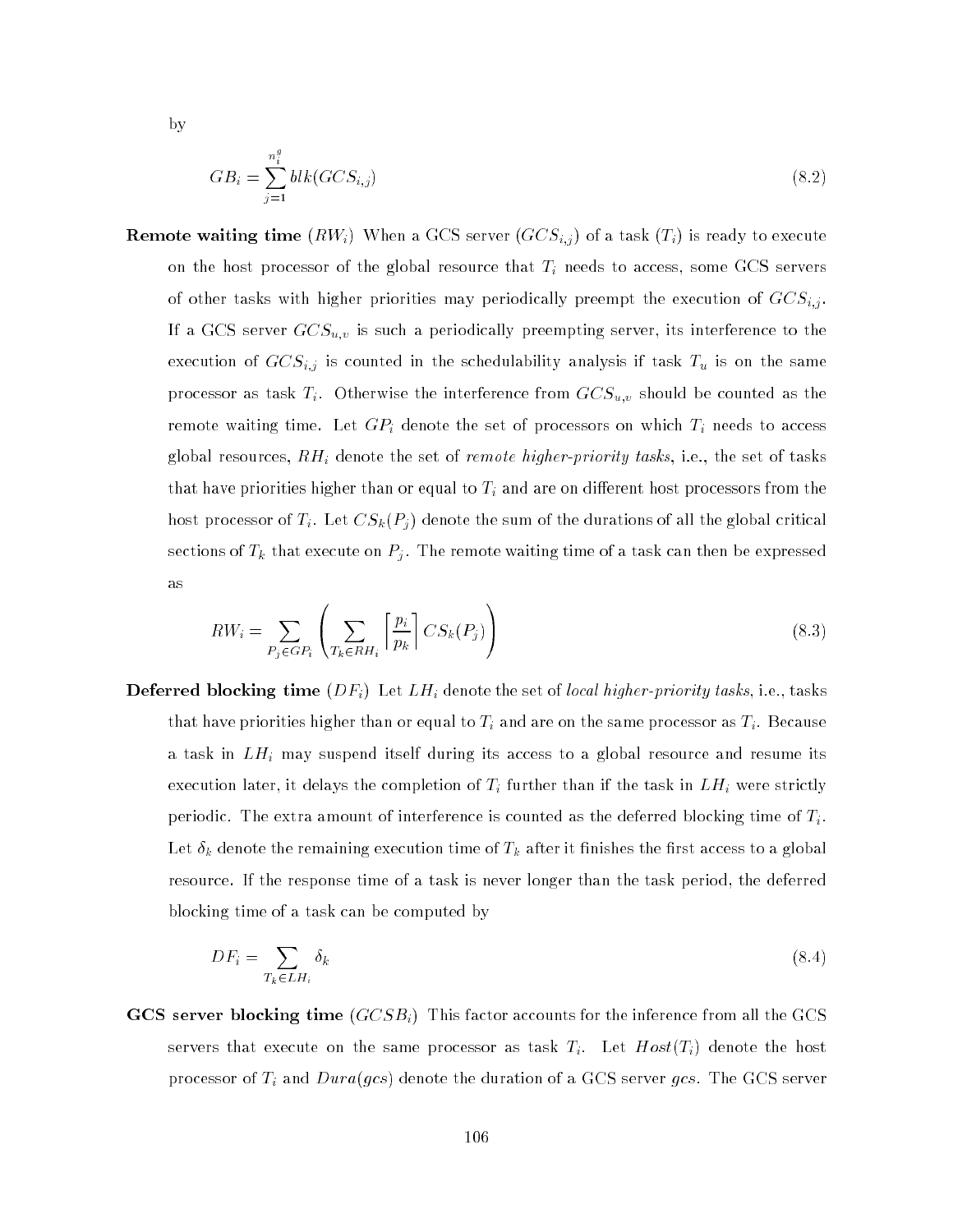by

$$
GB_i = \sum_{j=1}^{n_i^*} blk(GCS_{i,j})
$$
\n(8.2)

**Remote waiting time**  $(RW_i)$  When a GCS server  $(GCS_{i,j})$  of a task  $(T_i)$  is ready to execute on the host processor of the global resource that Ti needs to access, some GCS servers of other tasks with higher priorities may periodically priorities may periodically precisely precisely  $\mathcal{L}^{\text{c}}$ If a GCS server GCSu;v is such <sup>a</sup> periodically preempting server, its interference to the execution of GCSi;j is counted in the schedulability analysis if task Tu is on the same processor as the interference from  $\alpha$  the interference from GCSu;  $\alpha$  is  $\alpha$  in the counted as the counted as remote watter watter was time time. Let  $\Gamma$  accessors on which Ti needs to accessors on which Ti needs to access gives the set of remote the set of remote the set of remote tasks, i.e., i.e., the set of tasks, i.e., the set of tasks, i.e., the set of tasks, i.e., the set of tasks, i.e., the set of tasks, i.e., the set of tasks, i.e. that have priorities higher than or equal to Ti and are on dierent host processors from the  $\mu$ host processor of Ti. Let  $\infty$   $\mathbb{R}^{D}$  ) denote the sum of the durations of all the global critical sections of Tk that executes on Pj . The remote waiting time of a then the most wave of  $\mathbb{R}^n$ as

$$
RW_i = \sum_{P_j \in GP_i} \left( \sum_{T_k \in RH_i} \left[ \frac{p_i}{p_k} \right] CS_k(P_j) \right) \tag{8.3}
$$

 $D = \{D \mid \mathcal{U} = \mathcal{U} \mid \mathcal{U} = \mathcal{U} \}$ that have priorities higher than or equal to Ti and are on the same processor as Ti. Because  $\mu$ a task in LH in LH is access to a global resume its access to a global resume its access to a global resume i execution later, it delays the completion of Ti further than if the task in LH  $\sim$   $\sim$   $\sim$   $\sim$   $\sim$   $\sim$   $\sim$ periodic. The extra amount of interference is counted as the deferred blocking time of  $T_i$ .  $\Omega$  denote the remaining execution time of Tk after its after it after it after it after it after it after it after it after it after it after it after it after it after it after it after it after it after it after it af resource. If the response time of a task is never longer than the task period, the deferred blocking time of a task can be computed by

$$
DF_i = \sum_{T_k \in LH_i} \delta_k \tag{8.4}
$$

GCS server blocking time  $(GCSB_i)$  This factor accounts for the inference from all the GCS servers that execute on the same processor as task  $T_i$ . Let  $Host(T_i)$  denote the host processor of Ti and Dura(gcs) denote the duration of a GCS server gcs. The GCS server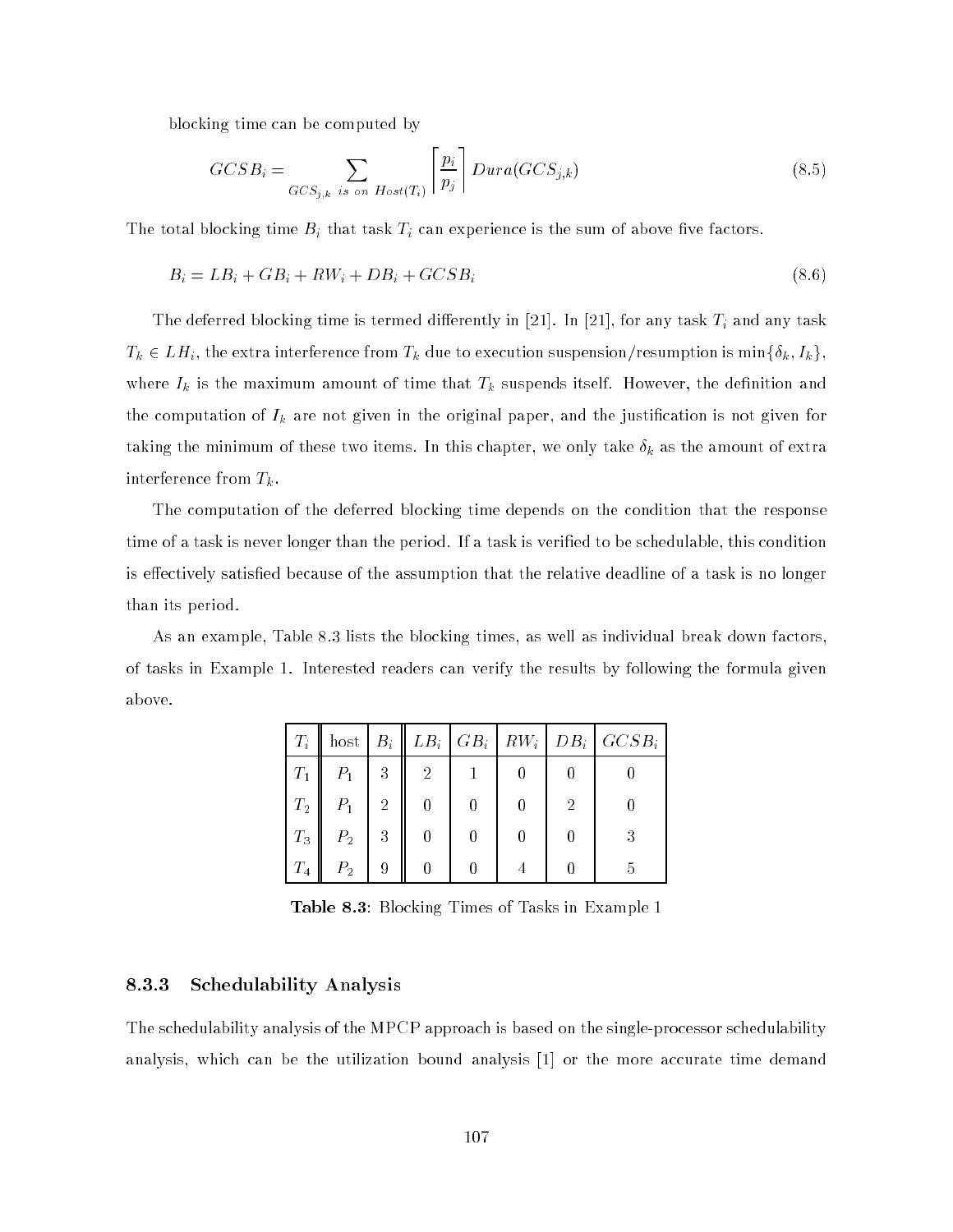blocking time can be computed by

$$
GCSB_i = \sum_{GCS_{j,k} \text{ is on } Host(T_i)} \left[ \frac{p_i}{p_j} \right] Dura(GCS_{j,k}) \tag{8.5}
$$

The total blocking time Bi that task Ti can experience is the sum of above ve factors.

$$
B_i = LB_i + GB_i + RW_i + DB_i + GCSB_i \tag{8.6}
$$

The deferred blocking time is termed dierently in  $[21.2, 21.2]$  for any task Ti any task Ti any task Ti any task Ti any task Ti any task Ti any task Ti any task Ti any task Ti any task Ti any task Ti any task Ti any task  $T_{\kappa}$  2 LH interference from the extra interference from the execution suspension  $\kappa$  is minimized ; Interference in  $\kappa$  ; Interference is minimized in  $\kappa$  ; Interference in  $\kappa$  , Interference in  $\kappa$  , Interf where  $\mathbf{n}$  is the maximum amount of time that Tk suspends itself. However, the definition and definition and definition and definition and definition and definition and definition and definition and definition and defi the computation of Ik are not given in the original paper, and the justication is not given for the minimum of the minimum of these two items. In this case two items. In this case the amount of extra  $n$ interference from  $\mathbb{F}_n$  .

The computation of the deferred blocking time depends on the condition that the response time of a task is never longer than the period. If a task is veried to be schedulable, this condition is effectively satisfied because of the assumption that the relative deadline of a task is no longer than its period.

As an example, Table 8.3 lists the blocking times, as well as individual break down factors, of tasks in Example 1. Interested readers can verify the results by following the formula given above.

| $T_i$   |                |                |   |  |   | host $B_i \parallel LB_i \parallel GB_i \parallel GW_i \parallel DB_i \parallel GCSB_i$ |
|---------|----------------|----------------|---|--|---|-----------------------------------------------------------------------------------------|
| $T_1$   | $P_1$          | 3              | 2 |  |   |                                                                                         |
| $T_2$   | $P_1$          | $\overline{2}$ |   |  | 2 |                                                                                         |
| $T_3$   | P <sub>2</sub> | 3              |   |  |   | 3                                                                                       |
| $T_{4}$ | $P_{2}$        | 9              |   |  |   | ה                                                                                       |

Table 8.3: Blocking Times of Tasks in Example 1

#### 8.3.3 Schedulability Analysis

The schedulability analysis of the MPCP approach is based on the single-processor schedulability analysis, which can be the utilization bound analysis [1] or the more accurate time demand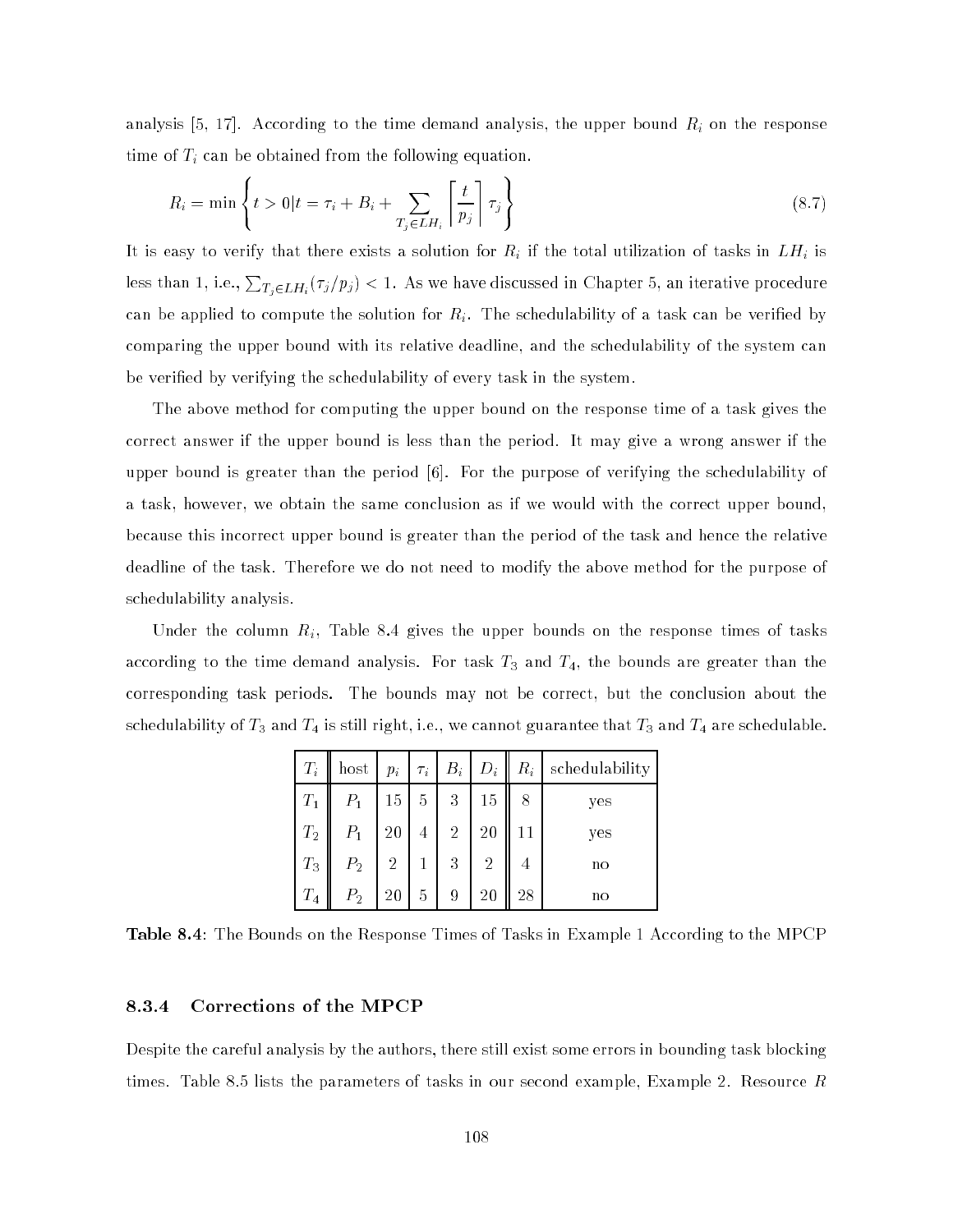analysis [5, 17]. According to the time demand analysis, the upper bound Ri on the response time of  $\mathbf{r}$  can be obtained from the following equation. The following equation  $\mathbf{r}$ 

$$
R_i = \min \left\{ t > 0 | t = \tau_i + B_i + \sum_{T_j \in LH_i} \left\lceil \frac{t}{p_j} \right\rceil \tau_j \right\}
$$
\n
$$
(8.7)
$$

It is easy to verify that there exists a solution for  $R$  if the total utilization of tasks in LH is the tasks in LH is the tasks in LH is the tasks in LH is the tasks in LH is the tasks in LH is the tasks in LH is the ta less than 1, i.e.,  $\sum_{T_j\in LH_i}(\tau_j/p_j)< 1.$  As we have discussed in Chapter 5, an iterative procedure can be applied to compute the solution for  $R_i$ . The schedulability of a task can be verified by comparing the upper bound with its relative deadline, and the schedulability of the system can be veried by verifying the schedulability of every task in the system.

The above method for computing the upper bound on the response time of a task gives the correct answer if the upper bound is less than the period. It may give a wrong answer if the upper bound is greater than the period [6]. For the purpose of verifying the schedulability of a task, however, we obtain the same conclusion as if we would with the correct upper bound, because this incorrect upper bound is greater than the period of the task and hence the relative deadline of the task. Therefore we do not need to modify the above method for the purpose of schedulability analysis.

Under the column  $R_i$ , Table 8.4 gives the upper bounds on the response times of tasks according to the time demand analysis. For task  $T_3$  and  $T_4,$  the bounds are greater than the corresponding task periods. The bounds may not be correct, but the conclusion about the schedulability of  $T_3$  and  $T_4$  is still right, i.e., we cannot guarantee that  $T_3$  and  $T_4$  are schedulable.

| $T_i$   | host           |                | $p_i$ $\tau_i$ | $B_i$          | $D_i$          |                | $R_i$ schedulability |
|---------|----------------|----------------|----------------|----------------|----------------|----------------|----------------------|
| $T_1$   | $P_1$          | 15             | $\sqrt{5}$     | 3              | 15             | 8              | yes                  |
| $T_2$   | $P_{1}$        | 20             | 4              | $\overline{2}$ | 20             | 11             | yes                  |
| $T_3$   | P <sub>2</sub> | $\overline{2}$ |                | 3              | $\overline{2}$ | $\overline{4}$ | nо                   |
| $T_{4}$ | $P_{2}$        | 20             | 5              | 9              | 20             | 28             | no                   |

Table 8.4: The Bounds on the Response Times of Tasks in Example 1 According to the MPCP

#### 8.3.4 Corrections of the MPCP

Despite the careful analysis by the authors, there still exist some errors in bounding task blocking times. Table 8.5 lists the parameters of tasks in our second example, Example 2. Resource  $R$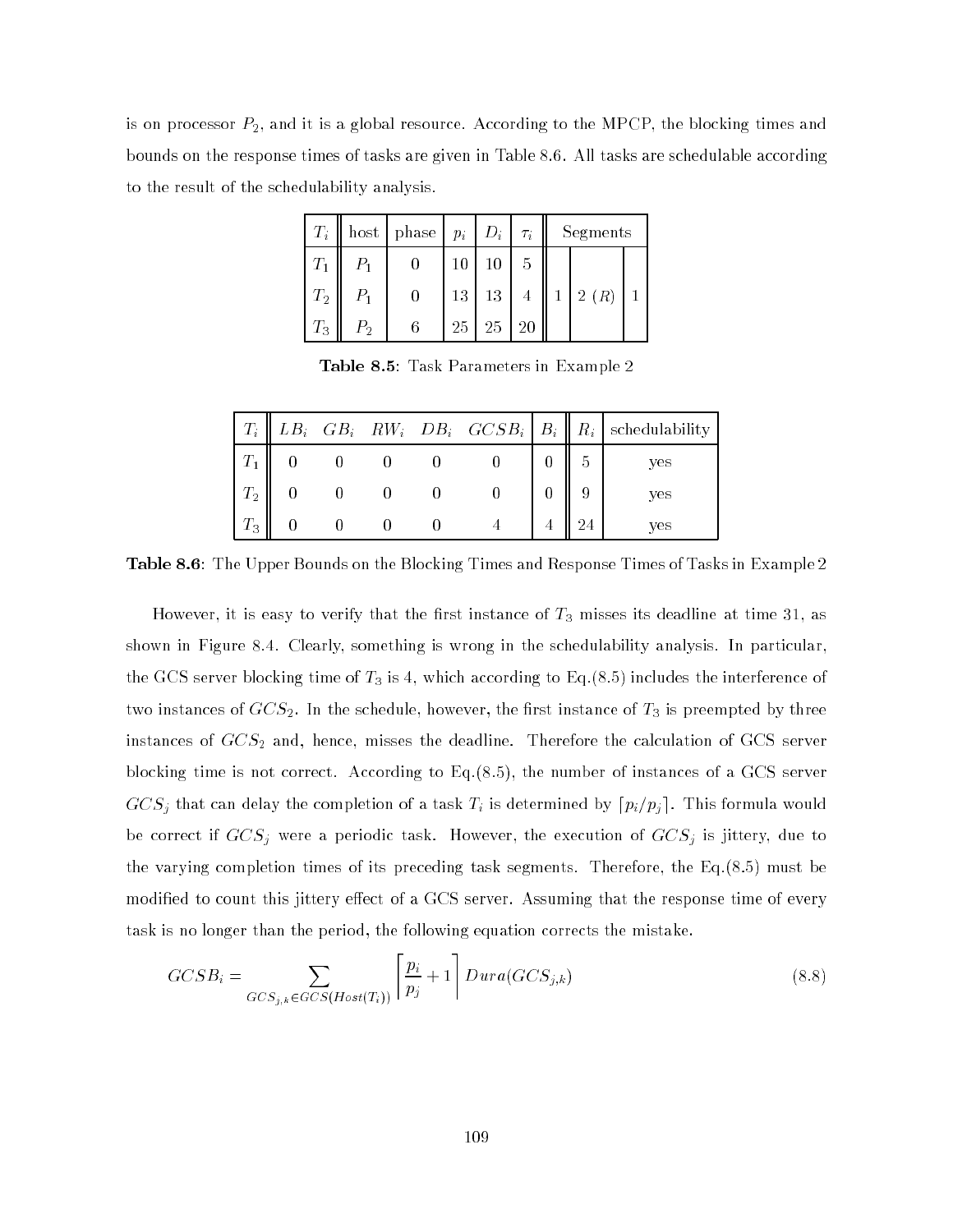is on processor  $P_2$ , and it is a global resource. According to the MPCP, the blocking times and bounds on the response times of tasks are given in Table 8.6. All tasks are schedulable according to the result of the schedulability analysis.

| $T_i^-$            |         | host   phase $ p_i D_i $ |    |                 | $\tau_i$       |              | Segments |  |
|--------------------|---------|--------------------------|----|-----------------|----------------|--------------|----------|--|
|                    | $P_{1}$ |                          | 10 | 10              | 5              |              |          |  |
| $T_2$              | $P_{1}$ |                          | 13 | 13 <sup>1</sup> | $\overline{4}$ | $\mathbf{1}$ | 2(R)     |  |
| $\scriptstyle T_3$ | $P_{2}$ | 6                        | 25 | 25              | -20            |              |          |  |

Table 8.5: Task Parameters in Example 2

| $\mid T_i \mid$ |  |  |  | $\parallel LB_i$ $GB_i$ $RW_i$ $DB_i$ $GCSB_i$ $B_i$ $R_i$ schedulability |
|-----------------|--|--|--|---------------------------------------------------------------------------|
|                 |  |  |  | ves                                                                       |
| $T_{\rm 2}$     |  |  |  | yes                                                                       |
| $T_3$           |  |  |  | ves                                                                       |

Table 8.6: The Upper Bounds on the Blocking Times and Response Times of Tasks in Example 2

However, it is easy to verify that the first instance of  $T_3$  misses its deadline at time 31, as shown in Figure 8.4. Clearly, something is wrong in the schedulability analysis. In particular, the GCS server blocking time of  $T_3$  is 4, which according to Eq.(8.5) includes the interference of two instances of  $GCS_2$ . In the schedule, however, the first instance of  $T_3$  is preempted by three instances of  $GCS_2$  and, hence, misses the deadline. Therefore the calculation of GCS server blocking time is not correct. According to Eq.(8.5), the number of instances of a GCS server GCS just can delay the completion of a task Time  $\mathcal{L}_k$  is determined by dpi=pin=planet completion would be correct if GCSj were <sup>a</sup> periodic task. However, the execution of GCSj is jittery, due to the varying completion times of its preceding task segments. Therefore, the Eq.(8.5) must be modified to count this jittery effect of a GCS server. Assuming that the response time of every task is no longer than the period, the following equation corrects the mistake.

$$
GCSB_i = \sum_{GCS_{j,k} \in GCS(Host(T_i))} \left[ \frac{p_i}{p_j} + 1 \right] Dura(GCS_{j,k}) \tag{8.8}
$$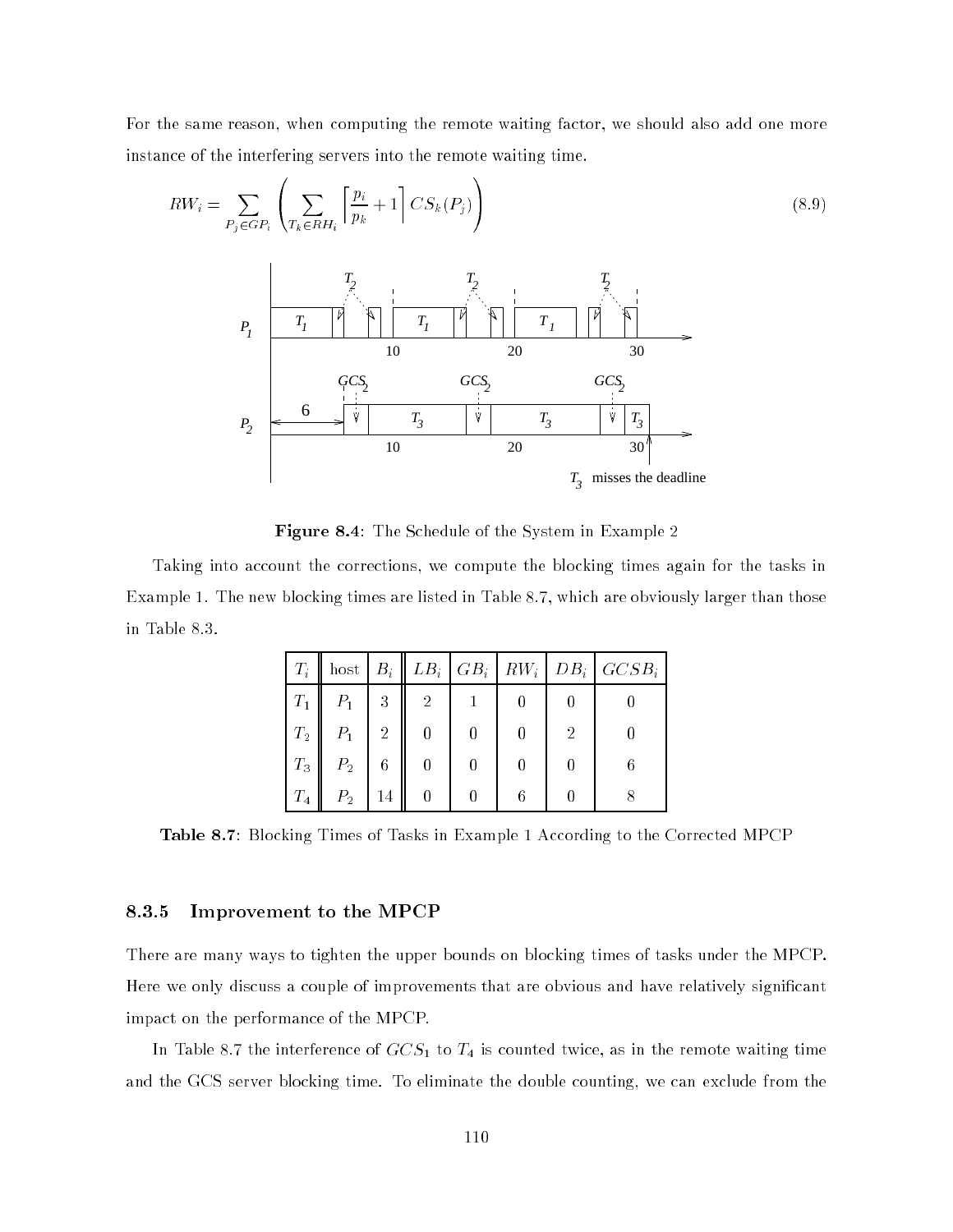For the same reason, when computing the remote waiting factor, we should also add one more instance of the interfering servers into the remote waiting time.

 $\sim$ 

$$
RW_i = \sum_{P_j \in GP_i} \left( \sum_{T_k \in RH_i} \left[ \frac{p_i}{p_k} + 1 \right] CS_k(P_j) \right) \tag{8.9}
$$



Figure 8.4: The Schedule of the System in Example 2

Taking into account the corrections, we compute the blocking times again for the tasks in Example 1. The new blocking times are listed in Table 8.7, which are obviously larger than those in Table 8.3.

| $T_i$              | host $B_i$     |                 |   |   |   | $LB_i   GB_i   RW_i   DB_i   GCSB_i$ |
|--------------------|----------------|-----------------|---|---|---|--------------------------------------|
| $\scriptstyle T_1$ | $P_1$          | 3               | 2 |   |   |                                      |
| $T_2$              | $P_1$          | $\overline{2}$  |   | 0 | 2 |                                      |
| $T_3$              | P <sub>2</sub> | $6\phantom{.}6$ |   |   |   |                                      |
| $T_{4}$            | P <sub>2</sub> | 14              |   | 6 |   |                                      |

Table 8.7: Blocking Times of Tasks in Example 1 According to the Corrected MPCP

#### 8.3.5 Improvement to the MPCP

 $\overline{\phantom{a}}$ 

There are many ways to tighten the upper bounds on blocking times of tasks under the MPCP. Here we only discuss a couple of improvements that are obvious and have relatively signicant impact on the performance of the MPCP.

In Table 8.7 the interference of  $GCS<sub>1</sub>$  to  $T<sub>4</sub>$  is counted twice, as in the remote waiting time and the GCS server blocking time. To eliminate the double counting, we can exclude from the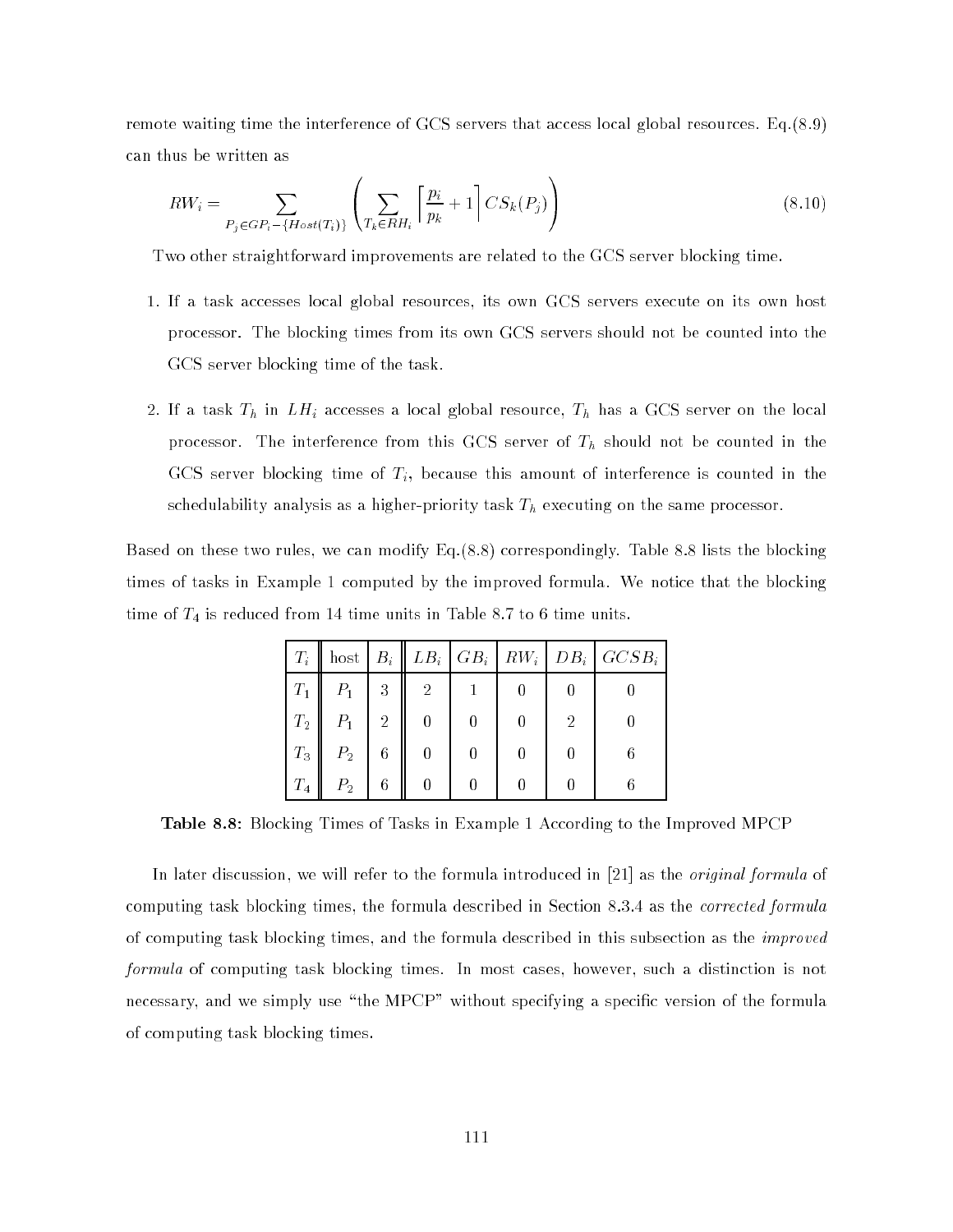remote waiting time the interference of GCS servers that access local global resources. Eq.(8.9) can thus be written as

$$
RW_i = \sum_{P_j \in GP_i - \{Host(T_i)\}} \left( \sum_{T_k \in RH_i} \left\lceil \frac{p_i}{p_k} + 1 \right\rceil CS_k(P_j) \right) \tag{8.10}
$$

 $\sim$ 

Two other straightforward improvements are related to the GCS server blocking time.

 $\overline{\phantom{a}}$ 

- 1. If a task accesses local global resources, its own GCS servers execute on its own host processor. The blocking times from its own GCS servers should not be counted into the GCS server blocking time of the task.
- $2.$  If a comment  $\mathcal{L}_{10}$  and  $\mathcal{L}_{20}$  accesses a local global resource, The local server on the local resource processor. The interference from this GCS server of Th showledge in the counted in the counted in the counted in the counted in the counted in the counted in the counted in the counted in the counted in the counted in the GCS server blocking time of  $T_i$ , because this amount of interference is counted in the schedulability analysis as a higher-priority task Th executing on the same processor.

Based on these two rules, we can modify Eq.(8.8) correspondingly. Table 8.8 lists the blocking times of tasks in Example 1 computed by the improved formula. We notice that the blocking time of  $T_4$  is reduced from 14 time units in Table 8.7 to 6 time units.

|       |                |                 |                |  |   | $T_i$ host $B_i$ $\parallel$ $LB_i$ $\mid$ $GB_i$ $\mid$ $RW_i$ $\mid$ $DB_i$ $\mid$ $GCSB_i$ |
|-------|----------------|-----------------|----------------|--|---|-----------------------------------------------------------------------------------------------|
| $T_1$ | $P_1$          | 3               | $\overline{2}$ |  |   |                                                                                               |
| $T_2$ | $P_1$          | $\overline{2}$  | 0              |  | 2 |                                                                                               |
| $T_3$ | $P_2$          | $6\phantom{.}6$ | 0              |  |   |                                                                                               |
| $T_4$ | P <sub>2</sub> | 6               |                |  |   |                                                                                               |

Table 8.8: Blocking Times of Tasks in Example 1 According to the Improved MPCP

In later discussion, we will refer to the formula introduced in [21] as the *original formula* of computing task blocking times, the formula described in Section 8.3.4 as the corrected formula of computing task blocking times, and the formula described in this subsection as the improved formula of computing task blocking times. In most cases, however, such a distinction is not necessary, and we simply use "the MPCP" without specifying a specific version of the formula of computing task blocking times.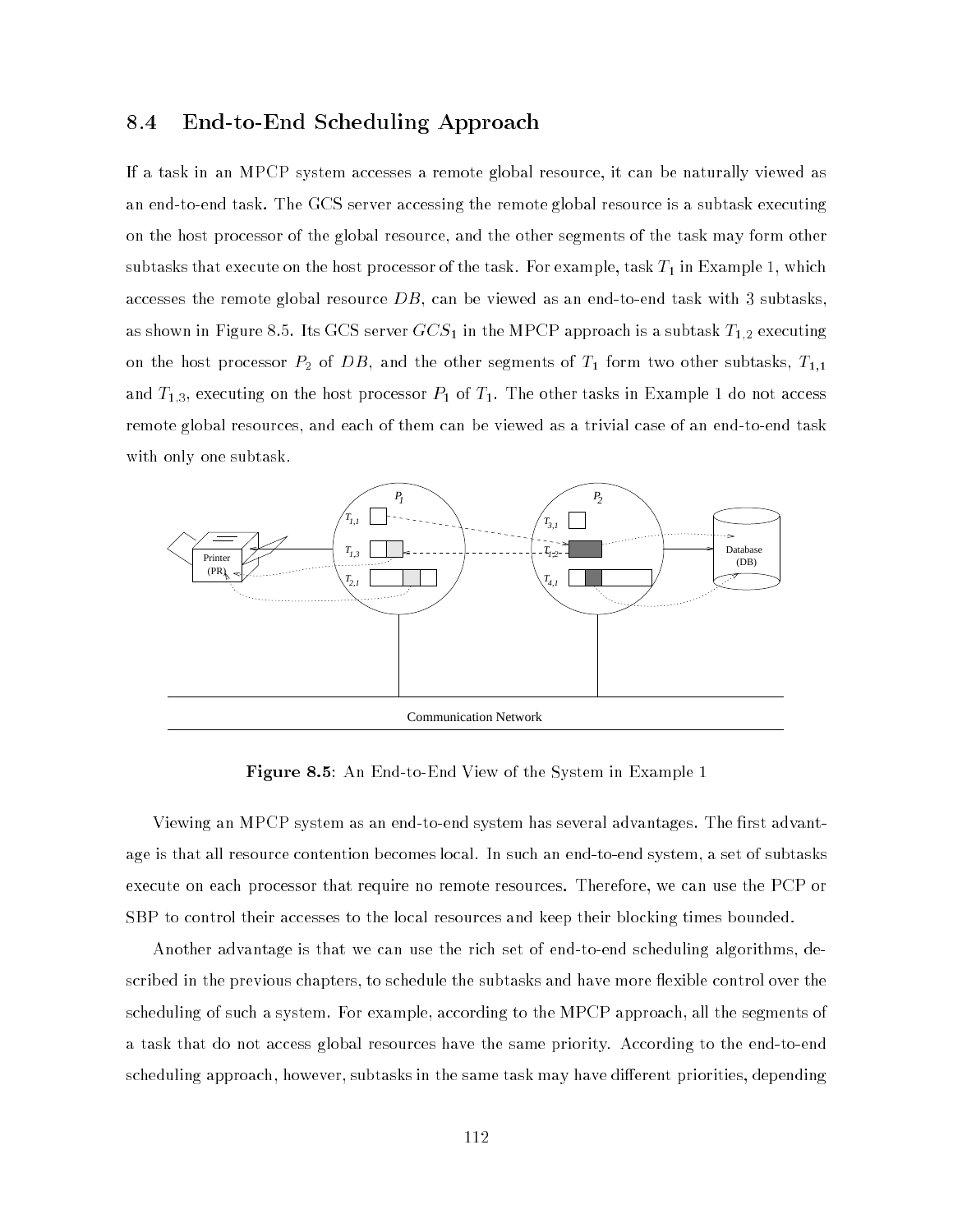#### 8.4 End-to-End Scheduling Approach

If a task in an MPCP system accesses a remote global resource, it can be naturally viewed as an end-to-end task. The GCS server accessing the remote global resource is a subtask executing on the host processor of the global resource, and the other segments of the task may form other subtasks that execute on the host processor of the task. For example, task  $T_1$  in Example 1, which accesses the remote global resource  $DB$ , can be viewed as an end-to-end task with 3 subtasks. as shown in Figure 8.5. Its GCS server  $GCS_1$  in the MPCP approach is a subtask  $T_{1,2}$  executing on the host processor  $P_2$  of  $DB$ , and the other segments of  $T_1$  form two other subtasks,  $T_{1,1}$ and  $T_{1,3},$  executing on the host processor  $P_1$  of  $T_1.$  The other tasks in Example 1 do not access remote global resources, and each of them can be viewed as a trivial case of an end-to-end task with only one subtask.



Figure 8.5: An End-to-End View of the System in Example 1

Viewing an MPCP system as an end-to-end system has several advantages. The first advantage is that all resource contention becomes local. In such an end-to-end system, a set of subtasks execute on each processor that require no remote resources. Therefore, we can use the PCP or SBP to control their accesses to the local resources and keep their blocking times bounded.

Another advantage is that we can use the rich set of end-to-end scheduling algorithms, described in the previous chapters, to schedule the subtasks and have more flexible control over the scheduling of such a system. For example, according to the MPCP approach, all the segments of a task that do not access global resources have the same priority. According to the end-to-end scheduling approach, however, subtasks in the same task may have different priorities, depending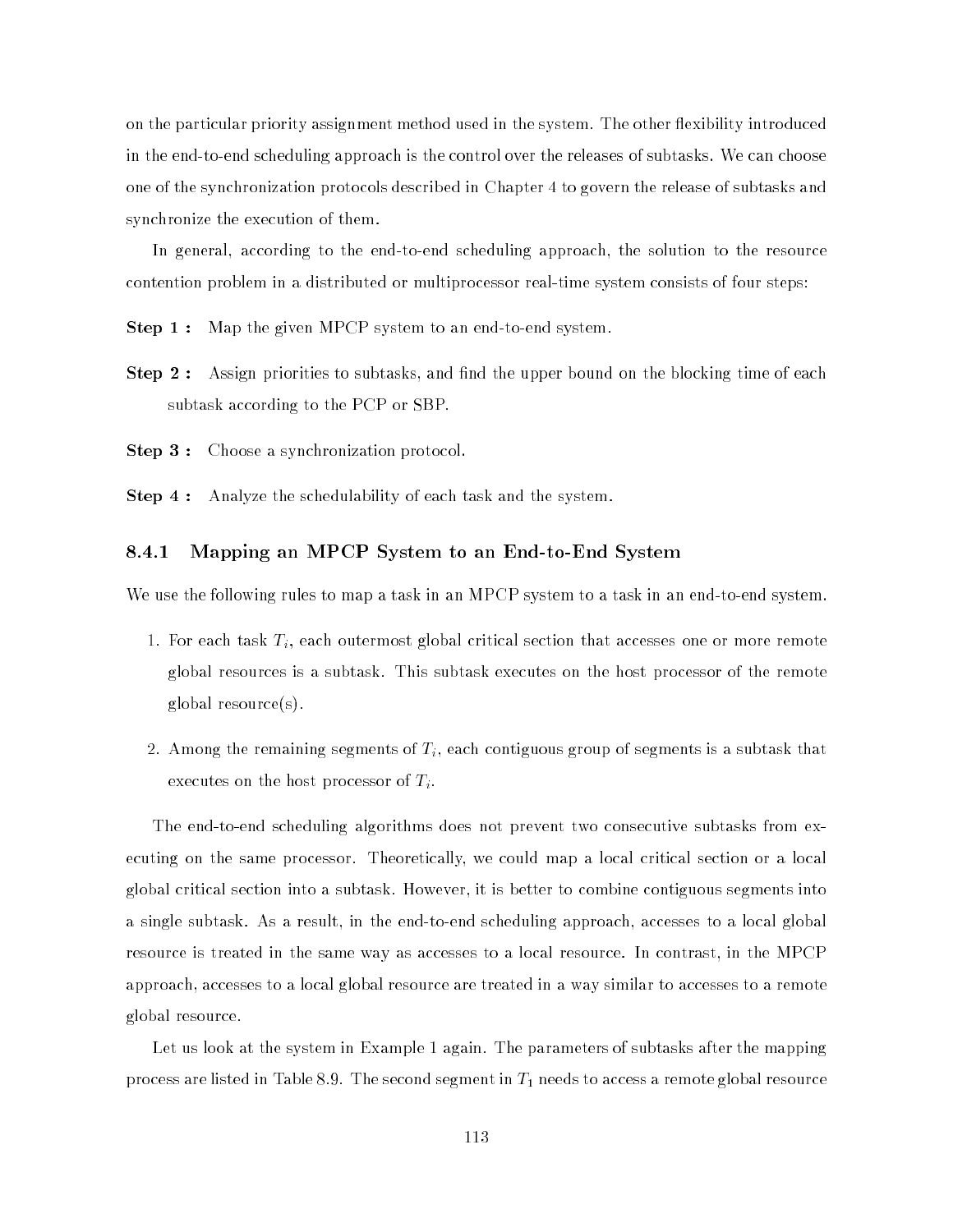on the particular priority assignment method used in the system. The other flexibility introduced in the end-to-end scheduling approach is the control over the releases of subtasks. We can choose one of the synchronization protocols described in Chapter 4 to govern the release of subtasks and synchronize the execution of them.

In general, according to the end-to-end scheduling approach, the solution to the resource contention problem in a distributed or multiprocessor real-time system consists of four steps:

**Step 1:** Map the given MPCP system to an end-to-end system.

**Step 2:** Assign priorities to subtasks, and find the upper bound on the blocking time of each subtask according to the PCP or SBP.

Step 3 : Choose a synchronization protocol.

Step 4: Analyze the schedulability of each task and the system.

#### 8.4.1 Mapping an MPCP System to an End-to-End System

We use the following rules to map a task in an MPCP system to a task in an end-to-end system.

- 1. For each task  $T_i$ , each outermost global critical section that accesses one or more remote global resources is a subtask. This subtask executes on the host processor of the remote global resource(s).
- 2. Among the remaining segments of  $T_i$ , each contiguous group of segments is a subtask that executes on the host processor of  $T_i$ .

The end-to-end scheduling algorithms does not prevent two consecutive subtasks from executing on the same processor. Theoretically, we could map a local critical section or a local global critical section into a subtask. However, it is better to combine contiguous segments into a single subtask. As a result, in the end-to-end scheduling approach, accesses to a local global resource is treated in the same way as accesses to a local resource. In contrast, in the MPCP approach, accesses to a local global resource are treated in a way similar to accesses to a remote global resource.

Let us look at the system in Example 1 again. The parameters of subtasks after the mapping process are listed in Table 8.9. The second segment in  $T_1$  needs to access a remote global resource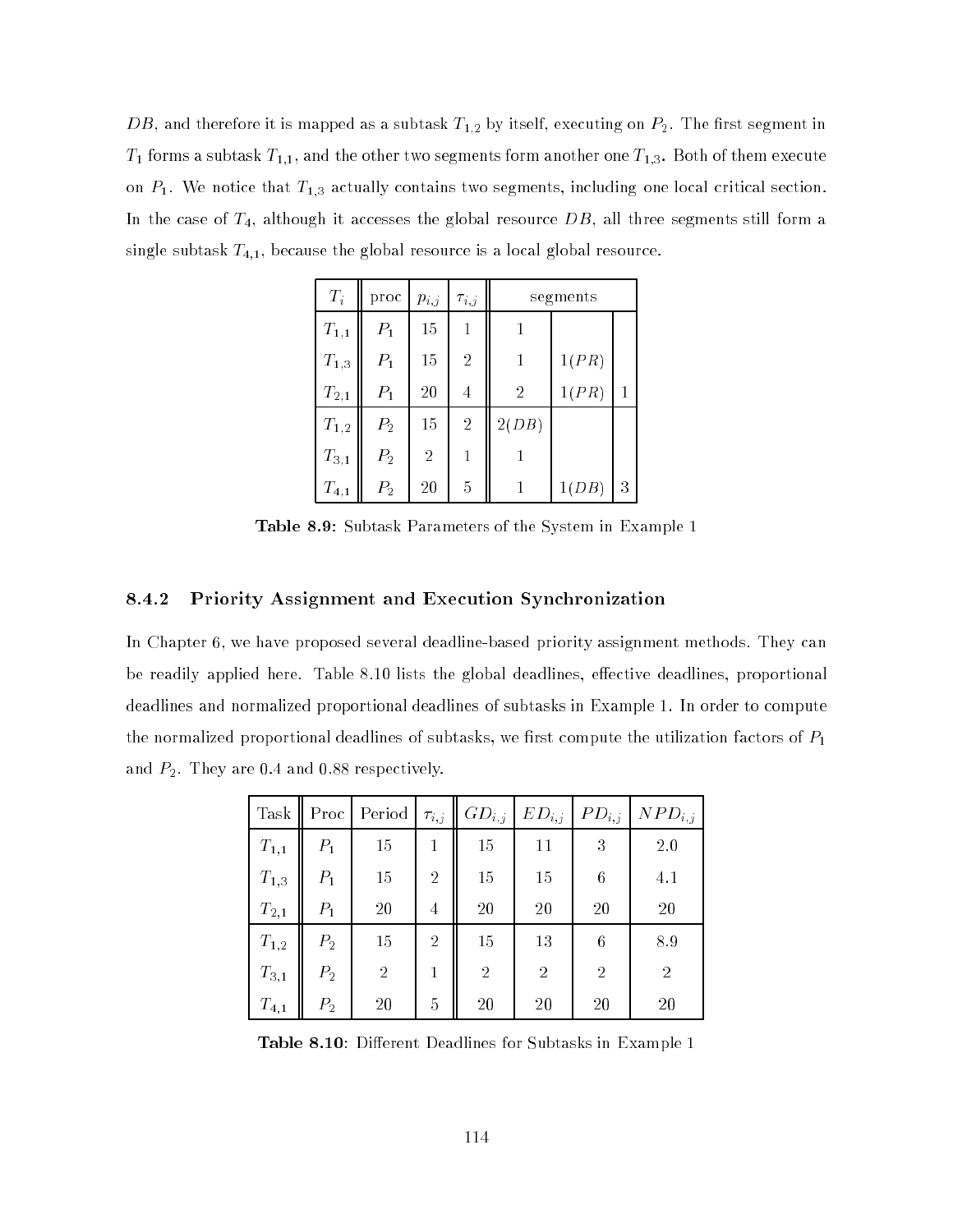$\overline{DB},$  and therefore it is mapped as a subtask  $T_{1,2}$  by itself, executing on  $P_2.$  The first segment in  $T_1$  forms a subtask  $T_{1,1}$ , and the other two segments form another one  $T_{1,3}$ . Both of them execute on  $P_1$ . We notice that  $T_{1,3}$  actually contains two segments, including one local critical section. In the case of  $T_4$ , although it accesses the global resource  $DB$ , all three segments still form a single subtask  $T_{4,1}$ , because the global resource is a local global resource.

| $T_i$               | proc           | $p_{i,j}$      | $\tau_{i,j}$   |                | segments |   |
|---------------------|----------------|----------------|----------------|----------------|----------|---|
| $T_{1,1}$           | $P_1$          | 15             | 1              |                |          |   |
| $T_{1,3}$           | $P_1$          | 15             | $\overline{2}$ | 1              | 1(PR)    |   |
| $T_{2,1}$           | $P_1$          | 20             | 4              | $\overline{2}$ | 1(PR)    | 1 |
| $\mathcal{T}_{1,2}$ | P <sub>2</sub> | 15             | $\overline{2}$ | 2(DB)          |          |   |
| $T_{3,1}$           | $P_{2}$        | $\overline{2}$ | 1              |                |          |   |
| $T_{4,1}$           | $P_2$          | 20             | 5              |                | 1(DB)    | 3 |

Table 8.9: Subtask Parameters of the System in Example 1

#### 8.4.2 Priority Assignment and Execution Synchronization

In Chapter 6, we have proposed several deadline-based priority assignment methods. They can be readily applied here. Table 8.10 lists the global deadlines, effective deadlines, proportional deadlines and normalized proportional deadlines of subtasks in Example 1. In order to compute the normalized proportional deadlines of subtasks, we first compute the utilization factors of  $P_1$ and  $P_2$ . They are 0.4 and 0.88 respectively.

| Task      | Proc           | Period         | $\tau_{i,j}$   | $GD_{i,j}$     | $ED_{i,j}$     | $PD_{i,j}$     | $NPD_{i,j}$    |
|-----------|----------------|----------------|----------------|----------------|----------------|----------------|----------------|
| $T_{1,1}$ | $P_1$          | 15             | 1              | 15             | 11             | 3              | 2.0            |
| $T_{1,3}$ | $P_1$          | 15             | $\overline{2}$ | 15             | 15             | 6              | 4.1            |
| $T_{2,1}$ | $P_1$          | 20             | 4              | 20             | 20             | 20             | 20             |
| $T_{1,2}$ | $P_{2}$        | 15             | $\overline{2}$ | 15             | 13             | 6              | 8.9            |
| $T_{3,1}$ | P <sub>2</sub> | $\overline{2}$ |                | $\overline{2}$ | $\overline{2}$ | $\overline{2}$ | $\overline{2}$ |
| $T_{4,1}$ | $P_{2}$        | 20             | 5              | 20             | 20             | 20             | 20             |

Table 8.10: Different Deadlines for Subtasks in Example 1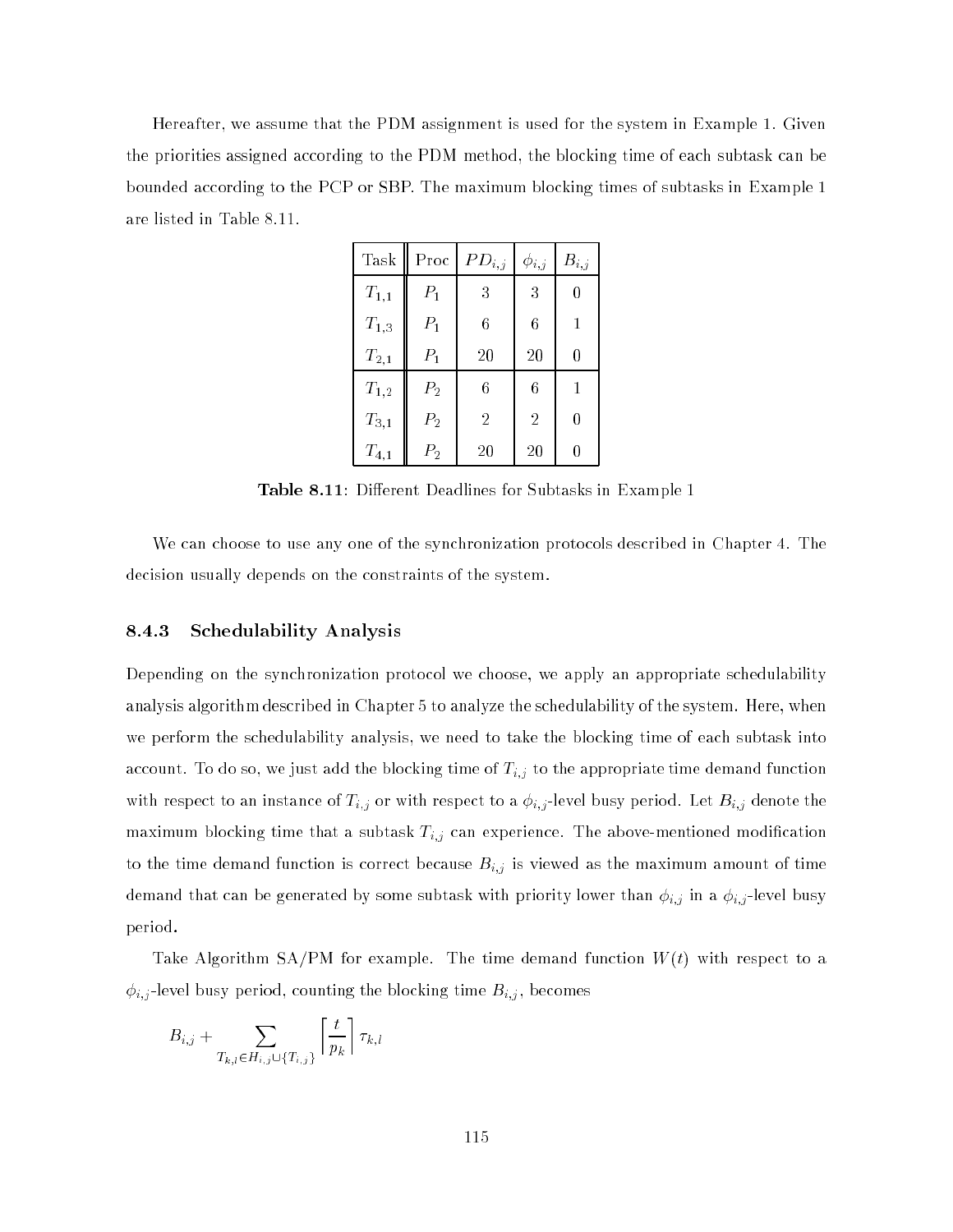Hereafter, we assume that the PDM assignment is used for the system in Example 1. Given the priorities assigned according to the PDM method, the blocking time of each subtask can be bounded according to the PCP or SBP. The maximum blocking times of subtasks in Example 1 are listed in Table 8.11.

| Task                | Proc    | $PD_{i,j}$     | $\phi_{i,j}$   | $B_{i,j}$ |
|---------------------|---------|----------------|----------------|-----------|
| $T_{1,1}$           | $P_1$   | 3              | 3              | 0         |
| $T_{1,3}$           | $P_1$   | 6              | 6              | 1         |
| $\mathcal{T}_{2,1}$ | $P_1$   | 20             | 20             | 0         |
| $T_{1,2}$           | $P_2$   | 6              | 6              | 1         |
| $T_{3,1}$           | $P_2$   | $\overline{2}$ | $\overline{2}$ | 0         |
| $T_{4,1}$           | $P_{2}$ | 20             | 20             | 0         |

Table 8.11: Different Deadlines for Subtasks in Example 1

We can choose to use any one of the synchronization protocols described in Chapter 4. The decision usually depends on the constraints of the system.

#### 8.4.3 Schedulability Analysis

Depending on the synchronization protocol we choose, we apply an appropriate schedulability analysis algorithm described in Chapter 5 to analyze the schedulability of the system. Here, when we perform the schedulability analysis, we need to take the blocking time of each subtask into account. To do so, we just add the blocking time of Ti;j to the appropriate time demand function with respect to an instance of Times of Times  $\mathbb{R}^d$  and Let Bi; a i; a i; let  $\mathbb{R}^d$  busy period. Let maximum blocking time that a subtast Ti; can experience. The above-mentioned modication to the time demand function is correct because  $B$  ; if  $\mathcal{S}$ demand that can be generated by some subtasting with priority lower than i;  $j$  in a i;  $j$  in a i; period.

Take Algorithm SA/PM for example. The time demand function  $W(t)$  with respect to a i; i), and busy period, counting time busy period, counting time Bi; , becomes time Bi; , becomes time Bi; , becomes

$$
B_{i,j} + \sum_{T_{k,l} \in H_{i,j} \cup \{T_{i,j}\}} \left\lceil \frac{t}{p_k} \right\rceil \tau_{k,l}
$$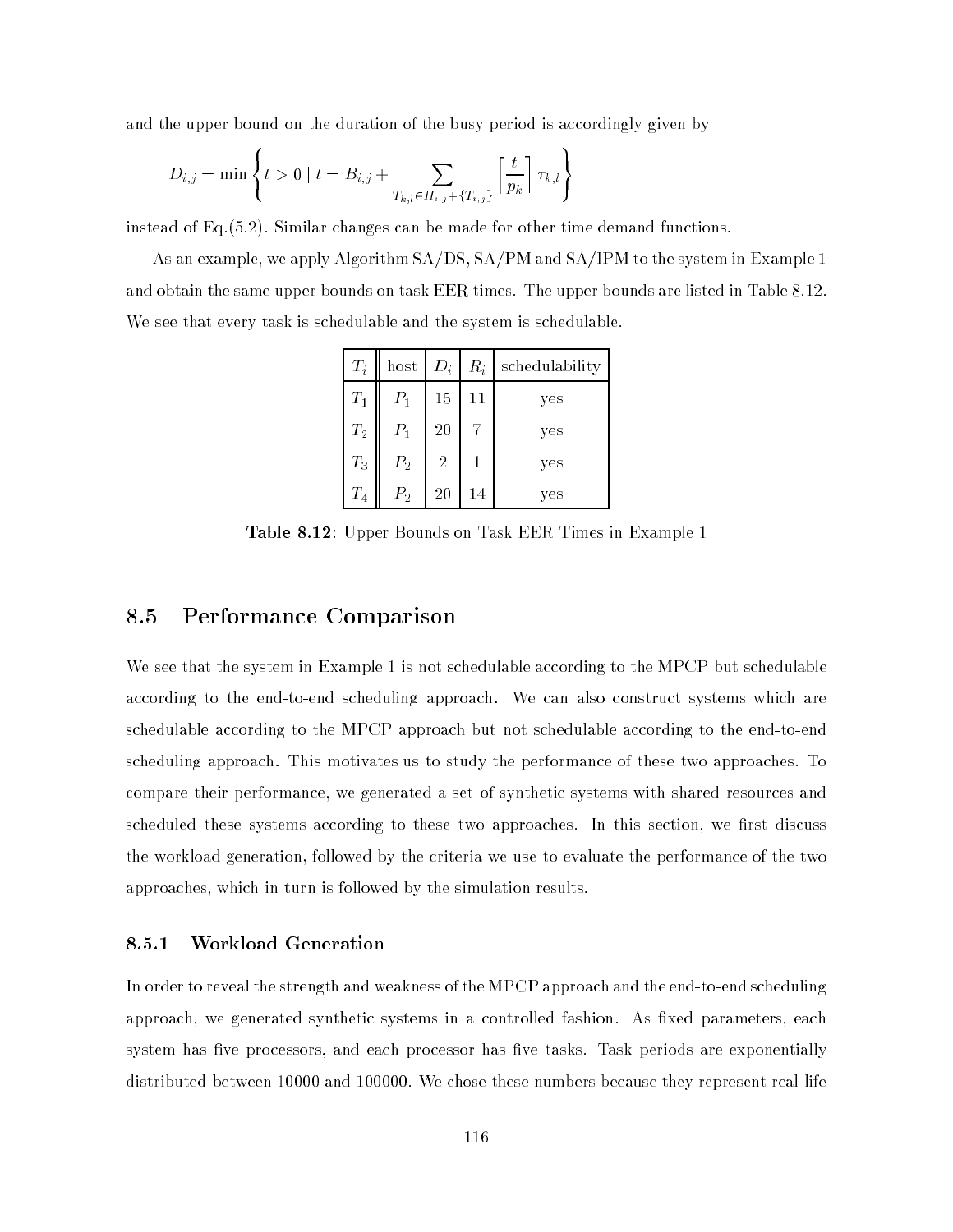and the upper bound on the duration of the busy period is accordingly given by

$$
D_{i,j} = \min \left\{ t > 0 \mid t = B_{i,j} + \sum_{T_{k,l} \in H_{i,j} + \{T_{i,j}\}} \left\lceil \frac{t}{p_k} \right\rceil \tau_{k,l} \right\}
$$

<sup>8</sup>

instead of Eq.(5.2). Similar changes can be made for other time demand functions.

As an example, we apply Algorithm SA/DS, SA/PM and SA/IPM to the system in Example 1 and obtain the same upper bounds on task EER times. The upper bounds are listed in Table 8.12. We see that every task is schedulable and the system is schedulable.

99.99

| $T_i$              | host           | $D_i$          | $R_i$ | schedulability |
|--------------------|----------------|----------------|-------|----------------|
| $T_1$              | $P_1$          | 15             | 11    | yes            |
| $T_2$              | $P_1$          | 20             |       | yes            |
| $T_3$              | P <sub>2</sub> | $\overline{2}$ |       | yes            |
| $\scriptstyle T_4$ | $P_{2}$        | 20             | 14    | yes            |

Table 8.12: Upper Bounds on Task EER Times in Example 1

### 8.5 Performance Comparison

We see that the system in Example 1 is not schedulable according to the MPCP but schedulable according to the end-to-end scheduling approach. We can also construct systems which are schedulable according to the MPCP approach but not schedulable according to the end-to-end scheduling approach. This motivates us to study the performance of these two approaches. To compare their performance, we generated a set of synthetic systems with shared resources and scheduled these systems according to these two approaches. In this section, we first discuss the workload generation, followed by the criteria we use to evaluate the performance of the two approaches, which in turn is followed by the simulation results.

#### 8.5.1 Workload Generation

In order to reveal the strength and weakness of the MPCP approach and the end-to-end scheduling approach, we generated synthetic systems in a controlled fashion. As fixed parameters, each system has five processors, and each processor has five tasks. Task periods are exponentially distributed between 10000 and 100000. We chose these numbers because they represent real-life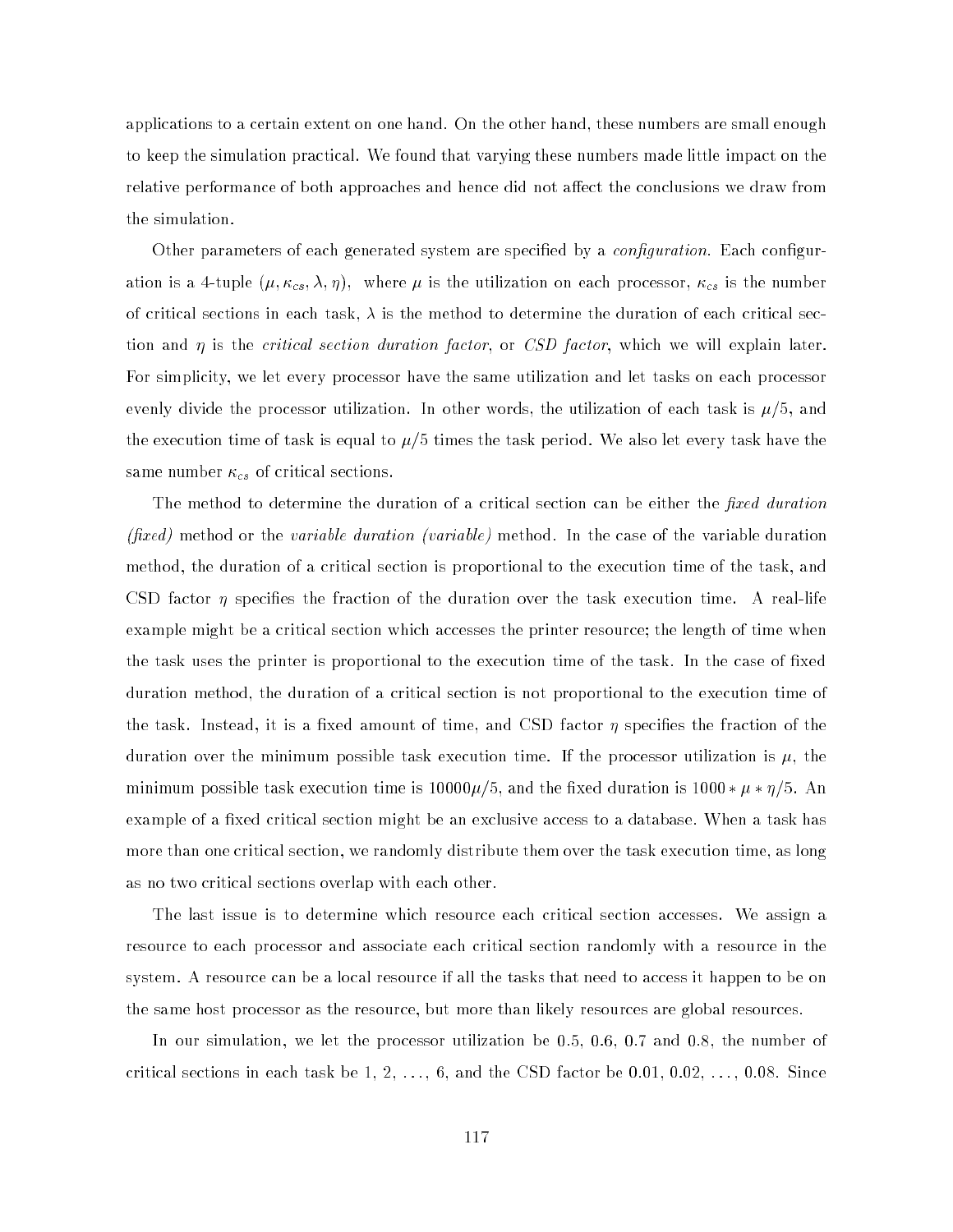applications to a certain extent on one hand. On the other hand, these numbers are small enough to keep the simulation practical. We found that varying these numbers made little impact on the relative performance of both approaches and hence did not affect the conclusions we draw from the simulation.

Other parameters of each generated system are specified by a *configuration*. Each configuration is a 4-tuple (; ), where  $\alpha$  is the utilization on each processor, contribution on each processor, contribution on each processor, contribution on each processor, can be numbered by  $\alpha$ of critical sections in each task,  $\lambda$  is the method to determine the duration of each critical section and  $\eta$  is the *critical section duration factor*, or *CSD factor*, which we will explain later. For simplicity, we let every processor have the same utilization and let tasks on each processor evenly divide the processor utilization. In other words, the utilization of each task is  $\mu/5$ , and the execution time of task is equal to  $\mu/5$  times the task period. We also let every task have the same number control to the control to control the control to control the control to control the control to control the control to control the control to control the control to control the control to control the control to

The method to determine the duration of a critical section can be either the *fixed duration* (fixed) method or the variable duration (variable) method. In the case of the variable duration method, the duration of a critical section is proportional to the execution time of the task, and CSD factor  $\eta$  specifies the fraction of the duration over the task execution time. A real-life example might be a critical section which accesses the printer resource; the length of time when the task uses the printer is proportional to the execution time of the task. In the case of fixed duration method, the duration of a critical section is not proportional to the execution time of the task. Instead, it is a fixed amount of time, and CSD factor  $\eta$  specifies the fraction of the duration over the minimum possible task execution time. If the processor utilization is  $\mu$ , the minimum possible task execution time is  $1000\mu/5$ , and the fixed duration is  $1000*\mu*\eta/5$ . An example of a fixed critical section might be an exclusive access to a database. When a task has more than one critical section, we randomly distribute them over the task execution time, as long as no two critical sections overlap with each other.

The last issue is to determine which resource each critical section accesses. We assign a resource to each processor and associate each critical section randomly with a resource in the system. A resource can be a local resource if all the tasks that need to access it happen to be on the same host processor as the resource, but more than likely resources are global resources.

In our simulation, we let the processor utilization be 0.5, 0.6, 0.7 and 0.8, the number of critical sections in each task be  $1, 2, \ldots, 6$ , and the CSD factor be  $0.01, 0.02, \ldots, 0.08$ . Since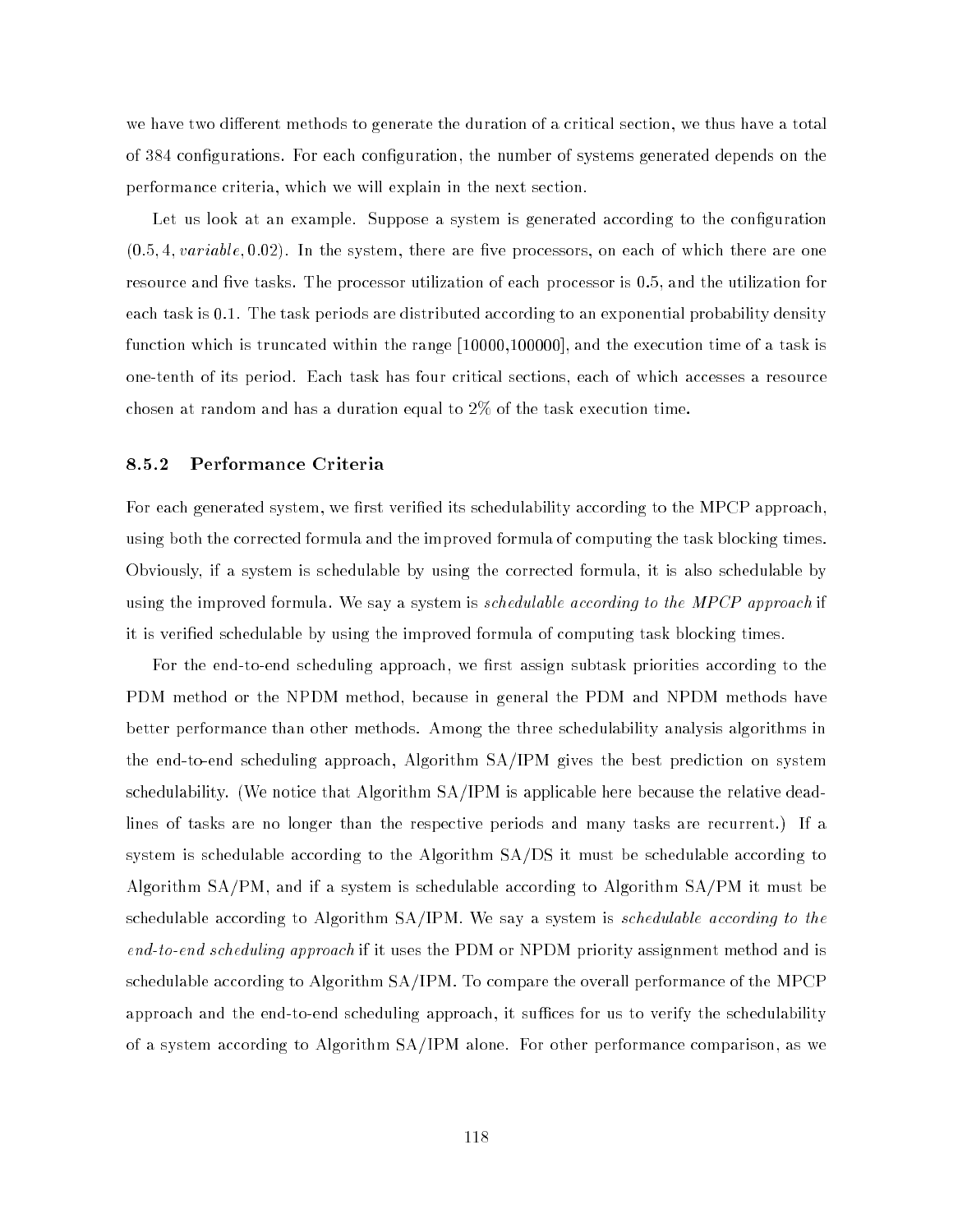we have two different methods to generate the duration of a critical section, we thus have a total of 384 congurations. For each conguration, the number of systems generated depends on the performance criteria, which we will explain in the next section.

Let us look at an example. Suppose a system is generated according to the configuration  $(0.5, 4, variable, 0.02)$ . In the system, there are five processors, on each of which there are one resource and five tasks. The processor utilization of each processor is  $0.5,$  and the utilization for each task is 0.1. The task periods are distributed according to an exponential probability density function which is truncated within the range [10000,100000], and the execution time of a task is one-tenth of its period. Each task has four critical sections, each of which accesses a resource chosen at random and has a duration equal to 2% of the task execution time.

#### 8.5.2 Performance Criteria

For each generated system, we first verified its schedulability according to the MPCP approach. using both the corrected formula and the improved formula of computing the task blocking times. Obviously, if a system is schedulable by using the corrected formula, it is also schedulable by using the improved formula. We say a system is schedulable according to the MPCP approach if it is veried schedulable by using the improved formula of computing task blocking times.

For the end-to-end scheduling approach, we first assign subtask priorities according to the PDM method or the NPDM method, because in general the PDM and NPDM methods have better performance than other methods. Among the three schedulability analysis algorithms in the end-to-end scheduling approach, Algorithm SA/IPM gives the best prediction on system schedulability. (We notice that Algorithm SA/IPM is applicable here because the relative deadlines of tasks are no longer than the respective periods and many tasks are recurrent.) If a system is schedulable according to the Algorithm SA/DS it must be schedulable according to Algorithm SA/PM, and if a system is schedulable according to Algorithm SA/PM it must be schedulable according to Algorithm SA/IPM. We say a system is schedulable according to the end-to-end scheduling approach if it uses the PDM or NPDM priority assignment method and is schedulable according to Algorithm SA/IPM. To compare the overall performance of the MPCP approach and the end-to-end scheduling approach, it suffices for us to verify the schedulability of a system according to Algorithm SA/IPM alone. For other performance comparison, as we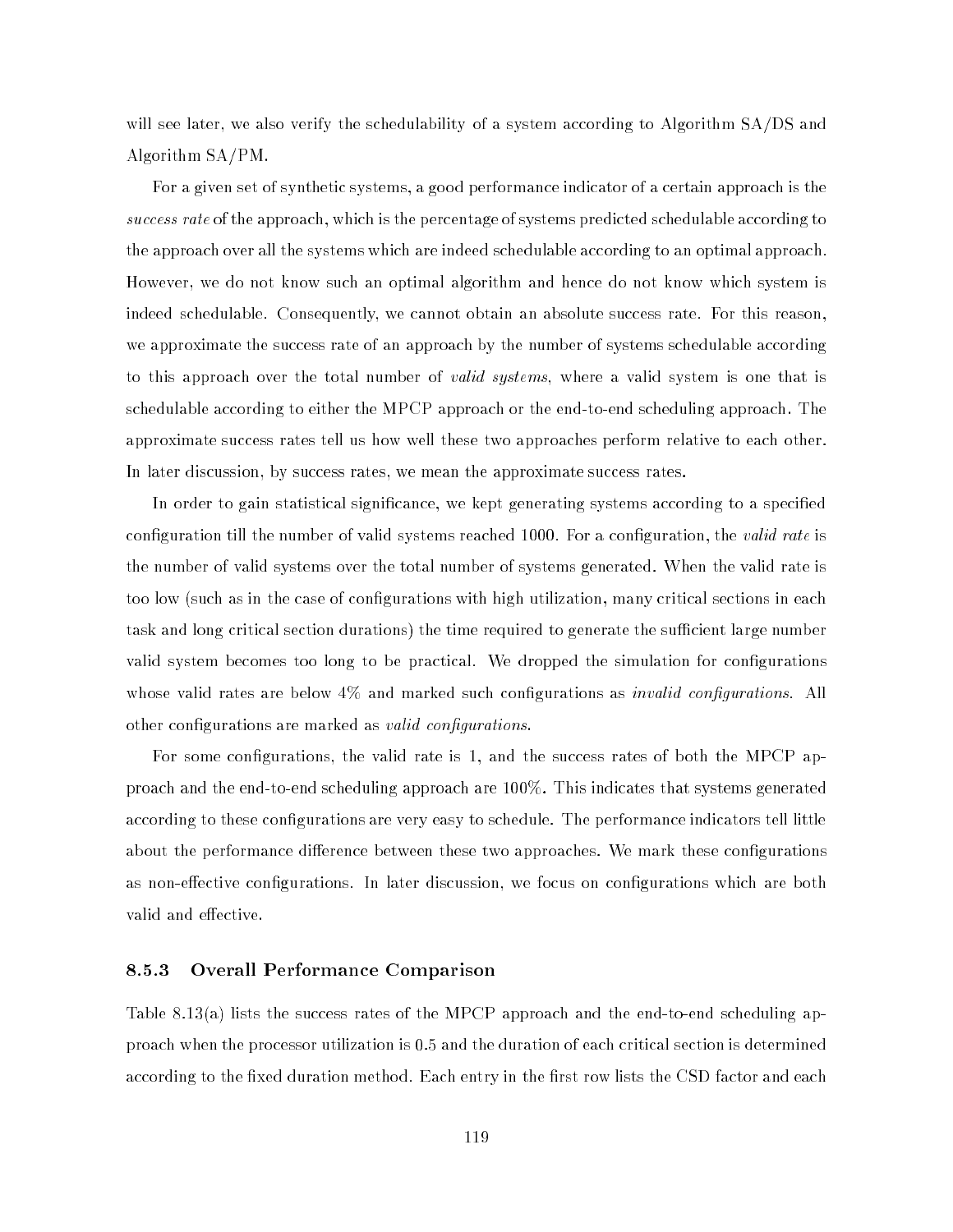will see later, we also verify the schedulability of a system according to Algorithm SA/DS and Algorithm SA/PM.

For a given set of synthetic systems, a good performance indicator of a certain approach is the success rate of the approach, which is the percentage of systems predicted schedulable according to the approach over all the systems which are indeed schedulable according to an optimal approach. However, we do not know such an optimal algorithm and hence do not know which system is indeed schedulable. Consequently, we cannot obtain an absolute success rate. For this reason, we approximate the success rate of an approach by the number of systems schedulable according to this approach over the total number of *valid systems*, where a valid system is one that is schedulable according to either the MPCP approach or the end-to-end scheduling approach. The approximate success rates tell us how well these two approaches perform relative to each other. In later discussion, by success rates, we mean the approximate success rates.

In order to gain statistical significance, we kept generating systems according to a specified configuration till the number of valid systems reached 1000. For a configuration, the valid rate is the number of valid systems over the total number of systems generated. When the valid rate is too low (such as in the case of configurations with high utilization, many critical sections in each task and long critical section durations) the time required to generate the sufficient large number valid system becomes too long to be practical. We dropped the simulation for congurations whose valid rates are below  $4\%$  and marked such configurations as *invalid configurations*. All other configurations are marked as *valid configurations*.

For some configurations, the valid rate is 1, and the success rates of both the MPCP approach and the end-to-end scheduling approach are 100%. This indicates that systems generated according to these configurations are very easy to schedule. The performance indicators tell little about the performance difference between these two approaches. We mark these configurations as non-effective configurations. In later discussion, we focus on configurations which are both valid and effective.

#### 8.5.3 Overall Performance Comparison 8.5.3

Table 8.13(a) lists the success rates of the MPCP approach and the end-to-end scheduling approach when the processor utilization is 0.5 and the duration of each critical section is determined according to the fixed duration method. Each entry in the first row lists the CSD factor and each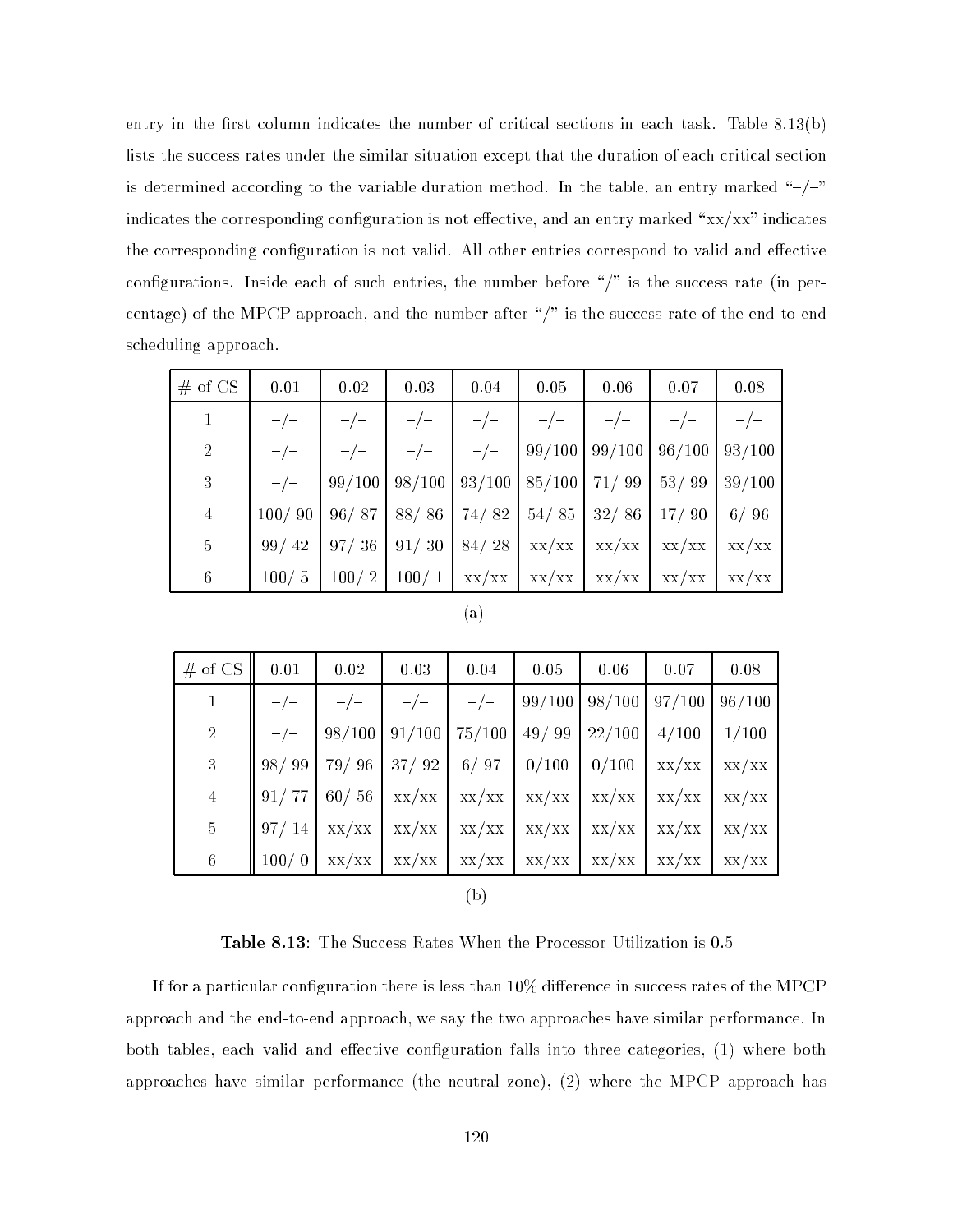entry in the first column indicates the number of critical sections in each task. Table  $8.13(b)$ lists the success rates under the similar situation except that the duration of each critical section is determined according to the variable duration method. In the table, an entry marked " $-/-$ " indicates the corresponding configuration is not effective, and an entry marked " $xx/xx$ " indicates the corresponding configuration is not valid. All other entries correspond to valid and effective configurations. Inside each of such entries, the number before  $\sqrt{n}$  is the success rate (in percentage) of the MPCP approach, and the number after "/" is the success rate of the end-to-end scheduling approach.

| # of $CS$      | 0.01   | 0.02   | 0.03  | 0.04  | 0.05                                                                  | 0.06            | 0.07                                                | 0.08   |
|----------------|--------|--------|-------|-------|-----------------------------------------------------------------------|-----------------|-----------------------------------------------------|--------|
|                |        |        |       |       |                                                                       |                 |                                                     |        |
| $\overline{2}$ |        |        | $-/-$ | $-/-$ |                                                                       | $99/100$ 99/100 | 96/100                                              | 93/100 |
| $\sqrt{3}$     |        | 99/100 |       |       | $\mid 98/100 \mid 93/100 \mid 85/100 \mid 71/99 \mid 53/99$           |                 |                                                     | 39/100 |
| $\overline{4}$ | 100/90 | 96/87  | 88/86 |       | 74/82   54/85   32/86   17/90                                         |                 |                                                     | 6/96   |
| $5\,$          | 99/42  | 97/36  |       |       | $91/30$ 84/28 xx/xx                                                   |                 | $\mathbf{xx}/\mathbf{xx}$ $\mathbf{xx}/\mathbf{xx}$ | XX/XX  |
| $6\,$          | 100/5  | 100/2  |       |       | $100/1$ $\left $ xx/xx $\right $ xx/xx $\left $ xx/xx $\right $ xx/xx |                 |                                                     | XX/XX  |

| # of CS $\parallel$ | $0.01\,$ | $\vert$ 0.02 | 0.03                                                                                                                                                                    | 0.04 | $0.05\,$ | 0.06 | 0.07 | 0.08 |
|---------------------|----------|--------------|-------------------------------------------------------------------------------------------------------------------------------------------------------------------------|------|----------|------|------|------|
|                     |          |              | $\begin{vmatrix} -/ - & -/ - & -/ - & 99/100 & 98/100 & 97/100 & 96/100 \end{vmatrix}$                                                                                  |      |          |      |      |      |
| $\overline{2}$      |          |              | $-/-$   98/100   91/100   75/100   49/ 99   22/100   4/100   1/100                                                                                                      |      |          |      |      |      |
| 3 <sup>1</sup>      |          |              |                                                                                                                                                                         |      |          |      |      |      |
| $\overline{4}$      |          |              | $\left[\right.91/77\left.\right 60/56\left.\right $ xx/xx $\left.\right $ xx/xx $\left.\right $ xx/xx $\left.\right $ xx/xx $\left.\right $ xx/xx $\left.\right $ xx/xx |      |          |      |      |      |
| $\overline{5}$      |          |              | $\parallel$ 97/ 14 $\mid$ xx/xx $\mid$ xx/xx $\mid$ xx/xx $\mid$ xx/xx $\mid$ xx/xx $\mid$ xx/xx $\mid$ xx/xx                                                           |      |          |      |      |      |
| 6                   |          |              | $100/0$   xx/xx   xx/xx   xx/xx   xx/xx   xx/xx   xx/xx   xx/xx                                                                                                         |      |          |      |      |      |
|                     |          |              |                                                                                                                                                                         |      |          |      |      |      |

Table 8.13: The Success Rates When the Processor Utilization is 0.5

(b)

If for a particular configuration there is less than  $10\%$  difference in success rates of the MPCP approach and the end-to-end approach, we say the two approaches have similar performance. In both tables, each valid and effective configuration falls into three categories,  $(1)$  where both approaches have similar performance (the neutral zone), (2) where the MPCP approach has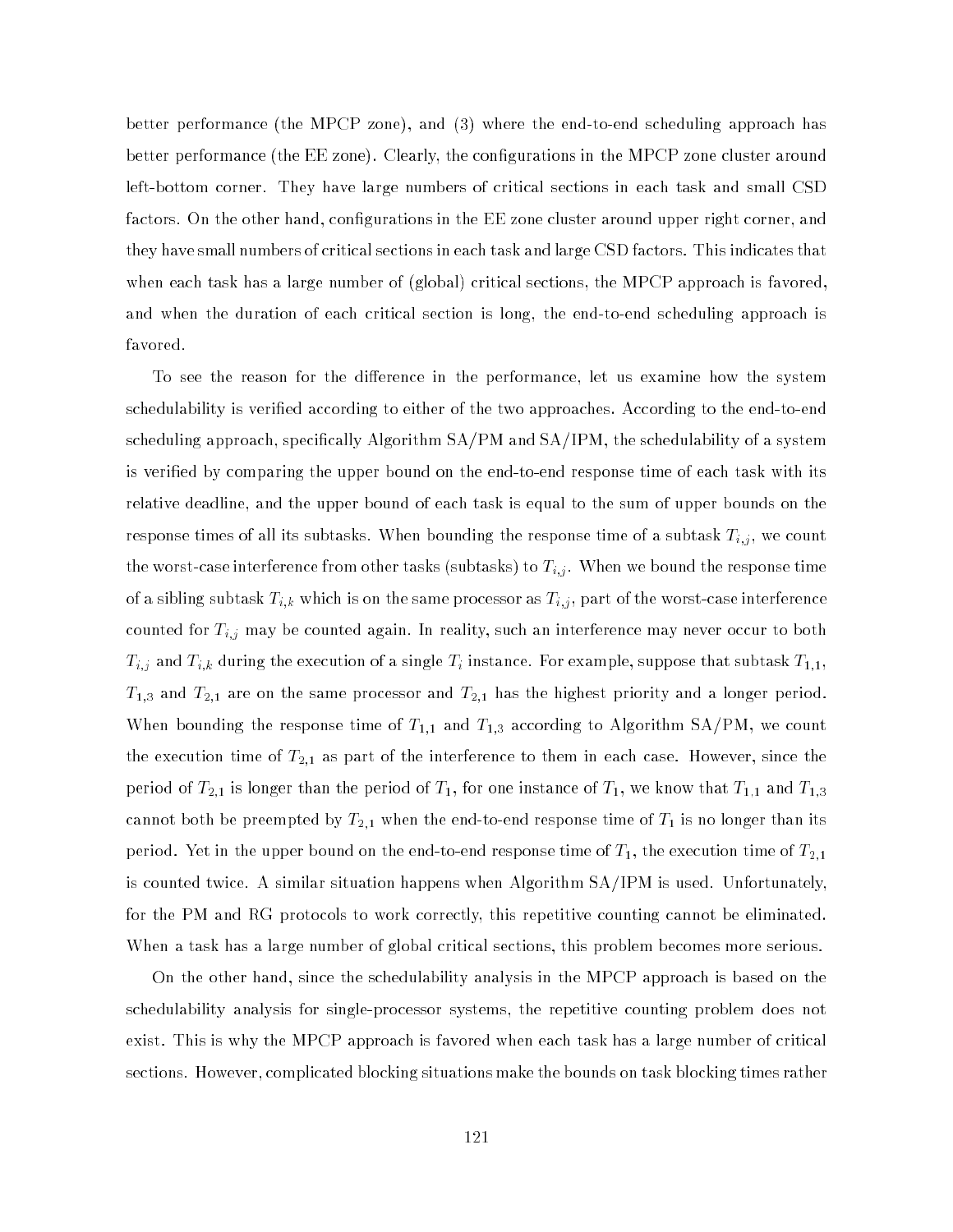better performance (the MPCP zone), and (3) where the end-to-end scheduling approach has better performance (the EE zone). Clearly, the configurations in the MPCP zone cluster around left-bottom corner. They have large numbers of critical sections in each task and small CSD factors. On the other hand, configurations in the EE zone cluster around upper right corner, and they have small numbers of critical sections in each task and large CSD factors. This indicates that when each task has a large number of (global) critical sections, the MPCP approach is favored. and when the duration of each critical section is long, the end-to-end scheduling approach is favored.

To see the reason for the difference in the performance, let us examine how the system schedulability is veried according to either of the two approaches. According to the end-to-end scheduling approach, specifically Algorithm  $SA/PM$  and  $SA/IPM$ , the schedulability of a system is veried by comparing the upper bound on the end-to-end response time of each task with its relative deadline, and the upper bound of each task is equal to the sum of upper bounds on the response times of all its subtasks. When bounding the response time of a subtask Ti;j , we count the worst-case interference from other tasks (subtasks) to Ti;  $j$  . When  $\alpha$  is the response time response time of a since  $k$ ,  $\mathbf{0}$  ,  $\mathbf{0}$  , as Ti; as Ti; as Ti;  $p$ art of the worst-case interference interference interference interference interference interference interference interference interference interference interfe counted for Ti;j may be counted again. In reality, such an interference may never  $\sim$  $\ell_{i,j}$  and Ti; and Ti; and Ti instance. For example, suppose that subtask T1;1,1, and suppose that subtask T1;1,1,1,  $T_{1,3}$  and  $T_{2,1}$  are on the same processor and  $T_{2,1}$  has the highest priority and a longer period. When bounding the response time of  $T_{1,1}$  and  $T_{1,3}$  according to Algorithm SA/PM, we count the execution time of  $T_{2,1}$  as part of the interference to them in each case. However, since the period of  $T_{2,1}$  is longer than the period of  $T_1$ , for one instance of  $T_1$ , we know that  $T_{1,1}$  and  $T_{1,3}$ cannot both be preempted by  $T_{2,1}$  when the end-to-end response time of  $T_1$  is no longer than its period. Yet in the upper bound on the end-to-end response time of  $T_1,$  the execution time of  $T_{2,1}$ is counted twice. A similar situation happens when Algorithm SA/IPM is used. Unfortunately, for the PM and RG protocols to work correctly, this repetitive counting cannot be eliminated. When a task has a large number of global critical sections, this problem becomes more serious.

On the other hand, since the schedulability analysis in the MPCP approach is based on the schedulability analysis for single-processor systems, the repetitive counting problem does not exist. This is why the MPCP approach is favored when each task has a large number of critical sections. However, complicated blocking situations make the bounds on task blocking times rather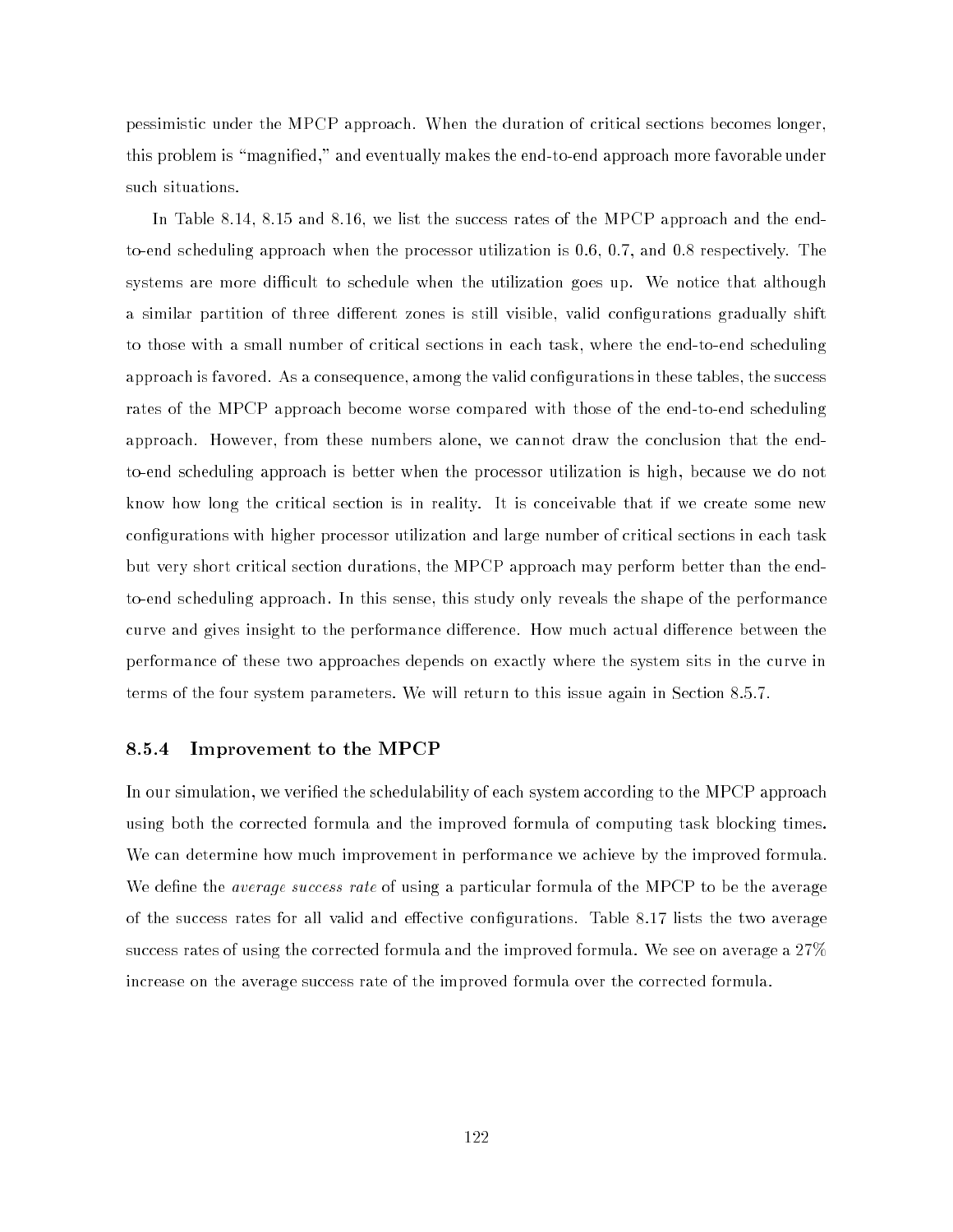pessimistic under the MPCP approach. When the duration of critical sections becomes longer, this problem is "magnified," and eventually makes the end-to-end approach more favorable under such situations.

In Table 8.14, 8.15 and 8.16, we list the success rates of the MPCP approach and the endto-end scheduling approach when the processor utilization is 0.6, 0.7, and 0.8 respectively. The systems are more difficult to schedule when the utilization goes up. We notice that although a similar partition of three different zones is still visible, valid configurations gradually shift to those with a small number of critical sections in each task, where the end-to-end scheduling approach is favored. As a consequence, among the valid configurations in these tables, the success rates of the MPCP approach become worse compared with those of the end-to-end scheduling approach. However, from these numbers alone, we cannot draw the conclusion that the endto-end scheduling approach is better when the processor utilization is high, because we do not know how long the critical section is in reality. It is conceivable that if we create some new configurations with higher processor utilization and large number of critical sections in each task but very short critical section durations, the MPCP approach may perform better than the endto-end scheduling approach. In this sense, this study only reveals the shape of the performance curve and gives insight to the performance difference. How much actual difference between the performance of these two approaches depends on exactly where the system sits in the curve in terms of the four system parameters. We will return to this issue again in Section 8.5.7.

#### 8.5.4 Improvement to the MPCP

In our simulation, we veried the schedulability of each system according to the MPCP approach using both the corrected formula and the improved formula of computing task blocking times. We can determine how much improvement in performance we achieve by the improved formula. We define the *average success rate* of using a particular formula of the MPCP to be the average of the success rates for all valid and effective configurations. Table 8.17 lists the two average success rates of using the corrected formula and the improved formula. We see on average a 27% increase on the average success rate of the improved formula over the corrected formula.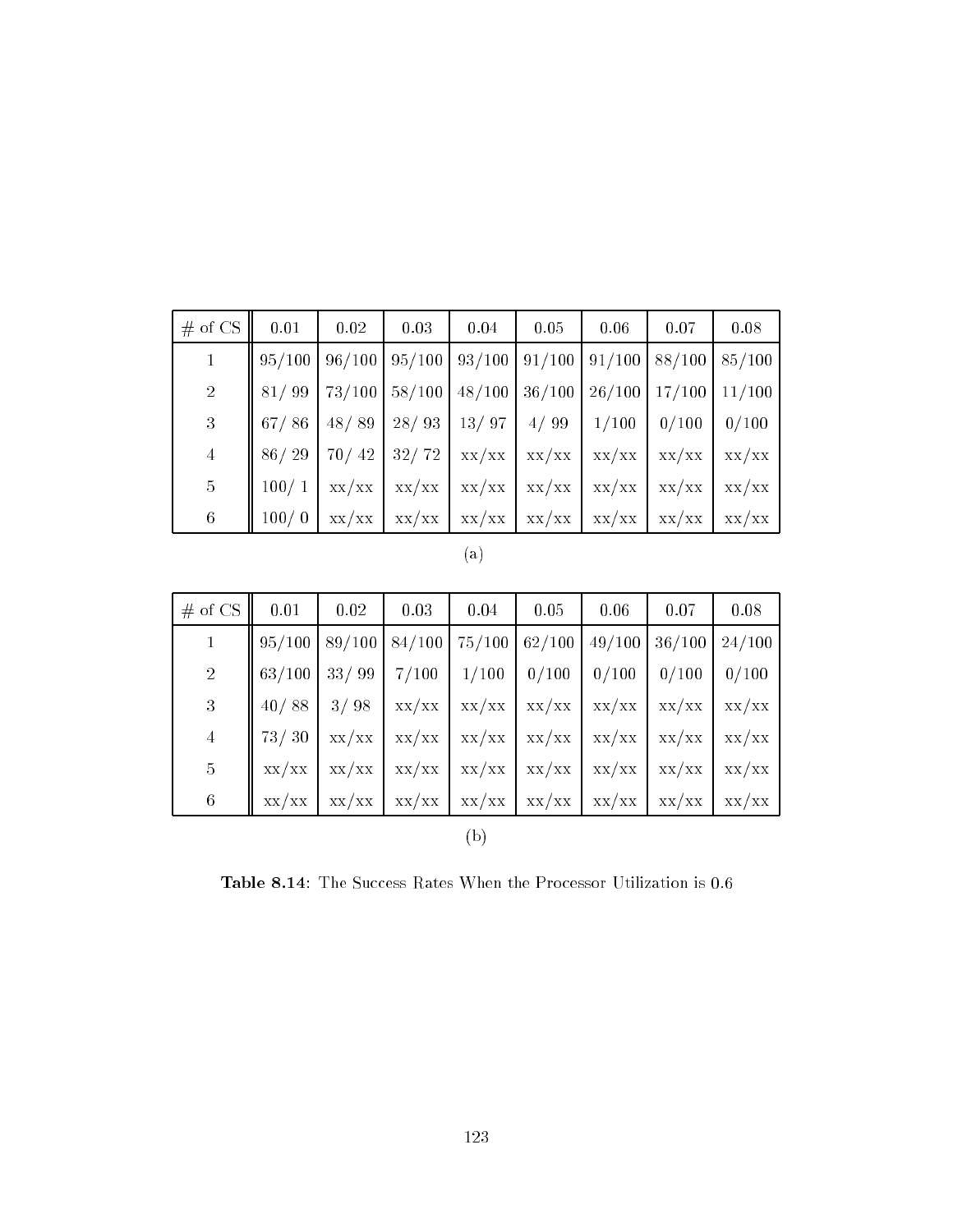| $#$ of CS      | 0.01   | 0.02   | 0.03   | 0.04                                                | 0.05   | 0.06                                             | 0.07            | 0.08   |
|----------------|--------|--------|--------|-----------------------------------------------------|--------|--------------------------------------------------|-----------------|--------|
|                | 95/100 | 96/100 |        | $95/100$   93/100   91/100   91/100   88/100        |        |                                                  |                 | 85/100 |
| <sup>2</sup>   | 81/99  | 73/100 | 58/100 | 48/100                                              | 36/100 | $26/100$ 17/100                                  |                 | 11/100 |
| $\mathbf{3}$   | 67/86  | 48/89  | 28/93  | 13/97                                               | 4/99   | 1/100                                            | 0/100           | 0/100  |
| $\overline{4}$ | 86/29  | 70/42  |        | $32/72$ xx/xx xx/xx                                 |        |                                                  | $XX/XX$ $XX/XX$ | XX/XX  |
| $5\,$          | 100/1  | XX/XX  | XX/XX  | XX/XX                                               | XX/XX  |                                                  | $XX/XX$ $XX/XX$ | XX/XX  |
| $\,6\,$        | 100/0  | XX/XX  | XX/XX  | $\mathbf{xx}/\mathbf{xx}$ $\mathbf{xx}/\mathbf{xx}$ |        | $\mathbf{X} \times \mathbf{X} \times \mathbf{X}$ |                 | XX/XX  |

| I |  |
|---|--|
|   |  |

| # of $CS$       | 0.01   | 0.02         | 0.03    | 0.04                                                            | 0.05            | 0.06                            | 0.07   | 0.08   |
|-----------------|--------|--------------|---------|-----------------------------------------------------------------|-----------------|---------------------------------|--------|--------|
|                 | 95/100 | 89/100       | 84/100  | $75/100$ 62/100                                                 |                 | 49/100                          | 36/100 | 24/100 |
| $\overline{2}$  | 63/100 | 33/99        | $7/100$ | 1/100                                                           | 0/100           | 0/100                           | 0/100  | 0/100  |
| $\overline{3}$  |        | $40/88$ 3/98 | XX/XX   |                                                                 | $xx/xx$ $xx/xx$ | $xx/xx$ $xx/xx$ $xx/xx$         |        |        |
| $\overline{4}$  | 73/30  | xx/xx        | XX/XX   |                                                                 | $XX/XX$ $XX/XX$ |                                 |        |        |
| $5\overline{)}$ | XX/XX  | XX/XX        | XX/XX   |                                                                 | $xx/xx$ $xx/xx$ | $\vert xx/xx \vert xx/xx \vert$ |        | XX/XX  |
| $\,6\,$         | XX/XX  | XX/XX        | XX/XX   | $\vert$ xx/xx $\vert$ xx/xx $\vert$ xx/xx $\vert$ xx/xx $\vert$ |                 |                                 |        | XX/XX  |
|                 |        |              |         | b.                                                              |                 |                                 |        |        |

Table 8.14: The Success Rates When the Processor Utilization is 0.6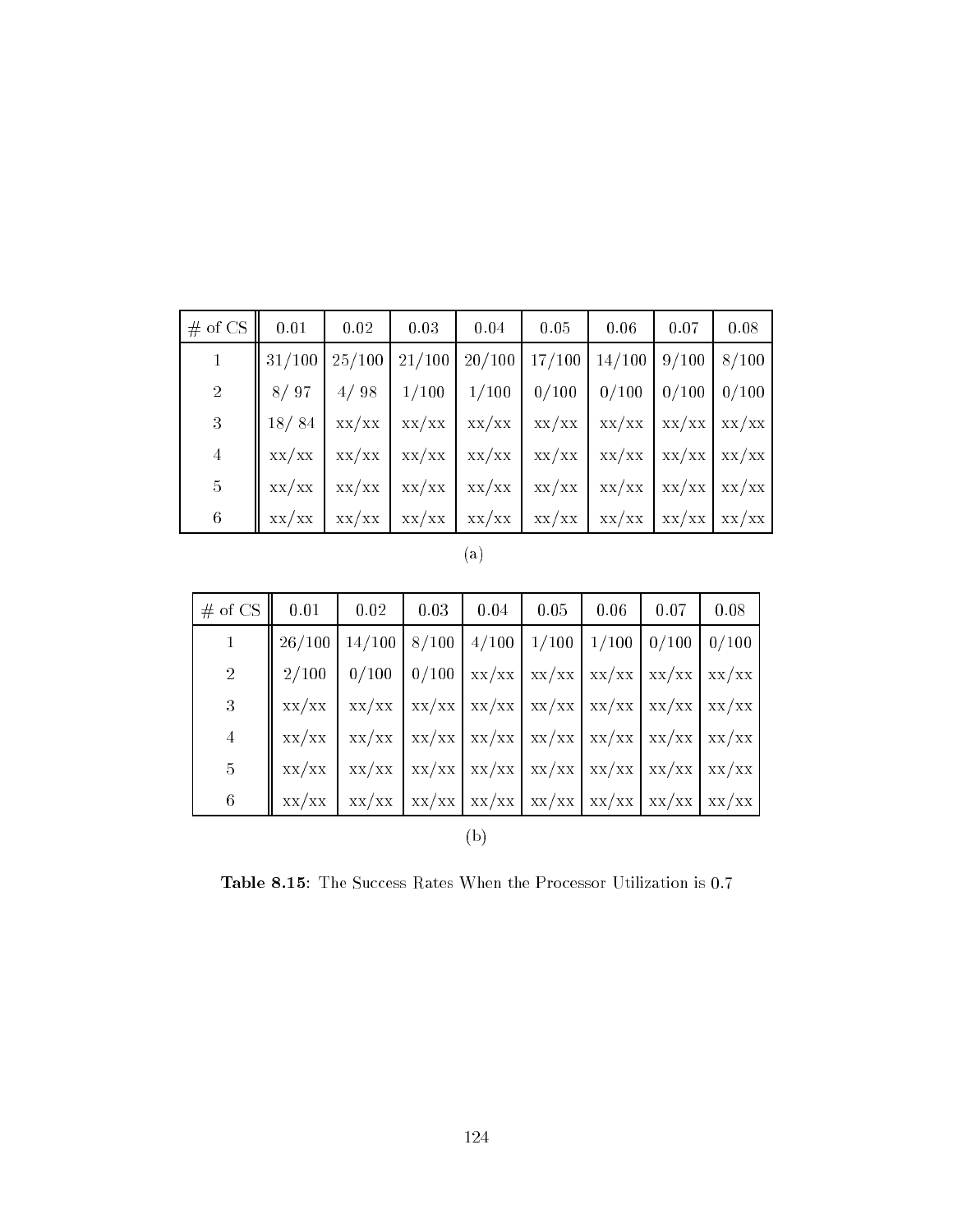| $#$ of CS      | 0.01               | 0.02 | 0.03 | $\begin{array}{c} \begin{array}{c} \end{array} \end{array}$ | 0.05                                                                                                                                                                          | $\vert 0.06$ | 0.07 | 0.08 |
|----------------|--------------------|------|------|-------------------------------------------------------------|-------------------------------------------------------------------------------------------------------------------------------------------------------------------------------|--------------|------|------|
|                | $\parallel$ 31/100 |      |      |                                                             | $\frac{25}{100}$ $\frac{21}{100}$ $\frac{20}{100}$ $\frac{17}{100}$ $\frac{14}{100}$ $\frac{9}{100}$ $\frac{8}{100}$                                                          |              |      |      |
| $\overline{2}$ |                    |      |      |                                                             | $8/97$   4/98   1/100   1/100   0/100   0/100   0/100   0/100                                                                                                                 |              |      |      |
| 3              | 18/84              |      |      |                                                             | $xx/xx$   $xx/xx$   $xx/xx$   $xx/xx$   $xx/xx$   $xx/xx$   $xx/xx$   $xx/xx$                                                                                                 |              |      |      |
| $\overline{4}$ |                    |      |      |                                                             | $xx/xx$   $xx/xx$   $xx/xx$   $xx/xx$   $xx/xx$   $xx/xx$   $xx/xx$   $xx/xx$   $xx/xx$                                                                                       |              |      |      |
| $\overline{5}$ |                    |      |      |                                                             | $xx/xx$   $xx/xx$   $xx/xx$   $xx/xx$   $xx/xx$   $xx/xx$   $xx/xx$   $xx/xx$   $xx/xx$                                                                                       |              |      |      |
| $\,6\,$        | XX/XX              |      |      |                                                             | $\left  \frac{xx}{xx} \right  \frac{xx}{xx} \left  \frac{xx}{xx} \right  \frac{xx}{xx} \left  \frac{xx}{xx} \right  \frac{xx}{xx} \left  \frac{xx}{xx} \right  \frac{xx}{xx}$ |              |      |      |

| # of CS $\parallel$ | 0.01 | 0.02                                                                                    | 0.03 | 0.04 | 0.05 | 0.06 | 0.07 | 0.08  |
|---------------------|------|-----------------------------------------------------------------------------------------|------|------|------|------|------|-------|
| $\mathbf{1}$        |      | $26/100$   14/100   8/100   4/100   1/100   1/100   0/100                               |      |      |      |      |      | 0/100 |
| 2 <sup>1</sup>      |      | $2/100$   0/100   0/100   xx/xx   xx/xx   xx/xx   xx/xx   xx/xx                         |      |      |      |      |      |       |
| 3                   |      | $xx/xx$   $xx/xx$   $xx/xx$   $xx/xx$   $xx/xx$   $xx/xx$   $xx/xx$   $xx/xx$   $xx/xx$ |      |      |      |      |      |       |
| $\overline{4}$      |      | $xx/xx$   $xx/xx$   $xx/xx$   $xx/xx$   $xx/xx$   $xx/xx$   $xx/xx$   $xx/xx$   $xx/xx$ |      |      |      |      |      |       |
| $\sqrt{5}$          |      | $xx/xx$   $xx/xx$   $xx/xx$   $xx/xx$   $xx/xx$   $xx/xx$   $xx/xx$   $xx/xx$   $xx/xx$ |      |      |      |      |      |       |
| 6                   |      | $xx/xx$   $xx/xx$   $xx/xx$   $xx/xx$   $xx/xx$   $xx/xx$   $xx/xx$   $xx/xx$   $xx/xx$ |      |      |      |      |      |       |
|                     |      |                                                                                         |      |      |      |      |      |       |

Table 8.15: The Success Rates When the Processor Utilization is 0.7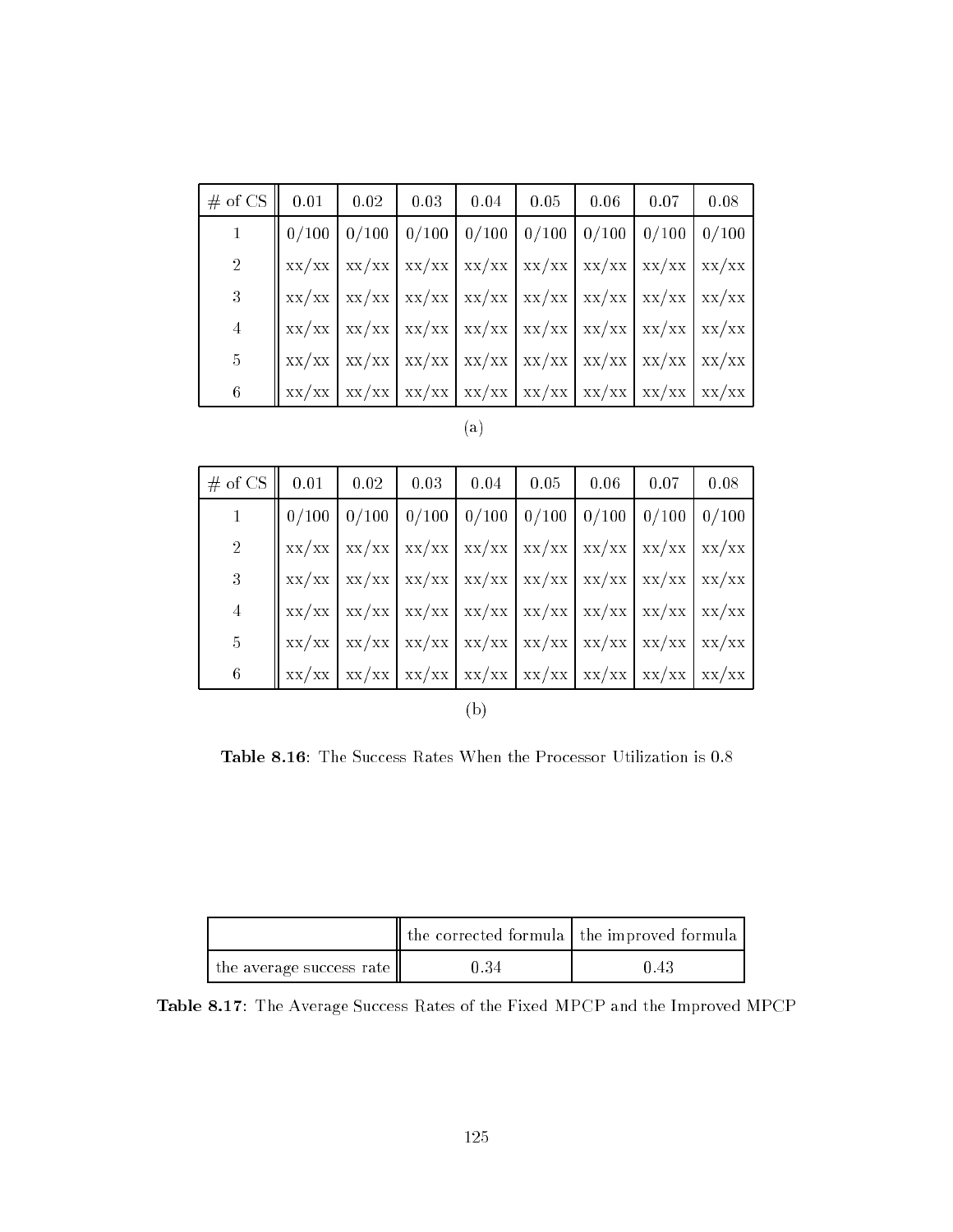| $\#$ of CS $\parallel$ 0.01 $\parallel$ 0.02 $\parallel$ 0.03 $\parallel$ 0.04 $\parallel$ 0.05 $\parallel$ 0.06 $\parallel$ 0.07 |                                                                                                                                                 |  |  |  | 0.08 |
|-----------------------------------------------------------------------------------------------------------------------------------|-------------------------------------------------------------------------------------------------------------------------------------------------|--|--|--|------|
| $\mathbf{1}$                                                                                                                      | $\parallel$ 0/100 $\parallel$ 0/100 $\parallel$ 0/100 $\parallel$ 0/100 $\parallel$ 0/100 $\parallel$ 0/100 $\parallel$ 0/100 $\parallel$ 0/100 |  |  |  |      |
| 2 <sup>1</sup>                                                                                                                    | xx/xx   xx/xx   xx/xx   xx/xx   xx/xx   xx/xx   xx/xx   xx/xx                                                                                   |  |  |  |      |
| 3 <sup>1</sup>                                                                                                                    | $\int$ xx/xx $\int$ xx/xx $\int$ xx/xx $\int$ xx/xx $\int$ xx/xx $\int$ xx/xx $\int$ xx/xx $\int$ xx/xx                                         |  |  |  |      |
| $\overline{4}$                                                                                                                    | $\parallel$ xx/xx $\parallel$ xx/xx $\parallel$ xx/xx $\parallel$ xx/xx $\parallel$ xx/xx $\parallel$ xx/xx $\parallel$ xx/xx $\parallel$ xx/xx |  |  |  |      |
| $\overline{5}$                                                                                                                    | $\parallel$ xx/xx $\parallel$ xx/xx $\parallel$ xx/xx $\parallel$ xx/xx $\parallel$ xx/xx $\parallel$ xx/xx $\parallel$ xx/xx $\parallel$ xx/xx |  |  |  |      |
| 6                                                                                                                                 | xx/xx   xx/xx   xx/xx   xx/xx   xx/xx   xx/xx   xx/xx   xx/xx                                                                                   |  |  |  |      |

|--|--|

| $\#$ of CS $\parallel$ 0.01 $\parallel$ 0.02 $\parallel$ 0.03 $\parallel$ 0.04 $\parallel$ 0.05 $\parallel$ 0.06 |                                                                                                                                                 |  |  | $\begin{array}{c} \begin{array}{c} \end{array}$ 0.07                                              | 0.08 |
|------------------------------------------------------------------------------------------------------------------|-------------------------------------------------------------------------------------------------------------------------------------------------|--|--|---------------------------------------------------------------------------------------------------|------|
|                                                                                                                  |                                                                                                                                                 |  |  | $0/100$   $0/100$   $0/100$   $0/100$   $0/100$   $0/100$   $0/100$   $0/100$                     |      |
| $\overline{2}$                                                                                                   |                                                                                                                                                 |  |  | $xx/xx$ $\int$ $xx/xx$ $\int$ $xx/xx$ $\int$ $xx/xx$ $\int$ $xx/xx$ $\int$ $xx/xx$ $\int$ $xx/xx$ |      |
| 3                                                                                                                | $\int$ xx/xx $\int$ xx/xx $\int$ xx/xx $\int$ xx/xx $\int$ xx/xx $\int$ xx/xx $\int$ xx/xx $\int$ xx/xx                                         |  |  |                                                                                                   |      |
| $\overline{4}$                                                                                                   | $\parallel$ xx/xx $\parallel$ xx/xx $\parallel$ xx/xx $\parallel$ xx/xx $\parallel$ xx/xx $\parallel$ xx/xx $\parallel$ xx/xx $\parallel$ xx/xx |  |  |                                                                                                   |      |
| 5 <sup>5</sup>                                                                                                   | $\parallel$ xx/xx $\parallel$ xx/xx $\parallel$ xx/xx $\parallel$ xx/xx $\parallel$ xx/xx $\parallel$ xx/xx $\parallel$ xx/xx $\parallel$ xx/xx |  |  |                                                                                                   |      |
| $\,6$                                                                                                            |                                                                                                                                                 |  |  | $xx/xx$   $xx/xx$   $xx/xx$   $xx/xx$   $xx/xx$   $xx/xx$   $xx/xx$   $xx/xx$   $xx/xx$           |      |
|                                                                                                                  |                                                                                                                                                 |  |  |                                                                                                   |      |

(b)

Table 8.16: The Success Rates When the Processor Utilization is 0.8

|                          | the corrected formula the improved formula |      |
|--------------------------|--------------------------------------------|------|
| the average success rate | 0.34                                       | 0.43 |

Table 8.17: The Average Success Rates of the Fixed MPCP and the Improved MPCP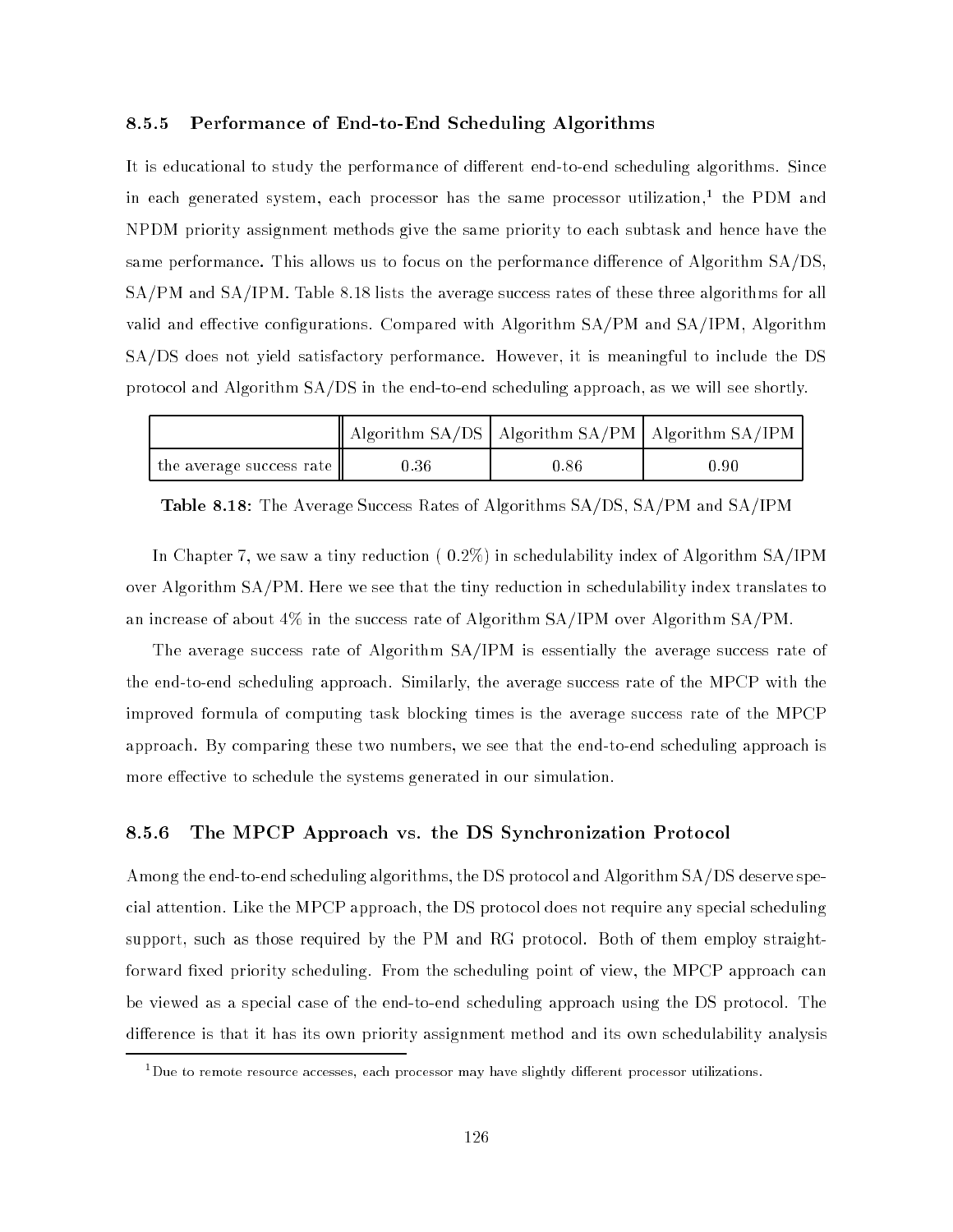#### 8.5.5 Performance of End-to-End Scheduling Algorithms

It is educational to study the performance of different end-to-end scheduling algorithms. Since in each generated system, each processor has the same processor utilization,1 the PDM and NPDM priority assignment methods give the same priority to each subtask and hence have the same performance. This allows us to focus on the performance difference of Algorithm SA/DS, SA/PM and SA/IPM. Table 8.18 lists the average success rates of these three algorithms for all valid and effective configurations. Compared with Algorithm  $SA/PM$  and  $SA/IPM$ , Algorithm SA/DS does not yield satisfactory performance. However, it is meaningful to include the DS protocol and Algorithm SA/DS in the end-to-end scheduling approach, as we will see shortly.

|                          |      |      | $\parallel$ Algorithm SA/DS $\parallel$ Algorithm SA/PM $\parallel$ Algorithm SA/IPM $\parallel$ |  |
|--------------------------|------|------|--------------------------------------------------------------------------------------------------|--|
| the average success rate | 0.36 | 0.86 | 0.90                                                                                             |  |

Table 8.18: The Average Success Rates of Algorithms SA/DS, SA/PM and SA/IPM

In Chapter 7, we saw a tiny reduction ( 0.2%) in schedulability index of Algorithm SA/IPM over Algorithm SA/PM. Here we see that the tiny reduction in schedulability index translates to an increase of about 4% in the success rate of Algorithm SA/IPM over Algorithm SA/PM.

The average success rate of Algorithm SA/IPM is essentially the average success rate of the end-to-end scheduling approach. Similarly, the average success rate of the MPCP with the improved formula of computing task blocking times is the average success rate of the MPCP approach. By comparing these two numbers, we see that the end-to-end scheduling approach is more effective to schedule the systems generated in our simulation.

#### 8.5.6 The MPCP Approach vs. the DS Synchronization Protocol

Among the end-to-end scheduling algorithms, the DS protocol and Algorithm SA/DS deserve special attention. Like the MPCP approach, the DS protocol does not require any special scheduling support, such as those required by the PM and RG protocol. Both of them employ straightforward fixed priority scheduling. From the scheduling point of view, the MPCP approach can be viewed as a special case of the end-to-end scheduling approach using the DS protocol. The difference is that it has its own priority assignment method and its own schedulability analysis

Due to remote resource accesses, each processor may have slightly different processor utilizations.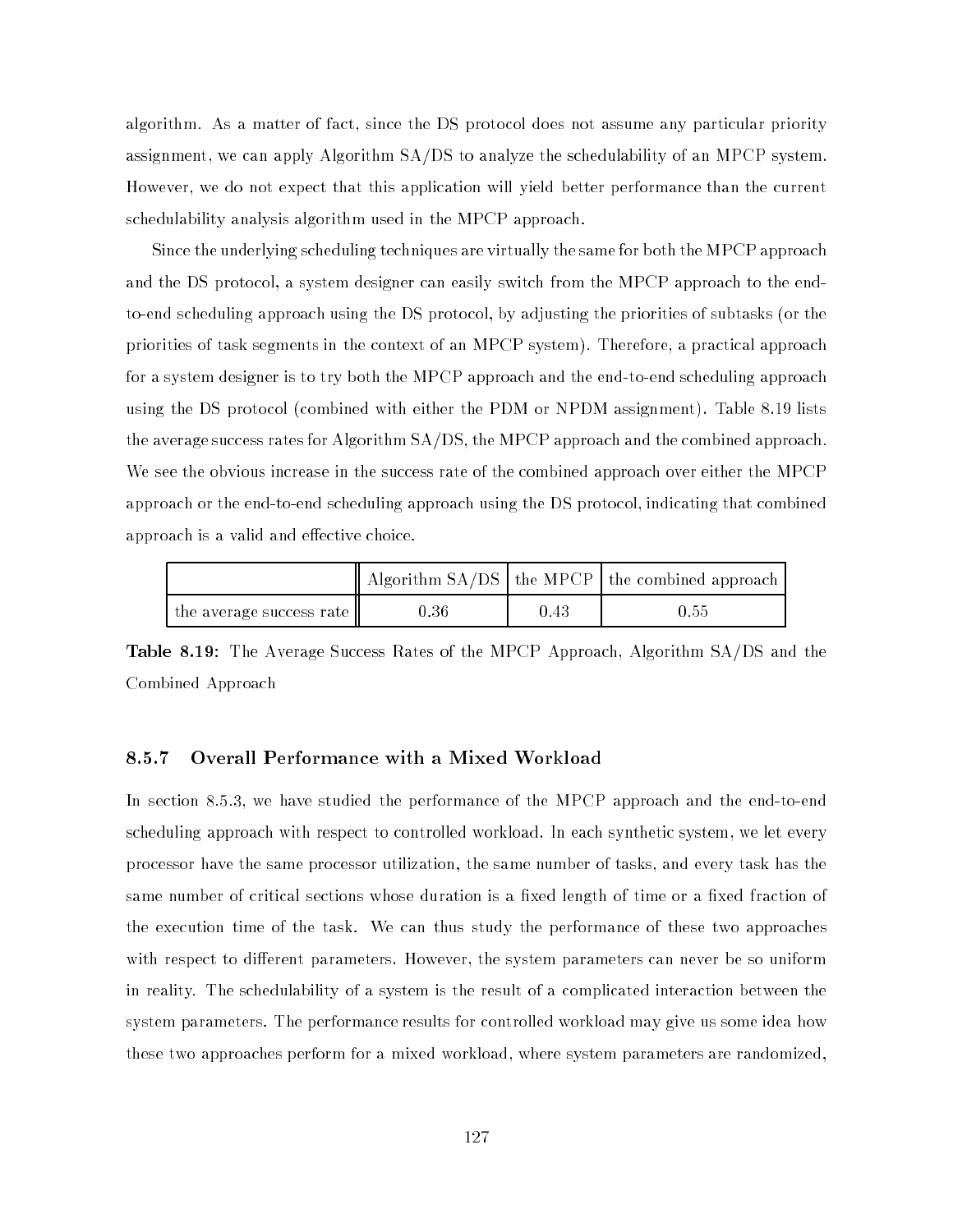algorithm. As a matter of fact, since the DS protocol does not assume any particular priority assignment, we can apply Algorithm SA/DS to analyze the schedulability of an MPCP system. However, we do not expect that this application will yield better performance than the current schedulability analysis algorithm used in the MPCP approach.

Since the underlying scheduling techniques are virtually the same for both the MPCP approach and the DS protocol, a system designer can easily switch from the MPCP approach to the endto-end scheduling approach using the DS protocol, by adjusting the priorities of subtasks (or the priorities of task segments in the context of an MPCP system). Therefore, a practical approach for a system designer is to try both the MPCP approach and the end-to-end scheduling approach using the DS protocol (combined with either the PDM or NPDM assignment). Table 8.19 lists the average success rates for Algorithm SA/DS, the MPCP approach and the combined approach. We see the obvious increase in the success rate of the combined approach over either the MPCP approach or the end-to-end scheduling approach using the DS protocol, indicating that combined approach is a valid and effective choice.

|                          |      |      | Algorithm $SA/DS$   the MPCP   the combined approach |
|--------------------------|------|------|------------------------------------------------------|
| the average success rate | 0.36 | 0.43 | 0.55                                                 |

Table 8.19: The Average Success Rates of the MPCP Approach, Algorithm SA/DS and the Combined Approach

#### 8.5.7 Overall Performance with a Mixed Workload

In section 8.5.3, we have studied the performance of the MPCP approach and the end-to-end scheduling approach with respect to controlled workload. In each synthetic system, we let every processor have the same processor utilization, the same number of tasks, and every task has the same number of critical sections whose duration is a fixed length of time or a fixed fraction of the execution time of the task. We can thus study the performance of these two approaches with respect to different parameters. However, the system parameters can never be so uniform in reality. The schedulability of a system is the result of a complicated interaction between the system parameters. The performance results for controlled workload may give us some idea how these two approaches perform for a mixed workload, where system parameters are randomized,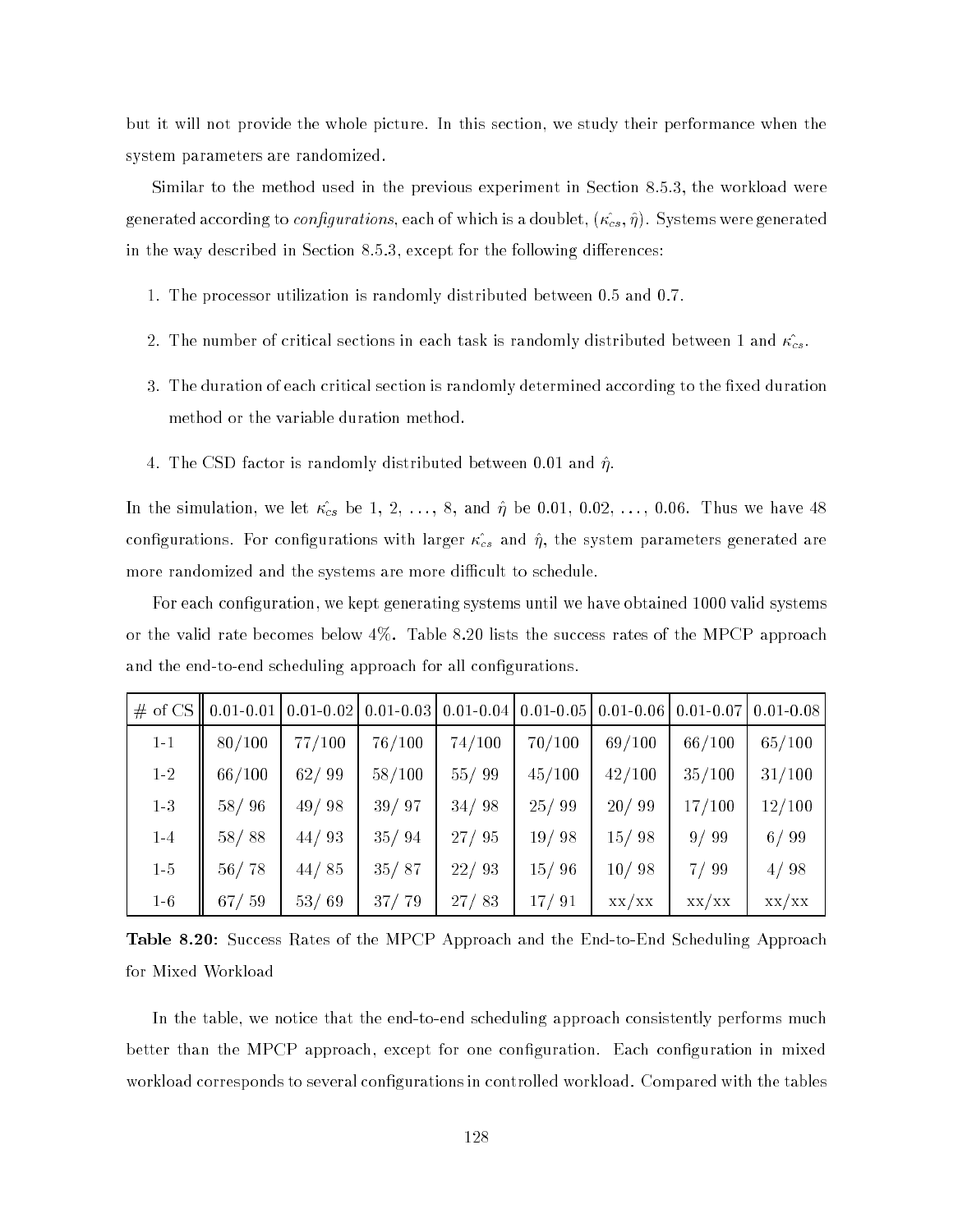but it will not provide the whole picture. In this section, we study their performance when the system parameters are randomized.

Similar to the method used in the previous experiment in Section 8.5.3, the workload were generated according to *configurations*, each of which is a doublet,  $(\kappa_{cs}^2, \hat{\eta})$ . Systems were generated in the way described in Section  $8.5.3$ , except for the following differences:

- 1. The processor utilization is randomly distributed between 0.5 and 0.7.
- 2. The number of critical sections in each task is randomly distributed between 1 and  $\kappa_{cs}^2$ .
- 3. The duration of each critical section is randomly determined according to the fixed duration method or the variable duration method.
- 4. The CSD factor is randomly distributed between 0.01 and  $\hat{\eta}$ .

In the simulation, we let  $\mathcal{A}$  it is strongly defined by  $\mathcal{A}$  and  $\mathcal{A}$ congurations. For congurations with larger ^cs and ^, the system parameters generated are more randomized and the systems are more difficult to schedule.

For each configuration, we kept generating systems until we have obtained 1000 valid systems or the valid rate becomes below 4%. Table 8.20 lists the success rates of the MPCP approach and the end-to-end scheduling approach for all configurations.

|         | $\#$ of CS    0.01-0.01   0.01-0.02   0.01-0.03 |        |        |        | $0.01 - 0.04$   0.01 - 0.05 | $0.01 - 0.06$ | $0.01 - 0.07$ | $0.01 - 0.08$ |
|---------|-------------------------------------------------|--------|--------|--------|-----------------------------|---------------|---------------|---------------|
| $1 - 1$ | 80/100                                          | 77/100 | 76/100 | 74/100 | 70/100                      | 69/100        | 66/100        | 65/100        |
| $1-2$   | 66/100                                          | 62/99  | 58/100 | 55/99  | 45/100                      | 42/100        | 35/100        | 31/100        |
| $1-3$   | 58/96                                           | 49/98  | 39/97  | 34/98  | 25/99                       | 20/99         | 17/100        | 12/100        |
| $1-4$   | 58/88                                           | 44/93  | 35/94  | 27/95  | 19/98                       | 15/98         | 9/99          | 6/99          |
| $1-5$   | 56/78                                           | 44/85  | 35/87  | 22/93  | 15/96                       | 10/98         | 7/99          | 4/98          |
| $1-6$   | 67/59                                           | 53/69  | 37/79  | 27/83  | 17/91                       | XX/XX         | XX/XX         | XX/XX         |

Table 8.20: Success Rates of the MPCP Approach and the End-to-End Scheduling Approach for Mixed Workload

In the table, we notice that the end-to-end scheduling approach consistently performs much better than the MPCP approach, except for one configuration. Each configuration in mixed workload corresponds to several configurations in controlled workload. Compared with the tables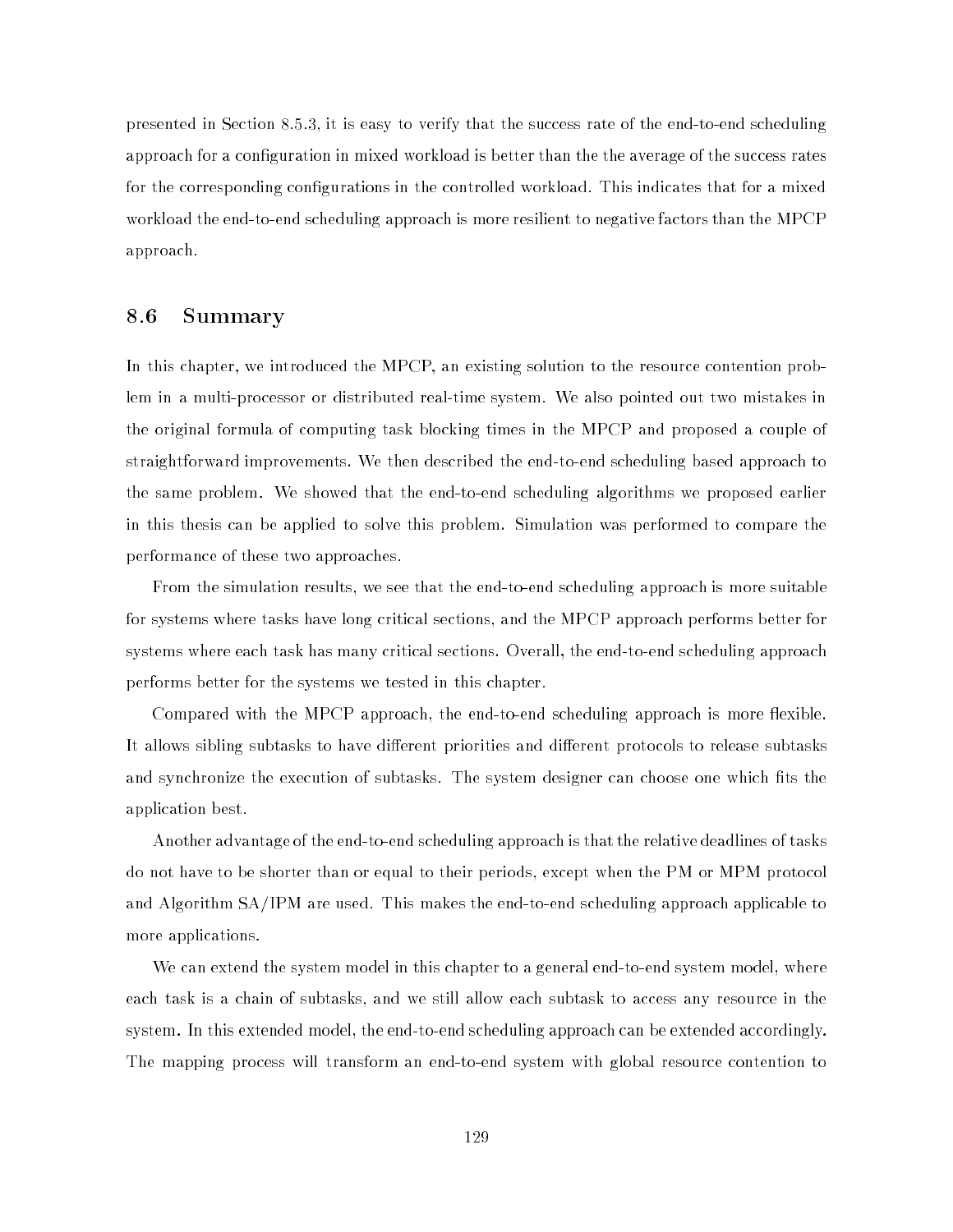presented in Section 8.5.3, it is easy to verify that the success rate of the end-to-end scheduling approach for a configuration in mixed workload is better than the the average of the success rates for the corresponding configurations in the controlled workload. This indicates that for a mixed workload the end-to-end scheduling approach is more resilient to negative factors than the MPCP approach.

## 8.6 Summary

In this chapter, we introduced the MPCP, an existing solution to the resource contention problem in a multi-processor or distributed real-time system. We also pointed out two mistakes in the original formula of computing task blocking times in the MPCP and proposed a couple of straightforward improvements. We then described the end-to-end scheduling based approach to the same problem. We showed that the end-to-end scheduling algorithms we proposed earlier in this thesis can be applied to solve this problem. Simulation was performed to compare the performance of these two approaches.

From the simulation results, we see that the end-to-end scheduling approach is more suitable for systems where tasks have long critical sections, and the MPCP approach performs better for systems where each task has many critical sections. Overall, the end-to-end scheduling approach performs better for the systems we tested in this chapter.

Compared with the MPCP approach, the end-to-end scheduling approach is more flexible. It allows sibling subtasks to have different priorities and different protocols to release subtasks and synchronize the execution of subtasks. The system designer can choose one which fits the application best.

Another advantage of the end-to-end scheduling approach is that the relative deadlines of tasks do not have to be shorter than or equal to their periods, except when the PM or MPM protocol and Algorithm SA/IPM are used. This makes the end-to-end scheduling approach applicable to more applications.

We can extend the system model in this chapter to a general end-to-end system model, where each task is a chain of subtasks, and we still allow each subtask to access any resource in the system. In this extended model, the end-to-end scheduling approach can be extended accordingly. The mapping process will transform an end-to-end system with global resource contention to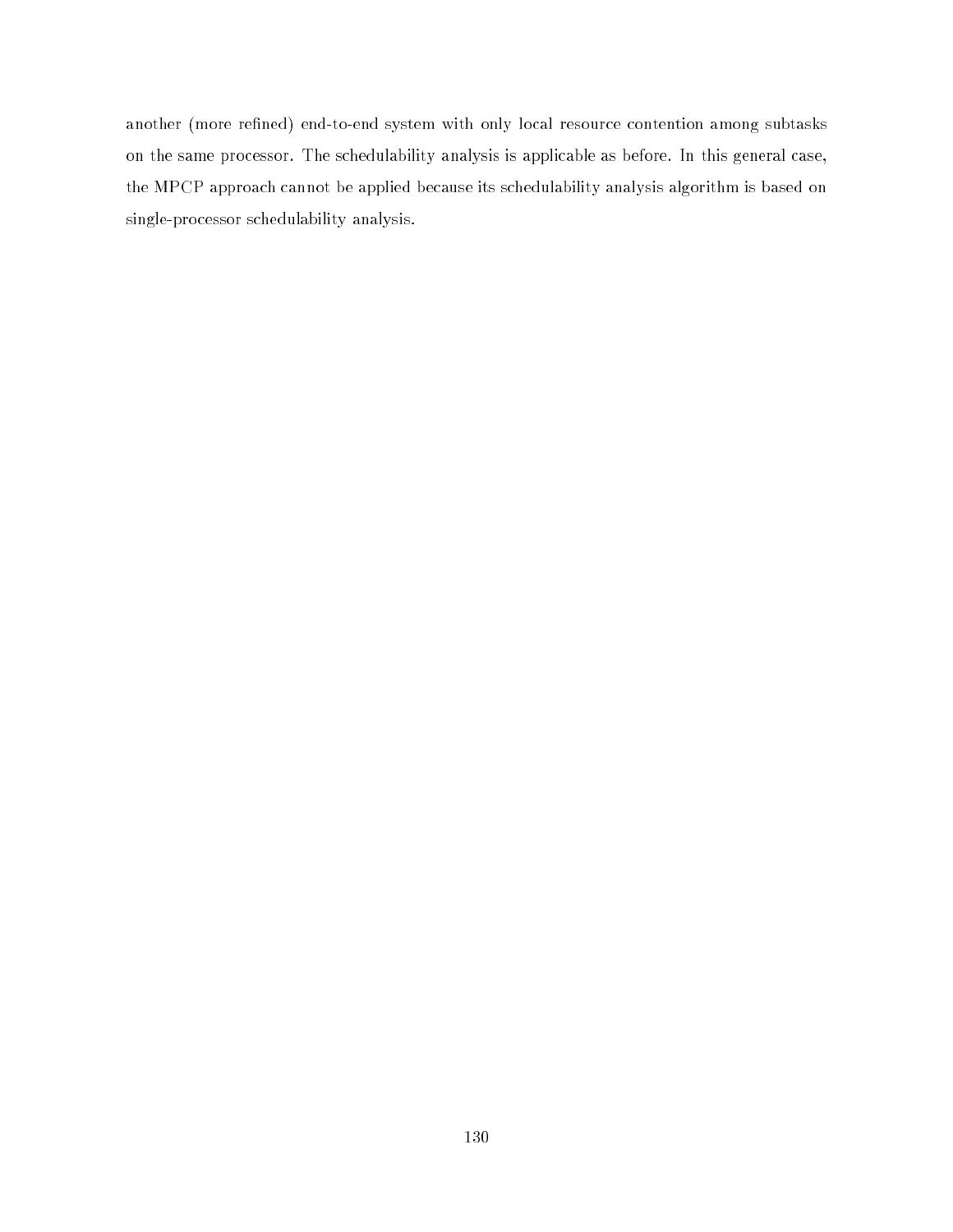another (more refined) end-to-end system with only local resource contention among subtasks on the same processor. The schedulability analysis is applicable as before. In this general case, the MPCP approach cannot be applied because its schedulability analysis algorithm is based on single-processor schedulability analysis.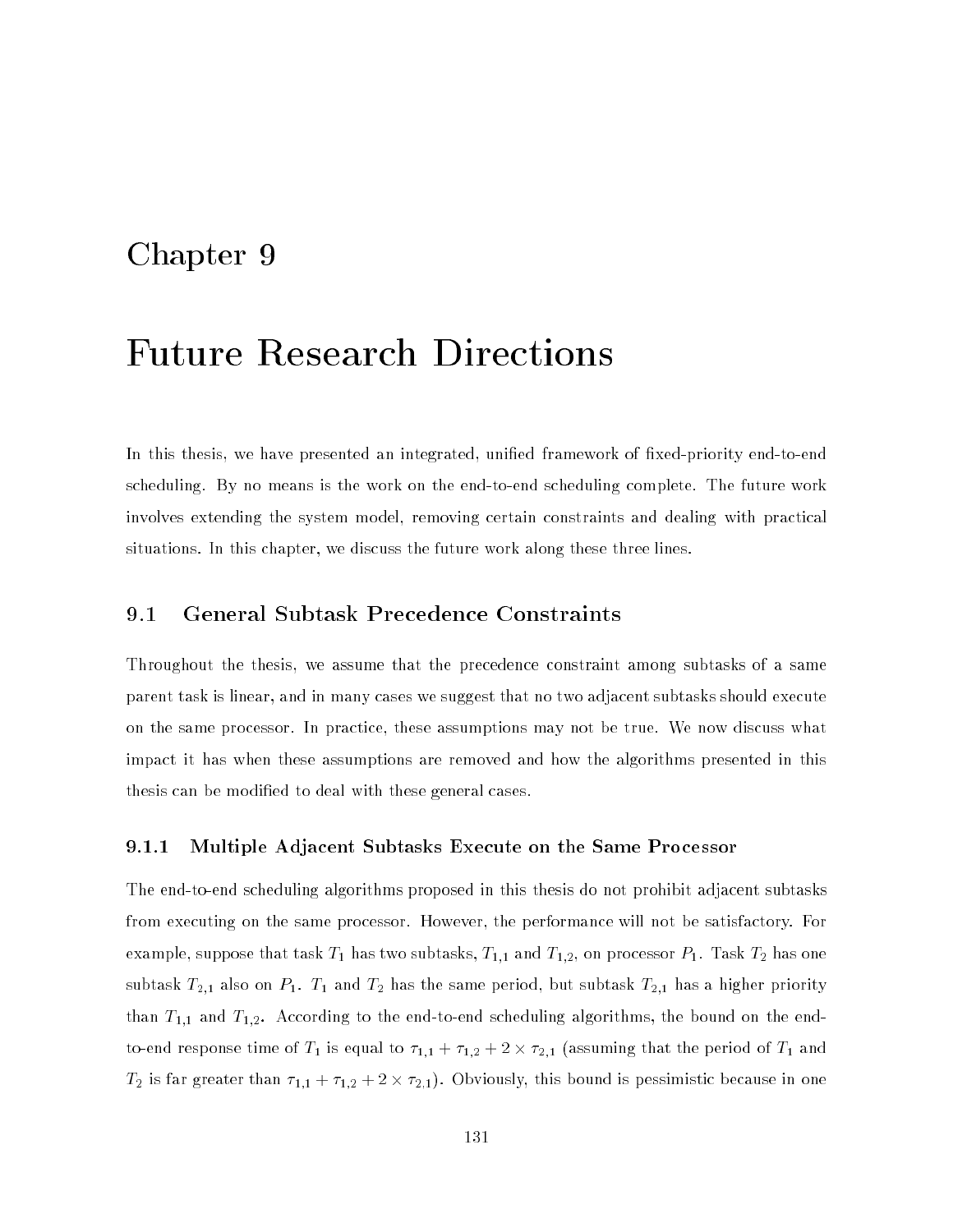# Chapter 9

# Future Research Directions

In this thesis, we have presented an integrated, unified framework of fixed-priority end-to-end scheduling. By no means is the work on the end-to-end scheduling complete. The future work involves extending the system model, removing certain constraints and dealing with practical situations. In this chapter, we discuss the future work along these three lines.

### 9.1 General Subtask Precedence Constraints

Throughout the thesis, we assume that the precedence constraint among subtasks of a same parent task is linear, and in many cases we suggest that no two adjacent subtasks should execute on the same processor. In practice, these assumptions may not be true. We now discuss what impact it has when these assumptions are removed and how the algorithms presented in this thesis can be modied to deal with these general cases.

#### 9.1.1 Multiple Adjacent Subtasks Execute on the Same Processor

The end-to-end scheduling algorithms proposed in this thesis do not prohibit adjacent subtasks from executing on the same processor. However, the performance will not be satisfactory. For example, suppose that task  $T_1$  has two subtasks,  $T_{1,1}$  and  $T_{1,2}$ , on processor  $P_1$ . Task  $T_2$  has one subtask  $T_{2,1}$  also on  $P_1$ .  $T_1$  and  $T_2$  has the same period, but subtask  $T_{2,1}$  has a higher priority than  $T_{1,1}$  and  $T_{1,2}$ . According to the end-to-end scheduling algorithms, the bound on the endto-end response time of T1 is equal to 1;1 + 1;2 + 2;1 (assuming that the period of T1 and T2 is far greater than 1;1 <sup>+</sup> 1;2 + 2 - 2;1). Obviously, this bound is pessimistic because in one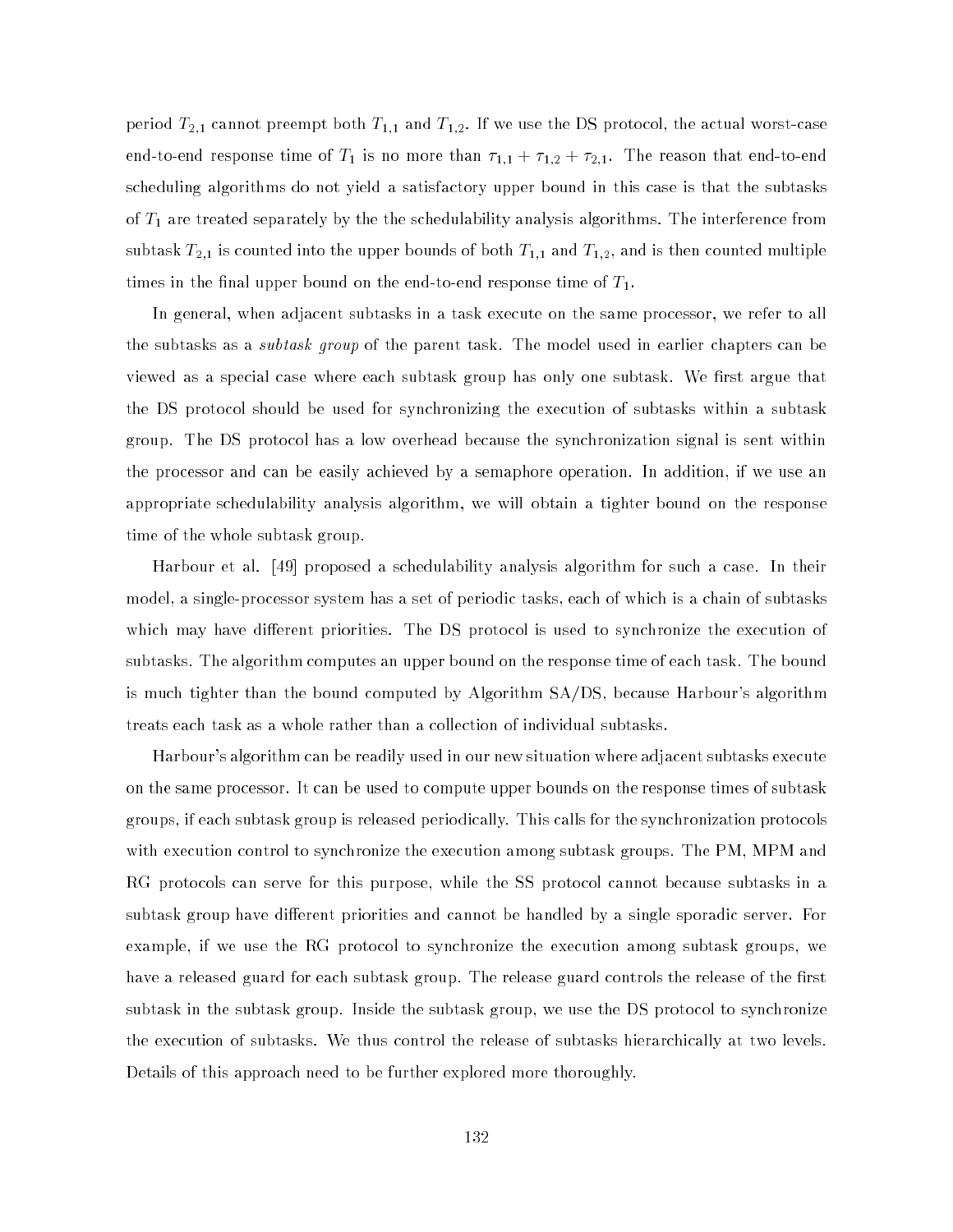period  $T_{2,1}$  cannot preempt both  $T_{1,1}$  and  $T_{1,2}.$  If we use the DS protocol, the actual worst-case end-to-end response time of  $T_1$  is no more than  $\tau_{1,1} + \tau_{1,2} + \tau_{2,1}$ . The reason that end-to-end scheduling algorithms do not yield a satisfactory upper bound in this case is that the subtasks of  $T_1$  are treated separately by the the schedulability analysis algorithms. The interference from subtask  $T_{2,1}$  is counted into the upper bounds of both  $T_{1,1}$  and  $T_{1,2}$ , and is then counted multiple times in the final upper bound on the end-to-end response time of  $T_1$ .

In general, when adjacent subtasks in a task execute on the same processor, we refer to all the subtasks as a *subtask group* of the parent task. The model used in earlier chapters can be viewed as a special case where each subtask group has only one subtask. We first argue that the DS protocol should be used for synchronizing the execution of subtasks within a subtask group. The DS protocol has a low overhead because the synchronization signal is sent within the processor and can be easily achieved by a semaphore operation. In addition, if we use an appropriate schedulability analysis algorithm, we will obtain a tighter bound on the response time of the whole subtask group.

Harbour et al. [49] proposed a schedulability analysis algorithm for such a case. In their model, a single-processor system has a set of periodic tasks, each of which is a chain of subtasks which may have different priorities. The DS protocol is used to synchronize the execution of subtasks. The algorithm computes an upper bound on the response time of each task. The bound is much tighter than the bound computed by Algorithm SA/DS, because Harbour's algorithm treats each task as a whole rather than a collection of individual subtasks.

Harbour's algorithm can be readily used in our new situation where adjacent subtasks execute on the same processor. It can be used to compute upper bounds on the response times of subtask groups, if each subtask group is released periodically. This calls for the synchronization protocols with execution control to synchronize the execution among subtask groups. The PM, MPM and RG protocols can serve for this purpose, while the SS protocol cannot because subtasks in a subtask group have different priorities and cannot be handled by a single sporadic server. For example, if we use the RG protocol to synchronize the execution among subtask groups, we have a released guard for each subtask group. The release guard controls the release of the first subtask in the subtask group. Inside the subtask group, we use the DS protocol to synchronize the execution of subtasks. We thus control the release of subtasks hierarchically at two levels. Details of this approach need to be further explored more thoroughly.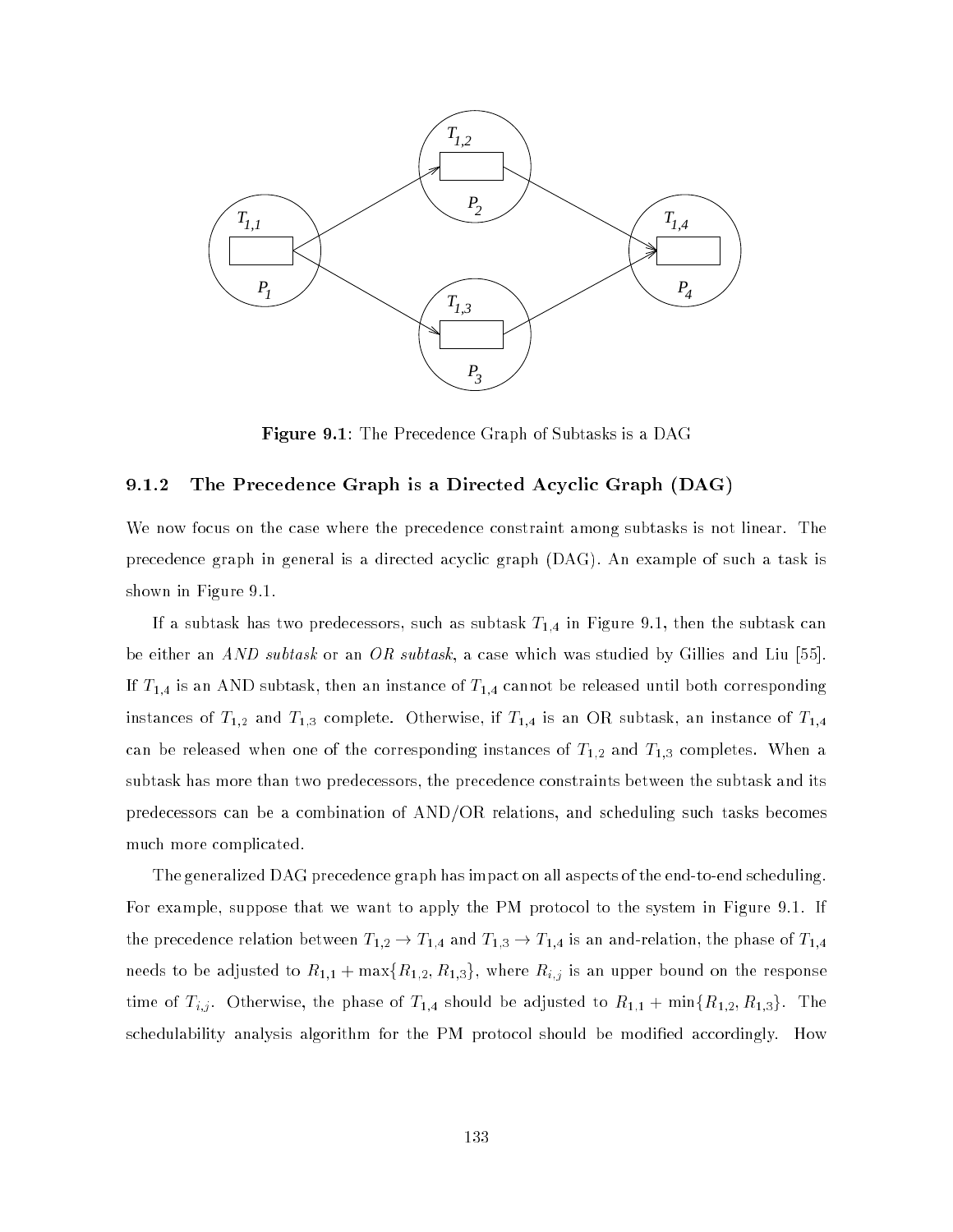

Figure 9.1: The Precedence Graph of Subtasks is a DAG

#### 9.1.2 The Precedence Graph is a Directed Acyclic Graph (DAG)

We now focus on the case where the precedence constraint among subtasks is not linear. The precedence graph in general is a directed acyclic graph (DAG). An example of such a task is shown in Figure 9.1.

If a subtask has two predecessors, such as subtask  $T_{1,4}$  in Figure 9.1, then the subtask can be either an *AND subtask* or an *OR subtask*, a case which was studied by Gillies and Liu [55]. If  $T_{1,4}$  is an AND subtask, then an instance of  $T_{1,4}$  cannot be released until both corresponding instances of  $T_{1,2}$  and  $T_{1,3}$  complete. Otherwise, if  $T_{1,4}$  is an OR subtask, an instance of  $T_{1,4}$ can be released when one of the corresponding instances of  $T_{1,2}$  and  $T_{1,3}$  completes. When a subtask has more than two predecessors, the precedence constraints between the subtask and its predecessors can be a combination of AND/OR relations, and scheduling such tasks becomes much more complicated.

The generalized DAG precedence graph has impact on all aspects of the end-to-end scheduling. For example, suppose that we want to apply the PM protocol to the system in Figure 9.1. If the precedence relation between  $T_{1,2} \to T_{1,4}$  and  $T_{1,3} \to T_{1,4}$  is an and-relation, the phase of  $T_{1,4}$ needs to be adjusted to  $R_{1,1}$  + max{ $R_{1,2}, R_{1,3}$ }, where  $R_{i,j}$  is an upper bound on the response time of Ti;j . Otherwise, the phase of T1;4 should be adjusted to R1;1 + minfR1;2; R1;3g. The schedulability analysis algorithm for the PM protocol should be modified accordingly. How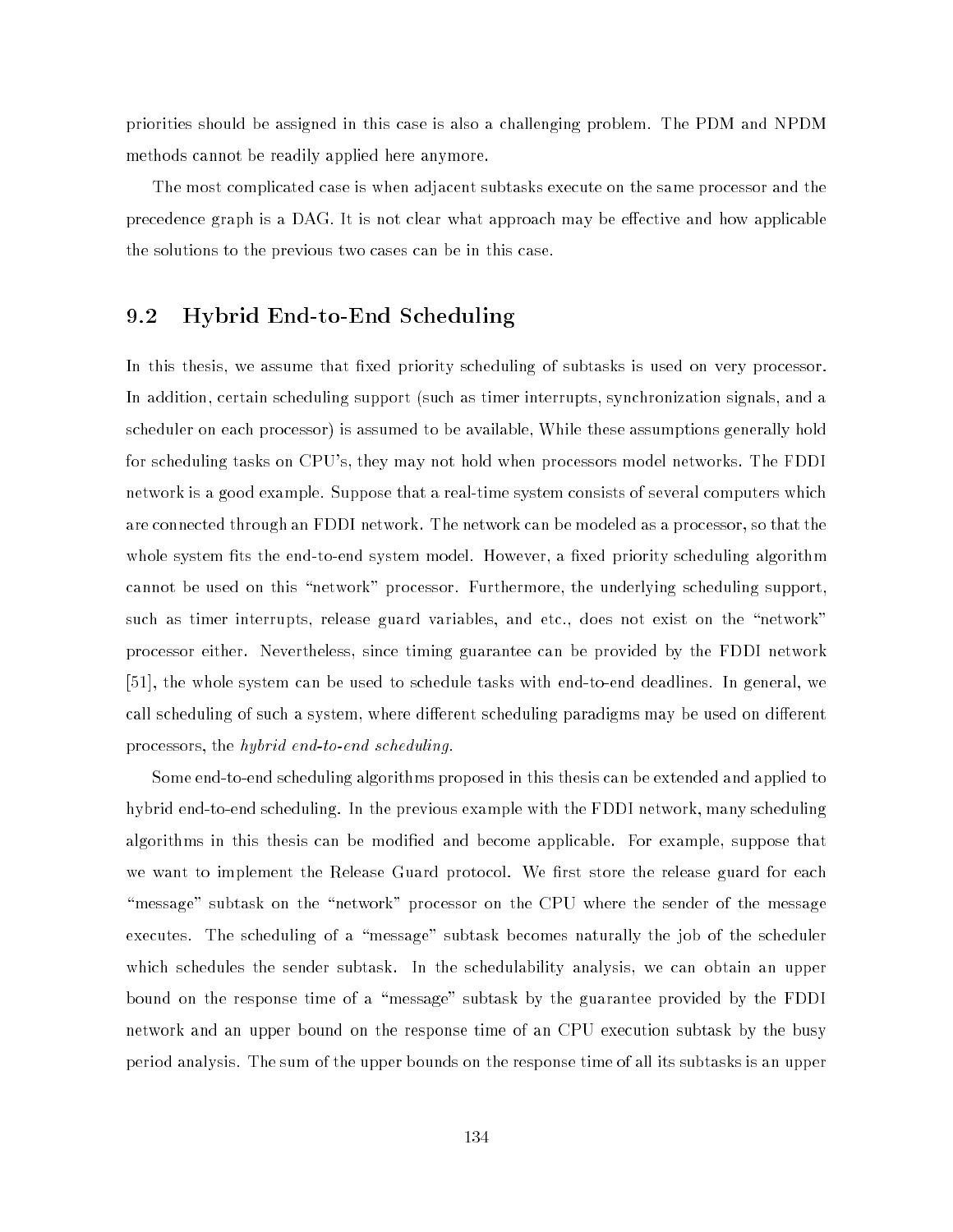priorities should be assigned in this case is also a challenging problem. The PDM and NPDM methods cannot be readily applied here anymore.

The most complicated case is when adjacent subtasks execute on the same processor and the precedence graph is a DAG. It is not clear what approach may be effective and how applicable the solutions to the previous two cases can be in this case.

# 9.2 Hybrid End-to-End Scheduling

In this thesis, we assume that fixed priority scheduling of subtasks is used on very processor. In addition, certain scheduling support (such as timer interrupts, synchronization signals, and a scheduler on each processor) is assumed to be available, While these assumptions generally hold for scheduling tasks on CPU's, they may not hold when processors model networks. The FDDI network is a good example. Suppose that a real-time system consists of several computers which are connected through an FDDI network. The network can be modeled as a processor, so that the whole system fits the end-to-end system model. However, a fixed priority scheduling algorithm cannot be used on this "network" processor. Furthermore, the underlying scheduling support, such as timer interrupts, release guard variables, and etc., does not exist on the "network" processor either. Nevertheless, since timing guarantee can be provided by the FDDI network [51], the whole system can be used to schedule tasks with end-to-end deadlines. In general, we call scheduling of such a system, where different scheduling paradigms may be used on different processors, the hybrid end-to-end scheduling.

Some end-to-end scheduling algorithms proposed in this thesis can be extended and applied to hybrid end-to-end scheduling. In the previous example with the FDDI network, many scheduling algorithms in this thesis can be modied and become applicable. For example, suppose that we want to implement the Release Guard protocol. We first store the release guard for each "message" subtask on the "network" processor on the CPU where the sender of the message executes. The scheduling of a "message" subtask becomes naturally the job of the scheduler which schedules the sender subtask. In the schedulability analysis, we can obtain an upper bound on the response time of a \message" subtask by the guarantee provided by the FDDI network and an upper bound on the response time of an CPU execution subtask by the busy period analysis. The sum of the upper bounds on the response time of all its subtasks is an upper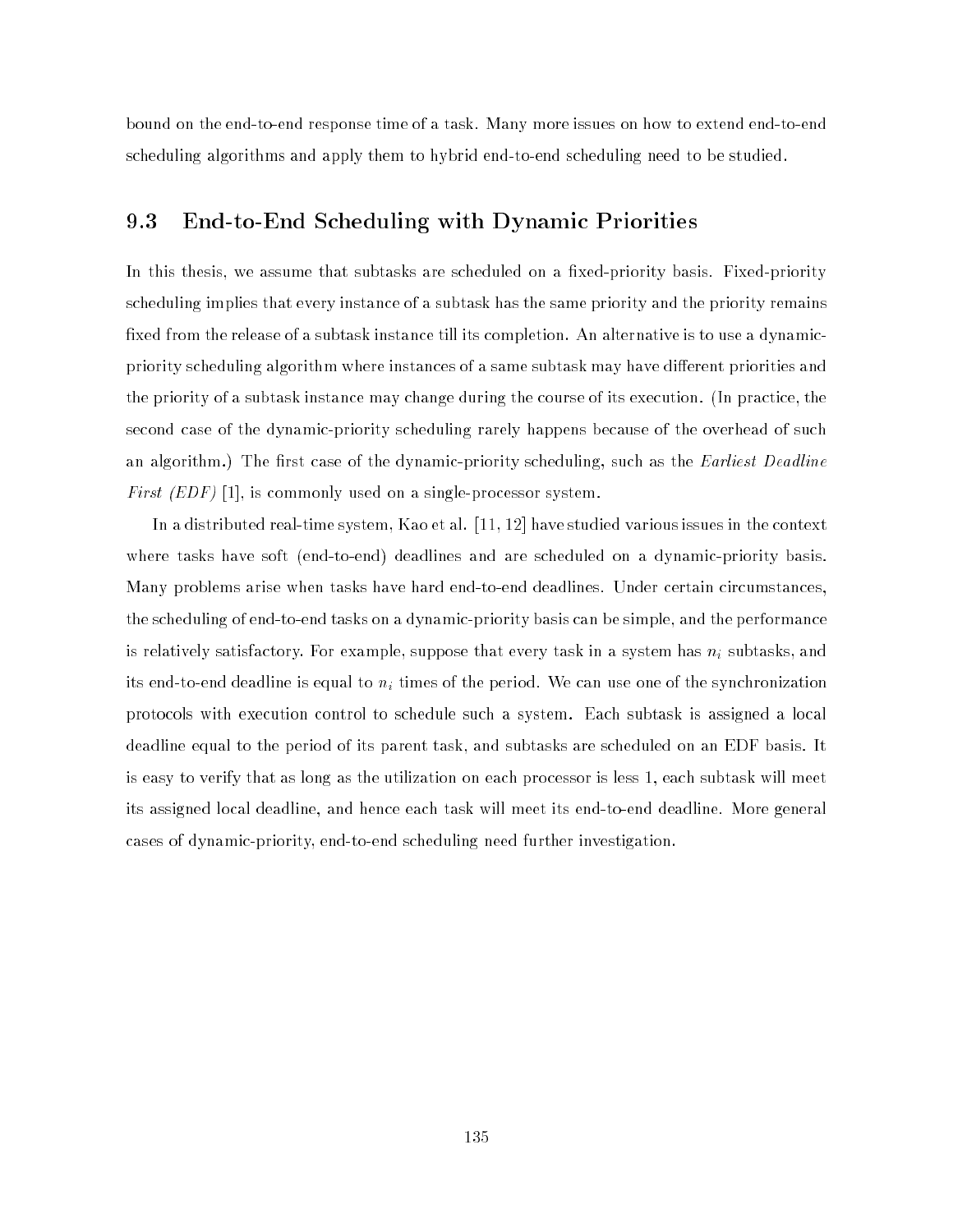bound on the end-to-end response time of a task. Many more issues on how to extend end-to-end scheduling algorithms and apply them to hybrid end-to-end scheduling need to be studied.

# 9.3 End-to-End Scheduling with Dynamic Priorities

In this thesis, we assume that subtasks are scheduled on a fixed-priority basis. Fixed-priority scheduling implies that every instance of a subtask has the same priority and the priority remains fixed from the release of a subtask instance till its completion. An alternative is to use a dynamicpriority scheduling algorithm where instances of a same subtask may have different priorities and the priority of a subtask instance may change during the course of its execution. (In practice, the second case of the dynamic-priority scheduling rarely happens because of the overhead of such an algorithm.) The first case of the dynamic-priority scheduling, such as the *Earliest Deadline* First (EDF) [1], is commonly used on a single-processor system.

In a distributed real-time system, Kao et al. [11, 12] have studied various issues in the context where tasks have soft (end-to-end) deadlines and are scheduled on a dynamic-priority basis. Many problems arise when tasks have hard end-to-end deadlines. Under certain circumstances, the scheduling of end-to-end tasks on a dynamic-priority basis can be simple, and the performance is relatively satisfactory. For example, suppose that every task in a system has ni subtasks, and its end-to-end-to-end-to-end deadline is equal to-end-to-end-to-end-to-end-to-end-to-end-to-end-to-end-to-endprotocols with execution control to schedule such a system. Each subtask is assigned a local deadline equal to the period of its parent task, and subtasks are scheduled on an EDF basis. It is easy to verify that as long as the utilization on each processor is less 1, each subtask will meet its assigned local deadline, and hence each task will meet its end-to-end deadline. More general cases of dynamic-priority, end-to-end scheduling need further investigation.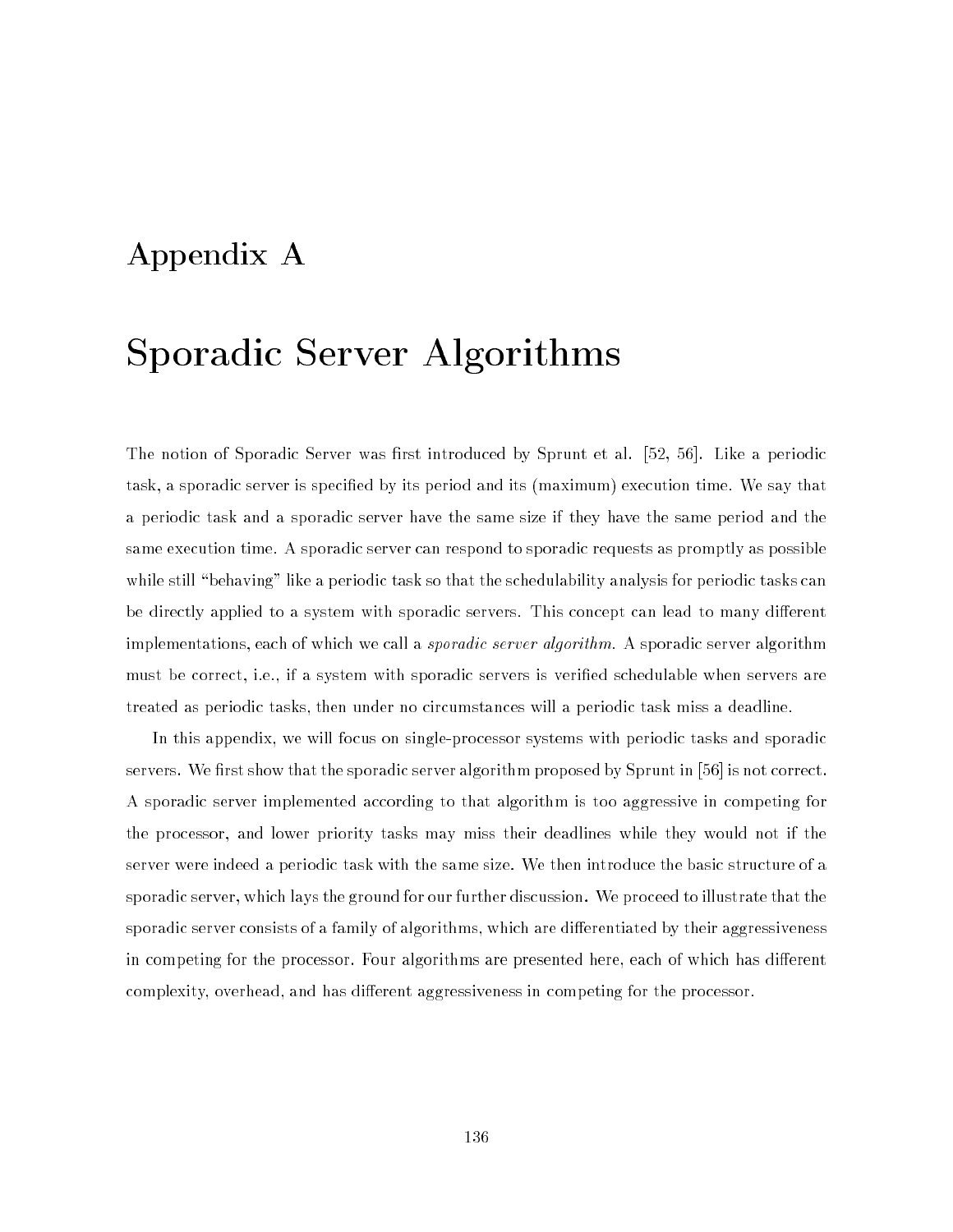# Appendix A

# Sporadic Server Algorithms

The notion of Sporadic Server was first introduced by Sprunt et al. [52, 56]. Like a periodic task, a sporadic server is specied by its period and its (maximum) execution time. We say that a periodic task and a sporadic server have the same size if they have the same period and the same execution time. A sporadic server can respond to sporadic requests as promptly as possible while still "behaving" like a periodic task so that the schedulability analysis for periodic tasks can be directly applied to a system with sporadic servers. This concept can lead to many different implementations, each of which we call a *sporadic server algorithm*. A sporadic server algorithm must be correct, i.e., if a system with sporadic servers is veried schedulable when servers are treated as periodic tasks, then under no circumstances will a periodic task miss a deadline.

In this appendix, we will focus on single-processor systems with periodic tasks and sporadic servers. We first show that the sporadic server algorithm proposed by Sprunt in [56] is not correct. A sporadic server implemented according to that algorithm is too aggressive in competing for the processor, and lower priority tasks may miss their deadlines while they would not if the server were indeed a periodic task with the same size. We then introduce the basic structure of a sporadic server, which lays the ground for our further discussion. We proceed to illustrate that the sporadic server consists of a family of algorithms, which are differentiated by their aggressiveness in competing for the processor. Four algorithms are presented here, each of which has different complexity, overhead, and has different aggressiveness in competing for the processor.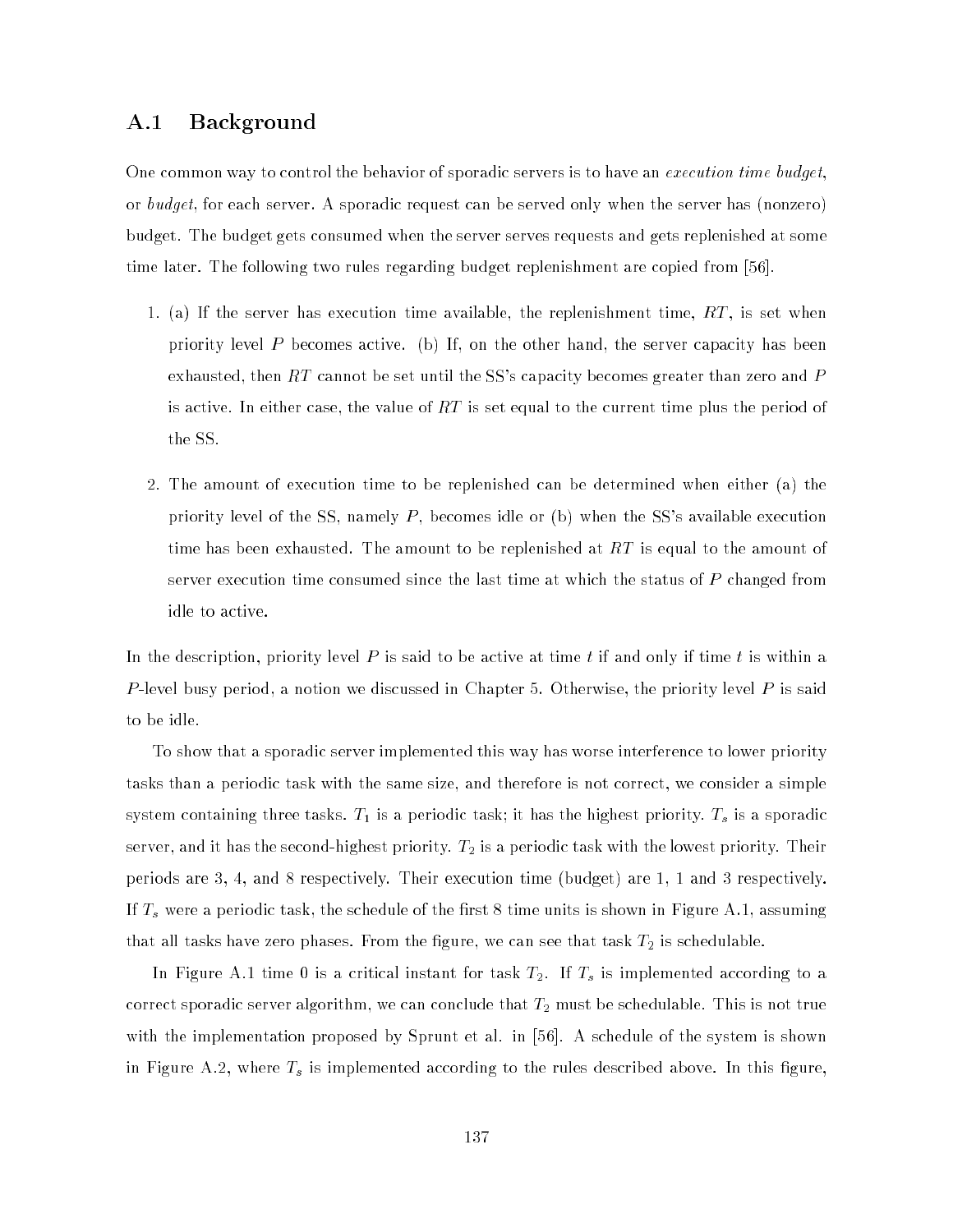# A.1 Background

One common way to control the behavior of sporadic servers is to have an *execution time budget*. or budget, for each server. A sporadic request can be served only when the server has (nonzero) budget. The budget gets consumed when the server serves requests and gets replenished at some time later. The following two rules regarding budget replenishment are copied from [56].

- 1. (a) If the server has execution time available, the replenishment time,  $RT$ , is set when priority level P becomes active. (b) If, on the other hand, the server capacity has been exhausted, then  $RT$  cannot be set until the SS's capacity becomes greater than zero and  $P$ is active. In either case, the value of  $RT$  is set equal to the current time plus the period of the SS.
- 2. The amount of execution time to be replenished can be determined when either (a) the priority level of the SS, namely  $P$ , becomes idle or (b) when the SS's available execution time has been exhausted. The amount to be replenished at  $RT$  is equal to the amount of server execution time consumed since the last time at which the status of  $P$  changed from idle to active.

In the description, priority level  $P$  is said to be active at time  $t$  if and only if time  $t$  is within a  $P$ -level busy period, a notion we discussed in Chapter 5. Otherwise, the priority level  $P$  is said to be idle.

To show that a sporadic server implemented this way has worse interference to lower priority tasks than a periodic task with the same size, and therefore is not correct, we consider a simple system containing three tasks.  $T_1$  is a periodic task; it has the highest priority.  $T_s$  is a sporadic server, and it has the second-highest priority.  $T_2$  is a periodic task with the lowest priority. Their periods are 3, 4, and 8 respectively. Their execution time (budget) are 1, 1 and 3 respectively.  $\omega$  is the schedule of the schedule of the schedule of the schedule of the shown in Figure A.1, assuming A.1, assuming  $\Omega$ that all tasks have zero phases. From the figure, we can see that task  $T_2$  is schedulable.

In Figure A.1 time 0 is a critical instant for task  $T_2$ . If  $T_s$  is implemented according to a correct sporadic server algorithm, we can conclude that  $T_2$  must be schedulable. This is not true with the implementation proposed by Sprunt et al. in [56]. A schedule of the system is shown in Figure A.2, where  $\alpha$  is in this implemented according to the rules described above. In this implemented above.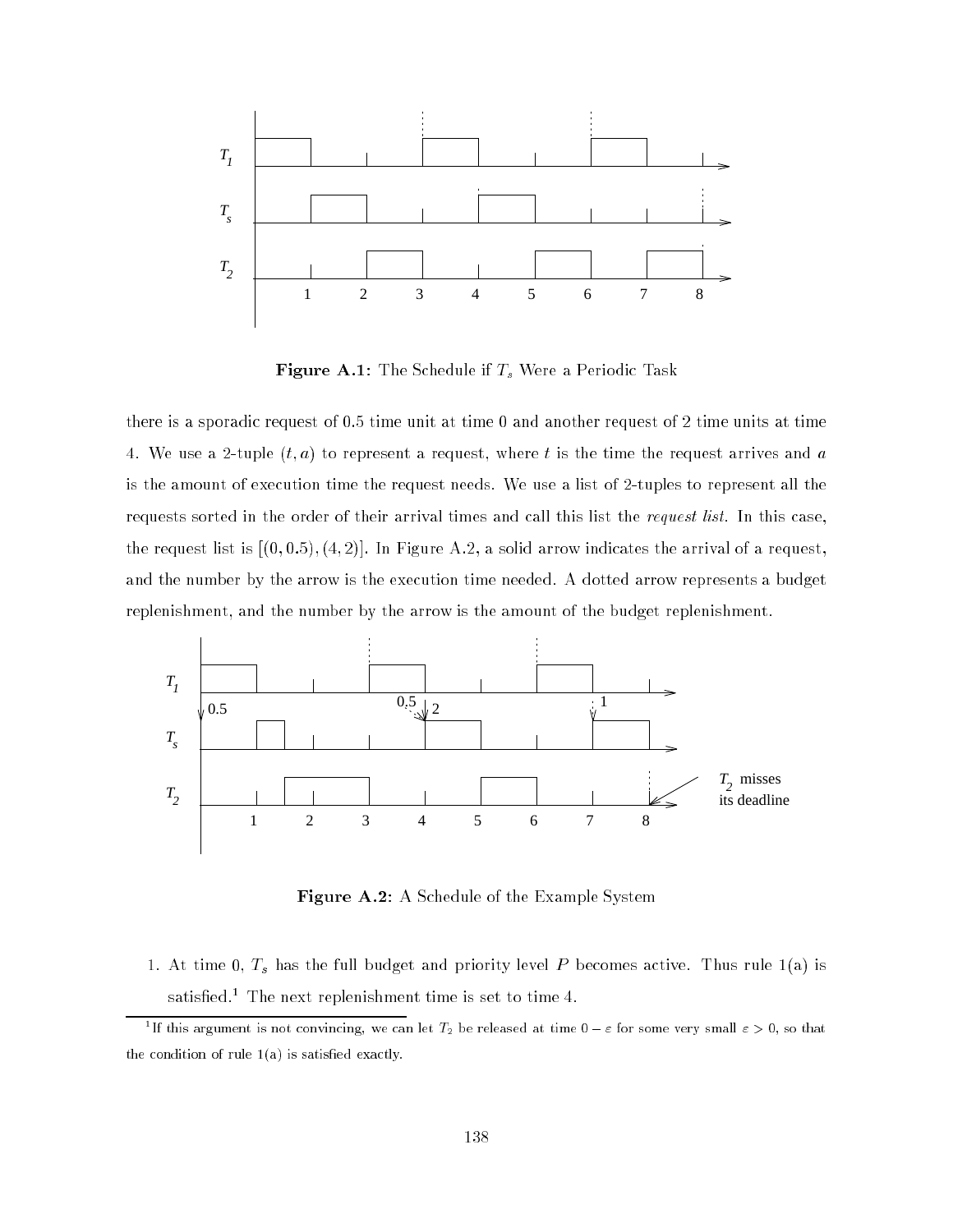

Figure A.1: The Schedule is  $\beta$  -state if Ts Were a Periodic Task Were a Periodic Task Were a Periodic Task Were a Periodic Task Were a Periodic Task Were a Periodic Task Were a Periodic Task Were a Periodic Task Were a

there is a sporadic request of  $0.5$  time unit at time  $0$  and another request of  $2$  time units at time 4. We use a 2-tuple  $(t, a)$  to represent a request, where t is the time the request arrives and a is the amount of execution time the request needs. We use a list of 2-tuples to represent all the requests sorted in the order of their arrival times and call this list the *request list*. In this case, the request list is  $[(0, 0.5), (4, 2)]$ . In Figure A.2, a solid arrow indicates the arrival of a request, and the number by the arrow is the execution time needed. A dotted arrow represents a budget replenishment, and the number by the arrow is the amount of the budget replenishment.



Figure A.2: A Schedule of the Example System

 $\begin{array}{ccc} 1 & \partial & 0 \\ \end{array}$ sausned. Ine next replenishment time is set to time 4.

TH this argument is not convincing, we can let  $T_2$  be released at time  $0-\varepsilon$  for some very small  $\varepsilon>0,$  so that the condition of rule  $1(a)$  is satisfied exactly.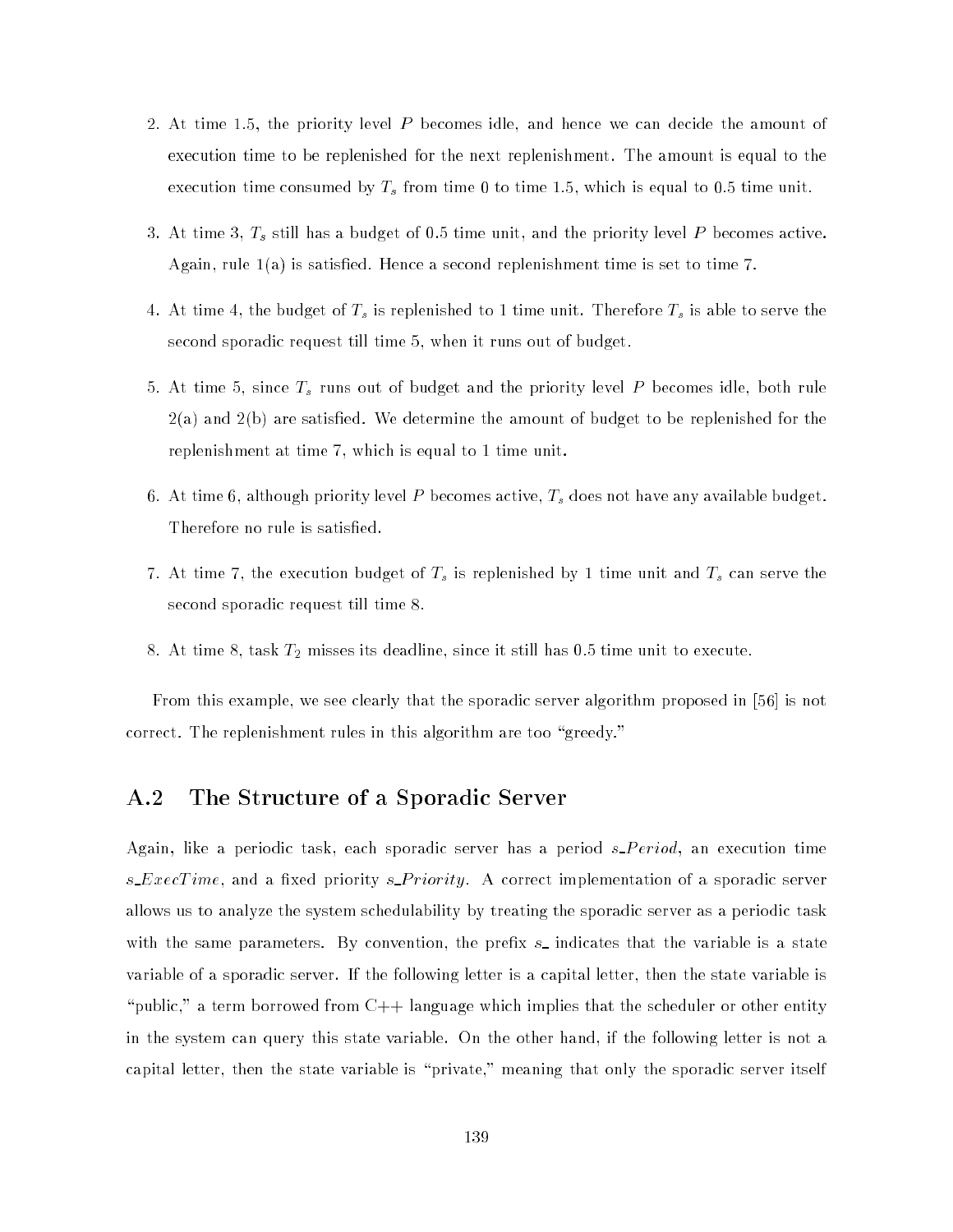- 2. At time 1:5, the priority level P becomes idle, and hence we can decide the amount of execution time to be replenished for the next replenishment. The amount is equal to the execution times consumed by T<sub>s</sub> from time 1.5, which field which is equal to 0.5, which is equal
- 3. At time 3, Ts still has a budget of 0.5 time unit, and the priority level <sup>P</sup> becomes active. Again, rule 1(a) is satised. Hence a second replenishment time is set to time 7.
- $\mathbf{A}$ , at time  $\mathbf{A}$ , the budget of Ts is able to serve the  $\mathbf{A}$ second sporadic request till time 5, when it runs out of budget.
- 5. At time 5, since Ts runs out of budget and the priority level <sup>P</sup> becomes idle, both rule 2(a) and 2(b) are satised. We determine the amount of budget to be replenished for the replenishment at time 7, which is equal to 1 time unit.
- 6. At time 6, although priority level P becomes active, Ts does not have any available budget. Therefore no rule is satisfied.
- $\begin{array}{ccc} \n\text{7.} & \text{7.} & \text{8.} \n\end{array}$ second sporadic request till time 8.
- 8. At time 8, task  $T_2$  misses its deadline, since it still has 0.5 time unit to execute.

From this example, we see clearly that the sporadic server algorithm proposed in [56] is not correct. The replenishment rules in this algorithm are too "greedy."

# A.2 The Structure of a Sporadic Server

Again, like a periodic task, each sporadic server has a period  $s\text{ }Period$ , an execution time  $s\_ExecTime$ , and a fixed priority  $s\_Priority$ . A correct implementation of a sporadic server allows us to analyze the system schedulability by treating the sporadic server as a periodic task with the same parameters. By convention, the prefix  $s$  indicates that the variable is a state variable of a sporadic server. If the following letter is a capital letter, then the state variable is "public," a term borrowed from  $C++$  language which implies that the scheduler or other entity in the system can query this state variable. On the other hand, if the following letter is not a capital letter, then the state variable is "private," meaning that only the sporadic server itself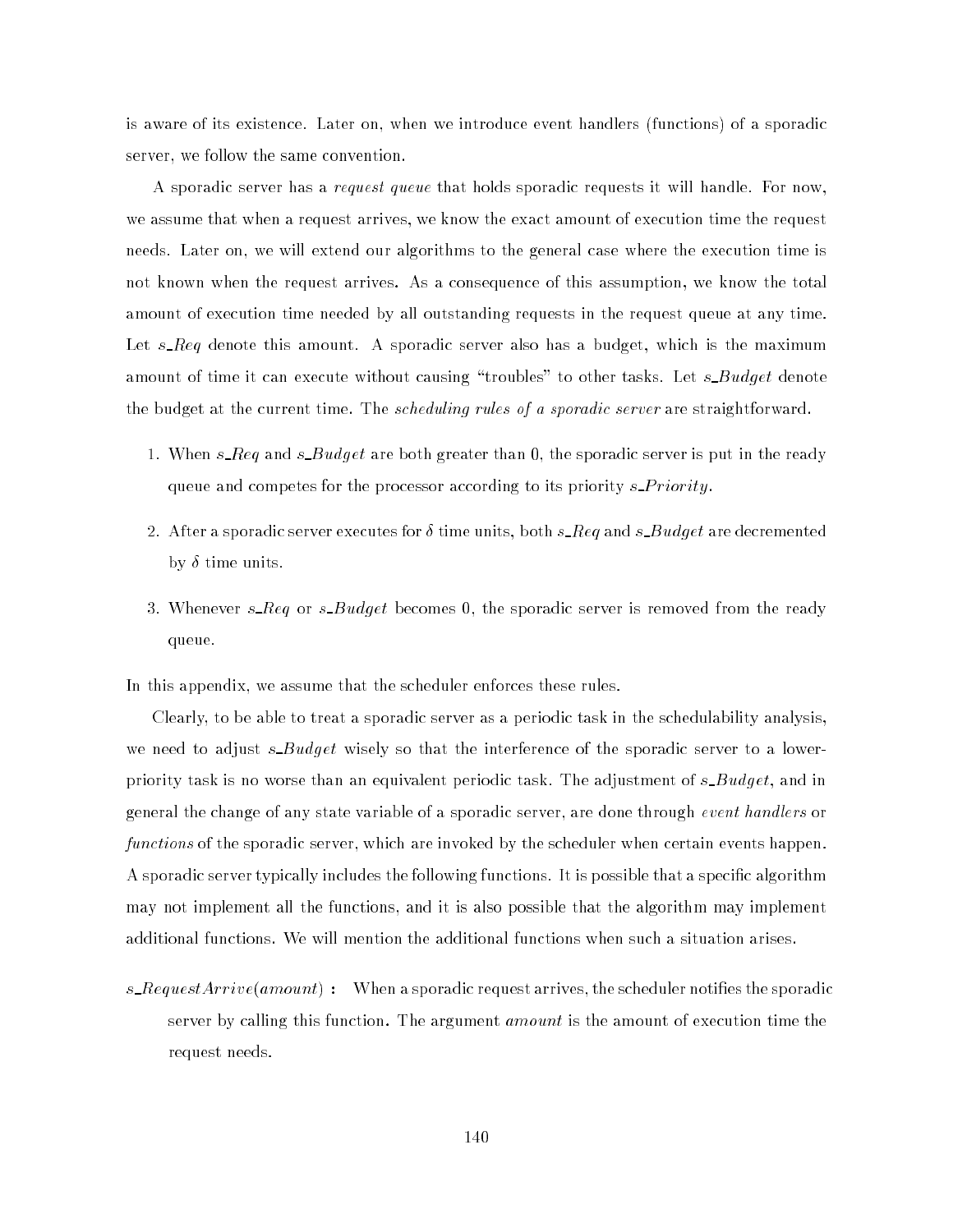is aware of its existence. Later on, when we introduce event handlers (functions) of a sporadic server, we follow the same convention.

A sporadic server has a request queue that holds sporadic requests it will handle. For now, we assume that when a request arrives, we know the exact amount of execution time the request needs. Later on, we will extend our algorithms to the general case where the execution time is not known when the request arrives. As a consequence of this assumption, we know the total amount of execution time needed by all outstanding requests in the request queue at any time. Let  $s\_{\ell q}$  denote this amount. A sporadic server also has a budget, which is the maximum amount of time it can execute without causing "troubles" to other tasks. Let  $s$ \_Budget denote the budget at the current time. The scheduling rules of a sporadic server are straightforward.

- 1. When s  $Req$  and s  $Budget$  are both greater than 0, the sporadic server is put in the ready queue and competes for the processor according to its priority  $s \text{ }$  Priority.
- 2. After a sporadic server executes for  $\delta$  time units, both s Req and s Budget are decremented by  $\delta$  time units.
- 3. Whenever s\_Req or s\_Budget becomes 0, the sporadic server is removed from the ready queue.

In this appendix, we assume that the scheduler enforces these rules.

Clearly, to be able to treat a sporadic server as a periodic task in the schedulability analysis, we need to adjust  $s$ -Budget wisely so that the interference of the sporadic server to a lowerpriority task is no worse than an equivalent periodic task. The adjustment of s\_Budget, and in general the change of any state variable of a sporadic server, are done through event handlers or functions of the sporadic server, which are invoked by the scheduler when certain events happen. A sporadic server typically includes the following functions. It is possible that a specic algorithm may not implement all the functions, and it is also possible that the algorithm may implement additional functions. We will mention the additional functions when such a situation arises.

s\_RequestArrive(amount): When a sporadic request arrives, the scheduler notifies the sporadic server by calling this function. The argument *amount* is the amount of execution time the request needs.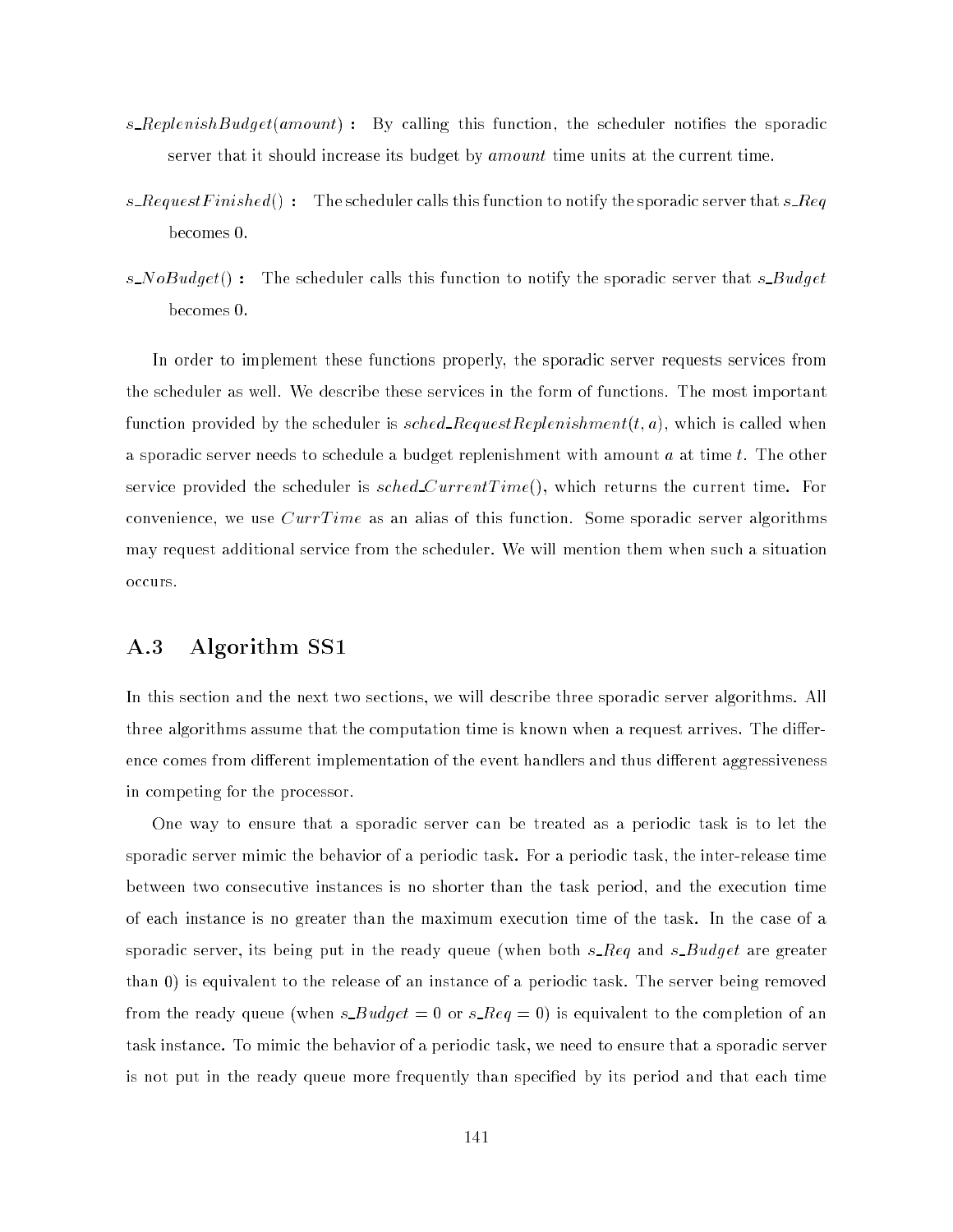- s\_ReplenishBudget(amount): By calling this function, the scheduler notifies the sporadic server that it should increase its budget by *amount* time units at the current time.
- s\_RequestFinished(): The scheduler calls this function to notify the sporadic server that  $s\_{Req}$ becomes 0.
- s\_NoBudget(): The scheduler calls this function to notify the sporadic server that s\_Budget becomes 0.

In order to implement these functions properly, the sporadic server requests services from the scheduler as well. We describe these services in the form of functions. The most important function provided by the scheduler is sched RequestReplenishment $(t, a)$ , which is called when a sporadic server needs to schedule a budget replenishment with amount  $a$  at time  $t$ . The other service provided the scheduler is  $sched\_CurrentTime$ ), which returns the current time. For convenience, we use  $CurrTime$  as an alias of this function. Some sporadic server algorithms may request additional service from the scheduler. We will mention them when such a situation occurs.

## A.3 Algorithm SS1

In this section and the next two sections, we will describe three sporadic server algorithms. All three algorithms assume that the computation time is known when a request arrives. The difference comes from different implementation of the event handlers and thus different aggressiveness in competing for the processor.

One way to ensure that a sporadic server can be treated as a periodic task is to let the sporadic server mimic the behavior of a periodic task. For a periodic task, the inter-release time between two consecutive instances is no shorter than the task period, and the execution time of each instance is no greater than the maximum execution time of the task. In the case of a sporadic server, its being put in the ready queue (when both  $s$ - $Req$  and  $s$ - $Budget$  are greater than 0) is equivalent to the release of an instance of a periodic task. The server being removed from the ready queue (when  $s$ - $B u dget = 0$  or  $s$ - $Req = 0$ ) is equivalent to the completion of an task instance. To mimic the behavior of a periodic task, we need to ensure that a sporadic server is not put in the ready queue more frequently than specied by its period and that each time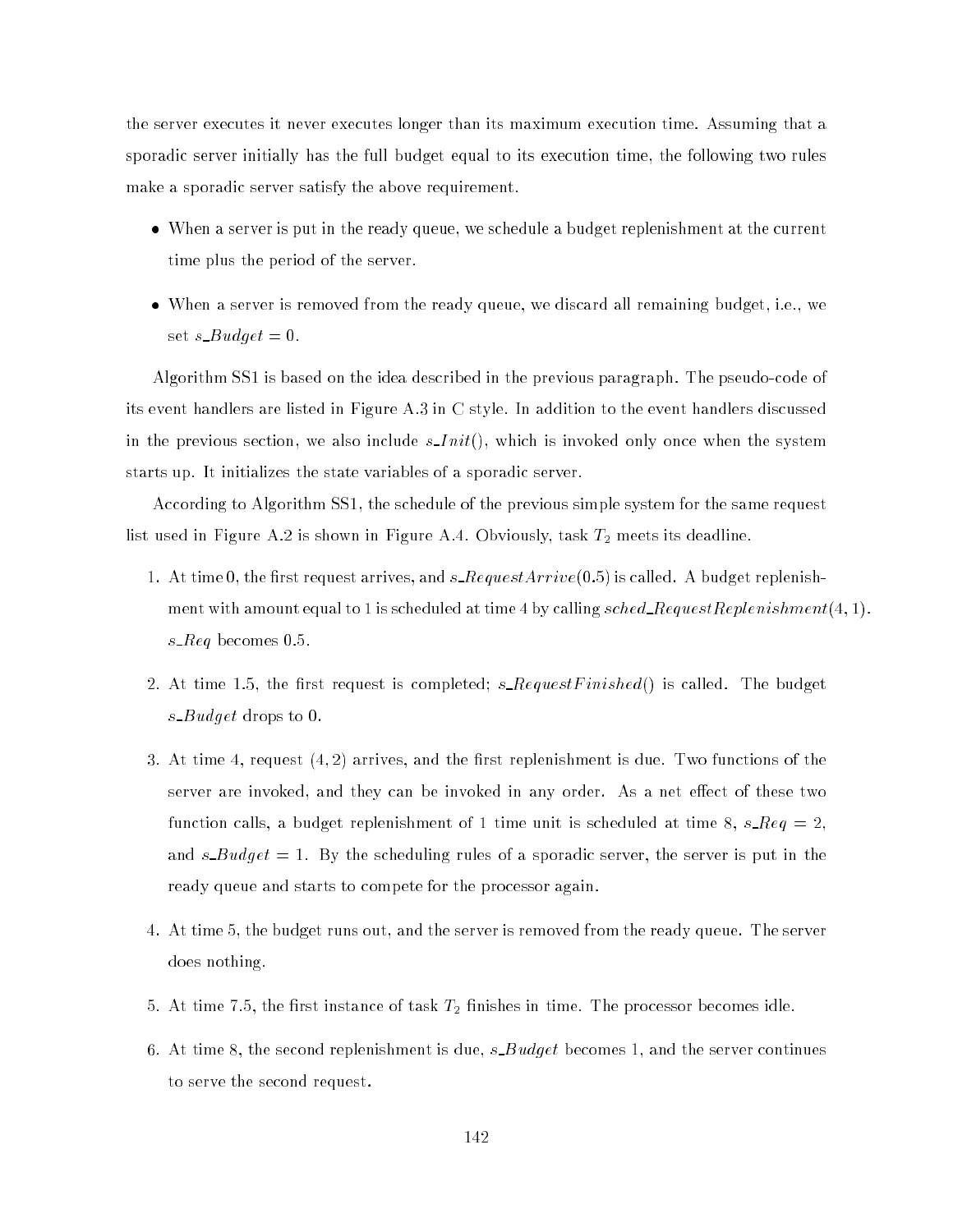the server executes it never executes longer than its maximum execution time. Assuming that a sporadic server initially has the full budget equal to its execution time, the following two rules make a sporadic server satisfy the above requirement.

- when a server is put in the ready queue, we schedule a budget reprenience at the current time plus the period of the server.
- When a server is removed from the ready queue, we discard all remaining budget, i.e., we set  $s\_Budget = 0$ .

Algorithm SS1 is based on the idea described in the previous paragraph. The pseudo-code of its event handlers are listed in Figure A.3 in C style. In addition to the event handlers discussed in the previous section, we also include  $s$ <sub>-Init</sub>(), which is invoked only once when the system starts up. It initializes the state variables of a sporadic server.

According to Algorithm SS1, the schedule of the previous simple system for the same request list used in Figure A.2 is shown in Figure A.4. Obviously, task  $T_2$  meets its deadline.

- 1. At time 0, the first request arrives, and  $s\text{-}RequestArrive(0.5)$  is called. A budget replenishment with amount equal to 1 is scheduled at time 4 by calling sched RequestReplenishment $(4, 1)$ . s\_ $Reg$  becomes 0.5.
- 2. At time 1.5, the first request is completed;  $s$ -RequestFinished() is called. The budget s  $B u dget$  drops to 0.
- 3. At time 4, request  $(4, 2)$  arrives, and the first replenishment is due. Two functions of the server are invoked, and they can be invoked in any order. As a net effect of these two function calls, a budget replenishment of 1 time unit is scheduled at time 8,  $s\text{-}Req = 2$ , and  $s$ -Budget = 1. By the scheduling rules of a sporadic server, the server is put in the ready queue and starts to compete for the processor again.
- 4. At time 5, the budget runs out, and the server is removed from the ready queue. The server does nothing.
- 5. At time 7.5, the first instance of task  $T_2$  finishes in time. The processor becomes idle.
- 6. At time 8, the second replenishment is due,  $s$  Budget becomes 1, and the server continues to serve the second request.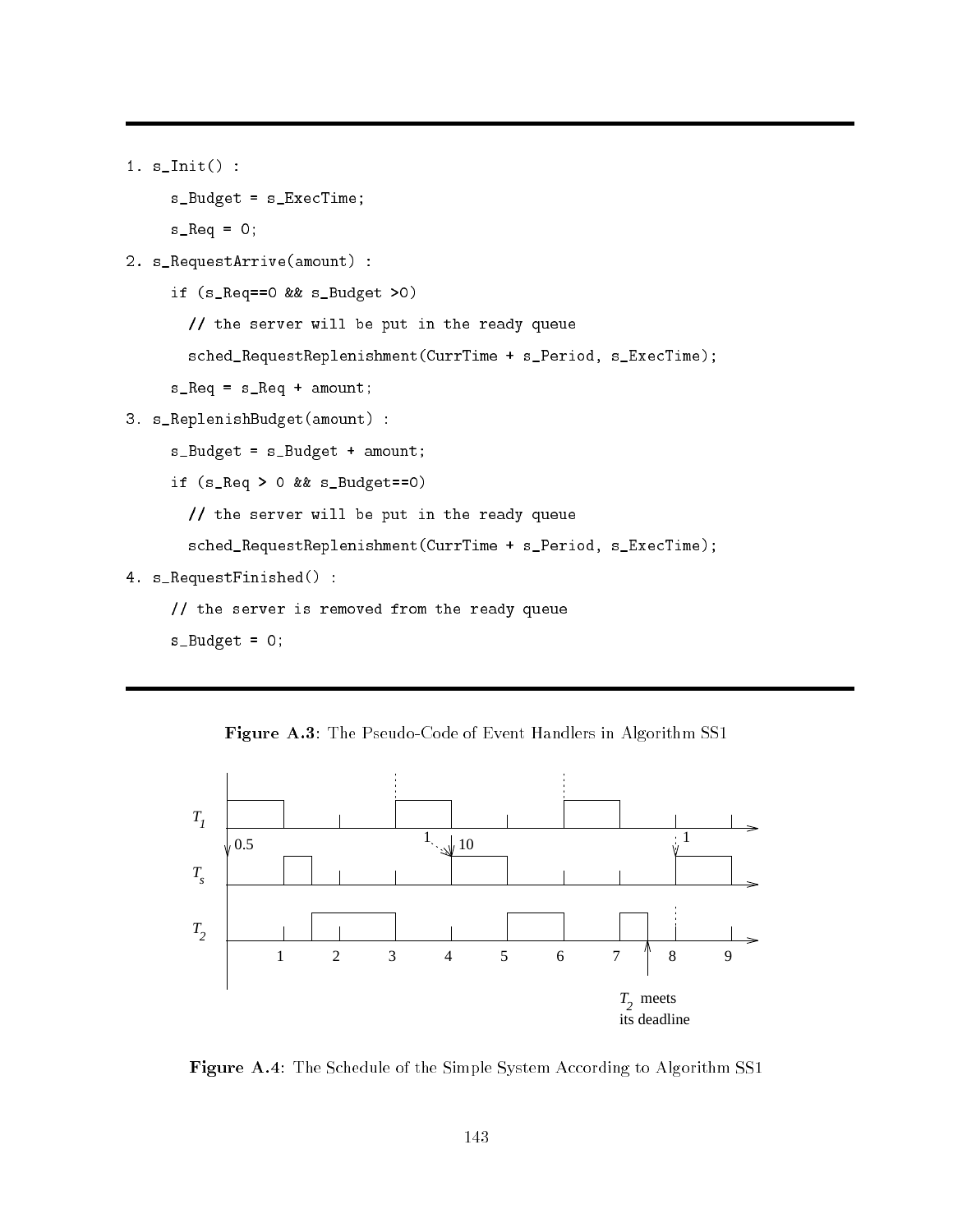```
1. s_Init() :
    s_Budget = s_ExecTime;
    s_R = 0;
2. s_RequestArrive(amount) :
    if (s_Req==0 && s_Budget >0)
       // the server will be put in the ready queue
```
sched\_RequestReplenishment(CurrTime + s\_Period, s\_ExecTime);

 $s_R = s_R$ eq + amount;

3. s\_ReplenishBudget(amount) :

```
s_Budget = s_Budget + amount;
```
if (s\_Req > 0 && s\_Budget==0)

// the server will be put in the ready queue

```
sched_RequestReplenishment(CurrTime + s_Period, s_ExecTime);
```
4. s\_RequestFinished() :

```
// the server is removed from the ready queue
```
 $s_Bu \, dy$ <sub>et</sub> = 0;





Figure A.4: The Schedule of the Simple System According to Algorithm SS1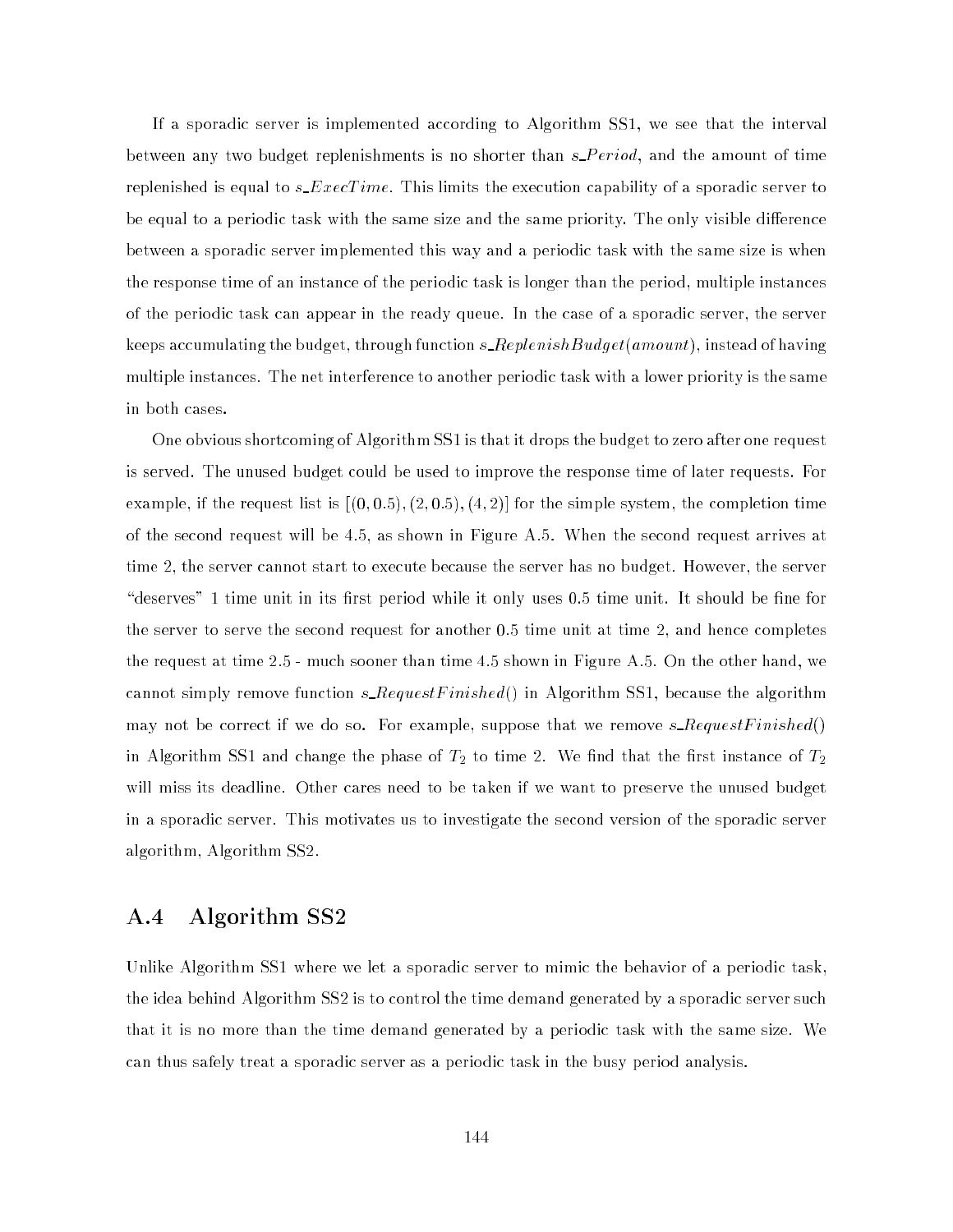If a sporadic server is implemented according to Algorithm SS1, we see that the interval between any two budget replenishments is no shorter than  $s\_Period,$  and the amount of time replenished is equal to  $s\_ExecTime$  . This limits the execution capability of a sporadic server to be equal to a periodic task with the same size and the same priority. The only visible difference between a sporadic server implemented this way and a periodic task with the same size is when the response time of an instance of the periodic task is longer than the period, multiple instances of the periodic task can appear in the ready queue. In the case of a sporadic server, the server keeps accumulating the budget, through function  $s\_ReplaceUnishBudget(amount)$  , instead of having multiple instances. The net interference to another periodic task with a lower priority is the same in both cases.

One obvious shortcoming of Algorithm SS1 is that it drops the budget to zero after one request is served. The unused budget could be used to improve the response time of later requests. For example, if the request list is  $[(0,0.5), (2,0.5), (4,2)]$  for the simple system, the completion time of the second request will be 4.5, as shown in Figure A.5. When the second request arrives at time 2, the server cannot start to execute because the server has no budget. However, the server "deserves" 1 time unit in its first period while it only uses 0.5 time unit. It should be fine for the server to serve the second request for another 0.5 time unit at time 2, and hence completes the request at time 2.5 - much sooner than time 4.5 shown in Figure A.5. On the other hand, we cannot simply remove function  $s$ -RequestFinished() in Algorithm SS1, because the algorithm may not be correct if we do so. For example, suppose that we remove  $s\_RequestFinite()$ in Algorithm SS1 and change the phase of  $T_2$  to time 2. We find that the first instance of  $T_2$ will miss its deadline. Other cares need to be taken if we want to preserve the unused budget in a sporadic server. This motivates us to investigate the second version of the sporadic server algorithm, Algorithm SS2.

## A.4 Algorithm SS2

Unlike Algorithm SS1 where we let a sporadic server to mimic the behavior of a periodic task, the idea behind Algorithm SS2 is to control the time demand generated by a sporadic server such that it is no more than the time demand generated by a periodic task with the same size. We can thus safely treat a sporadic server as a periodic task in the busy period analysis.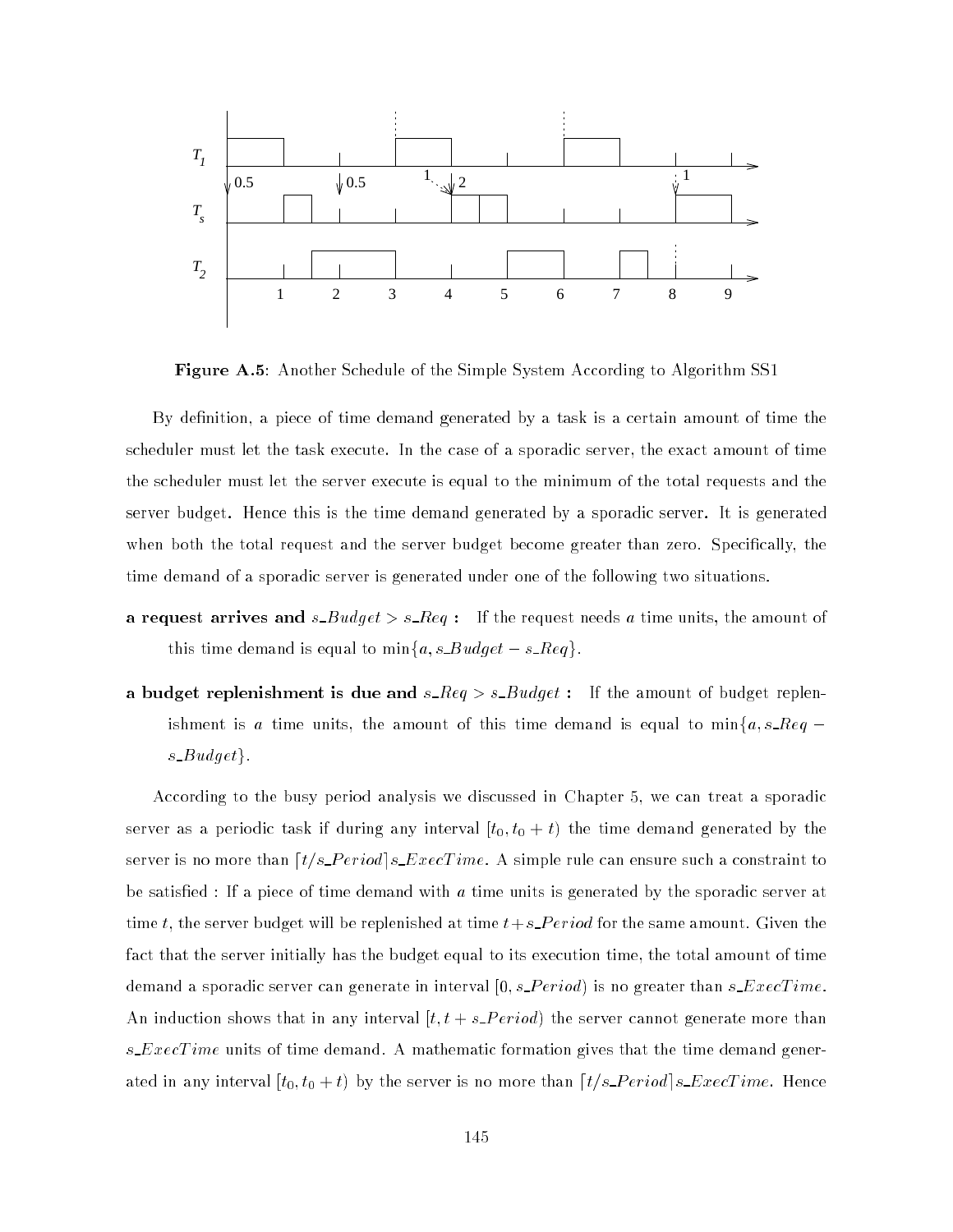

Figure A.5: Another Schedule of the Simple System According to Algorithm SS1

By definition, a piece of time demand generated by a task is a certain amount of time the scheduler must let the task execute. In the case of a sporadic server, the exact amount of time the scheduler must let the server execute is equal to the minimum of the total requests and the server budget. Hence this is the time demand generated by a sporadic server. It is generated when both the total request and the server budget become greater than zero. Specically, the time demand of a sporadic server is generated under one of the following two situations.

- a request arrives and  $s$ - $B u dget > s$ - $Req$ : If the request needs a time units, the amount of this time demand is equal to  $\min\{a, s\_{Budget} - s\_{Reg}\}.$
- a budget replenishment is due and  $s\_{Reg} > s\_{Bulget}$ : If the amount of budget replenishment is a time units, the amount of this time demand is equal to  $\min\{a, s\_{\text{Reg}}$ s  $Budget\}.$

According to the busy period analysis we discussed in Chapter 5, we can treat a sporadic server as a periodic task if during any interval  $[t_0, t_0 + t)$  the time demand generated by the server is no more than  $\left[t/s\_{Period}\right]s\_{ExecTime}$ . A simple rule can ensure such a constraint to be satisfied : If a piece of time demand with  $a$  time units is generated by the sporadic server at time t, the server budget will be replenished at time  $t+s\text{.}Period$  for the same amount. Given the fact that the server initially has the budget equal to its execution time, the total amount of time demand a sporadic server can generate in interval  $[0, s\_{eriod}]$  is no greater than  $s\_{ExecTime}$ . An induction shows that in any interval  $[t, t + s\_Period]$  the server cannot generate more than s\_ $Exercise 1$  ime units of time demand. A mathematic formation gives that the time demand generated in any interval  $[t_0, t_0 + t)$  by the server is no more than  $\lceil t/s\_Period \rceil s\_ExecTime$  . Hence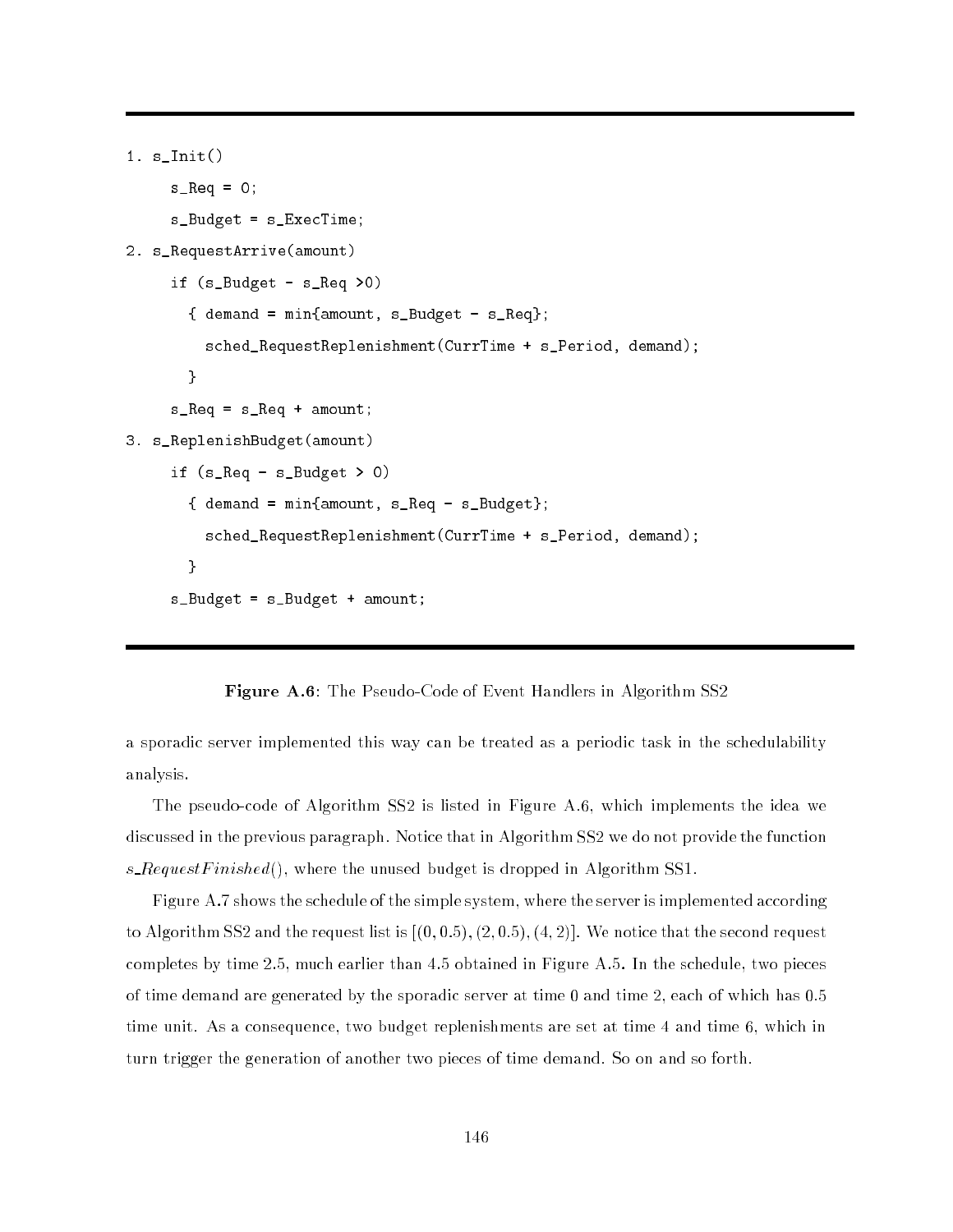```
1. s_Init()
     s_R = 0;
     s_Budget = s_ExecTime;
2. s_RequestArrive(amount)
     if (s_Budget - s_Req >0)
       \{ demand = min\{amount, s_Budget - s_Req};
         sched_RequestReplenishment(CurrTime + s_Period, demand);
       }
     s_Req = s_Req + amount;
3. s_ReplenishBudget(amount)
     if (s_{\text{Req}} - s_{\text{L}}Budget > 0){ demand = min{amount, s_Req - s_Budget};
         sched_RequestReplenishment(CurrTime + s_Period, demand);
       }
     s_Budget = s_Budget + amount;
```
Figure A.6: The Pseudo-Code of Event Handlers in Algorithm SS2

a sporadic server implemented this way can be treated as a periodic task in the schedulability analysis.

The pseudo-code of Algorithm SS2 is listed in Figure A.6, which implements the idea we discussed in the previous paragraph. Notice that in Algorithm SS2 we do not provide the function s\_RequestFinished(), where the unused budget is dropped in Algorithm SS1.

Figure A.7 shows the schedule of the simple system, where the server is implemented according to Algorithm SS2 and the request list is  $[(0, 0.5), (2, 0.5), (4, 2)]$ . We notice that the second request completes by time 2.5, much earlier than 4.5 obtained in Figure A.5. In the schedule, two pieces of time demand are generated by the sporadic server at time 0 and time 2, each of which has 0.5 time unit. As a consequence, two budget replenishments are set at time 4 and time 6, which in turn trigger the generation of another two pieces of time demand. So on and so forth.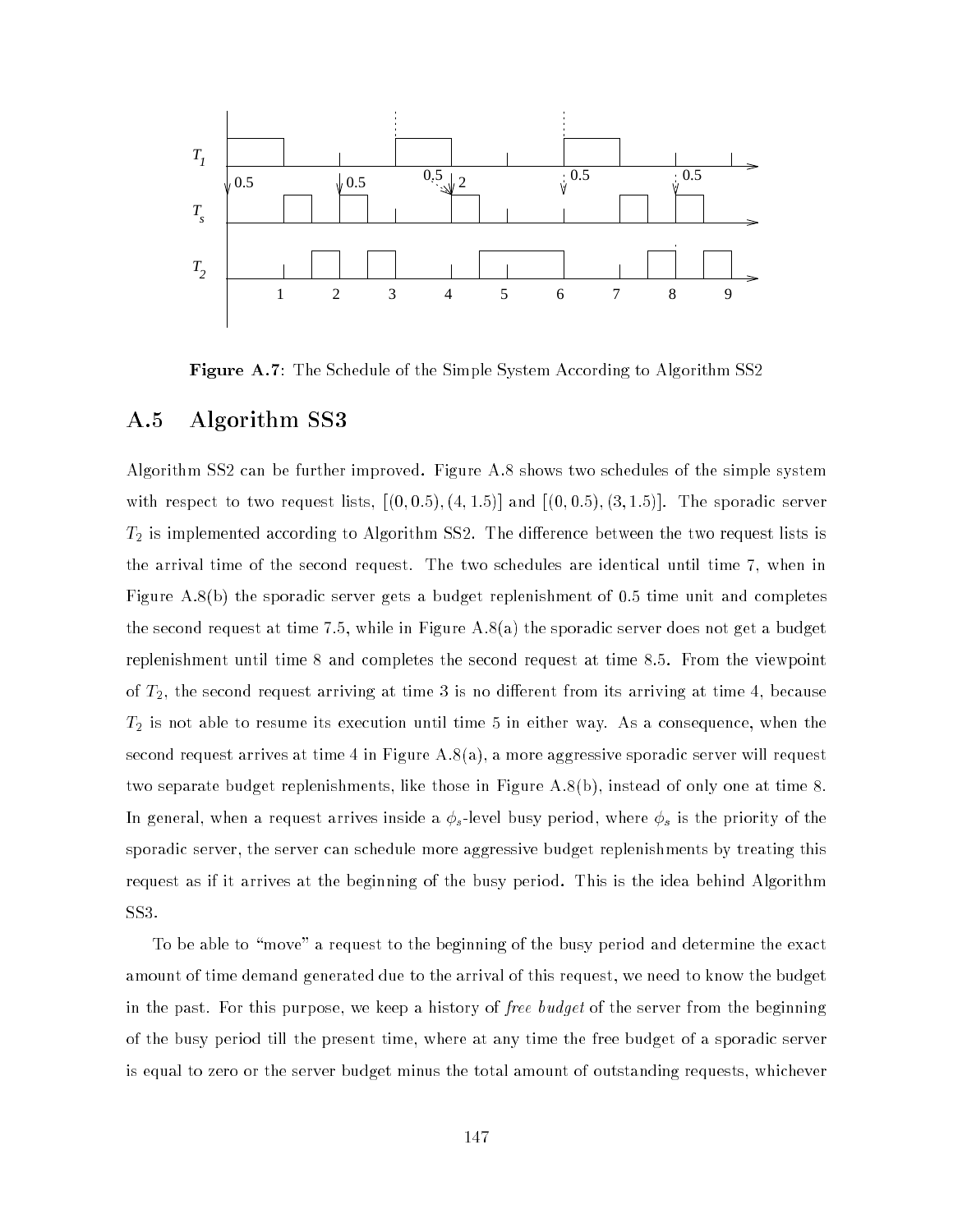

Figure A.7: The Schedule of the Simple System According to Algorithm SS2

#### A.5 Algorithm SS3

Algorithm SS2 can be further improved. Figure A.8 shows two schedules of the simple system with respect to two request lists,  $[(0, 0.5), (4, 1.5)]$  and  $[(0, 0.5), (3, 1.5)]$ . The sporadic server  $T_2$  is implemented according to Algorithm SS2. The difference between the two request lists is the arrival time of the second request. The two schedules are identical until time 7, when in Figure A.8(b) the sporadic server gets a budget replenishment of 0.5 time unit and completes the second request at time 7.5, while in Figure A.8(a) the sporadic server does not get a budget replenishment until time 8 and completes the second request at time 8.5. From the viewpoint of  $T_2$ , the second request arriving at time 3 is no different from its arriving at time 4, because  $T_2$  is not able to resume its execution until time 5 in either way. As a consequence, when the second request arrives at time 4 in Figure A.8(a), a more aggressive sporadic server will request two separate budget replenishments, like those in Figure A.8(b), instead of only one at time 8. In general, when a request arrives inside a s -level busy period, where s is the priority of the sporadic server, the server can schedule more aggressive budget replenishments by treating this request as if it arrives at the beginning of the busy period. This is the idea behind Algorithm SS3.

To be able to "move" a request to the beginning of the busy period and determine the exact amount of time demand generated due to the arrival of this request, we need to know the budget in the past. For this purpose, we keep a history of free budget of the server from the beginning of the busy period till the present time, where at any time the free budget of a sporadic server is equal to zero or the server budget minus the total amount of outstanding requests, whichever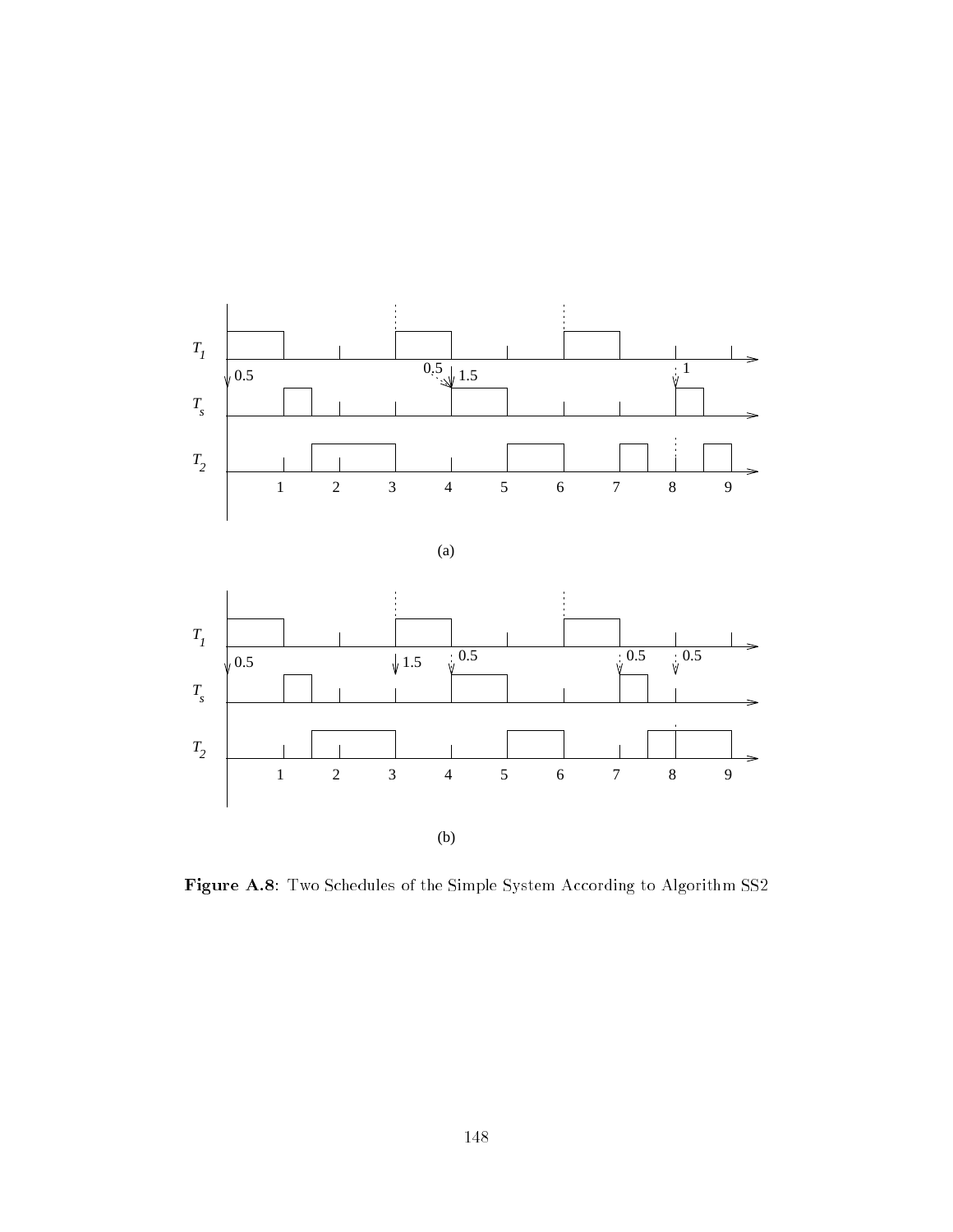

Figure A.8: Two Schedules of the Simple System According to Algorithm SS2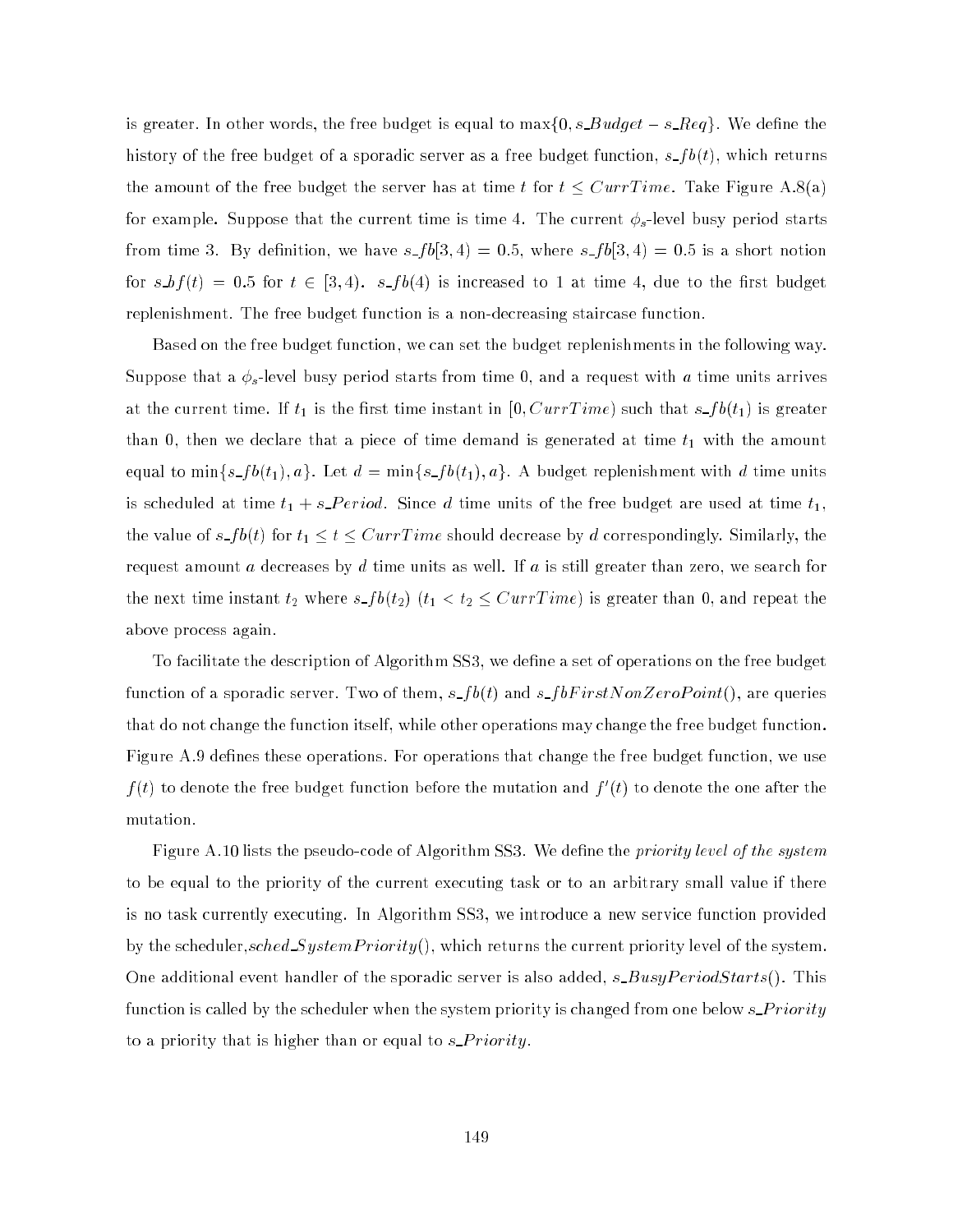is greater. In other words, the free budget is equal to  $max\{0, s\_Budget - s\_Reg\}$ . We define the history of the free budget of a sporadic server as a free budget function,  $s_f b(t)$ , which returns the amount of the free budget the server has at time t for  $t \leq CurrTime$ . Take Figure A.8(a) for example. Suppose that the current time is time 4. The current  $\phi_s$ -level busy period starts from time 3. By definition, we have  $s_f b[3, 4) = 0.5$ , where  $s_f b[3, 4) = 0.5$  is a short notion for  $s,bf(t) = 0.5$  for  $t \in [3,4)$ .  $s-fb(4)$  is increased to 1 at time 4, due to the first budget replenishment. The free budget function is a non-decreasing staircase function.

Based on the free budget function, we can set the budget replenishments in the following way. Suppose that a  $\phi_s$ -level busy period starts from time 0, and a request with  $a$  time units arrives at the current time. If  $t_1$  is the first time instant in  $[0, CurrTime)$  such that  $s\_fb(t_1)$  is greater than 0, then we declare that a piece of time demand is generated at time  $t_1$  with the amount equal to min $\{s\_fb(t_1), a\}$ . Let  $d = \min\{s\_fb(t_1), a\}$ . A budget replenishment with d time units is scheduled at time  $t_1 + s\_{Period.}$  Since d time units of the free budget are used at time  $t_1$ , the value of  $s$ <sub>-</sub> $fb(t)$  for  $t_1 \le t \leq CurrTime$  should decrease by  $d$  correspondingly. Similarly, the request amount a decreases by d time units as well. If a is still greater than zero, we search for the next time instant  $t_2$  where  $s\_fb(t_2)$   $(t_1 < t_2 \leq Current$  is greater than 0, and repeat the above process again.

To facilitate the description of Algorithm SS3, we dene a set of operations on the free budget function of a sporadic server. Two of them,  $s\_fb(t)$  and  $s\_fbFirstNonZeroPoint(),$  are queries that do not change the function itself, while other operations may change the free budget function. Figure A.9 defines these operations. For operations that change the free budget function, we use  $f(t)$  to denote the free budget function before the mutation and  $f(t)$  to denote the one after the mutation.

Figure A.10 lists the pseudo-code of Algorithm SS3. We define the *priority level of the system* to be equal to the priority of the current executing task or to an arbitrary small value if there is no task currently executing. In Algorithm SS3, we introduce a new service function provided by the scheduler, $sched\_SystemPriority(),$  which returns the current priority level of the system. One additional event handler of the sporadic server is also added,  $s\_BusyPeriodStarts()$ . This function is called by the scheduler when the system priority is changed from one below  $s\_Priority$ to a priority that is higher than or equal to  $s\_{Priority.}$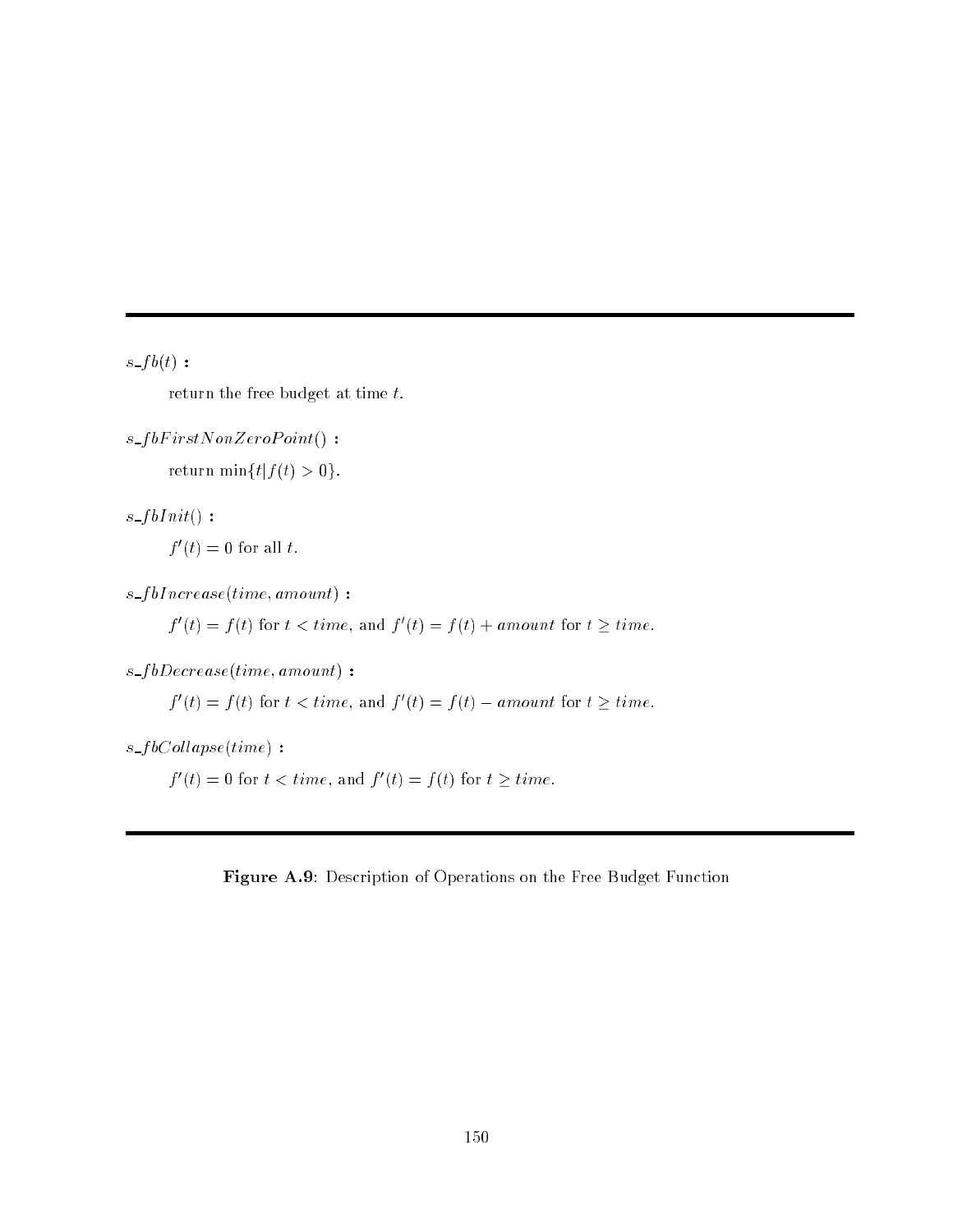$s\_{fb}(t)$  :

return the free budget at time  $t$ .

 $s_f bFirstNonZeroPoint()$ : return min ${t | f(t) > 0}.$ 

 $s_fblnit()$ :  $\overline{f}(t) = 0$  for all  $t$ .

 $s_fblncrease(time, amount)$ :

 $f(t) = f(t)$  for  $t < t$  and  $f(t) = f(t) + a$  mount for  $t > t$  and

 $s_f bDecrease(time, amount)$ :

 $f(t) = f(t)$  for  $t < t$  and  $f(t) = f(t) - a$  mount for  $t > t$  and  $t$ .

 $s_f bCollapse(time)$ :

 $f(t) \equiv 0$  for  $t < time$ , and  $f(t) \equiv f(t)$  for  $t > time$ .

Figure A.9: Description of Operations on the Free Budget Function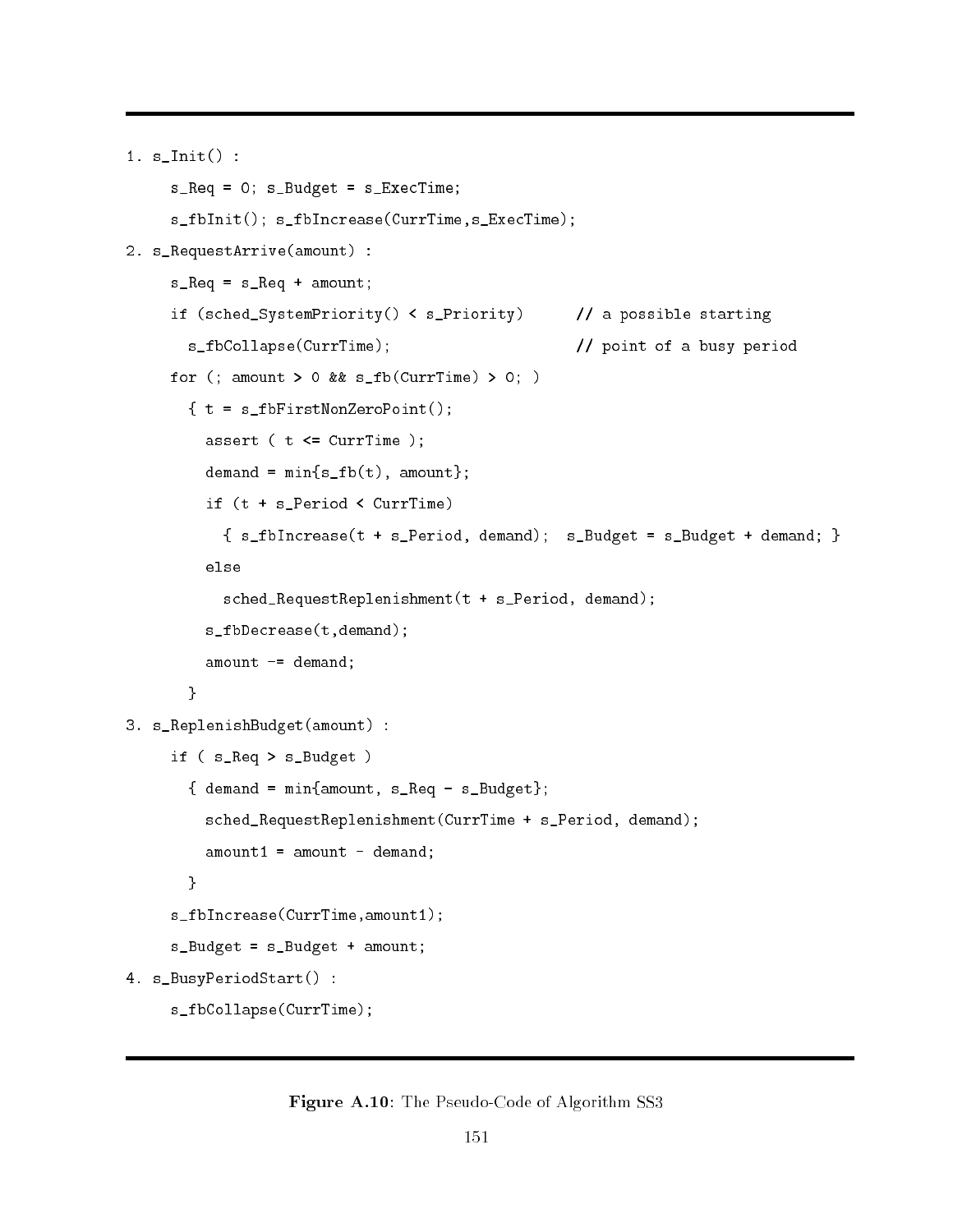```
1. s_Init() :
     s_Req = 0; s_Budget = s_ExecTime;
     s_fbInit(); s_fbIncrease(CurrTime,s_ExecTime);
2. s_RequestArrive(amount) :
     s_R = s_Req + amount;
     if (sched_SystemPriority() < s_Priority) // a possible starting
       s_fbCollapse(CurrTime); // point of a busy period
    for (; amount > 0 && s_fb(CurrTime) > 0; )
       \{ t = s_ffbFirstNonZeroPoint();
         assert (t \leq -CurrTime);
         demand = min{sfb(t), amount};if (t + s_Period < CurrTime)
           { s_f^b} s_fbIncrease(t + s_Period, demand); s_Budget = s_Budget + demand; }
         else
           sched_RequestReplenishment(t + s_Period, demand);
         s_fbDecrease(t,demand);
         amount -= demand;
       }
3. s_ReplenishBudget(amount) :
     if ( s_Req > s_Budget )
       \{ demand = min\{amount, s_Req - s_Budget\};sched_RequestReplenishment(CurrTime + s_Period, demand);
         amount1 = amount - demand;ļ.
       }
     s_fbIncrease(CurrTime,amount1);
     s_Budget = s_Budget + amount;
4. s_BusyPeriodStart() :
     s_fbCollapse(CurrTime);
```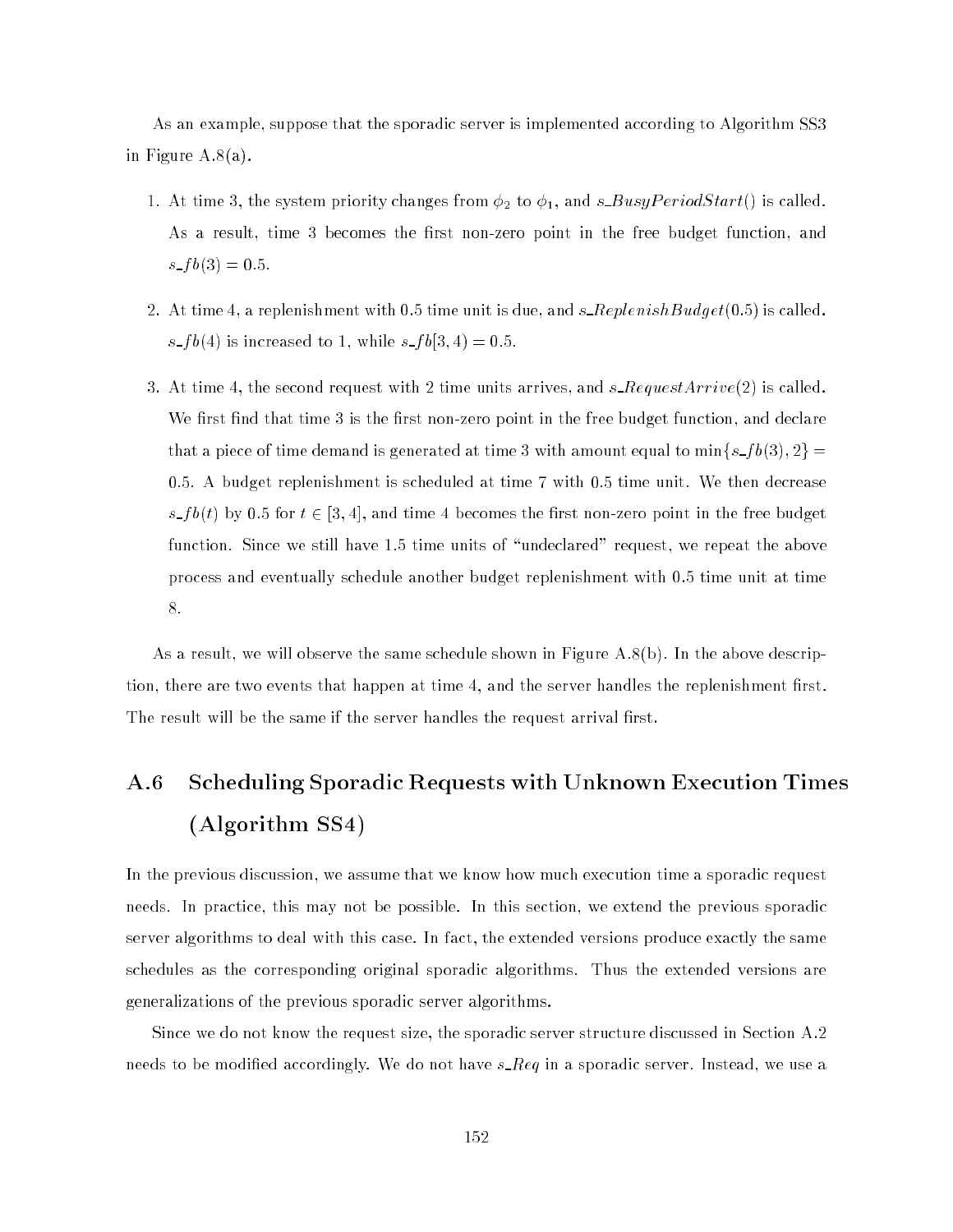As an example, suppose that the sporadic server is implemented according to Algorithm SS3 in Figure A.8(a).

- 1. At time 3, the system priority changes from  $\phi_2$  to  $\phi_1$ , and s BusyPeriodStart() is called. As a result, time 3 becomes the first non-zero point in the free budget function, and  $s$ <sub>-f</sub> $b(3) = 0.5$ .
- 2. At time 4, a replenishment with 0.5 time unit is due, and  $s$ -ReplenishBudget(0.5) is called.  $s$ - $fb(4)$  is increased to 1, while  $s$ - $fb[3, 4) = 0.5$ .
- 3. At time 4, the second request with 2 time units arrives, and  $s$ -RequestArrive(2) is called. We first find that time 3 is the first non-zero point in the free budget function, and declare that a piece of time demand is generated at time 3 with amount equal to  $\min\{s_f b(3), 2\}$  = 0:5. A budget replenishment is scheduled at time 7 with 0.5 time unit. We then decrease  $s_f b(t)$  by 0.5 for  $t \in [3, 4]$ , and time 4 becomes the first non-zero point in the free budget function. Since we still have 1.5 time units of "undeclared" request, we repeat the above process and eventually schedule another budget replenishment with 0.5 time unit at time 8.

As a result, we will observe the same schedule shown in Figure A.8(b). In the above description, there are two events that happen at time 4, and the server handles the replenishment first. The result will be the same if the server handles the request arrival first.

# A.6 Scheduling Sporadic Requests with Unknown Execution Times (Algorithm SS4)

In the previous discussion, we assume that we know how much execution time a sporadic request needs. In practice, this may not be possible. In this section, we extend the previous sporadic server algorithms to deal with this case. In fact, the extended versions produce exactly the same schedules as the corresponding original sporadic algorithms. Thus the extended versions are generalizations of the previous sporadic server algorithms.

Since we do not know the request size, the sporadic server structure discussed in Section A.2 needs to be modified accordingly. We do not have  $s\_{eq}$  in a sporadic server. Instead, we use a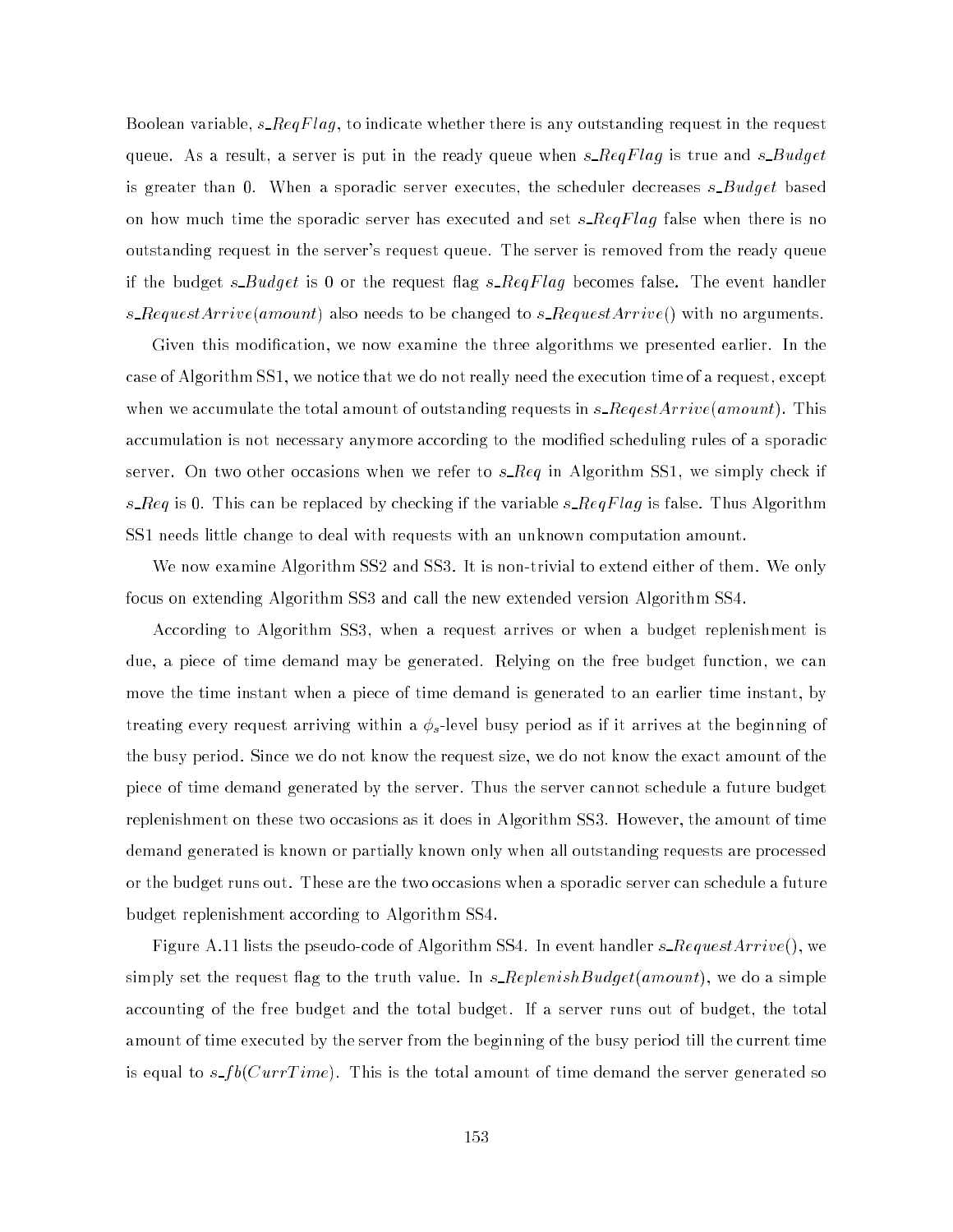Boolean variable,  $s\_RegFlag,$  to indicate whether there is any outstanding request in the request queue. As a result, a server is put in the ready queue when  $s\_{RegFlag}$  is true and  $s\_{Budget}$ is greater than 0. When a sporadic server executes, the scheduler decreases  $s$ -Budget based on how much time the sporadic server has executed and set  $s\_{RegFlag}$  false when there is no outstanding request in the server's request queue. The server is removed from the ready queue if the budget  $s$ -Budget is 0 or the request flag  $s$ -ReqFlag becomes false. The event handler s\_RequestArrive(amount) also needs to be changed to s\_RequestArrive() with no arguments.

Given this modication, we now examine the three algorithms we presented earlier. In the case of Algorithm SS1, we notice that we do not really need the execution time of a request, except when we accumulate the total amount of outstanding requests in  $s\_{RegestArrive(amount)}$ . This accumulation is not necessary anymore according to the modified scheduling rules of a sporadic server. On two other occasions when we refer to  $s\_{req}$  in Algorithm SS1, we simply check if  $s\_{eq}$  is 0. This can be replaced by checking if the variable  $s\_{eq}$   $Flag$  is false. Thus Algorithm SS1 needs little change to deal with requests with an unknown computation amount.

We now examine Algorithm SS2 and SS3. It is non-trivial to extend either of them. We only focus on extending Algorithm SS3 and call the new extended version Algorithm SS4.

According to Algorithm SS3, when a request arrives or when a budget replenishment is due, a piece of time demand may be generated. Relying on the free budget function, we can move the time instant when a piece of time demand is generated to an earlier time instant, by treating even arriving with a s -level busy period as -level busy period as if it arrives at the beginning of i the busy period. Since we do not know the request size, we do not know the exact amount of the piece of time demand generated by the server. Thus the server cannot schedule a future budget replenishment on these two occasions as it does in Algorithm SS3. However, the amount of time demand generated is known or partially known only when all outstanding requests are processed or the budget runs out. These are the two occasions when a sporadic server can schedule a future budget replenishment according to Algorithm SS4.

Figure A.11 lists the pseudo-code of Algorithm SS4. In event handler  $s\_RequestArrive()$ , we simply set the request flag to the truth value. In  $s$ -Replenish Budget(amount), we do a simple accounting of the free budget and the total budget. If a server runs out of budget, the total amount of time executed by the server from the beginning of the busy period till the current time is equal to  $s_f b(CurrTime)$ . This is the total amount of time demand the server generated so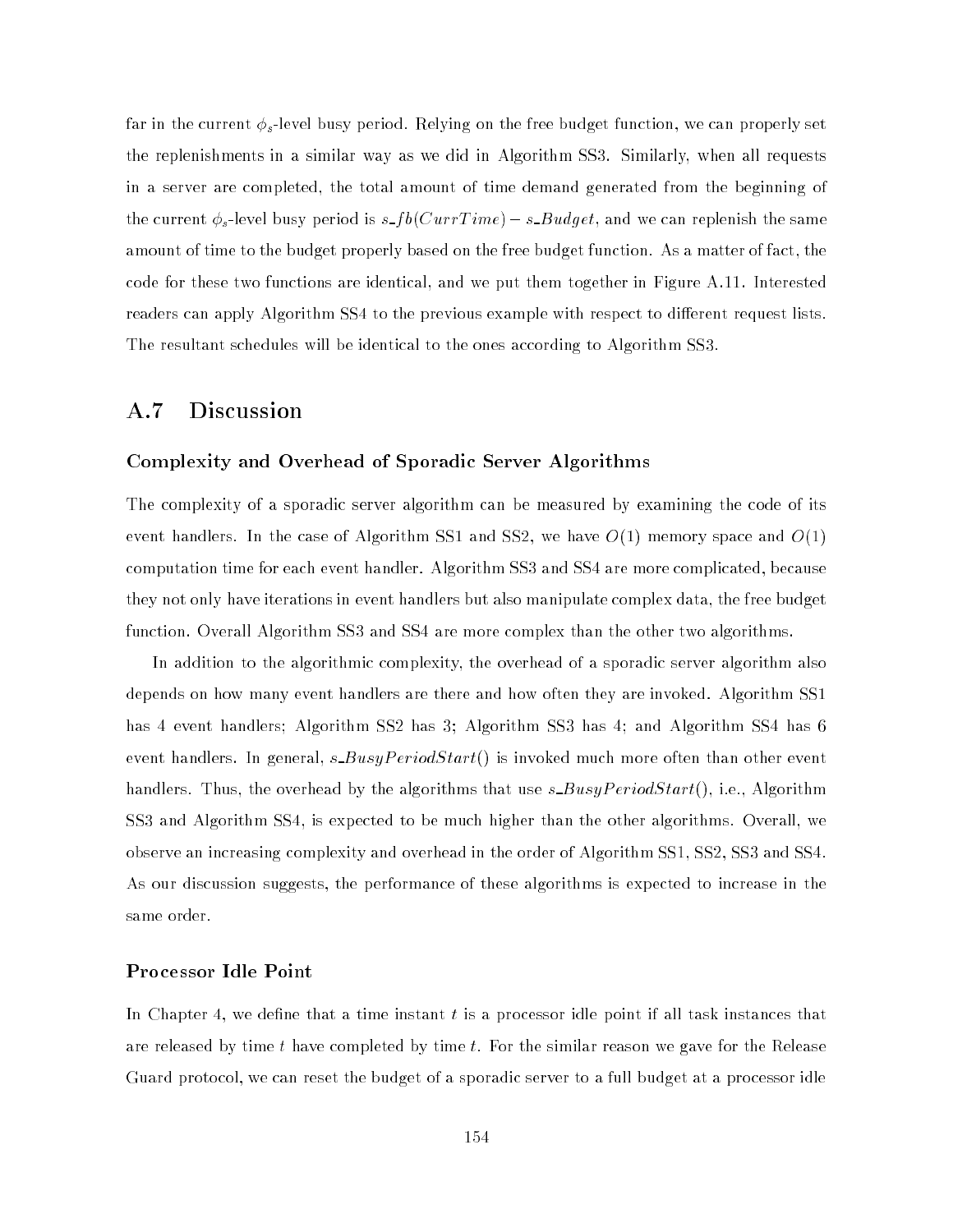far in the current  $\phi_s$ -level busy period. Relying on the free budget function, we can properly set the replenishments in a similar way as we did in Algorithm SS3. Similarly, when all requests in a server are completed, the total amount of time demand generated from the beginning of the current  $\phi_s$ -level busy period is  $s\_fb(CurrTime) - s\_Budget$ , and we can replenish the same amount of time to the budget properly based on the free budget function. As a matter of fact, the code for these two functions are identical, and we put them together in Figure A.11. Interested readers can apply Algorithm SS4 to the previous example with respect to different request lists. The resultant schedules will be identical to the ones according to Algorithm SS3.

### A.7 Discussion

#### Complexity and Overhead of Sporadic Server Algorithms

The complexity of a sporadic server algorithm can be measured by examining the code of its event handlers. In the case of Algorithm SS1 and SS2, we have  $O(1)$  memory space and  $O(1)$ computation time for each event handler. Algorithm SS3 and SS4 are more complicated, because they not only have iterations in event handlers but also manipulate complex data, the free budget function. Overall Algorithm SS3 and SS4 are more complex than the other two algorithms.

In addition to the algorithmic complexity, the overhead of a sporadic server algorithm also depends on how many event handlers are there and how often they are invoked. Algorithm SS1 has 4 event handlers; Algorithm SS2 has 3; Algorithm SS3 has 4; and Algorithm SS4 has 6 event handlers. In general,  $s$  Busy PeriodStart() is invoked much more often than other event handlers. Thus, the overhead by the algorithms that use  $s_BusyPeriodStart()$ , i.e., Algorithm SS3 and Algorithm SS4, is expected to be much higher than the other algorithms. Overall, we observe an increasing complexity and overhead in the order of Algorithm SS1, SS2, SS3 and SS4. As our discussion suggests, the performance of these algorithms is expected to increase in the same order.

#### Processor Idle Point

In Chapter 4, we define that a time instant  $t$  is a processor idle point if all task instances that are released by time t have completed by time t. For the similar reason we gave for the Release Guard protocol, we can reset the budget of a sporadic server to a full budget at a processor idle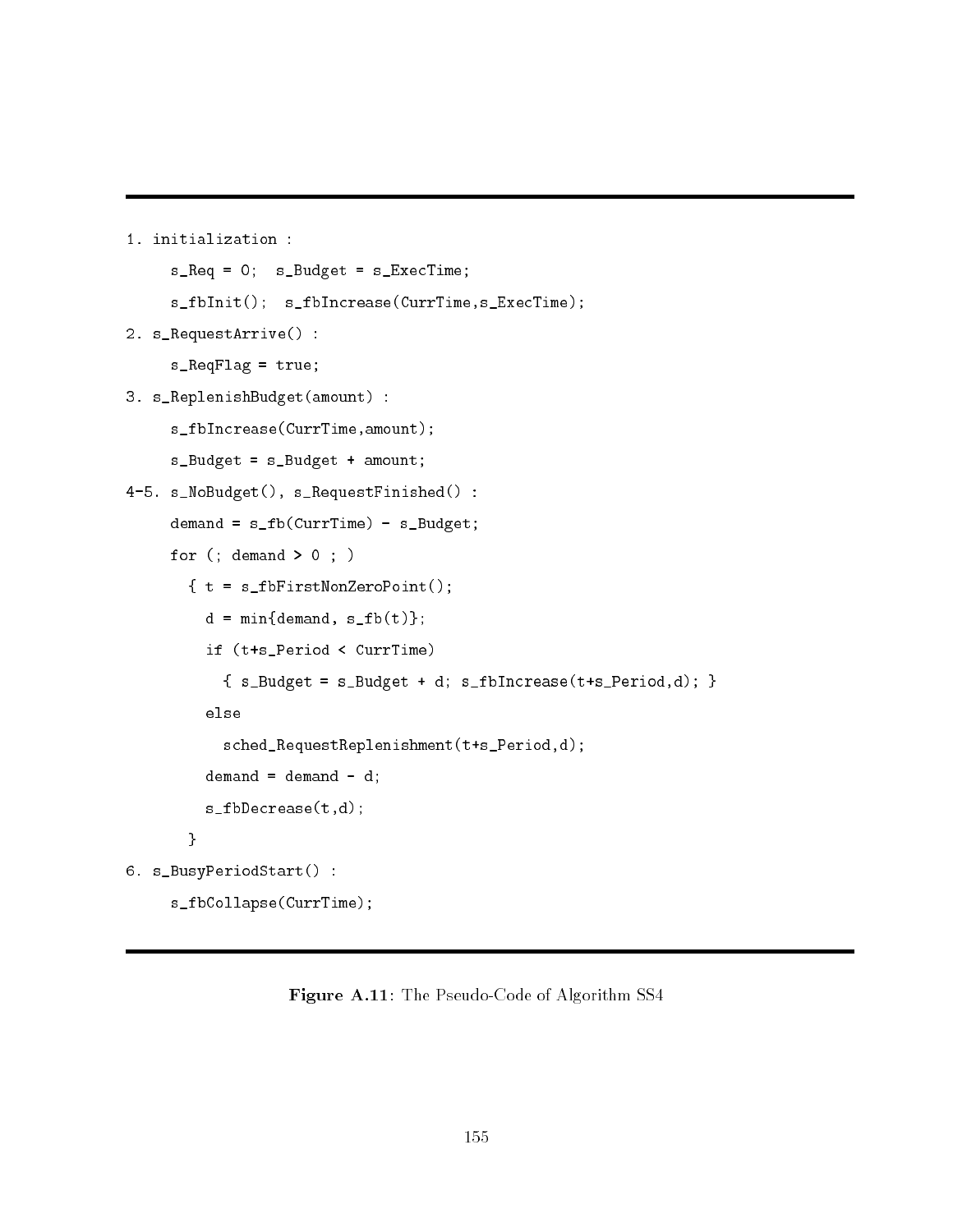1. initialization :

```
s_Req = 0; s_Budget = s_ExecTime;
     s_fbInit(); s_fbIncrease(CurrTime,s_ExecTime);
2. s_RequestArrive() :
     s_ReqFlag = true;
3. s_ReplenishBudget(amount) :
     s_fbIncrease(CurrTime,amount);
     s_Budget = s_Budget + amount;
4-5. s_NoBudget(), s_RequestFinished() :
     demand = s_fb(CurrTime) - s_Budget;for (; demand > 0; )
       \{ t = s_ffbFirstNonZeroPoint();
         d = min{demand, s_fbb(t)};
         if (t+s_Period < CurrTime)
           { s_Budget = s_Budget + d; s_fbIncrease(t+s_Period,d); }
         else
           sched_RequestReplenishment(t+s_Period,d);
         demand = demand - d;
         s_fbDecrease(t,d);
       }
6. s_BusyPeriodStart() :
     s_fbCollapse(CurrTime);
```
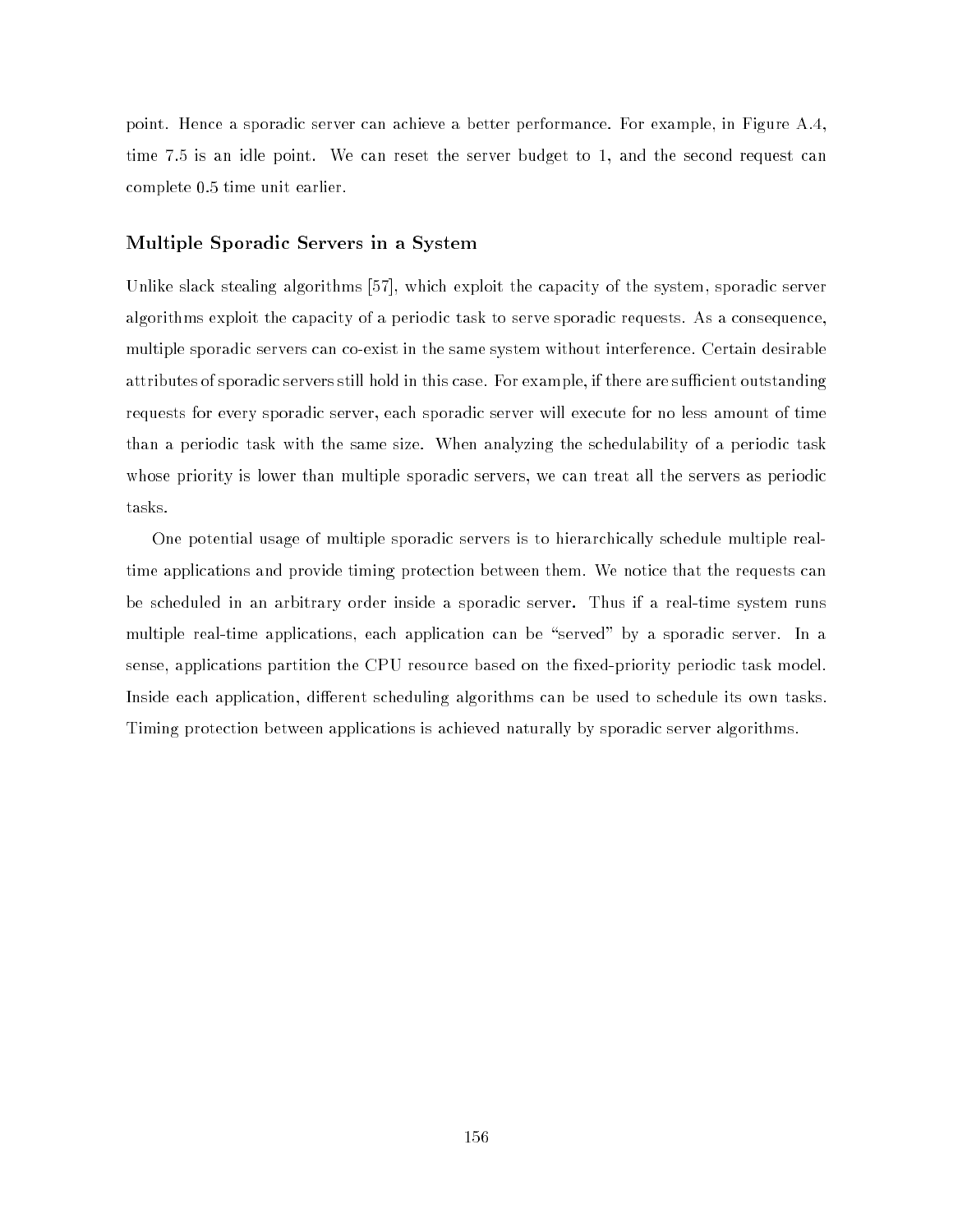point. Hence a sporadic server can achieve a better performance. For example, in Figure A.4, time 7.5 is an idle point. We can reset the server budget to 1, and the second request can complete 0.5 time unit earlier.

#### Multiple Sporadic Servers in a System

Unlike slack stealing algorithms [57], which exploit the capacity of the system, sporadic server algorithms exploit the capacity of a periodic task to serve sporadic requests. As a consequence, multiple sporadic servers can co-exist in the same system without interference. Certain desirable attributes of sporadic servers still hold in this case. For example, if there are sufficient outstanding requests for every sporadic server, each sporadic server will execute for no less amount of time than a periodic task with the same size. When analyzing the schedulability of a periodic task whose priority is lower than multiple sporadic servers, we can treat all the servers as periodic tasks.

One potential usage of multiple sporadic servers is to hierarchically schedule multiple realtime applications and provide timing protection between them. We notice that the requests can be scheduled in an arbitrary order inside a sporadic server. Thus if a real-time system runs multiple real-time applications, each application can be "served" by a sporadic server. In a sense, applications partition the CPU resource based on the fixed-priority periodic task model. Inside each application, different scheduling algorithms can be used to schedule its own tasks. Timing protection between applications is achieved naturally by sporadic server algorithms.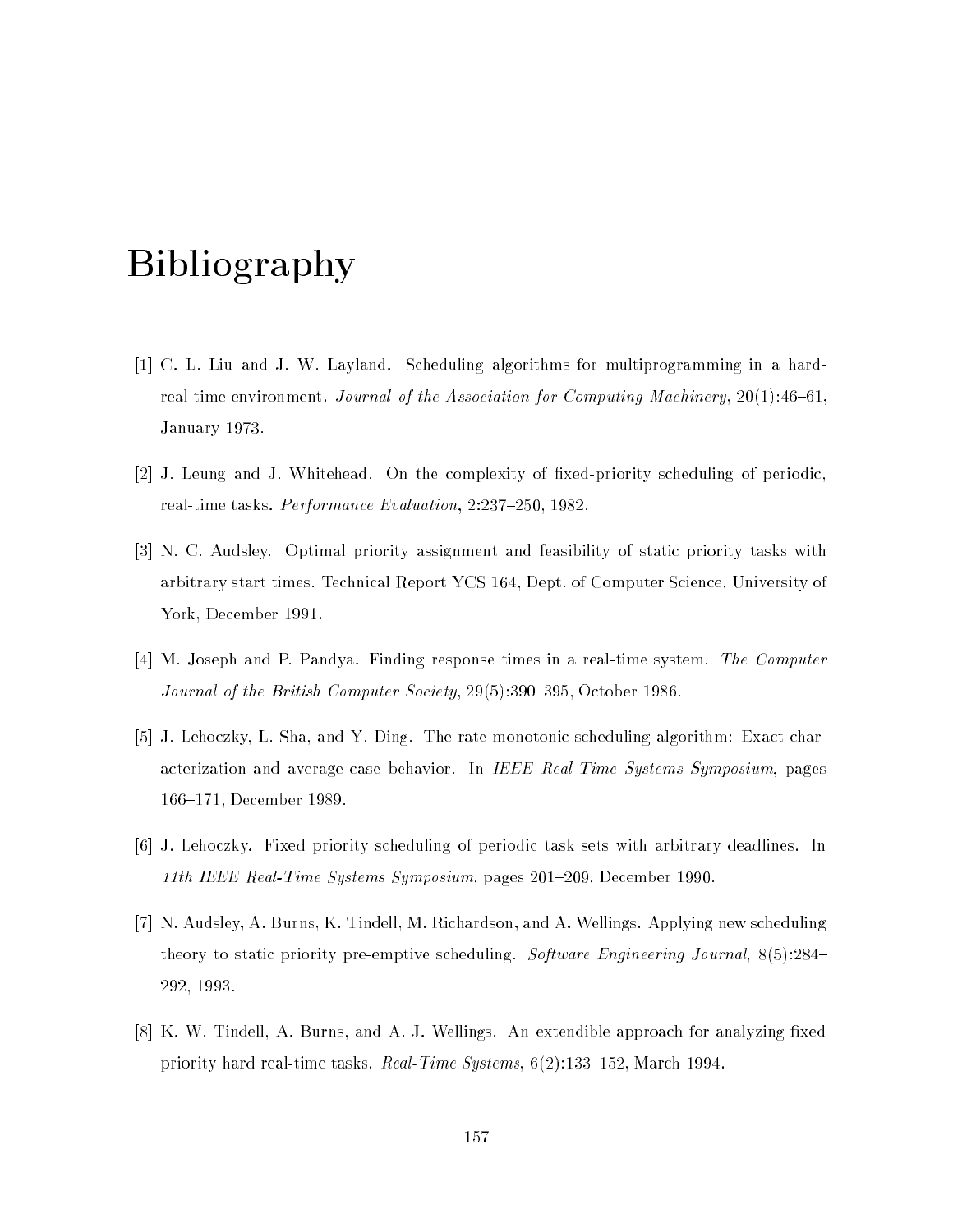# Bibliography

- [1] C. L. Liu and J. W. Layland. Scheduling algorithms for multiprogramming in a hardreal-time environment. Journal of the Association for Computing Machinery,  $20(1)$ :46-61. January 1973.
- [2] J. Leung and J. Whitehead. On the complexity of fixed-priority scheduling of periodic, real-time tasks. Performance Evaluation,  $2:237{-}250$ , 1982.
- [3] N. C. Audsley. Optimal priority assignment and feasibility of static priority tasks with arbitrary start times. Technical Report YCS 164, Dept. of Computer Science, University of York, December 1991.
- [4] M. Joseph and P. Pandya. Finding response times in a real-time system. The Computer Journal of the British Computer Society, 29(5):390-395, October 1986.
- [5] J. Lehoczky, L. Sha, and Y. Ding. The rate monotonic scheduling algorithm: Exact characterization and average case behavior. In IEEE Real-Time Systems Symposium, pages 166-171, December 1989.
- [6] J. Lehoczky. Fixed priority scheduling of periodic task sets with arbitrary deadlines. In 11th IEEE Real-Time Systems Symposium, pages  $201-209$ , December 1990.
- [7] N. Audsley, A. Burns, K. Tindell, M. Richardson, and A. Wellings. Applying new scheduling theory to static priority pre-emptive scheduling. Software Engineering Journal,  $8(5)$ :284– 292, 1993.
- [8] K. W. Tindell, A. Burns, and A. J. Wellings. An extendible approach for analyzing fixed priority hard real-time tasks. Real-Time Systems,  $6(2)$ :133-152, March 1994.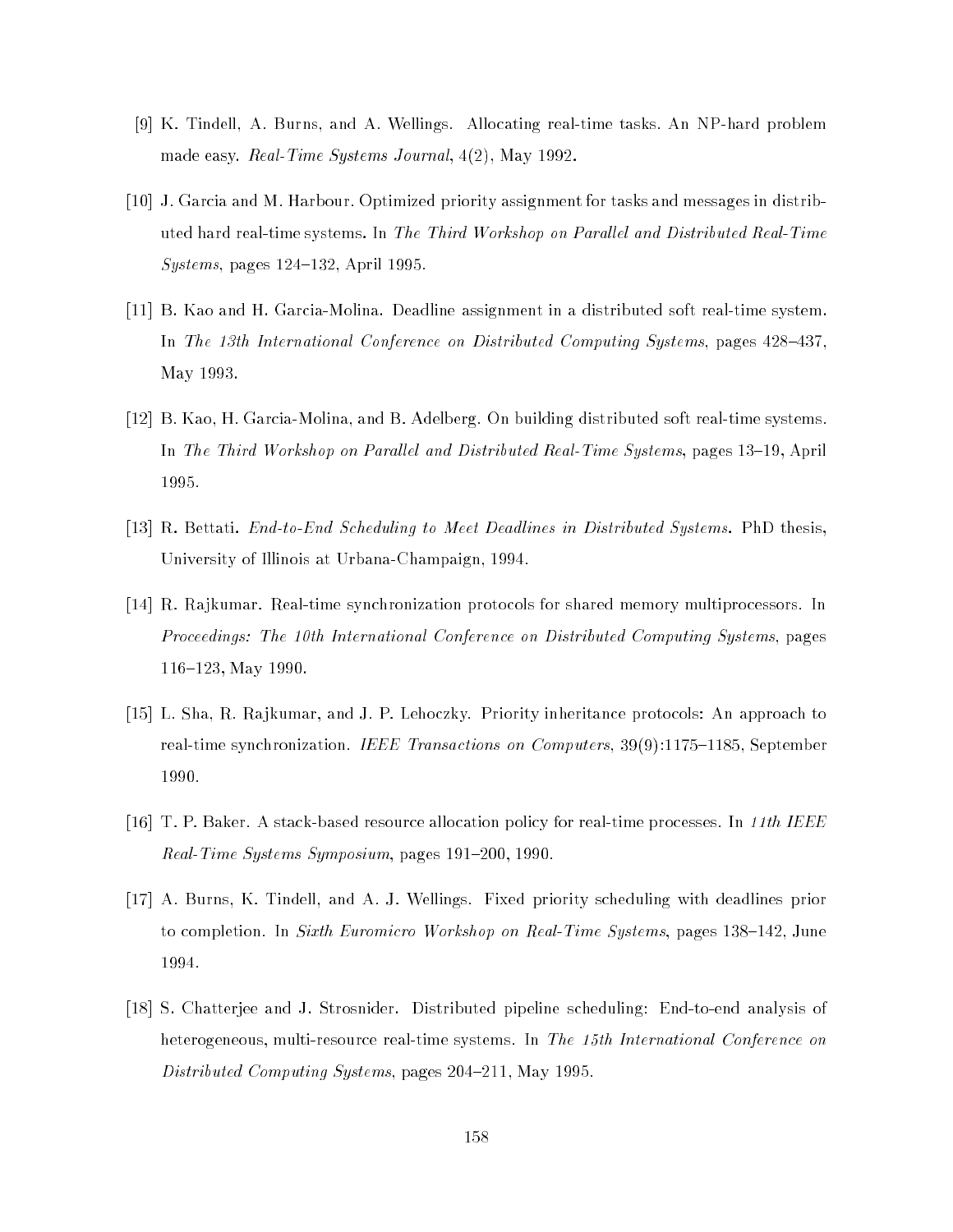- [9] K. Tindell, A. Burns, and A. Wellings. Allocating real-time tasks. An NP-hard problem made easy. Real-Time Systems Journal, 4(2), May 1992.
- [10] J. Garcia and M. Harbour. Optimized priority assignment for tasks and messages in distributed hard real-time systems. In *The Third Workshop on Parallel and Distributed Real-Time* Systems, pages  $124-132$ , April 1995.
- [11] B. Kao and H. Garcia-Molina. Deadline assignment in a distributed soft real-time system. In The 13th International Conference on Distributed Computing Systems, pages  $428{-}437$ . May 1993.
- [12] B. Kao, H. Garcia-Molina, and B. Adelberg. On building distributed soft real-time systems. In The Third Workshop on Parallel and Distributed Real-Time Systems, pages  $13-19$ , April 1995.
- [13] R. Bettati. *End-to-End Scheduling to Meet Deadlines in Distributed Systems*. PhD thesis, University of Illinois at Urbana-Champaign, 1994.
- [14] R. Rajkumar. Real-time synchronization protocols for shared memory multiprocessors. In Proceedings: The 10th International Conference on Distributed Computing Systems, pages 116-123, May 1990.
- [15] L. Sha, R. Rajkumar, and J. P. Lehoczky. Priority inheritance protocols: An approach to real-time synchronization. IEEE Transactions on Computers,  $39(9)$ :1175-1185, September 1990.
- [16] T. P. Baker. A stack-based resource allocation policy for real-time processes. In 11th IEEE Real-Time Systems Symposium, pages  $191-200$ , 1990.
- [17] A. Burns, K. Tindell, and A. J. Wellings. Fixed priority scheduling with deadlines prior to completion. In *Sixth Euromicro Workshop on Real-Time Systems*, pages 138–142, June 1994.
- [18] S. Chatterjee and J. Strosnider. Distributed pipeline scheduling: End-to-end analysis of heterogeneous, multi-resource real-time systems. In *The 15th International Conference on* Distributed Computing Systems, pages  $204-211$ , May 1995.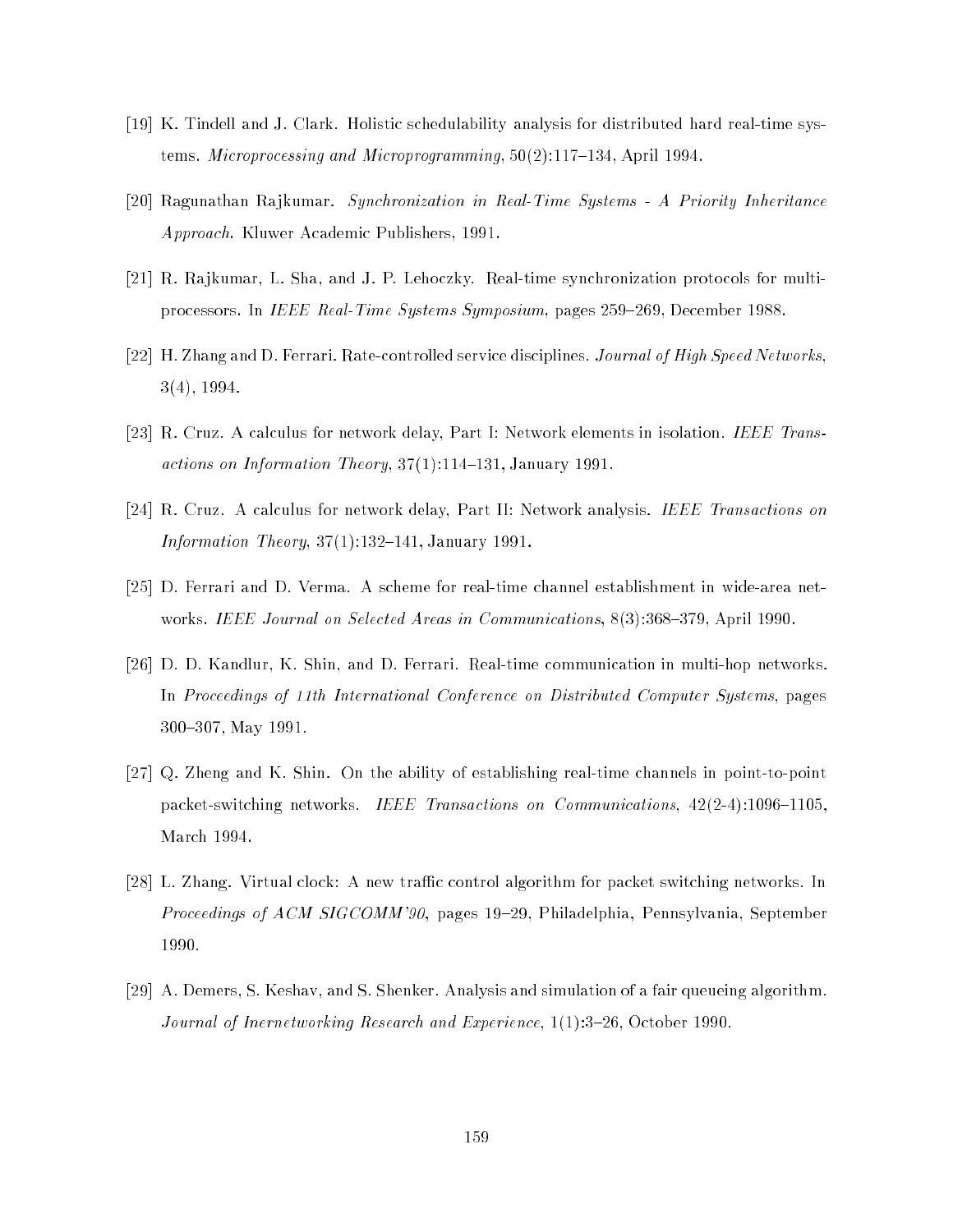- [19] K. Tindell and J. Clark. Holistic schedulability analysis for distributed hard real-time systems. *Microprocessing and Microprogramming*,  $50(2)$ :117–134, April 1994.
- [20] Ragunathan Rajkumar. Synchronization in Real-Time Systems A Priority Inheritance Approach. Kluwer Academic Publishers, 1991.
- [21] R. Rajkumar, L. Sha, and J. P. Lehoczky. Real-time synchronization protocols for multiprocessors. In IEEE Real-Time Systems Symposium, pages 259-269, December 1988.
- [22] H. Zhang and D. Ferrari. Rate-controlled service disciplines. Journal of High Speed Networks, 3(4), 1994.
- [23] R. Cruz. A calculus for network delay, Part I: Network elements in isolation. IEEE Transactions on Information Theory,  $37(1):114-131$ , January 1991.
- [24] R. Cruz. A calculus for network delay, Part II: Network analysis. IEEE Transactions on Information Theory,  $37(1):132-141$ , January 1991.
- [25] D. Ferrari and D. Verma. A scheme for real-time channel establishment in wide-area networks. IEEE Journal on Selected Areas in Communications,  $8(3):368-379$ , April 1990.
- [26] D. D. Kandlur, K. Shin, and D. Ferrari. Real-time communication in multi-hop networks. In Proceedings of 11th International Conference on Distributed Computer Systems, pages 300-307, May 1991.
- [27] Q. Zheng and K. Shin. On the ability of establishing real-time channels in point-to-point packet-switching networks. IEEE Transactions on Communications,  $42(2-4):1096{-}1105$ , March 1994.
- [28] L. Zhang. Virtual clock: A new traffic control algorithm for packet switching networks. In *Proceedings of ACM SIGCOMM'90*, pages 19–29, Philadelphia, Pennsylvania, September 1990.
- [29] A. Demers, S. Keshav, and S. Shenker. Analysis and simulation of a fair queueing algorithm. Journal of Inernetworking Research and Experience,  $1(1):3-26$ , October 1990.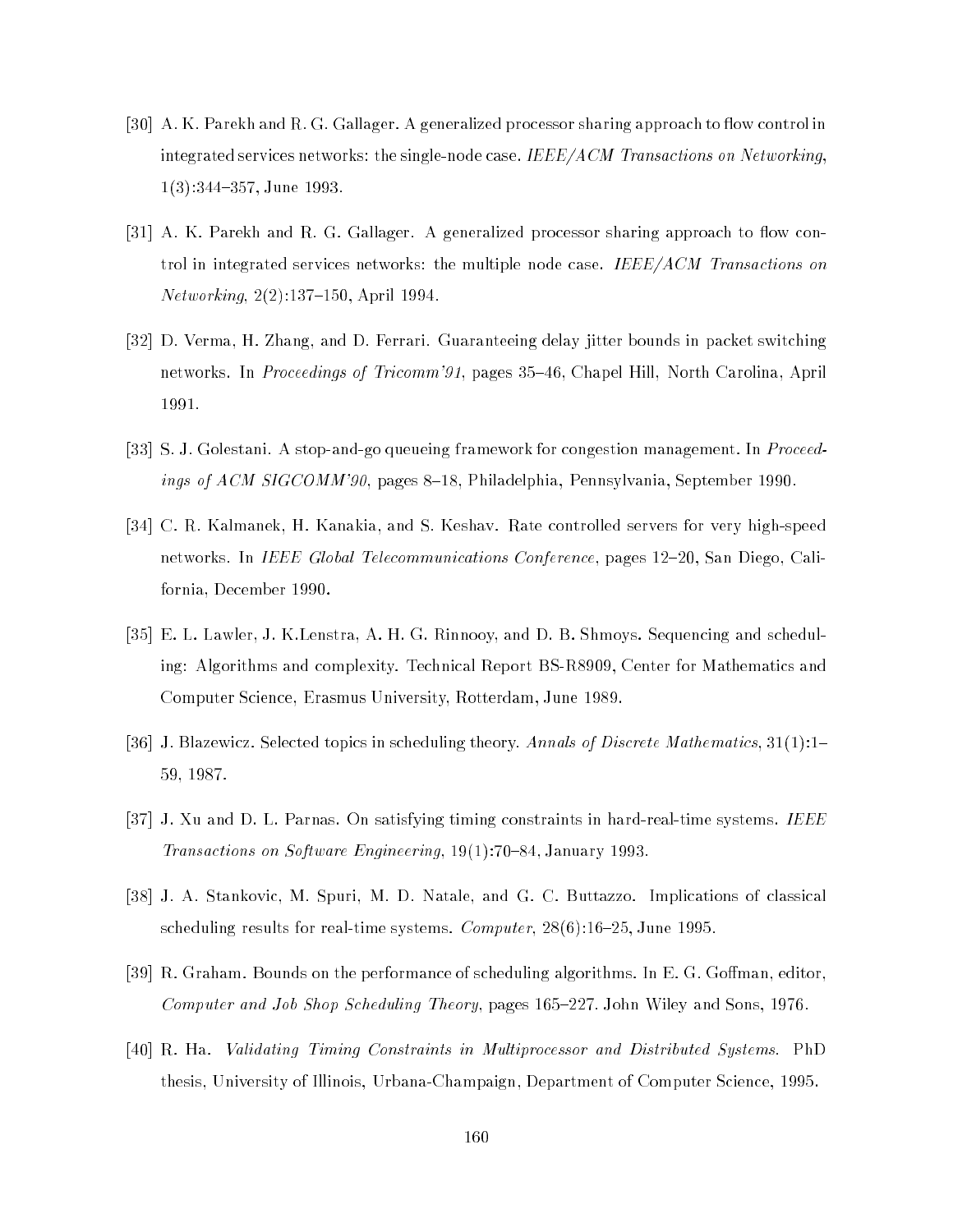- [30] A.K. Parekh and R.G. Gallager. A generalized processor sharing approach to flow control in integrated services networks: the single-node case. IEEE/ACM Transactions on Networking.  $1(3):344-357$ , June 1993.
- [31] A. K. Parekh and R. G. Gallager. A generalized processor sharing approach to flow control in integrated services networks: the multiple node case. IEEE/ACM Transactions on  $Networking, 2(2):137–150, April~1994.$
- [32] D. Verma, H. Zhang, and D. Ferrari. Guaranteeing delay jitter bounds in packet switching networks. In *Proceedings of Tricomm'91*, pages 35–46, Chapel Hill, North Carolina, April 1991.
- [33] S. J. Golestani. A stop-and-go queueing framework for congestion management. In Proceedings of ACM SIGCOMM'90, pages 8–18, Philadelphia, Pennsylvania, September 1990.
- [34] C. R. Kalmanek, H. Kanakia, and S. Keshav. Rate controlled servers for very high-speed networks. In *IEEE Global Telecommunications Conference*, pages 12–20, San Diego, California, December 1990.
- [35] E. L. Lawler, J. K.Lenstra, A. H. G. Rinnooy, and D. B. Shmoys. Sequencing and scheduling: Algorithms and complexity. Technical Report BS-R8909, Center for Mathematics and Computer Science, Erasmus University, Rotterdam, June 1989.
- [36] J. Blazewicz. Selected topics in scheduling theory. Annals of Discrete Mathematics,  $31(1):1-$ 59, 1987.
- [37] J. Xu and D. L. Parnas. On satisfying timing constraints in hard-real-time systems. IEEE Transactions on Software Engineering, 19(1):70-84, January 1993.
- [38] J. A. Stankovic, M. Spuri, M. D. Natale, and G. C. Buttazzo. Implications of classical scheduling results for real-time systems. *Computer*,  $28(6)$ :16-25, June 1995.
- [39] R. Graham. Bounds on the performance of scheduling algorithms. In E. G. Goffman, editor, Computer and Job Shop Scheduling Theory, pages 165-227. John Wiley and Sons, 1976.
- [40] R. Ha. Validating Timing Constraints in Multiprocessor and Distributed Systems. PhD thesis, University of Illinois, Urbana-Champaign, Department of Computer Science, 1995.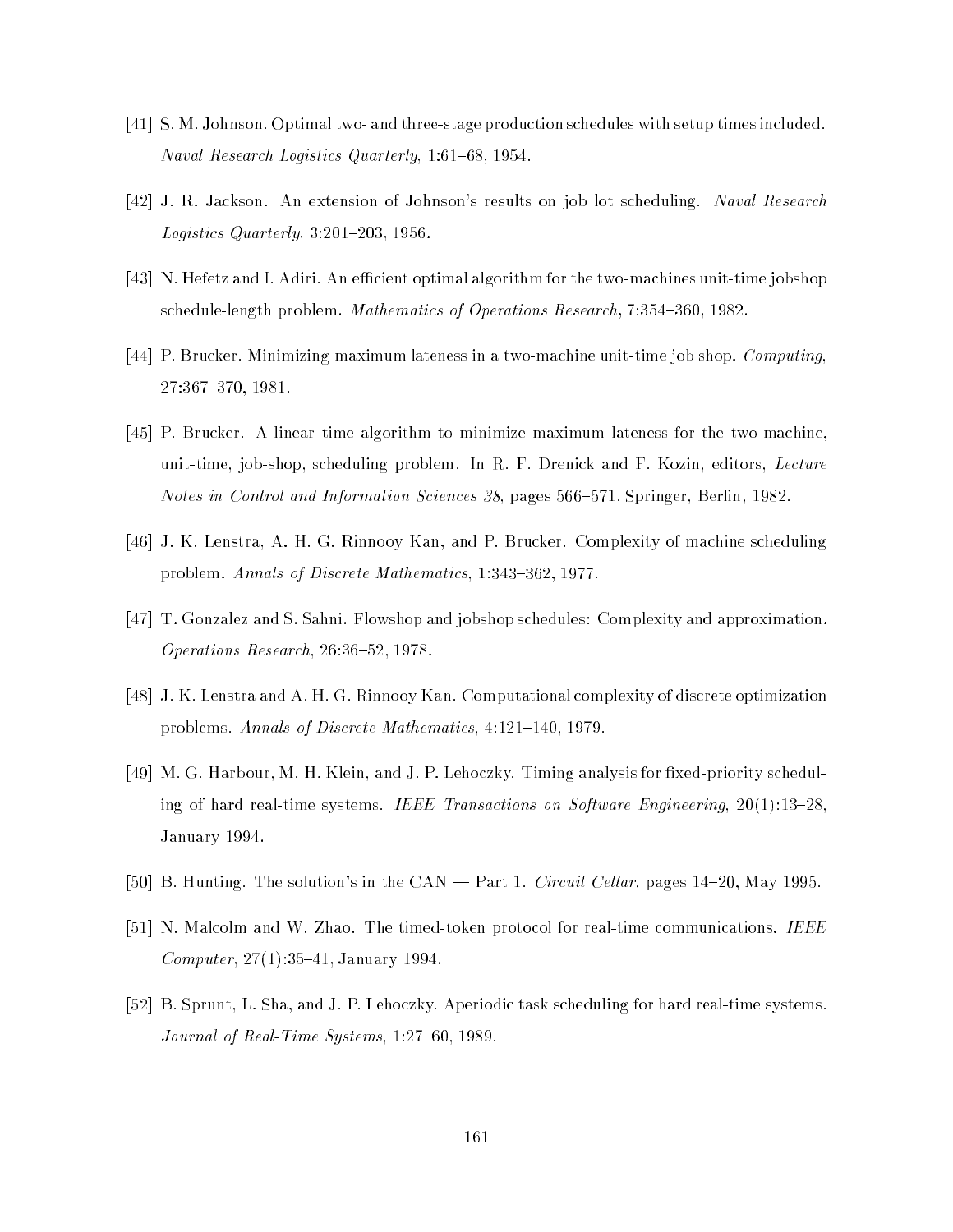- [41] S. M. Johnson. Optimal two- and three-stage production schedules with setup times included. Naval Research Logistics Quarterly, 1:61–68, 1954.
- [42] J. R. Jackson. An extension of Johnson's results on job lot scheduling. Naval Research Logistics Quarterly,  $3:201-203$ , 1956.
- [43] N. Hefetz and I. Adiri. An efficient optimal algorithm for the two-machines unit-time jobshop schedule-length problem. Mathematics of Operations Research,  $7:354{-}360, 1982$ .
- [44] P. Brucker. Minimizing maximum lateness in a two-machine unit-time job shop. Computing, 27:367-370, 1981.
- [45] P. Brucker. A linear time algorithm to minimize maximum lateness for the two-machine, unit-time, job-shop, scheduling problem. In R. F. Drenick and F. Kozin, editors,  $Lecture$ Notes in Control and Information Sciences 38, pages 566-571. Springer, Berlin, 1982.
- [46] J. K. Lenstra, A. H. G. Rinnooy Kan, and P. Brucker. Complexity of machine scheduling problem. Annals of Discrete Mathematics, 1:343-362, 1977.
- [47] T. Gonzalez and S. Sahni. Flowshop and jobshop schedules: Complexity and approximation. Operations Research,  $26:36-52$ , 1978.
- [48] J. K. Lenstra and A. H. G. Rinnooy Kan. Computational complexity of discrete optimization problems. Annals of Discrete Mathematics, 4:121-140, 1979.
- [49] M. G. Harbour, M. H. Klein, and J. P. Lehoczky. Timing analysis for fixed-priority scheduling of hard real-time systems. IEEE Transactions on Software Engineering,  $20(1):13-28$ . January 1994.
- [50] B. Hunting. The solution's in the CAN Part 1. *Circuit Cellar*, pages  $14-20$ , May 1995.
- [51] N. Malcolm and W. Zhao. The timed-token protocol for real-time communications. IEEE Computer,  $27(1)$ :35-41, January 1994.
- [52] B. Sprunt, L. Sha, and J. P. Lehoczky. Aperiodic task scheduling for hard real-time systems. Journal of Real-Time Systems,  $1:27{-}60, 1989$ .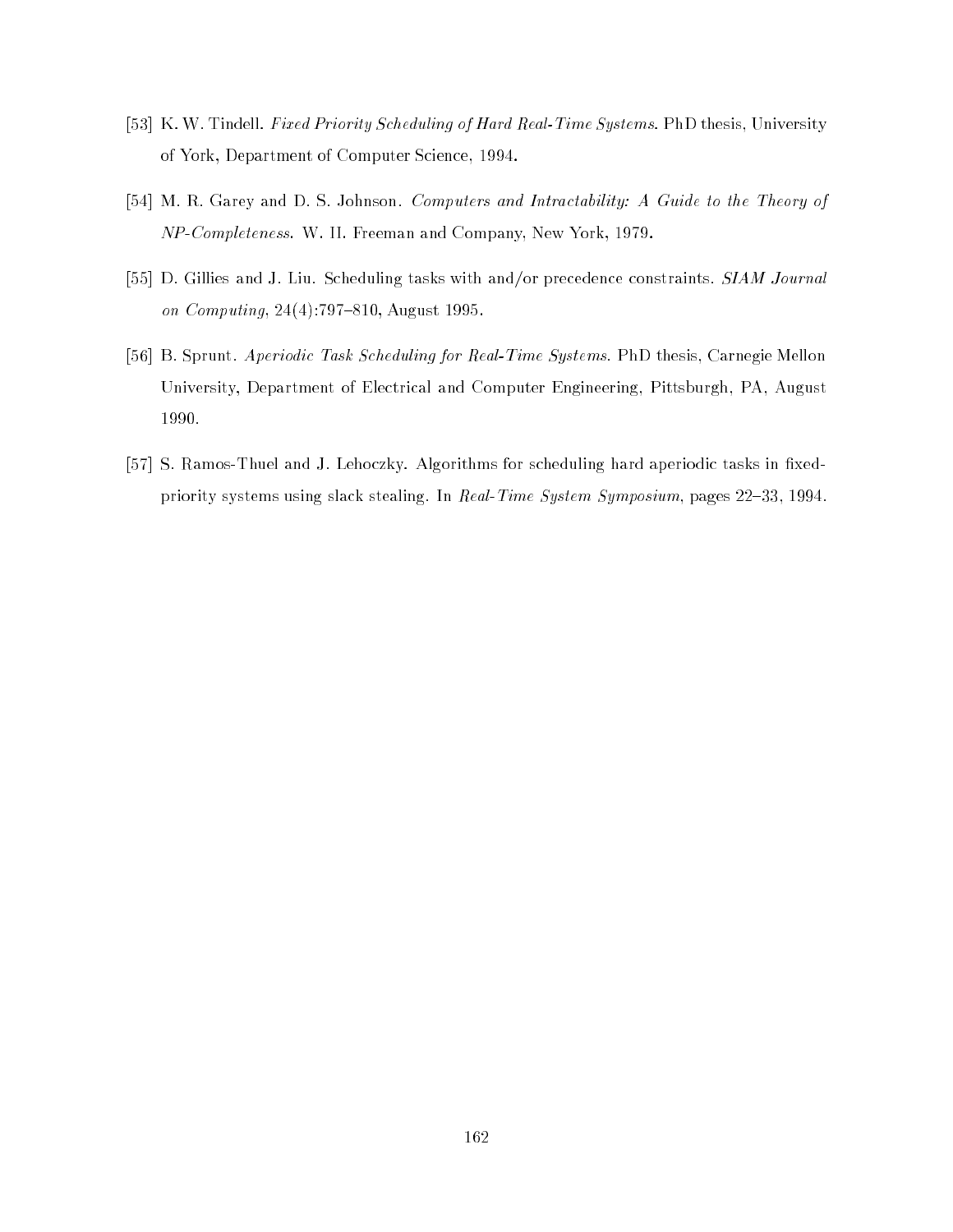- [53] K. W. Tindell. Fixed Priority Scheduling of Hard Real-Time Systems. PhD thesis, University of York, Department of Computer Science, 1994.
- [54] M. R. Garey and D. S. Johnson. Computers and Intractability: A Guide to the Theory of NP-Completeness. W. II. Freeman and Company, New York, 1979.
- [55] D. Gillies and J. Liu. Scheduling tasks with and/or precedence constraints. SIAM Journal on Computing,  $24(4)$ :797-810, August 1995.
- [56] B. Sprunt. Aperiodic Task Scheduling for Real-Time Systems. PhD thesis, Carnegie Mellon University, Department of Electrical and Computer Engineering, Pittsburgh, PA, August 1990.
- [57] S. Ramos-Thuel and J. Lehoczky. Algorithms for scheduling hard aperiodic tasks in fixedpriority systems using slack stealing. In Real-Time System Symposium, pages 22-33, 1994.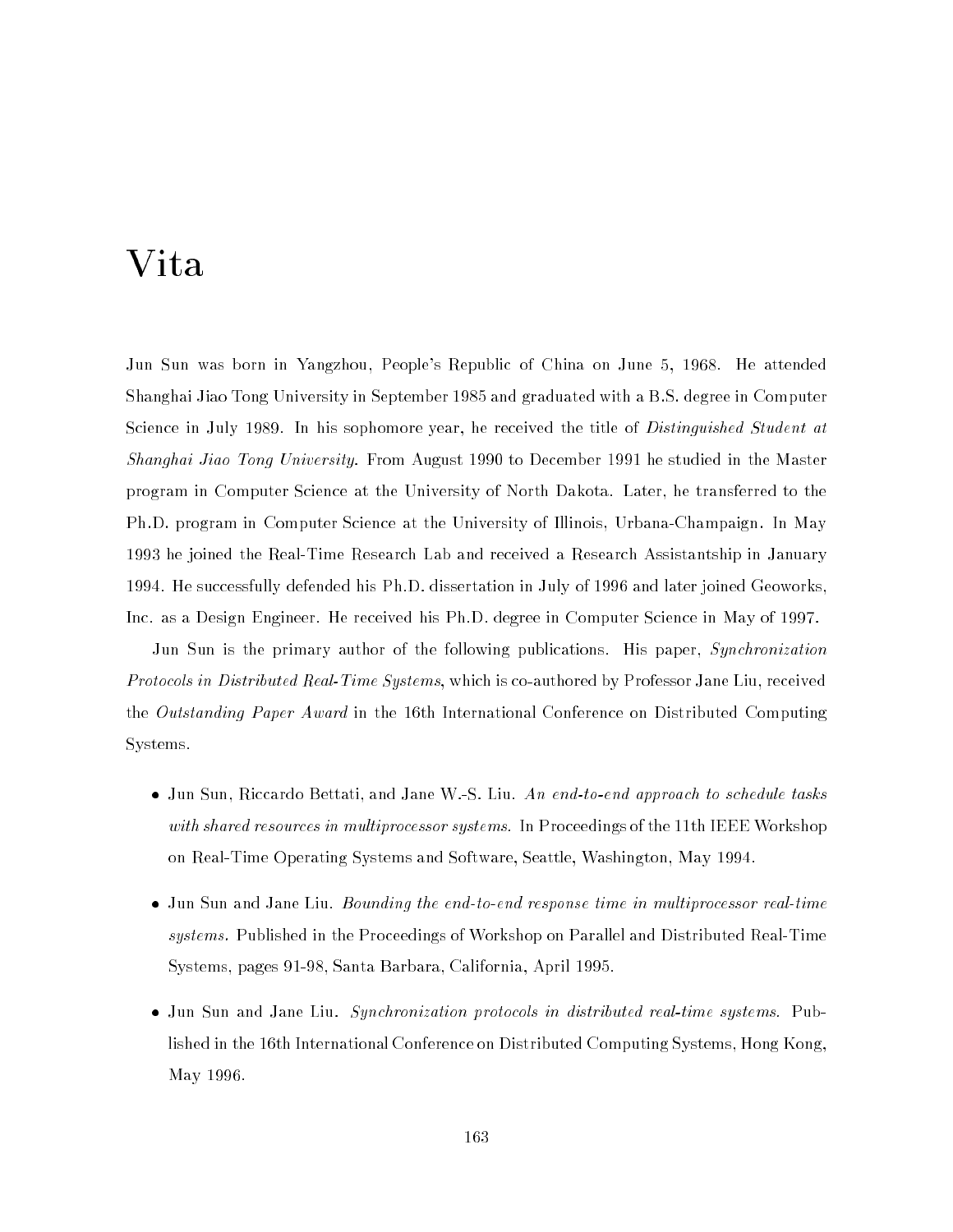## Vita

Jun Sun was born in Yangzhou, People's Republic of China on June 5, 1968. He attended Shanghai Jiao Tong University in September 1985 and graduated with a B.S. degree in Computer Science in July 1989. In his sophomore year, he received the title of *Distinguished Student at* Shanghai Jiao Tong University. From August 1990 to December 1991 he studied in the Master program in Computer Science at the University of North Dakota. Later, he transferred to the Ph.D. program in Computer Science at the University of Illinois, Urbana-Champaign. In May 1993 he joined the Real-Time Research Lab and received a Research Assistantship in January 1994. He successfully defended his Ph.D. dissertation in July of 1996 and later joined Geoworks, Inc. as a Design Engineer. He received his Ph.D. degree in Computer Science in May of 1997.

Jun Sun is the primary author of the following publications. His paper, Synchronization  $\emph{Protocols in Distributed Real-Time Systems},$  which is co-authored by <code>Professor</code> Jane Liu, received the Outstanding Paper Award in the 16th International Conference on Distributed Computing Systems.

- Jun Sun, Riccardo Bettati, and Jane W.-S. Liu. An end-to-end approach to schedule tasks with shared resources in multiprocessor systems. In Proceedings of the 11th IEEE Workshop on Real-Time Operating Systems and Software, Seattle, Washington, May 1994.
- Jun Sun and Jane Liu. Bounding the end-to-end response time in multiprocessor real-time systems. Published in the Proceedings of Workshop on Parallel and Distributed Real-Time Systems, pages 91-98, Santa Barbara, California, April 1995.
- Jun Sun and Jane Liu. Synchronization protocols in distributed real-time systems. Published in the 16th International Conference on Distributed Computing Systems, Hong Kong, May 1996.